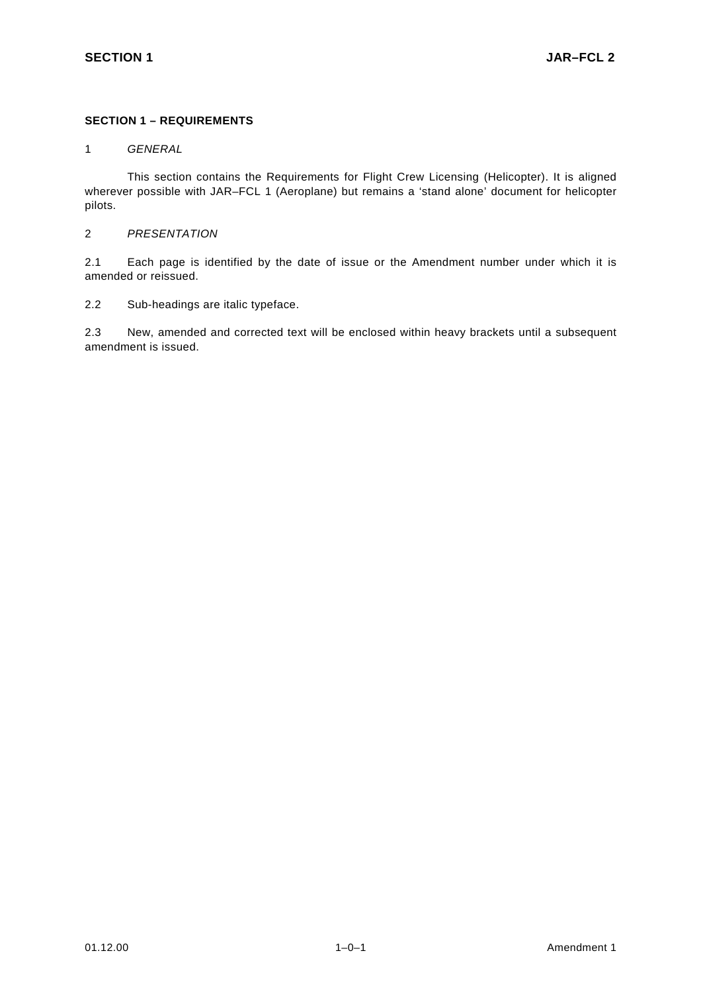# **SECTION 1 – REQUIREMENTS**

# 1 *GENERAL*

This section contains the Requirements for Flight Crew Licensing (Helicopter). It is aligned wherever possible with JAR–FCL 1 (Aeroplane) but remains a 'stand alone' document for helicopter pilots.

## 2 *PRESENTATION*

2.1 Each page is identified by the date of issue or the Amendment number under which it is amended or reissued.

2.2 Sub-headings are italic typeface.

2.3 New, amended and corrected text will be enclosed within heavy brackets until a subsequent amendment is issued.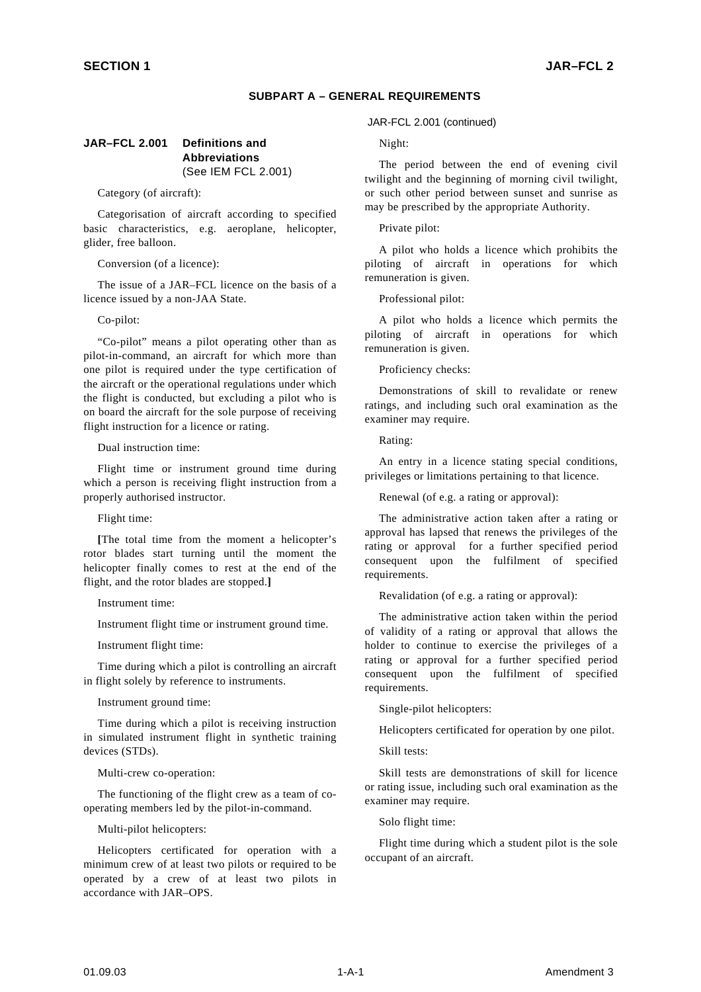#### **SUBPART A – GENERAL REQUIREMENTS**

# **JAR–FCL 2.001 Definitions and Abbreviations**  (See IEM FCL 2.001)

Category (of aircraft):

Categorisation of aircraft according to specified basic characteristics, e.g. aeroplane, helicopter, glider, free balloon.

Conversion (of a licence):

The issue of a JAR–FCL licence on the basis of a licence issued by a non-JAA State.

#### Co-pilot:

"Co-pilot" means a pilot operating other than as pilot-in-command, an aircraft for which more than one pilot is required under the type certification of the aircraft or the operational regulations under which the flight is conducted, but excluding a pilot who is on board the aircraft for the sole purpose of receiving flight instruction for a licence or rating.

Dual instruction time:

Flight time or instrument ground time during which a person is receiving flight instruction from a properly authorised instructor.

Flight time:

**[**The total time from the moment a helicopter's rotor blades start turning until the moment the helicopter finally comes to rest at the end of the flight, and the rotor blades are stopped.**]**

Instrument time:

Instrument flight time or instrument ground time.

Instrument flight time:

Time during which a pilot is controlling an aircraft in flight solely by reference to instruments.

Instrument ground time:

Time during which a pilot is receiving instruction in simulated instrument flight in synthetic training devices (STDs).

Multi-crew co-operation:

The functioning of the flight crew as a team of cooperating members led by the pilot-in-command.

Multi-pilot helicopters:

Helicopters certificated for operation with a minimum crew of at least two pilots or required to be operated by a crew of at least two pilots in accordance with JAR–OPS.

JAR-FCL 2.001 (continued)

Night:

The period between the end of evening civil twilight and the beginning of morning civil twilight, or such other period between sunset and sunrise as may be prescribed by the appropriate Authority.

Private pilot:

A pilot who holds a licence which prohibits the piloting of aircraft in operations for which remuneration is given.

Professional pilot:

A pilot who holds a licence which permits the piloting of aircraft in operations for which remuneration is given.

Proficiency checks:

Demonstrations of skill to revalidate or renew ratings, and including such oral examination as the examiner may require.

Rating:

An entry in a licence stating special conditions, privileges or limitations pertaining to that licence.

Renewal (of e.g. a rating or approval):

The administrative action taken after a rating or approval has lapsed that renews the privileges of the rating or approval for a further specified period consequent upon the fulfilment of specified requirements.

Revalidation (of e.g. a rating or approval):

The administrative action taken within the period of validity of a rating or approval that allows the holder to continue to exercise the privileges of a rating or approval for a further specified period consequent upon the fulfilment of specified requirements.

Single-pilot helicopters:

Helicopters certificated for operation by one pilot.

Skill tests:

Skill tests are demonstrations of skill for licence or rating issue, including such oral examination as the examiner may require.

Solo flight time:

Flight time during which a student pilot is the sole occupant of an aircraft.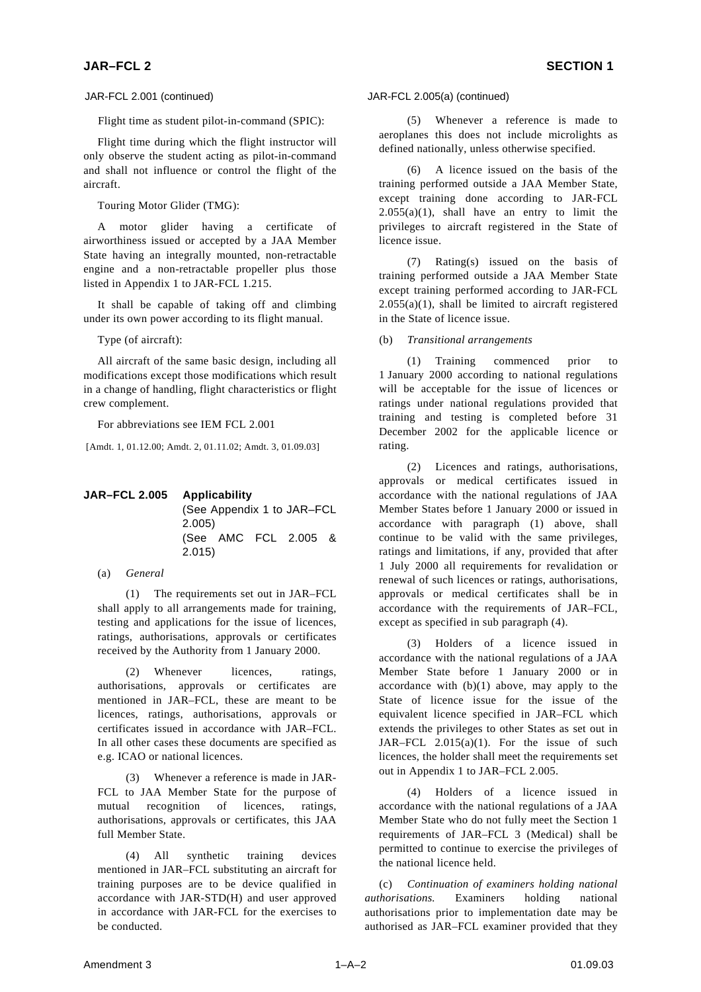Flight time as student pilot-in-command (SPIC):

Flight time during which the flight instructor will only observe the student acting as pilot-in-command and shall not influence or control the flight of the aircraft.

#### Touring Motor Glider (TMG):

A motor glider having a certificate of airworthiness issued or accepted by a JAA Member State having an integrally mounted, non-retractable engine and a non-retractable propeller plus those listed in Appendix 1 to JAR-FCL 1.215.

It shall be capable of taking off and climbing under its own power according to its flight manual.

Type (of aircraft):

All aircraft of the same basic design, including all modifications except those modifications which result in a change of handling, flight characteristics or flight crew complement.

For abbreviations see IEM FCL 2.001

[Amdt. 1, 01.12.00; Amdt. 2, 01.11.02; Amdt. 3, 01.09.03]

## **JAR–FCL 2.005 Applicability**  (See Appendix 1 to JAR–FCL 2.005) (See AMC FCL 2.005 & 2.015)

(a) *General* 

(1) The requirements set out in JAR–FCL shall apply to all arrangements made for training, testing and applications for the issue of licences, ratings, authorisations, approvals or certificates received by the Authority from 1 January 2000.

(2) Whenever licences, ratings, authorisations, approvals or certificates are mentioned in JAR–FCL, these are meant to be licences, ratings, authorisations, approvals or certificates issued in accordance with JAR–FCL. In all other cases these documents are specified as e.g. ICAO or national licences.

(3) Whenever a reference is made in JAR-FCL to JAA Member State for the purpose of mutual recognition of licences, ratings, authorisations, approvals or certificates, this JAA full Member State.

(4) All synthetic training devices mentioned in JAR–FCL substituting an aircraft for training purposes are to be device qualified in accordance with JAR-STD(H) and user approved in accordance with JAR-FCL for the exercises to be conducted.

#### JAR-FCL 2.001 (continued) JAR-FCL 2.005(a) (continued)

(5) Whenever a reference is made to aeroplanes this does not include microlights as defined nationally, unless otherwise specified.

(6) A licence issued on the basis of the training performed outside a JAA Member State, except training done according to JAR-FCL  $2.055(a)(1)$ , shall have an entry to limit the privileges to aircraft registered in the State of licence issue.

(7) Rating(s) issued on the basis of training performed outside a JAA Member State except training performed according to JAR-FCL  $2.055(a)(1)$ , shall be limited to aircraft registered in the State of licence issue.

(b) *Transitional arrangements*

(1) Training commenced prior to 1 January 2000 according to national regulations will be acceptable for the issue of licences or ratings under national regulations provided that training and testing is completed before 31 December 2002 for the applicable licence or rating.

(2) Licences and ratings, authorisations, approvals or medical certificates issued in accordance with the national regulations of JAA Member States before 1 January 2000 or issued in accordance with paragraph (1) above, shall continue to be valid with the same privileges, ratings and limitations, if any, provided that after 1 July 2000 all requirements for revalidation or renewal of such licences or ratings, authorisations, approvals or medical certificates shall be in accordance with the requirements of JAR–FCL, except as specified in sub paragraph (4).

(3) Holders of a licence issued in accordance with the national regulations of a JAA Member State before 1 January 2000 or in accordance with  $(b)(1)$  above, may apply to the State of licence issue for the issue of the equivalent licence specified in JAR–FCL which extends the privileges to other States as set out in JAR–FCL  $2.015(a)(1)$ . For the issue of such licences, the holder shall meet the requirements set out in Appendix 1 to JAR–FCL 2.005.

(4) Holders of a licence issued in accordance with the national regulations of a JAA Member State who do not fully meet the Section 1 requirements of JAR–FCL 3 (Medical) shall be permitted to continue to exercise the privileges of the national licence held.

(c) *Continuation of examiners holding national authorisations.* Examiners holding national authorisations prior to implementation date may be authorised as JAR–FCL examiner provided that they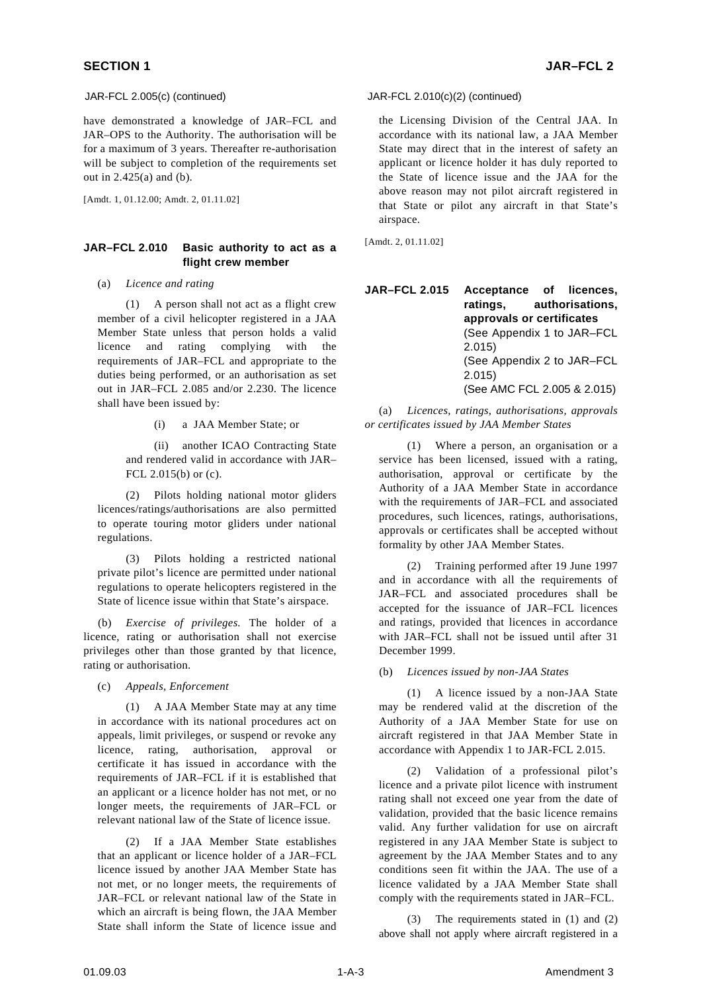have demonstrated a knowledge of JAR–FCL and JAR–OPS to the Authority. The authorisation will be for a maximum of 3 years. Thereafter re-authorisation will be subject to completion of the requirements set out in 2.425(a) and (b).

[Amdt. 1, 01.12.00; Amdt. 2, 01.11.02]

## **JAR–FCL 2.010 Basic authority to act as a flight crew member**

### (a) *Licence and rating*

(1) A person shall not act as a flight crew member of a civil helicopter registered in a JAA Member State unless that person holds a valid licence and rating complying with the requirements of JAR–FCL and appropriate to the duties being performed, or an authorisation as set out in JAR–FCL 2.085 and/or 2.230. The licence shall have been issued by:

(i) a JAA Member State; or

(ii) another ICAO Contracting State and rendered valid in accordance with JAR– FCL 2.015(b) or (c).

(2) Pilots holding national motor gliders licences/ratings/authorisations are also permitted to operate touring motor gliders under national regulations.

(3) Pilots holding a restricted national private pilot's licence are permitted under national regulations to operate helicopters registered in the State of licence issue within that State's airspace.

(b) *Exercise of privileges.* The holder of a licence, rating or authorisation shall not exercise privileges other than those granted by that licence, rating or authorisation.

(c) *Appeals, Enforcement*

(1) A JAA Member State may at any time in accordance with its national procedures act on appeals, limit privileges, or suspend or revoke any licence, rating, authorisation, approval or certificate it has issued in accordance with the requirements of JAR–FCL if it is established that an applicant or a licence holder has not met, or no longer meets, the requirements of JAR–FCL or relevant national law of the State of licence issue.

(2) If a JAA Member State establishes that an applicant or licence holder of a JAR–FCL licence issued by another JAA Member State has not met, or no longer meets, the requirements of JAR–FCL or relevant national law of the State in which an aircraft is being flown, the JAA Member State shall inform the State of licence issue and

JAR-FCL 2.005(c) (continued) 3AR-FCL 2.010(c)(2) (continued)

the Licensing Division of the Central JAA. In accordance with its national law, a JAA Member State may direct that in the interest of safety an applicant or licence holder it has duly reported to the State of licence issue and the JAA for the above reason may not pilot aircraft registered in that State or pilot any aircraft in that State's airspace.

[Amdt. 2, 01.11.02]

# **JAR–FCL 2.015 Acceptance of licences, ratings, authorisations, approvals or certificates**  (See Appendix 1 to JAR–FCL 2.015) (See Appendix 2 to JAR–FCL 2.015) (See AMC FCL 2.005 & 2.015)

(a) *Licences, ratings, authorisations, approvals or certificates issued by JAA Member States* 

(1) Where a person, an organisation or a service has been licensed, issued with a rating, authorisation, approval or certificate by the Authority of a JAA Member State in accordance with the requirements of JAR–FCL and associated procedures, such licences, ratings, authorisations, approvals or certificates shall be accepted without formality by other JAA Member States.

(2) Training performed after 19 June 1997 and in accordance with all the requirements of JAR–FCL and associated procedures shall be accepted for the issuance of JAR–FCL licences and ratings, provided that licences in accordance with JAR–FCL shall not be issued until after 31 December 1999.

(b) *Licences issued by non-JAA States* 

(1) A licence issued by a non-JAA State may be rendered valid at the discretion of the Authority of a JAA Member State for use on aircraft registered in that JAA Member State in accordance with Appendix 1 to JAR-FCL 2.015.

(2) Validation of a professional pilot's licence and a private pilot licence with instrument rating shall not exceed one year from the date of validation, provided that the basic licence remains valid. Any further validation for use on aircraft registered in any JAA Member State is subject to agreement by the JAA Member States and to any conditions seen fit within the JAA. The use of a licence validated by a JAA Member State shall comply with the requirements stated in JAR–FCL.

(3) The requirements stated in (1) and (2) above shall not apply where aircraft registered in a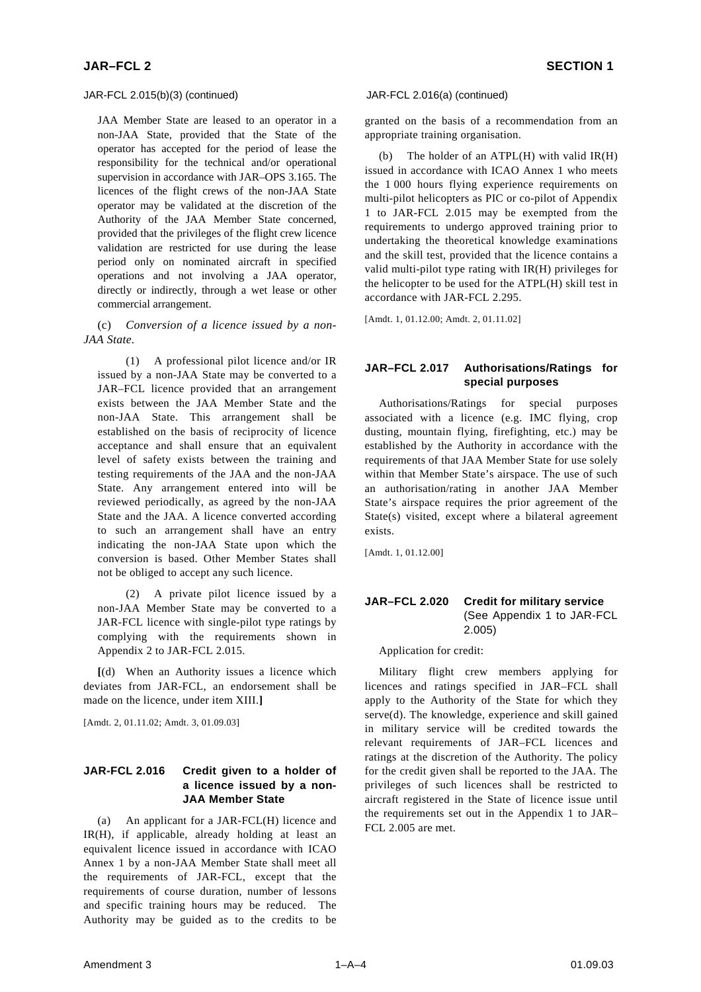#### JAR-FCL 2.015(b)(3) (continued) JAR-FCL 2.016(a) (continued)

JAA Member State are leased to an operator in a non-JAA State, provided that the State of the operator has accepted for the period of lease the responsibility for the technical and/or operational supervision in accordance with JAR–OPS 3.165. The licences of the flight crews of the non-JAA State operator may be validated at the discretion of the Authority of the JAA Member State concerned, provided that the privileges of the flight crew licence validation are restricted for use during the lease period only on nominated aircraft in specified operations and not involving a JAA operator, directly or indirectly, through a wet lease or other commercial arrangement.

(c) *Conversion of a licence issued by a non-JAA State.* 

(1) A professional pilot licence and/or IR issued by a non-JAA State may be converted to a JAR–FCL licence provided that an arrangement exists between the JAA Member State and the non-JAA State. This arrangement shall be established on the basis of reciprocity of licence acceptance and shall ensure that an equivalent level of safety exists between the training and testing requirements of the JAA and the non-JAA State. Any arrangement entered into will be reviewed periodically, as agreed by the non-JAA State and the JAA. A licence converted according to such an arrangement shall have an entry indicating the non-JAA State upon which the conversion is based. Other Member States shall not be obliged to accept any such licence.

(2) A private pilot licence issued by a non-JAA Member State may be converted to a JAR-FCL licence with single-pilot type ratings by complying with the requirements shown in Appendix 2 to JAR-FCL 2.015.

**[**(d) When an Authority issues a licence which deviates from JAR-FCL, an endorsement shall be made on the licence, under item XIII.**]**

[Amdt. 2, 01.11.02; Amdt. 3, 01.09.03]

# **JAR-FCL 2.016 Credit given to a holder of a licence issued by a non-JAA Member State**

(a) An applicant for a JAR-FCL(H) licence and IR(H), if applicable, already holding at least an equivalent licence issued in accordance with ICAO Annex 1 by a non-JAA Member State shall meet all the requirements of JAR-FCL, except that the requirements of course duration, number of lessons and specific training hours may be reduced. The Authority may be guided as to the credits to be

granted on the basis of a recommendation from an appropriate training organisation.

The holder of an ATPL $(H)$  with valid IR $(H)$ issued in accordance with ICAO Annex 1 who meets the 1 000 hours flying experience requirements on multi-pilot helicopters as PIC or co-pilot of Appendix 1 to JAR-FCL 2.015 may be exempted from the requirements to undergo approved training prior to undertaking the theoretical knowledge examinations and the skill test, provided that the licence contains a valid multi-pilot type rating with IR(H) privileges for the helicopter to be used for the ATPL(H) skill test in accordance with JAR-FCL 2.295.

[Amdt. 1, 01.12.00; Amdt. 2, 01.11.02]

# **JAR–FCL 2.017 Authorisations/Ratings for special purposes**

Authorisations/Ratings for special purposes associated with a licence (e.g. IMC flying, crop dusting, mountain flying, firefighting, etc.) may be established by the Authority in accordance with the requirements of that JAA Member State for use solely within that Member State's airspace. The use of such an authorisation/rating in another JAA Member State's airspace requires the prior agreement of the State(s) visited, except where a bilateral agreement exists.

[Amdt. 1, 01.12.00]

### **JAR–FCL 2.020 Credit for military service**  (See Appendix 1 to JAR-FCL 2.005)

Application for credit:

Military flight crew members applying for licences and ratings specified in JAR–FCL shall apply to the Authority of the State for which they serve(d). The knowledge, experience and skill gained in military service will be credited towards the relevant requirements of JAR–FCL licences and ratings at the discretion of the Authority. The policy for the credit given shall be reported to the JAA. The privileges of such licences shall be restricted to aircraft registered in the State of licence issue until the requirements set out in the Appendix 1 to JAR– FCL 2.005 are met.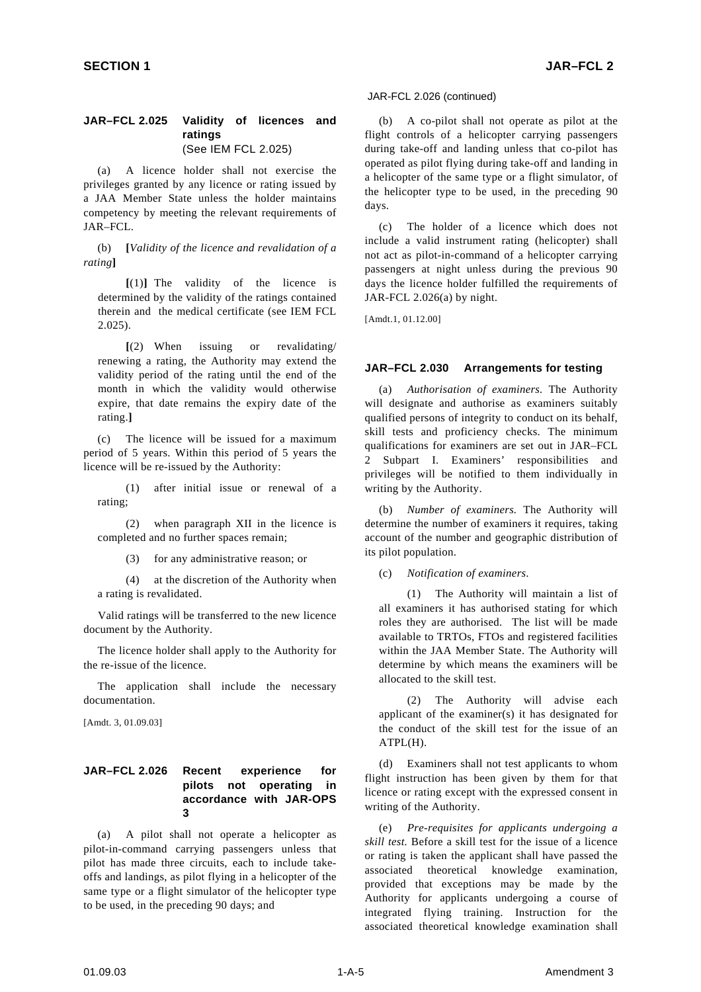## **JAR–FCL 2.025 Validity of licences and ratings**  (See IEM FCL 2.025)

(a) A licence holder shall not exercise the privileges granted by any licence or rating issued by a JAA Member State unless the holder maintains competency by meeting the relevant requirements of JAR–FCL.

(b) **[***Validity of the licence and revalidation of a rating***]**

**[**(1)**]** The validity of the licence is determined by the validity of the ratings contained therein and the medical certificate (see IEM FCL 2.025).

**[**(2) When issuing or revalidating/ renewing a rating, the Authority may extend the validity period of the rating until the end of the month in which the validity would otherwise expire, that date remains the expiry date of the rating.**]**

(c) The licence will be issued for a maximum period of 5 years. Within this period of 5 years the licence will be re-issued by the Authority:

(1) after initial issue or renewal of a rating;

(2) when paragraph XII in the licence is completed and no further spaces remain;

(3) for any administrative reason; or

(4) at the discretion of the Authority when a rating is revalidated.

Valid ratings will be transferred to the new licence document by the Authority.

The licence holder shall apply to the Authority for the re-issue of the licence.

The application shall include the necessary documentation.

[Amdt. 3, 01.09.03]

# **JAR–FCL 2.026 Recent experience for pilots not operating in accordance with JAR-OPS 3**

(a) A pilot shall not operate a helicopter as pilot-in-command carrying passengers unless that pilot has made three circuits, each to include takeoffs and landings, as pilot flying in a helicopter of the same type or a flight simulator of the helicopter type to be used, in the preceding 90 days; and

#### JAR-FCL 2.026 (continued)

(b) A co-pilot shall not operate as pilot at the flight controls of a helicopter carrying passengers during take-off and landing unless that co-pilot has operated as pilot flying during take-off and landing in a helicopter of the same type or a flight simulator, of the helicopter type to be used, in the preceding 90 days.

(c) The holder of a licence which does not include a valid instrument rating (helicopter) shall not act as pilot-in-command of a helicopter carrying passengers at night unless during the previous 90 days the licence holder fulfilled the requirements of JAR-FCL 2.026(a) by night.

[Amdt.1, 01.12.00]

# **JAR–FCL 2.030 Arrangements for testing**

(a) *Authorisation of examiners.* The Authority will designate and authorise as examiners suitably qualified persons of integrity to conduct on its behalf, skill tests and proficiency checks. The minimum qualifications for examiners are set out in JAR–FCL 2 Subpart I. Examiners' responsibilities and privileges will be notified to them individually in writing by the Authority.

(b) *Number of examiners.* The Authority will determine the number of examiners it requires, taking account of the number and geographic distribution of its pilot population.

(c) *Notification of examiners*.

(1) The Authority will maintain a list of all examiners it has authorised stating for which roles they are authorised. The list will be made available to TRTOs, FTOs and registered facilities within the JAA Member State. The Authority will determine by which means the examiners will be allocated to the skill test.

(2) The Authority will advise each applicant of the examiner(s) it has designated for the conduct of the skill test for the issue of an ATPL(H).

(d) Examiners shall not test applicants to whom flight instruction has been given by them for that licence or rating except with the expressed consent in writing of the Authority.

(e) *Pre-requisites for applicants undergoing a skill test.* Before a skill test for the issue of a licence or rating is taken the applicant shall have passed the associated theoretical knowledge examination, provided that exceptions may be made by the Authority for applicants undergoing a course of integrated flying training. Instruction for the associated theoretical knowledge examination shall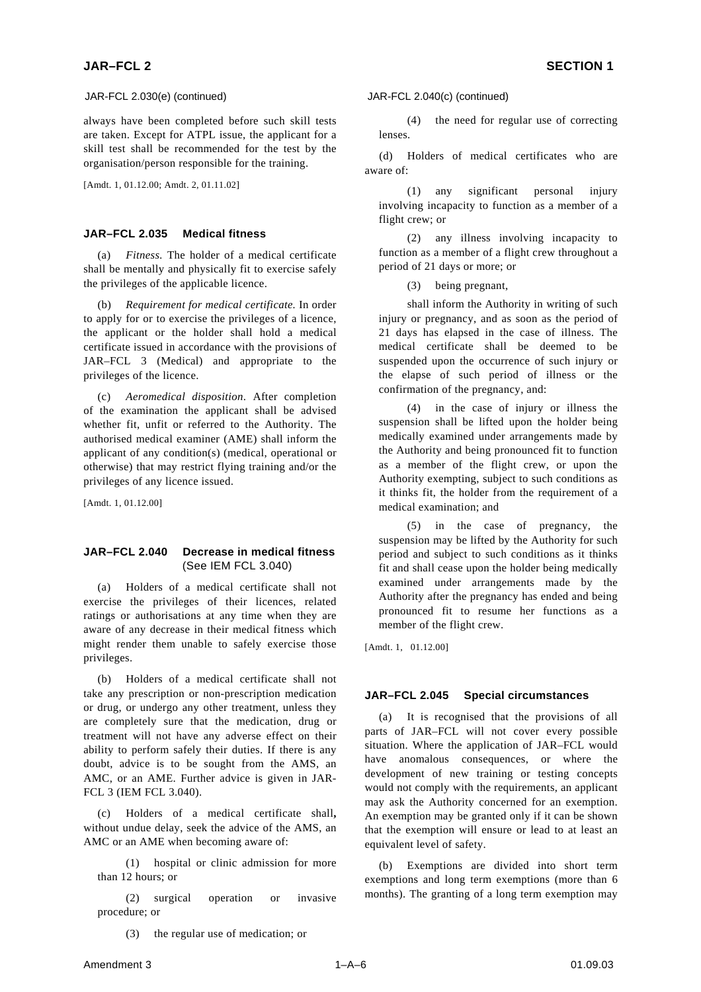### JAR-FCL 2.030(e) (continued) JAR-FCL 2.040(c) (continued)

always have been completed before such skill tests are taken. Except for ATPL issue, the applicant for a skill test shall be recommended for the test by the organisation/person responsible for the training.

[Amdt. 1, 01.12.00; Amdt. 2, 01.11.02]

# **JAR–FCL 2.035 Medical fitness**

(a) *Fitness.* The holder of a medical certificate shall be mentally and physically fit to exercise safely the privileges of the applicable licence.

(b) *Requirement for medical certificate.* In order to apply for or to exercise the privileges of a licence, the applicant or the holder shall hold a medical certificate issued in accordance with the provisions of JAR–FCL 3 (Medical) and appropriate to the privileges of the licence.

(c) *Aeromedical disposition*. After completion of the examination the applicant shall be advised whether fit, unfit or referred to the Authority. The authorised medical examiner (AME) shall inform the applicant of any condition(s) (medical, operational or otherwise) that may restrict flying training and/or the privileges of any licence issued.

[Amdt. 1, 01.12.00]

# **JAR–FCL 2.040 Decrease in medical fitness**  (See IEM FCL 3.040)

(a) Holders of a medical certificate shall not exercise the privileges of their licences, related ratings or authorisations at any time when they are aware of any decrease in their medical fitness which might render them unable to safely exercise those privileges.

(b) Holders of a medical certificate shall not take any prescription or non-prescription medication or drug, or undergo any other treatment, unless they are completely sure that the medication, drug or treatment will not have any adverse effect on their ability to perform safely their duties. If there is any doubt, advice is to be sought from the AMS, an AMC, or an AME. Further advice is given in JAR-FCL 3 (IEM FCL 3.040).

(c) Holders of a medical certificate shall**,** without undue delay, seek the advice of the AMS, an AMC or an AME when becoming aware of:

(1) hospital or clinic admission for more than 12 hours; or

(2) surgical operation or invasive procedure; or

(4) the need for regular use of correcting lenses.

(d) Holders of medical certificates who are aware of:

(1) any significant personal injury involving incapacity to function as a member of a flight crew; or

(2) any illness involving incapacity to function as a member of a flight crew throughout a period of 21 days or more; or

(3) being pregnant,

shall inform the Authority in writing of such injury or pregnancy, and as soon as the period of 21 days has elapsed in the case of illness. The medical certificate shall be deemed to be suspended upon the occurrence of such injury or the elapse of such period of illness or the confirmation of the pregnancy, and:

(4) in the case of injury or illness the suspension shall be lifted upon the holder being medically examined under arrangements made by the Authority and being pronounced fit to function as a member of the flight crew, or upon the Authority exempting, subject to such conditions as it thinks fit, the holder from the requirement of a medical examination; and

in the case of pregnancy, the suspension may be lifted by the Authority for such period and subject to such conditions as it thinks fit and shall cease upon the holder being medically examined under arrangements made by the Authority after the pregnancy has ended and being pronounced fit to resume her functions as a member of the flight crew.

[Amdt. 1, 01.12.00]

# **JAR–FCL 2.045 Special circumstances**

(a) It is recognised that the provisions of all parts of JAR–FCL will not cover every possible situation. Where the application of JAR–FCL would have anomalous consequences, or where the development of new training or testing concepts would not comply with the requirements, an applicant may ask the Authority concerned for an exemption. An exemption may be granted only if it can be shown that the exemption will ensure or lead to at least an equivalent level of safety.

(b) Exemptions are divided into short term exemptions and long term exemptions (more than 6 months). The granting of a long term exemption may

(3) the regular use of medication; or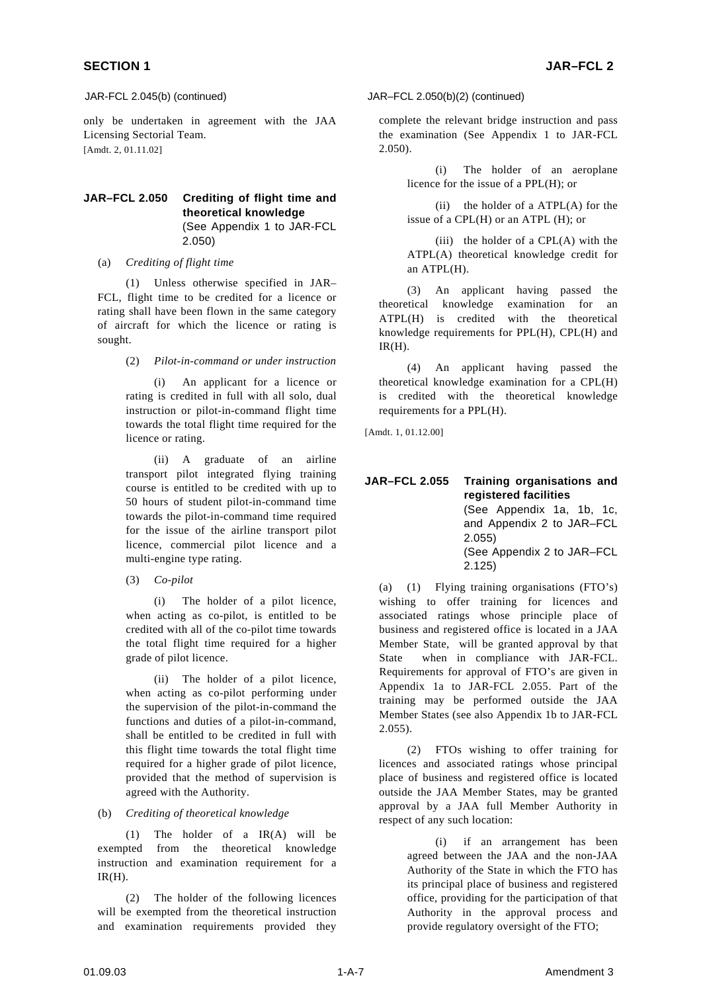only be undertaken in agreement with the JAA Licensing Sectorial Team. [Amdt. 2, 01.11.02]

### **JAR–FCL 2.050 Crediting of flight time and theoretical knowledge**  (See Appendix 1 to JAR-FCL 2.050)

(a) *Crediting of flight time* 

(1) Unless otherwise specified in JAR– FCL, flight time to be credited for a licence or rating shall have been flown in the same category of aircraft for which the licence or rating is sought.

(2) *Pilot-in-command or under instruction* 

(i) An applicant for a licence or rating is credited in full with all solo, dual instruction or pilot-in-command flight time towards the total flight time required for the licence or rating.

(ii) A graduate of an airline transport pilot integrated flying training course is entitled to be credited with up to 50 hours of student pilot-in-command time towards the pilot-in-command time required for the issue of the airline transport pilot licence, commercial pilot licence and a multi-engine type rating.

(3) *Co-pilot*

(i) The holder of a pilot licence, when acting as co-pilot, is entitled to be credited with all of the co-pilot time towards the total flight time required for a higher grade of pilot licence.

(ii) The holder of a pilot licence, when acting as co-pilot performing under the supervision of the pilot-in-command the functions and duties of a pilot-in-command, shall be entitled to be credited in full with this flight time towards the total flight time required for a higher grade of pilot licence, provided that the method of supervision is agreed with the Authority.

(b) *Crediting of theoretical knowledge* 

(1) The holder of a IR(A) will be exempted from the theoretical knowledge instruction and examination requirement for a  $IR(H)$ .

(2) The holder of the following licences will be exempted from the theoretical instruction and examination requirements provided they

#### JAR-FCL 2.045(b) (continued) JAR–FCL 2.050(b)(2) (continued)

complete the relevant bridge instruction and pass the examination (See Appendix 1 to JAR-FCL 2.050).

> (i) The holder of an aeroplane licence for the issue of a PPL(H); or

> (ii) the holder of a  $ATPL(A)$  for the issue of a CPL(H) or an ATPL (H); or

> (iii) the holder of a  $CPL(A)$  with the ATPL(A) theoretical knowledge credit for an ATPL(H).

(3) An applicant having passed the theoretical knowledge examination for an ATPL(H) is credited with the theoretical knowledge requirements for PPL(H), CPL(H) and  $IR(H)$ .

(4) An applicant having passed the theoretical knowledge examination for a CPL(H) is credited with the theoretical knowledge requirements for a PPL(H).

[Amdt. 1, 01.12.00]

# **JAR–FCL 2.055 Training organisations and registered facilities**

(See Appendix 1a, 1b, 1c, and Appendix 2 to JAR–FCL 2.055) (See Appendix 2 to JAR–FCL 2.125)

(a) (1) Flying training organisations (FTO's) wishing to offer training for licences and associated ratings whose principle place of business and registered office is located in a JAA Member State, will be granted approval by that State when in compliance with JAR-FCL. Requirements for approval of FTO's are given in Appendix 1a to JAR-FCL 2.055. Part of the training may be performed outside the JAA Member States (see also Appendix 1b to JAR-FCL 2.055).

(2) FTOs wishing to offer training for licences and associated ratings whose principal place of business and registered office is located outside the JAA Member States, may be granted approval by a JAA full Member Authority in respect of any such location:

> (i) if an arrangement has been agreed between the JAA and the non-JAA Authority of the State in which the FTO has its principal place of business and registered office, providing for the participation of that Authority in the approval process and provide regulatory oversight of the FTO;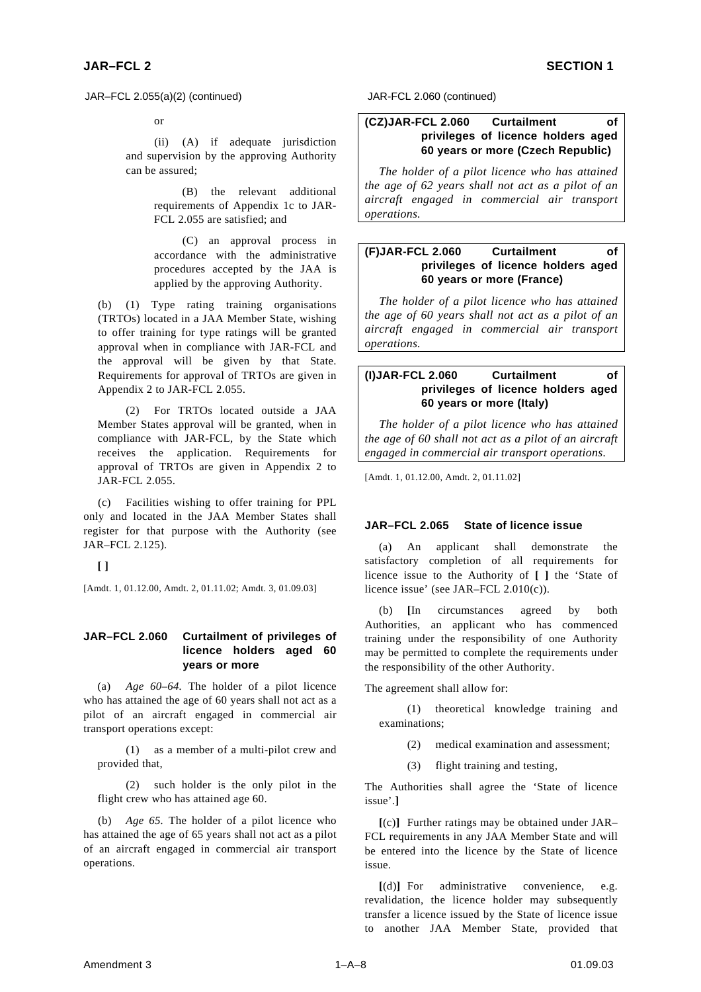JAR–FCL 2.055(a)(2) (continued) JAR-FCL 2.060 (continued)

or

(ii) (A) if adequate jurisdiction and supervision by the approving Authority can be assured;

> (B) the relevant additional requirements of Appendix 1c to JAR-FCL 2.055 are satisfied; and

(C) an approval process in accordance with the administrative procedures accepted by the JAA is applied by the approving Authority.

(b) (1) Type rating training organisations (TRTOs) located in a JAA Member State, wishing to offer training for type ratings will be granted approval when in compliance with JAR-FCL and the approval will be given by that State. Requirements for approval of TRTOs are given in Appendix 2 to JAR-FCL 2.055.

(2) For TRTOs located outside a JAA Member States approval will be granted, when in compliance with JAR-FCL, by the State which receives the application. Requirements for approval of TRTOs are given in Appendix 2 to JAR-FCL 2.055.

(c) Facilities wishing to offer training for PPL only and located in the JAA Member States shall register for that purpose with the Authority (see JAR–FCL 2.125).

**[ ]** 

[Amdt. 1, 01.12.00, Amdt. 2, 01.11.02; Amdt. 3, 01.09.03]

## **JAR–FCL 2.060 Curtailment of privileges of licence holders aged 60 years or more**

(a) *Age 60–64.* The holder of a pilot licence who has attained the age of 60 years shall not act as a pilot of an aircraft engaged in commercial air transport operations except:

(1) as a member of a multi-pilot crew and provided that,

(2) such holder is the only pilot in the flight crew who has attained age 60.

(b) *Age 65.* The holder of a pilot licence who has attained the age of 65 years shall not act as a pilot of an aircraft engaged in commercial air transport operations.

# **(CZ)JAR-FCL 2.060 Curtailment of privileges of licence holders aged 60 years or more (Czech Republic)**

*The holder of a pilot licence who has attained the age of 62 years shall not act as a pilot of an aircraft engaged in commercial air transport operations.*

# **(F)JAR-FCL 2.060 Curtailment of privileges of licence holders aged 60 years or more (France)**

*The holder of a pilot licence who has attained the age of 60 years shall not act as a pilot of an aircraft engaged in commercial air transport operations.*

# **(I)JAR-FCL 2.060 Curtailment of privileges of licence holders aged 60 years or more (Italy)**

*The holder of a pilot licence who has attained the age of 60 shall not act as a pilot of an aircraft engaged in commercial air transport operations.* 

[Amdt. 1, 01.12.00, Amdt. 2, 01.11.02]

### **JAR–FCL 2.065 State of licence issue**

(a) An applicant shall demonstrate the satisfactory completion of all requirements for licence issue to the Authority of **[ ]** the 'State of licence issue' (see JAR–FCL 2.010(c)).

(b) **[**In circumstances agreed by both Authorities, an applicant who has commenced training under the responsibility of one Authority may be permitted to complete the requirements under the responsibility of the other Authority.

The agreement shall allow for:

(1) theoretical knowledge training and examinations;

(2) medical examination and assessment;

(3) flight training and testing,

The Authorities shall agree the 'State of licence issue'.**]**

**[**(c)**]** Further ratings may be obtained under JAR– FCL requirements in any JAA Member State and will be entered into the licence by the State of licence issue.

**[**(d)**]** For administrative convenience, e.g. revalidation, the licence holder may subsequently transfer a licence issued by the State of licence issue to another JAA Member State, provided that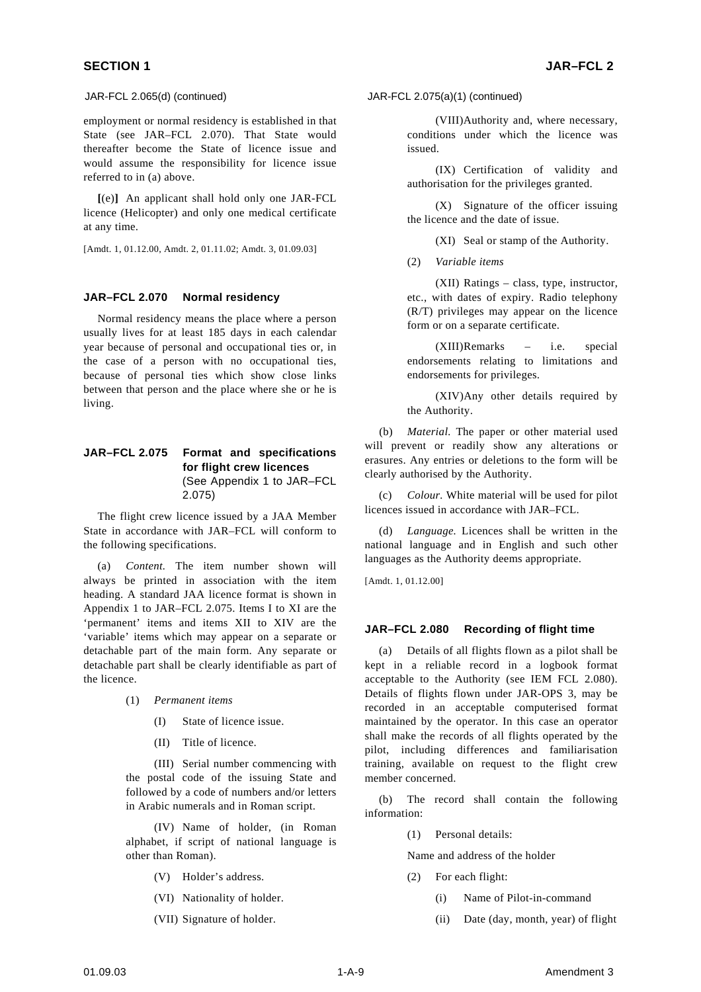employment or normal residency is established in that State (see JAR–FCL 2.070). That State would thereafter become the State of licence issue and would assume the responsibility for licence issue referred to in (a) above.

**[**(e)**]** An applicant shall hold only one JAR-FCL licence (Helicopter) and only one medical certificate at any time.

[Amdt. 1, 01.12.00, Amdt. 2, 01.11.02; Amdt. 3, 01.09.03]

# **JAR–FCL 2.070 Normal residency**

Normal residency means the place where a person usually lives for at least 185 days in each calendar year because of personal and occupational ties or, in the case of a person with no occupational ties, because of personal ties which show close links between that person and the place where she or he is living.

# **JAR–FCL 2.075 Format and specifications for flight crew licences**  (See Appendix 1 to JAR–FCL 2.075)

The flight crew licence issued by a JAA Member State in accordance with JAR–FCL will conform to the following specifications.

(a) *Content.* The item number shown will always be printed in association with the item heading. A standard JAA licence format is shown in Appendix 1 to JAR–FCL 2.075. Items I to XI are the 'permanent' items and items XII to XIV are the 'variable' items which may appear on a separate or detachable part of the main form. Any separate or detachable part shall be clearly identifiable as part of the licence.

- (1) *Permanent items*
	- (I) State of licence issue.
	- (II) Title of licence.

(III) Serial number commencing with the postal code of the issuing State and followed by a code of numbers and/or letters in Arabic numerals and in Roman script.

(IV) Name of holder, (in Roman alphabet, if script of national language is other than Roman).

- (V) Holder's address.
- (VI) Nationality of holder.
- (VII) Signature of holder.

JAR-FCL 2.065(d) (continued) JAR-FCL 2.075(a)(1) (continued)

(VIII)Authority and, where necessary, conditions under which the licence was issued.

(IX) Certification of validity and authorisation for the privileges granted.

(X) Signature of the officer issuing the licence and the date of issue.

(XI) Seal or stamp of the Authority.

(2) *Variable items* 

(XII) Ratings – class, type, instructor, etc., with dates of expiry. Radio telephony (R/T) privileges may appear on the licence form or on a separate certificate.

(XIII) Remarks – i.e. special endorsements relating to limitations and endorsements for privileges.

(XIV)Any other details required by the Authority.

(b) *Material.* The paper or other material used will prevent or readily show any alterations or erasures. Any entries or deletions to the form will be clearly authorised by the Authority.

(c) *Colour.* White material will be used for pilot licences issued in accordance with JAR–FCL.

(d) *Language.* Licences shall be written in the national language and in English and such other languages as the Authority deems appropriate.

[Amdt. 1, 01.12.00]

### **JAR–FCL 2.080 Recording of flight time**

(a) Details of all flights flown as a pilot shall be kept in a reliable record in a logbook format acceptable to the Authority (see IEM FCL 2.080). Details of flights flown under JAR-OPS 3, may be recorded in an acceptable computerised format maintained by the operator. In this case an operator shall make the records of all flights operated by the pilot, including differences and familiarisation training, available on request to the flight crew member concerned.

(b) The record shall contain the following information:

(1) Personal details:

Name and address of the holder

- (2) For each flight:
	- (i) Name of Pilot-in-command
	- (ii) Date (day, month, year) of flight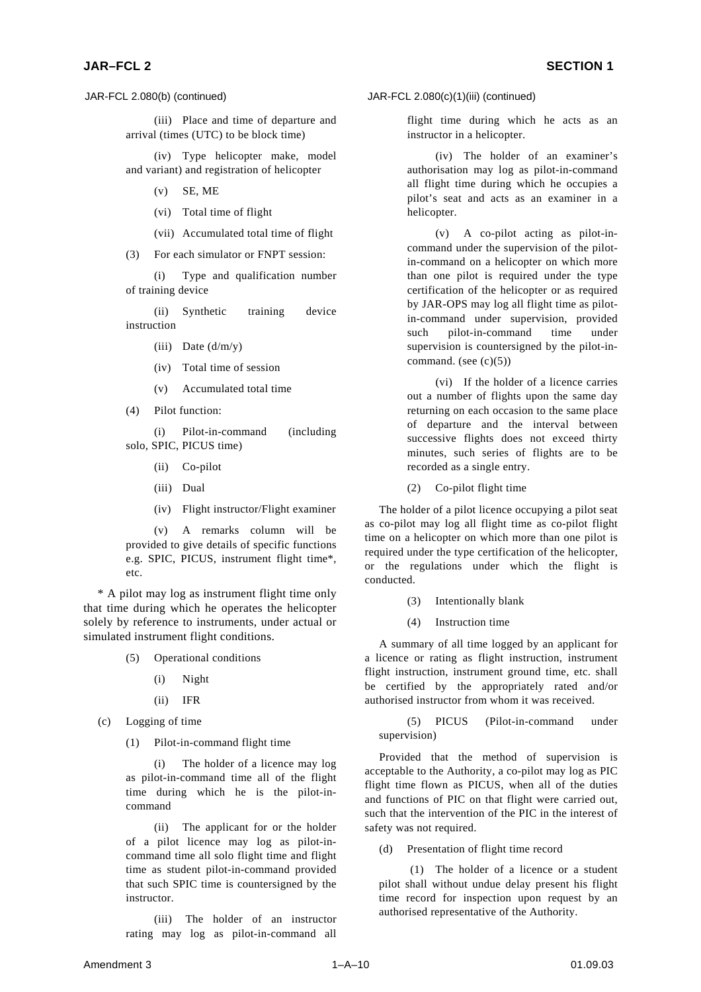(iii) Place and time of departure and arrival (times (UTC) to be block time)

(iv) Type helicopter make, model and variant) and registration of helicopter

 $(v)$  SE, ME

(vi) Total time of flight

(vii) Accumulated total time of flight

(3) For each simulator or FNPT session:

(i) Type and qualification number of training device

(ii) Synthetic training device instruction

(iii) Date  $(d/m/y)$ 

- (iv) Total time of session
- (v) Accumulated total time
- (4) Pilot function:

(i) Pilot-in-command (including solo, SPIC, PICUS time)

- (ii) Co-pilot
- (iii) Dual
- (iv) Flight instructor/Flight examiner

(v) A remarks column will be provided to give details of specific functions e.g. SPIC, PICUS, instrument flight time\*, etc.

\* A pilot may log as instrument flight time only that time during which he operates the helicopter solely by reference to instruments, under actual or simulated instrument flight conditions.

- (5) Operational conditions
	- (i) Night
	- (ii) IFR
- (c) Logging of time
	- (1) Pilot-in-command flight time

The holder of a licence may log as pilot-in-command time all of the flight time during which he is the pilot-incommand

(ii) The applicant for or the holder of a pilot licence may log as pilot-incommand time all solo flight time and flight time as student pilot-in-command provided that such SPIC time is countersigned by the instructor.

(iii) The holder of an instructor rating may log as pilot-in-command all

JAR-FCL 2.080(b) (continued) 2.080(c)(1) JAR-FCL 2.080(c)(1) (iii) (continued)

flight time during which he acts as an instructor in a helicopter.

(iv) The holder of an examiner's authorisation may log as pilot-in-command all flight time during which he occupies a pilot's seat and acts as an examiner in a helicopter.

(v) A co-pilot acting as pilot-incommand under the supervision of the pilotin-command on a helicopter on which more than one pilot is required under the type certification of the helicopter or as required by JAR-OPS may log all flight time as pilotin-command under supervision, provided such pilot-in-command time under supervision is countersigned by the pilot-incommand. (see  $(c)(5)$ )

(vi) If the holder of a licence carries out a number of flights upon the same day returning on each occasion to the same place of departure and the interval between successive flights does not exceed thirty minutes, such series of flights are to be recorded as a single entry.

(2) Co-pilot flight time

The holder of a pilot licence occupying a pilot seat as co-pilot may log all flight time as co-pilot flight time on a helicopter on which more than one pilot is required under the type certification of the helicopter, or the regulations under which the flight is conducted.

(3) Intentionally blank

(4) Instruction time

A summary of all time logged by an applicant for a licence or rating as flight instruction, instrument flight instruction, instrument ground time, etc. shall be certified by the appropriately rated and/or authorised instructor from whom it was received.

(5) PICUS (Pilot-in-command under supervision)

Provided that the method of supervision is acceptable to the Authority, a co-pilot may log as PIC flight time flown as PICUS, when all of the duties and functions of PIC on that flight were carried out, such that the intervention of the PIC in the interest of safety was not required.

(d) Presentation of flight time record

 (1) The holder of a licence or a student pilot shall without undue delay present his flight time record for inspection upon request by an authorised representative of the Authority.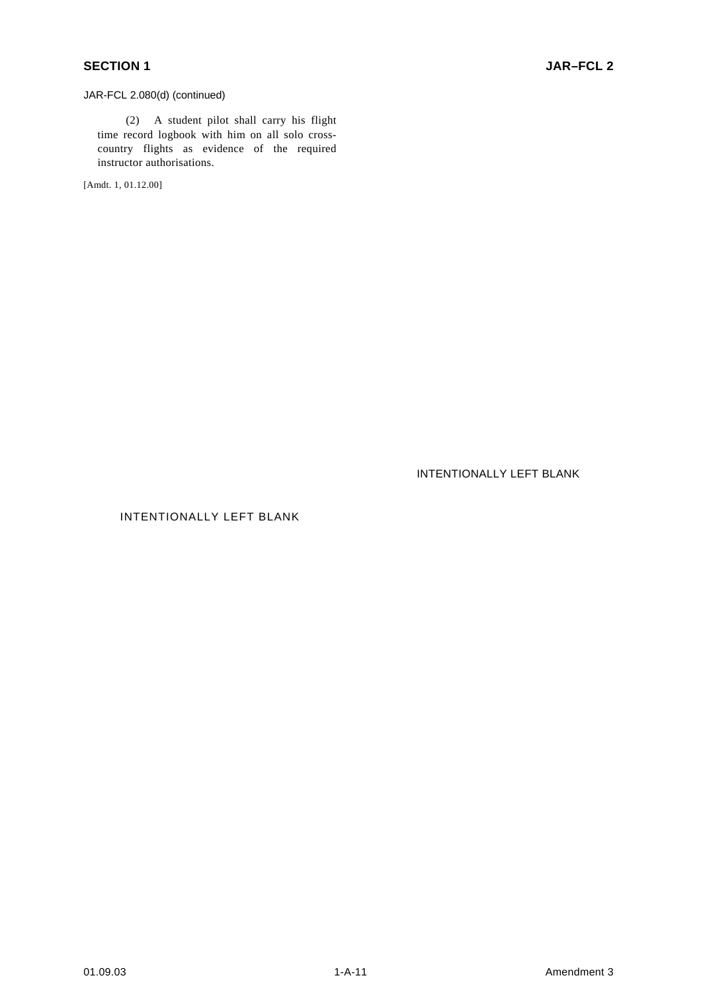# JAR-FCL 2.080(d) (continued)

(2) A student pilot shall carry his flight time record logbook with him on all solo crosscountry flights as evidence of the required instructor authorisations.

[Amdt. 1, 01.12.00]

INTENTIONALLY LEFT BLANK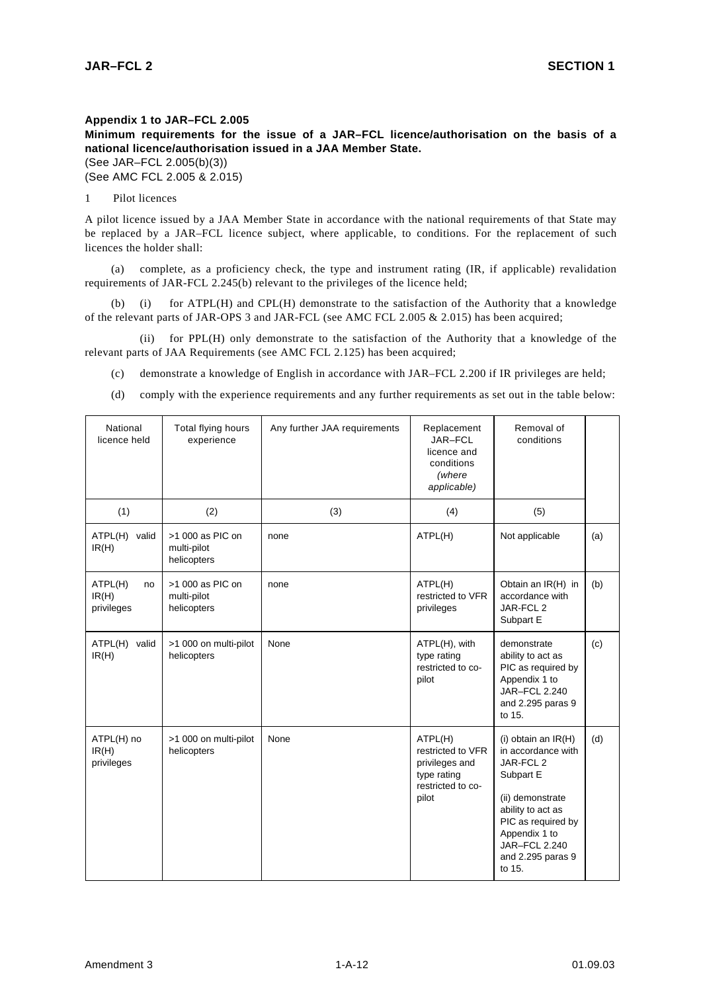## **Appendix 1 to JAR–FCL 2.005 Minimum requirements for the issue of a JAR–FCL licence/authorisation on the basis of a national licence/authorisation issued in a JAA Member State.**  (See JAR–FCL 2.005(b)(3)) (See AMC FCL 2.005 & 2.015)

#### 1 Pilot licences

A pilot licence issued by a JAA Member State in accordance with the national requirements of that State may be replaced by a JAR–FCL licence subject, where applicable, to conditions. For the replacement of such licences the holder shall:

(a) complete, as a proficiency check, the type and instrument rating (IR, if applicable) revalidation requirements of JAR-FCL 2.245(b) relevant to the privileges of the licence held;

(b) (i) for ATPL(H) and CPL(H) demonstrate to the satisfaction of the Authority that a knowledge of the relevant parts of JAR-OPS 3 and JAR-FCL (see AMC FCL 2.005 & 2.015) has been acquired;

 (ii) for PPL(H) only demonstrate to the satisfaction of the Authority that a knowledge of the relevant parts of JAA Requirements (see AMC FCL 2.125) has been acquired;

- (c) demonstrate a knowledge of English in accordance with JAR–FCL 2.200 if IR privileges are held;
- (d) comply with the experience requirements and any further requirements as set out in the table below:

| National<br>licence held             | Total flying hours<br>experience               | Any further JAA requirements | Replacement<br>JAR-FCL<br>licence and<br>conditions<br>(where<br>applicable)                | Removal of<br>conditions                                                                                                                                                                              |     |
|--------------------------------------|------------------------------------------------|------------------------------|---------------------------------------------------------------------------------------------|-------------------------------------------------------------------------------------------------------------------------------------------------------------------------------------------------------|-----|
| (1)                                  | (2)                                            | (3)                          | (4)                                                                                         | (5)                                                                                                                                                                                                   |     |
| ATPL(H) valid<br>IR(H)               | >1 000 as PIC on<br>multi-pilot<br>helicopters | none                         | ATPL(H)                                                                                     | Not applicable                                                                                                                                                                                        | (a) |
| ATPL(H)<br>no<br>IR(H)<br>privileges | >1 000 as PIC on<br>multi-pilot<br>helicopters | none                         | ATPL(H)<br>restricted to VFR<br>privileges                                                  | Obtain an IR(H) in<br>accordance with<br>JAR-FCL 2<br>Subpart E                                                                                                                                       | (b) |
| ATPL(H) valid<br>IR(H)               | >1 000 on multi-pilot<br>helicopters           | None                         | ATPL(H), with<br>type rating<br>restricted to co-<br>pilot                                  | demonstrate<br>ability to act as<br>PIC as required by<br>Appendix 1 to<br>JAR-FCL 2.240<br>and 2.295 paras 9<br>to 15.                                                                               | (c) |
| ATPL(H) no<br>IR(H)<br>privileges    | >1 000 on multi-pilot<br>helicopters           | None                         | ATPL(H)<br>restricted to VFR<br>privileges and<br>type rating<br>restricted to co-<br>pilot | (i) obtain an $IR(H)$<br>in accordance with<br>JAR-FCL 2<br>Subpart E<br>(ii) demonstrate<br>ability to act as<br>PIC as required by<br>Appendix 1 to<br>JAR-FCL 2.240<br>and 2.295 paras 9<br>to 15. | (d) |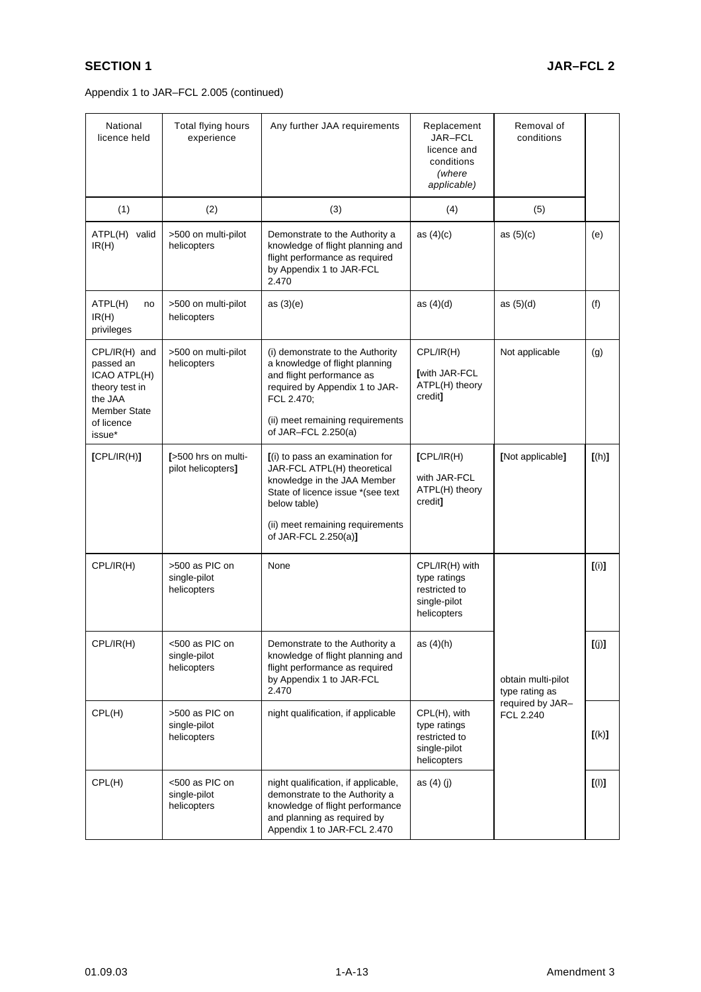# Appendix 1 to JAR–FCL 2.005 (continued)

| National<br>licence held                                                                                               | Total flying hours<br>experience              | Any further JAA requirements                                                                                                                                                                                   | Replacement<br>JAR-FCL<br>licence and<br>conditions<br>(where<br>applicable)   | Removal of<br>conditions             |       |
|------------------------------------------------------------------------------------------------------------------------|-----------------------------------------------|----------------------------------------------------------------------------------------------------------------------------------------------------------------------------------------------------------------|--------------------------------------------------------------------------------|--------------------------------------|-------|
| (1)                                                                                                                    | (2)                                           | (3)                                                                                                                                                                                                            | (4)                                                                            | (5)                                  |       |
| ATPL(H) valid<br>IR(H)                                                                                                 | >500 on multi-pilot<br>helicopters            | Demonstrate to the Authority a<br>knowledge of flight planning and<br>flight performance as required<br>by Appendix 1 to JAR-FCL<br>2.470                                                                      | as $(4)(c)$                                                                    | as $(5)(c)$                          | (e)   |
| ATPL(H)<br>no<br>IR(H)<br>privileges                                                                                   | >500 on multi-pilot<br>helicopters            | as $(3)(e)$                                                                                                                                                                                                    | as $(4)(d)$                                                                    | as $(5)(d)$                          | (f)   |
| CPL/IR(H) and<br>passed an<br>ICAO ATPL(H)<br>theory test in<br>the JAA<br><b>Member State</b><br>of licence<br>issue* | >500 on multi-pilot<br>helicopters            | (i) demonstrate to the Authority<br>a knowledge of flight planning<br>and flight performance as<br>required by Appendix 1 to JAR-<br>FCL 2.470;<br>(ii) meet remaining requirements<br>of JAR-FCL 2.250(a)     | CPL/IR(H)<br>[with JAR-FCL<br>ATPL(H) theory<br>credit]                        | Not applicable                       | (g)   |
| [CPL/IR(H)]                                                                                                            | [>500 hrs on multi-<br>pilot helicopters]     | [(i) to pass an examination for<br>JAR-FCL ATPL(H) theoretical<br>knowledge in the JAA Member<br>State of licence issue *(see text<br>below table)<br>(ii) meet remaining requirements<br>of JAR-FCL 2.250(a)] | ICPL/IR(H)<br>with JAR-FCL<br>ATPL(H) theory<br>credit]                        | [Not applicable]                     | [(h)] |
| CPL/IR(H)                                                                                                              | >500 as PIC on<br>single-pilot<br>helicopters | None                                                                                                                                                                                                           | CPL/IR(H) with<br>type ratings<br>restricted to<br>single-pilot<br>helicopters |                                      | [(i)] |
| CPL/IR(H)                                                                                                              | <500 as PIC on<br>single-pilot<br>helicopters | Demonstrate to the Authority a<br>knowledge of flight planning and<br>flight performance as required<br>by Appendix 1 to JAR-FCL<br>2.470                                                                      | as (4)(h)                                                                      | obtain multi-pilot<br>type rating as | I(j)  |
| CPL(H)                                                                                                                 | >500 as PIC on<br>single-pilot<br>helicopters | night qualification, if applicable                                                                                                                                                                             | CPL(H), with<br>type ratings<br>restricted to<br>single-pilot<br>helicopters   | required by JAR-<br>FCL 2.240        | [(k)] |
| CPL(H)                                                                                                                 | <500 as PIC on<br>single-pilot<br>helicopters | night qualification, if applicable,<br>demonstrate to the Authority a<br>knowledge of flight performance<br>and planning as required by<br>Appendix 1 to JAR-FCL 2.470                                         | as $(4)$ (j)                                                                   |                                      | [(1)] |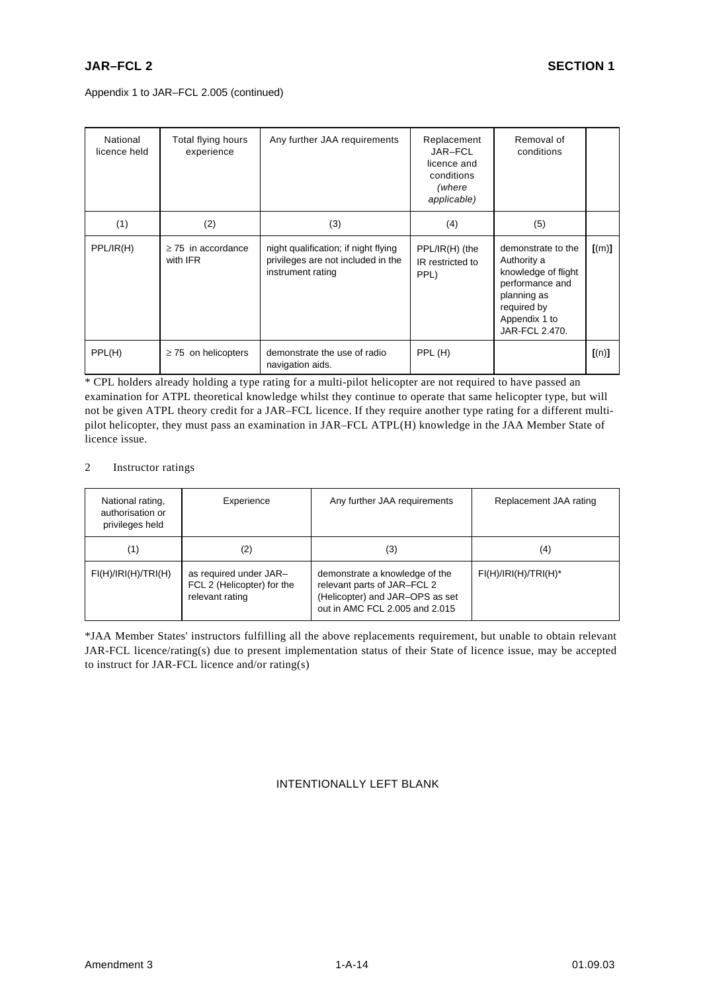# Appendix 1 to JAR–FCL 2.005 (continued)

| National<br>licence held | Total flying hours<br>experience    | Any further JAA requirements                                                                    | Replacement<br>JAR-FCL<br>licence and<br>conditions<br>(where<br>applicable) | Removal of<br>conditions                                                                                                                     |       |
|--------------------------|-------------------------------------|-------------------------------------------------------------------------------------------------|------------------------------------------------------------------------------|----------------------------------------------------------------------------------------------------------------------------------------------|-------|
| (1)                      | (2)                                 | (3)                                                                                             | (4)                                                                          | (5)                                                                                                                                          |       |
| PPL/IR(H)                | $\geq$ 75 in accordance<br>with IFR | night qualification; if night flying<br>privileges are not included in the<br>instrument rating | PPL/IR(H) (the<br>IR restricted to<br>PPL)                                   | demonstrate to the<br>Authority a<br>knowledge of flight<br>performance and<br>planning as<br>required by<br>Appendix 1 to<br>JAR-FCL 2.470. | [(m)] |
| PPL(H)                   | $\geq$ 75 on helicopters            | demonstrate the use of radio<br>navigation aids.                                                | PPL (H)                                                                      |                                                                                                                                              | [(n)] |

\* CPL holders already holding a type rating for a multi-pilot helicopter are not required to have passed an examination for ATPL theoretical knowledge whilst they continue to operate that same helicopter type, but will not be given ATPL theory credit for a JAR–FCL licence. If they require another type rating for a different multipilot helicopter, they must pass an examination in JAR–FCL ATPL(H) knowledge in the JAA Member State of licence issue.

#### 2 Instructor ratings

| National rating,<br>authorisation or<br>privileges held | Experience                                                              | Any further JAA requirements                                                                                                       | Replacement JAA rating  |
|---------------------------------------------------------|-------------------------------------------------------------------------|------------------------------------------------------------------------------------------------------------------------------------|-------------------------|
| (1)                                                     | (2)                                                                     | (3)                                                                                                                                | (4)                     |
| FI(H)/IRI(H)/TRI(H)                                     | as required under JAR-<br>FCL 2 (Helicopter) for the<br>relevant rating | demonstrate a knowledge of the<br>relevant parts of JAR-FCL 2<br>(Helicopter) and JAR-OPS as set<br>out in AMC FCL 2,005 and 2,015 | $FI(H)/IRI(H)/TRI(H)^*$ |

\*JAA Member States' instructors fulfilling all the above replacements requirement, but unable to obtain relevant JAR-FCL licence/rating(s) due to present implementation status of their State of licence issue, may be accepted to instruct for JAR-FCL licence and/or rating(s)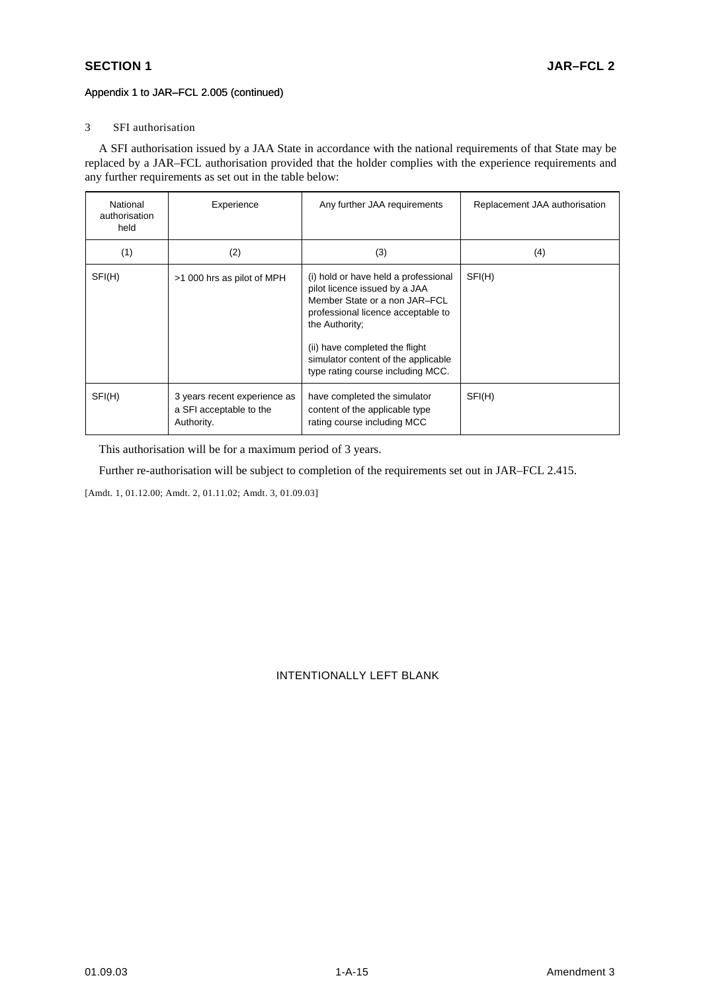# Appendix 1 to JAR–FCL 2.005 (continued)

### 3 SFI authorisation

A SFI authorisation issued by a JAA State in accordance with the national requirements of that State may be replaced by a JAR–FCL authorisation provided that the holder complies with the experience requirements and any further requirements as set out in the table below:

| National<br>authorisation<br>held | Experience                                                            | Any further JAA requirements                                                                                                                                                                                                                                                 | Replacement JAA authorisation |
|-----------------------------------|-----------------------------------------------------------------------|------------------------------------------------------------------------------------------------------------------------------------------------------------------------------------------------------------------------------------------------------------------------------|-------------------------------|
| (1)                               | (2)                                                                   | (3)                                                                                                                                                                                                                                                                          | (4)                           |
| SFI(H)                            | >1 000 hrs as pilot of MPH                                            | (i) hold or have held a professional<br>pilot licence issued by a JAA<br>Member State or a non JAR-FCL<br>professional licence acceptable to<br>the Authority;<br>(ii) have completed the flight<br>simulator content of the applicable<br>type rating course including MCC. | SFI(H)                        |
| SFI(H)                            | 3 years recent experience as<br>a SFI acceptable to the<br>Authority. | have completed the simulator<br>content of the applicable type<br>rating course including MCC                                                                                                                                                                                | SFI(H)                        |

This authorisation will be for a maximum period of 3 years.

Further re-authorisation will be subject to completion of the requirements set out in JAR–FCL 2.415.

[Amdt. 1, 01.12.00; Amdt. 2, 01.11.02; Amdt. 3, 01.09.03]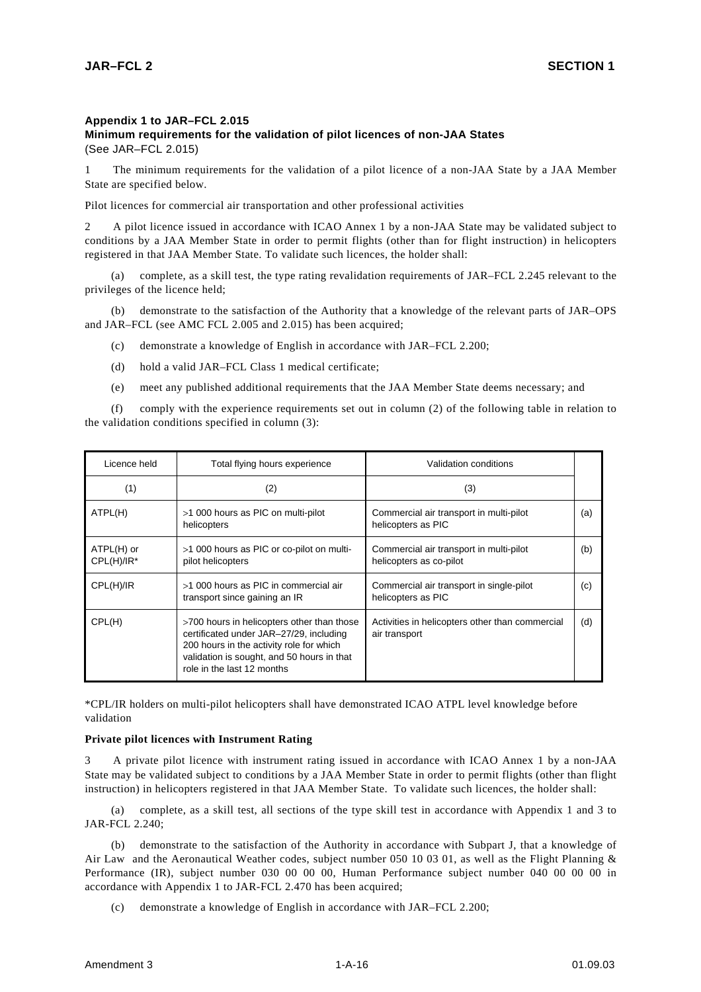## **Appendix 1 to JAR–FCL 2.015 Minimum requirements for the validation of pilot licences of non-JAA States**  (See JAR–FCL 2.015)

1 The minimum requirements for the validation of a pilot licence of a non-JAA State by a JAA Member State are specified below.

Pilot licences for commercial air transportation and other professional activities

2 A pilot licence issued in accordance with ICAO Annex 1 by a non-JAA State may be validated subject to conditions by a JAA Member State in order to permit flights (other than for flight instruction) in helicopters registered in that JAA Member State. To validate such licences, the holder shall:

complete, as a skill test, the type rating revalidation requirements of JAR–FCL 2.245 relevant to the privileges of the licence held;

(b) demonstrate to the satisfaction of the Authority that a knowledge of the relevant parts of JAR–OPS and JAR–FCL (see AMC FCL 2.005 and 2.015) has been acquired;

- (c) demonstrate a knowledge of English in accordance with JAR–FCL 2.200;
- (d) hold a valid JAR–FCL Class 1 medical certificate;
- (e) meet any published additional requirements that the JAA Member State deems necessary; and

(f) comply with the experience requirements set out in column (2) of the following table in relation to the validation conditions specified in column (3):

| Licence held                | Total flying hours experience                                                                                                                                                                                 | Validation conditions                                              |     |
|-----------------------------|---------------------------------------------------------------------------------------------------------------------------------------------------------------------------------------------------------------|--------------------------------------------------------------------|-----|
| (1)                         | (2)                                                                                                                                                                                                           | (3)                                                                |     |
| ATPL(H)                     | >1 000 hours as PIC on multi-pilot<br>helicopters                                                                                                                                                             | Commercial air transport in multi-pilot<br>helicopters as PIC      | (a) |
| ATPL(H) or<br>$CPL(H)/IR^*$ | >1 000 hours as PIC or co-pilot on multi-<br>pilot helicopters                                                                                                                                                | Commercial air transport in multi-pilot<br>helicopters as co-pilot | (b) |
| CPL(H)/IR                   | >1,000 hours as PIC in commercial air<br>transport since gaining an IR                                                                                                                                        | Commercial air transport in single-pilot<br>helicopters as PIC     | (c) |
| CPL(H)                      | >700 hours in helicopters other than those<br>certificated under JAR-27/29, including<br>200 hours in the activity role for which<br>validation is sought, and 50 hours in that<br>role in the last 12 months | Activities in helicopters other than commercial<br>air transport   | (d) |

\*CPL/IR holders on multi-pilot helicopters shall have demonstrated ICAO ATPL level knowledge before validation

### **Private pilot licences with Instrument Rating**

3 A private pilot licence with instrument rating issued in accordance with ICAO Annex 1 by a non-JAA State may be validated subject to conditions by a JAA Member State in order to permit flights (other than flight instruction) in helicopters registered in that JAA Member State. To validate such licences, the holder shall:

(a) complete, as a skill test, all sections of the type skill test in accordance with Appendix 1 and 3 to JAR-FCL 2.240;

(b) demonstrate to the satisfaction of the Authority in accordance with Subpart J, that a knowledge of Air Law and the Aeronautical Weather codes, subject number 050 10 03 01, as well as the Flight Planning  $\&$ Performance (IR), subject number 030 00 00 00, Human Performance subject number 040 00 00 00 in accordance with Appendix 1 to JAR-FCL 2.470 has been acquired;

(c) demonstrate a knowledge of English in accordance with JAR–FCL 2.200;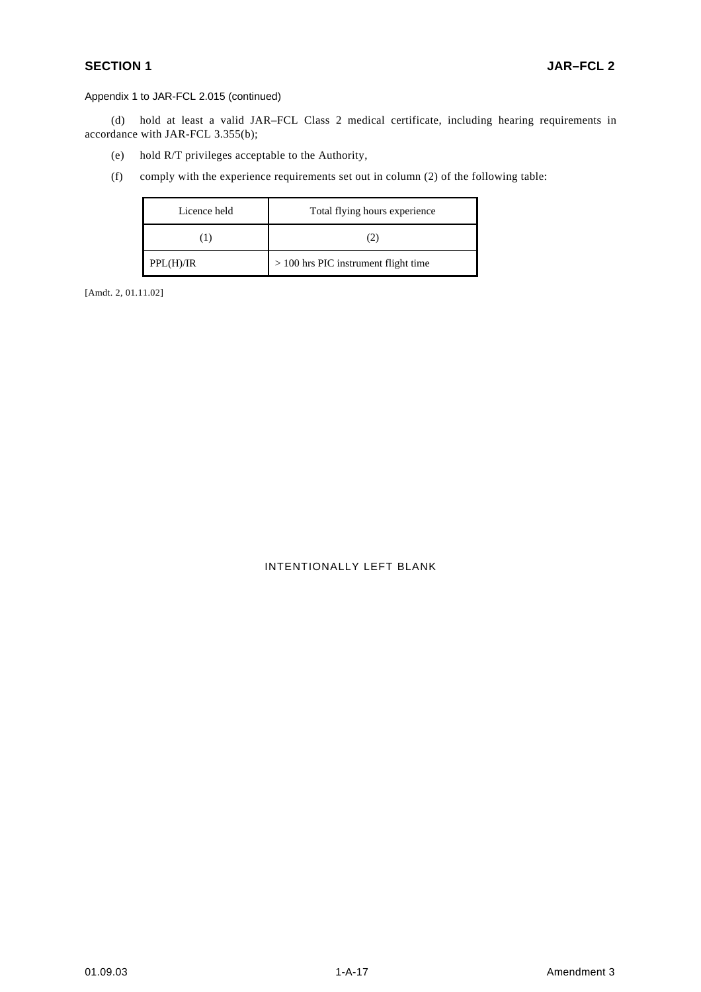# Appendix 1 to JAR-FCL 2.015 (continued)

(d) hold at least a valid JAR–FCL Class 2 medical certificate, including hearing requirements in accordance with JAR-FCL 3.355(b);

- (e) hold R/T privileges acceptable to the Authority,
- (f) comply with the experience requirements set out in column (2) of the following table:

| Licence held | Total flying hours experience          |
|--------------|----------------------------------------|
|              |                                        |
| PPL(H)/IR    | $> 100$ hrs PIC instrument flight time |

[Amdt. 2, 01.11.02]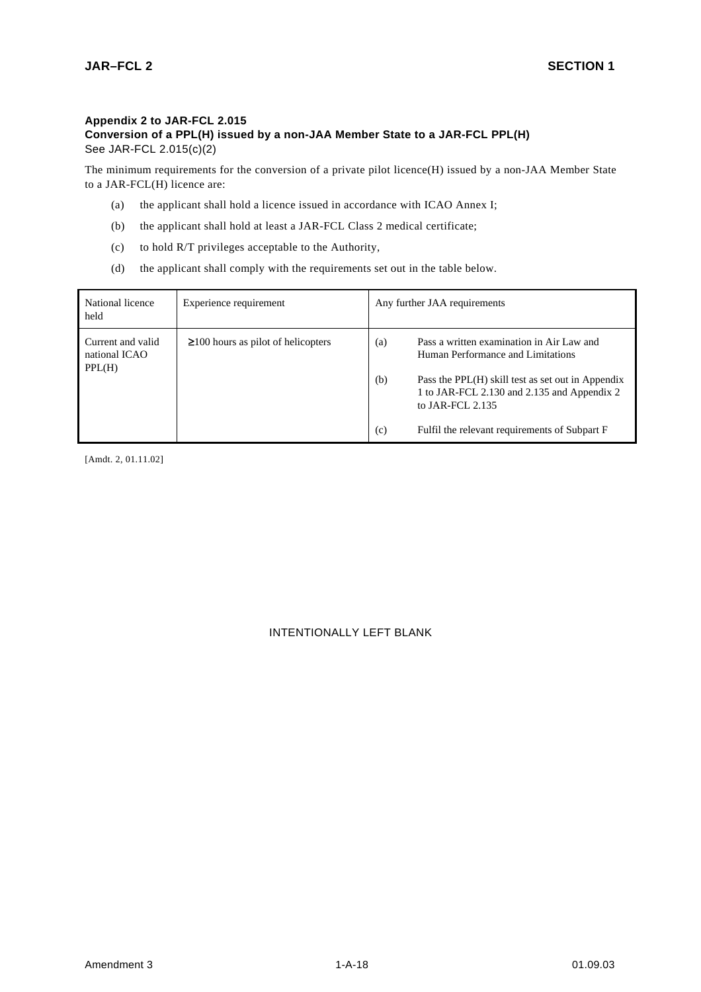# **Appendix 2 to JAR-FCL 2.015 Conversion of a PPL(H) issued by a non-JAA Member State to a JAR-FCL PPL(H)**  See JAR-FCL 2.015(c)(2)

The minimum requirements for the conversion of a private pilot licence(H) issued by a non-JAA Member State to a JAR-FCL(H) licence are:

- (a) the applicant shall hold a licence issued in accordance with ICAO Annex I;
- (b) the applicant shall hold at least a JAR-FCL Class 2 medical certificate;
- (c) to hold R/T privileges acceptable to the Authority,
- (d) the applicant shall comply with the requirements set out in the table below.

| National licence<br>held                     | Experience requirement                   | Any further JAA requirements                                                                                                                                                                                                                                                 |
|----------------------------------------------|------------------------------------------|------------------------------------------------------------------------------------------------------------------------------------------------------------------------------------------------------------------------------------------------------------------------------|
| Current and valid<br>national ICAO<br>PPL(H) | $\geq$ 100 hours as pilot of helicopters | Pass a written examination in Air Law and<br>(a)<br>Human Performance and Limitations<br>(b)<br>Pass the PPL(H) skill test as set out in Appendix<br>1 to JAR-FCL 2.130 and 2.135 and Appendix 2<br>to JAR-FCL 2.135<br>Fulfil the relevant requirements of Subpart F<br>(c) |

[Amdt. 2, 01.11.02]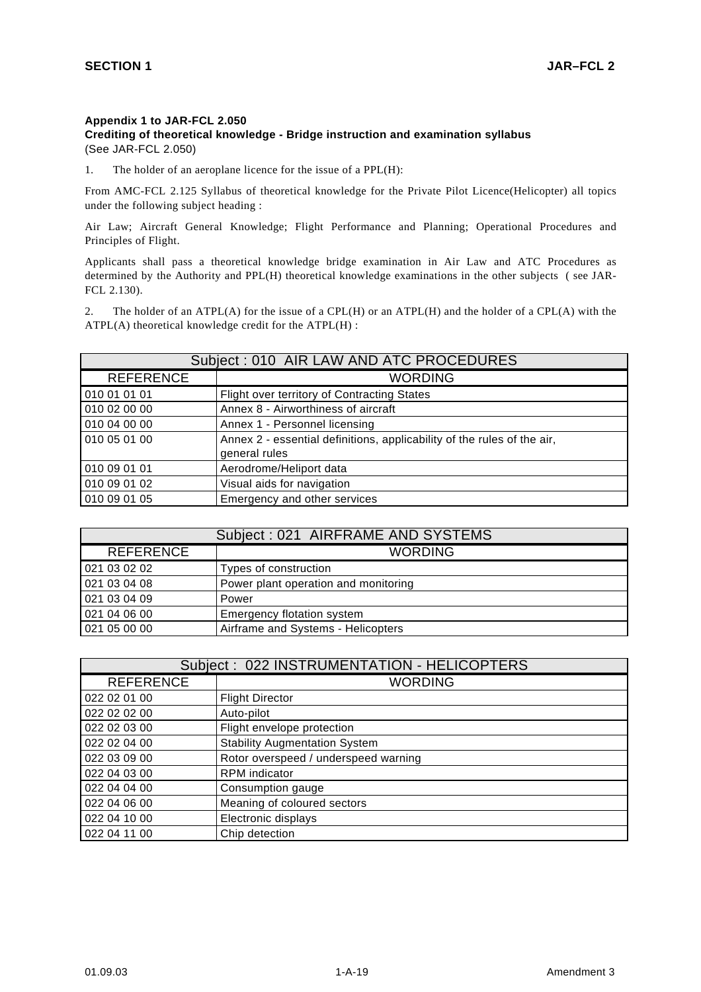# **Appendix 1 to JAR-FCL 2.050**

## **Crediting of theoretical knowledge - Bridge instruction and examination syllabus**  (See JAR-FCL 2.050)

1. The holder of an aeroplane licence for the issue of a PPL(H):

From AMC-FCL 2.125 Syllabus of theoretical knowledge for the Private Pilot Licence(Helicopter) all topics under the following subject heading :

Air Law; Aircraft General Knowledge; Flight Performance and Planning; Operational Procedures and Principles of Flight.

Applicants shall pass a theoretical knowledge bridge examination in Air Law and ATC Procedures as determined by the Authority and PPL(H) theoretical knowledge examinations in the other subjects ( see JAR-FCL 2.130).

2. The holder of an ATPL(A) for the issue of a CPL(H) or an ATPL(H) and the holder of a CPL(A) with the ATPL(A) theoretical knowledge credit for the ATPL(H) :

# Subject : 010 AIR LAW AND ATC PROCEDURES

| <b>REFERENCE</b> | <b>WORDING</b>                                                          |
|------------------|-------------------------------------------------------------------------|
| 010 01 01 01     | Flight over territory of Contracting States                             |
| 010 02 00 00     | Annex 8 - Airworthiness of aircraft                                     |
| 010 04 00 00     | Annex 1 - Personnel licensing                                           |
| 010 05 01 00     | Annex 2 - essential definitions, applicability of the rules of the air, |
|                  | general rules                                                           |
| l 010 09 01 01   | Aerodrome/Heliport data                                                 |
| 010 09 01 02     | Visual aids for navigation                                              |
| 010 09 01 05     | Emergency and other services                                            |

|                  | Subject: 021 AIRFRAME AND SYSTEMS    |
|------------------|--------------------------------------|
| <b>REFERENCE</b> | <b>WORDING</b>                       |
| 021 03 02 02     | Types of construction                |
| 021 03 04 08     | Power plant operation and monitoring |
| 021 03 04 09     | Power                                |
| 021 04 06 00     | Emergency flotation system           |
| 021 05 00 00     | Airframe and Systems - Helicopters   |

| Subject: 022 INSTRUMENTATION - HELICOPTERS |                                      |  |
|--------------------------------------------|--------------------------------------|--|
| <b>REFERENCE</b>                           | <b>WORDING</b>                       |  |
| 022 02 01 00                               | <b>Flight Director</b>               |  |
| 022 02 02 00                               | Auto-pilot                           |  |
| 022 02 03 00                               | Flight envelope protection           |  |
| 022 02 04 00                               | <b>Stability Augmentation System</b> |  |
| 022 03 09 00                               | Rotor overspeed / underspeed warning |  |
| 022 04 03 00                               | <b>RPM</b> indicator                 |  |
| 022 04 04 00                               | Consumption gauge                    |  |
| 022 04 06 00                               | Meaning of coloured sectors          |  |
| 022 04 10 00                               | Electronic displays                  |  |
| 022 04 11 00                               | Chip detection                       |  |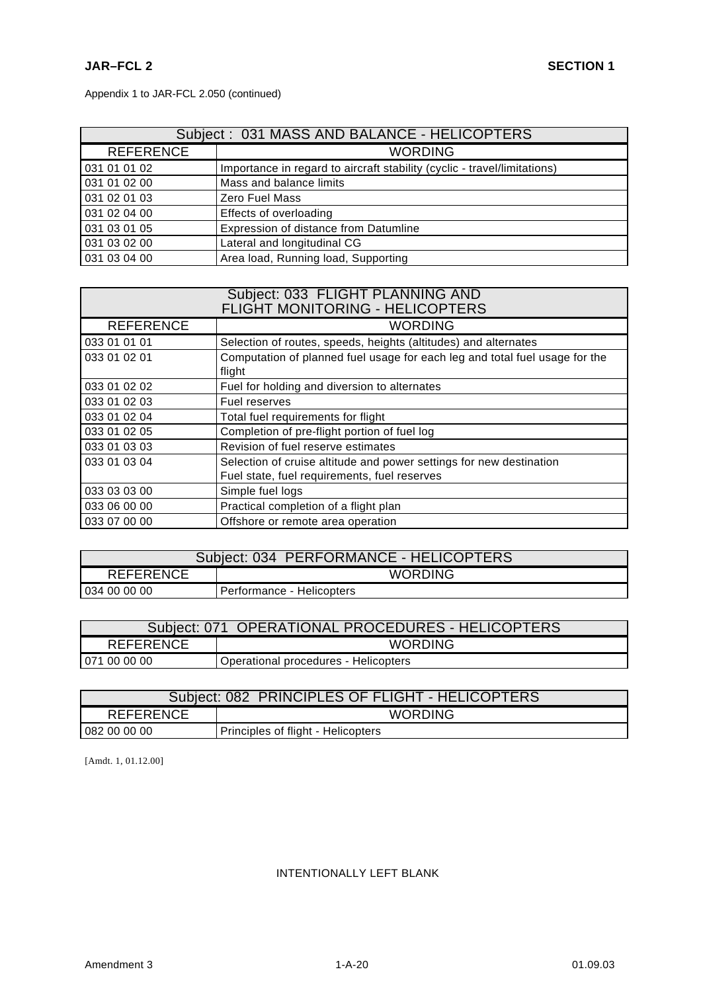# **JAR–FCL 2** SECTION 1

Appendix 1 to JAR-FCL 2.050 (continued)

| Subject: 031 MASS AND BALANCE - HELICOPTERS |                                                                          |  |  |
|---------------------------------------------|--------------------------------------------------------------------------|--|--|
| <b>REFERENCE</b>                            | <b>WORDING</b>                                                           |  |  |
| 031 01 01 02                                | Importance in regard to aircraft stability (cyclic - travel/limitations) |  |  |
| 031 01 02 00                                | Mass and balance limits                                                  |  |  |
| 031 02 01 03                                | Zero Fuel Mass                                                           |  |  |
| 031 02 04 00                                | Effects of overloading                                                   |  |  |
| 031 03 01 05                                | Expression of distance from Datumline                                    |  |  |
| 031 03 02 00                                | Lateral and longitudinal CG                                              |  |  |
| 031 03 04 00                                | Area load, Running load, Supporting                                      |  |  |

| Subject: 033 FLIGHT PLANNING AND<br>FLIGHT MONITORING - HELICOPTERS |                                                                             |  |  |
|---------------------------------------------------------------------|-----------------------------------------------------------------------------|--|--|
| <b>REFERENCE</b>                                                    | <b>WORDING</b>                                                              |  |  |
| 033 01 01 01                                                        | Selection of routes, speeds, heights (altitudes) and alternates             |  |  |
| 033 01 02 01                                                        | Computation of planned fuel usage for each leg and total fuel usage for the |  |  |
|                                                                     | flight                                                                      |  |  |
| 033 01 02 02                                                        | Fuel for holding and diversion to alternates                                |  |  |
| 033 01 02 03                                                        | Fuel reserves                                                               |  |  |
| 033 01 02 04                                                        | Total fuel requirements for flight                                          |  |  |
| 033 01 02 05                                                        | Completion of pre-flight portion of fuel log                                |  |  |
| 033 01 03 03                                                        | Revision of fuel reserve estimates                                          |  |  |
| 033 01 03 04                                                        | Selection of cruise altitude and power settings for new destination         |  |  |
|                                                                     | Fuel state, fuel requirements, fuel reserves                                |  |  |
| 033 03 03 00                                                        | Simple fuel logs                                                            |  |  |
| 033 06 00 00                                                        | Practical completion of a flight plan                                       |  |  |
| 033 07 00 00                                                        | Offshore or remote area operation                                           |  |  |

| Subject: 034 PERFORMANCE - HELICOPTERS |                           |  |
|----------------------------------------|---------------------------|--|
| <b>REFERENCE</b>                       | WORDING                   |  |
| 03400000                               | Performance - Helicopters |  |

| Subject: 071 OPERATIONAL PROCEDURES - HELICOPTERS |                                      |  |
|---------------------------------------------------|--------------------------------------|--|
| <b>REFERENCE</b>                                  | <b>WORDING</b>                       |  |
| 071 00 00 00                                      | Operational procedures - Helicopters |  |

| Subject: 082 PRINCIPLES OF FLIGHT - HELICOPTERS |                                    |  |  |
|-------------------------------------------------|------------------------------------|--|--|
| <b>REFERENCE</b>                                | WORDING                            |  |  |
| 082 00 00 00                                    | Principles of flight - Helicopters |  |  |

[Amdt. 1, 01.12.00]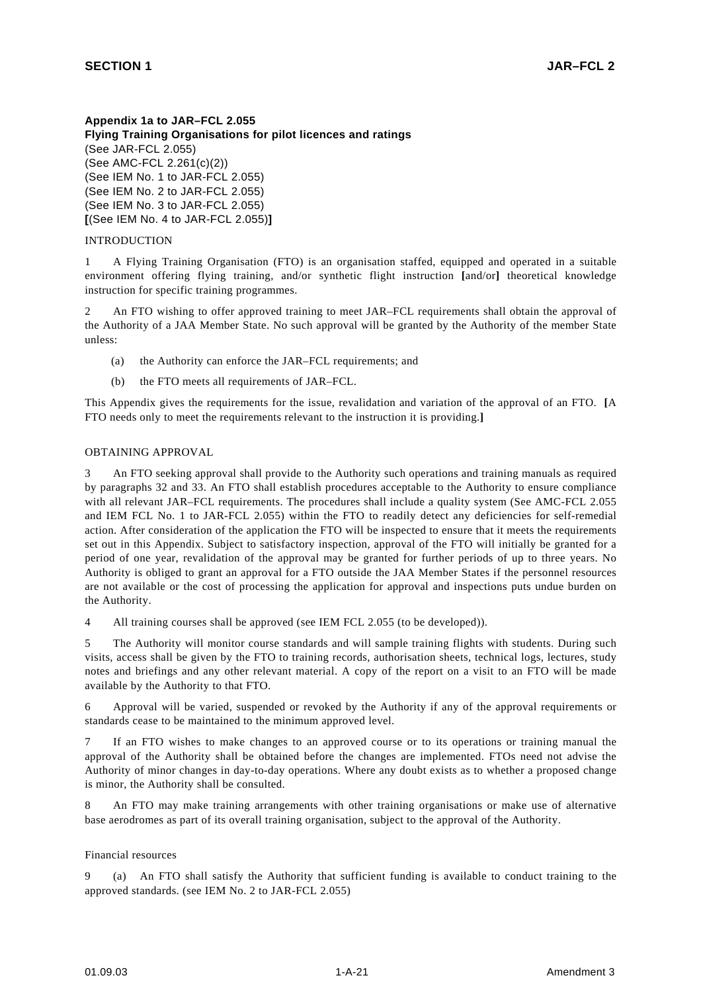**Appendix 1a to JAR–FCL 2.055 Flying Training Organisations for pilot licences and ratings**  (See JAR-FCL 2.055) (See AMC-FCL 2.261(c)(2)) (See IEM No. 1 to JAR-FCL 2.055) (See IEM No. 2 to JAR-FCL 2.055) (See IEM No. 3 to JAR-FCL 2.055) **[**(See IEM No. 4 to JAR-FCL 2.055)**]** 

#### INTRODUCTION

1 A Flying Training Organisation (FTO) is an organisation staffed, equipped and operated in a suitable environment offering flying training, and/or synthetic flight instruction **[**and/or**]** theoretical knowledge instruction for specific training programmes.

2 An FTO wishing to offer approved training to meet JAR–FCL requirements shall obtain the approval of the Authority of a JAA Member State. No such approval will be granted by the Authority of the member State unless:

- (a) the Authority can enforce the JAR–FCL requirements; and
- (b) the FTO meets all requirements of JAR–FCL.

This Appendix gives the requirements for the issue, revalidation and variation of the approval of an FTO. **[**A FTO needs only to meet the requirements relevant to the instruction it is providing.**]**

#### OBTAINING APPROVAL

3 An FTO seeking approval shall provide to the Authority such operations and training manuals as required by paragraphs 32 and 33. An FTO shall establish procedures acceptable to the Authority to ensure compliance with all relevant JAR–FCL requirements. The procedures shall include a quality system (See AMC-FCL 2.055 and IEM FCL No. 1 to JAR-FCL 2.055) within the FTO to readily detect any deficiencies for self-remedial action. After consideration of the application the FTO will be inspected to ensure that it meets the requirements set out in this Appendix. Subject to satisfactory inspection, approval of the FTO will initially be granted for a period of one year, revalidation of the approval may be granted for further periods of up to three years. No Authority is obliged to grant an approval for a FTO outside the JAA Member States if the personnel resources are not available or the cost of processing the application for approval and inspections puts undue burden on the Authority.

4 All training courses shall be approved (see IEM FCL 2.055 (to be developed)).

5 The Authority will monitor course standards and will sample training flights with students. During such visits, access shall be given by the FTO to training records, authorisation sheets, technical logs, lectures, study notes and briefings and any other relevant material. A copy of the report on a visit to an FTO will be made available by the Authority to that FTO.

6 Approval will be varied, suspended or revoked by the Authority if any of the approval requirements or standards cease to be maintained to the minimum approved level.

7 If an FTO wishes to make changes to an approved course or to its operations or training manual the approval of the Authority shall be obtained before the changes are implemented. FTOs need not advise the Authority of minor changes in day-to-day operations. Where any doubt exists as to whether a proposed change is minor, the Authority shall be consulted.

8 An FTO may make training arrangements with other training organisations or make use of alternative base aerodromes as part of its overall training organisation, subject to the approval of the Authority.

#### Financial resources

9 (a) An FTO shall satisfy the Authority that sufficient funding is available to conduct training to the approved standards. (see IEM No. 2 to JAR-FCL 2.055)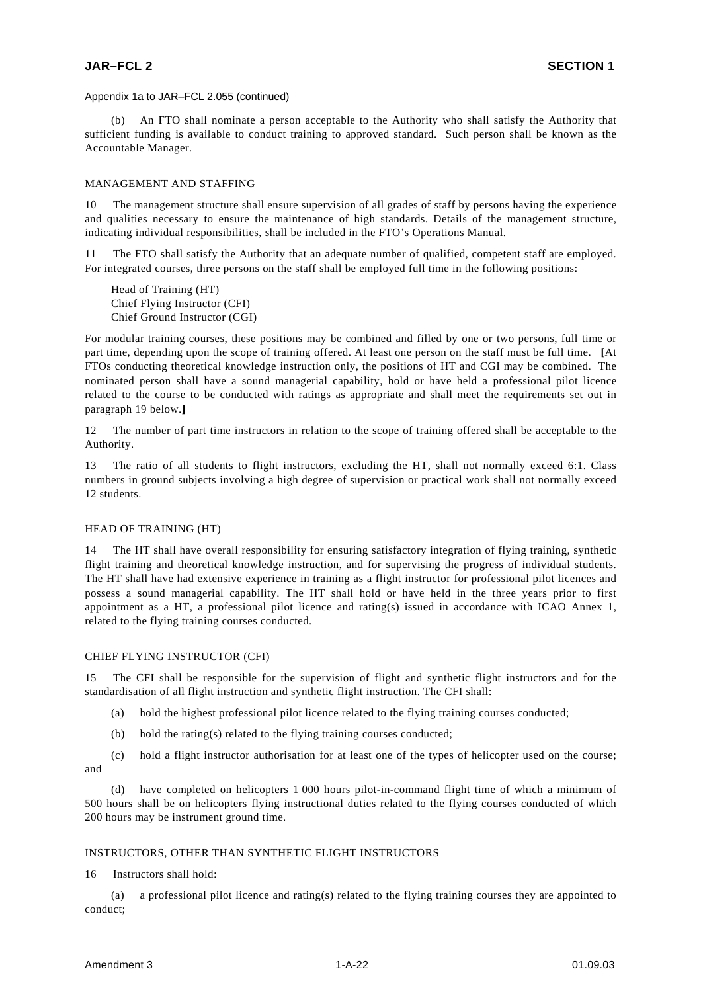# **JAR–FCL 2 SECTION 1**

Appendix 1a to JAR–FCL 2.055 (continued)

(b) An FTO shall nominate a person acceptable to the Authority who shall satisfy the Authority that sufficient funding is available to conduct training to approved standard. Such person shall be known as the Accountable Manager.

#### MANAGEMENT AND STAFFING

10 The management structure shall ensure supervision of all grades of staff by persons having the experience and qualities necessary to ensure the maintenance of high standards. Details of the management structure, indicating individual responsibilities, shall be included in the FTO's Operations Manual.

11 The FTO shall satisfy the Authority that an adequate number of qualified, competent staff are employed. For integrated courses, three persons on the staff shall be employed full time in the following positions:

Head of Training (HT) Chief Flying Instructor (CFI) Chief Ground Instructor (CGI)

For modular training courses, these positions may be combined and filled by one or two persons, full time or part time, depending upon the scope of training offered. At least one person on the staff must be full time. **[**At FTOs conducting theoretical knowledge instruction only, the positions of HT and CGI may be combined. The nominated person shall have a sound managerial capability, hold or have held a professional pilot licence related to the course to be conducted with ratings as appropriate and shall meet the requirements set out in paragraph 19 below.**]** 

12 The number of part time instructors in relation to the scope of training offered shall be acceptable to the Authority.

13 The ratio of all students to flight instructors, excluding the HT, shall not normally exceed 6:1. Class numbers in ground subjects involving a high degree of supervision or practical work shall not normally exceed 12 students.

### HEAD OF TRAINING (HT)

14 The HT shall have overall responsibility for ensuring satisfactory integration of flying training, synthetic flight training and theoretical knowledge instruction, and for supervising the progress of individual students. The HT shall have had extensive experience in training as a flight instructor for professional pilot licences and possess a sound managerial capability. The HT shall hold or have held in the three years prior to first appointment as a HT, a professional pilot licence and rating(s) issued in accordance with ICAO Annex 1, related to the flying training courses conducted.

#### CHIEF FLYING INSTRUCTOR (CFI)

15 The CFI shall be responsible for the supervision of flight and synthetic flight instructors and for the standardisation of all flight instruction and synthetic flight instruction. The CFI shall:

- (a) hold the highest professional pilot licence related to the flying training courses conducted;
- (b) hold the rating(s) related to the flying training courses conducted;

(c) hold a flight instructor authorisation for at least one of the types of helicopter used on the course; and

have completed on helicopters 1 000 hours pilot-in-command flight time of which a minimum of 500 hours shall be on helicopters flying instructional duties related to the flying courses conducted of which 200 hours may be instrument ground time.

#### INSTRUCTORS, OTHER THAN SYNTHETIC FLIGHT INSTRUCTORS

16 Instructors shall hold:

(a) a professional pilot licence and rating(s) related to the flying training courses they are appointed to conduct;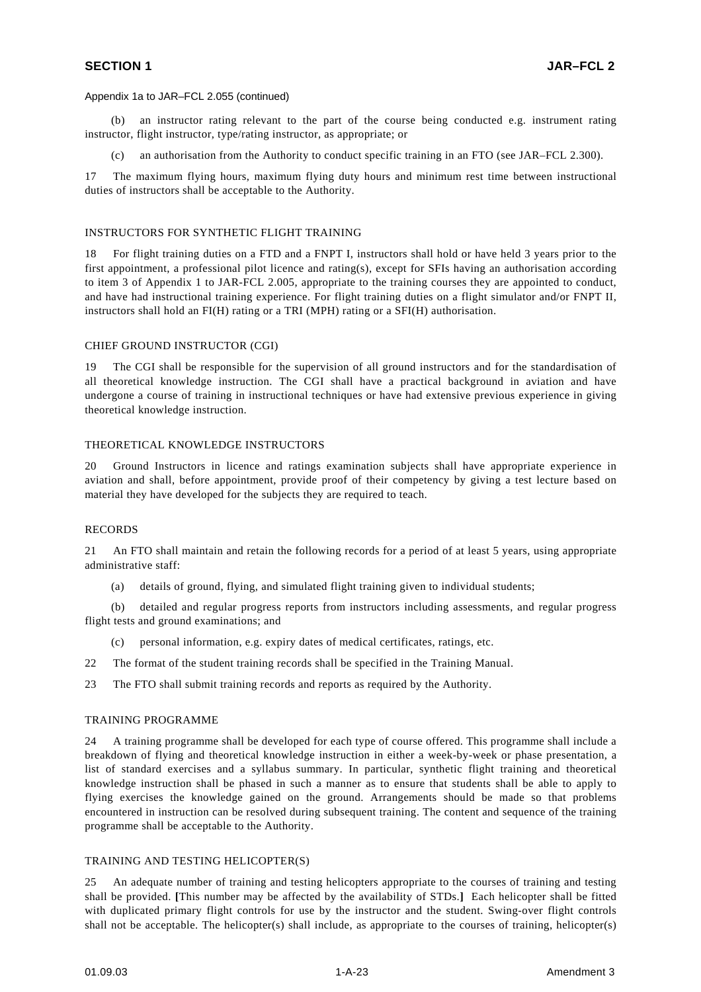#### Appendix 1a to JAR–FCL 2.055 (continued)

an instructor rating relevant to the part of the course being conducted e.g. instrument rating instructor, flight instructor, type/rating instructor, as appropriate; or

an authorisation from the Authority to conduct specific training in an FTO (see JAR–FCL 2.300).

17 The maximum flying hours, maximum flying duty hours and minimum rest time between instructional duties of instructors shall be acceptable to the Authority.

#### INSTRUCTORS FOR SYNTHETIC FLIGHT TRAINING

18 For flight training duties on a FTD and a FNPT I, instructors shall hold or have held 3 years prior to the first appointment, a professional pilot licence and rating(s), except for SFIs having an authorisation according to item 3 of Appendix 1 to JAR-FCL 2.005, appropriate to the training courses they are appointed to conduct, and have had instructional training experience. For flight training duties on a flight simulator and/or FNPT II, instructors shall hold an FI(H) rating or a TRI (MPH) rating or a SFI(H) authorisation.

#### CHIEF GROUND INSTRUCTOR (CGI)

19 The CGI shall be responsible for the supervision of all ground instructors and for the standardisation of all theoretical knowledge instruction. The CGI shall have a practical background in aviation and have undergone a course of training in instructional techniques or have had extensive previous experience in giving theoretical knowledge instruction.

#### THEORETICAL KNOWLEDGE INSTRUCTORS

20 Ground Instructors in licence and ratings examination subjects shall have appropriate experience in aviation and shall, before appointment, provide proof of their competency by giving a test lecture based on material they have developed for the subjects they are required to teach.

### RECORDS

21 An FTO shall maintain and retain the following records for a period of at least 5 years, using appropriate administrative staff:

(a) details of ground, flying, and simulated flight training given to individual students;

(b) detailed and regular progress reports from instructors including assessments, and regular progress flight tests and ground examinations; and

- (c) personal information, e.g. expiry dates of medical certificates, ratings, etc.
- 22 The format of the student training records shall be specified in the Training Manual.
- 23 The FTO shall submit training records and reports as required by the Authority.

#### TRAINING PROGRAMME

24 A training programme shall be developed for each type of course offered. This programme shall include a breakdown of flying and theoretical knowledge instruction in either a week-by-week or phase presentation, a list of standard exercises and a syllabus summary. In particular, synthetic flight training and theoretical knowledge instruction shall be phased in such a manner as to ensure that students shall be able to apply to flying exercises the knowledge gained on the ground. Arrangements should be made so that problems encountered in instruction can be resolved during subsequent training. The content and sequence of the training programme shall be acceptable to the Authority.

### TRAINING AND TESTING HELICOPTER(S)

25 An adequate number of training and testing helicopters appropriate to the courses of training and testing shall be provided. **[**This number may be affected by the availability of STDs.**]** Each helicopter shall be fitted with duplicated primary flight controls for use by the instructor and the student. Swing-over flight controls shall not be acceptable. The helicopter(s) shall include, as appropriate to the courses of training, helicopter(s)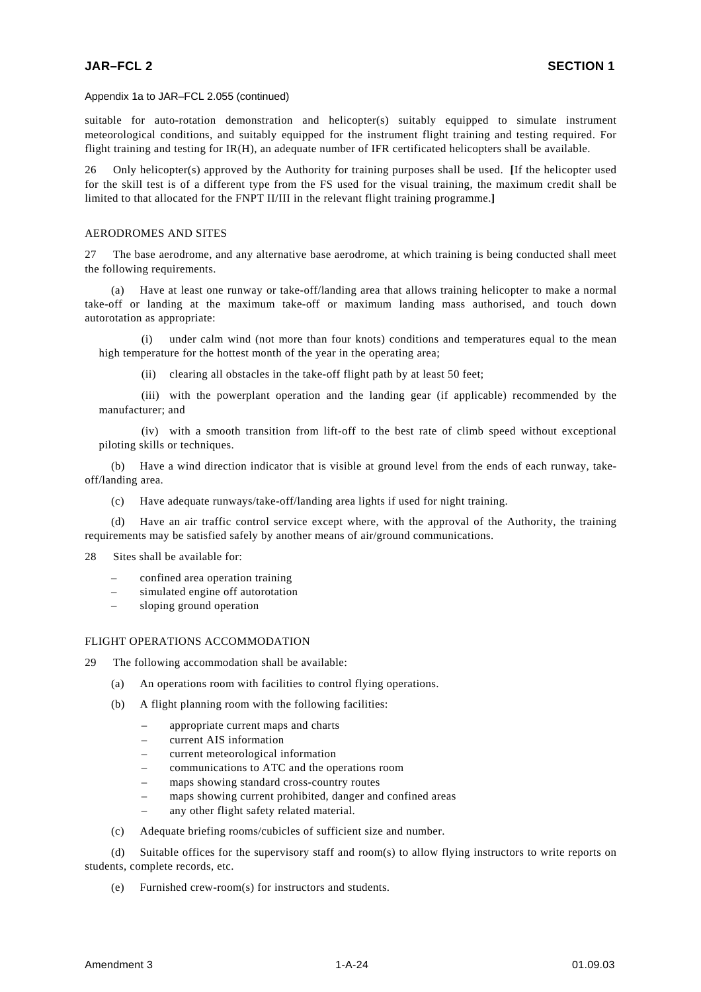Appendix 1a to JAR–FCL 2.055 (continued)

suitable for auto-rotation demonstration and helicopter(s) suitably equipped to simulate instrument meteorological conditions, and suitably equipped for the instrument flight training and testing required. For flight training and testing for IR(H), an adequate number of IFR certificated helicopters shall be available.

26 Only helicopter(s) approved by the Authority for training purposes shall be used. **[**If the helicopter used for the skill test is of a different type from the FS used for the visual training, the maximum credit shall be limited to that allocated for the FNPT II/III in the relevant flight training programme.**]**

#### AERODROMES AND SITES

27 The base aerodrome, and any alternative base aerodrome, at which training is being conducted shall meet the following requirements.

(a) Have at least one runway or take-off/landing area that allows training helicopter to make a normal take-off or landing at the maximum take-off or maximum landing mass authorised, and touch down autorotation as appropriate:

(i) under calm wind (not more than four knots) conditions and temperatures equal to the mean high temperature for the hottest month of the year in the operating area;

(ii) clearing all obstacles in the take-off flight path by at least 50 feet;

(iii) with the powerplant operation and the landing gear (if applicable) recommended by the manufacturer; and

(iv) with a smooth transition from lift-off to the best rate of climb speed without exceptional piloting skills or techniques.

(b) Have a wind direction indicator that is visible at ground level from the ends of each runway, takeoff/landing area.

(c) Have adequate runways/take-off/landing area lights if used for night training.

(d) Have an air traffic control service except where, with the approval of the Authority, the training requirements may be satisfied safely by another means of air/ground communications.

- 28 Sites shall be available for:
	- confined area operation training
	- simulated engine off autorotation
	- sloping ground operation

#### FLIGHT OPERATIONS ACCOMMODATION

29 The following accommodation shall be available:

- (a) An operations room with facilities to control flying operations.
- (b) A flight planning room with the following facilities:
	- appropriate current maps and charts
	- current AIS information
	- current meteorological information
	- communications to ATC and the operations room
	- maps showing standard cross-country routes
	- maps showing current prohibited, danger and confined areas
	- any other flight safety related material.
- (c) Adequate briefing rooms/cubicles of sufficient size and number.

(d) Suitable offices for the supervisory staff and room(s) to allow flying instructors to write reports on students, complete records, etc.

(e) Furnished crew-room(s) for instructors and students.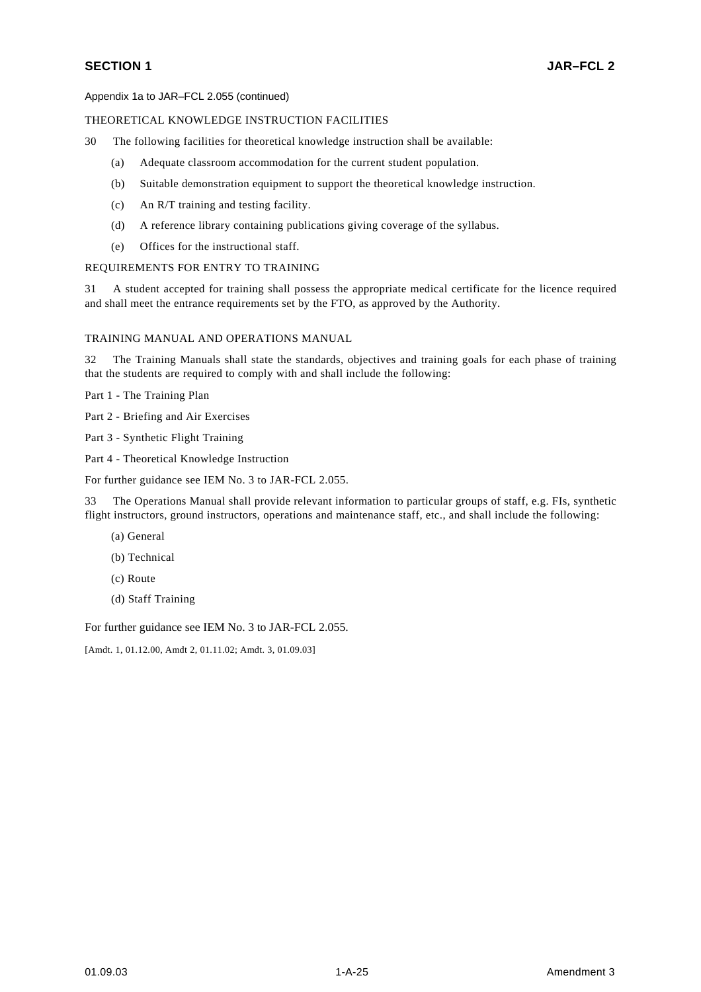#### Appendix 1a to JAR–FCL 2.055 (continued)

#### THEORETICAL KNOWLEDGE INSTRUCTION FACILITIES

30 The following facilities for theoretical knowledge instruction shall be available:

- (a) Adequate classroom accommodation for the current student population.
- (b) Suitable demonstration equipment to support the theoretical knowledge instruction.
- (c) An R/T training and testing facility.
- (d) A reference library containing publications giving coverage of the syllabus.
- (e) Offices for the instructional staff.

#### REQUIREMENTS FOR ENTRY TO TRAINING

31 A student accepted for training shall possess the appropriate medical certificate for the licence required and shall meet the entrance requirements set by the FTO, as approved by the Authority.

#### TRAINING MANUAL AND OPERATIONS MANUAL

32 The Training Manuals shall state the standards, objectives and training goals for each phase of training that the students are required to comply with and shall include the following:

Part 1 - The Training Plan

Part 2 - Briefing and Air Exercises

Part 3 - Synthetic Flight Training

Part 4 - Theoretical Knowledge Instruction

For further guidance see IEM No. 3 to JAR-FCL 2.055.

33 The Operations Manual shall provide relevant information to particular groups of staff, e.g. FIs, synthetic flight instructors, ground instructors, operations and maintenance staff, etc., and shall include the following:

- (a) General
- (b) Technical
- (c) Route
- (d) Staff Training

For further guidance see IEM No. 3 to JAR-FCL 2.055.

[Amdt. 1, 01.12.00, Amdt 2, 01.11.02; Amdt. 3, 01.09.03]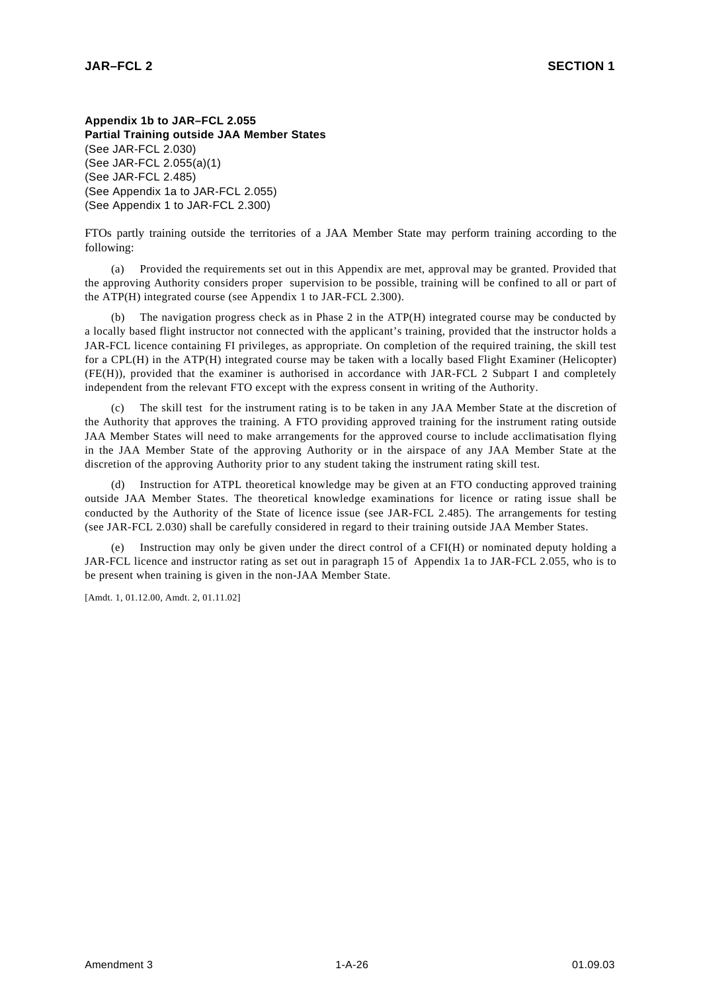**Appendix 1b to JAR–FCL 2.055 Partial Training outside JAA Member States**  (See JAR-FCL 2.030) (See JAR-FCL 2.055(a)(1) (See JAR-FCL 2.485) (See Appendix 1a to JAR-FCL 2.055) (See Appendix 1 to JAR-FCL 2.300)

FTOs partly training outside the territories of a JAA Member State may perform training according to the following:

(a) Provided the requirements set out in this Appendix are met, approval may be granted. Provided that the approving Authority considers proper supervision to be possible, training will be confined to all or part of the ATP(H) integrated course (see Appendix 1 to JAR-FCL 2.300).

The navigation progress check as in Phase 2 in the ATP(H) integrated course may be conducted by a locally based flight instructor not connected with the applicant's training, provided that the instructor holds a JAR-FCL licence containing FI privileges, as appropriate. On completion of the required training, the skill test for a CPL(H) in the ATP(H) integrated course may be taken with a locally based Flight Examiner (Helicopter) (FE(H)), provided that the examiner is authorised in accordance with JAR-FCL 2 Subpart I and completely independent from the relevant FTO except with the express consent in writing of the Authority.

The skill test for the instrument rating is to be taken in any JAA Member State at the discretion of the Authority that approves the training. A FTO providing approved training for the instrument rating outside JAA Member States will need to make arrangements for the approved course to include acclimatisation flying in the JAA Member State of the approving Authority or in the airspace of any JAA Member State at the discretion of the approving Authority prior to any student taking the instrument rating skill test.

(d) Instruction for ATPL theoretical knowledge may be given at an FTO conducting approved training outside JAA Member States. The theoretical knowledge examinations for licence or rating issue shall be conducted by the Authority of the State of licence issue (see JAR-FCL 2.485). The arrangements for testing (see JAR-FCL 2.030) shall be carefully considered in regard to their training outside JAA Member States.

(e) Instruction may only be given under the direct control of a CFI(H) or nominated deputy holding a JAR-FCL licence and instructor rating as set out in paragraph 15 of Appendix 1a to JAR-FCL 2.055, who is to be present when training is given in the non-JAA Member State.

[Amdt. 1, 01.12.00, Amdt. 2, 01.11.02]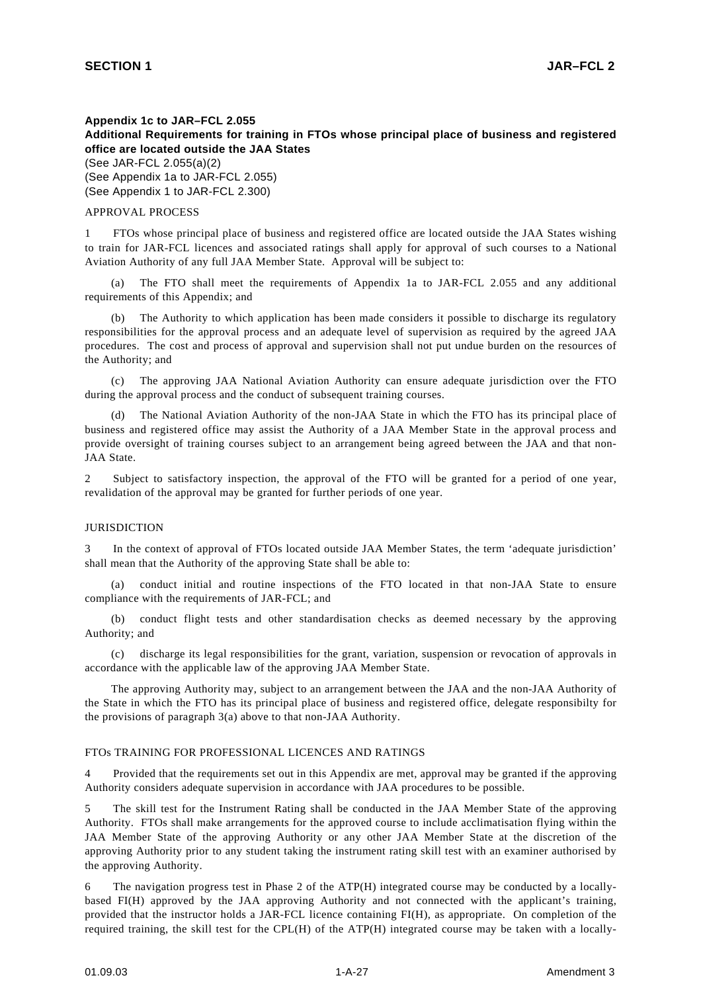## **Appendix 1c to JAR–FCL 2.055 Additional Requirements for training in FTOs whose principal place of business and registered office are located outside the JAA States**  (See JAR-FCL 2.055(a)(2) (See Appendix 1a to JAR-FCL 2.055) (See Appendix 1 to JAR-FCL 2.300)

#### APPROVAL PROCESS

1 FTOs whose principal place of business and registered office are located outside the JAA States wishing to train for JAR-FCL licences and associated ratings shall apply for approval of such courses to a National Aviation Authority of any full JAA Member State. Approval will be subject to:

(a) The FTO shall meet the requirements of Appendix 1a to JAR-FCL 2.055 and any additional requirements of this Appendix; and

(b) The Authority to which application has been made considers it possible to discharge its regulatory responsibilities for the approval process and an adequate level of supervision as required by the agreed JAA procedures. The cost and process of approval and supervision shall not put undue burden on the resources of the Authority; and

(c) The approving JAA National Aviation Authority can ensure adequate jurisdiction over the FTO during the approval process and the conduct of subsequent training courses.

(d) The National Aviation Authority of the non-JAA State in which the FTO has its principal place of business and registered office may assist the Authority of a JAA Member State in the approval process and provide oversight of training courses subject to an arrangement being agreed between the JAA and that non-JAA State.

2 Subject to satisfactory inspection, the approval of the FTO will be granted for a period of one year, revalidation of the approval may be granted for further periods of one year.

#### **JURISDICTION**

3 In the context of approval of FTOs located outside JAA Member States, the term 'adequate jurisdiction' shall mean that the Authority of the approving State shall be able to:

conduct initial and routine inspections of the FTO located in that non-JAA State to ensure compliance with the requirements of JAR-FCL; and

(b) conduct flight tests and other standardisation checks as deemed necessary by the approving Authority; and

(c) discharge its legal responsibilities for the grant, variation, suspension or revocation of approvals in accordance with the applicable law of the approving JAA Member State.

The approving Authority may, subject to an arrangement between the JAA and the non-JAA Authority of the State in which the FTO has its principal place of business and registered office, delegate responsibilty for the provisions of paragraph 3(a) above to that non-JAA Authority.

#### FTOs TRAINING FOR PROFESSIONAL LICENCES AND RATINGS

4 Provided that the requirements set out in this Appendix are met, approval may be granted if the approving Authority considers adequate supervision in accordance with JAA procedures to be possible.

5 The skill test for the Instrument Rating shall be conducted in the JAA Member State of the approving Authority. FTOs shall make arrangements for the approved course to include acclimatisation flying within the JAA Member State of the approving Authority or any other JAA Member State at the discretion of the approving Authority prior to any student taking the instrument rating skill test with an examiner authorised by the approving Authority.

6 The navigation progress test in Phase 2 of the ATP(H) integrated course may be conducted by a locallybased FI(H) approved by the JAA approving Authority and not connected with the applicant's training, provided that the instructor holds a JAR-FCL licence containing FI(H), as appropriate. On completion of the required training, the skill test for the CPL(H) of the ATP(H) integrated course may be taken with a locally-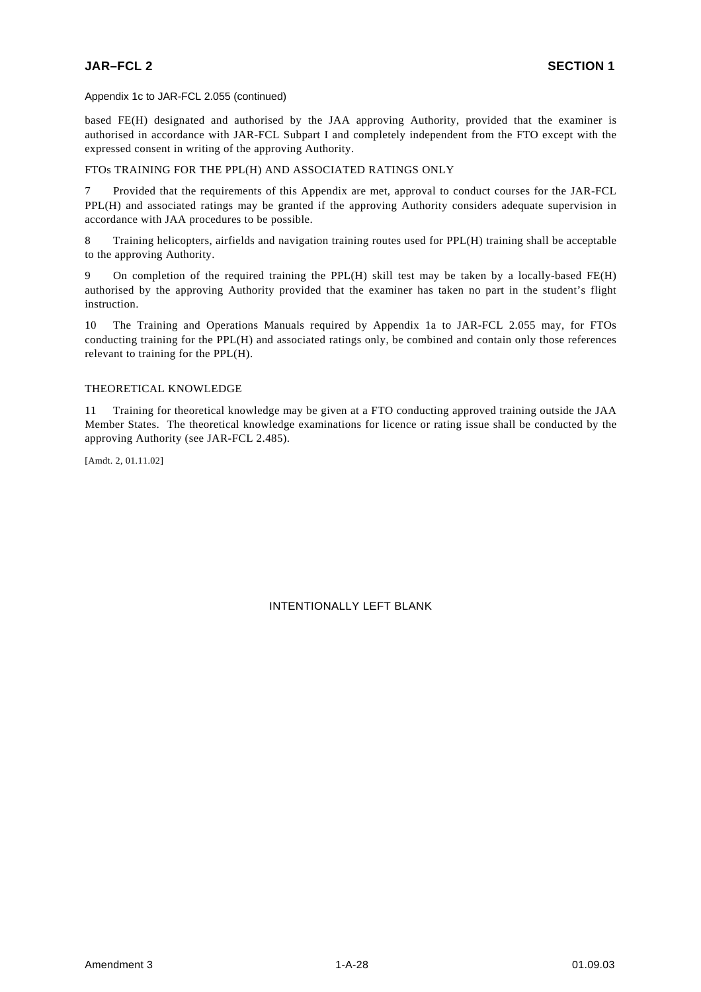# **JAR–FCL 2 SECTION 1**

#### Appendix 1c to JAR-FCL 2.055 (continued)

based FE(H) designated and authorised by the JAA approving Authority, provided that the examiner is authorised in accordance with JAR-FCL Subpart I and completely independent from the FTO except with the expressed consent in writing of the approving Authority.

#### FTOs TRAINING FOR THE PPL(H) AND ASSOCIATED RATINGS ONLY

7 Provided that the requirements of this Appendix are met, approval to conduct courses for the JAR-FCL PPL(H) and associated ratings may be granted if the approving Authority considers adequate supervision in accordance with JAA procedures to be possible.

8 Training helicopters, airfields and navigation training routes used for PPL(H) training shall be acceptable to the approving Authority.

9 On completion of the required training the PPL(H) skill test may be taken by a locally-based FE(H) authorised by the approving Authority provided that the examiner has taken no part in the student's flight instruction.

10 The Training and Operations Manuals required by Appendix 1a to JAR-FCL 2.055 may, for FTOs conducting training for the PPL(H) and associated ratings only, be combined and contain only those references relevant to training for the PPL(H).

# THEORETICAL KNOWLEDGE

11 Training for theoretical knowledge may be given at a FTO conducting approved training outside the JAA Member States. The theoretical knowledge examinations for licence or rating issue shall be conducted by the approving Authority (see JAR-FCL 2.485).

[Amdt. 2, 01.11.02]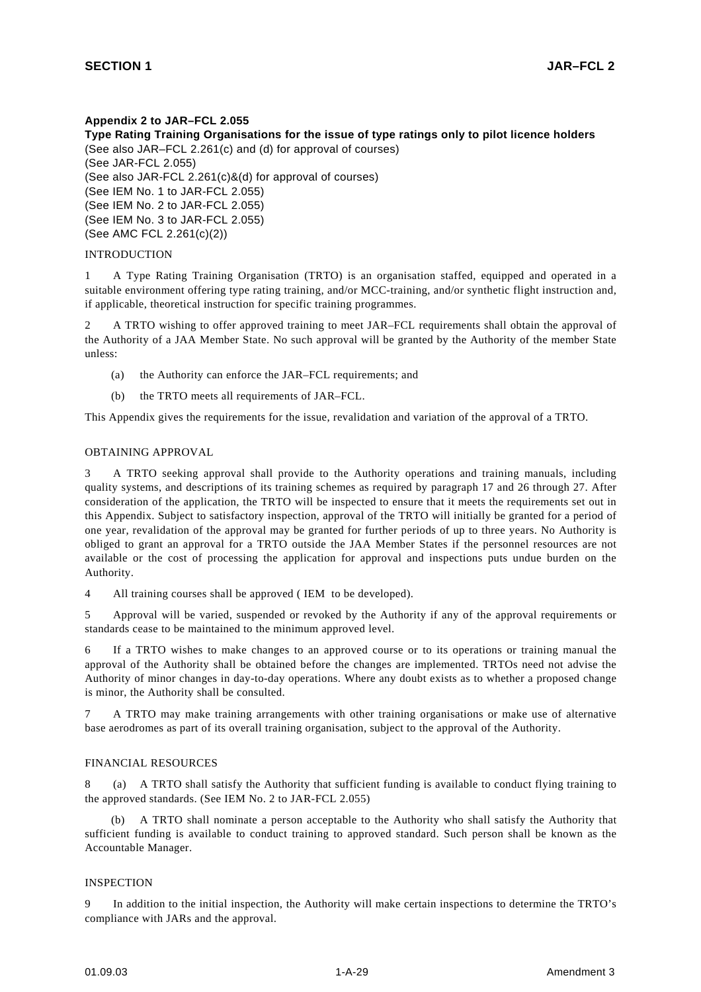# **Appendix 2 to JAR–FCL 2.055**

# **Type Rating Training Organisations for the issue of type ratings only to pilot licence holders**

(See also JAR–FCL 2.261(c) and (d) for approval of courses) (See JAR-FCL 2.055) (See also JAR-FCL 2.261(c)&(d) for approval of courses) (See IEM No. 1 to JAR-FCL 2.055) (See IEM No. 2 to JAR-FCL 2.055) (See IEM No. 3 to JAR-FCL 2.055) (See AMC FCL 2.261(c)(2))

### INTRODUCTION

1 A Type Rating Training Organisation (TRTO) is an organisation staffed, equipped and operated in a suitable environment offering type rating training, and/or MCC-training, and/or synthetic flight instruction and, if applicable, theoretical instruction for specific training programmes.

2 A TRTO wishing to offer approved training to meet JAR–FCL requirements shall obtain the approval of the Authority of a JAA Member State. No such approval will be granted by the Authority of the member State unless:

- (a) the Authority can enforce the JAR–FCL requirements; and
- (b) the TRTO meets all requirements of JAR–FCL.

This Appendix gives the requirements for the issue, revalidation and variation of the approval of a TRTO.

#### OBTAINING APPROVAL

3 A TRTO seeking approval shall provide to the Authority operations and training manuals, including quality systems, and descriptions of its training schemes as required by paragraph 17 and 26 through 27. After consideration of the application, the TRTO will be inspected to ensure that it meets the requirements set out in this Appendix. Subject to satisfactory inspection, approval of the TRTO will initially be granted for a period of one year, revalidation of the approval may be granted for further periods of up to three years. No Authority is obliged to grant an approval for a TRTO outside the JAA Member States if the personnel resources are not available or the cost of processing the application for approval and inspections puts undue burden on the Authority.

4 All training courses shall be approved ( IEM to be developed).

5 Approval will be varied, suspended or revoked by the Authority if any of the approval requirements or standards cease to be maintained to the minimum approved level.

6 If a TRTO wishes to make changes to an approved course or to its operations or training manual the approval of the Authority shall be obtained before the changes are implemented. TRTOs need not advise the Authority of minor changes in day-to-day operations. Where any doubt exists as to whether a proposed change is minor, the Authority shall be consulted.

7 A TRTO may make training arrangements with other training organisations or make use of alternative base aerodromes as part of its overall training organisation, subject to the approval of the Authority.

### FINANCIAL RESOURCES

8 (a) A TRTO shall satisfy the Authority that sufficient funding is available to conduct flying training to the approved standards. (See IEM No. 2 to JAR-FCL 2.055)

(b) A TRTO shall nominate a person acceptable to the Authority who shall satisfy the Authority that sufficient funding is available to conduct training to approved standard. Such person shall be known as the Accountable Manager.

### INSPECTION

9 In addition to the initial inspection, the Authority will make certain inspections to determine the TRTO's compliance with JARs and the approval.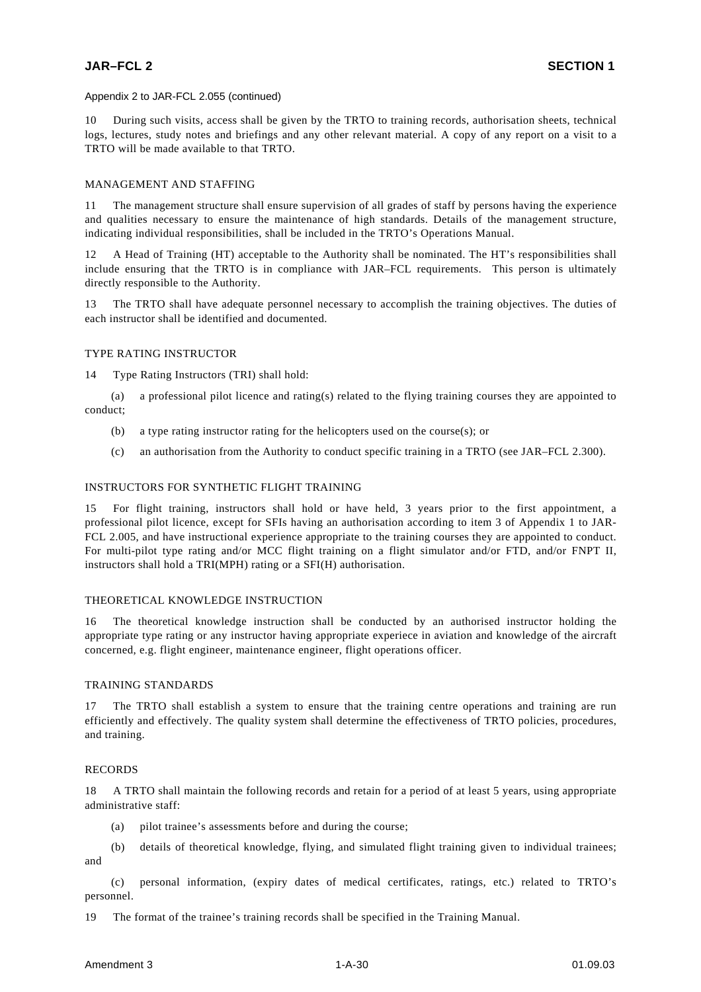# **JAR–FCL 2 SECTION 1**

#### Appendix 2 to JAR-FCL 2.055 (continued)

10 During such visits, access shall be given by the TRTO to training records, authorisation sheets, technical logs, lectures, study notes and briefings and any other relevant material. A copy of any report on a visit to a TRTO will be made available to that TRTO.

#### MANAGEMENT AND STAFFING

11 The management structure shall ensure supervision of all grades of staff by persons having the experience and qualities necessary to ensure the maintenance of high standards. Details of the management structure, indicating individual responsibilities, shall be included in the TRTO's Operations Manual.

12 A Head of Training (HT) acceptable to the Authority shall be nominated. The HT's responsibilities shall include ensuring that the TRTO is in compliance with JAR–FCL requirements. This person is ultimately directly responsible to the Authority.

13 The TRTO shall have adequate personnel necessary to accomplish the training objectives. The duties of each instructor shall be identified and documented.

#### TYPE RATING INSTRUCTOR

14 Type Rating Instructors (TRI) shall hold:

(a) a professional pilot licence and rating(s) related to the flying training courses they are appointed to conduct;

- (b) a type rating instructor rating for the helicopters used on the course(s); or
- (c) an authorisation from the Authority to conduct specific training in a TRTO (see JAR–FCL 2.300).

### INSTRUCTORS FOR SYNTHETIC FLIGHT TRAINING

15 For flight training, instructors shall hold or have held, 3 years prior to the first appointment, a professional pilot licence, except for SFIs having an authorisation according to item 3 of Appendix 1 to JAR-FCL 2.005, and have instructional experience appropriate to the training courses they are appointed to conduct. For multi-pilot type rating and/or MCC flight training on a flight simulator and/or FTD, and/or FNPT II, instructors shall hold a TRI(MPH) rating or a SFI(H) authorisation.

## THEORETICAL KNOWLEDGE INSTRUCTION

16 The theoretical knowledge instruction shall be conducted by an authorised instructor holding the appropriate type rating or any instructor having appropriate experiece in aviation and knowledge of the aircraft concerned, e.g. flight engineer, maintenance engineer, flight operations officer.

#### TRAINING STANDARDS

17 The TRTO shall establish a system to ensure that the training centre operations and training are run efficiently and effectively. The quality system shall determine the effectiveness of TRTO policies, procedures, and training.

### RECORDS

18 A TRTO shall maintain the following records and retain for a period of at least 5 years, using appropriate administrative staff:

- (a) pilot trainee's assessments before and during the course;
- (b) details of theoretical knowledge, flying, and simulated flight training given to individual trainees; and

(c) personal information, (expiry dates of medical certificates, ratings, etc.) related to TRTO's personnel.

19 The format of the trainee's training records shall be specified in the Training Manual.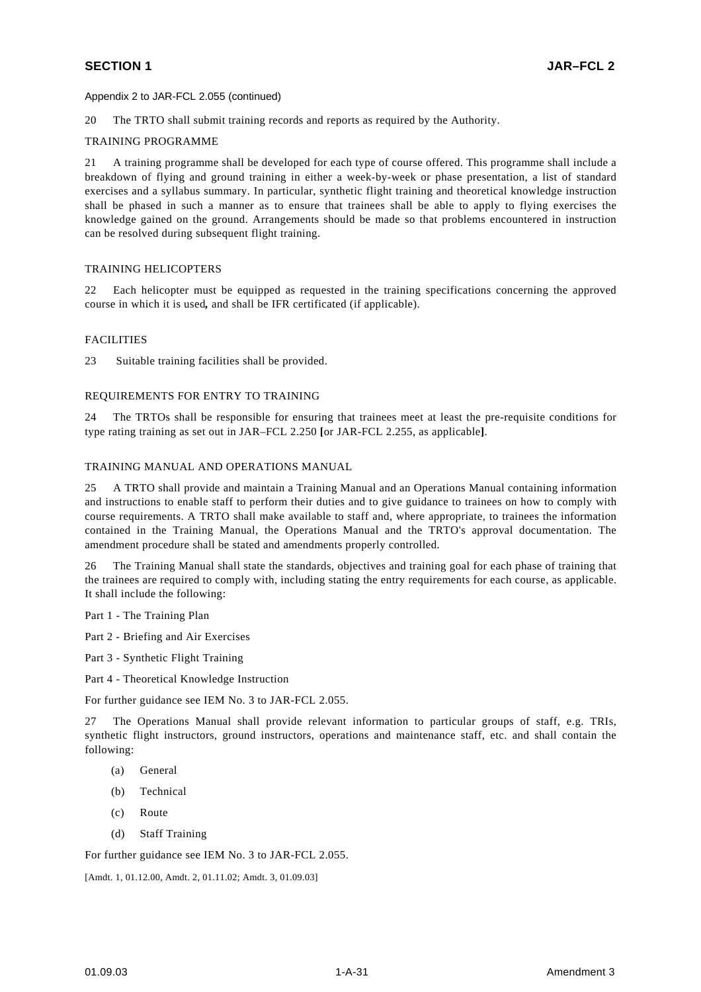Appendix 2 to JAR-FCL 2.055 (continued)

20 The TRTO shall submit training records and reports as required by the Authority.

# TRAINING PROGRAMME

21 A training programme shall be developed for each type of course offered. This programme shall include a breakdown of flying and ground training in either a week-by-week or phase presentation, a list of standard exercises and a syllabus summary. In particular, synthetic flight training and theoretical knowledge instruction shall be phased in such a manner as to ensure that trainees shall be able to apply to flying exercises the knowledge gained on the ground. Arrangements should be made so that problems encountered in instruction can be resolved during subsequent flight training.

# TRAINING HELICOPTERS

22 Each helicopter must be equipped as requested in the training specifications concerning the approved course in which it is used*,* and shall be IFR certificated (if applicable).

# FACILITIES

23 Suitable training facilities shall be provided.

# REQUIREMENTS FOR ENTRY TO TRAINING

24 The TRTOs shall be responsible for ensuring that trainees meet at least the pre-requisite conditions for type rating training as set out in JAR–FCL 2.250 **[**or JAR-FCL 2.255, as applicable**]**.

# TRAINING MANUAL AND OPERATIONS MANUAL

25 A TRTO shall provide and maintain a Training Manual and an Operations Manual containing information and instructions to enable staff to perform their duties and to give guidance to trainees on how to comply with course requirements. A TRTO shall make available to staff and, where appropriate, to trainees the information contained in the Training Manual, the Operations Manual and the TRTO's approval documentation. The amendment procedure shall be stated and amendments properly controlled.

26 The Training Manual shall state the standards, objectives and training goal for each phase of training that the trainees are required to comply with, including stating the entry requirements for each course, as applicable. It shall include the following:

Part 1 - The Training Plan

Part 2 - Briefing and Air Exercises

Part 3 - Synthetic Flight Training

Part 4 - Theoretical Knowledge Instruction

For further guidance see IEM No. 3 to JAR-FCL 2.055.

27 The Operations Manual shall provide relevant information to particular groups of staff, e.g. TRIs, synthetic flight instructors, ground instructors, operations and maintenance staff, etc. and shall contain the following:

- (a) General
- (b) Technical
- (c) Route
- (d) Staff Training

For further guidance see IEM No. 3 to JAR-FCL 2.055.

[Amdt. 1, 01.12.00, Amdt. 2, 01.11.02; Amdt. 3, 01.09.03]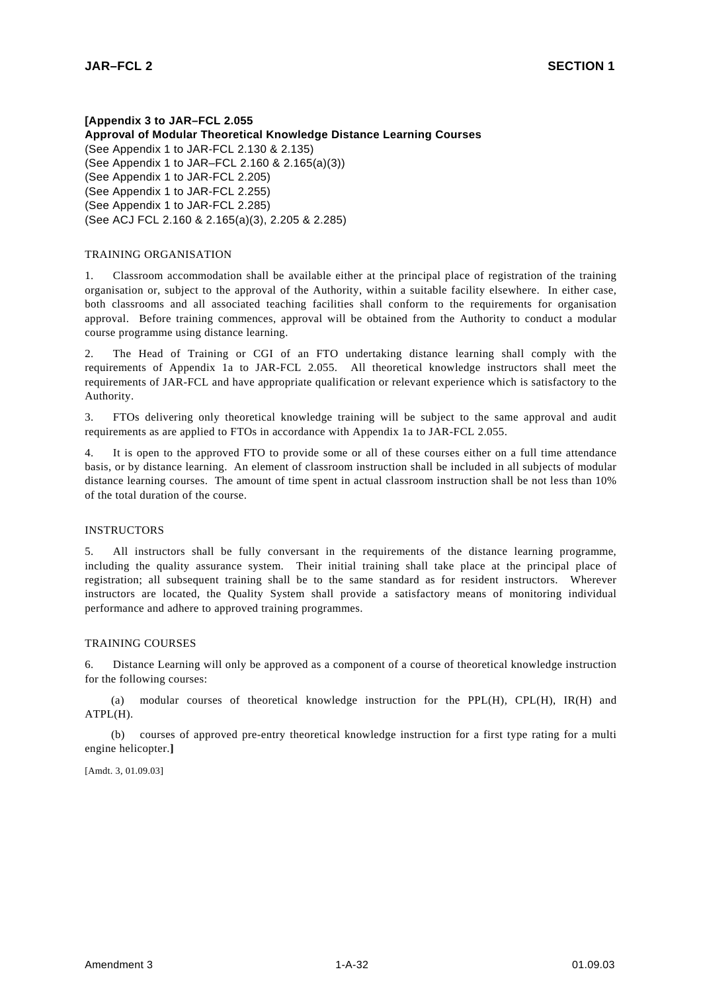**[Appendix 3 to JAR–FCL 2.055 Approval of Modular Theoretical Knowledge Distance Learning Courses**  (See Appendix 1 to JAR-FCL 2.130 & 2.135) (See Appendix 1 to JAR–FCL 2.160 & 2.165(a)(3)) (See Appendix 1 to JAR-FCL 2.205) (See Appendix 1 to JAR-FCL 2.255) (See Appendix 1 to JAR-FCL 2.285) (See ACJ FCL 2.160 & 2.165(a)(3), 2.205 & 2.285)

#### TRAINING ORGANISATION

1. Classroom accommodation shall be available either at the principal place of registration of the training organisation or, subject to the approval of the Authority, within a suitable facility elsewhere. In either case, both classrooms and all associated teaching facilities shall conform to the requirements for organisation approval. Before training commences, approval will be obtained from the Authority to conduct a modular course programme using distance learning.

2. The Head of Training or CGI of an FTO undertaking distance learning shall comply with the requirements of Appendix 1a to JAR-FCL 2.055. All theoretical knowledge instructors shall meet the requirements of JAR-FCL and have appropriate qualification or relevant experience which is satisfactory to the Authority.

3. FTOs delivering only theoretical knowledge training will be subject to the same approval and audit requirements as are applied to FTOs in accordance with Appendix 1a to JAR-FCL 2.055.

4. It is open to the approved FTO to provide some or all of these courses either on a full time attendance basis, or by distance learning. An element of classroom instruction shall be included in all subjects of modular distance learning courses. The amount of time spent in actual classroom instruction shall be not less than 10% of the total duration of the course.

#### INSTRUCTORS

5. All instructors shall be fully conversant in the requirements of the distance learning programme, including the quality assurance system. Their initial training shall take place at the principal place of registration; all subsequent training shall be to the same standard as for resident instructors. Wherever instructors are located, the Quality System shall provide a satisfactory means of monitoring individual performance and adhere to approved training programmes.

### TRAINING COURSES

6. Distance Learning will only be approved as a component of a course of theoretical knowledge instruction for the following courses:

(a) modular courses of theoretical knowledge instruction for the PPL(H), CPL(H), IR(H) and ATPL(H).

(b) courses of approved pre-entry theoretical knowledge instruction for a first type rating for a multi engine helicopter.**]**

[Amdt. 3, 01.09.03]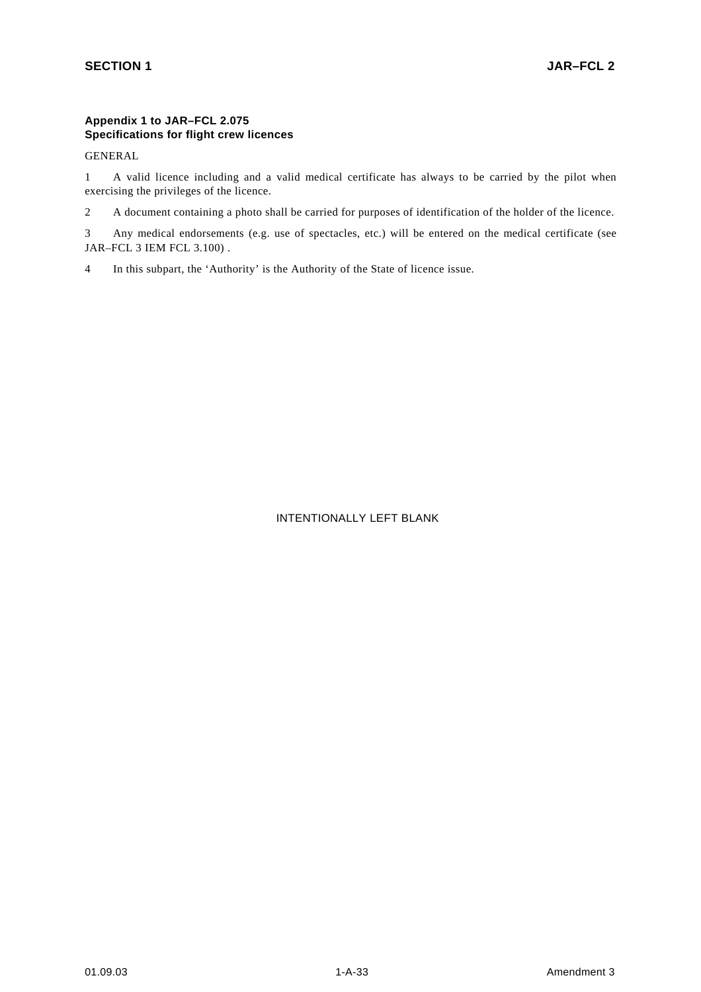# **Appendix 1 to JAR–FCL 2.075 Specifications for flight crew licences**

### GENERAL

1 A valid licence including and a valid medical certificate has always to be carried by the pilot when exercising the privileges of the licence.

2 A document containing a photo shall be carried for purposes of identification of the holder of the licence.

3 Any medical endorsements (e.g. use of spectacles, etc.) will be entered on the medical certificate (see JAR–FCL 3 IEM FCL 3.100) .

4 In this subpart, the 'Authority' is the Authority of the State of licence issue.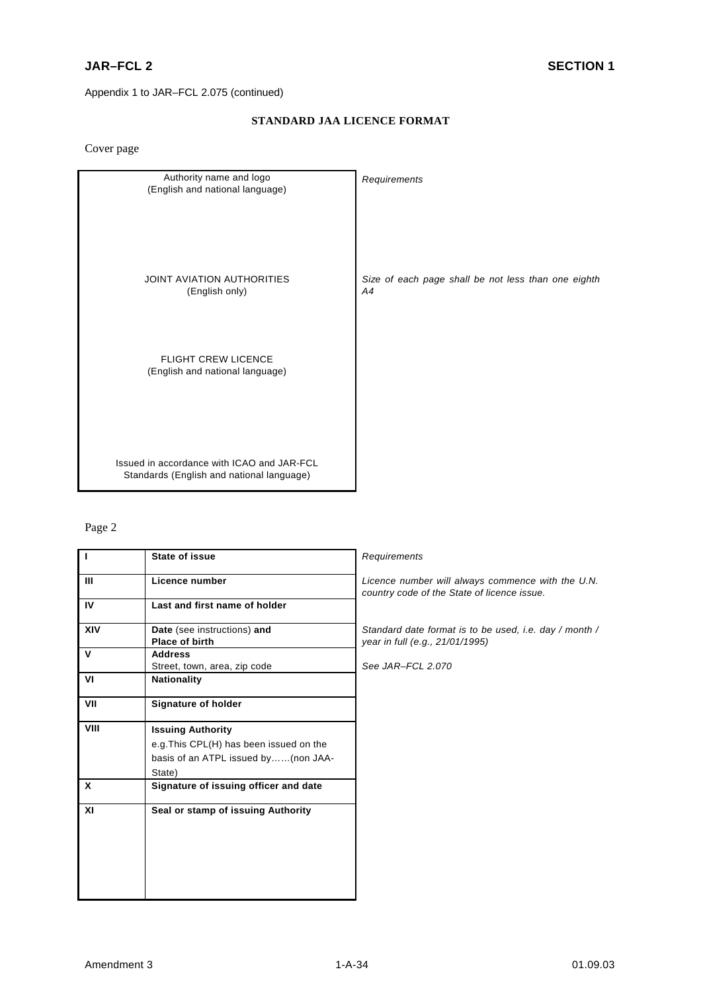# **JAR–FCL 2** SECTION 1

Appendix 1 to JAR–FCL 2.075 (continued)

# **STANDARD JAA LICENCE FORMAT**

# Cover page

| Authority name and logo<br>(English and national language)                              | Requirements                                              |
|-----------------------------------------------------------------------------------------|-----------------------------------------------------------|
|                                                                                         |                                                           |
| JOINT AVIATION AUTHORITIES                                                              |                                                           |
| (English only)                                                                          | Size of each page shall be not less than one eighth<br>A4 |
|                                                                                         |                                                           |
| <b>FLIGHT CREW LICENCE</b><br>(English and national language)                           |                                                           |
|                                                                                         |                                                           |
|                                                                                         |                                                           |
| Issued in accordance with ICAO and JAR-FCL<br>Standards (English and national language) |                                                           |

# Page 2

| $\blacksquare$ | <b>State of issue</b>                                                                                                | Requirements                                                                                     |
|----------------|----------------------------------------------------------------------------------------------------------------------|--------------------------------------------------------------------------------------------------|
| III            | <b>Licence number</b>                                                                                                | Licence number will always commence with the U.N.<br>country code of the State of licence issue. |
| IV             | Last and first name of holder                                                                                        |                                                                                                  |
| <b>XIV</b>     | Date (see instructions) and<br>Place of birth                                                                        | Standard date format is to be used, i.e. day / month /<br>year in full (e.g., 21/01/1995)        |
| $\mathsf{V}$   | <b>Address</b><br>Street, town, area, zip code                                                                       | See JAR-FCL 2.070                                                                                |
| VI             | <b>Nationality</b>                                                                                                   |                                                                                                  |
| VII            | <b>Signature of holder</b>                                                                                           |                                                                                                  |
| VIII           | <b>Issuing Authority</b><br>e.g. This CPL(H) has been issued on the<br>basis of an ATPL issued by(non JAA-<br>State) |                                                                                                  |
| X              | Signature of issuing officer and date                                                                                |                                                                                                  |
| XI             | Seal or stamp of issuing Authority                                                                                   |                                                                                                  |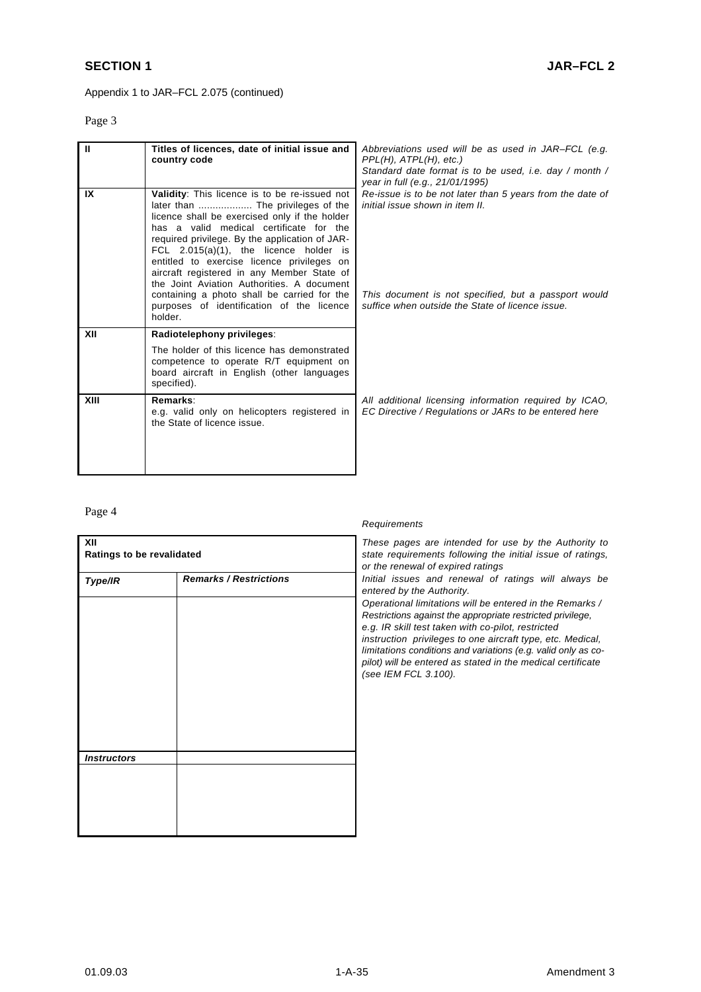Appendix 1 to JAR–FCL 2.075 (continued)

#### Page 3

| $\mathbf{H}$ | Titles of licences, date of initial issue and<br>country code                                                                                                                                                                                                                                                                                                                                                                                                                                                                  | Abbreviations used will be as used in JAR–FCL (e.g.<br>PPL(H), ATPL(H), etc.)<br>Standard date format is to be used, i.e. day / month /<br>year in full (e.g., 21/01/1995)                               |
|--------------|--------------------------------------------------------------------------------------------------------------------------------------------------------------------------------------------------------------------------------------------------------------------------------------------------------------------------------------------------------------------------------------------------------------------------------------------------------------------------------------------------------------------------------|----------------------------------------------------------------------------------------------------------------------------------------------------------------------------------------------------------|
| IX           | Validity: This licence is to be re-issued not<br>later than  The privileges of the<br>licence shall be exercised only if the holder<br>has a valid medical certificate for the<br>required privilege. By the application of JAR-<br>FCL $2.015(a)(1)$ , the licence holder is<br>entitled to exercise licence privileges on<br>aircraft registered in any Member State of<br>the Joint Aviation Authorities. A document<br>containing a photo shall be carried for the<br>purposes of identification of the licence<br>holder. | Re-issue is to be not later than 5 years from the date of<br>initial issue shown in item II.<br>This document is not specified, but a passport would<br>suffice when outside the State of licence issue. |
| XII          | Radiotelephony privileges:                                                                                                                                                                                                                                                                                                                                                                                                                                                                                                     |                                                                                                                                                                                                          |
|              | The holder of this licence has demonstrated<br>competence to operate R/T equipment on<br>board aircraft in English (other languages<br>specified).                                                                                                                                                                                                                                                                                                                                                                             |                                                                                                                                                                                                          |
| XIII         | Remarks:<br>e.g. valid only on helicopters registered in<br>the State of licence issue.                                                                                                                                                                                                                                                                                                                                                                                                                                        | All additional licensing information required by ICAO,<br>EC Directive / Regulations or JARs to be entered here                                                                                          |

#### Page 4

| XII<br>Ratings to be revalidated |                               |  |
|----------------------------------|-------------------------------|--|
| Type/IR                          | <b>Remarks / Restrictions</b> |  |
|                                  |                               |  |
|                                  |                               |  |
|                                  |                               |  |
|                                  |                               |  |
|                                  |                               |  |
|                                  |                               |  |
| <b>Instructors</b>               |                               |  |
|                                  |                               |  |
|                                  |                               |  |
|                                  |                               |  |
|                                  |                               |  |

#### *Requirements*

*These pages are intended for use by the Authority to state requirements following the initial issue of ratings, or the renewal of expired ratings Initial issues and renewal of ratings will always be entered by the Authority. Operational limitations will be entered in the Remarks / Restrictions against the appropriate restricted privilege, e.g. IR skill test taken with co-pilot, restricted instruction privileges to one aircraft type, etc. Medical, limitations conditions and variations (e.g. valid only as copilot) will be entered as stated in the medical certificate (see IEM FCL 3.100).*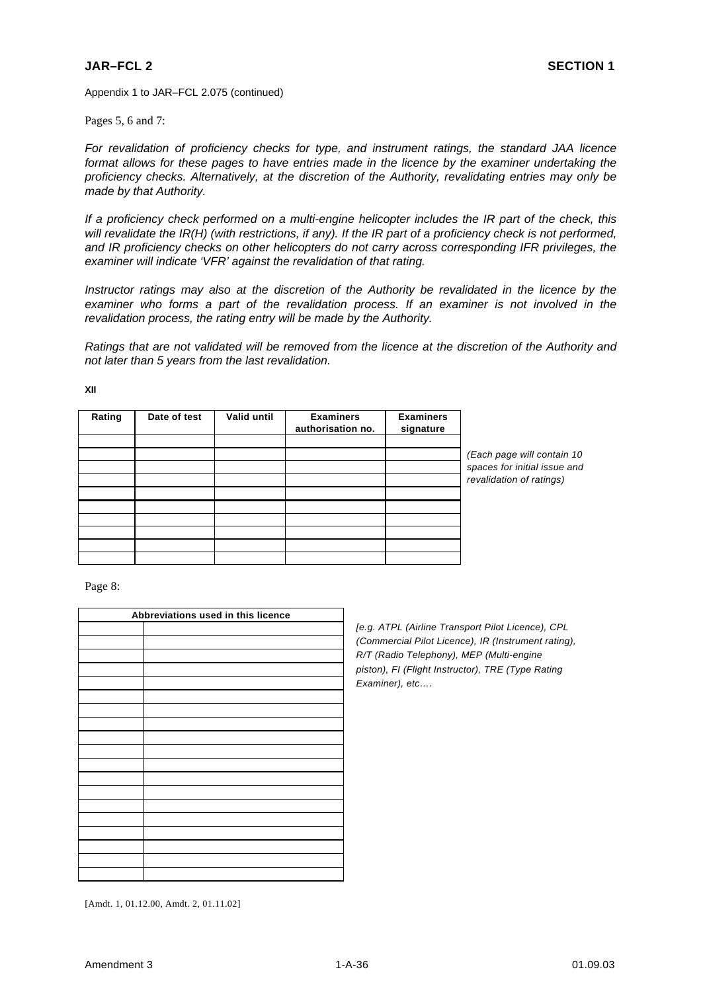# **JAR–FCL 2 SECTION 1**

Appendix 1 to JAR–FCL 2.075 (continued)

Pages 5, 6 and 7:

*For revalidation of proficiency checks for type, and instrument ratings, the standard JAA licence*  format allows for these pages to have entries made in the licence by the examiner undertaking the *proficiency checks. Alternatively, at the discretion of the Authority, revalidating entries may only be made by that Authority.* 

*If a proficiency check performed on a multi-engine helicopter includes the IR part of the check, this will revalidate the IR(H) (with restrictions, if any). If the IR part of a proficiency check is not performed, and IR proficiency checks on other helicopters do not carry across corresponding IFR privileges, the examiner will indicate 'VFR' against the revalidation of that rating.* 

*Instructor ratings may also at the discretion of the Authority be revalidated in the licence by the examiner who forms a part of the revalidation process. If an examiner is not involved in the revalidation process, the rating entry will be made by the Authority.* 

*Ratings that are not validated will be removed from the licence at the discretion of the Authority and not later than 5 years from the last revalidation.* 

| Rating | Date of test | Valid until | <b>Examiners</b><br>authorisation no. | <b>Examiners</b><br>signature |                              |
|--------|--------------|-------------|---------------------------------------|-------------------------------|------------------------------|
|        |              |             |                                       |                               |                              |
|        |              |             |                                       |                               | (Each page will contain 10   |
|        |              |             |                                       |                               | spaces for initial issue and |
|        |              |             |                                       |                               | revalidation of ratings)     |
|        |              |             |                                       |                               |                              |
|        |              |             |                                       |                               |                              |
|        |              |             |                                       |                               |                              |
|        |              |             |                                       |                               |                              |
|        |              |             |                                       |                               |                              |
|        |              |             |                                       |                               |                              |

**XII**

Page 8:

| Abbreviations used in this licence |  |  |
|------------------------------------|--|--|
|                                    |  |  |
|                                    |  |  |
|                                    |  |  |
|                                    |  |  |
|                                    |  |  |
|                                    |  |  |
|                                    |  |  |
|                                    |  |  |
|                                    |  |  |
|                                    |  |  |
|                                    |  |  |
|                                    |  |  |
|                                    |  |  |
|                                    |  |  |
|                                    |  |  |
|                                    |  |  |
|                                    |  |  |
|                                    |  |  |
|                                    |  |  |
|                                    |  |  |

*[e.g. ATPL (Airline Transport Pilot Licence), CPL (Commercial Pilot Licence), IR (Instrument rating), R/T (Radio Telephony), MEP (Multi-engine piston), FI (Flight Instructor), TRE (Type Rating Examiner), etc….*

[Amdt. 1, 01.12.00, Amdt. 2, 01.11.02]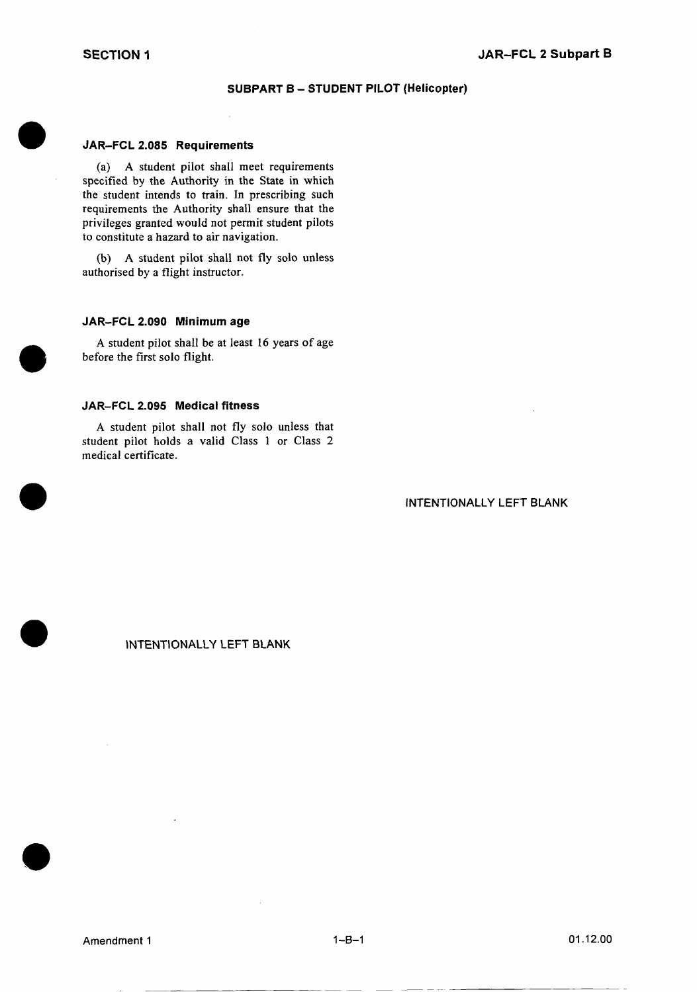### **SUBPART B** - **STUDENT PILOT (Helicopter)**

#### *0* **JAR-FCL 2.085 Requirements**

(a) A student pilot shall meet requirements specified by the Authority in the State in which the student intends to train. In prescribing such requirements the Authority shall ensure that the privileges granted would not permit student pilots to constitute a hazard to air navigation.

A student pilot shall not **fly** solo unless (b) authorised by a flight instructor.

#### **JAR-FCL 2.090 Minimum age**

A student pilot shall be at least 16 years of age **6** before the first solo flight.

#### **JAR-FCL 2.095 Medical fitness**

A student pilot shall not fly solo unless that student pilot holds a valid Class 1 or Class 2 medical certificate.

#### INTENTIONALLY LEFT BLANK

#### INTENTIONALLY LEFT BLANK

Amendment 1 **1-6-1** 01.12.00

~~ ~~ - ~ ~~

-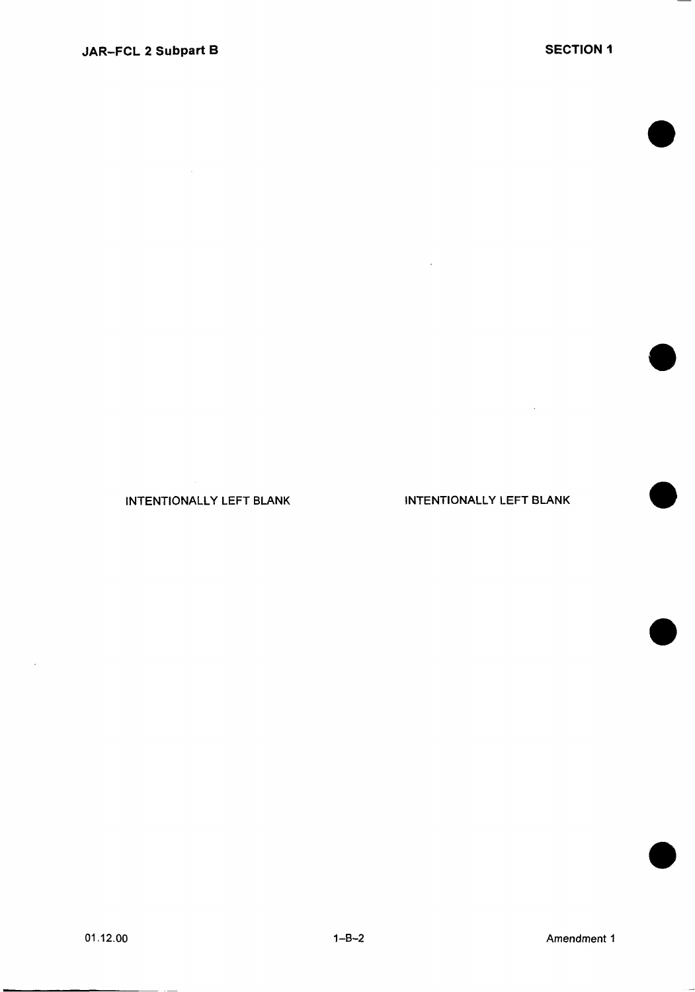-

 $\sim$ 

# **INTENTIONALLY LEFT BLANK**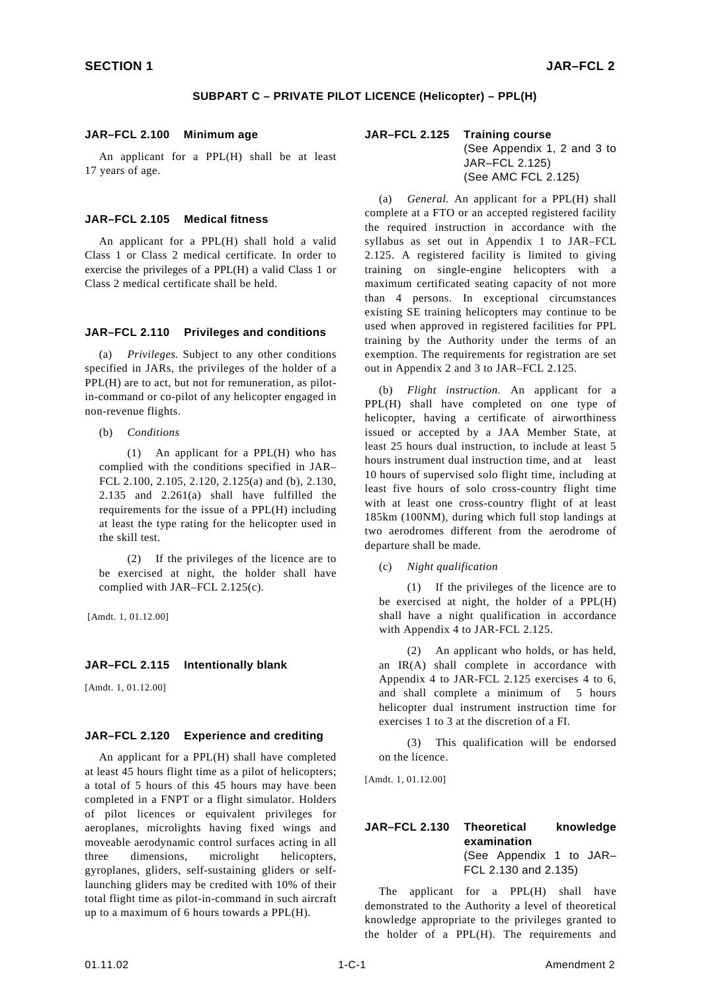#### **SUBPART C – PRIVATE PILOT LICENCE (Helicopter) – PPL(H)**

#### **JAR–FCL 2.100 Minimum age**

An applicant for a PPL(H) shall be at least 17 years of age.

#### **JAR–FCL 2.105 Medical fitness**

An applicant for a PPL(H) shall hold a valid Class 1 or Class 2 medical certificate. In order to exercise the privileges of a PPL(H) a valid Class 1 or Class 2 medical certificate shall be held.

#### **JAR–FCL 2.110 Privileges and conditions**

(a) *Privileges.* Subject to any other conditions specified in JARs, the privileges of the holder of a PPL(H) are to act, but not for remuneration, as pilotin-command or co-pilot of any helicopter engaged in non-revenue flights.

(b) *Conditions*

(1) An applicant for a PPL(H) who has complied with the conditions specified in JAR– FCL 2.100, 2.105, 2.120, 2.125(a) and (b), 2.130, 2.135 and 2.261(a) shall have fulfilled the requirements for the issue of a PPL(H) including at least the type rating for the helicopter used in the skill test.

(2) If the privileges of the licence are to be exercised at night, the holder shall have complied with JAR–FCL 2.125(c).

[Amdt. 1, 01.12.00]

#### **JAR–FCL 2.115 Intentionally blank**

[Amdt. 1, 01.12.00]

#### **JAR–FCL 2.120 Experience and crediting**

An applicant for a PPL(H) shall have completed at least 45 hours flight time as a pilot of helicopters; a total of 5 hours of this 45 hours may have been completed in a FNPT or a flight simulator. Holders of pilot licences or equivalent privileges for aeroplanes, microlights having fixed wings and moveable aerodynamic control surfaces acting in all three dimensions, microlight helicopters, gyroplanes, gliders, self-sustaining gliders or selflaunching gliders may be credited with 10% of their total flight time as pilot-in-command in such aircraft up to a maximum of 6 hours towards a PPL(H).

## **JAR–FCL 2.125 Training course** (See Appendix 1, 2 and 3 to

JAR–FCL 2.125) (See AMC FCL 2.125)

(a) *General.* An applicant for a PPL(H) shall complete at a FTO or an accepted registered facility the required instruction in accordance with the syllabus as set out in Appendix 1 to JAR–FCL 2.125. A registered facility is limited to giving training on single-engine helicopters with a maximum certificated seating capacity of not more than 4 persons. In exceptional circumstances existing SE training helicopters may continue to be used when approved in registered facilities for PPL training by the Authority under the terms of an exemption. The requirements for registration are set out in Appendix 2 and 3 to JAR–FCL 2.125.

(b) *Flight instruction.* An applicant for a PPL(H) shall have completed on one type of helicopter, having a certificate of airworthiness issued or accepted by a JAA Member State, at least 25 hours dual instruction, to include at least 5 hours instrument dual instruction time, and at least 10 hours of supervised solo flight time, including at least five hours of solo cross-country flight time with at least one cross-country flight of at least 185km (100NM), during which full stop landings at two aerodromes different from the aerodrome of departure shall be made.

(c) *Night qualification*

(1) If the privileges of the licence are to be exercised at night, the holder of a PPL(H) shall have a night qualification in accordance with Appendix 4 to JAR-FCL 2.125.

(2) An applicant who holds, or has held, an  $IR(A)$  shall complete in accordance with Appendix 4 to JAR-FCL 2.125 exercises 4 to 6, and shall complete a minimum of 5 hours helicopter dual instrument instruction time for exercises 1 to 3 at the discretion of a FI.

(3) This qualification will be endorsed on the licence.

[Amdt. 1, 01.12.00]

#### **JAR–FCL 2.130 Theoretical knowledge examination** (See Appendix 1 to JAR– FCL 2.130 and 2.135)

The applicant for a PPL(H) shall have demonstrated to the Authority a level of theoretical knowledge appropriate to the privileges granted to the holder of a PPL(H). The requirements and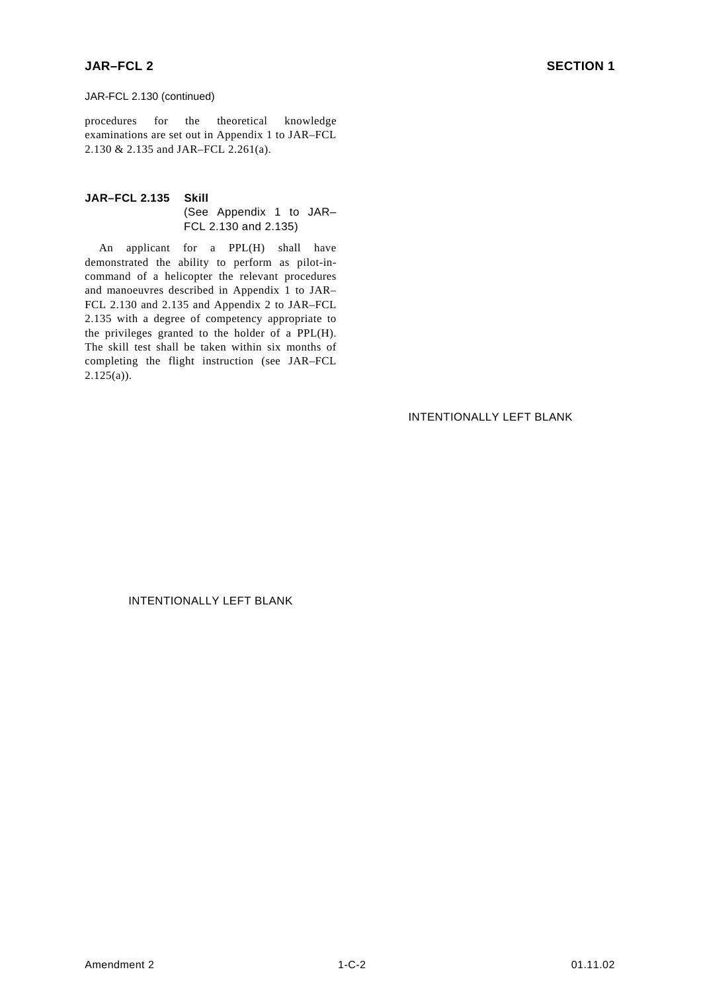# JAR-FCL 2.130 (continued)

procedures for the theoretical knowledge examinations are set out in Appendix 1 to JAR–FCL 2.130 & 2.135 and JAR–FCL 2.261(a).

#### **JAR–FCL 2.135 Skill** (See Appendix 1 to JAR– FCL 2.130 and 2.135)

An applicant for a PPL(H) shall have demonstrated the ability to perform as pilot-incommand of a helicopter the relevant procedures and manoeuvres described in Appendix 1 to JAR– FCL 2.130 and 2.135 and Appendix 2 to JAR–FCL 2.135 with a degree of competency appropriate to the privileges granted to the holder of a PPL(H). The skill test shall be taken within six months of completing the flight instruction (see JAR–FCL  $2.125(a)$ ).

INTENTIONALLY LEFT BLANK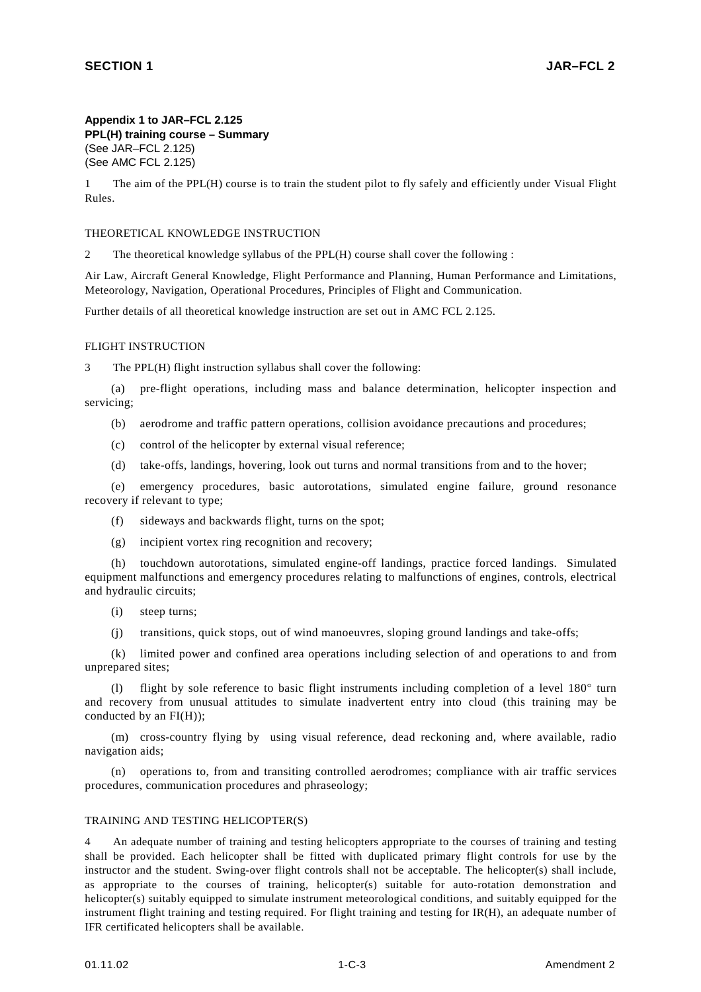**Appendix 1 to JAR–FCL 2.125 PPL(H) training course – Summary** (See JAR–FCL 2.125) (See AMC FCL 2.125)

1 The aim of the PPL(H) course is to train the student pilot to fly safely and efficiently under Visual Flight Rules.

#### THEORETICAL KNOWLEDGE INSTRUCTION

2 The theoretical knowledge syllabus of the PPL(H) course shall cover the following :

Air Law, Aircraft General Knowledge, Flight Performance and Planning, Human Performance and Limitations, Meteorology, Navigation, Operational Procedures, Principles of Flight and Communication.

Further details of all theoretical knowledge instruction are set out in AMC FCL 2.125.

#### FLIGHT INSTRUCTION

3 The PPL(H) flight instruction syllabus shall cover the following:

(a) pre-flight operations, including mass and balance determination, helicopter inspection and servicing;

- (b) aerodrome and traffic pattern operations, collision avoidance precautions and procedures;
- (c) control of the helicopter by external visual reference;
- (d) take-offs, landings, hovering, look out turns and normal transitions from and to the hover;

(e) emergency procedures, basic autorotations, simulated engine failure, ground resonance recovery if relevant to type;

- (f) sideways and backwards flight, turns on the spot;
- (g) incipient vortex ring recognition and recovery;

(h) touchdown autorotations, simulated engine-off landings, practice forced landings. Simulated equipment malfunctions and emergency procedures relating to malfunctions of engines, controls, electrical and hydraulic circuits;

- (i) steep turns;
- (j) transitions, quick stops, out of wind manoeuvres, sloping ground landings and take-offs;

(k) limited power and confined area operations including selection of and operations to and from unprepared sites;

(l) flight by sole reference to basic flight instruments including completion of a level 180° turn and recovery from unusual attitudes to simulate inadvertent entry into cloud (this training may be conducted by an  $FI(H)$ );

(m) cross-country flying by using visual reference, dead reckoning and, where available, radio navigation aids;

(n) operations to, from and transiting controlled aerodromes; compliance with air traffic services procedures, communication procedures and phraseology;

#### TRAINING AND TESTING HELICOPTER(S)

4 An adequate number of training and testing helicopters appropriate to the courses of training and testing shall be provided. Each helicopter shall be fitted with duplicated primary flight controls for use by the instructor and the student. Swing-over flight controls shall not be acceptable. The helicopter(s) shall include, as appropriate to the courses of training, helicopter(s) suitable for auto-rotation demonstration and helicopter(s) suitably equipped to simulate instrument meteorological conditions, and suitably equipped for the instrument flight training and testing required. For flight training and testing for IR(H), an adequate number of IFR certificated helicopters shall be available.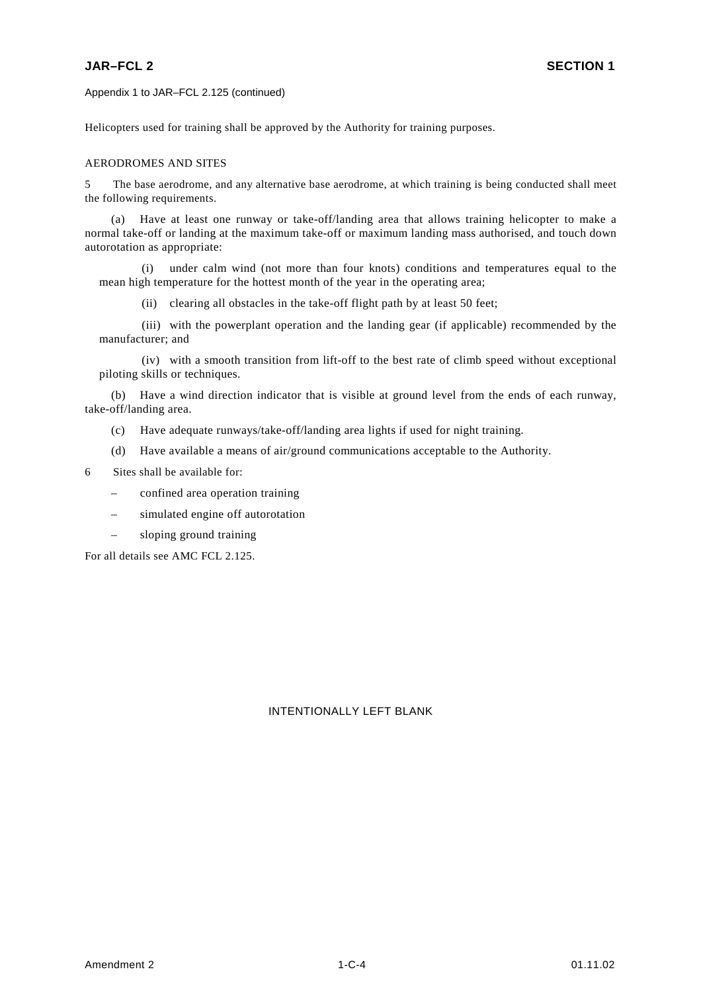# **JAR–FCL 2 SECTION 1**

Appendix 1 to JAR–FCL 2.125 (continued)

Helicopters used for training shall be approved by the Authority for training purposes.

#### AERODROMES AND SITES

5 The base aerodrome, and any alternative base aerodrome, at which training is being conducted shall meet the following requirements.

(a) Have at least one runway or take-off/landing area that allows training helicopter to make a normal take-off or landing at the maximum take-off or maximum landing mass authorised, and touch down autorotation as appropriate:

(i) under calm wind (not more than four knots) conditions and temperatures equal to the mean high temperature for the hottest month of the year in the operating area;

(ii) clearing all obstacles in the take-off flight path by at least 50 feet;

(iii) with the powerplant operation and the landing gear (if applicable) recommended by the manufacturer; and

(iv) with a smooth transition from lift-off to the best rate of climb speed without exceptional piloting skills or techniques.

(b) Have a wind direction indicator that is visible at ground level from the ends of each runway, take-off/landing area.

- (c) Have adequate runways/take-off/landing area lights if used for night training.
- (d) Have available a means of air/ground communications acceptable to the Authority.
- 6 Sites shall be available for:
	- confined area operation training
	- simulated engine off autorotation
		- sloping ground training

For all details see AMC FCL 2.125.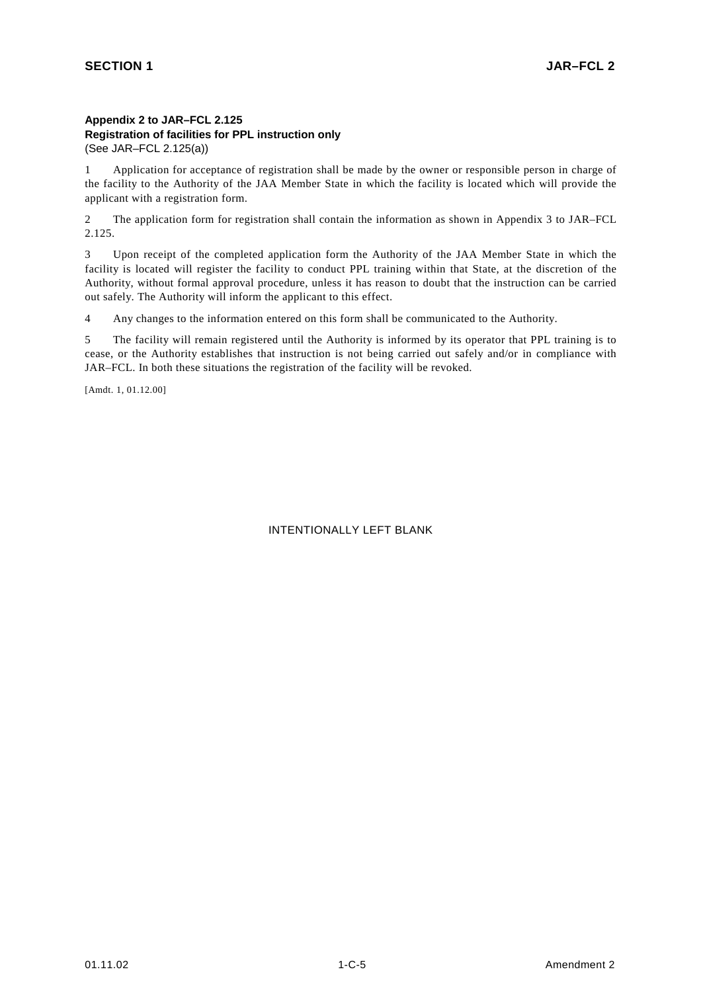### **Appendix 2 to JAR–FCL 2.125 Registration of facilities for PPL instruction only** (See JAR–FCL 2.125(a))

1 Application for acceptance of registration shall be made by the owner or responsible person in charge of the facility to the Authority of the JAA Member State in which the facility is located which will provide the applicant with a registration form.

2 The application form for registration shall contain the information as shown in Appendix 3 to JAR–FCL 2.125.

3 Upon receipt of the completed application form the Authority of the JAA Member State in which the facility is located will register the facility to conduct PPL training within that State, at the discretion of the Authority, without formal approval procedure, unless it has reason to doubt that the instruction can be carried out safely. The Authority will inform the applicant to this effect.

4 Any changes to the information entered on this form shall be communicated to the Authority.

5 The facility will remain registered until the Authority is informed by its operator that PPL training is to cease, or the Authority establishes that instruction is not being carried out safely and/or in compliance with JAR–FCL. In both these situations the registration of the facility will be revoked.

[Amdt. 1, 01.12.00]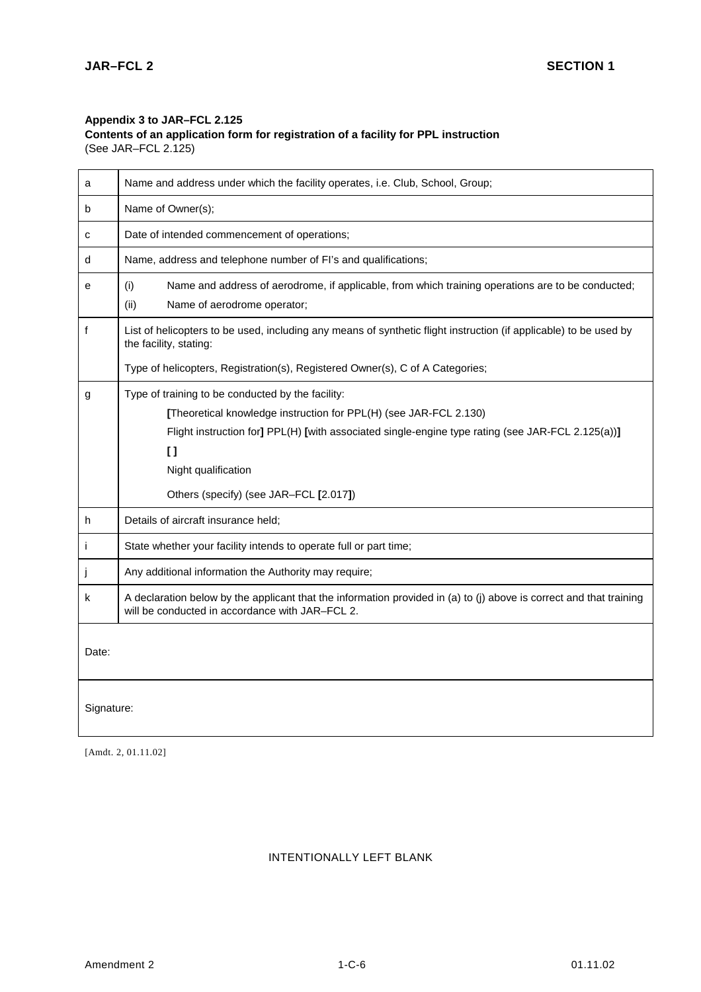# **Appendix 3 to JAR–FCL 2.125 Contents of an application form for registration of a facility for PPL instruction** (See JAR–FCL 2.125)

| a          | Name and address under which the facility operates, i.e. Club, School, Group;                                                                                                                                                                                                                     |  |
|------------|---------------------------------------------------------------------------------------------------------------------------------------------------------------------------------------------------------------------------------------------------------------------------------------------------|--|
| b          | Name of Owner(s);                                                                                                                                                                                                                                                                                 |  |
| с          | Date of intended commencement of operations;                                                                                                                                                                                                                                                      |  |
| d          | Name, address and telephone number of FI's and qualifications;                                                                                                                                                                                                                                    |  |
| e          | Name and address of aerodrome, if applicable, from which training operations are to be conducted;<br>(i)<br>(ii)<br>Name of aerodrome operator;                                                                                                                                                   |  |
| f          | List of helicopters to be used, including any means of synthetic flight instruction (if applicable) to be used by<br>the facility, stating:                                                                                                                                                       |  |
|            | Type of helicopters, Registration(s), Registered Owner(s), C of A Categories;                                                                                                                                                                                                                     |  |
| g          | Type of training to be conducted by the facility:<br>[Theoretical knowledge instruction for PPL(H) (see JAR-FCL 2.130)<br>Flight instruction for] PPL(H) [with associated single-engine type rating (see JAR-FCL 2.125(a))]<br>H<br>Night qualification<br>Others (specify) (see JAR-FCL [2.017]) |  |
| h          | Details of aircraft insurance held;                                                                                                                                                                                                                                                               |  |
| j.         | State whether your facility intends to operate full or part time;                                                                                                                                                                                                                                 |  |
| J          | Any additional information the Authority may require;                                                                                                                                                                                                                                             |  |
| k          | A declaration below by the applicant that the information provided in (a) to (j) above is correct and that training<br>will be conducted in accordance with JAR-FCL 2.                                                                                                                            |  |
| Date:      |                                                                                                                                                                                                                                                                                                   |  |
| Signature: |                                                                                                                                                                                                                                                                                                   |  |

[Amdt. 2, 01.11.02]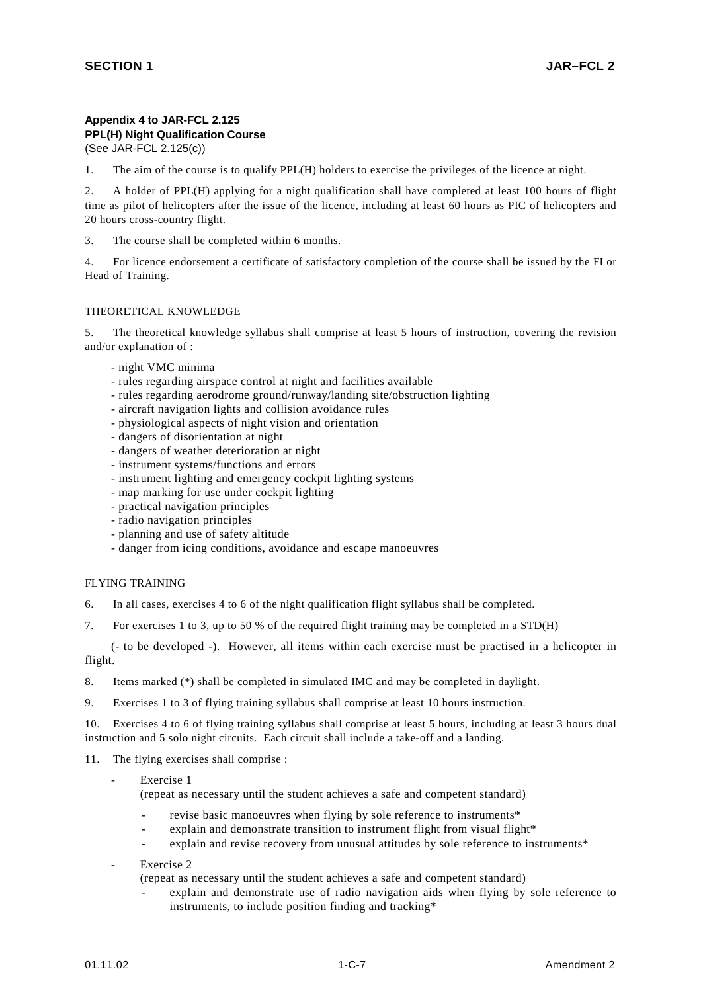#### **Appendix 4 to JAR-FCL 2.125 PPL(H) Night Qualification Course** (See JAR-FCL 2.125(c))

1. The aim of the course is to qualify PPL(H) holders to exercise the privileges of the licence at night.

2. A holder of PPL(H) applying for a night qualification shall have completed at least 100 hours of flight time as pilot of helicopters after the issue of the licence, including at least 60 hours as PIC of helicopters and 20 hours cross-country flight.

3. The course shall be completed within 6 months.

4. For licence endorsement a certificate of satisfactory completion of the course shall be issued by the FI or Head of Training.

### THEORETICAL KNOWLEDGE

5. The theoretical knowledge syllabus shall comprise at least 5 hours of instruction, covering the revision and/or explanation of :

- night VMC minima
- rules regarding airspace control at night and facilities available
- rules regarding aerodrome ground/runway/landing site/obstruction lighting
- aircraft navigation lights and collision avoidance rules
- physiological aspects of night vision and orientation
- dangers of disorientation at night
- dangers of weather deterioration at night
- instrument systems/functions and errors
- instrument lighting and emergency cockpit lighting systems
- map marking for use under cockpit lighting
- practical navigation principles
- radio navigation principles
- planning and use of safety altitude
- danger from icing conditions, avoidance and escape manoeuvres

#### FLYING TRAINING

6. In all cases, exercises 4 to 6 of the night qualification flight syllabus shall be completed.

7. For exercises 1 to 3, up to 50 % of the required flight training may be completed in a STD(H)

(- to be developed -). However, all items within each exercise must be practised in a helicopter in flight.

- 8. Items marked (\*) shall be completed in simulated IMC and may be completed in daylight.
- 9. Exercises 1 to 3 of flying training syllabus shall comprise at least 10 hours instruction.

10. Exercises 4 to 6 of flying training syllabus shall comprise at least 5 hours, including at least 3 hours dual instruction and 5 solo night circuits. Each circuit shall include a take-off and a landing.

11. The flying exercises shall comprise :

#### Exercise 1

(repeat as necessary until the student achieves a safe and competent standard)

- revise basic manoeuvres when flying by sole reference to instruments\*
- explain and demonstrate transition to instrument flight from visual flight\*
- explain and revise recovery from unusual attitudes by sole reference to instruments\*
- Exercise 2
	- (repeat as necessary until the student achieves a safe and competent standard)
	- explain and demonstrate use of radio navigation aids when flying by sole reference to instruments, to include position finding and tracking\*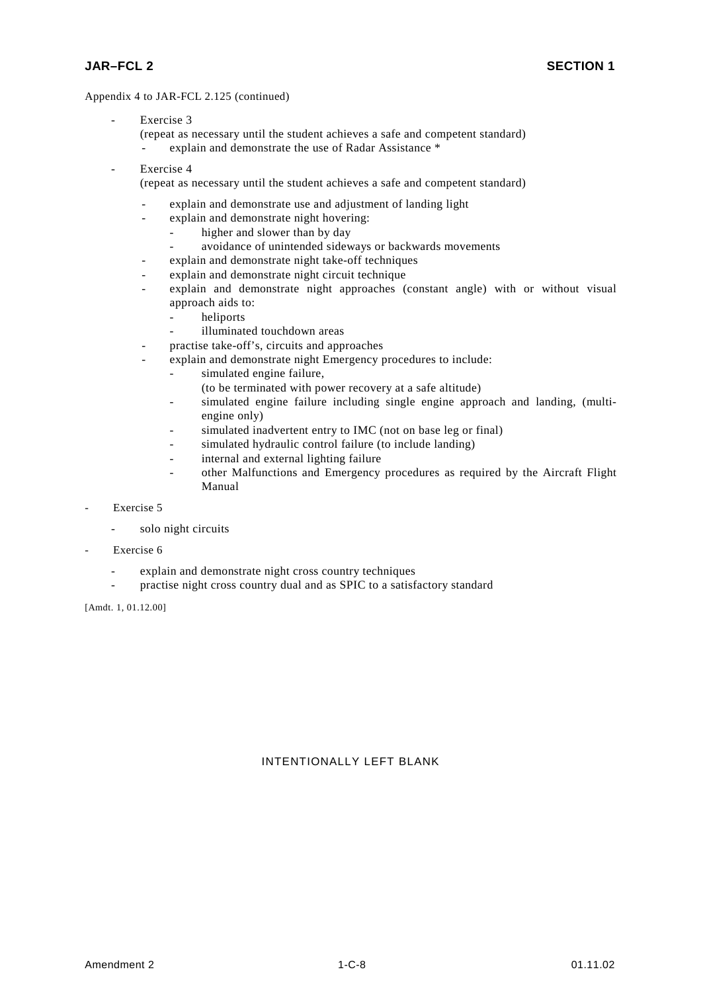# **JAR–FCL 2 SECTION 1**

Appendix 4 to JAR-FCL 2.125 (continued)

Exercise 3

(repeat as necessary until the student achieves a safe and competent standard)

- explain and demonstrate the use of Radar Assistance \*
- Exercise 4

(repeat as necessary until the student achieves a safe and competent standard)

- explain and demonstrate use and adjustment of landing light
- explain and demonstrate night hovering:
	- higher and slower than by day
	- avoidance of unintended sideways or backwards movements
- explain and demonstrate night take-off techniques
- explain and demonstrate night circuit technique
- explain and demonstrate night approaches (constant angle) with or without visual approach aids to:
	- heliports
	- illuminated touchdown areas
	- practise take-off's, circuits and approaches
- explain and demonstrate night Emergency procedures to include:
	- simulated engine failure.
	- (to be terminated with power recovery at a safe altitude)
	- simulated engine failure including single engine approach and landing, (multiengine only)
	- simulated inadvertent entry to IMC (not on base leg or final)
	- simulated hydraulic control failure (to include landing)
	- internal and external lighting failure
	- other Malfunctions and Emergency procedures as required by the Aircraft Flight Manual
- Exercise 5
	- solo night circuits
- Exercise 6
	- explain and demonstrate night cross country techniques
	- practise night cross country dual and as SPIC to a satisfactory standard

[Amdt. 1, 01.12.00]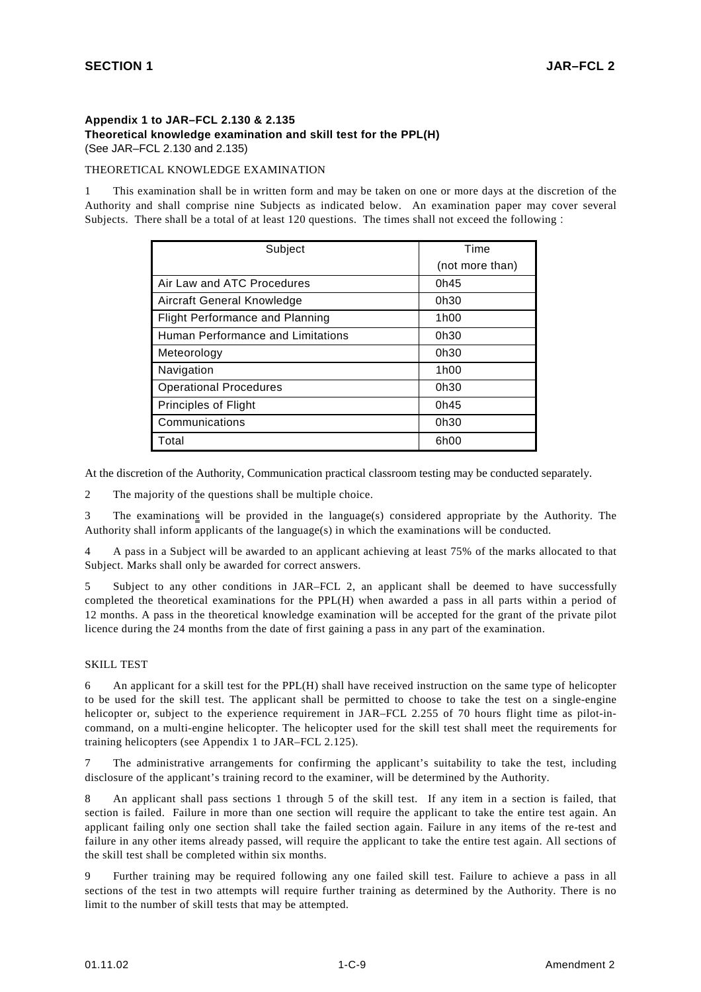#### **Appendix 1 to JAR–FCL 2.130 & 2.135 Theoretical knowledge examination and skill test for the PPL(H)** (See JAR–FCL 2.130 and 2.135)

#### THEORETICAL KNOWLEDGE EXAMINATION

1 This examination shall be in written form and may be taken on one or more days at the discretion of the Authority and shall comprise nine Subjects as indicated below. An examination paper may cover several Subjects. There shall be a total of at least 120 questions. The times shall not exceed the following :

| Subject                                | Time              |
|----------------------------------------|-------------------|
|                                        | (not more than)   |
| Air Law and ATC Procedures             | 0h45              |
| Aircraft General Knowledge             | 0h30              |
| <b>Flight Performance and Planning</b> | 1 <sub>h</sub> 00 |
| Human Performance and Limitations      | 0h30              |
| Meteorology                            | 0h30              |
| Navigation                             | 1 <sub>h</sub> 00 |
| <b>Operational Procedures</b>          | 0h30              |
| <b>Principles of Flight</b>            | 0h45              |
| Communications                         | 0h30              |
| Total                                  | 6h00              |

At the discretion of the Authority, Communication practical classroom testing may be conducted separately.

2 The majority of the questions shall be multiple choice.

3 The examinations will be provided in the language(s) considered appropriate by the Authority. The Authority shall inform applicants of the language(s) in which the examinations will be conducted.

4 A pass in a Subject will be awarded to an applicant achieving at least 75% of the marks allocated to that Subject. Marks shall only be awarded for correct answers.

5 Subject to any other conditions in JAR–FCL 2, an applicant shall be deemed to have successfully completed the theoretical examinations for the PPL(H) when awarded a pass in all parts within a period of 12 months. A pass in the theoretical knowledge examination will be accepted for the grant of the private pilot licence during the 24 months from the date of first gaining a pass in any part of the examination.

#### SKILL TEST

6 An applicant for a skill test for the PPL(H) shall have received instruction on the same type of helicopter to be used for the skill test. The applicant shall be permitted to choose to take the test on a single-engine helicopter or, subject to the experience requirement in JAR–FCL 2.255 of 70 hours flight time as pilot-incommand, on a multi-engine helicopter. The helicopter used for the skill test shall meet the requirements for training helicopters (see Appendix 1 to JAR–FCL 2.125).

7 The administrative arrangements for confirming the applicant's suitability to take the test, including disclosure of the applicant's training record to the examiner, will be determined by the Authority.

8 An applicant shall pass sections 1 through 5 of the skill test. If any item in a section is failed, that section is failed. Failure in more than one section will require the applicant to take the entire test again. An applicant failing only one section shall take the failed section again. Failure in any items of the re-test and failure in any other items already passed, will require the applicant to take the entire test again. All sections of the skill test shall be completed within six months.

9 Further training may be required following any one failed skill test. Failure to achieve a pass in all sections of the test in two attempts will require further training as determined by the Authority. There is no limit to the number of skill tests that may be attempted.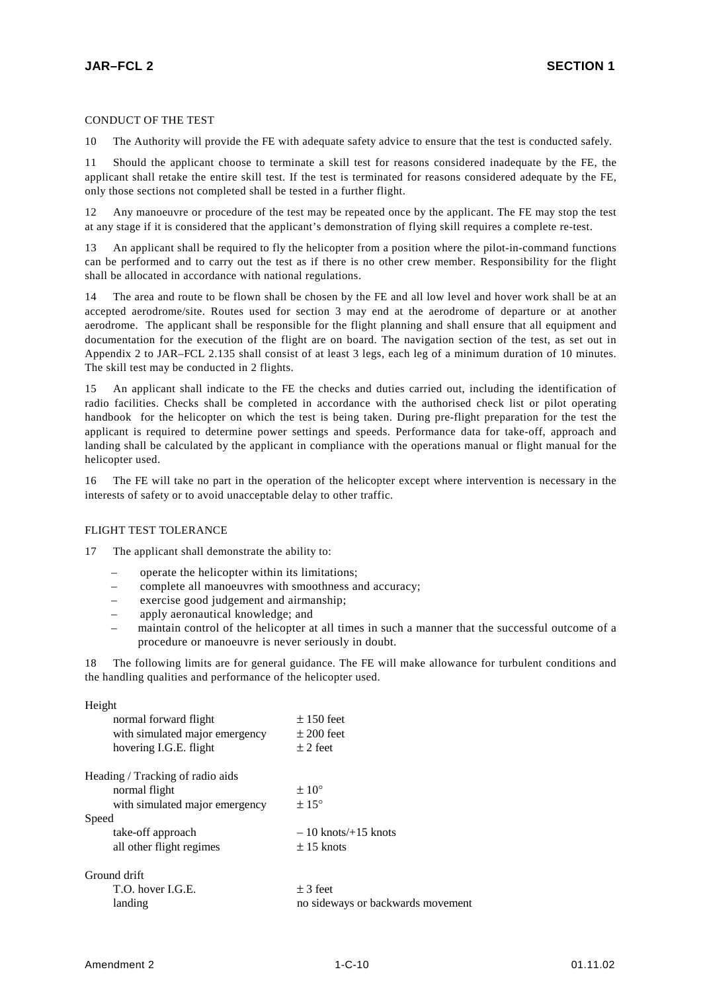#### CONDUCT OF THE TEST

10 The Authority will provide the FE with adequate safety advice to ensure that the test is conducted safely.

11 Should the applicant choose to terminate a skill test for reasons considered inadequate by the FE, the applicant shall retake the entire skill test. If the test is terminated for reasons considered adequate by the FE, only those sections not completed shall be tested in a further flight.

12 Any manoeuvre or procedure of the test may be repeated once by the applicant. The FE may stop the test at any stage if it is considered that the applicant's demonstration of flying skill requires a complete re-test.

13 An applicant shall be required to fly the helicopter from a position where the pilot-in-command functions can be performed and to carry out the test as if there is no other crew member. Responsibility for the flight shall be allocated in accordance with national regulations.

14 The area and route to be flown shall be chosen by the FE and all low level and hover work shall be at an accepted aerodrome/site. Routes used for section 3 may end at the aerodrome of departure or at another aerodrome. The applicant shall be responsible for the flight planning and shall ensure that all equipment and documentation for the execution of the flight are on board. The navigation section of the test, as set out in Appendix 2 to JAR–FCL 2.135 shall consist of at least 3 legs, each leg of a minimum duration of 10 minutes. The skill test may be conducted in 2 flights.

15 An applicant shall indicate to the FE the checks and duties carried out, including the identification of radio facilities. Checks shall be completed in accordance with the authorised check list or pilot operating handbook for the helicopter on which the test is being taken. During pre-flight preparation for the test the applicant is required to determine power settings and speeds. Performance data for take-off, approach and landing shall be calculated by the applicant in compliance with the operations manual or flight manual for the helicopter used.

16 The FE will take no part in the operation of the helicopter except where intervention is necessary in the interests of safety or to avoid unacceptable delay to other traffic.

#### FLIGHT TEST TOLERANCE

17 The applicant shall demonstrate the ability to:

- operate the helicopter within its limitations;
- complete all manoeuvres with smoothness and accuracy;
- exercise good judgement and airmanship;
- apply aeronautical knowledge; and
- maintain control of the helicopter at all times in such a manner that the successful outcome of a procedure or manoeuvre is never seriously in doubt.

18 The following limits are for general guidance. The FE will make allowance for turbulent conditions and the handling qualities and performance of the helicopter used.

| TIVIKIIL                         |                                   |
|----------------------------------|-----------------------------------|
| normal forward flight            | $\pm$ 150 feet                    |
| with simulated major emergency   | $\pm 200$ feet                    |
| hovering I.G.E. flight           | $\pm 2$ feet                      |
| Heading / Tracking of radio aids |                                   |
| normal flight                    | $\pm 10^{\circ}$                  |
| with simulated major emergency   | $+15^{\circ}$                     |
| Speed                            |                                   |
| take-off approach                | $-10$ knots/ $+15$ knots          |
| all other flight regimes         | $\pm$ 15 knots                    |
| Ground drift                     |                                   |
| T.O. hover I.G.E.                | $\pm$ 3 feet                      |
| landing                          | no sideways or backwards movement |
|                                  |                                   |

Height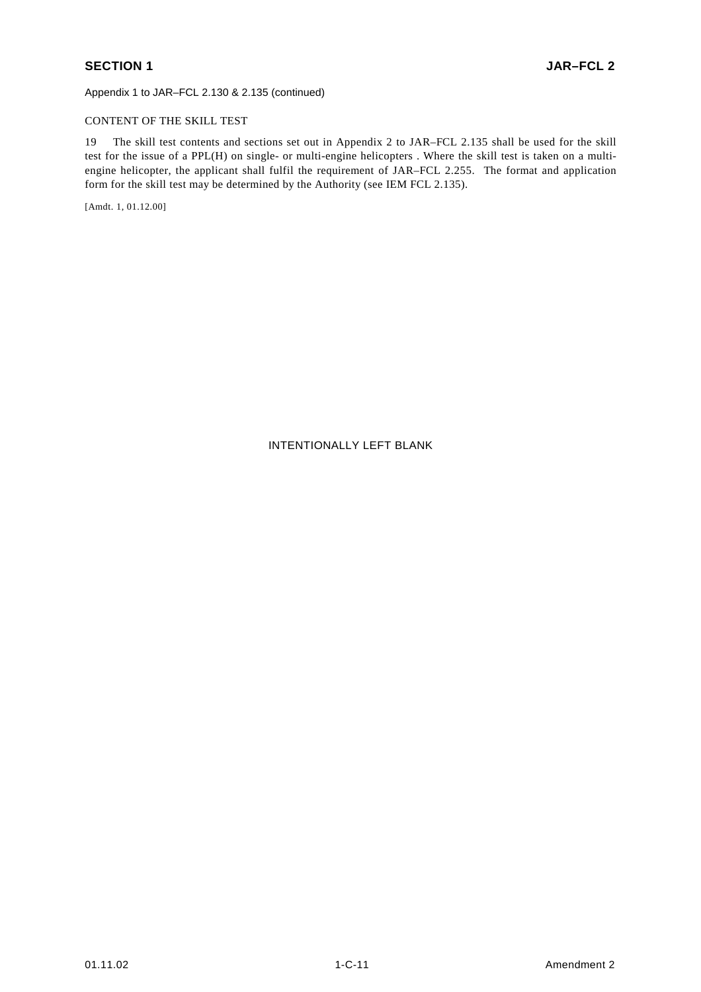Appendix 1 to JAR–FCL 2.130 & 2.135 (continued)

### CONTENT OF THE SKILL TEST

19 The skill test contents and sections set out in Appendix 2 to JAR–FCL 2.135 shall be used for the skill test for the issue of a PPL(H) on single- or multi-engine helicopters . Where the skill test is taken on a multiengine helicopter, the applicant shall fulfil the requirement of JAR–FCL 2.255. The format and application form for the skill test may be determined by the Authority (see IEM FCL 2.135).

[Amdt. 1, 01.12.00]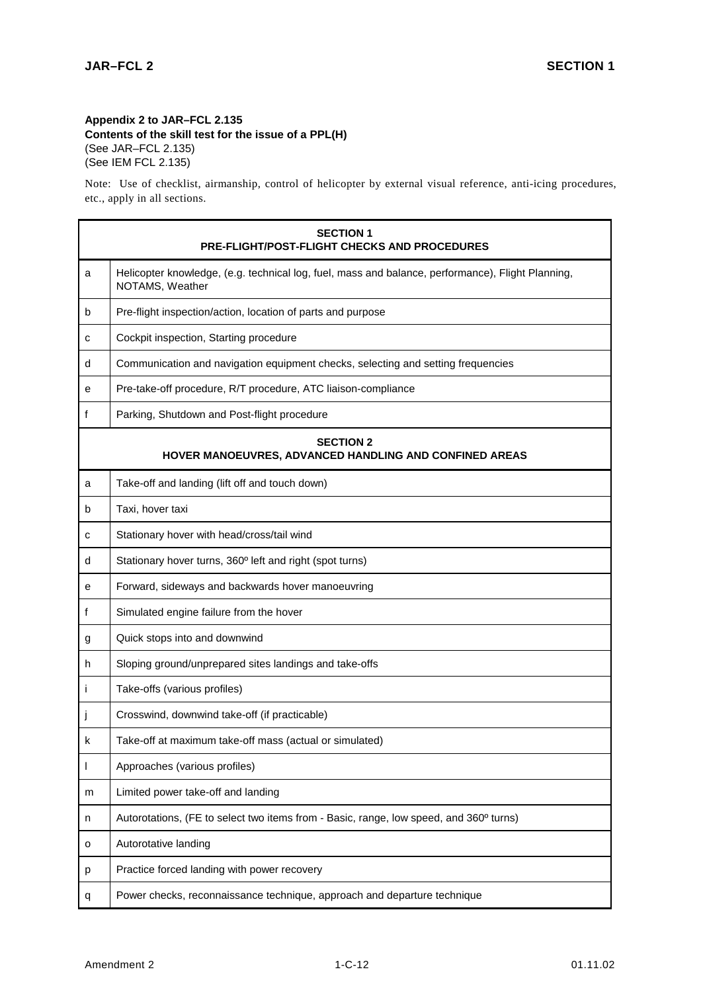### **Appendix 2 to JAR–FCL 2.135 Contents of the skill test for the issue of a PPL(H)** (See JAR–FCL 2.135) (See IEM FCL 2.135)

Note: Use of checklist, airmanship, control of helicopter by external visual reference, anti-icing procedures, etc., apply in all sections.

|                                                                            | <b>SECTION 1</b><br><b>PRE-FLIGHT/POST-FLIGHT CHECKS AND PROCEDURES</b>                                              |  |  |
|----------------------------------------------------------------------------|----------------------------------------------------------------------------------------------------------------------|--|--|
| a                                                                          | Helicopter knowledge, (e.g. technical log, fuel, mass and balance, performance), Flight Planning,<br>NOTAMS, Weather |  |  |
| $\mathsf b$                                                                | Pre-flight inspection/action, location of parts and purpose                                                          |  |  |
| C                                                                          | Cockpit inspection, Starting procedure                                                                               |  |  |
| d                                                                          | Communication and navigation equipment checks, selecting and setting frequencies                                     |  |  |
| e                                                                          | Pre-take-off procedure, R/T procedure, ATC liaison-compliance                                                        |  |  |
| f                                                                          | Parking, Shutdown and Post-flight procedure                                                                          |  |  |
| <b>SECTION 2</b><br>HOVER MANOEUVRES, ADVANCED HANDLING AND CONFINED AREAS |                                                                                                                      |  |  |
| a                                                                          | Take-off and landing (lift off and touch down)                                                                       |  |  |
| b                                                                          | Taxi, hover taxi                                                                                                     |  |  |
| с                                                                          | Stationary hover with head/cross/tail wind                                                                           |  |  |
| d                                                                          | Stationary hover turns, 360° left and right (spot turns)                                                             |  |  |
| e                                                                          | Forward, sideways and backwards hover manoeuvring                                                                    |  |  |
| f                                                                          | Simulated engine failure from the hover                                                                              |  |  |
| g                                                                          | Quick stops into and downwind                                                                                        |  |  |
| h                                                                          | Sloping ground/unprepared sites landings and take-offs                                                               |  |  |
| i                                                                          | Take-offs (various profiles)                                                                                         |  |  |
| j                                                                          | Crosswind, downwind take-off (if practicable)                                                                        |  |  |
| k                                                                          | Take-off at maximum take-off mass (actual or simulated)                                                              |  |  |
| I                                                                          | Approaches (various profiles)                                                                                        |  |  |
| m                                                                          | Limited power take-off and landing                                                                                   |  |  |
| n                                                                          | Autorotations, (FE to select two items from - Basic, range, low speed, and 360° turns)                               |  |  |
| o                                                                          | Autorotative landing                                                                                                 |  |  |
| p                                                                          | Practice forced landing with power recovery                                                                          |  |  |
| q                                                                          | Power checks, reconnaissance technique, approach and departure technique                                             |  |  |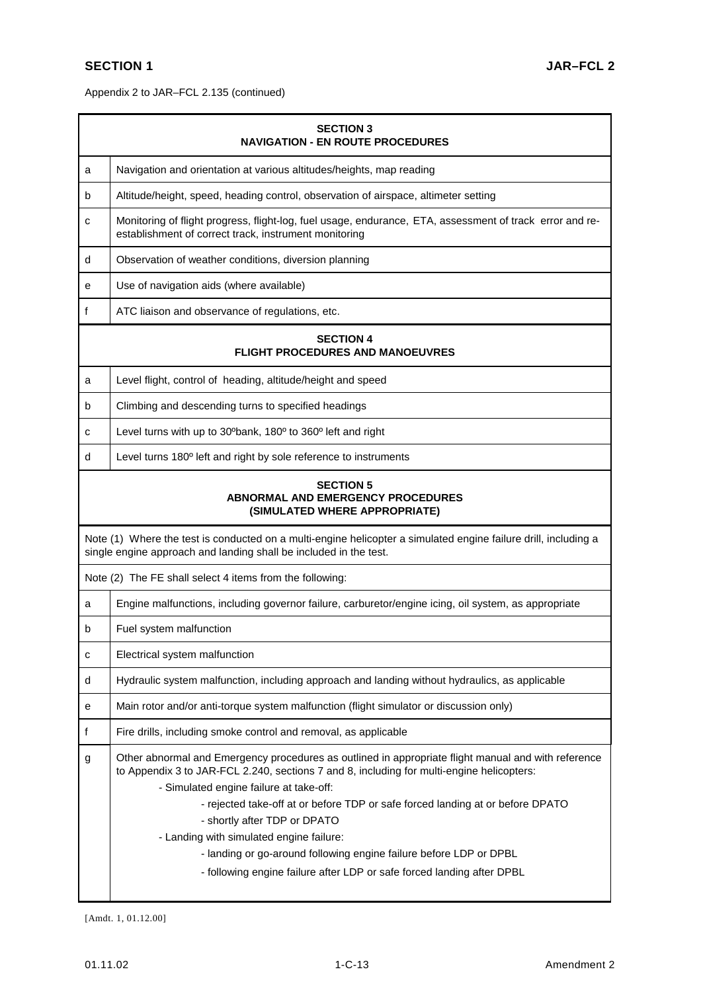Appendix 2 to JAR–FCL 2.135 (continued)

| <b>SECTION 3</b><br><b>NAVIGATION - EN ROUTE PROCEDURES</b> |                                                                                                                                                                                                                                                                                                                                                                                                           |  |  |
|-------------------------------------------------------------|-----------------------------------------------------------------------------------------------------------------------------------------------------------------------------------------------------------------------------------------------------------------------------------------------------------------------------------------------------------------------------------------------------------|--|--|
| a                                                           | Navigation and orientation at various altitudes/heights, map reading                                                                                                                                                                                                                                                                                                                                      |  |  |
| b                                                           | Altitude/height, speed, heading control, observation of airspace, altimeter setting                                                                                                                                                                                                                                                                                                                       |  |  |
| C                                                           | Monitoring of flight progress, flight-log, fuel usage, endurance, ETA, assessment of track error and re-<br>establishment of correct track, instrument monitoring                                                                                                                                                                                                                                         |  |  |
| d                                                           | Observation of weather conditions, diversion planning                                                                                                                                                                                                                                                                                                                                                     |  |  |
| e                                                           | Use of navigation aids (where available)                                                                                                                                                                                                                                                                                                                                                                  |  |  |
| f                                                           | ATC liaison and observance of regulations, etc.                                                                                                                                                                                                                                                                                                                                                           |  |  |
|                                                             | <b>SECTION 4</b><br><b>FLIGHT PROCEDURES AND MANOEUVRES</b>                                                                                                                                                                                                                                                                                                                                               |  |  |
| a                                                           | Level flight, control of heading, altitude/height and speed                                                                                                                                                                                                                                                                                                                                               |  |  |
| b                                                           | Climbing and descending turns to specified headings                                                                                                                                                                                                                                                                                                                                                       |  |  |
| c                                                           | Level turns with up to 30°bank, 180° to 360° left and right                                                                                                                                                                                                                                                                                                                                               |  |  |
| d                                                           | Level turns 180 <sup>°</sup> left and right by sole reference to instruments                                                                                                                                                                                                                                                                                                                              |  |  |
|                                                             | <b>SECTION 5</b><br><b>ABNORMAL AND EMERGENCY PROCEDURES</b><br>(SIMULATED WHERE APPROPRIATE)                                                                                                                                                                                                                                                                                                             |  |  |
|                                                             | Note (1) Where the test is conducted on a multi-engine helicopter a simulated engine failure drill, including a<br>single engine approach and landing shall be included in the test.                                                                                                                                                                                                                      |  |  |
|                                                             | Note (2) The FE shall select 4 items from the following:                                                                                                                                                                                                                                                                                                                                                  |  |  |
| a                                                           | Engine malfunctions, including governor failure, carburetor/engine icing, oil system, as appropriate                                                                                                                                                                                                                                                                                                      |  |  |
| b                                                           | Fuel system malfunction                                                                                                                                                                                                                                                                                                                                                                                   |  |  |
| с                                                           | Electrical system malfunction                                                                                                                                                                                                                                                                                                                                                                             |  |  |
| d                                                           | Hydraulic system malfunction, including approach and landing without hydraulics, as applicable                                                                                                                                                                                                                                                                                                            |  |  |
| е                                                           | Main rotor and/or anti-torque system malfunction (flight simulator or discussion only)                                                                                                                                                                                                                                                                                                                    |  |  |
| $\mathsf f$                                                 | Fire drills, including smoke control and removal, as applicable                                                                                                                                                                                                                                                                                                                                           |  |  |
| g                                                           | Other abnormal and Emergency procedures as outlined in appropriate flight manual and with reference<br>to Appendix 3 to JAR-FCL 2.240, sections 7 and 8, including for multi-engine helicopters:<br>- Simulated engine failure at take-off:<br>- rejected take-off at or before TDP or safe forced landing at or before DPATO<br>- shortly after TDP or DPATO<br>- Landing with simulated engine failure: |  |  |
|                                                             | - landing or go-around following engine failure before LDP or DPBL                                                                                                                                                                                                                                                                                                                                        |  |  |
|                                                             | - following engine failure after LDP or safe forced landing after DPBL                                                                                                                                                                                                                                                                                                                                    |  |  |

[Amdt. 1, 01.12.00]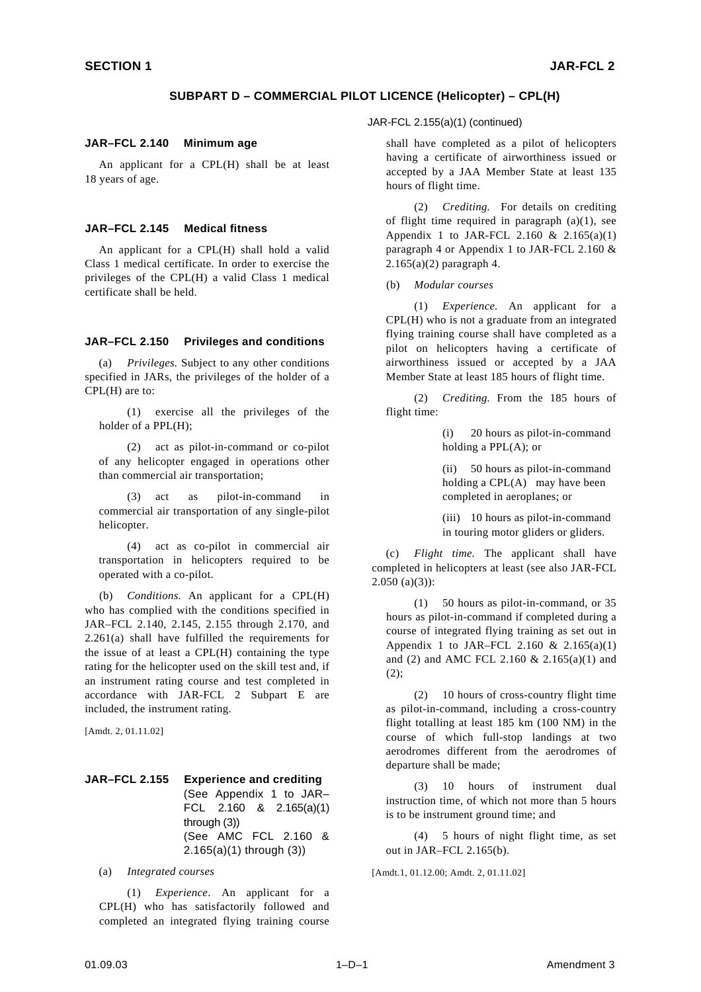### **SUBPART D – COMMERCIAL PILOT LICENCE (Helicopter) – CPL(H)**

#### **JAR–FCL 2.140 Minimum age**

An applicant for a CPL(H) shall be at least 18 years of age.

#### **JAR–FCL 2.145 Medical fitness**

An applicant for a CPL(H) shall hold a valid Class 1 medical certificate. In order to exercise the privileges of the CPL(H) a valid Class 1 medical certificate shall be held.

#### **JAR–FCL 2.150 Privileges and conditions**

(a) *Privileges.* Subject to any other conditions specified in JARs, the privileges of the holder of a CPL(H) are to:

(1) exercise all the privileges of the holder of a PPL(H);

(2) act as pilot-in-command or co-pilot of any helicopter engaged in operations other than commercial air transportation;

(3) act as pilot-in-command in commercial air transportation of any single-pilot helicopter.

(4) act as co-pilot in commercial air transportation in helicopters required to be operated with a co-pilot.

(b) *Conditions.* An applicant for a CPL(H) who has complied with the conditions specified in JAR–FCL 2.140, 2.145, 2.155 through 2.170, and 2.261(a) shall have fulfilled the requirements for the issue of at least a CPL(H) containing the type rating for the helicopter used on the skill test and, if an instrument rating course and test completed in accordance with JAR-FCL 2 Subpart E are included, the instrument rating.

[Amdt. 2, 01.11.02]

#### **JAR–FCL 2.155 Experience and crediting**  (See Appendix 1 to JAR– FCL 2.160 & 2.165(a)(1) through (3)) (See AMC FCL 2.160 & 2.165(a)(1) through (3))

(a) *Integrated courses*

(1) *Experience*. An applicant for a CPL(H) who has satisfactorily followed and completed an integrated flying training course

#### JAR-FCL 2.155(a)(1) (continued)

shall have completed as a pilot of helicopters having a certificate of airworthiness issued or accepted by a JAA Member State at least 135 hours of flight time.

(2) *Crediting.* For details on crediting of flight time required in paragraph  $(a)(1)$ , see Appendix 1 to JAR-FCL 2.160  $& 2.165(a)(1)$ paragraph 4 or Appendix 1 to JAR-FCL 2.160 &  $2.165(a)(2)$  paragraph 4.

#### (b) *Modular courses*

(1) *Experience.* An applicant for a CPL(H) who is not a graduate from an integrated flying training course shall have completed as a pilot on helicopters having a certificate of airworthiness issued or accepted by a JAA Member State at least 185 hours of flight time.

(2) *Crediting.* From the 185 hours of flight time:

> (i) 20 hours as pilot-in-command holding a PPL(A); or

> (ii) 50 hours as pilot-in-command holding a CPL(A) may have been completed in aeroplanes; or

> (iii) 10 hours as pilot-in-command in touring motor gliders or gliders.

(c) *Flight time.* The applicant shall have completed in helicopters at least (see also JAR-FCL  $2.050$  (a)(3)):

(1) 50 hours as pilot-in-command, or 35 hours as pilot-in-command if completed during a course of integrated flying training as set out in Appendix 1 to JAR–FCL 2.160 & 2.165(a)(1) and (2) and AMC FCL 2.160 & 2.165(a)(1) and (2);

(2) 10 hours of cross-country flight time as pilot-in-command, including a cross-country flight totalling at least 185 km (100 NM) in the course of which full-stop landings at two aerodromes different from the aerodromes of departure shall be made;

(3) 10 hours of instrument dual instruction time, of which not more than 5 hours is to be instrument ground time; and

(4) 5 hours of night flight time, as set out in JAR–FCL 2.165(b).

[Amdt.1, 01.12.00; Amdt. 2, 01.11.02]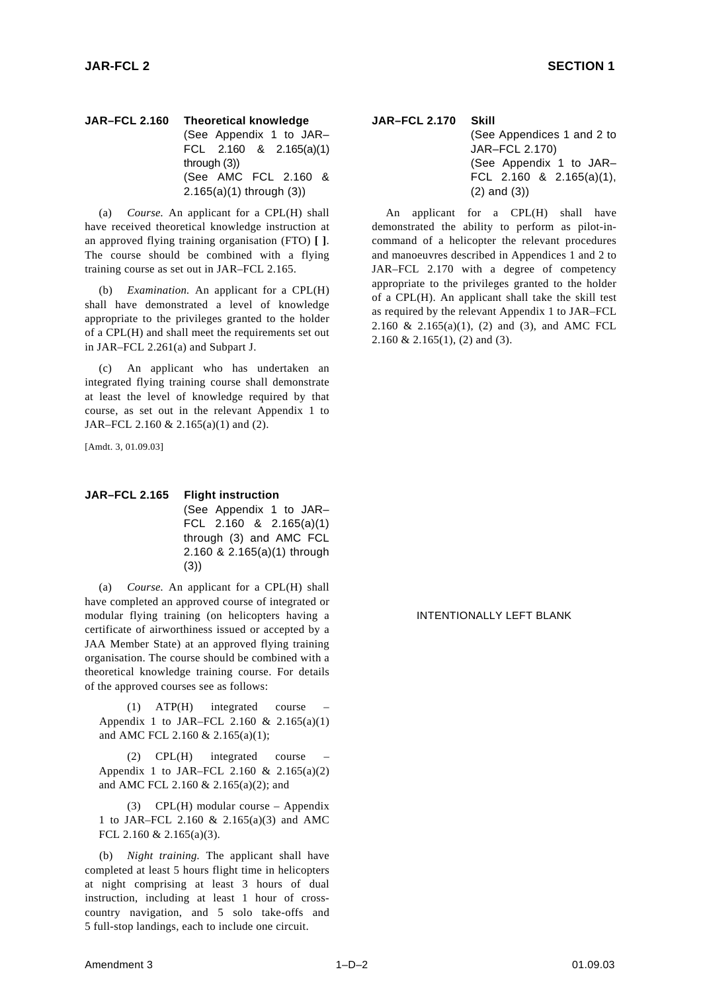#### **JAR–FCL 2.160 Theoretical knowledge**  (See Appendix 1 to JAR– FCL 2.160 & 2.165(a)(1) through (3)) (See AMC FCL 2.160 & 2.165(a)(1) through (3))

(a) *Course.* An applicant for a CPL(H) shall have received theoretical knowledge instruction at an approved flying training organisation (FTO) **[ ]**. The course should be combined with a flying training course as set out in JAR–FCL 2.165.

(b) *Examination.* An applicant for a CPL(H) shall have demonstrated a level of knowledge appropriate to the privileges granted to the holder of a CPL(H) and shall meet the requirements set out in JAR–FCL 2.261(a) and Subpart J.

An applicant who has undertaken an integrated flying training course shall demonstrate at least the level of knowledge required by that course, as set out in the relevant Appendix 1 to JAR–FCL 2.160 & 2.165(a)(1) and (2).

[Amdt. 3, 01.09.03]

#### **JAR–FCL 2.165 Flight instruction**  (See Appendix 1 to JAR– FCL 2.160 & 2.165(a)(1) through (3) and AMC FCL 2.160 & 2.165(a)(1) through (3))

(a) *Course.* An applicant for a CPL(H) shall have completed an approved course of integrated or modular flying training (on helicopters having a certificate of airworthiness issued or accepted by a JAA Member State) at an approved flying training organisation. The course should be combined with a theoretical knowledge training course. For details of the approved courses see as follows:

 $(1)$  ATP(H) integrated course Appendix 1 to JAR–FCL 2.160  $\&$  2.165(a)(1) and AMC FCL 2.160 & 2.165(a)(1);

 $(2)$  CPL $(H)$  integrated course Appendix 1 to JAR–FCL 2.160  $\&$  2.165(a)(2) and AMC FCL 2.160 & 2.165(a)(2); and

(3) CPL(H) modular course – Appendix 1 to JAR–FCL 2.160 & 2.165(a)(3) and AMC FCL 2.160 & 2.165(a)(3).

(b) *Night training.* The applicant shall have completed at least 5 hours flight time in helicopters at night comprising at least 3 hours of dual instruction, including at least 1 hour of crosscountry navigation, and 5 solo take-offs and 5 full-stop landings, each to include one circuit.

# **JAR–FCL 2.170 Skill**

(See Appendices 1 and 2 to JAR–FCL 2.170) (See Appendix 1 to JAR– FCL 2.160 & 2.165(a)(1), (2) and (3))

An applicant for a CPL(H) shall have demonstrated the ability to perform as pilot-incommand of a helicopter the relevant procedures and manoeuvres described in Appendices 1 and 2 to JAR–FCL 2.170 with a degree of competency appropriate to the privileges granted to the holder of a CPL(H). An applicant shall take the skill test as required by the relevant Appendix 1 to JAR–FCL 2.160 & 2.165(a)(1), (2) and (3), and AMC FCL 2.160 & 2.165(1), (2) and (3).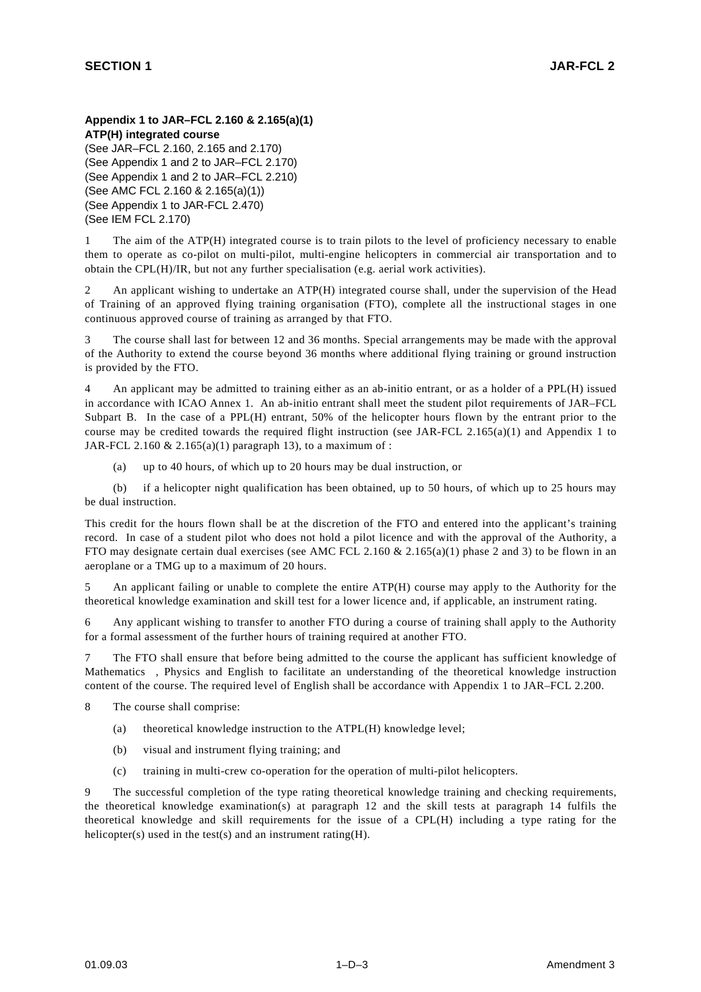#### **Appendix 1 to JAR–FCL 2.160 & 2.165(a)(1) ATP(H) integrated course**

(See JAR–FCL 2.160, 2.165 and 2.170) (See Appendix 1 and 2 to JAR–FCL 2.170) (See Appendix 1 and 2 to JAR–FCL 2.210) (See AMC FCL 2.160 & 2.165(a)(1)) (See Appendix 1 to JAR-FCL 2.470) (See IEM FCL 2.170)

1 The aim of the ATP(H) integrated course is to train pilots to the level of proficiency necessary to enable them to operate as co-pilot on multi-pilot, multi-engine helicopters in commercial air transportation and to obtain the CPL(H)/IR, but not any further specialisation (e.g. aerial work activities).

2 An applicant wishing to undertake an ATP(H) integrated course shall, under the supervision of the Head of Training of an approved flying training organisation (FTO), complete all the instructional stages in one continuous approved course of training as arranged by that FTO.

3 The course shall last for between 12 and 36 months. Special arrangements may be made with the approval of the Authority to extend the course beyond 36 months where additional flying training or ground instruction is provided by the FTO.

4 An applicant may be admitted to training either as an ab-initio entrant, or as a holder of a PPL(H) issued in accordance with ICAO Annex 1. An ab-initio entrant shall meet the student pilot requirements of JAR–FCL Subpart B. In the case of a PPL(H) entrant, 50% of the helicopter hours flown by the entrant prior to the course may be credited towards the required flight instruction (see JAR-FCL 2.165(a)(1) and Appendix 1 to JAR-FCL 2.160  $& 2.165(a)(1)$  paragraph 13), to a maximum of :

(a) up to 40 hours, of which up to 20 hours may be dual instruction, or

 (b) if a helicopter night qualification has been obtained, up to 50 hours, of which up to 25 hours may be dual instruction.

This credit for the hours flown shall be at the discretion of the FTO and entered into the applicant's training record. In case of a student pilot who does not hold a pilot licence and with the approval of the Authority, a FTO may designate certain dual exercises (see AMC FCL 2.160  $\&$  2.165(a)(1) phase 2 and 3) to be flown in an aeroplane or a TMG up to a maximum of 20 hours.

5 An applicant failing or unable to complete the entire ATP(H) course may apply to the Authority for the theoretical knowledge examination and skill test for a lower licence and, if applicable, an instrument rating.

6 Any applicant wishing to transfer to another FTO during a course of training shall apply to the Authority for a formal assessment of the further hours of training required at another FTO.

7 The FTO shall ensure that before being admitted to the course the applicant has sufficient knowledge of Mathematics , Physics and English to facilitate an understanding of the theoretical knowledge instruction content of the course. The required level of English shall be accordance with Appendix 1 to JAR–FCL 2.200.

- 8 The course shall comprise:
	- (a) theoretical knowledge instruction to the ATPL(H) knowledge level;
	- (b) visual and instrument flying training; and
	- (c) training in multi-crew co-operation for the operation of multi-pilot helicopters.

9 The successful completion of the type rating theoretical knowledge training and checking requirements, the theoretical knowledge examination(s) at paragraph 12 and the skill tests at paragraph 14 fulfils the theoretical knowledge and skill requirements for the issue of a CPL(H) including a type rating for the helicopter(s) used in the test(s) and an instrument rating(H).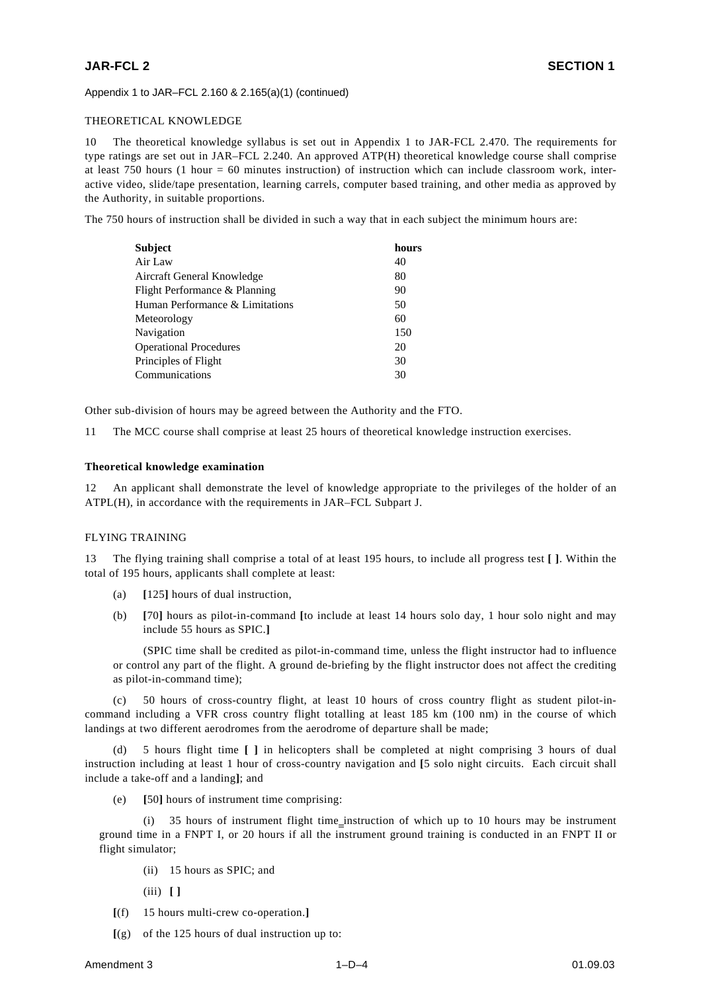# **JAR-FCL 2 SECTION 1**

Appendix 1 to JAR–FCL 2.160 & 2.165(a)(1) (continued)

#### THEORETICAL KNOWLEDGE

10 The theoretical knowledge syllabus is set out in Appendix 1 to JAR-FCL 2.470. The requirements for type ratings are set out in JAR–FCL 2.240. An approved ATP(H) theoretical knowledge course shall comprise at least 750 hours (1 hour = 60 minutes instruction) of instruction which can include classroom work, interactive video, slide/tape presentation, learning carrels, computer based training, and other media as approved by the Authority, in suitable proportions.

The 750 hours of instruction shall be divided in such a way that in each subject the minimum hours are:

| Subject                         | hours |
|---------------------------------|-------|
| Air Law                         | 40    |
| Aircraft General Knowledge      | 80    |
| Flight Performance & Planning   | 90    |
| Human Performance & Limitations | 50    |
| Meteorology                     | 60    |
| Navigation                      | 150   |
| <b>Operational Procedures</b>   | 20    |
| Principles of Flight            | 30    |
| Communications                  | 30    |

Other sub-division of hours may be agreed between the Authority and the FTO.

11 The MCC course shall comprise at least 25 hours of theoretical knowledge instruction exercises.

#### **Theoretical knowledge examination**

12 An applicant shall demonstrate the level of knowledge appropriate to the privileges of the holder of an ATPL(H), in accordance with the requirements in JAR–FCL Subpart J.

#### FLYING TRAINING

13 The flying training shall comprise a total of at least 195 hours, to include all progress test **[ ]**. Within the total of 195 hours, applicants shall complete at least:

- (a) **[**125**]** hours of dual instruction,
- (b) **[**70**]** hours as pilot-in-command **[**to include at least 14 hours solo day, 1 hour solo night and may include 55 hours as SPIC.**]**

(SPIC time shall be credited as pilot-in-command time, unless the flight instructor had to influence or control any part of the flight. A ground de-briefing by the flight instructor does not affect the crediting as pilot-in-command time);

 (c) 50 hours of cross-country flight, at least 10 hours of cross country flight as student pilot-incommand including a VFR cross country flight totalling at least 185 km (100 nm) in the course of which landings at two different aerodromes from the aerodrome of departure shall be made;

 (d) 5 hours flight time **[ ]** in helicopters shall be completed at night comprising 3 hours of dual instruction including at least 1 hour of cross-country navigation and **[**5 solo night circuits. Each circuit shall include a take-off and a landing**]**; and

(e) **[**50**]** hours of instrument time comprising:

(i) 35 hours of instrument flight time instruction of which up to 10 hours may be instrument ground time in a FNPT I, or 20 hours if all the instrument ground training is conducted in an FNPT II or flight simulator;

- (ii) 15 hours as SPIC; and
- (iii) **[ ]**
- **[**(f) 15 hours multi-crew co-operation.**]**
- **[**(g) of the 125 hours of dual instruction up to: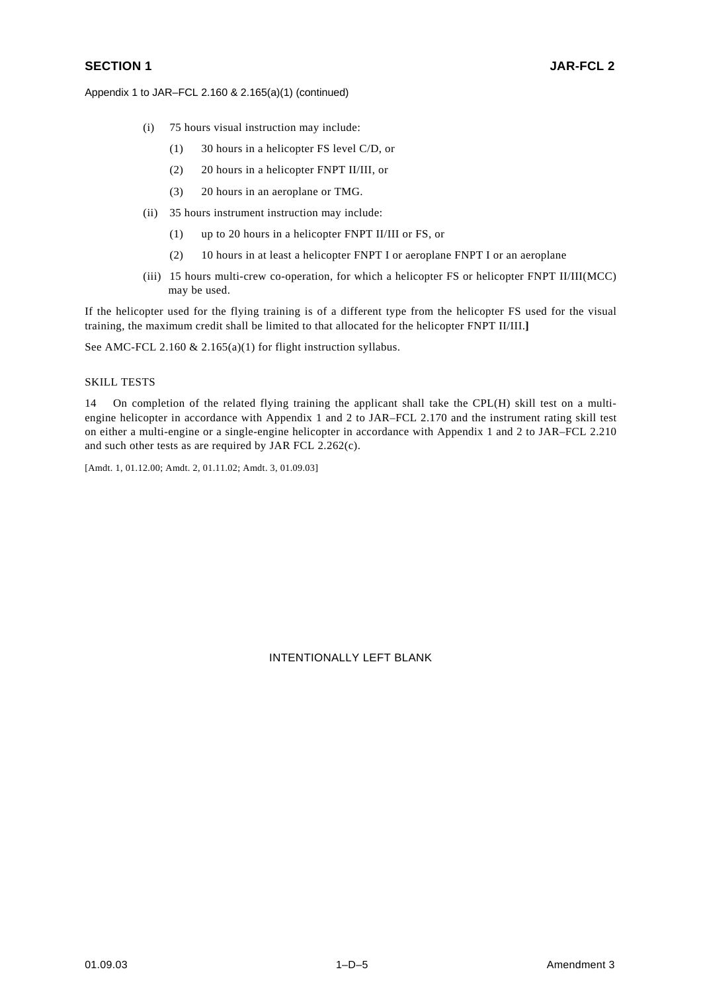# **SECTION 1 JAR-FCL 2**

Appendix 1 to JAR–FCL 2.160 & 2.165(a)(1) (continued)

- (i) 75 hours visual instruction may include:
	- (1) 30 hours in a helicopter FS level C/D, or
	- (2) 20 hours in a helicopter FNPT II/III, or
	- (3) 20 hours in an aeroplane or TMG.
- (ii) 35 hours instrument instruction may include:
	- (1) up to 20 hours in a helicopter FNPT II/III or FS, or
	- (2) 10 hours in at least a helicopter FNPT I or aeroplane FNPT I or an aeroplane
- (iii) 15 hours multi-crew co-operation, for which a helicopter FS or helicopter FNPT II/III(MCC) may be used.

If the helicopter used for the flying training is of a different type from the helicopter FS used for the visual training, the maximum credit shall be limited to that allocated for the helicopter FNPT II/III.**]**

See AMC-FCL 2.160 & 2.165(a)(1) for flight instruction syllabus.

# SKILL TESTS

14 On completion of the related flying training the applicant shall take the CPL(H) skill test on a multiengine helicopter in accordance with Appendix 1 and 2 to JAR–FCL 2.170 and the instrument rating skill test on either a multi-engine or a single-engine helicopter in accordance with Appendix 1 and 2 to JAR–FCL 2.210 and such other tests as are required by JAR FCL 2.262(c).

[Amdt. 1, 01.12.00; Amdt. 2, 01.11.02; Amdt. 3, 01.09.03]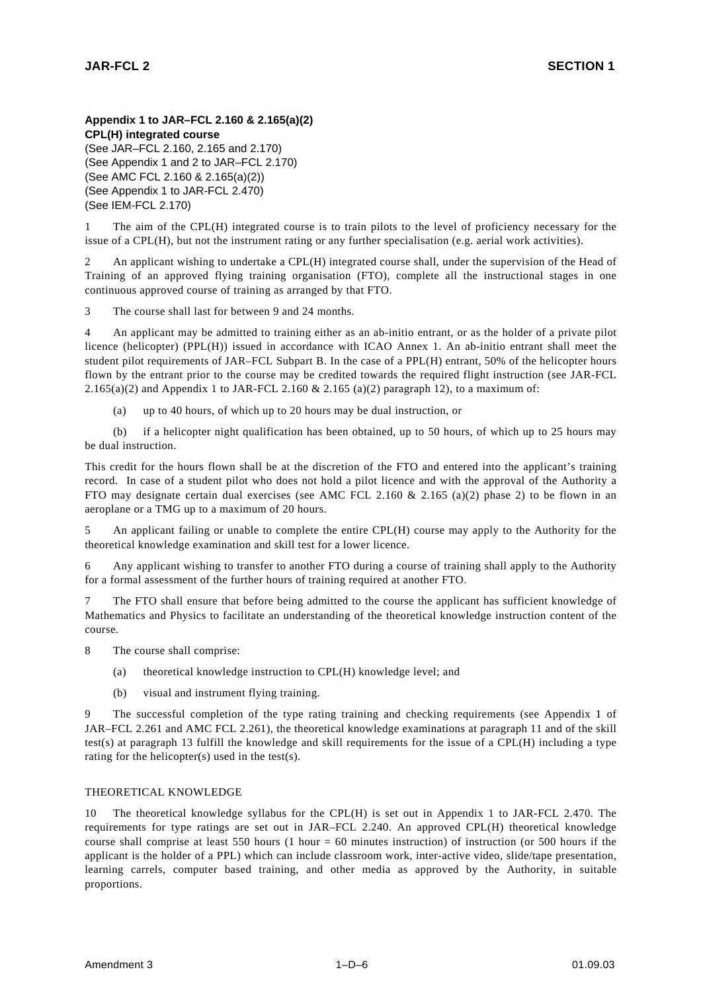#### **Appendix 1 to JAR–FCL 2.160 & 2.165(a)(2) CPL(H) integrated course**

(See JAR–FCL 2.160, 2.165 and 2.170) (See Appendix 1 and 2 to JAR–FCL 2.170) (See AMC FCL 2.160 & 2.165(a)(2)) (See Appendix 1 to JAR-FCL 2.470) (See IEM-FCL 2.170)

1 The aim of the CPL(H) integrated course is to train pilots to the level of proficiency necessary for the issue of a CPL(H), but not the instrument rating or any further specialisation (e.g. aerial work activities).

2 An applicant wishing to undertake a CPL(H) integrated course shall, under the supervision of the Head of Training of an approved flying training organisation (FTO), complete all the instructional stages in one continuous approved course of training as arranged by that FTO.

3 The course shall last for between 9 and 24 months.

4 An applicant may be admitted to training either as an ab-initio entrant, or as the holder of a private pilot licence (helicopter) (PPL(H)) issued in accordance with ICAO Annex 1. An ab-initio entrant shall meet the student pilot requirements of JAR–FCL Subpart B. In the case of a PPL(H) entrant, 50% of the helicopter hours flown by the entrant prior to the course may be credited towards the required flight instruction (see JAR-FCL 2.165(a)(2) and Appendix 1 to JAR-FCL 2.160 & 2.165 (a)(2) paragraph 12), to a maximum of:

(a) up to 40 hours, of which up to 20 hours may be dual instruction, or

 (b) if a helicopter night qualification has been obtained, up to 50 hours, of which up to 25 hours may be dual instruction.

This credit for the hours flown shall be at the discretion of the FTO and entered into the applicant's training record. In case of a student pilot who does not hold a pilot licence and with the approval of the Authority a FTO may designate certain dual exercises (see AMC FCL 2.160 & 2.165 (a)(2) phase 2) to be flown in an aeroplane or a TMG up to a maximum of 20 hours.

5 An applicant failing or unable to complete the entire CPL(H) course may apply to the Authority for the theoretical knowledge examination and skill test for a lower licence.

6 Any applicant wishing to transfer to another FTO during a course of training shall apply to the Authority for a formal assessment of the further hours of training required at another FTO.

7 The FTO shall ensure that before being admitted to the course the applicant has sufficient knowledge of Mathematics and Physics to facilitate an understanding of the theoretical knowledge instruction content of the course.

- 8 The course shall comprise:
	- (a) theoretical knowledge instruction to CPL(H) knowledge level; and
	- (b) visual and instrument flying training.

9 The successful completion of the type rating training and checking requirements (see Appendix 1 of JAR–FCL 2.261 and AMC FCL 2.261), the theoretical knowledge examinations at paragraph 11 and of the skill test(s) at paragraph 13 fulfill the knowledge and skill requirements for the issue of a CPL(H) including a type rating for the helicopter(s) used in the test(s).

#### THEORETICAL KNOWLEDGE

10 The theoretical knowledge syllabus for the CPL(H) is set out in Appendix 1 to JAR-FCL 2.470. The requirements for type ratings are set out in JAR–FCL 2.240. An approved CPL(H) theoretical knowledge course shall comprise at least 550 hours (1 hour = 60 minutes instruction) of instruction (or 500 hours if the applicant is the holder of a PPL) which can include classroom work, inter-active video, slide/tape presentation, learning carrels, computer based training, and other media as approved by the Authority, in suitable proportions.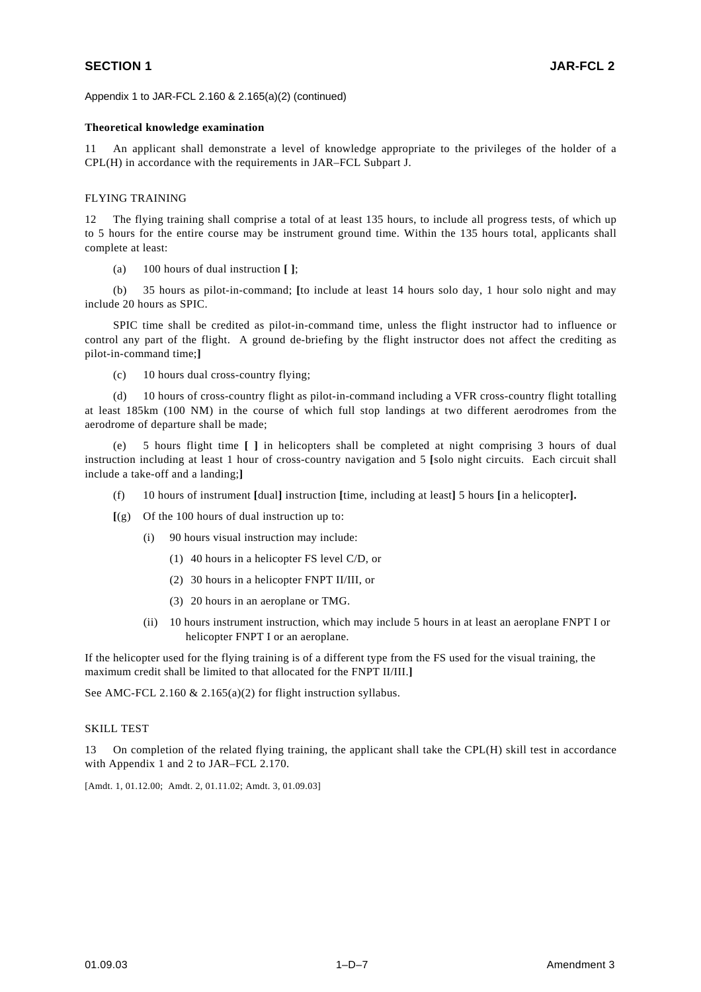Appendix 1 to JAR-FCL 2.160 & 2.165(a)(2) (continued)

#### **Theoretical knowledge examination**

11 An applicant shall demonstrate a level of knowledge appropriate to the privileges of the holder of a CPL(H) in accordance with the requirements in JAR–FCL Subpart J.

#### FLYING TRAINING

12 The flying training shall comprise a total of at least 135 hours, to include all progress tests, of which up to 5 hours for the entire course may be instrument ground time. Within the 135 hours total, applicants shall complete at least:

(a) 100 hours of dual instruction **[ ]**;

 (b) 35 hours as pilot-in-command; **[**to include at least 14 hours solo day, 1 hour solo night and may include 20 hours as SPIC.

 SPIC time shall be credited as pilot-in-command time, unless the flight instructor had to influence or control any part of the flight. A ground de-briefing by the flight instructor does not affect the crediting as pilot-in-command time;**]**

(c) 10 hours dual cross-country flying;

 (d) 10 hours of cross-country flight as pilot-in-command including a VFR cross-country flight totalling at least 185km (100 NM) in the course of which full stop landings at two different aerodromes from the aerodrome of departure shall be made;

 (e) 5 hours flight time **[ ]** in helicopters shall be completed at night comprising 3 hours of dual instruction including at least 1 hour of cross-country navigation and 5 **[**solo night circuits. Each circuit shall include a take-off and a landing;**]**

- (f) 10 hours of instrument **[**dual**]** instruction **[**time, including at least**]** 5 hours **[**in a helicopter**].**
- **[**(g) Of the 100 hours of dual instruction up to:
	- (i) 90 hours visual instruction may include:
		- (1) 40 hours in a helicopter FS level C/D, or
		- (2) 30 hours in a helicopter FNPT II/III, or
		- (3) 20 hours in an aeroplane or TMG.
	- (ii) 10 hours instrument instruction, which may include 5 hours in at least an aeroplane FNPT I or helicopter FNPT I or an aeroplane.

If the helicopter used for the flying training is of a different type from the FS used for the visual training, the maximum credit shall be limited to that allocated for the FNPT II/III.**]**

See AMC-FCL 2.160 & 2.165(a)(2) for flight instruction syllabus.

#### SKILL TEST

13 On completion of the related flying training, the applicant shall take the CPL(H) skill test in accordance with Appendix 1 and 2 to JAR–FCL 2.170.

[Amdt. 1, 01.12.00; Amdt. 2, 01.11.02; Amdt. 3, 01.09.03]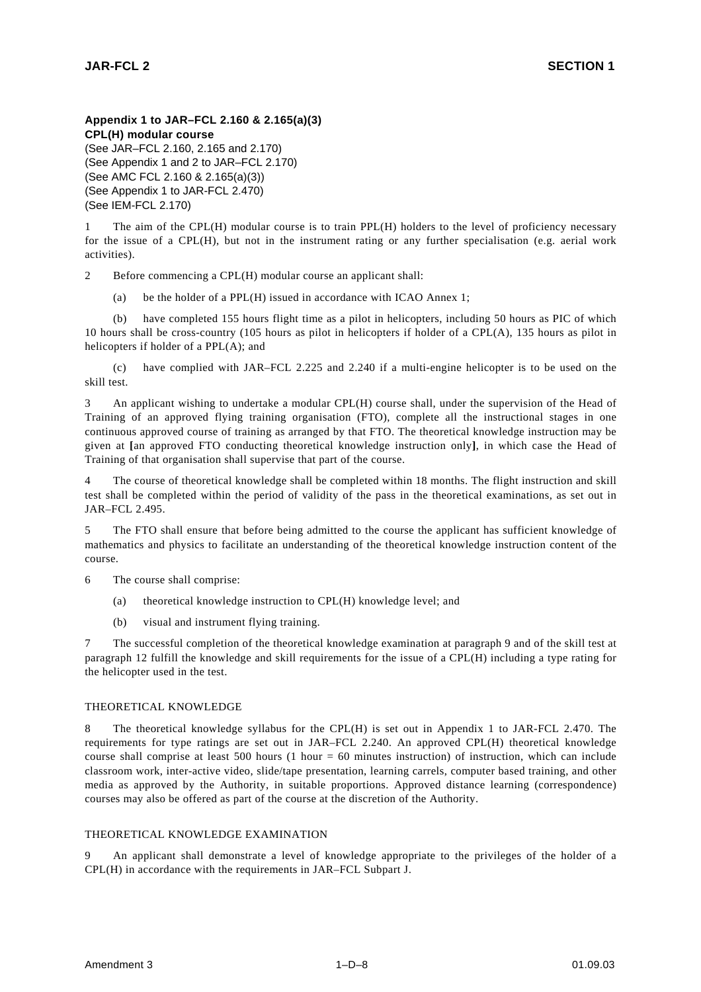### **Appendix 1 to JAR–FCL 2.160 & 2.165(a)(3) CPL(H) modular course**  (See JAR–FCL 2.160, 2.165 and 2.170)

(See Appendix 1 and 2 to JAR–FCL 2.170) (See AMC FCL 2.160 & 2.165(a)(3)) (See Appendix 1 to JAR-FCL 2.470) (See IEM-FCL 2.170)

1 The aim of the CPL(H) modular course is to train PPL(H) holders to the level of proficiency necessary for the issue of a CPL(H), but not in the instrument rating or any further specialisation (e.g. aerial work activities).

2 Before commencing a CPL(H) modular course an applicant shall:

(a) be the holder of a PPL(H) issued in accordance with ICAO Annex 1;

 (b) have completed 155 hours flight time as a pilot in helicopters, including 50 hours as PIC of which 10 hours shall be cross-country (105 hours as pilot in helicopters if holder of a CPL(A), 135 hours as pilot in helicopters if holder of a PPL(A); and

 (c) have complied with JAR–FCL 2.225 and 2.240 if a multi-engine helicopter is to be used on the skill test.

3 An applicant wishing to undertake a modular CPL(H) course shall, under the supervision of the Head of Training of an approved flying training organisation (FTO), complete all the instructional stages in one continuous approved course of training as arranged by that FTO. The theoretical knowledge instruction may be given at **[**an approved FTO conducting theoretical knowledge instruction only**]**, in which case the Head of Training of that organisation shall supervise that part of the course.

4 The course of theoretical knowledge shall be completed within 18 months. The flight instruction and skill test shall be completed within the period of validity of the pass in the theoretical examinations, as set out in JAR–FCL 2.495.

5 The FTO shall ensure that before being admitted to the course the applicant has sufficient knowledge of mathematics and physics to facilitate an understanding of the theoretical knowledge instruction content of the course.

6 The course shall comprise:

- (a) theoretical knowledge instruction to CPL(H) knowledge level; and
- (b) visual and instrument flying training.

7 The successful completion of the theoretical knowledge examination at paragraph 9 and of the skill test at paragraph 12 fulfill the knowledge and skill requirements for the issue of a CPL(H) including a type rating for the helicopter used in the test.

#### THEORETICAL KNOWLEDGE

8 The theoretical knowledge syllabus for the CPL(H) is set out in Appendix 1 to JAR-FCL 2.470. The requirements for type ratings are set out in JAR–FCL 2.240. An approved CPL(H) theoretical knowledge course shall comprise at least 500 hours (1 hour  $= 60$  minutes instruction) of instruction, which can include classroom work, inter-active video, slide/tape presentation, learning carrels, computer based training, and other media as approved by the Authority, in suitable proportions. Approved distance learning (correspondence) courses may also be offered as part of the course at the discretion of the Authority.

# THEORETICAL KNOWLEDGE EXAMINATION

9 An applicant shall demonstrate a level of knowledge appropriate to the privileges of the holder of a CPL(H) in accordance with the requirements in JAR–FCL Subpart J.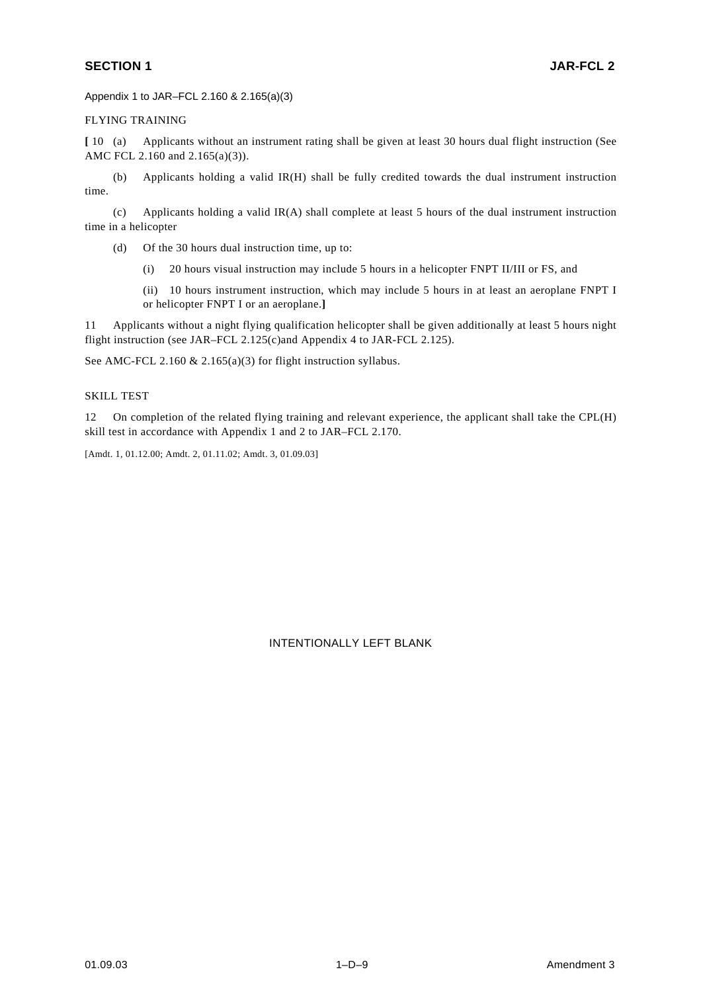Appendix 1 to JAR–FCL 2.160 & 2.165(a)(3)

#### FLYING TRAINING

**[** 10 (a) Applicants without an instrument rating shall be given at least 30 hours dual flight instruction (See AMC FCL 2.160 and 2.165(a)(3)).

 (b) Applicants holding a valid IR(H) shall be fully credited towards the dual instrument instruction time.

 (c) Applicants holding a valid IR(A) shall complete at least 5 hours of the dual instrument instruction time in a helicopter

- (d) Of the 30 hours dual instruction time, up to:
	- (i) 20 hours visual instruction may include 5 hours in a helicopter FNPT II/III or FS, and

(ii) 10 hours instrument instruction, which may include 5 hours in at least an aeroplane FNPT I or helicopter FNPT I or an aeroplane.**]**

11 Applicants without a night flying qualification helicopter shall be given additionally at least 5 hours night flight instruction (see JAR–FCL 2.125(c)and Appendix 4 to JAR-FCL 2.125).

See AMC-FCL 2.160 & 2.165(a)(3) for flight instruction syllabus.

#### SKILL TEST

12 On completion of the related flying training and relevant experience, the applicant shall take the CPL(H) skill test in accordance with Appendix 1 and 2 to JAR–FCL 2.170.

[Amdt. 1, 01.12.00; Amdt. 2, 01.11.02; Amdt. 3, 01.09.03]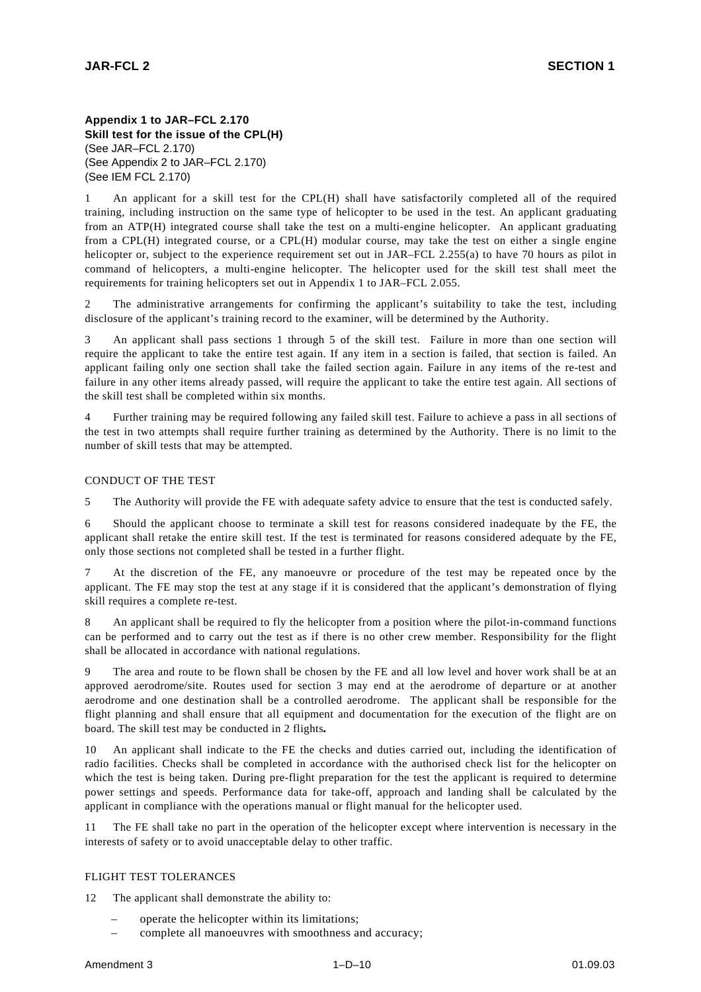**Appendix 1 to JAR–FCL 2.170 Skill test for the issue of the CPL(H)**  (See JAR–FCL 2.170) (See Appendix 2 to JAR–FCL 2.170) (See IEM FCL 2.170)

1 An applicant for a skill test for the CPL(H) shall have satisfactorily completed all of the required training, including instruction on the same type of helicopter to be used in the test. An applicant graduating from an ATP(H) integrated course shall take the test on a multi-engine helicopter. An applicant graduating from a CPL(H) integrated course, or a CPL(H) modular course, may take the test on either a single engine helicopter or, subject to the experience requirement set out in JAR–FCL 2.255(a) to have 70 hours as pilot in command of helicopters, a multi-engine helicopter. The helicopter used for the skill test shall meet the requirements for training helicopters set out in Appendix 1 to JAR–FCL 2.055.

2 The administrative arrangements for confirming the applicant's suitability to take the test, including disclosure of the applicant's training record to the examiner, will be determined by the Authority.

3 An applicant shall pass sections 1 through 5 of the skill test. Failure in more than one section will require the applicant to take the entire test again. If any item in a section is failed, that section is failed. An applicant failing only one section shall take the failed section again. Failure in any items of the re-test and failure in any other items already passed, will require the applicant to take the entire test again. All sections of the skill test shall be completed within six months.

4 Further training may be required following any failed skill test. Failure to achieve a pass in all sections of the test in two attempts shall require further training as determined by the Authority. There is no limit to the number of skill tests that may be attempted.

#### CONDUCT OF THE TEST

5 The Authority will provide the FE with adequate safety advice to ensure that the test is conducted safely.

6 Should the applicant choose to terminate a skill test for reasons considered inadequate by the FE, the applicant shall retake the entire skill test. If the test is terminated for reasons considered adequate by the FE, only those sections not completed shall be tested in a further flight.

7 At the discretion of the FE, any manoeuvre or procedure of the test may be repeated once by the applicant. The FE may stop the test at any stage if it is considered that the applicant's demonstration of flying skill requires a complete re-test.

8 An applicant shall be required to fly the helicopter from a position where the pilot-in-command functions can be performed and to carry out the test as if there is no other crew member. Responsibility for the flight shall be allocated in accordance with national regulations.

9 The area and route to be flown shall be chosen by the FE and all low level and hover work shall be at an approved aerodrome/site. Routes used for section 3 may end at the aerodrome of departure or at another aerodrome and one destination shall be a controlled aerodrome. The applicant shall be responsible for the flight planning and shall ensure that all equipment and documentation for the execution of the flight are on board. The skill test may be conducted in 2 flights*.*

10 An applicant shall indicate to the FE the checks and duties carried out, including the identification of radio facilities. Checks shall be completed in accordance with the authorised check list for the helicopter on which the test is being taken. During pre-flight preparation for the test the applicant is required to determine power settings and speeds. Performance data for take-off, approach and landing shall be calculated by the applicant in compliance with the operations manual or flight manual for the helicopter used.

11 The FE shall take no part in the operation of the helicopter except where intervention is necessary in the interests of safety or to avoid unacceptable delay to other traffic.

#### FLIGHT TEST TOLERANCES

12 The applicant shall demonstrate the ability to:

- operate the helicopter within its limitations;
- complete all manoeuvres with smoothness and accuracy;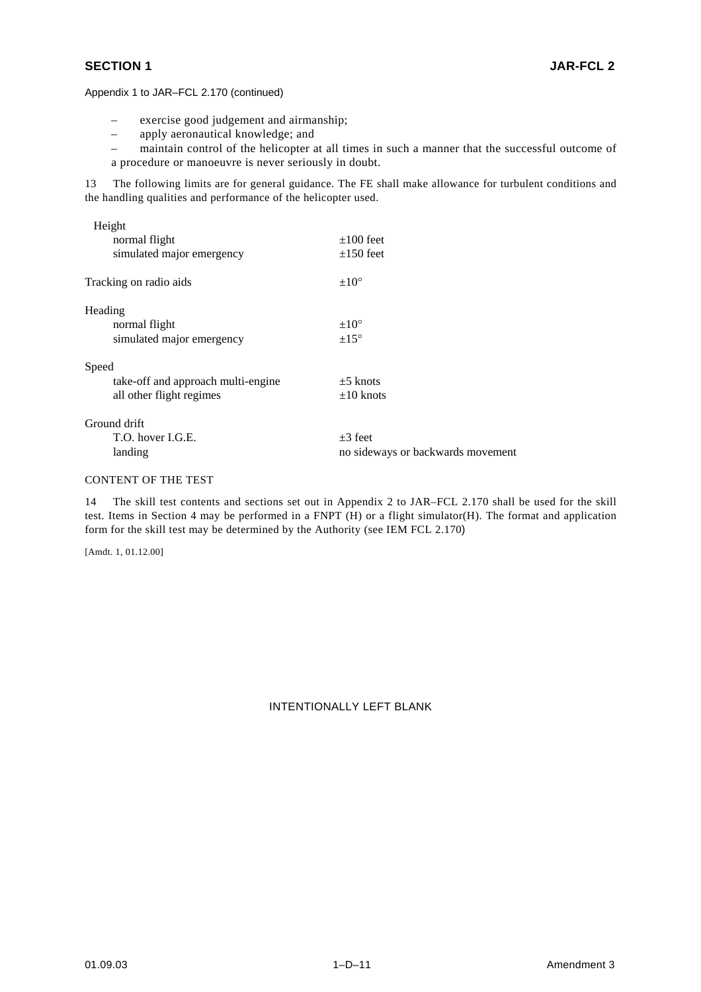Appendix 1 to JAR–FCL 2.170 (continued)

- exercise good judgement and airmanship;
- apply aeronautical knowledge; and
- maintain control of the helicopter at all times in such a manner that the successful outcome of a procedure or manoeuvre is never seriously in doubt.

13 The following limits are for general guidance. The FE shall make allowance for turbulent conditions and the handling qualities and performance of the helicopter used.

| Height                             |                                   |
|------------------------------------|-----------------------------------|
| normal flight                      | $\pm 100$ feet                    |
| simulated major emergency          | $\pm 150$ feet                    |
| Tracking on radio aids             | $\pm 10^{\circ}$                  |
| Heading                            |                                   |
| normal flight                      | $\pm 10^{\circ}$                  |
| simulated major emergency          | $\pm 15^{\circ}$                  |
| Speed                              |                                   |
| take-off and approach multi-engine | $\pm$ 5 knots                     |
| all other flight regimes           | $\pm 10$ knots                    |
| Ground drift                       |                                   |
| T.O. hover I.G.E.                  | $\pm 3$ feet                      |
| landing                            | no sideways or backwards movement |

#### CONTENT OF THE TEST

14 The skill test contents and sections set out in Appendix 2 to JAR–FCL 2.170 shall be used for the skill test. Items in Section 4 may be performed in a FNPT (H) or a flight simulator(H). The format and application form for the skill test may be determined by the Authority (see IEM FCL 2.170)

[Amdt. 1, 01.12.00]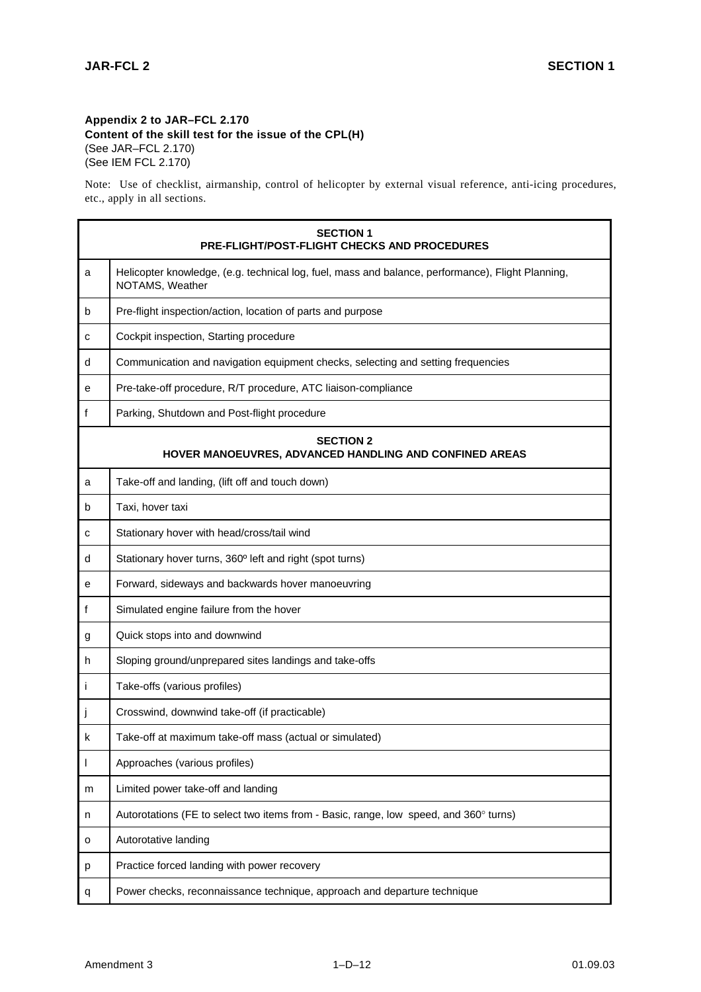## **Appendix 2 to JAR–FCL 2.170 Content of the skill test for the issue of the CPL(H)**  (See JAR–FCL 2.170) (See IEM FCL 2.170)

Note: Use of checklist, airmanship, control of helicopter by external visual reference, anti-icing procedures, etc., apply in all sections.

|                                                                            | <b>SECTION 1</b><br><b>PRE-FLIGHT/POST-FLIGHT CHECKS AND PROCEDURES</b>                                              |  |  |
|----------------------------------------------------------------------------|----------------------------------------------------------------------------------------------------------------------|--|--|
| a                                                                          | Helicopter knowledge, (e.g. technical log, fuel, mass and balance, performance), Flight Planning,<br>NOTAMS, Weather |  |  |
| b                                                                          | Pre-flight inspection/action, location of parts and purpose                                                          |  |  |
| c                                                                          | Cockpit inspection, Starting procedure                                                                               |  |  |
| d                                                                          | Communication and navigation equipment checks, selecting and setting frequencies                                     |  |  |
| e                                                                          | Pre-take-off procedure, R/T procedure, ATC liaison-compliance                                                        |  |  |
| f                                                                          | Parking, Shutdown and Post-flight procedure                                                                          |  |  |
| <b>SECTION 2</b><br>HOVER MANOEUVRES, ADVANCED HANDLING AND CONFINED AREAS |                                                                                                                      |  |  |
| a                                                                          | Take-off and landing, (lift off and touch down)                                                                      |  |  |
| b                                                                          | Taxi, hover taxi                                                                                                     |  |  |
| с                                                                          | Stationary hover with head/cross/tail wind                                                                           |  |  |
| d                                                                          | Stationary hover turns, 360° left and right (spot turns)                                                             |  |  |
| e                                                                          | Forward, sideways and backwards hover manoeuvring                                                                    |  |  |
| f                                                                          | Simulated engine failure from the hover                                                                              |  |  |
| g                                                                          | Quick stops into and downwind                                                                                        |  |  |
| h                                                                          | Sloping ground/unprepared sites landings and take-offs                                                               |  |  |
| i                                                                          | Take-offs (various profiles)                                                                                         |  |  |
| j                                                                          | Crosswind, downwind take-off (if practicable)                                                                        |  |  |
| k                                                                          | Take-off at maximum take-off mass (actual or simulated)                                                              |  |  |
| I                                                                          | Approaches (various profiles)                                                                                        |  |  |
| m                                                                          | Limited power take-off and landing                                                                                   |  |  |
| n                                                                          | Autorotations (FE to select two items from - Basic, range, low speed, and 360° turns)                                |  |  |
| о                                                                          | Autorotative landing                                                                                                 |  |  |
| р                                                                          | Practice forced landing with power recovery                                                                          |  |  |
| q                                                                          | Power checks, reconnaissance technique, approach and departure technique                                             |  |  |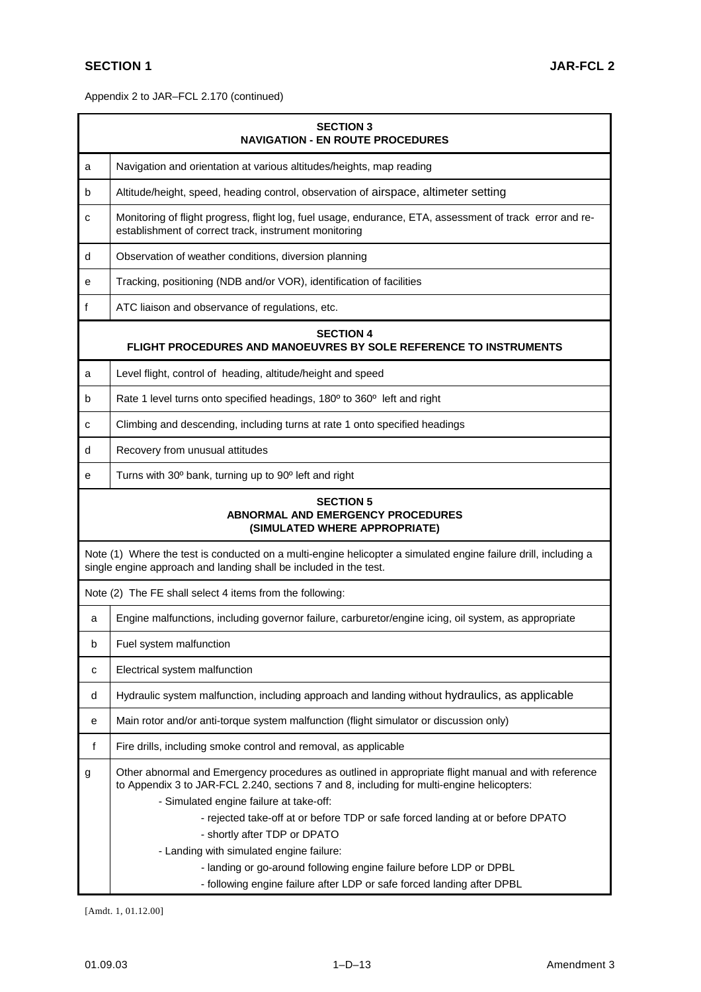# **SECTION 1** JAR-FCL 2

Appendix 2 to JAR–FCL 2.170 (continued)

| <b>SECTION 3</b><br><b>NAVIGATION - EN ROUTE PROCEDURES</b>                                                                                                                          |                                                                                                                                                                                                                                                                                                                                                                                                           |
|--------------------------------------------------------------------------------------------------------------------------------------------------------------------------------------|-----------------------------------------------------------------------------------------------------------------------------------------------------------------------------------------------------------------------------------------------------------------------------------------------------------------------------------------------------------------------------------------------------------|
| a                                                                                                                                                                                    | Navigation and orientation at various altitudes/heights, map reading                                                                                                                                                                                                                                                                                                                                      |
| b                                                                                                                                                                                    | Altitude/height, speed, heading control, observation of airspace, altimeter setting                                                                                                                                                                                                                                                                                                                       |
| с                                                                                                                                                                                    | Monitoring of flight progress, flight log, fuel usage, endurance, ETA, assessment of track error and re-<br>establishment of correct track, instrument monitoring                                                                                                                                                                                                                                         |
| d                                                                                                                                                                                    | Observation of weather conditions, diversion planning                                                                                                                                                                                                                                                                                                                                                     |
| е                                                                                                                                                                                    | Tracking, positioning (NDB and/or VOR), identification of facilities                                                                                                                                                                                                                                                                                                                                      |
| f                                                                                                                                                                                    | ATC liaison and observance of regulations, etc.                                                                                                                                                                                                                                                                                                                                                           |
| <b>SECTION 4</b><br>FLIGHT PROCEDURES AND MANOEUVRES BY SOLE REFERENCE TO INSTRUMENTS                                                                                                |                                                                                                                                                                                                                                                                                                                                                                                                           |
| a                                                                                                                                                                                    | Level flight, control of heading, altitude/height and speed                                                                                                                                                                                                                                                                                                                                               |
| b                                                                                                                                                                                    | Rate 1 level turns onto specified headings, 180° to 360° left and right                                                                                                                                                                                                                                                                                                                                   |
| C                                                                                                                                                                                    | Climbing and descending, including turns at rate 1 onto specified headings                                                                                                                                                                                                                                                                                                                                |
| d                                                                                                                                                                                    | Recovery from unusual attitudes                                                                                                                                                                                                                                                                                                                                                                           |
| е                                                                                                                                                                                    | Turns with 30° bank, turning up to 90° left and right                                                                                                                                                                                                                                                                                                                                                     |
| <b>SECTION 5</b><br>ABNORMAL AND EMERGENCY PROCEDURES<br>(SIMULATED WHERE APPROPRIATE)                                                                                               |                                                                                                                                                                                                                                                                                                                                                                                                           |
| Note (1) Where the test is conducted on a multi-engine helicopter a simulated engine failure drill, including a<br>single engine approach and landing shall be included in the test. |                                                                                                                                                                                                                                                                                                                                                                                                           |
| Note (2) The FE shall select 4 items from the following:                                                                                                                             |                                                                                                                                                                                                                                                                                                                                                                                                           |
| a                                                                                                                                                                                    | Engine malfunctions, including governor failure, carburetor/engine icing, oil system, as appropriate                                                                                                                                                                                                                                                                                                      |
| b                                                                                                                                                                                    | Fuel system malfunction                                                                                                                                                                                                                                                                                                                                                                                   |
| с                                                                                                                                                                                    | Electrical system malfunction                                                                                                                                                                                                                                                                                                                                                                             |
| d                                                                                                                                                                                    | Hydraulic system malfunction, including approach and landing without hydraulics, as applicable                                                                                                                                                                                                                                                                                                            |
| е                                                                                                                                                                                    | Main rotor and/or anti-torque system malfunction (flight simulator or discussion only)                                                                                                                                                                                                                                                                                                                    |
| $\mathbf f$                                                                                                                                                                          | Fire drills, including smoke control and removal, as applicable                                                                                                                                                                                                                                                                                                                                           |
| g                                                                                                                                                                                    | Other abnormal and Emergency procedures as outlined in appropriate flight manual and with reference<br>to Appendix 3 to JAR-FCL 2.240, sections 7 and 8, including for multi-engine helicopters:<br>- Simulated engine failure at take-off:<br>- rejected take-off at or before TDP or safe forced landing at or before DPATO<br>- shortly after TDP or DPATO<br>- Landing with simulated engine failure: |
|                                                                                                                                                                                      | - landing or go-around following engine failure before LDP or DPBL<br>- following engine failure after LDP or safe forced landing after DPBL                                                                                                                                                                                                                                                              |

[Amdt. 1, 01.12.00]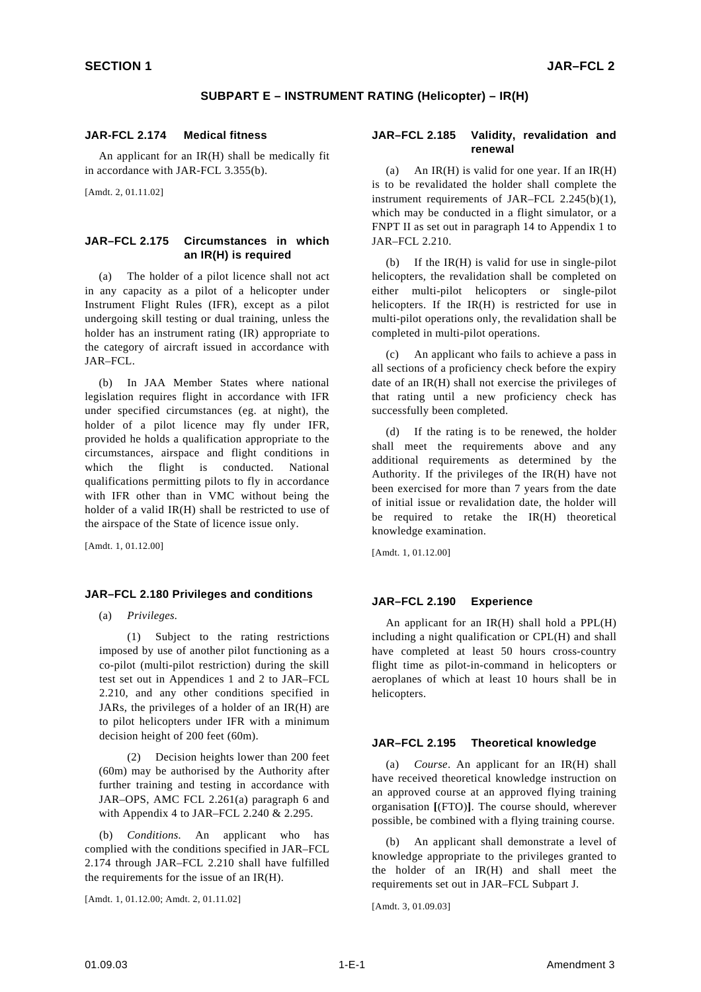## **SUBPART E – INSTRUMENT RATING (Helicopter) – IR(H)**

#### **JAR-FCL 2.174 Medical fitness**

An applicant for an IR(H) shall be medically fit in accordance with JAR-FCL 3.355(b).

[Amdt. 2, 01.11.02]

### **JAR–FCL 2.175 Circumstances in which an IR(H) is required**

(a) The holder of a pilot licence shall not act in any capacity as a pilot of a helicopter under Instrument Flight Rules (IFR), except as a pilot undergoing skill testing or dual training, unless the holder has an instrument rating (IR) appropriate to the category of aircraft issued in accordance with JAR–FCL.

(b) In JAA Member States where national legislation requires flight in accordance with IFR under specified circumstances (eg. at night), the holder of a pilot licence may fly under IFR, provided he holds a qualification appropriate to the circumstances, airspace and flight conditions in which the flight is conducted. National qualifications permitting pilots to fly in accordance with IFR other than in VMC without being the holder of a valid IR(H) shall be restricted to use of the airspace of the State of licence issue only.

[Amdt. 1, 01.12.00]

#### **JAR–FCL 2.180 Privileges and conditions**

#### (a) *Privileges.*

(1) Subject to the rating restrictions imposed by use of another pilot functioning as a co-pilot (multi-pilot restriction) during the skill test set out in Appendices 1 and 2 to JAR–FCL 2.210, and any other conditions specified in JARs, the privileges of a holder of an IR(H) are to pilot helicopters under IFR with a minimum decision height of 200 feet (60m).

Decision heights lower than 200 feet (60m) may be authorised by the Authority after further training and testing in accordance with JAR–OPS, AMC FCL 2.261(a) paragraph 6 and with Appendix 4 to JAR–FCL 2.240 & 2.295.

(b) *Conditions.* An applicant who has complied with the conditions specified in JAR–FCL 2.174 through JAR–FCL 2.210 shall have fulfilled the requirements for the issue of an IR(H).

[Amdt. 1, 01.12.00; Amdt. 2, 01.11.02]

#### **JAR–FCL 2.185 Validity, revalidation and renewal**

(a) An IR(H) is valid for one year. If an IR(H) is to be revalidated the holder shall complete the instrument requirements of JAR–FCL 2.245(b)(1), which may be conducted in a flight simulator, or a FNPT II as set out in paragraph 14 to Appendix 1 to JAR–FCL 2.210.

(b) If the IR(H) is valid for use in single-pilot helicopters, the revalidation shall be completed on either multi-pilot helicopters or single-pilot helicopters. If the IR(H) is restricted for use in multi-pilot operations only, the revalidation shall be completed in multi-pilot operations.

(c) An applicant who fails to achieve a pass in all sections of a proficiency check before the expiry date of an IR(H) shall not exercise the privileges of that rating until a new proficiency check has successfully been completed.

(d) If the rating is to be renewed, the holder shall meet the requirements above and any additional requirements as determined by the Authority. If the privileges of the IR(H) have not been exercised for more than 7 years from the date of initial issue or revalidation date, the holder will be required to retake the IR(H) theoretical knowledge examination.

[Amdt. 1, 01.12.00]

#### **JAR–FCL 2.190 Experience**

An applicant for an  $IR(H)$  shall hold a  $PPL(H)$ including a night qualification or CPL(H) and shall have completed at least 50 hours cross-country flight time as pilot-in-command in helicopters or aeroplanes of which at least 10 hours shall be in helicopters.

#### **JAR–FCL 2.195 Theoretical knowledge**

(a) *Course*. An applicant for an IR(H) shall have received theoretical knowledge instruction on an approved course at an approved flying training organisation **[**(FTO)**]**. The course should, wherever possible, be combined with a flying training course.

(b) An applicant shall demonstrate a level of knowledge appropriate to the privileges granted to the holder of an IR(H) and shall meet the requirements set out in JAR–FCL Subpart J.

[Amdt. 3, 01.09.03]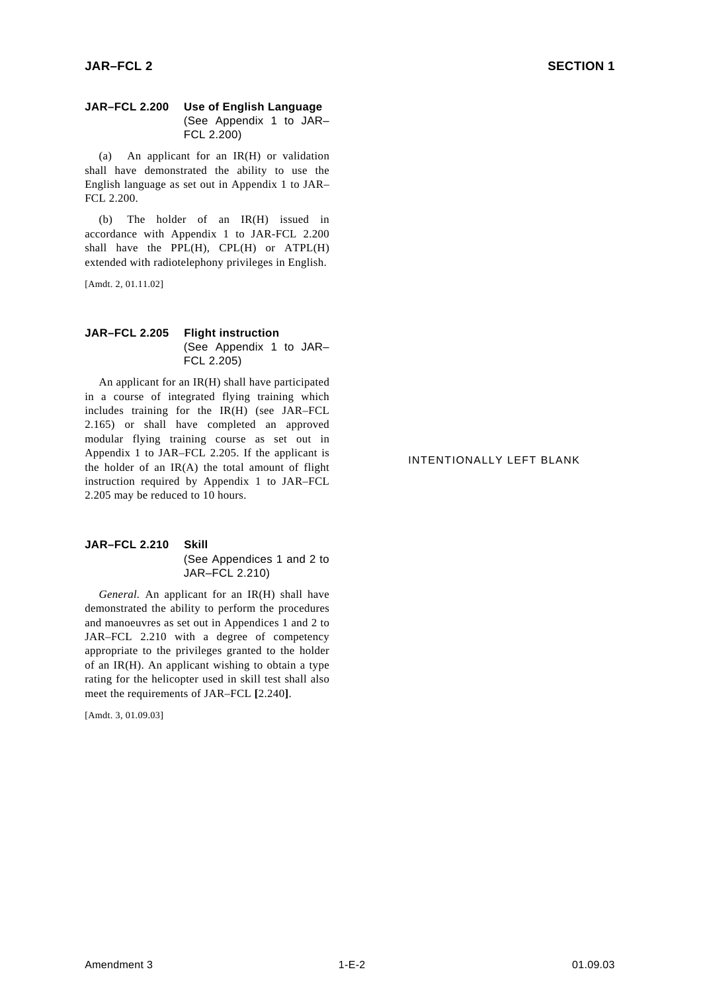#### **JAR–FCL 2.200 Use of English Language**  (See Appendix 1 to JAR– FCL 2.200)

(a) An applicant for an IR(H) or validation shall have demonstrated the ability to use the English language as set out in Appendix 1 to JAR– FCL 2.200.

(b) The holder of an IR(H) issued in accordance with Appendix 1 to JAR-FCL 2.200 shall have the  $PPL(H)$ ,  $CPL(H)$  or  $ATPL(H)$ extended with radiotelephony privileges in English.

[Amdt. 2, 01.11.02]

### **JAR–FCL 2.205 Flight instruction**  (See Appendix 1 to JAR– FCL 2.205)

An applicant for an IR(H) shall have participated in a course of integrated flying training which includes training for the IR(H) (see JAR–FCL 2.165) or shall have completed an approved modular flying training course as set out in Appendix 1 to JAR–FCL 2.205. If the applicant is the holder of an  $IR(A)$  the total amount of flight instruction required by Appendix 1 to JAR–FCL 2.205 may be reduced to 10 hours.

#### **JAR–FCL 2.210 Skill**  (See Appendices 1 and 2 to JAR–FCL 2.210)

*General.* An applicant for an IR(H) shall have demonstrated the ability to perform the procedures and manoeuvres as set out in Appendices 1 and 2 to JAR–FCL 2.210 with a degree of competency appropriate to the privileges granted to the holder of an IR(H). An applicant wishing to obtain a type rating for the helicopter used in skill test shall also meet the requirements of JAR–FCL **[**2.240**]**.

[Amdt. 3, 01.09.03]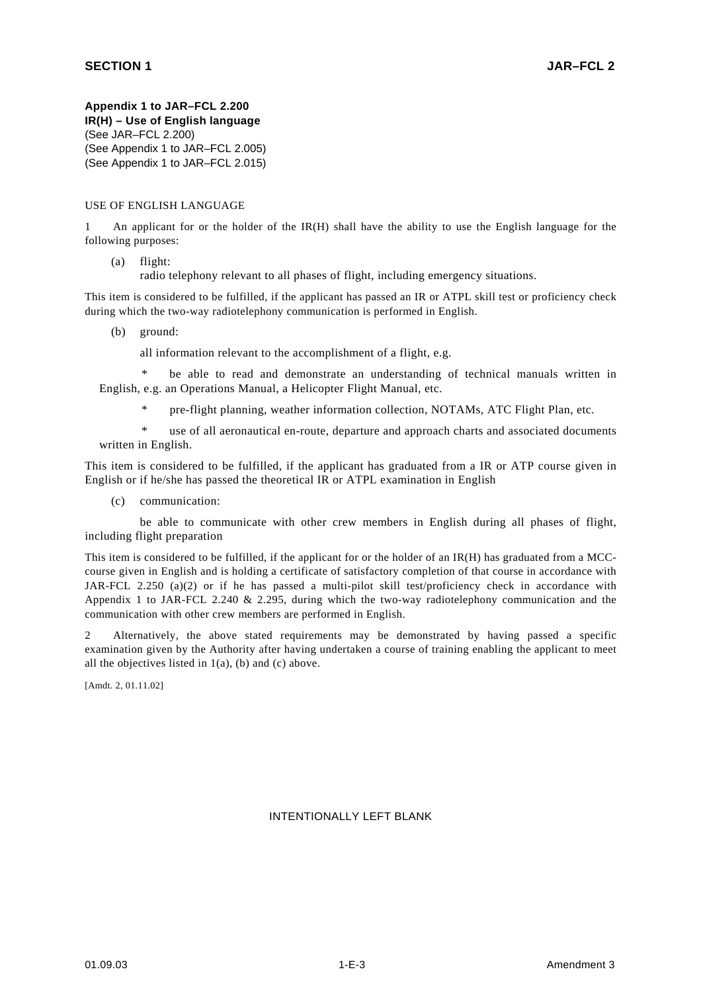**Appendix 1 to JAR–FCL 2.200 IR(H) – Use of English language**  (See JAR–FCL 2.200) (See Appendix 1 to JAR–FCL 2.005) (See Appendix 1 to JAR–FCL 2.015)

#### USE OF ENGLISH LANGUAGE

1 An applicant for or the holder of the IR(H) shall have the ability to use the English language for the following purposes:

(a) flight:

radio telephony relevant to all phases of flight, including emergency situations.

This item is considered to be fulfilled, if the applicant has passed an IR or ATPL skill test or proficiency check during which the two-way radiotelephony communication is performed in English.

(b) ground:

all information relevant to the accomplishment of a flight, e.g.

be able to read and demonstrate an understanding of technical manuals written in English, e.g. an Operations Manual, a Helicopter Flight Manual, etc.

\* pre-flight planning, weather information collection, NOTAMs, ATC Flight Plan, etc.

\* use of all aeronautical en-route, departure and approach charts and associated documents written in English.

This item is considered to be fulfilled, if the applicant has graduated from a IR or ATP course given in English or if he/she has passed the theoretical IR or ATPL examination in English

(c) communication:

 be able to communicate with other crew members in English during all phases of flight, including flight preparation

This item is considered to be fulfilled, if the applicant for or the holder of an IR(H) has graduated from a MCCcourse given in English and is holding a certificate of satisfactory completion of that course in accordance with JAR-FCL 2.250 (a)(2) or if he has passed a multi-pilot skill test/proficiency check in accordance with Appendix 1 to JAR-FCL 2.240 & 2.295, during which the two-way radiotelephony communication and the communication with other crew members are performed in English.

2 Alternatively, the above stated requirements may be demonstrated by having passed a specific examination given by the Authority after having undertaken a course of training enabling the applicant to meet all the objectives listed in  $1(a)$ , (b) and (c) above.

[Amdt. 2, 01.11.02]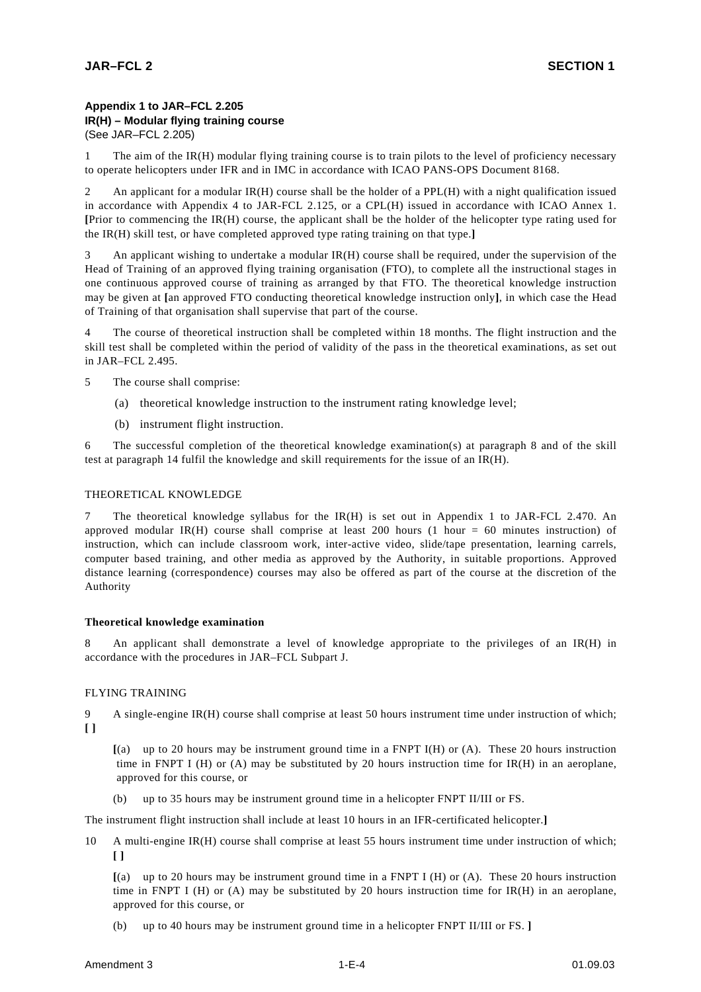#### **Appendix 1 to JAR–FCL 2.205 IR(H) – Modular flying training course**  (See JAR–FCL 2.205)

The aim of the IR(H) modular flying training course is to train pilots to the level of proficiency necessary to operate helicopters under IFR and in IMC in accordance with ICAO PANS-OPS Document 8168.

2 An applicant for a modular IR(H) course shall be the holder of a PPL(H) with a night qualification issued in accordance with Appendix 4 to JAR-FCL 2.125, or a CPL(H) issued in accordance with ICAO Annex 1. **[**Prior to commencing the IR(H) course, the applicant shall be the holder of the helicopter type rating used for the IR(H) skill test, or have completed approved type rating training on that type.**]**

3 An applicant wishing to undertake a modular IR(H) course shall be required, under the supervision of the Head of Training of an approved flying training organisation (FTO), to complete all the instructional stages in one continuous approved course of training as arranged by that FTO. The theoretical knowledge instruction may be given at **[**an approved FTO conducting theoretical knowledge instruction only**]**, in which case the Head of Training of that organisation shall supervise that part of the course.

4 The course of theoretical instruction shall be completed within 18 months. The flight instruction and the skill test shall be completed within the period of validity of the pass in the theoretical examinations, as set out in JAR–FCL 2.495.

- 5 The course shall comprise:
	- (a) theoretical knowledge instruction to the instrument rating knowledge level;
	- (b) instrument flight instruction.

6 The successful completion of the theoretical knowledge examination(s) at paragraph 8 and of the skill test at paragraph 14 fulfil the knowledge and skill requirements for the issue of an IR(H).

#### THEORETICAL KNOWLEDGE

7 The theoretical knowledge syllabus for the IR(H) is set out in Appendix 1 to JAR-FCL 2.470. An approved modular IR(H) course shall comprise at least 200 hours (1 hour =  $60$  minutes instruction) of instruction, which can include classroom work, inter-active video, slide/tape presentation, learning carrels, computer based training, and other media as approved by the Authority, in suitable proportions. Approved distance learning (correspondence) courses may also be offered as part of the course at the discretion of the Authority

#### **Theoretical knowledge examination**

8 An applicant shall demonstrate a level of knowledge appropriate to the privileges of an IR(H) in accordance with the procedures in JAR–FCL Subpart J.

#### FLYING TRAINING

9 A single-engine IR(H) course shall comprise at least 50 hours instrument time under instruction of which; **[ ]** 

**[**(a) up to 20 hours may be instrument ground time in a FNPT I(H) or (A). These 20 hours instruction time in FNPT I (H) or (A) may be substituted by 20 hours instruction time for IR(H) in an aeroplane, approved for this course, or

(b) up to 35 hours may be instrument ground time in a helicopter FNPT II/III or FS.

The instrument flight instruction shall include at least 10 hours in an IFR-certificated helicopter.**]**

10 A multi-engine IR(H) course shall comprise at least 55 hours instrument time under instruction of which; **[ ]**

**[**(a) up to 20 hours may be instrument ground time in a FNPT I (H) or (A). These 20 hours instruction time in FNPT I (H) or (A) may be substituted by 20 hours instruction time for IR(H) in an aeroplane, approved for this course, or

(b) up to 40 hours may be instrument ground time in a helicopter FNPT II/III or FS. **]**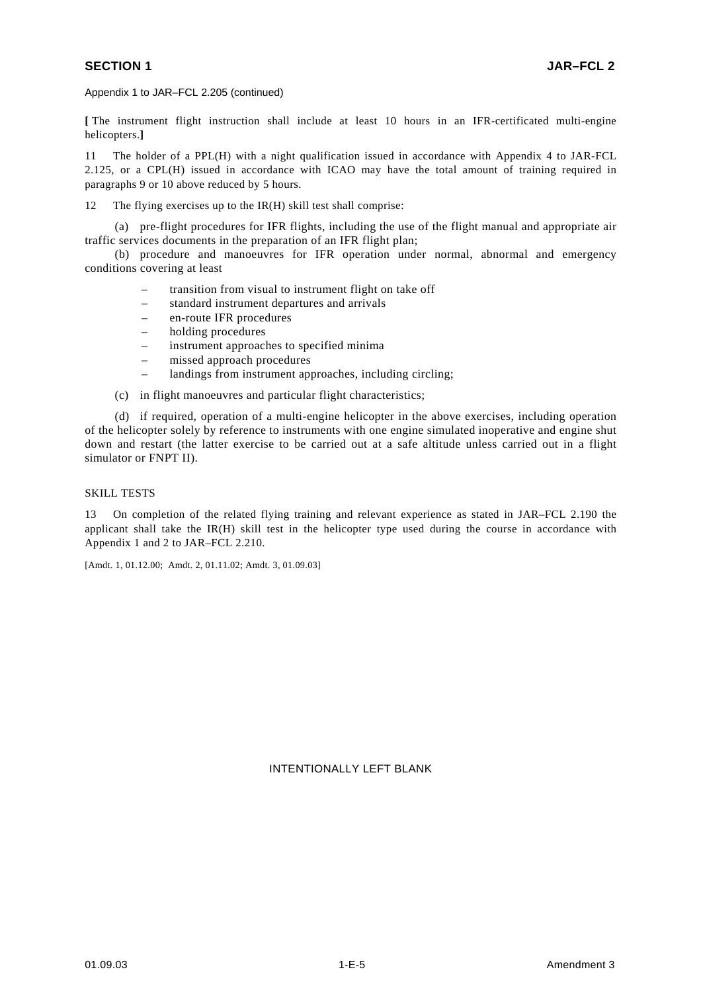Appendix 1 to JAR–FCL 2.205 (continued)

**[** The instrument flight instruction shall include at least 10 hours in an IFR-certificated multi-engine helicopters.**]**

11 The holder of a PPL(H) with a night qualification issued in accordance with Appendix 4 to JAR-FCL 2.125, or a CPL(H) issued in accordance with ICAO may have the total amount of training required in paragraphs 9 or 10 above reduced by 5 hours.

12 The flying exercises up to the IR(H) skill test shall comprise:

(a) pre-flight procedures for IFR flights, including the use of the flight manual and appropriate air traffic services documents in the preparation of an IFR flight plan;

(b) procedure and manoeuvres for IFR operation under normal, abnormal and emergency conditions covering at least

- transition from visual to instrument flight on take off
- standard instrument departures and arrivals
- en-route IFR procedures
- holding procedures
- instrument approaches to specified minima
- missed approach procedures
- landings from instrument approaches, including circling;
- (c) in flight manoeuvres and particular flight characteristics;

(d) if required, operation of a multi-engine helicopter in the above exercises, including operation of the helicopter solely by reference to instruments with one engine simulated inoperative and engine shut down and restart (the latter exercise to be carried out at a safe altitude unless carried out in a flight simulator or FNPT II).

#### SKILL TESTS

13 On completion of the related flying training and relevant experience as stated in JAR–FCL 2.190 the applicant shall take the IR(H) skill test in the helicopter type used during the course in accordance with Appendix 1 and 2 to JAR–FCL 2.210.

[Amdt. 1, 01.12.00; Amdt. 2, 01.11.02; Amdt. 3, 01.09.03]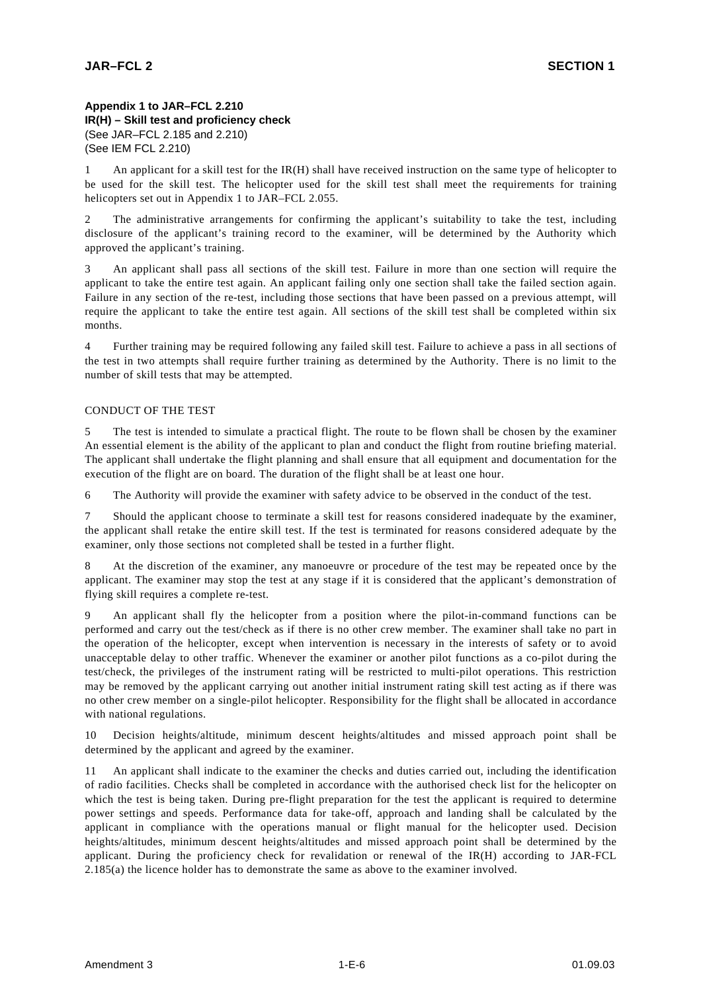**Appendix 1 to JAR–FCL 2.210 IR(H) – Skill test and proficiency check**  (See JAR–FCL 2.185 and 2.210) (See IEM FCL 2.210)

1 An applicant for a skill test for the IR(H) shall have received instruction on the same type of helicopter to be used for the skill test. The helicopter used for the skill test shall meet the requirements for training helicopters set out in Appendix 1 to JAR–FCL 2.055.

2 The administrative arrangements for confirming the applicant's suitability to take the test, including disclosure of the applicant's training record to the examiner, will be determined by the Authority which approved the applicant's training.

3 An applicant shall pass all sections of the skill test. Failure in more than one section will require the applicant to take the entire test again. An applicant failing only one section shall take the failed section again. Failure in any section of the re-test, including those sections that have been passed on a previous attempt, will require the applicant to take the entire test again. All sections of the skill test shall be completed within six months.

4 Further training may be required following any failed skill test. Failure to achieve a pass in all sections of the test in two attempts shall require further training as determined by the Authority. There is no limit to the number of skill tests that may be attempted.

### CONDUCT OF THE TEST

5 The test is intended to simulate a practical flight. The route to be flown shall be chosen by the examiner An essential element is the ability of the applicant to plan and conduct the flight from routine briefing material. The applicant shall undertake the flight planning and shall ensure that all equipment and documentation for the execution of the flight are on board. The duration of the flight shall be at least one hour.

6 The Authority will provide the examiner with safety advice to be observed in the conduct of the test.

7 Should the applicant choose to terminate a skill test for reasons considered inadequate by the examiner, the applicant shall retake the entire skill test. If the test is terminated for reasons considered adequate by the examiner, only those sections not completed shall be tested in a further flight.

8 At the discretion of the examiner, any manoeuvre or procedure of the test may be repeated once by the applicant. The examiner may stop the test at any stage if it is considered that the applicant's demonstration of flying skill requires a complete re-test.

9 An applicant shall fly the helicopter from a position where the pilot-in-command functions can be performed and carry out the test/check as if there is no other crew member. The examiner shall take no part in the operation of the helicopter, except when intervention is necessary in the interests of safety or to avoid unacceptable delay to other traffic. Whenever the examiner or another pilot functions as a co-pilot during the test/check, the privileges of the instrument rating will be restricted to multi-pilot operations. This restriction may be removed by the applicant carrying out another initial instrument rating skill test acting as if there was no other crew member on a single-pilot helicopter. Responsibility for the flight shall be allocated in accordance with national regulations.

10 Decision heights/altitude, minimum descent heights/altitudes and missed approach point shall be determined by the applicant and agreed by the examiner.

11 An applicant shall indicate to the examiner the checks and duties carried out, including the identification of radio facilities. Checks shall be completed in accordance with the authorised check list for the helicopter on which the test is being taken. During pre-flight preparation for the test the applicant is required to determine power settings and speeds. Performance data for take-off, approach and landing shall be calculated by the applicant in compliance with the operations manual or flight manual for the helicopter used. Decision heights/altitudes, minimum descent heights/altitudes and missed approach point shall be determined by the applicant. During the proficiency check for revalidation or renewal of the IR(H) according to JAR-FCL 2.185(a) the licence holder has to demonstrate the same as above to the examiner involved.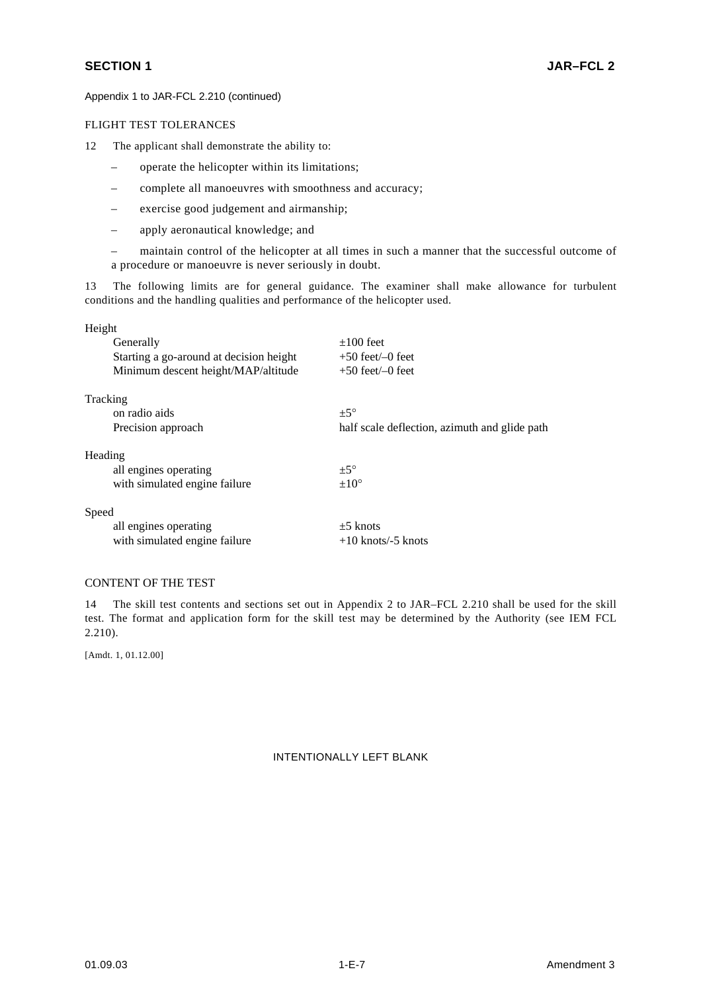# Appendix 1 to JAR-FCL 2.210 (continued)

### FLIGHT TEST TOLERANCES

- 12 The applicant shall demonstrate the ability to:
	- operate the helicopter within its limitations;
	- complete all manoeuvres with smoothness and accuracy;
	- exercise good judgement and airmanship;
	- apply aeronautical knowledge; and
	- maintain control of the helicopter at all times in such a manner that the successful outcome of a procedure or manoeuvre is never seriously in doubt.

13 The following limits are for general guidance. The examiner shall make allowance for turbulent conditions and the handling qualities and performance of the helicopter used.

| Height   |                                         |                                               |
|----------|-----------------------------------------|-----------------------------------------------|
|          | Generally                               | $\pm 100$ feet                                |
|          | Starting a go-around at decision height | $+50$ feet/ $-0$ feet                         |
|          | Minimum descent height/MAP/altitude     | $+50$ feet/ $-0$ feet                         |
| Tracking |                                         |                                               |
|          | on radio aids                           | $\pm 5^{\circ}$                               |
|          | Precision approach                      | half scale deflection, azimuth and glide path |
| Heading  |                                         |                                               |
|          | all engines operating                   | $+5^{\circ}$                                  |
|          | with simulated engine failure           | $\pm 10^{\circ}$                              |
| Speed    |                                         |                                               |
|          | all engines operating                   | $\pm$ 5 knots                                 |
|          | with simulated engine failure           | $+10$ knots/-5 knots                          |

#### CONTENT OF THE TEST

14 The skill test contents and sections set out in Appendix 2 to JAR–FCL 2.210 shall be used for the skill test. The format and application form for the skill test may be determined by the Authority (see IEM FCL 2.210).

[Amdt. 1, 01.12.00]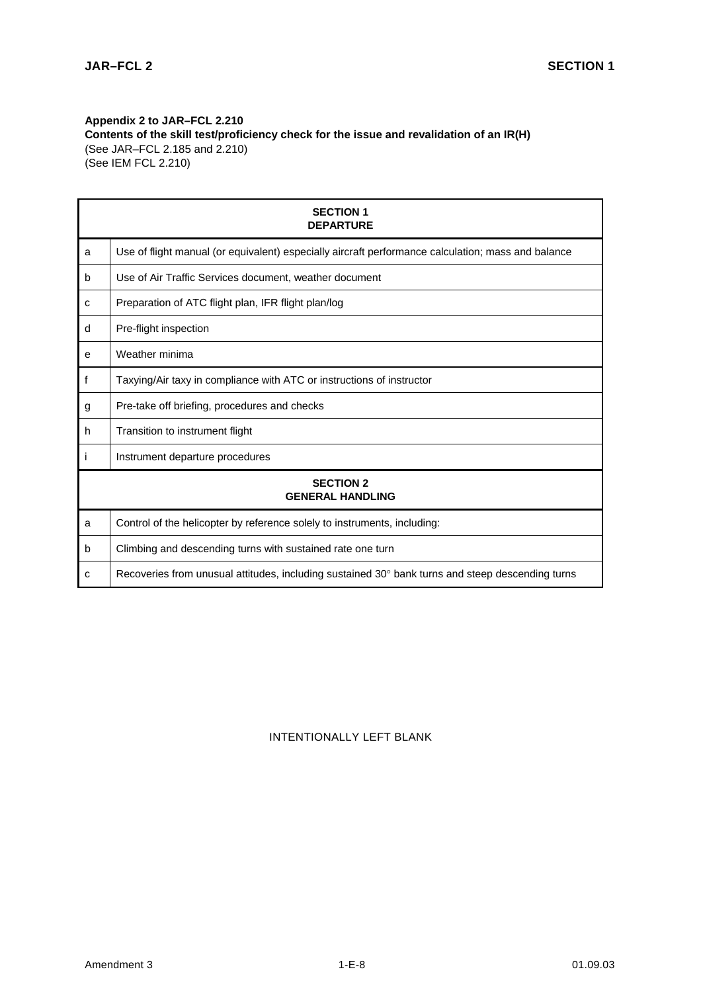## **Appendix 2 to JAR–FCL 2.210 Contents of the skill test/proficiency check for the issue and revalidation of an IR(H)**  (See JAR–FCL 2.185 and 2.210) (See IEM FCL 2.210)

| <b>SECTION 1</b><br><b>DEPARTURE</b>        |                                                                                                    |  |  |
|---------------------------------------------|----------------------------------------------------------------------------------------------------|--|--|
| a                                           | Use of flight manual (or equivalent) especially aircraft performance calculation; mass and balance |  |  |
| b                                           | Use of Air Traffic Services document, weather document                                             |  |  |
| C                                           | Preparation of ATC flight plan, IFR flight plan/log                                                |  |  |
| d                                           | Pre-flight inspection                                                                              |  |  |
| e                                           | Weather minima                                                                                     |  |  |
| $\mathbf{f}$                                | Taxying/Air taxy in compliance with ATC or instructions of instructor                              |  |  |
| g                                           | Pre-take off briefing, procedures and checks                                                       |  |  |
| h.                                          | Transition to instrument flight                                                                    |  |  |
| j.                                          | Instrument departure procedures                                                                    |  |  |
| <b>SECTION 2</b><br><b>GENERAL HANDLING</b> |                                                                                                    |  |  |
| a                                           | Control of the helicopter by reference solely to instruments, including:                           |  |  |
| b                                           | Climbing and descending turns with sustained rate one turn                                         |  |  |
| c                                           | Recoveries from unusual attitudes, including sustained 30° bank turns and steep descending turns   |  |  |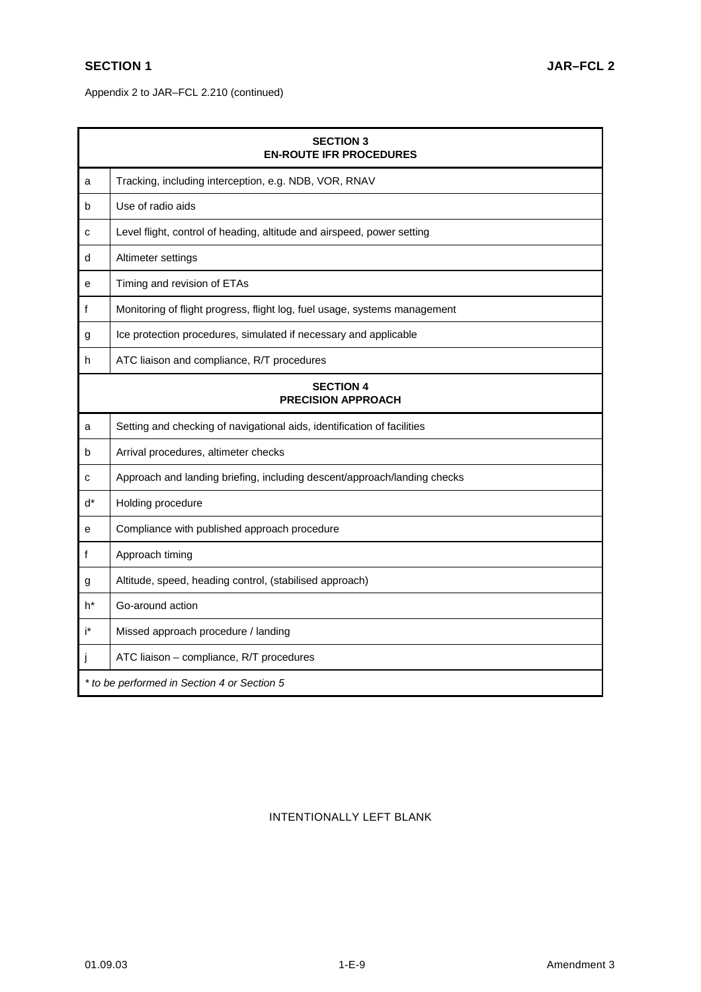Appendix 2 to JAR–FCL 2.210 (continued)

| <b>SECTION 3</b><br><b>EN-ROUTE IFR PROCEDURES</b> |                                                                           |  |  |  |
|----------------------------------------------------|---------------------------------------------------------------------------|--|--|--|
| a                                                  | Tracking, including interception, e.g. NDB, VOR, RNAV                     |  |  |  |
| b                                                  | Use of radio aids                                                         |  |  |  |
| c                                                  | Level flight, control of heading, altitude and airspeed, power setting    |  |  |  |
| d                                                  | Altimeter settings                                                        |  |  |  |
| е                                                  | Timing and revision of ETAs                                               |  |  |  |
| f                                                  | Monitoring of flight progress, flight log, fuel usage, systems management |  |  |  |
| g                                                  | Ice protection procedures, simulated if necessary and applicable          |  |  |  |
| h                                                  | ATC liaison and compliance, R/T procedures                                |  |  |  |
|                                                    | <b>SECTION 4</b><br><b>PRECISION APPROACH</b>                             |  |  |  |
| a                                                  | Setting and checking of navigational aids, identification of facilities   |  |  |  |
| b                                                  | Arrival procedures, altimeter checks                                      |  |  |  |
| C                                                  | Approach and landing briefing, including descent/approach/landing checks  |  |  |  |
| $d^*$                                              | Holding procedure                                                         |  |  |  |
| е                                                  | Compliance with published approach procedure                              |  |  |  |
| f                                                  | Approach timing                                                           |  |  |  |
| g                                                  | Altitude, speed, heading control, (stabilised approach)                   |  |  |  |
| $h^*$                                              | Go-around action                                                          |  |  |  |
| $i^*$                                              | Missed approach procedure / landing                                       |  |  |  |
| J                                                  | ATC liaison - compliance, R/T procedures                                  |  |  |  |
|                                                    | * to be performed in Section 4 or Section 5                               |  |  |  |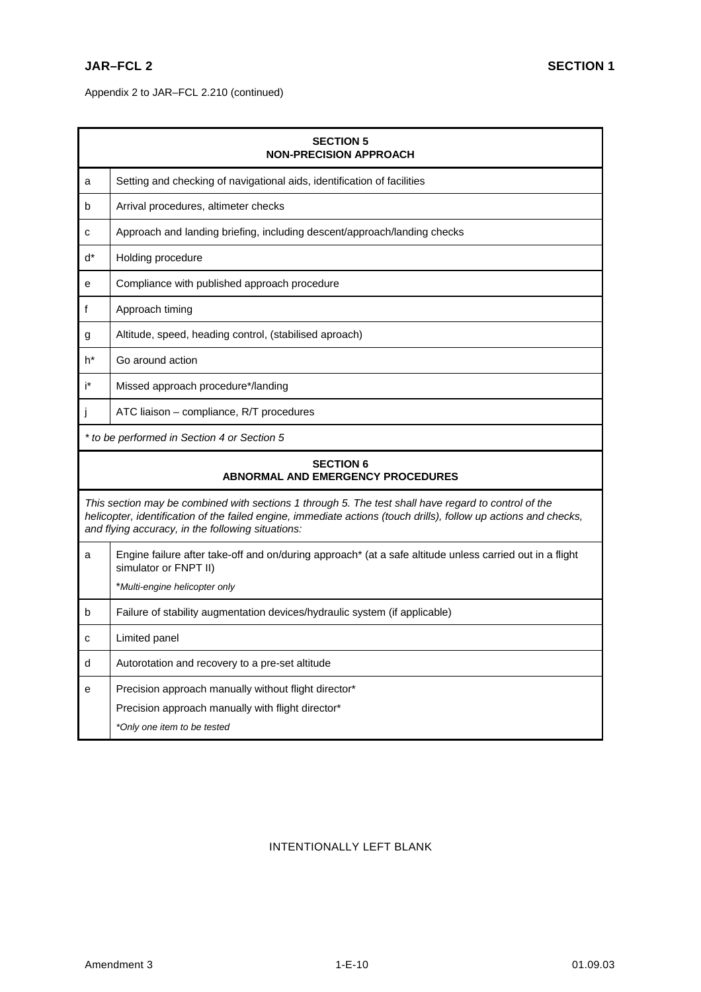# **JAR–FCL 2** SECTION 1

Appendix 2 to JAR–FCL 2.210 (continued)

| <b>SECTION 5</b><br><b>NON-PRECISION APPROACH</b>            |                                                                                                                                                                                                                                                                               |  |  |  |
|--------------------------------------------------------------|-------------------------------------------------------------------------------------------------------------------------------------------------------------------------------------------------------------------------------------------------------------------------------|--|--|--|
| a                                                            | Setting and checking of navigational aids, identification of facilities                                                                                                                                                                                                       |  |  |  |
| b                                                            | Arrival procedures, altimeter checks                                                                                                                                                                                                                                          |  |  |  |
| C                                                            | Approach and landing briefing, including descent/approach/landing checks                                                                                                                                                                                                      |  |  |  |
| ď*                                                           | Holding procedure                                                                                                                                                                                                                                                             |  |  |  |
| e                                                            | Compliance with published approach procedure                                                                                                                                                                                                                                  |  |  |  |
| f                                                            | Approach timing                                                                                                                                                                                                                                                               |  |  |  |
| g                                                            | Altitude, speed, heading control, (stabilised aproach)                                                                                                                                                                                                                        |  |  |  |
| h*                                                           | Go around action                                                                                                                                                                                                                                                              |  |  |  |
| i*                                                           | Missed approach procedure*/landing                                                                                                                                                                                                                                            |  |  |  |
| J                                                            | ATC liaison - compliance, R/T procedures                                                                                                                                                                                                                                      |  |  |  |
|                                                              | * to be performed in Section 4 or Section 5                                                                                                                                                                                                                                   |  |  |  |
| <b>SECTION 6</b><br><b>ABNORMAL AND EMERGENCY PROCEDURES</b> |                                                                                                                                                                                                                                                                               |  |  |  |
|                                                              | This section may be combined with sections 1 through 5. The test shall have regard to control of the<br>helicopter, identification of the failed engine, immediate actions (touch drills), follow up actions and checks,<br>and flying accuracy, in the following situations: |  |  |  |
| a                                                            | Engine failure after take-off and on/during approach* (at a safe altitude unless carried out in a flight<br>simulator or FNPT II)                                                                                                                                             |  |  |  |
|                                                              | *Multi-engine helicopter only                                                                                                                                                                                                                                                 |  |  |  |
| b                                                            | Failure of stability augmentation devices/hydraulic system (if applicable)                                                                                                                                                                                                    |  |  |  |
| C                                                            | Limited panel                                                                                                                                                                                                                                                                 |  |  |  |
| d                                                            | Autorotation and recovery to a pre-set altitude                                                                                                                                                                                                                               |  |  |  |
| e                                                            | Precision approach manually without flight director*                                                                                                                                                                                                                          |  |  |  |
|                                                              | Precision approach manually with flight director*                                                                                                                                                                                                                             |  |  |  |
|                                                              | *Only one item to be tested                                                                                                                                                                                                                                                   |  |  |  |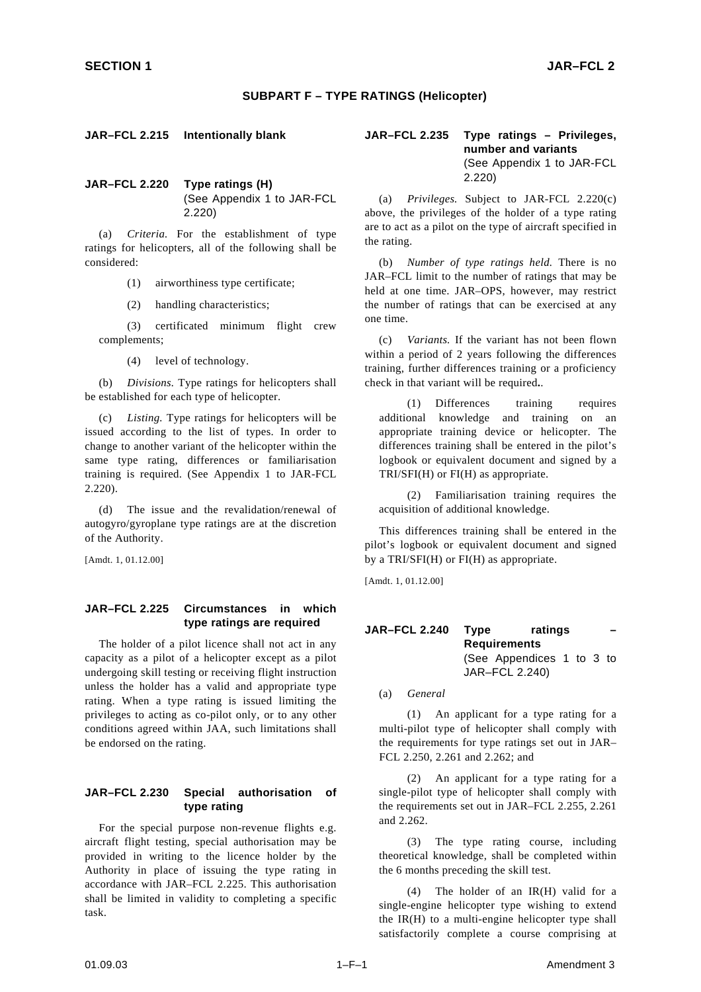### **SUBPART F – TYPE RATINGS (Helicopter)**

#### **JAR–FCL 2.215 Intentionally blank**

#### **JAR–FCL 2.220 Type ratings (H)**  (See Appendix 1 to JAR-FCL 2.220)

(a) *Criteria.* For the establishment of type ratings for helicopters, all of the following shall be considered:

(1) airworthiness type certificate;

(2) handling characteristics;

(3) certificated minimum flight crew complements;

(4) level of technology.

(b) *Divisions.* Type ratings for helicopters shall be established for each type of helicopter.

(c) *Listing.* Type ratings for helicopters will be issued according to the list of types. In order to change to another variant of the helicopter within the same type rating, differences or familiarisation training is required. (See Appendix 1 to JAR-FCL 2.220).

(d) The issue and the revalidation/renewal of autogyro/gyroplane type ratings are at the discretion of the Authority.

[Amdt. 1, 01.12.00]

### **JAR–FCL 2.225 Circumstances in which type ratings are required**

The holder of a pilot licence shall not act in any capacity as a pilot of a helicopter except as a pilot undergoing skill testing or receiving flight instruction unless the holder has a valid and appropriate type rating. When a type rating is issued limiting the privileges to acting as co-pilot only, or to any other conditions agreed within JAA, such limitations shall be endorsed on the rating.

#### **JAR–FCL 2.230 Special authorisation of type rating**

For the special purpose non-revenue flights e.g. aircraft flight testing, special authorisation may be provided in writing to the licence holder by the Authority in place of issuing the type rating in accordance with JAR–FCL 2.225. This authorisation shall be limited in validity to completing a specific task.

#### **JAR–FCL 2.235 Type ratings – Privileges, number and variants**  (See Appendix 1 to JAR-FCL 2.220)

(a) *Privileges.* Subject to JAR-FCL 2.220(c) above, the privileges of the holder of a type rating are to act as a pilot on the type of aircraft specified in the rating.

(b) *Number of type ratings held.* There is no JAR–FCL limit to the number of ratings that may be held at one time. JAR–OPS, however, may restrict the number of ratings that can be exercised at any one time.

(c) *Variants.* If the variant has not been flown within a period of 2 years following the differences training, further differences training or a proficiency check in that variant will be required**.**.

(1) Differences training requires additional knowledge and training on an appropriate training device or helicopter. The differences training shall be entered in the pilot's logbook or equivalent document and signed by a TRI/SFI(H) or FI(H) as appropriate.

(2) Familiarisation training requires the acquisition of additional knowledge.

This differences training shall be entered in the pilot's logbook or equivalent document and signed by a TRI/SFI(H) or FI(H) as appropriate.

[Amdt. 1, 01.12.00]

### **JAR–FCL 2.240 Type ratings – Requirements**  (See Appendices 1 to 3 to JAR–FCL 2.240)

(a) *General*

(1) An applicant for a type rating for a multi-pilot type of helicopter shall comply with the requirements for type ratings set out in JAR– FCL 2.250, 2.261 and 2.262; and

(2) An applicant for a type rating for a single-pilot type of helicopter shall comply with the requirements set out in JAR–FCL 2.255, 2.261 and 2.262.

(3) The type rating course, including theoretical knowledge, shall be completed within the 6 months preceding the skill test.

(4) The holder of an IR(H) valid for a single-engine helicopter type wishing to extend the IR(H) to a multi-engine helicopter type shall satisfactorily complete a course comprising at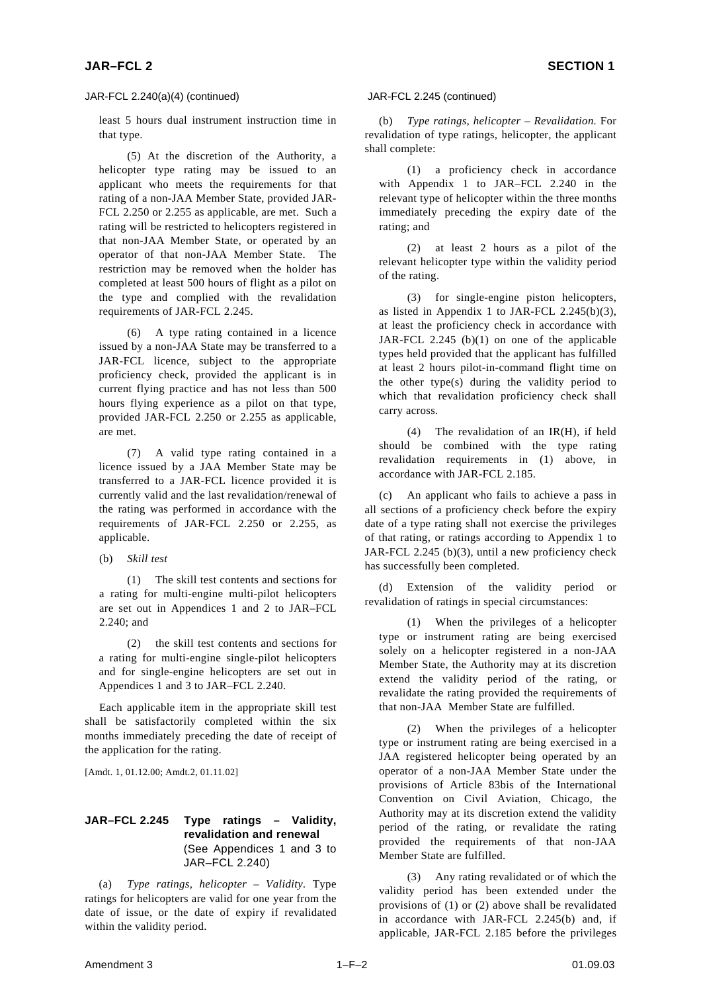#### JAR-FCL 2.240(a)(4) (continued) JAR-FCL 2.245 (continued)

least 5 hours dual instrument instruction time in that type.

(5) At the discretion of the Authority, a helicopter type rating may be issued to an applicant who meets the requirements for that rating of a non-JAA Member State, provided JAR-FCL 2.250 or 2.255 as applicable, are met. Such a rating will be restricted to helicopters registered in that non-JAA Member State, or operated by an operator of that non-JAA Member State. The restriction may be removed when the holder has completed at least 500 hours of flight as a pilot on the type and complied with the revalidation requirements of JAR-FCL 2.245.

(6) A type rating contained in a licence issued by a non-JAA State may be transferred to a JAR-FCL licence, subject to the appropriate proficiency check, provided the applicant is in current flying practice and has not less than 500 hours flying experience as a pilot on that type, provided JAR-FCL 2.250 or 2.255 as applicable, are met.

(7) A valid type rating contained in a licence issued by a JAA Member State may be transferred to a JAR-FCL licence provided it is currently valid and the last revalidation/renewal of the rating was performed in accordance with the requirements of JAR-FCL 2.250 or 2.255, as applicable.

(b) *Skill test*

(1) The skill test contents and sections for a rating for multi-engine multi-pilot helicopters are set out in Appendices 1 and 2 to JAR–FCL 2.240; and

(2) the skill test contents and sections for a rating for multi-engine single-pilot helicopters and for single-engine helicopters are set out in Appendices 1 and 3 to JAR–FCL 2.240.

Each applicable item in the appropriate skill test shall be satisfactorily completed within the six months immediately preceding the date of receipt of the application for the rating.

[Amdt. 1, 01.12.00; Amdt.2, 01.11.02]

#### **JAR–FCL 2.245 Type ratings – Validity, revalidation and renewal**  (See Appendices 1 and 3 to JAR–FCL 2.240)

(a) *Type ratings, helicopter – Validity.* Type ratings for helicopters are valid for one year from the date of issue, or the date of expiry if revalidated within the validity period.

(b) *Type ratings, helicopter – Revalidation.* For revalidation of type ratings, helicopter, the applicant shall complete:

(1) a proficiency check in accordance with Appendix 1 to JAR–FCL 2.240 in the relevant type of helicopter within the three months immediately preceding the expiry date of the rating; and

(2) at least 2 hours as a pilot of the relevant helicopter type within the validity period of the rating.

(3) for single-engine piston helicopters, as listed in Appendix 1 to JAR-FCL 2.245(b)(3), at least the proficiency check in accordance with JAR-FCL 2.245 (b)(1) on one of the applicable types held provided that the applicant has fulfilled at least 2 hours pilot-in-command flight time on the other type(s) during the validity period to which that revalidation proficiency check shall carry across.

(4) The revalidation of an IR(H), if held should be combined with the type rating revalidation requirements in (1) above, in accordance with JAR-FCL 2.185.

(c) An applicant who fails to achieve a pass in all sections of a proficiency check before the expiry date of a type rating shall not exercise the privileges of that rating, or ratings according to Appendix 1 to JAR-FCL 2.245 (b)(3), until a new proficiency check has successfully been completed.

(d) Extension of the validity period or revalidation of ratings in special circumstances:

(1) When the privileges of a helicopter type or instrument rating are being exercised solely on a helicopter registered in a non-JAA Member State, the Authority may at its discretion extend the validity period of the rating, or revalidate the rating provided the requirements of that non-JAA Member State are fulfilled.

(2) When the privileges of a helicopter type or instrument rating are being exercised in a JAA registered helicopter being operated by an operator of a non-JAA Member State under the provisions of Article 83bis of the International Convention on Civil Aviation, Chicago, the Authority may at its discretion extend the validity period of the rating, or revalidate the rating provided the requirements of that non-JAA Member State are fulfilled.

(3) Any rating revalidated or of which the validity period has been extended under the provisions of (1) or (2) above shall be revalidated in accordance with JAR-FCL 2.245(b) and, if applicable, JAR-FCL 2.185 before the privileges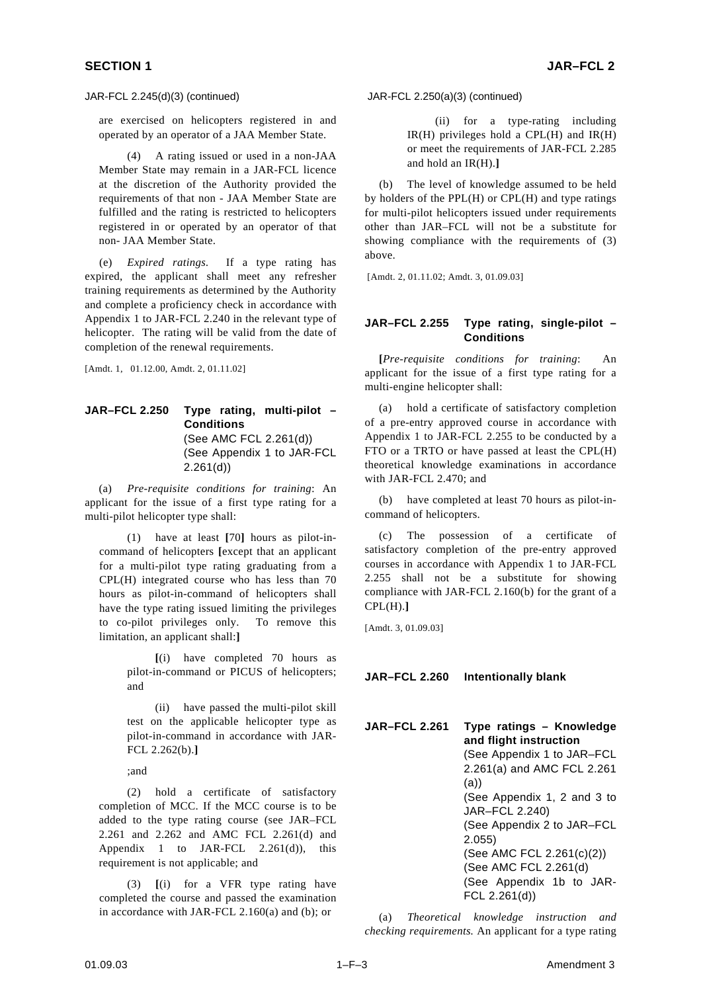are exercised on helicopters registered in and operated by an operator of a JAA Member State.

(4) A rating issued or used in a non-JAA Member State may remain in a JAR-FCL licence at the discretion of the Authority provided the requirements of that non - JAA Member State are fulfilled and the rating is restricted to helicopters registered in or operated by an operator of that non- JAA Member State.

(e) *Expired ratings.* If a type rating has expired, the applicant shall meet any refresher training requirements as determined by the Authority and complete a proficiency check in accordance with Appendix 1 to JAR-FCL 2.240 in the relevant type of helicopter. The rating will be valid from the date of completion of the renewal requirements.

[Amdt. 1, 01.12.00, Amdt. 2, 01.11.02]

### **JAR–FCL 2.250 Type rating, multi-pilot – Conditions**  (See AMC FCL 2.261(d)) (See Appendix 1 to JAR-FCL 2.261(d))

(a) *Pre-requisite conditions for training*: An applicant for the issue of a first type rating for a multi-pilot helicopter type shall:

(1) have at least **[**70**]** hours as pilot-incommand of helicopters **[**except that an applicant for a multi-pilot type rating graduating from a CPL(H) integrated course who has less than 70 hours as pilot-in-command of helicopters shall have the type rating issued limiting the privileges<br>to co-pilot privileges only. To remove this to co-pilot privileges only. limitation, an applicant shall:**]** 

> **[**(i) have completed 70 hours as pilot-in-command or PICUS of helicopters; and

> (ii) have passed the multi-pilot skill test on the applicable helicopter type as pilot-in-command in accordance with JAR-FCL 2.262(b).**]**

;and

(2) hold a certificate of satisfactory completion of MCC. If the MCC course is to be added to the type rating course (see JAR–FCL 2.261 and 2.262 and AMC FCL 2.261(d) and Appendix 1 to JAR-FCL  $2.261(d)$ , this requirement is not applicable; and

(3) **[**(i) for a VFR type rating have completed the course and passed the examination in accordance with JAR-FCL 2.160(a) and (b); or

JAR-FCL 2.245(d)(3) (continued) JAR-FCL 2.250(a)(3) (continued)

(ii) for a type-rating including  $IR(H)$  privileges hold a CPL $(H)$  and  $IR(H)$ or meet the requirements of JAR-FCL 2.285 and hold an IR(H).**]**

(b) The level of knowledge assumed to be held by holders of the PPL(H) or CPL(H) and type ratings for multi-pilot helicopters issued under requirements other than JAR–FCL will not be a substitute for showing compliance with the requirements of (3) above.

[Amdt. 2, 01.11.02; Amdt. 3, 01.09.03]

### **JAR–FCL 2.255 Type rating, single-pilot – Conditions**

**[***Pre-requisite conditions for training*: An applicant for the issue of a first type rating for a multi-engine helicopter shall:

(a) hold a certificate of satisfactory completion of a pre-entry approved course in accordance with Appendix 1 to JAR-FCL 2.255 to be conducted by a FTO or a TRTO or have passed at least the CPL(H) theoretical knowledge examinations in accordance with JAR-FCL 2.470; and

(b) have completed at least 70 hours as pilot-incommand of helicopters.

(c) The possession of a certificate of satisfactory completion of the pre-entry approved courses in accordance with Appendix 1 to JAR-FCL 2.255 shall not be a substitute for showing compliance with JAR-FCL 2.160(b) for the grant of a CPL(H).**]** 

[Amdt. 3, 01.09.03]

# **JAR–FCL 2.260 Intentionally blank**

**JAR–FCL 2.261 Type ratings – Knowledge and flight instruction**  (See Appendix 1 to JAR–FCL 2.261(a) and AMC FCL 2.261 (a)) (See Appendix 1, 2 and 3 to JAR–FCL 2.240) (See Appendix 2 to JAR–FCL 2.055) (See AMC FCL 2.261(c)(2)) (See AMC FCL 2.261(d) (See Appendix 1b to JAR-FCL 2.261(d))

(a) *Theoretical knowledge instruction and checking requirements.* An applicant for a type rating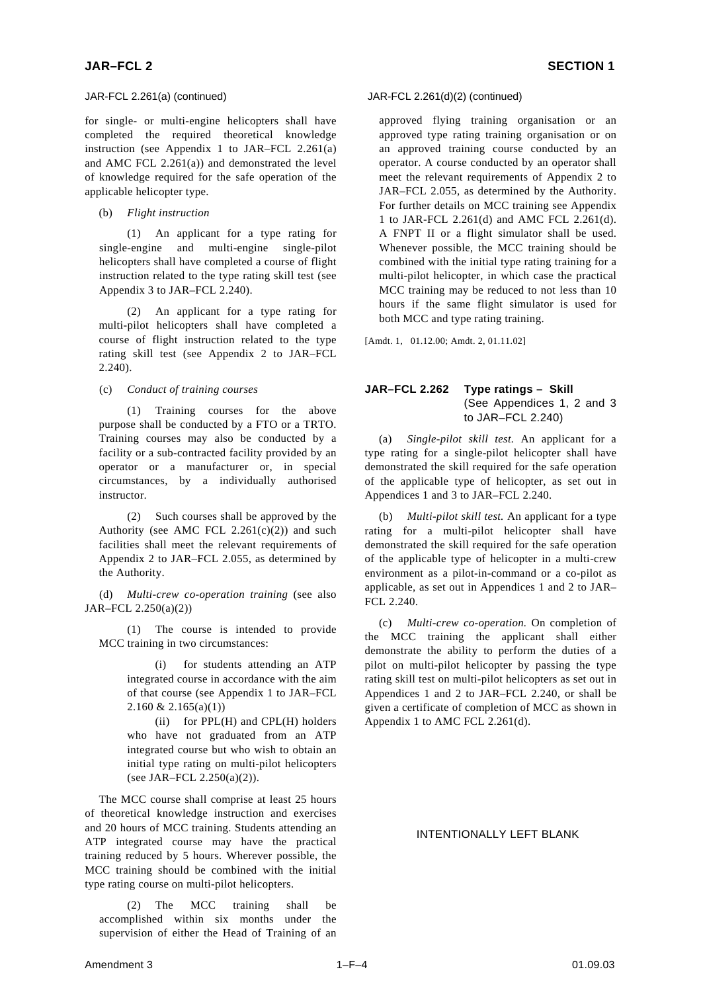#### JAR-FCL 2.261(a) (continued) JAR-FCL 2.261(d)(2) (continued)

for single- or multi-engine helicopters shall have completed the required theoretical knowledge instruction (see Appendix 1 to JAR–FCL 2.261(a) and AMC FCL  $2.261(a)$  and demonstrated the level of knowledge required for the safe operation of the applicable helicopter type.

#### (b) *Flight instruction*

(1) An applicant for a type rating for single-engine and multi-engine single-pilot helicopters shall have completed a course of flight instruction related to the type rating skill test (see Appendix 3 to JAR–FCL 2.240).

(2) An applicant for a type rating for multi-pilot helicopters shall have completed a course of flight instruction related to the type rating skill test (see Appendix 2 to JAR–FCL 2.240).

(c) *Conduct of training courses*

(1) Training courses for the above purpose shall be conducted by a FTO or a TRTO. Training courses may also be conducted by a facility or a sub-contracted facility provided by an operator or a manufacturer or, in special circumstances, by a individually authorised instructor.

(2) Such courses shall be approved by the Authority (see AMC FCL  $2.261(c)(2)$ ) and such facilities shall meet the relevant requirements of Appendix 2 to JAR–FCL 2.055, as determined by the Authority.

(d) *Multi-crew co-operation training* (see also JAR–FCL 2.250(a)(2))

(1) The course is intended to provide MCC training in two circumstances:

> (i) for students attending an ATP integrated course in accordance with the aim of that course (see Appendix 1 to JAR–FCL  $2.160 \& 2.165(a)(1)$

> (ii) for  $PPL(H)$  and  $CPL(H)$  holders who have not graduated from an ATP integrated course but who wish to obtain an initial type rating on multi-pilot helicopters (see JAR–FCL 2.250(a)(2)).

The MCC course shall comprise at least 25 hours of theoretical knowledge instruction and exercises and 20 hours of MCC training. Students attending an ATP integrated course may have the practical training reduced by 5 hours. Wherever possible, the MCC training should be combined with the initial type rating course on multi-pilot helicopters.

(2) The MCC training shall be accomplished within six months under the supervision of either the Head of Training of an

approved flying training organisation or an approved type rating training organisation or on an approved training course conducted by an operator. A course conducted by an operator shall meet the relevant requirements of Appendix 2 to JAR–FCL 2.055, as determined by the Authority. For further details on MCC training see Appendix 1 to JAR-FCL 2.261(d) and AMC FCL 2.261(d). A FNPT II or a flight simulator shall be used. Whenever possible, the MCC training should be combined with the initial type rating training for a multi-pilot helicopter, in which case the practical MCC training may be reduced to not less than 10 hours if the same flight simulator is used for both MCC and type rating training.

[Amdt. 1, 01.12.00; Amdt. 2, 01.11.02]

### **JAR–FCL 2.262 Type ratings – Skill**  (See Appendices 1, 2 and 3 to JAR–FCL 2.240)

(a) *Single-pilot skill test.* An applicant for a type rating for a single-pilot helicopter shall have demonstrated the skill required for the safe operation of the applicable type of helicopter, as set out in Appendices 1 and 3 to JAR–FCL 2.240.

(b) *Multi-pilot skill test.* An applicant for a type rating for a multi-pilot helicopter shall have demonstrated the skill required for the safe operation of the applicable type of helicopter in a multi-crew environment as a pilot-in-command or a co-pilot as applicable, as set out in Appendices 1 and 2 to JAR– FCL 2.240.

(c) *Multi-crew co-operation.* On completion of the MCC training the applicant shall either demonstrate the ability to perform the duties of a pilot on multi-pilot helicopter by passing the type rating skill test on multi-pilot helicopters as set out in Appendices 1 and 2 to JAR–FCL 2.240, or shall be given a certificate of completion of MCC as shown in Appendix 1 to AMC FCL 2.261(d).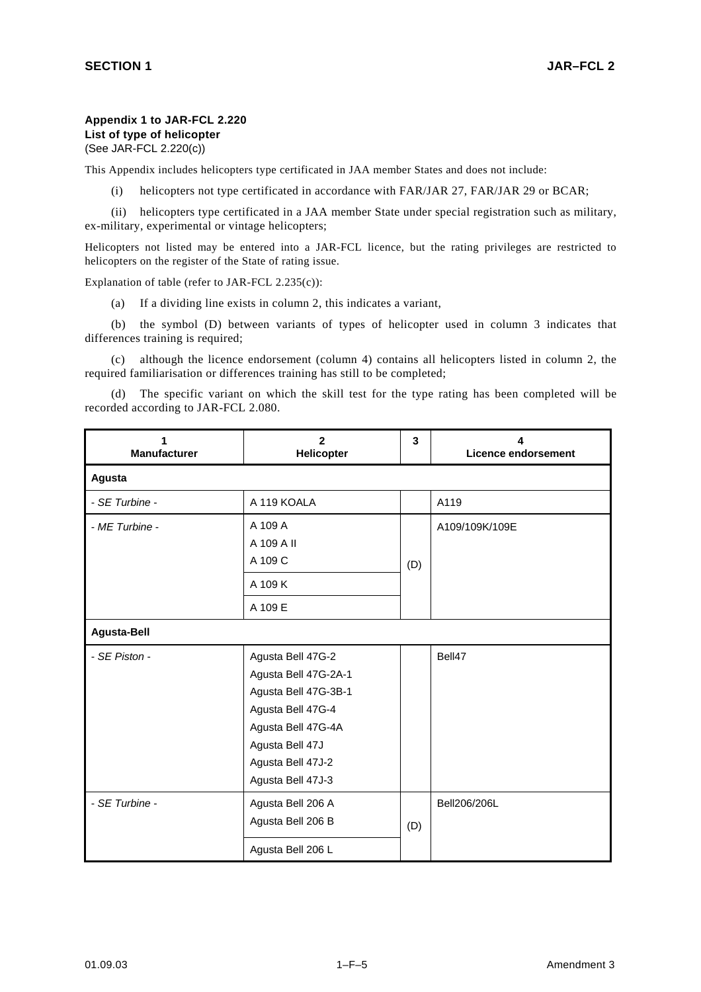#### **Appendix 1 to JAR-FCL 2.220 List of type of helicopter**  (See JAR-FCL 2.220(c))

This Appendix includes helicopters type certificated in JAA member States and does not include:

(i) helicopters not type certificated in accordance with FAR/JAR 27, FAR/JAR 29 or BCAR;

(ii) helicopters type certificated in a JAA member State under special registration such as military, ex-military, experimental or vintage helicopters;

Helicopters not listed may be entered into a JAR-FCL licence, but the rating privileges are restricted to helicopters on the register of the State of rating issue.

Explanation of table (refer to JAR-FCL 2.235(c)):

(a) If a dividing line exists in column 2, this indicates a variant,

(b) the symbol (D) between variants of types of helicopter used in column 3 indicates that differences training is required;

(c) although the licence endorsement (column 4) contains all helicopters listed in column 2, the required familiarisation or differences training has still to be completed;

(d) The specific variant on which the skill test for the type rating has been completed will be recorded according to JAR-FCL 2.080.

| 1<br><b>Manufacturer</b> | $\overline{2}$<br>Helicopter                                                                                                                                              | 3   | 4<br><b>Licence endorsement</b> |  |  |
|--------------------------|---------------------------------------------------------------------------------------------------------------------------------------------------------------------------|-----|---------------------------------|--|--|
| Agusta                   |                                                                                                                                                                           |     |                                 |  |  |
| - SE Turbine -           | A 119 KOALA                                                                                                                                                               |     | A119                            |  |  |
| - ME Turbine -           | A 109 A<br>A 109 A II<br>A 109 C<br>A 109 K                                                                                                                               | (D) | A109/109K/109E                  |  |  |
|                          | A 109 E                                                                                                                                                                   |     |                                 |  |  |
| <b>Agusta-Bell</b>       |                                                                                                                                                                           |     |                                 |  |  |
| - SE Piston -            | Agusta Bell 47G-2<br>Agusta Bell 47G-2A-1<br>Agusta Bell 47G-3B-1<br>Agusta Bell 47G-4<br>Agusta Bell 47G-4A<br>Agusta Bell 47J<br>Agusta Bell 47J-2<br>Agusta Bell 47J-3 |     | Bell47                          |  |  |
| - SE Turbine -           | Agusta Bell 206 A<br>Agusta Bell 206 B<br>Agusta Bell 206 L                                                                                                               | (D) | Bell206/206L                    |  |  |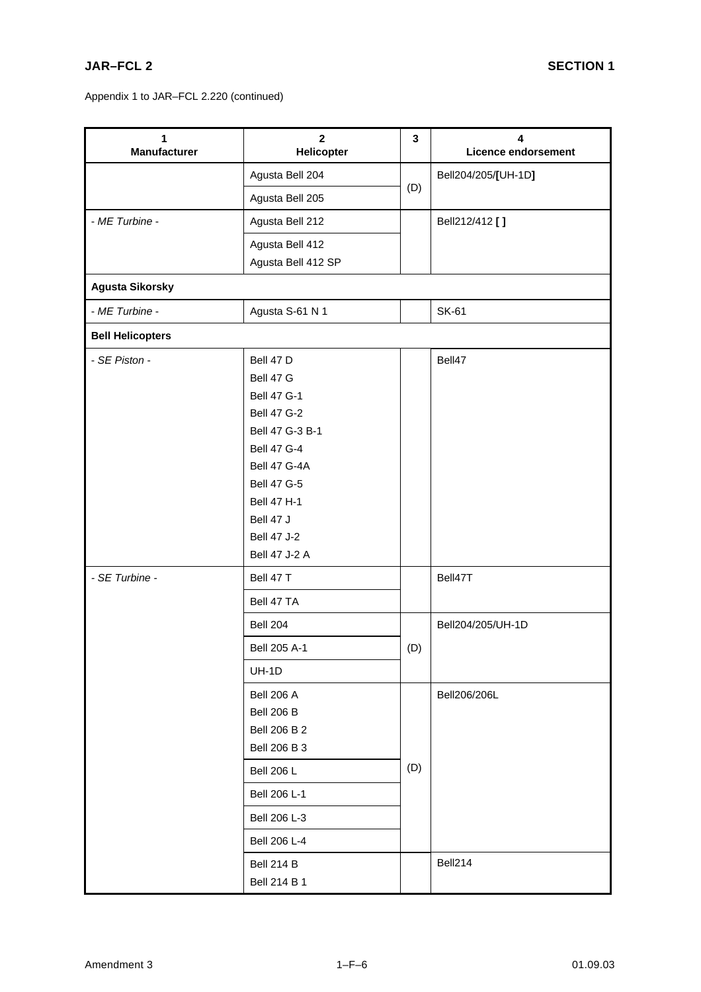Appendix 1 to JAR–FCL 2.220 (continued)

| 1<br><b>Manufacturer</b> | $\overline{2}$<br>Helicopter                                                                                                                                                                                                       | $\mathbf{3}$ | 4<br><b>Licence endorsement</b> |
|--------------------------|------------------------------------------------------------------------------------------------------------------------------------------------------------------------------------------------------------------------------------|--------------|---------------------------------|
|                          | Agusta Bell 204                                                                                                                                                                                                                    |              | Bell204/205/[UH-1D]             |
|                          | Agusta Bell 205                                                                                                                                                                                                                    | (D)          |                                 |
| - ME Turbine -           | Agusta Bell 212                                                                                                                                                                                                                    |              | Bell212/412 []                  |
|                          | Agusta Bell 412                                                                                                                                                                                                                    |              |                                 |
|                          | Agusta Bell 412 SP                                                                                                                                                                                                                 |              |                                 |
| <b>Agusta Sikorsky</b>   |                                                                                                                                                                                                                                    |              |                                 |
| - ME Turbine -           | Agusta S-61 N 1                                                                                                                                                                                                                    |              | <b>SK-61</b>                    |
| <b>Bell Helicopters</b>  |                                                                                                                                                                                                                                    |              |                                 |
| - SE Piston -            | Bell 47 D<br>Bell 47 G<br><b>Bell 47 G-1</b><br><b>Bell 47 G-2</b><br>Bell 47 G-3 B-1<br><b>Bell 47 G-4</b><br>Bell 47 G-4A<br><b>Bell 47 G-5</b><br><b>Bell 47 H-1</b><br>Bell 47 J<br><b>Bell 47 J-2</b><br><b>Bell 47 J-2 A</b> |              | Bell47                          |
| - SE Turbine -           | Bell 47 T<br>Bell 47 TA                                                                                                                                                                                                            |              | Bell47T                         |
|                          | <b>Bell 204</b>                                                                                                                                                                                                                    |              | Bell204/205/UH-1D               |
|                          | Bell 205 A-1                                                                                                                                                                                                                       | (D)          |                                 |
|                          | <b>UH-1D</b>                                                                                                                                                                                                                       |              |                                 |
|                          | Bell 206 A<br><b>Bell 206 B</b><br><b>Bell 206 B 2</b><br>Bell 206 B 3                                                                                                                                                             |              | Bell206/206L                    |
|                          | <b>Bell 206 L</b>                                                                                                                                                                                                                  | (D)          |                                 |
|                          | Bell 206 L-1                                                                                                                                                                                                                       |              |                                 |
|                          | Bell 206 L-3                                                                                                                                                                                                                       |              |                                 |
|                          | Bell 206 L-4                                                                                                                                                                                                                       |              |                                 |
|                          | <b>Bell 214 B</b><br><b>Bell 214 B 1</b>                                                                                                                                                                                           |              | Bell214                         |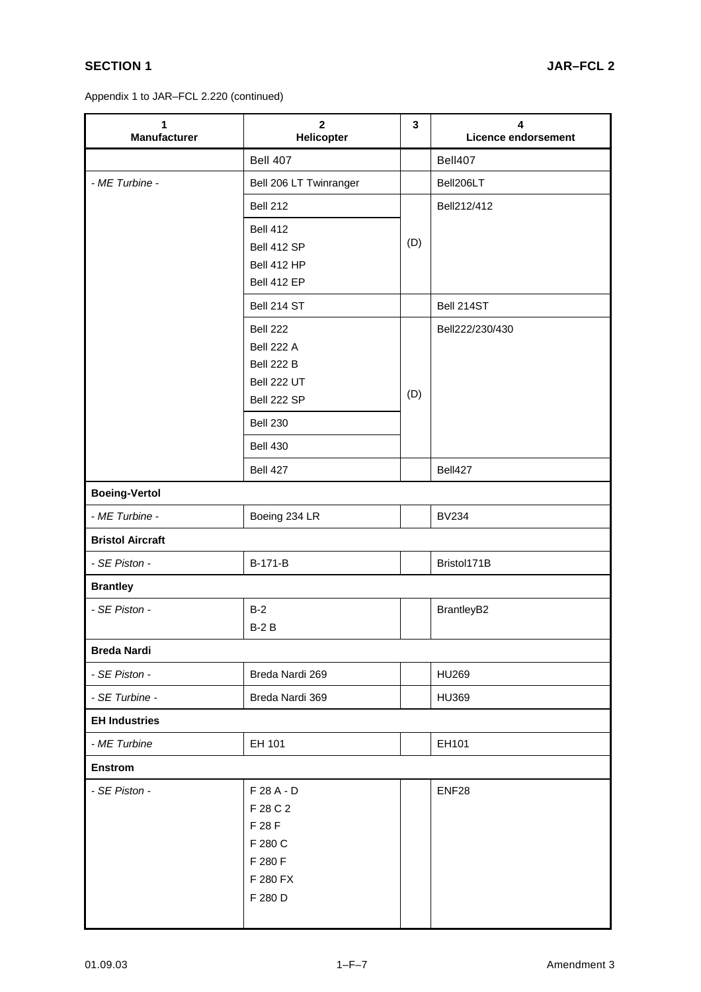Appendix 1 to JAR–FCL 2.220 (continued)

| 1<br>Manufacturer       | $\overline{\mathbf{2}}$<br>Helicopter | $\mathbf{3}$ | 4<br>Licence endorsement |
|-------------------------|---------------------------------------|--------------|--------------------------|
|                         | <b>Bell 407</b>                       |              | Bell407                  |
| - ME Turbine -          | Bell 206 LT Twinranger                |              | Bell206LT                |
|                         | <b>Bell 212</b>                       |              | Bell212/412              |
|                         | <b>Bell 412</b>                       |              |                          |
|                         | Bell 412 SP                           | (D)          |                          |
|                         | Bell 412 HP                           |              |                          |
|                         | Bell 412 EP                           |              |                          |
|                         | Bell 214 ST                           |              | Bell 214ST               |
|                         | <b>Bell 222</b>                       |              | Bell222/230/430          |
|                         | <b>Bell 222 A</b>                     |              |                          |
|                         | <b>Bell 222 B</b>                     |              |                          |
|                         | <b>Bell 222 UT</b>                    | (D)          |                          |
|                         | Bell 222 SP                           |              |                          |
|                         | <b>Bell 230</b>                       |              |                          |
|                         | <b>Bell 430</b>                       |              |                          |
|                         | <b>Bell 427</b>                       |              | Bell427                  |
| <b>Boeing-Vertol</b>    |                                       |              |                          |
| - ME Turbine -          | Boeing 234 LR                         |              | <b>BV234</b>             |
| <b>Bristol Aircraft</b> |                                       |              |                          |
| - SE Piston -           | B-171-B                               |              | Bristol171B              |
| <b>Brantley</b>         |                                       |              |                          |
| - SE Piston -           | $B-2$                                 |              | BrantleyB2               |
|                         | $B-2B$                                |              |                          |
| <b>Breda Nardi</b>      |                                       |              |                          |
| - SE Piston -           | Breda Nardi 269                       |              | <b>HU269</b>             |
| - SE Turbine -          | Breda Nardi 369                       |              | HU369                    |
| <b>EH Industries</b>    |                                       |              |                          |
| - ME Turbine            | EH 101                                |              | EH101                    |
| <b>Enstrom</b>          |                                       |              |                          |
| - SE Piston -           | F 28 A - D                            |              | ENF <sub>28</sub>        |
|                         | F 28 C 2                              |              |                          |
|                         | F 28 F                                |              |                          |
|                         | F 280 C                               |              |                          |
|                         | F 280 F                               |              |                          |
|                         | F 280 FX                              |              |                          |
|                         | F 280 D                               |              |                          |
|                         |                                       |              |                          |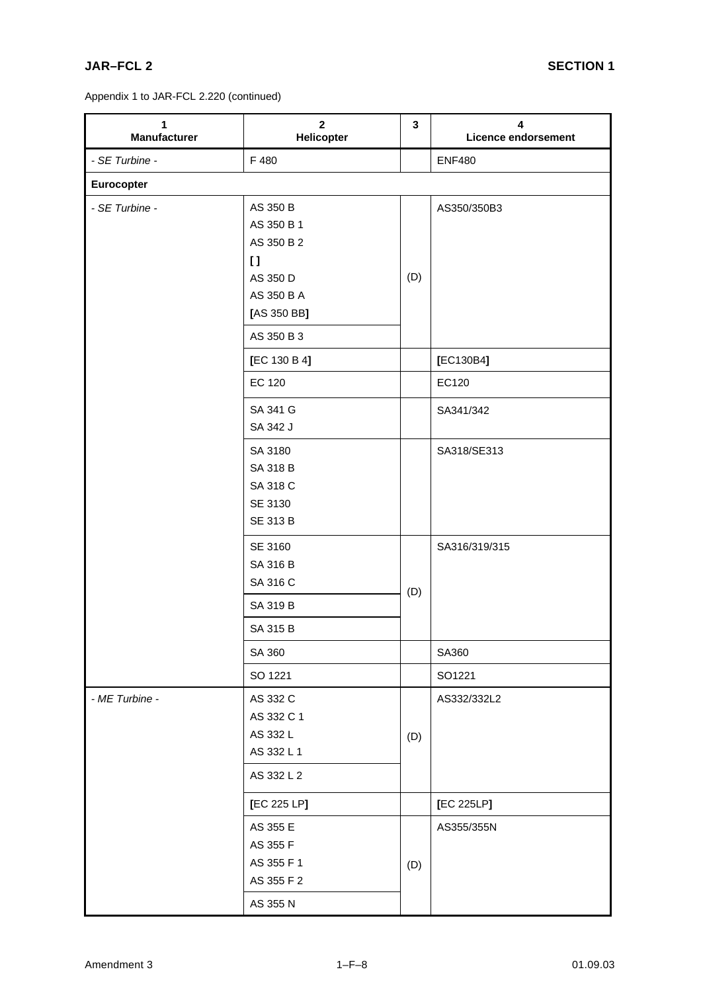# **JAR–FCL 2** SECTION 1

Appendix 1 to JAR-FCL 2.220 (continued)

| $\mathbf{1}$<br><b>Manufacturer</b> | $\overline{2}$<br>Helicopter                                                                                | 3   | $\overline{\mathbf{4}}$<br>Licence endorsement |
|-------------------------------------|-------------------------------------------------------------------------------------------------------------|-----|------------------------------------------------|
| - SE Turbine -                      | F 480                                                                                                       |     | <b>ENF480</b>                                  |
| Eurocopter                          |                                                                                                             |     |                                                |
| - SE Turbine -                      | AS 350 B<br>AS 350 B 1<br>AS 350 B 2<br>$\mathbf{I}$<br>AS 350 D<br>AS 350 B A<br>[AS 350 BB]<br>AS 350 B 3 | (D) | AS350/350B3                                    |
|                                     | [EC 130 B 4]                                                                                                |     | [EC130B4]                                      |
|                                     | <b>EC 120</b>                                                                                               |     | EC120                                          |
|                                     | SA 341 G<br>SA 342 J                                                                                        |     | SA341/342                                      |
|                                     | SA 3180<br>SA 318 B<br>SA 318 C<br>SE 3130<br><b>SE 313 B</b>                                               |     | SA318/SE313                                    |
|                                     | SE 3160<br>SA 316 B<br>SA 316 C<br>SA 319 B                                                                 | (D) | SA316/319/315                                  |
|                                     | SA 315 B                                                                                                    |     |                                                |
|                                     | SA 360                                                                                                      |     | SA360                                          |
|                                     | SO 1221                                                                                                     |     | SO1221                                         |
| - ME Turbine -                      | AS 332 C<br>AS 332 C 1<br>AS 332 L<br>AS 332 L 1<br>AS 332 L 2                                              | (D) | AS332/332L2                                    |
|                                     | [EC 225 LP]                                                                                                 |     | [EC 225LP]                                     |
|                                     | AS 355 E<br>AS 355 F<br>AS 355 F 1<br>AS 355 F 2<br>AS 355 N                                                | (D) | AS355/355N                                     |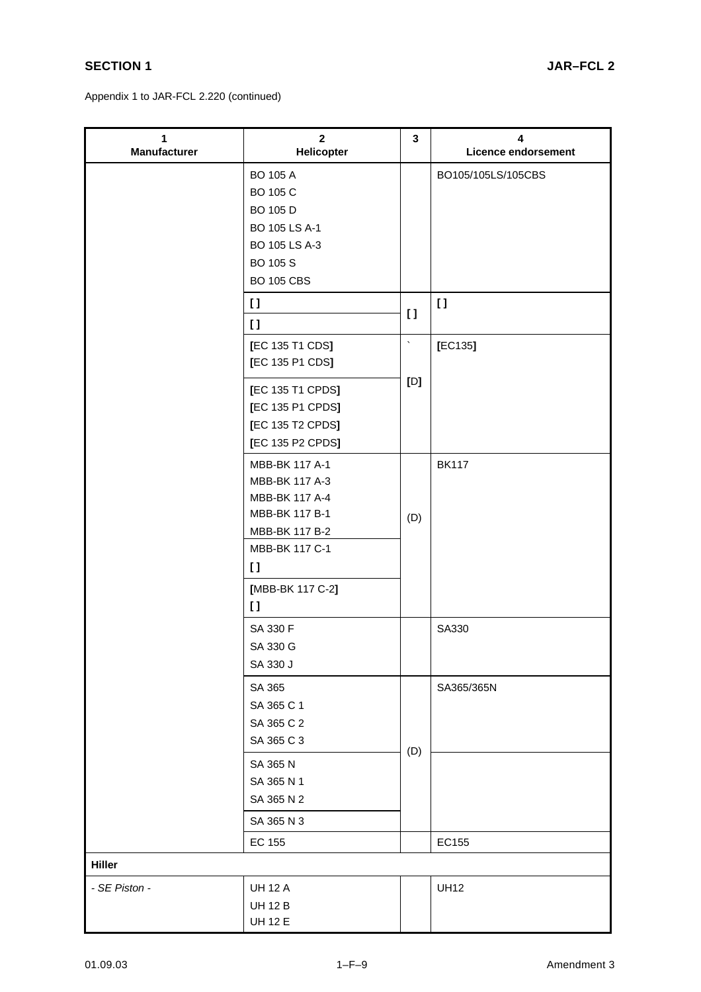Appendix 1 to JAR-FCL 2.220 (continued)

| 1<br><b>Manufacturer</b> | $\mathbf{2}$<br>Helicopter                                                                                                                                   | 3                         | 4<br>Licence endorsement |
|--------------------------|--------------------------------------------------------------------------------------------------------------------------------------------------------------|---------------------------|--------------------------|
|                          | <b>BO 105 A</b><br><b>BO 105 C</b><br><b>BO 105 D</b><br>BO 105 LS A-1<br>BO 105 LS A-3<br><b>BO 105 S</b><br><b>BO 105 CBS</b>                              |                           | BO105/105LS/105CBS       |
|                          | $\mathbf{I}$<br>$\mathbf{I}$                                                                                                                                 | $\mathbf{I}$              | $\mathbf{I}$             |
|                          | [EC 135 T1 CDS]<br>[EC 135 P1 CDS]<br>[EC 135 T1 CPDS]<br>[EC 135 P1 CPDS]                                                                                   | $\bar{\mathbf{v}}$<br>[D] | [EC135]                  |
|                          | [EC 135 T2 CPDS]<br>[EC 135 P2 CPDS]                                                                                                                         |                           |                          |
|                          | MBB-BK 117 A-1<br>MBB-BK 117 A-3<br>MBB-BK 117 A-4<br>MBB-BK 117 B-1<br>MBB-BK 117 B-2<br>MBB-BK 117 C-1<br>$\mathbf{I}$<br>[MBB-BK 117 C-2]<br>$\mathbf{I}$ | (D)                       | <b>BK117</b>             |
|                          | SA 330 F<br>SA 330 G<br>SA 330 J                                                                                                                             |                           | SA330                    |
|                          | SA 365<br>SA 365 C 1<br>SA 365 C 2<br>SA 365 C 3                                                                                                             | (D)                       | SA365/365N               |
|                          | SA 365 N<br>SA 365 N 1<br>SA 365 N 2                                                                                                                         |                           |                          |
|                          | SA 365 N 3                                                                                                                                                   |                           |                          |
| <b>Hiller</b>            | EC 155                                                                                                                                                       |                           | EC155                    |
| - SE Piston -            | <b>UH 12 A</b><br><b>UH 12 B</b><br><b>UH 12 E</b>                                                                                                           |                           | <b>UH12</b>              |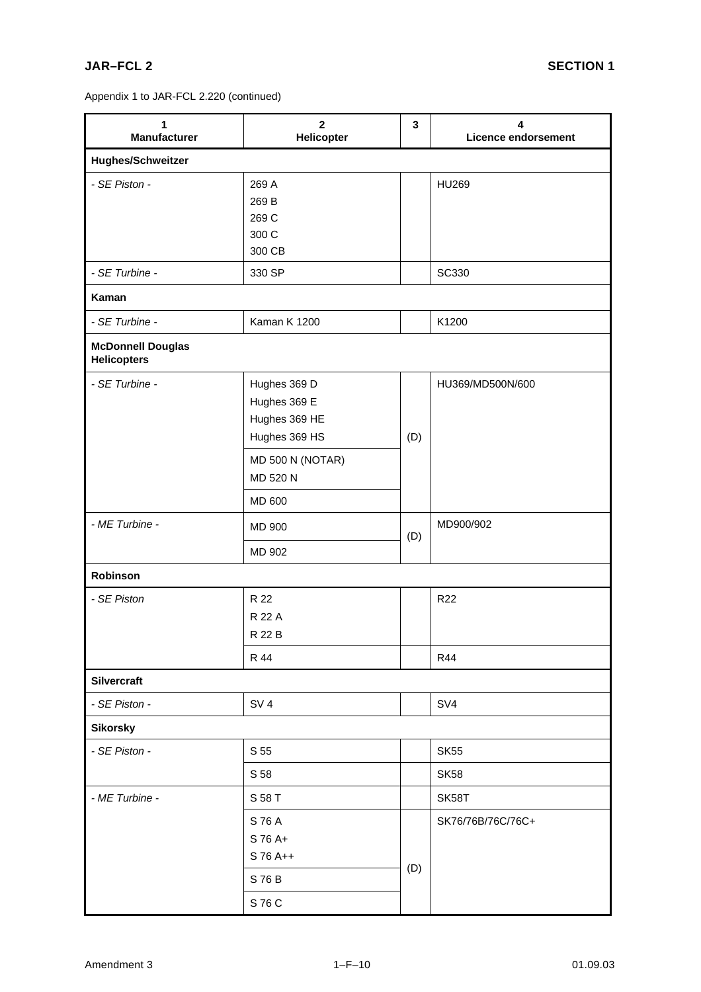# **JAR–FCL 2** SECTION 1

Appendix 1 to JAR-FCL 2.220 (continued)

| 1<br><b>Manufacturer</b>                       | $\overline{2}$<br>Helicopter                                                                             | 3   | 4<br>Licence endorsement |
|------------------------------------------------|----------------------------------------------------------------------------------------------------------|-----|--------------------------|
| <b>Hughes/Schweitzer</b>                       |                                                                                                          |     |                          |
| - SE Piston -                                  | 269 A<br>269 B<br>269 C<br>300 C<br>300 CB                                                               |     | HU269                    |
| - SE Turbine -                                 | 330 SP                                                                                                   |     | <b>SC330</b>             |
| Kaman                                          |                                                                                                          |     |                          |
| - SE Turbine -                                 | Kaman K 1200                                                                                             |     | K1200                    |
| <b>McDonnell Douglas</b><br><b>Helicopters</b> |                                                                                                          |     |                          |
| - SE Turbine -                                 | Hughes 369 D<br>Hughes 369 E<br>Hughes 369 HE<br>Hughes 369 HS<br>MD 500 N (NOTAR)<br>MD 520 N<br>MD 600 | (D) | HU369/MD500N/600         |
| - ME Turbine -                                 | MD 900                                                                                                   |     | MD900/902                |
|                                                | MD 902                                                                                                   | (D) |                          |
| Robinson                                       |                                                                                                          |     |                          |
| - SE Piston                                    | R 22<br>R 22 A<br>R 22 B                                                                                 |     | R <sub>22</sub>          |
| <b>Silvercraft</b>                             | R 44                                                                                                     |     | R44                      |
| - SE Piston -                                  | SV <sub>4</sub>                                                                                          |     | SV <sub>4</sub>          |
| <b>Sikorsky</b>                                |                                                                                                          |     |                          |
| - SE Piston -                                  | S 55                                                                                                     |     | <b>SK55</b>              |
|                                                | S 58                                                                                                     |     | <b>SK58</b>              |
| - ME Turbine -                                 | S 58 T                                                                                                   |     | SK58T                    |
|                                                | S 76 A<br>S 76 A+<br>S 76 A++                                                                            |     | SK76/76B/76C/76C+        |
|                                                | S 76 B                                                                                                   | (D) |                          |
|                                                | S 76 C                                                                                                   |     |                          |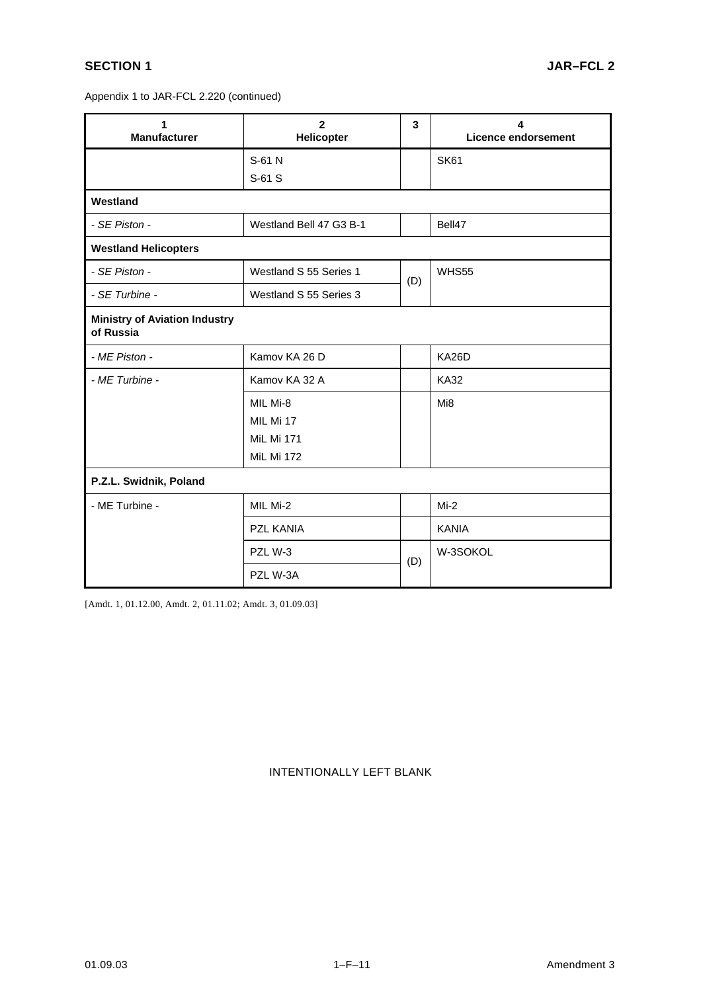Appendix 1 to JAR-FCL 2.220 (continued)

| 1<br><b>Manufacturer</b>                          | $\overline{2}$<br>Helicopter                             | 3   | 4<br><b>Licence endorsement</b> |  |  |
|---------------------------------------------------|----------------------------------------------------------|-----|---------------------------------|--|--|
|                                                   | S-61 N<br>S-61 S                                         |     | <b>SK61</b>                     |  |  |
| Westland                                          |                                                          |     |                                 |  |  |
| - SE Piston -                                     | Westland Bell 47 G3 B-1                                  |     | Bell47                          |  |  |
| <b>Westland Helicopters</b>                       |                                                          |     |                                 |  |  |
| - SE Piston -                                     | Westland S 55 Series 1                                   | (D) | WHS55                           |  |  |
| - SE Turbine -                                    | Westland S 55 Series 3                                   |     |                                 |  |  |
| <b>Ministry of Aviation Industry</b><br>of Russia |                                                          |     |                                 |  |  |
| - ME Piston -                                     | Kamov KA 26 D                                            |     | KA26D                           |  |  |
| - ME Turbine -                                    | Kamov KA 32 A                                            |     | <b>KA32</b>                     |  |  |
|                                                   | MIL Mi-8<br>MIL Mi 17<br><b>MiL Mi 171</b><br>MiL Mi 172 |     | Mi8                             |  |  |
| P.Z.L. Swidnik, Poland                            |                                                          |     |                                 |  |  |
| - ME Turbine -                                    | MIL Mi-2                                                 |     | $Mi-2$                          |  |  |
|                                                   | <b>PZL KANIA</b>                                         |     | <b>KANIA</b>                    |  |  |
|                                                   | PZL W-3                                                  | (D) | W-3SOKOL                        |  |  |
|                                                   | PZL W-3A                                                 |     |                                 |  |  |

[Amdt. 1, 01.12.00, Amdt. 2, 01.11.02; Amdt. 3, 01.09.03]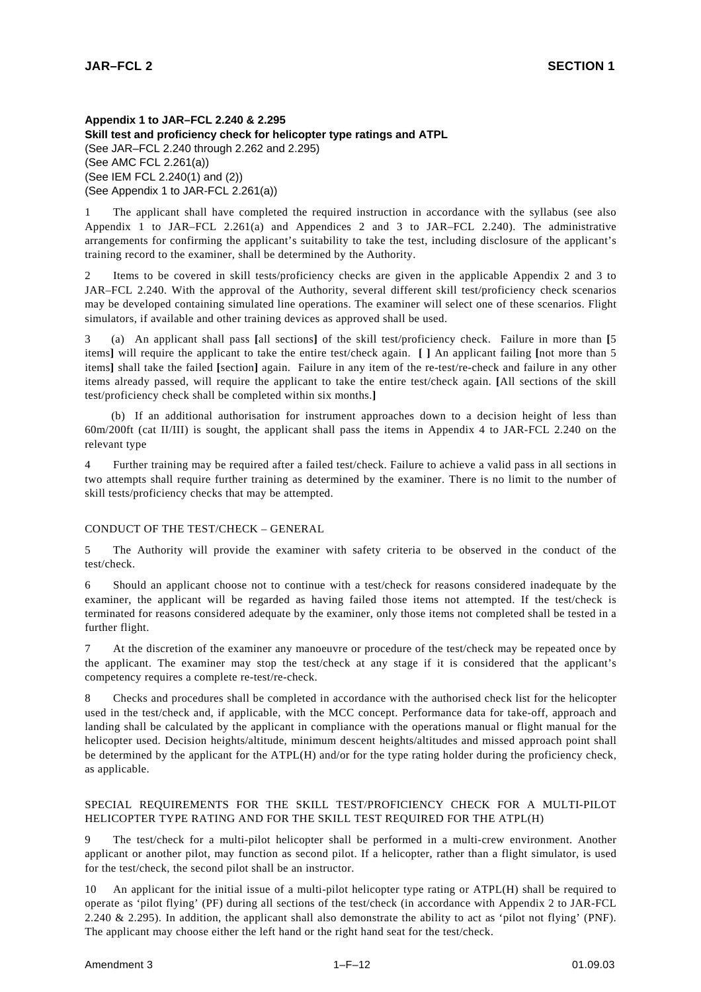#### **Appendix 1 to JAR–FCL 2.240 & 2.295 Skill test and proficiency check for helicopter type ratings and ATPL**  (See JAR–FCL 2.240 through 2.262 and 2.295) (See AMC FCL 2.261(a)) (See IEM FCL 2.240(1) and (2)) (See Appendix 1 to JAR-FCL 2.261(a))

1 The applicant shall have completed the required instruction in accordance with the syllabus (see also Appendix 1 to JAR–FCL 2.261(a) and Appendices 2 and 3 to JAR–FCL 2.240). The administrative arrangements for confirming the applicant's suitability to take the test, including disclosure of the applicant's training record to the examiner, shall be determined by the Authority.

2 Items to be covered in skill tests/proficiency checks are given in the applicable Appendix 2 and 3 to JAR–FCL 2.240. With the approval of the Authority, several different skill test/proficiency check scenarios may be developed containing simulated line operations. The examiner will select one of these scenarios. Flight simulators, if available and other training devices as approved shall be used.

3 (a) An applicant shall pass **[**all sections**]** of the skill test/proficiency check. Failure in more than **[**5 items**]** will require the applicant to take the entire test/check again. **[ ]** An applicant failing **[**not more than 5 items**]** shall take the failed **[**section**]** again. Failure in any item of the re-test/re-check and failure in any other items already passed, will require the applicant to take the entire test/check again. **[**All sections of the skill test/proficiency check shall be completed within six months.**]**

(b) If an additional authorisation for instrument approaches down to a decision height of less than 60m/200ft (cat II/III) is sought, the applicant shall pass the items in Appendix 4 to JAR-FCL 2.240 on the relevant type

4 Further training may be required after a failed test/check. Failure to achieve a valid pass in all sections in two attempts shall require further training as determined by the examiner. There is no limit to the number of skill tests/proficiency checks that may be attempted.

# CONDUCT OF THE TEST/CHECK – GENERAL

5 The Authority will provide the examiner with safety criteria to be observed in the conduct of the test/check.

6 Should an applicant choose not to continue with a test/check for reasons considered inadequate by the examiner, the applicant will be regarded as having failed those items not attempted. If the test/check is terminated for reasons considered adequate by the examiner, only those items not completed shall be tested in a further flight.

7 At the discretion of the examiner any manoeuvre or procedure of the test/check may be repeated once by the applicant. The examiner may stop the test/check at any stage if it is considered that the applicant's competency requires a complete re-test/re-check.

8 Checks and procedures shall be completed in accordance with the authorised check list for the helicopter used in the test/check and, if applicable, with the MCC concept. Performance data for take-off, approach and landing shall be calculated by the applicant in compliance with the operations manual or flight manual for the helicopter used. Decision heights/altitude, minimum descent heights/altitudes and missed approach point shall be determined by the applicant for the ATPL(H) and/or for the type rating holder during the proficiency check, as applicable.

#### SPECIAL REQUIREMENTS FOR THE SKILL TEST/PROFICIENCY CHECK FOR A MULTI-PILOT HELICOPTER TYPE RATING AND FOR THE SKILL TEST REQUIRED FOR THE ATPL(H)

9 The test/check for a multi-pilot helicopter shall be performed in a multi-crew environment. Another applicant or another pilot, may function as second pilot. If a helicopter, rather than a flight simulator, is used for the test/check, the second pilot shall be an instructor.

10 An applicant for the initial issue of a multi-pilot helicopter type rating or ATPL(H) shall be required to operate as 'pilot flying' (PF) during all sections of the test/check (in accordance with Appendix 2 to JAR-FCL 2.240 & 2.295). In addition, the applicant shall also demonstrate the ability to act as 'pilot not flying' (PNF). The applicant may choose either the left hand or the right hand seat for the test/check.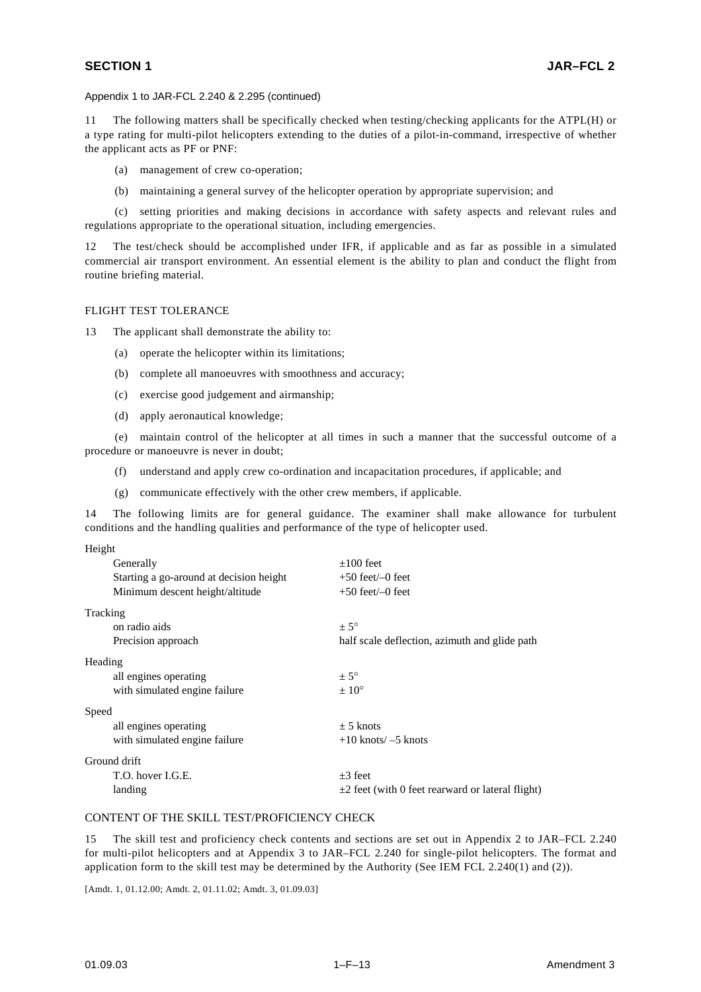#### Appendix 1 to JAR-FCL 2.240 & 2.295 (continued)

11 The following matters shall be specifically checked when testing/checking applicants for the ATPL(H) or a type rating for multi-pilot helicopters extending to the duties of a pilot-in-command, irrespective of whether the applicant acts as PF or PNF:

(a) management of crew co-operation;

(b) maintaining a general survey of the helicopter operation by appropriate supervision; and

(c) setting priorities and making decisions in accordance with safety aspects and relevant rules and regulations appropriate to the operational situation, including emergencies.

12 The test/check should be accomplished under IFR, if applicable and as far as possible in a simulated commercial air transport environment. An essential element is the ability to plan and conduct the flight from routine briefing material.

#### FLIGHT TEST TOLERANCE

13 The applicant shall demonstrate the ability to:

- (a) operate the helicopter within its limitations;
- (b) complete all manoeuvres with smoothness and accuracy;
- (c) exercise good judgement and airmanship;
- (d) apply aeronautical knowledge;

(e) maintain control of the helicopter at all times in such a manner that the successful outcome of a procedure or manoeuvre is never in doubt;

- (f) understand and apply crew co-ordination and incapacitation procedures, if applicable; and
- (g) communicate effectively with the other crew members, if applicable.

14 The following limits are for general guidance. The examiner shall make allowance for turbulent conditions and the handling qualities and performance of the type of helicopter used.

#### Height

|          | Generally                               | $\pm 100$ feet                                        |
|----------|-----------------------------------------|-------------------------------------------------------|
|          | Starting a go-around at decision height | $+50$ feet $\sqrt{-0}$ feet                           |
|          | Minimum descent height/altitude         | $+50$ feet/-0 feet                                    |
| Tracking |                                         |                                                       |
|          | on radio aids                           | $+5^{\circ}$                                          |
|          | Precision approach                      | half scale deflection, azimuth and glide path         |
| Heading  |                                         |                                                       |
|          | all engines operating                   | $\pm$ 5°                                              |
|          | with simulated engine failure           | $+10^{\circ}$                                         |
| Speed    |                                         |                                                       |
|          | all engines operating                   | $\pm$ 5 knots                                         |
|          | with simulated engine failure           | $+10$ knots/ $-5$ knots                               |
|          | Ground drift                            |                                                       |
|          | T.O. hover I.G.E.                       | $+3$ feet                                             |
|          | landing                                 | $\pm 2$ feet (with 0 feet rearward or lateral flight) |

### CONTENT OF THE SKILL TEST/PROFICIENCY CHECK

15 The skill test and proficiency check contents and sections are set out in Appendix 2 to JAR–FCL 2.240 for multi-pilot helicopters and at Appendix 3 to JAR–FCL 2.240 for single-pilot helicopters. The format and application form to the skill test may be determined by the Authority (See IEM FCL 2.240(1) and (2)).

[Amdt. 1, 01.12.00; Amdt. 2, 01.11.02; Amdt. 3, 01.09.03]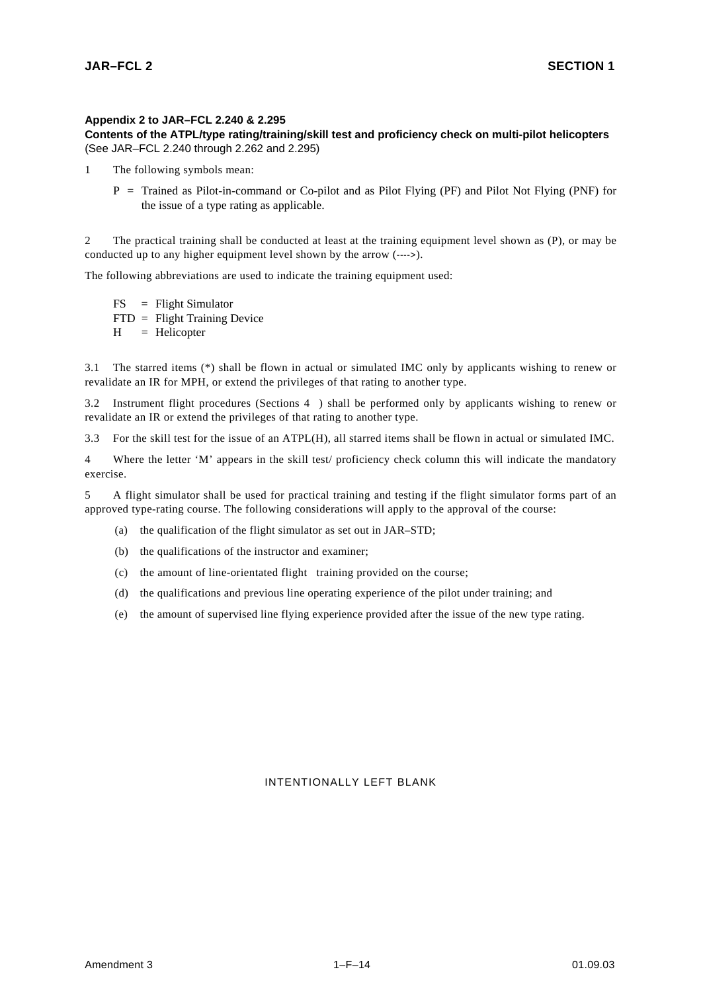#### **Appendix 2 to JAR–FCL 2.240 & 2.295**

**Contents of the ATPL/type rating/training/skill test and proficiency check on multi-pilot helicopters**  (See JAR–FCL 2.240 through 2.262 and 2.295)

- 1 The following symbols mean:
	- P = Trained as Pilot-in-command or Co-pilot and as Pilot Flying (PF) and Pilot Not Flying (PNF) for the issue of a type rating as applicable.

2 The practical training shall be conducted at least at the training equipment level shown as (P), or may be conducted up to any higher equipment level shown by the arrow (---->).

The following abbreviations are used to indicate the training equipment used:

 FS = Flight Simulator FTD = Flight Training Device  $H = Helicopter$ 

3.1 The starred items (\*) shall be flown in actual or simulated IMC only by applicants wishing to renew or revalidate an IR for MPH, or extend the privileges of that rating to another type.

3.2 Instrument flight procedures (Sections 4 ) shall be performed only by applicants wishing to renew or revalidate an IR or extend the privileges of that rating to another type.

3.3 For the skill test for the issue of an ATPL(H), all starred items shall be flown in actual or simulated IMC.

4 Where the letter 'M' appears in the skill test/ proficiency check column this will indicate the mandatory exercise.

5 A flight simulator shall be used for practical training and testing if the flight simulator forms part of an approved type-rating course. The following considerations will apply to the approval of the course:

- (a) the qualification of the flight simulator as set out in JAR–STD;
- (b) the qualifications of the instructor and examiner;
- (c) the amount of line-orientated flight training provided on the course;
- (d) the qualifications and previous line operating experience of the pilot under training; and
- (e) the amount of supervised line flying experience provided after the issue of the new type rating.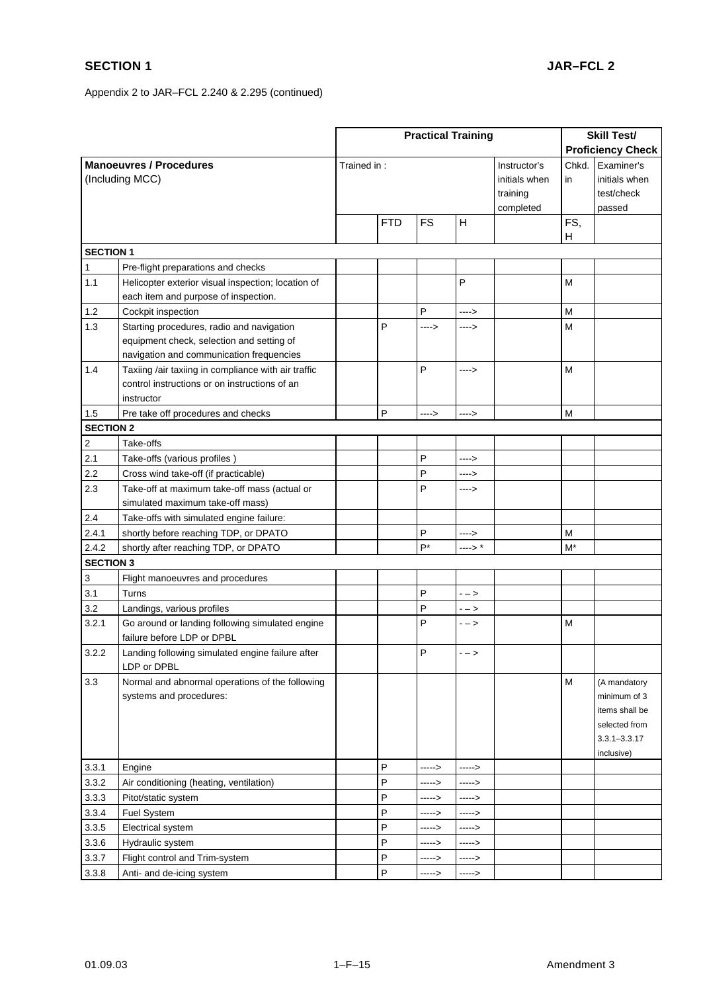Appendix 2 to JAR–FCL 2.240 & 2.295 (continued)

|                                                   |                                                                                       | <b>Practical Training</b> |              |           |                                                        |                          | <b>Skill Test/</b>                                  |                                                                                                   |
|---------------------------------------------------|---------------------------------------------------------------------------------------|---------------------------|--------------|-----------|--------------------------------------------------------|--------------------------|-----------------------------------------------------|---------------------------------------------------------------------------------------------------|
|                                                   |                                                                                       |                           |              |           |                                                        | <b>Proficiency Check</b> |                                                     |                                                                                                   |
| <b>Manoeuvres / Procedures</b><br>(Including MCC) |                                                                                       |                           | Trained in : |           | Instructor's<br>initials when<br>training<br>completed | Chkd.<br>in              | Examiner's<br>initials when<br>test/check<br>passed |                                                                                                   |
|                                                   |                                                                                       |                           | <b>FTD</b>   | <b>FS</b> | $\mathsf{H}$                                           |                          | FS,                                                 |                                                                                                   |
|                                                   |                                                                                       |                           |              |           |                                                        |                          | Н                                                   |                                                                                                   |
| <b>SECTION 1</b>                                  |                                                                                       |                           |              |           |                                                        |                          |                                                     |                                                                                                   |
| 1                                                 | Pre-flight preparations and checks                                                    |                           |              |           |                                                        |                          |                                                     |                                                                                                   |
| 1.1                                               | Helicopter exterior visual inspection; location of                                    |                           |              |           | P                                                      |                          | M                                                   |                                                                                                   |
|                                                   | each item and purpose of inspection.                                                  |                           |              |           |                                                        |                          |                                                     |                                                                                                   |
| 1.2                                               | Cockpit inspection                                                                    |                           |              | P         | ---->                                                  |                          | M                                                   |                                                                                                   |
| 1.3                                               | Starting procedures, radio and navigation                                             |                           | P            | ---->     | ---->                                                  |                          | M                                                   |                                                                                                   |
|                                                   | equipment check, selection and setting of<br>navigation and communication frequencies |                           |              |           |                                                        |                          |                                                     |                                                                                                   |
| 1.4                                               | Taxiing /air taxiing in compliance with air traffic                                   |                           |              | $\sf P$   |                                                        |                          | M                                                   |                                                                                                   |
|                                                   | control instructions or on instructions of an                                         |                           |              |           | ---->                                                  |                          |                                                     |                                                                                                   |
|                                                   | instructor                                                                            |                           |              |           |                                                        |                          |                                                     |                                                                                                   |
| 1.5                                               | Pre take off procedures and checks                                                    |                           | P            | ---->     | ---->                                                  |                          | M                                                   |                                                                                                   |
| <b>SECTION 2</b>                                  |                                                                                       |                           |              |           |                                                        |                          |                                                     |                                                                                                   |
| 2                                                 | Take-offs                                                                             |                           |              |           |                                                        |                          |                                                     |                                                                                                   |
| 2.1                                               | Take-offs (various profiles)                                                          |                           |              | P         | ---->                                                  |                          |                                                     |                                                                                                   |
| 2.2                                               | Cross wind take-off (if practicable)                                                  |                           |              | P         | ---->                                                  |                          |                                                     |                                                                                                   |
| 2.3                                               | Take-off at maximum take-off mass (actual or                                          |                           |              | P         | ---->                                                  |                          |                                                     |                                                                                                   |
|                                                   | simulated maximum take-off mass)                                                      |                           |              |           |                                                        |                          |                                                     |                                                                                                   |
| 2.4                                               | Take-offs with simulated engine failure:                                              |                           |              |           |                                                        |                          |                                                     |                                                                                                   |
| 2.4.1                                             | shortly before reaching TDP, or DPATO                                                 |                           |              | P         | ---->                                                  |                          | М                                                   |                                                                                                   |
| 2.4.2                                             | shortly after reaching TDP, or DPATO                                                  |                           |              | P*        | ----> *                                                |                          | $M^*$                                               |                                                                                                   |
| <b>SECTION 3</b>                                  |                                                                                       |                           |              |           |                                                        |                          |                                                     |                                                                                                   |
| 3                                                 | Flight manoeuvres and procedures                                                      |                           |              |           |                                                        |                          |                                                     |                                                                                                   |
| 3.1                                               | Turns                                                                                 |                           |              | P         | $--$                                                   |                          |                                                     |                                                                                                   |
| 3.2                                               | Landings, various profiles                                                            |                           |              | P         | $\cdot$ - $>$                                          |                          |                                                     |                                                                                                   |
| 3.2.1                                             | Go around or landing following simulated engine                                       |                           |              | P         | $--&$                                                  |                          | M                                                   |                                                                                                   |
|                                                   | failure before LDP or DPBL                                                            |                           |              |           |                                                        |                          |                                                     |                                                                                                   |
| 3.2.2                                             | Landing following simulated engine failure after<br>LDP or DPBL                       |                           |              | P         |                                                        |                          |                                                     |                                                                                                   |
| 3.3                                               | Normal and abnormal operations of the following<br>systems and procedures:            |                           |              |           |                                                        |                          | M                                                   | (A mandatory<br>minimum of 3<br>items shall be<br>selected from<br>$3.3.1 - 3.3.17$<br>inclusive) |
| 3.3.1                                             | Engine                                                                                |                           | P            | ----->    | ----->                                                 |                          |                                                     |                                                                                                   |
| 3.3.2                                             | Air conditioning (heating, ventilation)                                               |                           | P            | ----->    | ----->                                                 |                          |                                                     |                                                                                                   |
| 3.3.3                                             | Pitot/static system                                                                   |                           | P            | ----->    | ----->                                                 |                          |                                                     |                                                                                                   |
| 3.3.4                                             | Fuel System                                                                           |                           | P            | ----->    | ----->                                                 |                          |                                                     |                                                                                                   |
| 3.3.5                                             | Electrical system                                                                     |                           | P            | ----->    | ----->                                                 |                          |                                                     |                                                                                                   |
| 3.3.6                                             | Hydraulic system                                                                      |                           | P            | ----->    | ----->                                                 |                          |                                                     |                                                                                                   |
| 3.3.7                                             | Flight control and Trim-system                                                        |                           | P            | ----->    | ----->                                                 |                          |                                                     |                                                                                                   |
| 3.3.8                                             | Anti- and de-icing system                                                             |                           | P            | ----->    | ----->                                                 |                          |                                                     |                                                                                                   |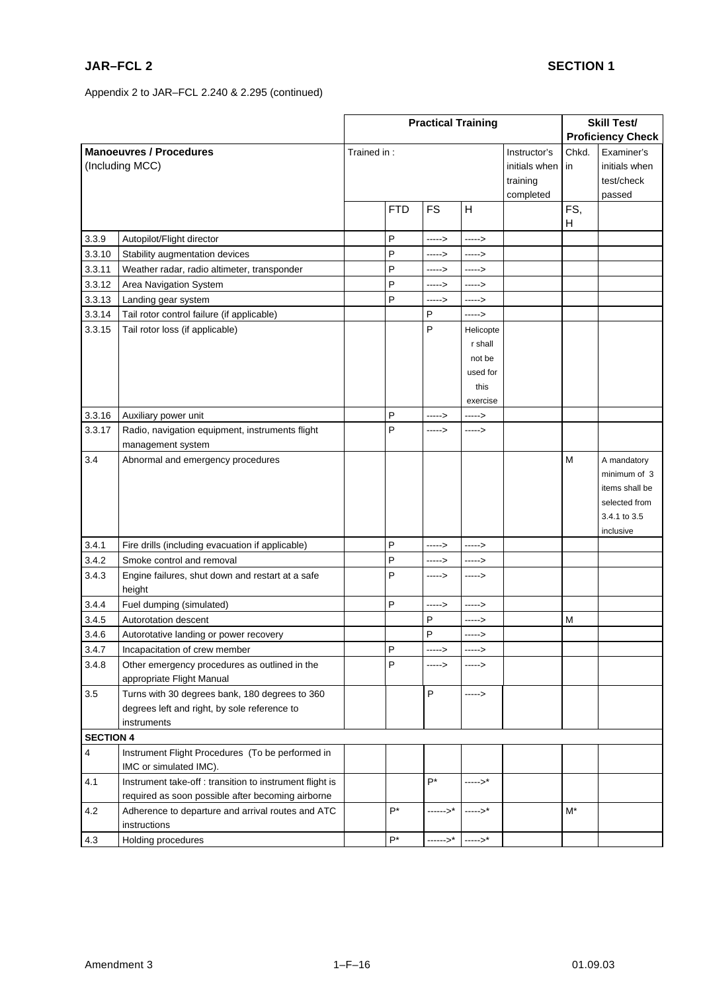# **JAR–FCL 2** SECTION 1

Appendix 2 to JAR–FCL 2.240 & 2.295 (continued)

|                  |                                                             | <b>Skill Test/</b><br><b>Practical Training</b> |                    |           |                    |               |       |                          |
|------------------|-------------------------------------------------------------|-------------------------------------------------|--------------------|-----------|--------------------|---------------|-------|--------------------------|
|                  |                                                             |                                                 |                    |           |                    |               |       | <b>Proficiency Check</b> |
|                  | <b>Manoeuvres / Procedures</b>                              | Trained in:                                     |                    | Chkd.     | Examiner's         |               |       |                          |
|                  | (Including MCC)                                             |                                                 |                    |           |                    | initials when | in    | initials when            |
|                  |                                                             |                                                 |                    |           |                    | training      |       | test/check               |
|                  |                                                             |                                                 |                    |           |                    | completed     |       | passed                   |
|                  |                                                             |                                                 | <b>FTD</b>         | <b>FS</b> | H                  |               | FS,   |                          |
|                  |                                                             |                                                 |                    |           |                    |               | Н     |                          |
| 3.3.9            | Autopilot/Flight director                                   |                                                 | $\mathsf{P}$       | ----->    | ----->             |               |       |                          |
| 3.3.10           | Stability augmentation devices                              |                                                 | $\mathsf{P}$       | ----->    | ----->             |               |       |                          |
| 3.3.11           | Weather radar, radio altimeter, transponder                 |                                                 | P                  | ----->    | ----->             |               |       |                          |
| 3.3.12           | Area Navigation System                                      |                                                 | P                  | ----->    | ----->             |               |       |                          |
| 3.3.13           | Landing gear system                                         |                                                 | $\mathsf{P}$       | ----->    | ----->             |               |       |                          |
| 3.3.14           | Tail rotor control failure (if applicable)                  |                                                 |                    | P         | ----->             |               |       |                          |
| 3.3.15           | Tail rotor loss (if applicable)                             |                                                 |                    | P         | Helicopte          |               |       |                          |
|                  |                                                             |                                                 |                    |           | r shall            |               |       |                          |
|                  |                                                             |                                                 |                    |           | not be<br>used for |               |       |                          |
|                  |                                                             |                                                 |                    |           | this               |               |       |                          |
|                  |                                                             |                                                 |                    |           | exercise           |               |       |                          |
| 3.3.16           | Auxiliary power unit                                        |                                                 | $\mathsf{P}$       | ----->    | ----->             |               |       |                          |
| 3.3.17           | Radio, navigation equipment, instruments flight             |                                                 | $\overline{P}$     | ----->    | ----->             |               |       |                          |
|                  | management system                                           |                                                 |                    |           |                    |               |       |                          |
| 3.4              | Abnormal and emergency procedures                           |                                                 |                    |           |                    |               | M     | A mandatory              |
|                  |                                                             |                                                 |                    |           |                    |               |       | minimum of 3             |
|                  |                                                             |                                                 |                    |           |                    |               |       | items shall be           |
|                  |                                                             |                                                 |                    |           |                    |               |       | selected from            |
|                  |                                                             |                                                 |                    |           |                    |               |       | 3.4.1 to 3.5             |
|                  |                                                             |                                                 |                    |           |                    |               |       | inclusive                |
| 3.4.1            | Fire drills (including evacuation if applicable)            |                                                 | P                  | ----->    | ----->             |               |       |                          |
| 3.4.2            | Smoke control and removal                                   |                                                 | P                  | ----->    | ----->             |               |       |                          |
| 3.4.3            | Engine failures, shut down and restart at a safe            |                                                 | $\mathsf{P}$       | ----->    | ----->             |               |       |                          |
|                  | height                                                      |                                                 |                    |           |                    |               |       |                          |
| 3.4.4            | Fuel dumping (simulated)                                    |                                                 | $\sf P$            | ----->    | ----->             |               |       |                          |
| 3.4.5            | Autorotation descent                                        |                                                 |                    | P         | ----->             |               | М     |                          |
| 3.4.6            | Autorotative landing or power recovery                      |                                                 |                    | $\sf P$   | ----->             |               |       |                          |
| 3.4.7            | Incapacitation of crew member                               |                                                 | $\sf P$            | ----->    | ----->             |               |       |                          |
| 3.4.8            | Other emergency procedures as outlined in the               |                                                 | $\mathsf{P}$       | ----->    | ----->             |               |       |                          |
|                  | appropriate Flight Manual                                   |                                                 |                    | P         |                    |               |       |                          |
| 3.5              | Turns with 30 degrees bank, 180 degrees to 360              |                                                 |                    |           | ----->             |               |       |                          |
|                  | degrees left and right, by sole reference to<br>instruments |                                                 |                    |           |                    |               |       |                          |
| <b>SECTION 4</b> |                                                             |                                                 |                    |           |                    |               |       |                          |
| 4                | Instrument Flight Procedures (To be performed in            |                                                 |                    |           |                    |               |       |                          |
|                  | IMC or simulated IMC).                                      |                                                 |                    |           |                    |               |       |                          |
| 4.1              | Instrument take-off : transition to instrument flight is    |                                                 |                    | $P^*$     | ----->*            |               |       |                          |
|                  | required as soon possible after becoming airborne           |                                                 |                    |           |                    |               |       |                          |
| 4.2              | Adherence to departure and arrival routes and ATC           |                                                 | $P^*$              | ------>*  | ----->*            |               | $M^*$ |                          |
|                  | instructions                                                |                                                 |                    |           |                    |               |       |                          |
| 4.3              | Holding procedures                                          |                                                 | $\mathsf{P}^\star$ | ------>*  | ----->*            |               |       |                          |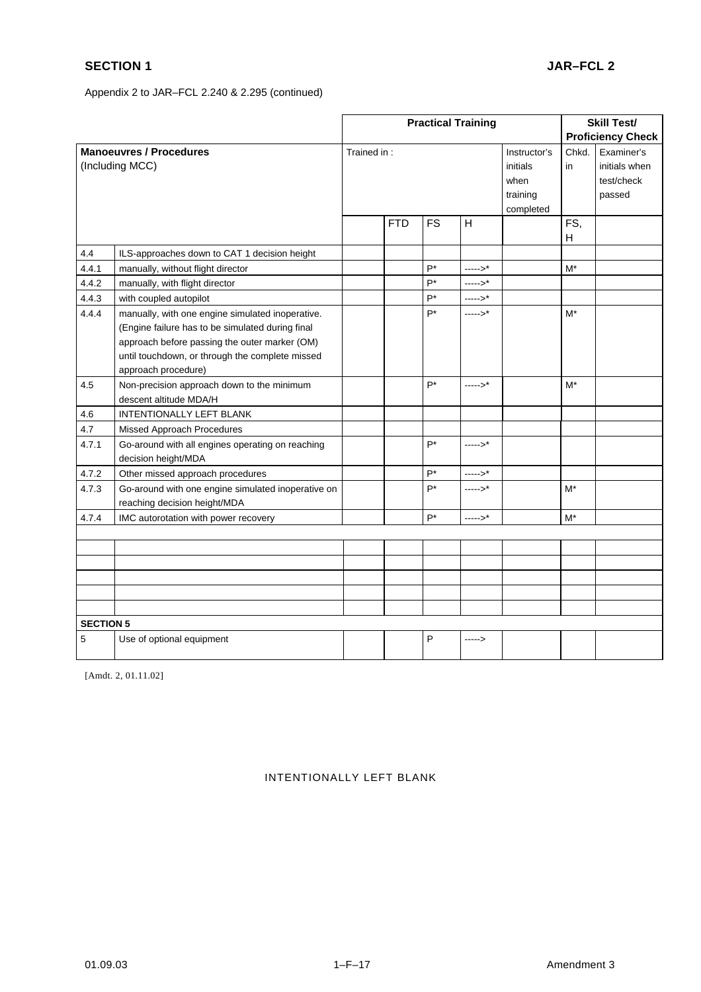Appendix 2 to JAR–FCL 2.240 & 2.295 (continued)

|                                                   |                                                                                                                                                                                                                                 | <b>Practical Training</b> |             |                |                                                     |           | <b>Skill Test/</b> |  |
|---------------------------------------------------|---------------------------------------------------------------------------------------------------------------------------------------------------------------------------------------------------------------------------------|---------------------------|-------------|----------------|-----------------------------------------------------|-----------|--------------------|--|
|                                                   |                                                                                                                                                                                                                                 |                           |             |                | <b>Proficiency Check</b>                            |           |                    |  |
| <b>Manoeuvres / Procedures</b><br>(Including MCC) |                                                                                                                                                                                                                                 |                           | Trained in: | Chkd.<br>in    | Examiner's<br>initials when<br>test/check<br>passed |           |                    |  |
|                                                   |                                                                                                                                                                                                                                 |                           | <b>FTD</b>  | <b>FS</b>      | H                                                   | completed | FS,<br>н           |  |
| 4.4                                               | ILS-approaches down to CAT 1 decision height                                                                                                                                                                                    |                           |             |                |                                                     |           |                    |  |
| 4.4.1                                             | manually, without flight director                                                                                                                                                                                               |                           |             | $P^*$          | ----->*                                             |           | M*                 |  |
| 4.4.2                                             | manually, with flight director                                                                                                                                                                                                  |                           |             | $P^*$          | ----->*                                             |           |                    |  |
| 4.4.3                                             | with coupled autopilot                                                                                                                                                                                                          |                           |             | $P^*$          | *<----                                              |           |                    |  |
| 4.4.4                                             | manually, with one engine simulated inoperative.<br>(Engine failure has to be simulated during final<br>approach before passing the outer marker (OM)<br>until touchdown, or through the complete missed<br>approach procedure) |                           |             | $P^*$          | ----->*                                             |           | M*                 |  |
| 4.5                                               | Non-precision approach down to the minimum<br>descent altitude MDA/H                                                                                                                                                            |                           |             | $P^*$          | ----->*                                             |           | $M^*$              |  |
| 4.6                                               | INTENTIONALLY LEFT BLANK                                                                                                                                                                                                        |                           |             |                |                                                     |           |                    |  |
| 4.7                                               | Missed Approach Procedures                                                                                                                                                                                                      |                           |             |                |                                                     |           |                    |  |
| 4.7.1                                             | Go-around with all engines operating on reaching<br>decision height/MDA                                                                                                                                                         |                           |             | $P^*$          | ----->*                                             |           |                    |  |
| 4.7.2                                             | Other missed approach procedures                                                                                                                                                                                                |                           |             | $P^*$          | ----->*                                             |           |                    |  |
| 4.7.3                                             | Go-around with one engine simulated inoperative on<br>reaching decision height/MDA                                                                                                                                              |                           |             | $P^*$          | ----->*                                             |           | $M^*$              |  |
| 4.7.4                                             | IMC autorotation with power recovery                                                                                                                                                                                            |                           |             | $\mathsf{P}^*$ | ----->*                                             |           | $M^*$              |  |
|                                                   |                                                                                                                                                                                                                                 |                           |             |                |                                                     |           |                    |  |
|                                                   |                                                                                                                                                                                                                                 |                           |             |                |                                                     |           |                    |  |
|                                                   |                                                                                                                                                                                                                                 |                           |             |                |                                                     |           |                    |  |
|                                                   |                                                                                                                                                                                                                                 |                           |             |                |                                                     |           |                    |  |
|                                                   |                                                                                                                                                                                                                                 |                           |             |                |                                                     |           |                    |  |
| <b>SECTION 5</b>                                  |                                                                                                                                                                                                                                 |                           |             |                |                                                     |           |                    |  |
| 5                                                 | Use of optional equipment                                                                                                                                                                                                       |                           |             | P              | ----->                                              |           |                    |  |

[Amdt. 2, 01.11.02]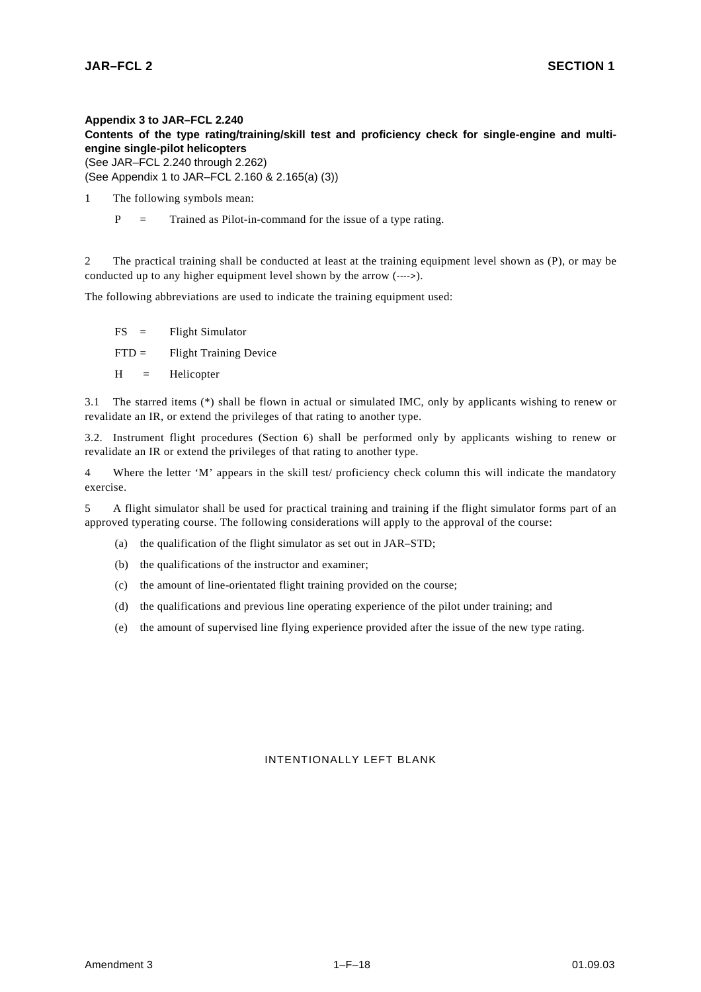# **Appendix 3 to JAR–FCL 2.240 Contents of the type rating/training/skill test and proficiency check for single-engine and multiengine single-pilot helicopters**

(See JAR–FCL 2.240 through 2.262) (See Appendix 1 to JAR–FCL 2.160 & 2.165(a) (3))

- 1 The following symbols mean:
	- $P =$  Trained as Pilot-in-command for the issue of a type rating.

2 The practical training shall be conducted at least at the training equipment level shown as (P), or may be conducted up to any higher equipment level shown by the arrow (---->).

The following abbreviations are used to indicate the training equipment used:

- FS = Flight Simulator
- FTD = Flight Training Device
- $H = Helicopter$

3.1 The starred items (\*) shall be flown in actual or simulated IMC, only by applicants wishing to renew or revalidate an IR, or extend the privileges of that rating to another type.

3.2. Instrument flight procedures (Section 6) shall be performed only by applicants wishing to renew or revalidate an IR or extend the privileges of that rating to another type.

4 Where the letter 'M' appears in the skill test/ proficiency check column this will indicate the mandatory exercise.

5 A flight simulator shall be used for practical training and training if the flight simulator forms part of an approved typerating course. The following considerations will apply to the approval of the course:

- (a) the qualification of the flight simulator as set out in JAR–STD;
- (b) the qualifications of the instructor and examiner;
- (c) the amount of line-orientated flight training provided on the course;
- (d) the qualifications and previous line operating experience of the pilot under training; and
- (e) the amount of supervised line flying experience provided after the issue of the new type rating.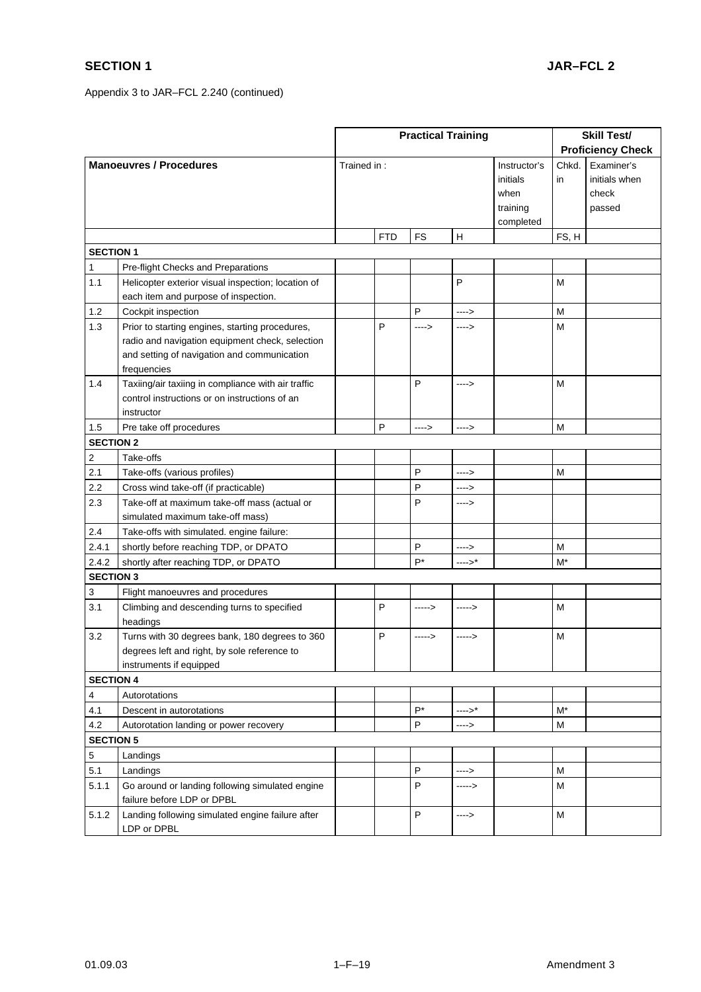Appendix 3 to JAR–FCL 2.240 (continued)

|                  |                                                                 | <b>Practical Training</b> |            |             |                          |              | <b>Skill Test/</b> |               |
|------------------|-----------------------------------------------------------------|---------------------------|------------|-------------|--------------------------|--------------|--------------------|---------------|
|                  |                                                                 |                           |            |             | <b>Proficiency Check</b> |              |                    |               |
|                  | <b>Manoeuvres / Procedures</b>                                  | Trained in :              |            |             |                          | Instructor's | Chkd.              | Examiner's    |
|                  |                                                                 |                           |            |             |                          | initials     | in                 | initials when |
|                  |                                                                 |                           |            |             |                          | when         |                    | check         |
|                  |                                                                 |                           |            |             |                          | training     |                    | passed        |
|                  |                                                                 |                           |            |             |                          | completed    |                    |               |
|                  |                                                                 |                           | <b>FTD</b> | <b>FS</b>   | H                        |              | FS, H              |               |
| <b>SECTION 1</b> |                                                                 |                           |            |             |                          |              |                    |               |
| $\mathbf{1}$     | Pre-flight Checks and Preparations                              |                           |            |             |                          |              |                    |               |
| 1.1              | Helicopter exterior visual inspection; location of              |                           |            |             | P                        |              | M                  |               |
|                  | each item and purpose of inspection.                            |                           |            |             |                          |              |                    |               |
| 1.2              | Cockpit inspection                                              |                           |            | $\sf P$     | ---->                    |              | M                  |               |
| 1.3              | Prior to starting engines, starting procedures,                 |                           | P          | ---->       | ---->                    |              | M                  |               |
|                  | radio and navigation equipment check, selection                 |                           |            |             |                          |              |                    |               |
|                  | and setting of navigation and communication                     |                           |            |             |                          |              |                    |               |
|                  | frequencies                                                     |                           |            |             |                          |              |                    |               |
| 1.4              | Taxiing/air taxiing in compliance with air traffic              |                           |            | P           | ---->                    |              | M                  |               |
|                  | control instructions or on instructions of an                   |                           |            |             |                          |              |                    |               |
|                  | instructor                                                      |                           |            |             |                          |              |                    |               |
| 1.5              | Pre take off procedures                                         |                           | P          | ---->       | ---->                    |              | M                  |               |
| <b>SECTION 2</b> |                                                                 |                           |            |             |                          |              |                    |               |
| $\overline{2}$   | Take-offs                                                       |                           |            |             |                          |              |                    |               |
| 2.1              | Take-offs (various profiles)                                    |                           |            | P           | ---->                    |              | M                  |               |
| 2.2              | Cross wind take-off (if practicable)                            |                           |            | P           | ---->                    |              |                    |               |
| 2.3              | Take-off at maximum take-off mass (actual or                    |                           |            | P           | ---->                    |              |                    |               |
|                  | simulated maximum take-off mass)                                |                           |            |             |                          |              |                    |               |
| 2.4              | Take-offs with simulated. engine failure:                       |                           |            |             |                          |              |                    |               |
| 2.4.1            | shortly before reaching TDP, or DPATO                           |                           |            | $\sf P$     | ---->                    |              | M                  |               |
| 2.4.2            | shortly after reaching TDP, or DPATO                            |                           |            | $P^*$       | ---->*                   |              | $M^*$              |               |
| <b>SECTION 3</b> |                                                                 |                           |            |             |                          |              |                    |               |
| 3                | Flight manoeuvres and procedures                                |                           |            |             |                          |              |                    |               |
| 3.1              | Climbing and descending turns to specified                      |                           | P          | ----->      | ----->                   |              | M                  |               |
|                  | headings                                                        |                           |            |             |                          |              |                    |               |
| 3.2              | Turns with 30 degrees bank, 180 degrees to 360                  |                           | P          | ----->      | ----->                   |              | M                  |               |
|                  | degrees left and right, by sole reference to                    |                           |            |             |                          |              |                    |               |
|                  | instruments if equipped                                         |                           |            |             |                          |              |                    |               |
| <b>SECTION 4</b> |                                                                 |                           |            |             |                          |              |                    |               |
| 4                | Autorotations                                                   |                           |            |             |                          |              |                    |               |
| 4.1              | Descent in autorotations                                        |                           |            | $P^*$       | ---->*                   |              | $M^*$              |               |
| 4.2              | Autorotation landing or power recovery                          |                           |            | P           | ---->                    |              | M                  |               |
| <b>SECTION 5</b> |                                                                 |                           |            |             |                          |              |                    |               |
| 5                | Landings                                                        |                           |            |             |                          |              |                    |               |
| 5.1              | Landings                                                        |                           |            | ${\sf P}$   | ---->                    |              | м                  |               |
| 5.1.1            | Go around or landing following simulated engine                 |                           |            | $\sf P$     | ----->                   |              | M                  |               |
|                  | failure before LDP or DPBL                                      |                           |            |             |                          |              |                    |               |
| 5.1.2            | Landing following simulated engine failure after<br>LDP or DPBL |                           |            | $\mathsf P$ | ---->                    |              | M                  |               |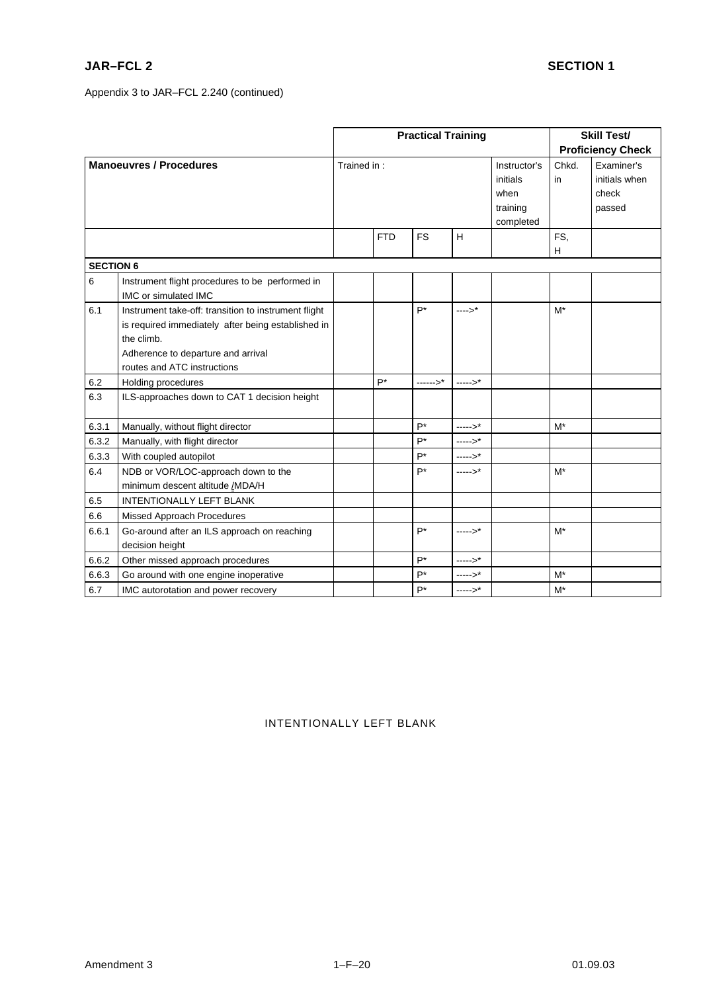Appendix 3 to JAR–FCL 2.240 (continued)

|                  |                                                                                                                                                                                               |             |            | <b>Practical Training</b> | <b>Skill Test/</b> |                                                           |             |                                                |  |  |
|------------------|-----------------------------------------------------------------------------------------------------------------------------------------------------------------------------------------------|-------------|------------|---------------------------|--------------------|-----------------------------------------------------------|-------------|------------------------------------------------|--|--|
|                  |                                                                                                                                                                                               |             |            |                           |                    |                                                           |             | <b>Proficiency Check</b>                       |  |  |
|                  | <b>Manoeuvres / Procedures</b>                                                                                                                                                                | Trained in: |            |                           |                    | Instructor's<br>initials<br>when<br>training<br>completed | Chkd.<br>in | Examiner's<br>initials when<br>check<br>passed |  |  |
|                  |                                                                                                                                                                                               |             | <b>FTD</b> | <b>FS</b>                 | H                  |                                                           | FS,<br>H.   |                                                |  |  |
| <b>SECTION 6</b> |                                                                                                                                                                                               |             |            |                           |                    |                                                           |             |                                                |  |  |
| 6                | Instrument flight procedures to be performed in<br>IMC or simulated IMC                                                                                                                       |             |            |                           |                    |                                                           |             |                                                |  |  |
| 6.1              | Instrument take-off: transition to instrument flight<br>is required immediately after being established in<br>the climb.<br>Adherence to departure and arrival<br>routes and ATC instructions |             |            | $P^*$                     | ---->*             |                                                           | $M^*$       |                                                |  |  |
| 6.2              | Holding procedures                                                                                                                                                                            |             | $P^*$      | ------>*                  | ----->*            |                                                           |             |                                                |  |  |
| 6.3              | ILS-approaches down to CAT 1 decision height                                                                                                                                                  |             |            |                           |                    |                                                           |             |                                                |  |  |
| 6.3.1            | Manually, without flight director                                                                                                                                                             |             |            | $P^*$                     | ----->*            |                                                           | $M^*$       |                                                |  |  |
| 6.3.2            | Manually, with flight director                                                                                                                                                                |             |            | $P^*$                     | ----->*            |                                                           |             |                                                |  |  |
| 6.3.3            | With coupled autopilot                                                                                                                                                                        |             |            | $P^*$                     | ----->*            |                                                           |             |                                                |  |  |
| 6.4              | NDB or VOR/LOC-approach down to the<br>minimum descent altitude /MDA/H                                                                                                                        |             |            | $P^*$                     | ----->*            |                                                           | $M^*$       |                                                |  |  |
| 6.5              | <b>INTENTIONALLY LEFT BLANK</b>                                                                                                                                                               |             |            |                           |                    |                                                           |             |                                                |  |  |
| 6.6              | Missed Approach Procedures                                                                                                                                                                    |             |            |                           |                    |                                                           |             |                                                |  |  |
| 6.6.1            | Go-around after an ILS approach on reaching<br>decision height                                                                                                                                |             |            | $P^*$                     | ----->*            |                                                           | $M^*$       |                                                |  |  |
| 6.6.2            | Other missed approach procedures                                                                                                                                                              |             |            | $P^*$                     | ----->*            |                                                           |             |                                                |  |  |
| 6.6.3            | Go around with one engine inoperative                                                                                                                                                         |             |            | $P^*$                     | ----->*            |                                                           | $M^*$       |                                                |  |  |
| 6.7              | IMC autorotation and power recovery                                                                                                                                                           |             |            | $P^*$                     | ----->*            |                                                           | $M^*$       |                                                |  |  |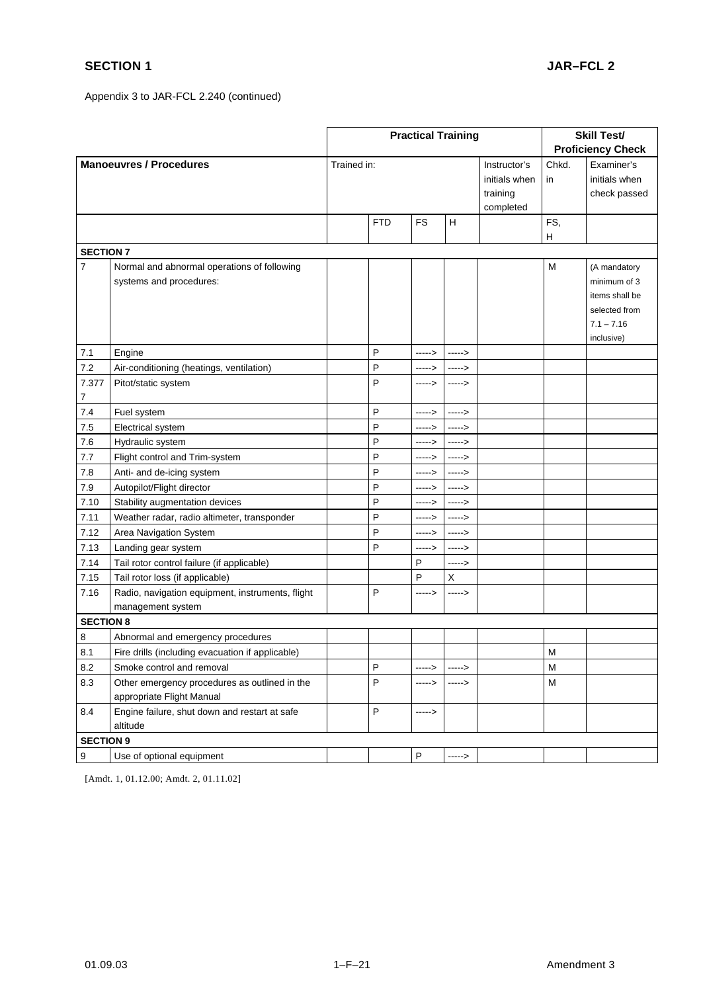Appendix 3 to JAR-FCL 2.240 (continued)

| <b>Practical Training</b> |                                                    |             |              |                  |                          | <b>Skill Test/</b> |       |                |  |
|---------------------------|----------------------------------------------------|-------------|--------------|------------------|--------------------------|--------------------|-------|----------------|--|
|                           |                                                    |             |              |                  | <b>Proficiency Check</b> |                    |       |                |  |
|                           | <b>Manoeuvres / Procedures</b>                     | Trained in: |              |                  |                          | Instructor's       | Chkd. | Examiner's     |  |
|                           |                                                    |             |              |                  |                          | initials when      | in    | initials when  |  |
|                           |                                                    |             |              |                  |                          | training           |       | check passed   |  |
|                           |                                                    |             |              |                  |                          | completed          |       |                |  |
|                           |                                                    |             | <b>FTD</b>   | <b>FS</b>        | н                        |                    | FS,   |                |  |
|                           |                                                    |             |              |                  |                          |                    | Н     |                |  |
| <b>SECTION 7</b>          |                                                    |             |              |                  |                          |                    |       |                |  |
| 7                         | Normal and abnormal operations of following        |             |              |                  |                          |                    | М     | (A mandatory   |  |
|                           | systems and procedures:                            |             |              |                  |                          |                    |       | minimum of 3   |  |
|                           |                                                    |             |              |                  |                          |                    |       | items shall be |  |
|                           |                                                    |             |              |                  |                          |                    |       | selected from  |  |
|                           |                                                    |             |              |                  |                          |                    |       | $7.1 - 7.16$   |  |
| 7.1                       |                                                    |             | P            |                  |                          |                    |       | inclusive)     |  |
| 7.2                       | Engine<br>Air-conditioning (heatings, ventilation) |             | P            | -----><br>-----> | -----><br>----->         |                    |       |                |  |
| 7.377                     | Pitot/static system                                |             | P            | ----->           | ----->                   |                    |       |                |  |
| 7                         |                                                    |             |              |                  |                          |                    |       |                |  |
| 7.4                       | Fuel system                                        |             | P            | ----->           | ----->                   |                    |       |                |  |
| 7.5                       | <b>Electrical system</b>                           |             | P            | ----->           | ----->                   |                    |       |                |  |
| 7.6                       | Hydraulic system                                   |             | P            | ----->           | ----->                   |                    |       |                |  |
| 7.7                       | Flight control and Trim-system                     |             | P            | ----->           | ----->                   |                    |       |                |  |
| 7.8                       | Anti- and de-icing system                          |             | P            | ----->           | ----->                   |                    |       |                |  |
| 7.9                       | Autopilot/Flight director                          |             | $\sf P$      | ----->           | ----->                   |                    |       |                |  |
| 7.10                      | Stability augmentation devices                     |             | P            | ----->           | ----->                   |                    |       |                |  |
| 7.11                      | Weather radar, radio altimeter, transponder        |             | P            | ----->           | ----->                   |                    |       |                |  |
| 7.12                      | Area Navigation System                             |             | P            | ----->           | ----->                   |                    |       |                |  |
| 7.13                      | Landing gear system                                |             | P            | ----->           | ----->                   |                    |       |                |  |
| 7.14                      | Tail rotor control failure (if applicable)         |             |              | P                | ----->                   |                    |       |                |  |
| 7.15                      | Tail rotor loss (if applicable)                    |             |              | P                | X                        |                    |       |                |  |
| 7.16                      | Radio, navigation equipment, instruments, flight   |             | P            | ----->           | ----->                   |                    |       |                |  |
|                           | management system                                  |             |              |                  |                          |                    |       |                |  |
| <b>SECTION 8</b>          |                                                    |             |              |                  |                          |                    |       |                |  |
| 8                         | Abnormal and emergency procedures                  |             |              |                  |                          |                    |       |                |  |
| 8.1                       | Fire drills (including evacuation if applicable)   |             |              |                  |                          |                    | M     |                |  |
| 8.2                       | Smoke control and removal                          |             | $\mathsf{P}$ | ----->           | ----->                   |                    | M     |                |  |
| 8.3                       | Other emergency procedures as outlined in the      |             | $\mathsf{P}$ | ----->           | ----->                   |                    | M     |                |  |
|                           | appropriate Flight Manual                          |             |              |                  |                          |                    |       |                |  |
| 8.4                       | Engine failure, shut down and restart at safe      |             | $\mathsf P$  | ----->           |                          |                    |       |                |  |
|                           | altitude                                           |             |              |                  |                          |                    |       |                |  |
| <b>SECTION 9</b>          |                                                    |             |              |                  |                          |                    |       |                |  |
| 9                         | Use of optional equipment                          |             |              | $\sf P$          | ----->                   |                    |       |                |  |

[Amdt. 1, 01.12.00; Amdt. 2, 01.11.02]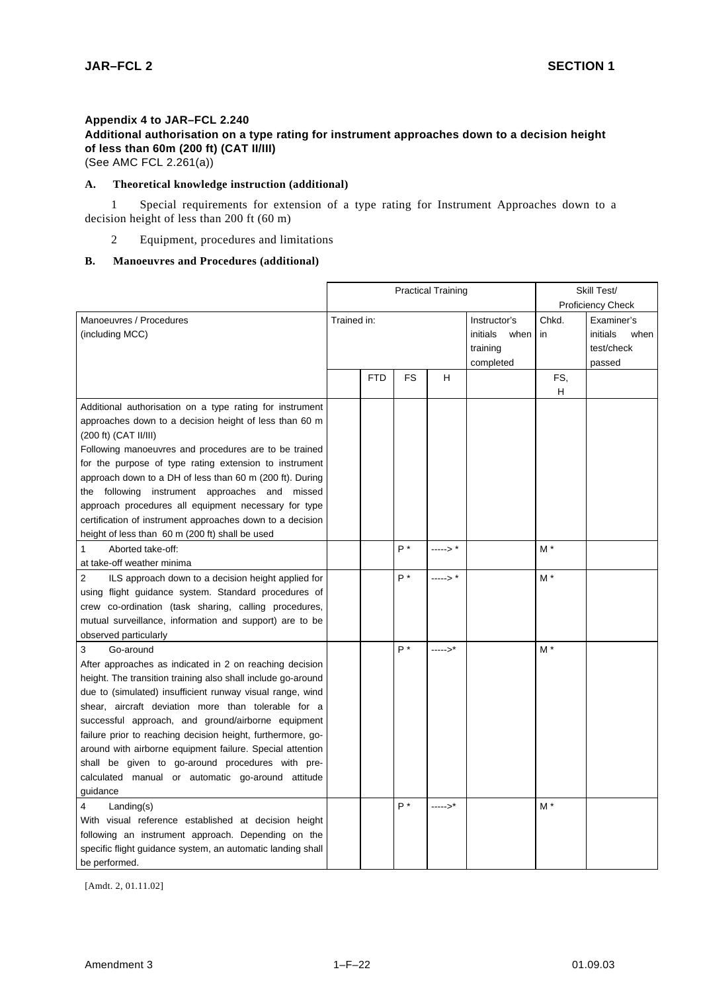# **Appendix 4 to JAR–FCL 2.240 Additional authorisation on a type rating for instrument approaches down to a decision height of less than 60m (200 ft) (CAT II/III)**

(See AMC FCL 2.261(a))

## **A. Theoretical knowledge instruction (additional)**

1 Special requirements for extension of a type rating for Instrument Approaches down to a decision height of less than 200 ft (60 m)

2 Equipment, procedures and limitations

#### **B. Manoeuvres and Procedures (additional)**

|                                                                      |             |            | <b>Practical Training</b> | Skill Test/ |                  |                          |                  |  |
|----------------------------------------------------------------------|-------------|------------|---------------------------|-------------|------------------|--------------------------|------------------|--|
|                                                                      |             |            |                           |             |                  | <b>Proficiency Check</b> |                  |  |
| Manoeuvres / Procedures                                              | Trained in: |            |                           |             | Instructor's     | Chkd.                    | Examiner's       |  |
| (including MCC)                                                      |             |            |                           |             | initials<br>when | in                       | initials<br>when |  |
|                                                                      |             |            |                           |             | training         |                          | test/check       |  |
|                                                                      |             |            |                           |             | completed        |                          | passed           |  |
|                                                                      |             | <b>FTD</b> | FS                        | н           |                  | FS,                      |                  |  |
|                                                                      |             |            |                           |             |                  | H                        |                  |  |
| Additional authorisation on a type rating for instrument             |             |            |                           |             |                  |                          |                  |  |
| approaches down to a decision height of less than 60 m               |             |            |                           |             |                  |                          |                  |  |
| (200 ft) (CAT II/III)                                                |             |            |                           |             |                  |                          |                  |  |
| Following manoeuvres and procedures are to be trained                |             |            |                           |             |                  |                          |                  |  |
| for the purpose of type rating extension to instrument               |             |            |                           |             |                  |                          |                  |  |
| approach down to a DH of less than 60 m (200 ft). During             |             |            |                           |             |                  |                          |                  |  |
| the following instrument approaches and missed                       |             |            |                           |             |                  |                          |                  |  |
| approach procedures all equipment necessary for type                 |             |            |                           |             |                  |                          |                  |  |
| certification of instrument approaches down to a decision            |             |            |                           |             |                  |                          |                  |  |
| height of less than 60 m (200 ft) shall be used                      |             |            |                           |             |                  |                          |                  |  |
| 1<br>Aborted take-off:                                               |             |            | P*                        | -----> *    |                  | $M^*$                    |                  |  |
| at take-off weather minima                                           |             |            |                           |             |                  |                          |                  |  |
| $\overline{2}$<br>ILS approach down to a decision height applied for |             |            | $P^*$                     | -----> *    |                  | $M^*$                    |                  |  |
| using flight guidance system. Standard procedures of                 |             |            |                           |             |                  |                          |                  |  |
| crew co-ordination (task sharing, calling procedures,                |             |            |                           |             |                  |                          |                  |  |
| mutual surveillance, information and support) are to be              |             |            |                           |             |                  |                          |                  |  |
| observed particularly                                                |             |            |                           |             |                  |                          |                  |  |
| 3<br>Go-around                                                       |             |            | P*                        | ----->*     |                  | $M^*$                    |                  |  |
| After approaches as indicated in 2 on reaching decision              |             |            |                           |             |                  |                          |                  |  |
| height. The transition training also shall include go-around         |             |            |                           |             |                  |                          |                  |  |
| due to (simulated) insufficient runway visual range, wind            |             |            |                           |             |                  |                          |                  |  |
| shear, aircraft deviation more than tolerable for a                  |             |            |                           |             |                  |                          |                  |  |
| successful approach, and ground/airborne equipment                   |             |            |                           |             |                  |                          |                  |  |
| failure prior to reaching decision height, furthermore, go-          |             |            |                           |             |                  |                          |                  |  |
| around with airborne equipment failure. Special attention            |             |            |                           |             |                  |                          |                  |  |
| shall be given to go-around procedures with pre-                     |             |            |                           |             |                  |                          |                  |  |
| calculated manual or automatic go-around attitude                    |             |            |                           |             |                  |                          |                  |  |
| guidance                                                             |             |            |                           |             |                  |                          |                  |  |
| 4<br>Landing(s)                                                      |             |            | $P^*$                     | ----->*     |                  | $M^*$                    |                  |  |
| With visual reference established at decision height                 |             |            |                           |             |                  |                          |                  |  |
| following an instrument approach. Depending on the                   |             |            |                           |             |                  |                          |                  |  |
| specific flight guidance system, an automatic landing shall          |             |            |                           |             |                  |                          |                  |  |
| be performed.                                                        |             |            |                           |             |                  |                          |                  |  |

[Amdt. 2, 01.11.02]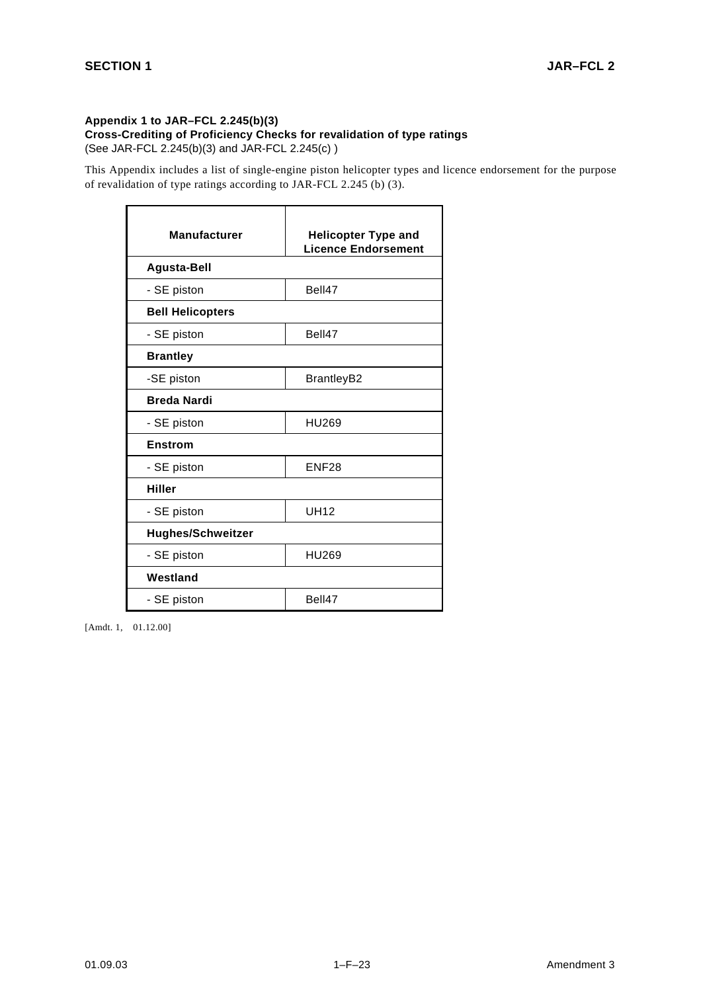## **Appendix 1 to JAR–FCL 2.245(b)(3) Cross-Crediting of Proficiency Checks for revalidation of type ratings**  (See JAR-FCL 2.245(b)(3) and JAR-FCL 2.245(c) )

This Appendix includes a list of single-engine piston helicopter types and licence endorsement for the purpose of revalidation of type ratings according to JAR-FCL 2.245 (b) (3).

| <b>Manufacturer</b>      | <b>Helicopter Type and</b><br><b>Licence Endorsement</b> |
|--------------------------|----------------------------------------------------------|
| <b>Agusta-Bell</b>       |                                                          |
| - SE piston              | Bell47                                                   |
| <b>Bell Helicopters</b>  |                                                          |
| - SE piston              | Bell47                                                   |
| <b>Brantley</b>          |                                                          |
| -SE piston               | BrantleyB2                                               |
| <b>Breda Nardi</b>       |                                                          |
| - SE piston              | HU269                                                    |
| <b>Enstrom</b>           |                                                          |
| - SE piston              | ENF <sub>28</sub>                                        |
| <b>Hiller</b>            |                                                          |
| - SE piston              | <b>UH12</b>                                              |
| <b>Hughes/Schweitzer</b> |                                                          |
| - SE piston              | HU269                                                    |
| Westland                 |                                                          |
| - SE piston              | Bell47                                                   |

[Amdt. 1, 01.12.00]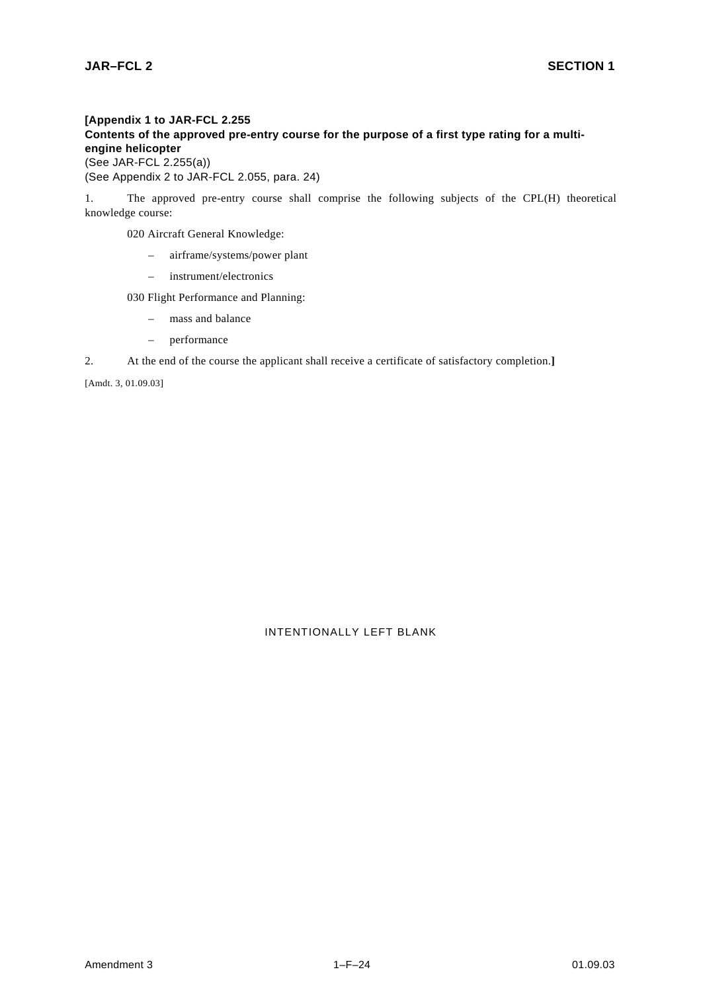# **[Appendix 1 to JAR-FCL 2.255 Contents of the approved pre-entry course for the purpose of a first type rating for a multiengine helicopter**

(See JAR-FCL 2.255(a))

(See Appendix 2 to JAR-FCL 2.055, para. 24)

1. The approved pre-entry course shall comprise the following subjects of the CPL(H) theoretical knowledge course:

020 Aircraft General Knowledge:

- airframe/systems/power plant
- instrument/electronics

030 Flight Performance and Planning:

- mass and balance
- performance
- 2. At the end of the course the applicant shall receive a certificate of satisfactory completion.**]**

[Amdt. 3, 01.09.03]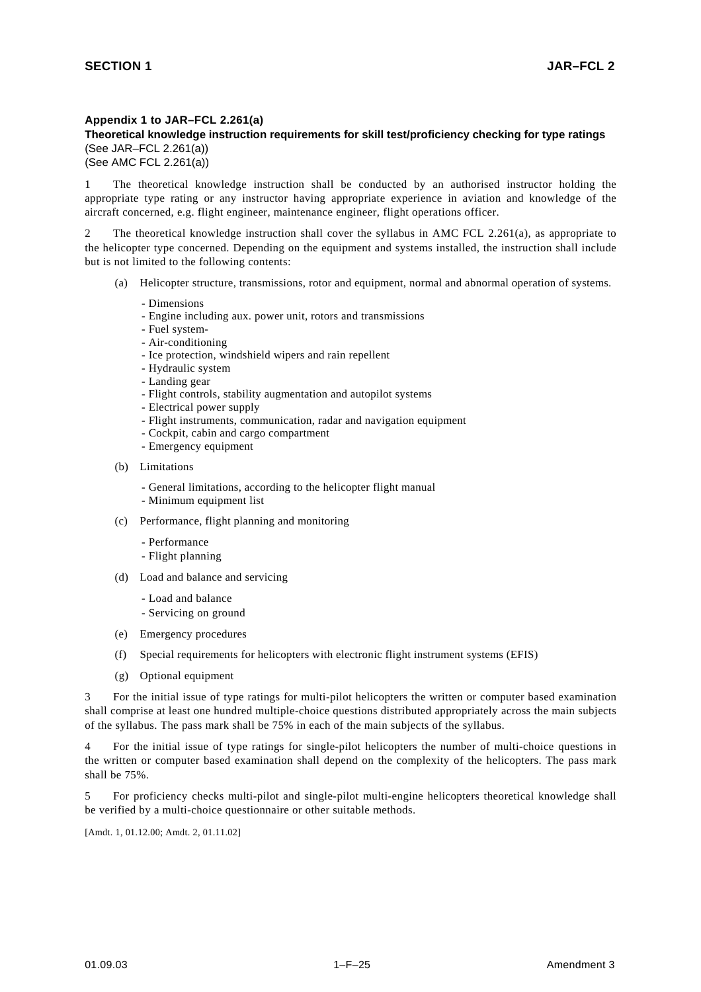### **Appendix 1 to JAR–FCL 2.261(a)**

# **Theoretical knowledge instruction requirements for skill test/proficiency checking for type ratings**  (See JAR–FCL 2.261(a))

(See AMC FCL 2.261(a))

1 The theoretical knowledge instruction shall be conducted by an authorised instructor holding the appropriate type rating or any instructor having appropriate experience in aviation and knowledge of the aircraft concerned, e.g. flight engineer, maintenance engineer, flight operations officer.

2 The theoretical knowledge instruction shall cover the syllabus in AMC FCL 2.261(a), as appropriate to the helicopter type concerned. Depending on the equipment and systems installed, the instruction shall include but is not limited to the following contents:

- (a) Helicopter structure, transmissions, rotor and equipment, normal and abnormal operation of systems.
	- Dimensions
	- Engine including aux. power unit, rotors and transmissions
	- Fuel system-
	- Air-conditioning
	- Ice protection, windshield wipers and rain repellent
	- Hydraulic system
	- Landing gear
	- Flight controls, stability augmentation and autopilot systems
	- Electrical power supply
	- Flight instruments, communication, radar and navigation equipment
	- Cockpit, cabin and cargo compartment
	- Emergency equipment
- (b) Limitations
	- General limitations, according to the helicopter flight manual
	- Minimum equipment list
- (c) Performance, flight planning and monitoring
	- Performance
	- Flight planning
- (d) Load and balance and servicing
	- Load and balance
	- Servicing on ground
- (e) Emergency procedures
- (f) Special requirements for helicopters with electronic flight instrument systems (EFIS)
- (g) Optional equipment

3 For the initial issue of type ratings for multi-pilot helicopters the written or computer based examination shall comprise at least one hundred multiple-choice questions distributed appropriately across the main subjects of the syllabus. The pass mark shall be 75% in each of the main subjects of the syllabus.

4 For the initial issue of type ratings for single-pilot helicopters the number of multi-choice questions in the written or computer based examination shall depend on the complexity of the helicopters. The pass mark shall be 75%.

5 For proficiency checks multi-pilot and single-pilot multi-engine helicopters theoretical knowledge shall be verified by a multi-choice questionnaire or other suitable methods.

[Amdt. 1, 01.12.00; Amdt. 2, 01.11.02]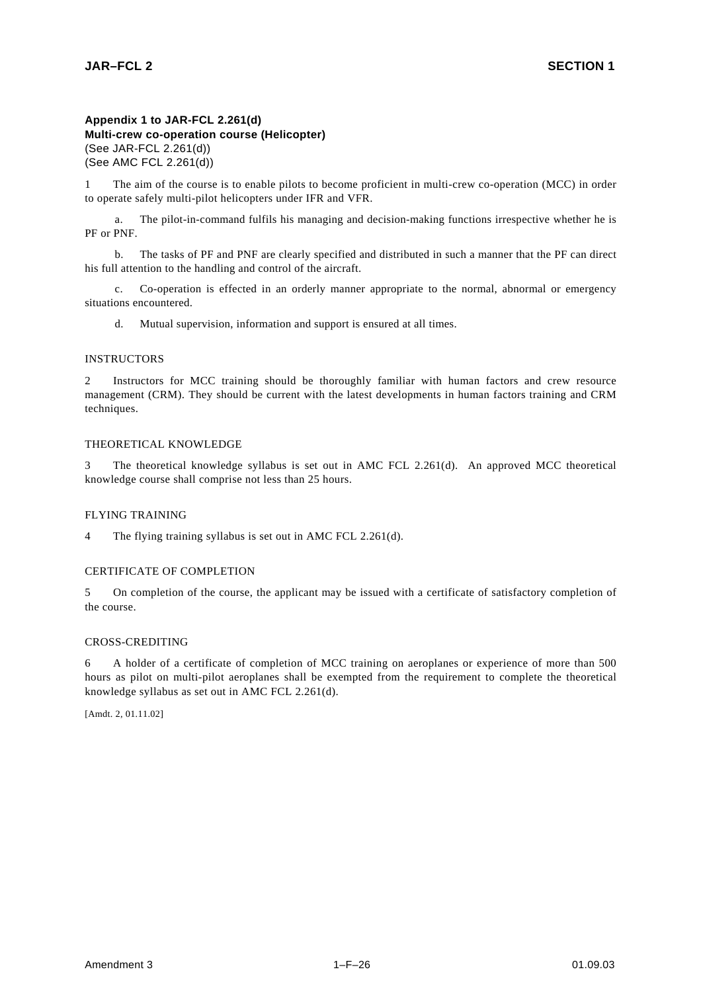#### **Appendix 1 to JAR-FCL 2.261(d) Multi-crew co-operation course (Helicopter)**  (See JAR-FCL 2.261(d)) (See AMC FCL 2.261(d))

1 The aim of the course is to enable pilots to become proficient in multi-crew co-operation (MCC) in order to operate safely multi-pilot helicopters under IFR and VFR.

a. The pilot-in-command fulfils his managing and decision-making functions irrespective whether he is PF or PNF.

b. The tasks of PF and PNF are clearly specified and distributed in such a manner that the PF can direct his full attention to the handling and control of the aircraft.

c. Co-operation is effected in an orderly manner appropriate to the normal, abnormal or emergency situations encountered.

d. Mutual supervision, information and support is ensured at all times.

### **INSTRUCTORS**

2 Instructors for MCC training should be thoroughly familiar with human factors and crew resource management (CRM). They should be current with the latest developments in human factors training and CRM techniques.

### THEORETICAL KNOWLEDGE

3 The theoretical knowledge syllabus is set out in AMC FCL 2.261(d). An approved MCC theoretical knowledge course shall comprise not less than 25 hours.

## FLYING TRAINING

4 The flying training syllabus is set out in AMC FCL 2.261(d).

# CERTIFICATE OF COMPLETION

5 On completion of the course, the applicant may be issued with a certificate of satisfactory completion of the course.

#### CROSS-CREDITING

6 A holder of a certificate of completion of MCC training on aeroplanes or experience of more than 500 hours as pilot on multi-pilot aeroplanes shall be exempted from the requirement to complete the theoretical knowledge syllabus as set out in AMC FCL 2.261(d).

[Amdt. 2, 01.11.02]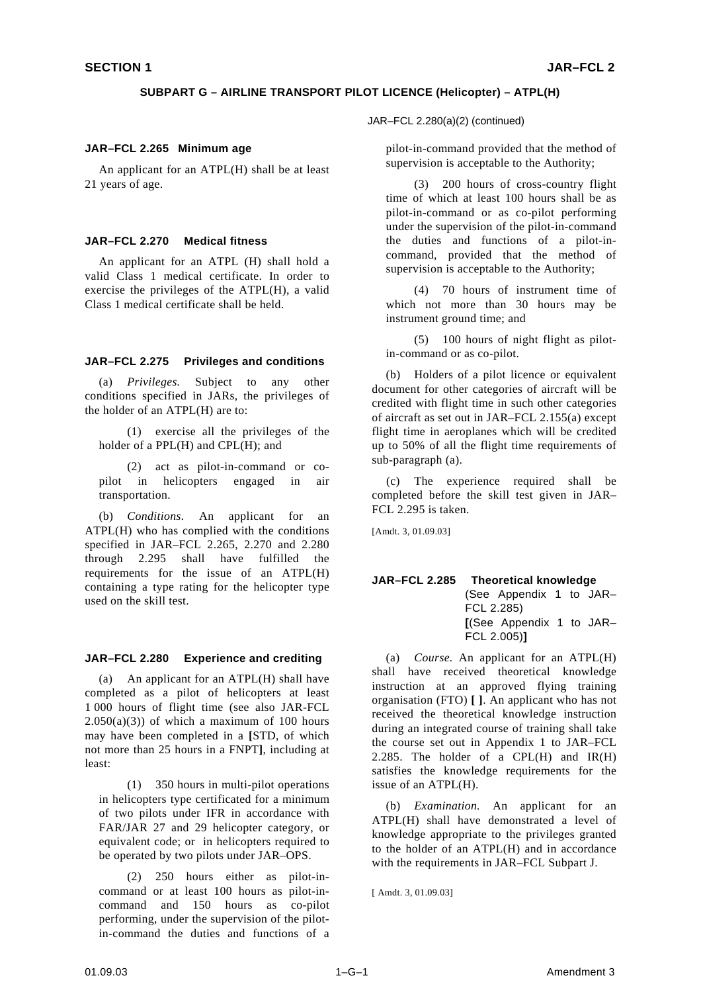### **SUBPART G – AIRLINE TRANSPORT PILOT LICENCE (Helicopter) – ATPL(H)**

#### **JAR–FCL 2.265 Minimum age**

An applicant for an ATPL(H) shall be at least 21 years of age.

#### **JAR–FCL 2.270 Medical fitness**

An applicant for an ATPL (H) shall hold a valid Class 1 medical certificate. In order to exercise the privileges of the ATPL(H), a valid Class 1 medical certificate shall be held.

### **JAR–FCL 2.275 Privileges and conditions**

(a) *Privileges.* Subject to any other conditions specified in JARs, the privileges of the holder of an ATPL(H) are to:

(1) exercise all the privileges of the holder of a PPL(H) and CPL(H); and

(2) act as pilot-in-command or copilot in helicopters engaged in air transportation.

(b) *Conditions.* An applicant for an ATPL(H) who has complied with the conditions specified in JAR–FCL 2.265, 2.270 and 2.280 through 2.295 shall have fulfilled the requirements for the issue of an ATPL(H) containing a type rating for the helicopter type used on the skill test.

#### **JAR–FCL 2.280 Experience and crediting**

(a) An applicant for an ATPL(H) shall have completed as a pilot of helicopters at least 1 000 hours of flight time (see also JAR-FCL  $2.050(a)(3)$  of which a maximum of 100 hours may have been completed in a **[**STD, of which not more than 25 hours in a FNPT**]**, including at least:

(1) 350 hours in multi-pilot operations in helicopters type certificated for a minimum of two pilots under IFR in accordance with FAR/JAR 27 and 29 helicopter category, or equivalent code; or in helicopters required to be operated by two pilots under JAR–OPS.

(2) 250 hours either as pilot-incommand or at least 100 hours as pilot-incommand and 150 hours as co-pilot performing, under the supervision of the pilotin-command the duties and functions of a JAR–FCL 2.280(a)(2) (continued)

pilot-in-command provided that the method of supervision is acceptable to the Authority;

(3) 200 hours of cross-country flight time of which at least 100 hours shall be as pilot-in-command or as co-pilot performing under the supervision of the pilot-in-command the duties and functions of a pilot-incommand, provided that the method of supervision is acceptable to the Authority;

(4) 70 hours of instrument time of which not more than 30 hours may be instrument ground time; and

(5) 100 hours of night flight as pilotin-command or as co-pilot.

(b) Holders of a pilot licence or equivalent document for other categories of aircraft will be credited with flight time in such other categories of aircraft as set out in JAR–FCL 2.155(a) except flight time in aeroplanes which will be credited up to 50% of all the flight time requirements of sub-paragraph (a).

(c) The experience required shall be completed before the skill test given in JAR– FCL 2.295 is taken.

[Amdt. 3, 01.09.03]

#### **JAR–FCL 2.285 Theoretical knowledge**  (See Appendix 1 to JAR– FCL 2.285) **[**(See Appendix 1 to JAR– FCL 2.005)**]**

(a) *Course.* An applicant for an ATPL(H) shall have received theoretical knowledge instruction at an approved flying training organisation (FTO) **[ ]**. An applicant who has not received the theoretical knowledge instruction during an integrated course of training shall take the course set out in Appendix 1 to JAR–FCL 2.285. The holder of a CPL(H) and IR(H) satisfies the knowledge requirements for the issue of an ATPL(H).

(b) *Examination.* An applicant for an ATPL(H) shall have demonstrated a level of knowledge appropriate to the privileges granted to the holder of an ATPL(H) and in accordance with the requirements in JAR–FCL Subpart J.

[ Amdt. 3, 01.09.03]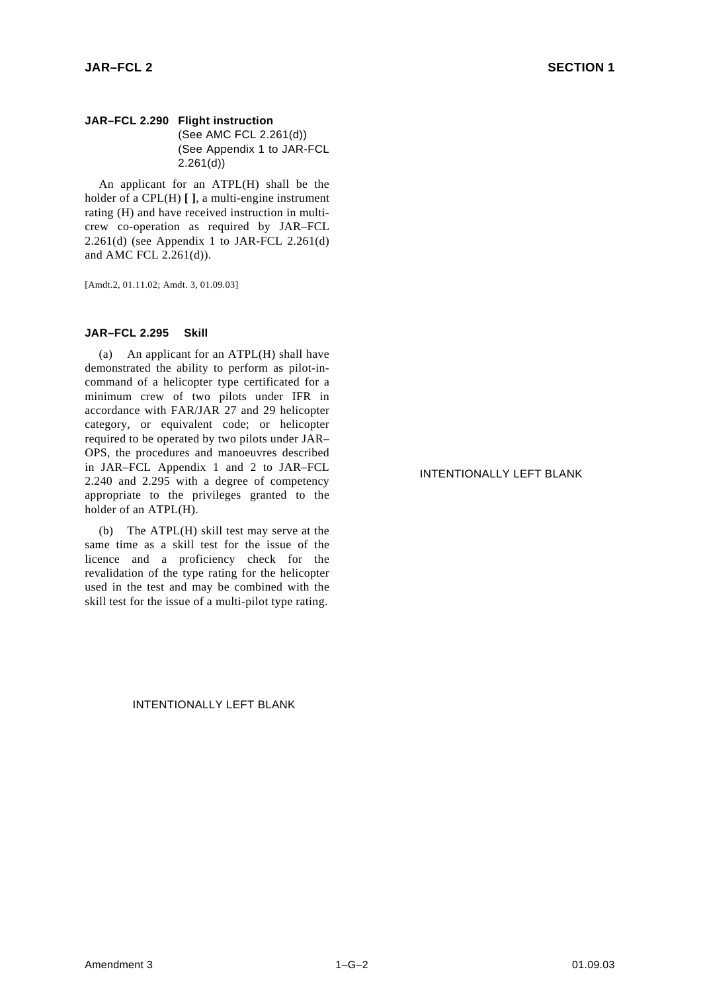#### **JAR–FCL 2.290 Flight instruction**  (See AMC FCL 2.261(d)) (See Appendix 1 to JAR-FCL  $2.261(d)$

An applicant for an ATPL(H) shall be the holder of a CPL(H) **[ ]**, a multi-engine instrument rating (H) and have received instruction in multicrew co-operation as required by JAR–FCL 2.261(d) (see Appendix 1 to JAR-FCL 2.261(d) and AMC FCL 2.261(d)).

[Amdt.2, 01.11.02; Amdt. 3, 01.09.03]

# **JAR–FCL 2.295 Skill**

(a) An applicant for an ATPL(H) shall have demonstrated the ability to perform as pilot-incommand of a helicopter type certificated for a minimum crew of two pilots under IFR in accordance with FAR/JAR 27 and 29 helicopter category, or equivalent code; or helicopter required to be operated by two pilots under JAR– OPS, the procedures and manoeuvres described in JAR–FCL Appendix 1 and 2 to JAR–FCL 2.240 and 2.295 with a degree of competency appropriate to the privileges granted to the holder of an ATPL(H).

(b) The ATPL(H) skill test may serve at the same time as a skill test for the issue of the licence and a proficiency check for the revalidation of the type rating for the helicopter used in the test and may be combined with the skill test for the issue of a multi-pilot type rating.

INTENTIONALLY LEFT BLANK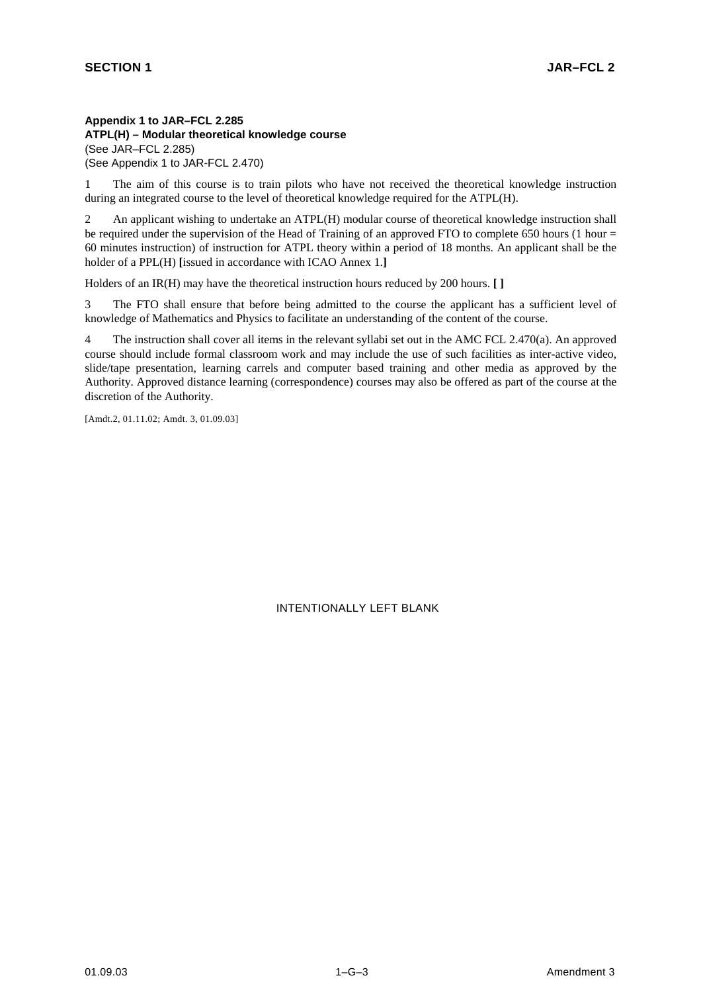#### **Appendix 1 to JAR–FCL 2.285 ATPL(H) – Modular theoretical knowledge course**  (See JAR–FCL 2.285) (See Appendix 1 to JAR-FCL 2.470)

1 The aim of this course is to train pilots who have not received the theoretical knowledge instruction during an integrated course to the level of theoretical knowledge required for the ATPL(H).

2 An applicant wishing to undertake an ATPL(H) modular course of theoretical knowledge instruction shall be required under the supervision of the Head of Training of an approved FTO to complete 650 hours (1 hour = 60 minutes instruction) of instruction for ATPL theory within a period of 18 months. An applicant shall be the holder of a PPL(H) **[**issued in accordance with ICAO Annex 1.**]**

Holders of an IR(H) may have the theoretical instruction hours reduced by 200 hours. **[ ]** 

3 The FTO shall ensure that before being admitted to the course the applicant has a sufficient level of knowledge of Mathematics and Physics to facilitate an understanding of the content of the course.

4 The instruction shall cover all items in the relevant syllabi set out in the AMC FCL 2.470(a). An approved course should include formal classroom work and may include the use of such facilities as inter-active video, slide/tape presentation, learning carrels and computer based training and other media as approved by the Authority. Approved distance learning (correspondence) courses may also be offered as part of the course at the discretion of the Authority.

[Amdt.2, 01.11.02; Amdt. 3, 01.09.03]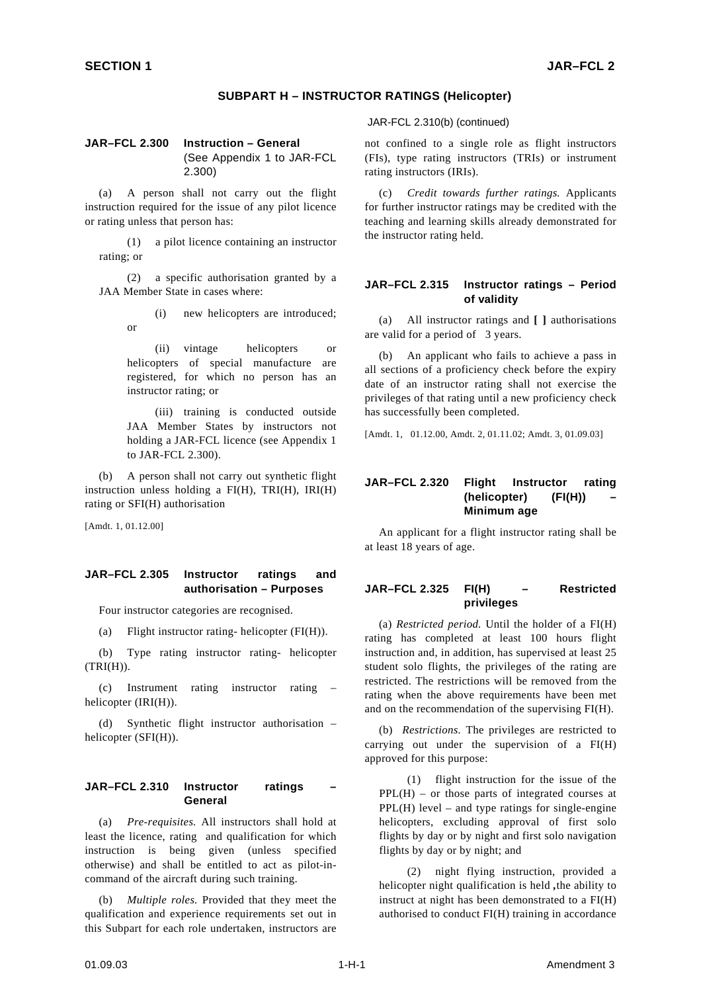#### **SUBPART H – INSTRUCTOR RATINGS (Helicopter)**

#### **JAR–FCL 2.300 Instruction – General**  (See Appendix 1 to JAR-FCL 2.300)

(a) A person shall not carry out the flight instruction required for the issue of any pilot licence or rating unless that person has:

(1) a pilot licence containing an instructor rating; or

(2) a specific authorisation granted by a JAA Member State in cases where:

> (i) new helicopters are introduced; or

(ii) vintage helicopters or helicopters of special manufacture are registered, for which no person has an instructor rating; or

(iii) training is conducted outside JAA Member States by instructors not holding a JAR-FCL licence (see Appendix 1 to JAR-FCL 2.300).

A person shall not carry out synthetic flight instruction unless holding a FI(H), TRI(H), IRI(H) rating or SFI(H) authorisation

[Amdt. 1, 01.12.00]

## **JAR–FCL 2.305 Instructor ratings and authorisation – Purposes**

Four instructor categories are recognised.

(a) Flight instructor rating- helicopter (FI(H)).

(b) Type rating instructor rating- helicopter  $(TRI(H)).$ 

(c) Instrument rating instructor rating – helicopter (IRI(H)).

(d) Synthetic flight instructor authorisation – helicopter (SFI(H)).

#### **JAR–FCL 2.310 Instructor ratings – General**

(a) *Pre-requisites.* All instructors shall hold at least the licence, rating and qualification for which instruction is being given (unless specified otherwise) and shall be entitled to act as pilot-incommand of the aircraft during such training.

(b) *Multiple roles.* Provided that they meet the qualification and experience requirements set out in this Subpart for each role undertaken, instructors are JAR-FCL 2.310(b) (continued)

not confined to a single role as flight instructors (FIs), type rating instructors (TRIs) or instrument rating instructors (IRIs).

(c) *Credit towards further ratings.* Applicants for further instructor ratings may be credited with the teaching and learning skills already demonstrated for the instructor rating held.

## **JAR–FCL 2.315 Instructor ratings – Period of validity**

(a) All instructor ratings and **[ ]** authorisations are valid for a period of 3 years.

(b) An applicant who fails to achieve a pass in all sections of a proficiency check before the expiry date of an instructor rating shall not exercise the privileges of that rating until a new proficiency check has successfully been completed.

[Amdt. 1, 01.12.00, Amdt. 2, 01.11.02; Amdt. 3, 01.09.03]

#### **JAR–FCL 2.320 Flight Instructor rating**  (helicopter) (FI(H)) **Minimum age**

An applicant for a flight instructor rating shall be at least 18 years of age.

## **JAR–FCL 2.325 FI(H) – Restricted privileges**

(a) *Restricted period.* Until the holder of a FI(H) rating has completed at least 100 hours flight instruction and, in addition, has supervised at least 25 student solo flights, the privileges of the rating are restricted. The restrictions will be removed from the rating when the above requirements have been met and on the recommendation of the supervising FI(H).

(b) *Restrictions.* The privileges are restricted to carrying out under the supervision of a FI(H) approved for this purpose:

(1) flight instruction for the issue of the PPL(H) – or those parts of integrated courses at PPL(H) level – and type ratings for single-engine helicopters, excluding approval of first solo flights by day or by night and first solo navigation flights by day or by night; and

(2) night flying instruction, provided a helicopter night qualification is held *,*the ability to instruct at night has been demonstrated to a FI(H) authorised to conduct FI(H) training in accordance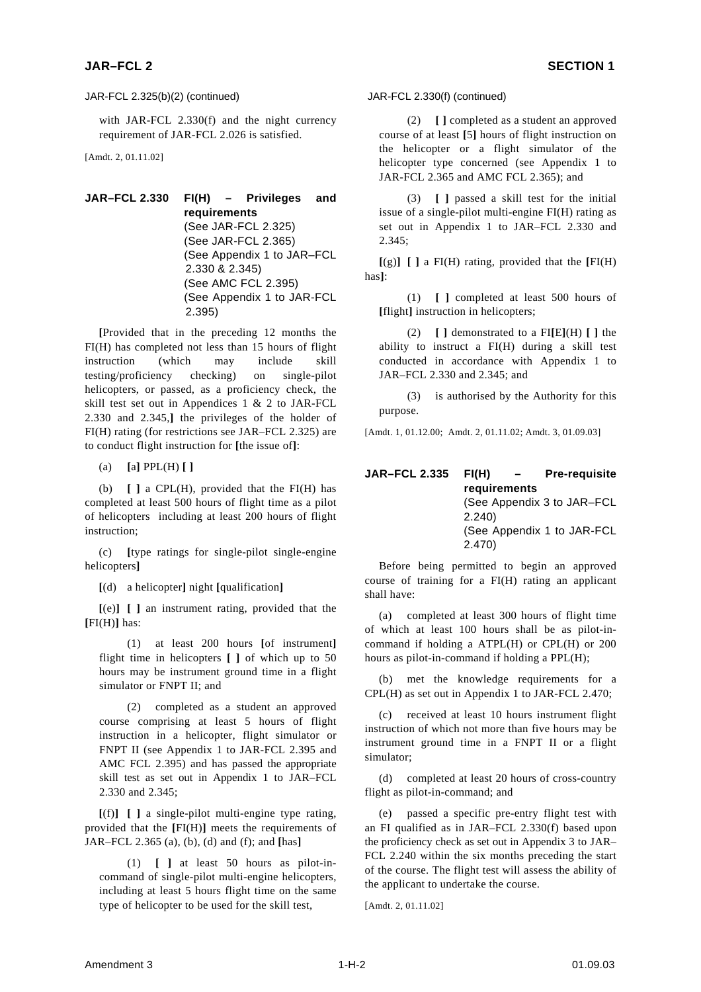#### JAR-FCL 2.325(b)(2) (continued) JAR-FCL 2.330(f) (continued)

with JAR-FCL 2.330(f) and the night currency requirement of JAR-FCL 2.026 is satisfied.

[Amdt. 2, 01.11.02]

## **JAR–FCL 2.330 FI(H) – Privileges and requirements**  (See JAR-FCL 2.325) (See JAR-FCL 2.365) (See Appendix 1 to JAR–FCL 2.330 & 2.345) (See AMC FCL 2.395) (See Appendix 1 to JAR-FCL 2.395)

**[**Provided that in the preceding 12 months the FI(H) has completed not less than 15 hours of flight instruction (which may include skill testing/proficiency checking) on single-pilot helicopters, or passed, as a proficiency check, the skill test set out in Appendices 1 & 2 to JAR-FCL 2.330 and 2.345,**]** the privileges of the holder of FI(H) rating (for restrictions see JAR–FCL 2.325) are to conduct flight instruction for **[**the issue of**]**:

(a) **[**a**]** PPL(H) **[ ]** 

(b) **[ ]** a CPL(H), provided that the FI(H) has completed at least 500 hours of flight time as a pilot of helicopters including at least 200 hours of flight instruction;

(c) **[**type ratings for single-pilot single-engine helicopters**]**

**[**(d) a helicopter**]** night **[**qualification**]**

**[**(e)**] [ ]** an instrument rating, provided that the **[**FI(H)**]** has:

(1) at least 200 hours **[**of instrument**]** flight time in helicopters **[ ]** of which up to 50 hours may be instrument ground time in a flight simulator or FNPT II; and

(2) completed as a student an approved course comprising at least 5 hours of flight instruction in a helicopter, flight simulator or FNPT II (see Appendix 1 to JAR-FCL 2.395 and AMC FCL 2.395) and has passed the appropriate skill test as set out in Appendix 1 to JAR–FCL 2.330 and 2.345;

**[**(f)**] [ ]** a single-pilot multi-engine type rating, provided that the **[**FI(H)**]** meets the requirements of JAR–FCL 2.365 (a), (b), (d) and (f); and **[**has**]**

(1) **[ ]** at least 50 hours as pilot-incommand of single-pilot multi-engine helicopters, including at least 5 hours flight time on the same type of helicopter to be used for the skill test,

(2) **[ ]** completed as a student an approved course of at least **[**5**]** hours of flight instruction on the helicopter or a flight simulator of the helicopter type concerned (see Appendix 1 to JAR-FCL 2.365 and AMC FCL 2.365); and

(3) **[ ]** passed a skill test for the initial issue of a single-pilot multi-engine FI(H) rating as set out in Appendix 1 to JAR–FCL 2.330 and 2.345;

 $[(g)]$  **[** ] a FI(H) rating, provided that the  $[FI(H)]$ has**]**:

(1) **[ ]** completed at least 500 hours of **[**flight**]** instruction in helicopters;

(2) **[ ]** demonstrated to a FI**[**E**]**(H) **[ ]** the ability to instruct a FI(H) during a skill test conducted in accordance with Appendix 1 to JAR–FCL 2.330 and 2.345; and

(3) is authorised by the Authority for this purpose.

[Amdt. 1, 01.12.00; Amdt. 2, 01.11.02; Amdt. 3, 01.09.03]

#### **JAR–FCL 2.335 FI(H) – Pre-requisite requirements**  (See Appendix 3 to JAR–FCL 2.240)

(See Appendix 1 to JAR-FCL 2.470)

Before being permitted to begin an approved course of training for a FI(H) rating an applicant shall have:

(a) completed at least 300 hours of flight time of which at least 100 hours shall be as pilot-incommand if holding a ATPL(H) or CPL(H) or 200 hours as pilot-in-command if holding a PPL(H);

(b) met the knowledge requirements for a CPL(H) as set out in Appendix 1 to JAR-FCL 2.470;

(c) received at least 10 hours instrument flight instruction of which not more than five hours may be instrument ground time in a FNPT II or a flight simulator;

(d) completed at least 20 hours of cross-country flight as pilot-in-command; and

(e) passed a specific pre-entry flight test with an FI qualified as in JAR–FCL 2.330(f) based upon the proficiency check as set out in Appendix 3 to JAR– FCL 2.240 within the six months preceding the start of the course. The flight test will assess the ability of the applicant to undertake the course.

[Amdt. 2, 01.11.02]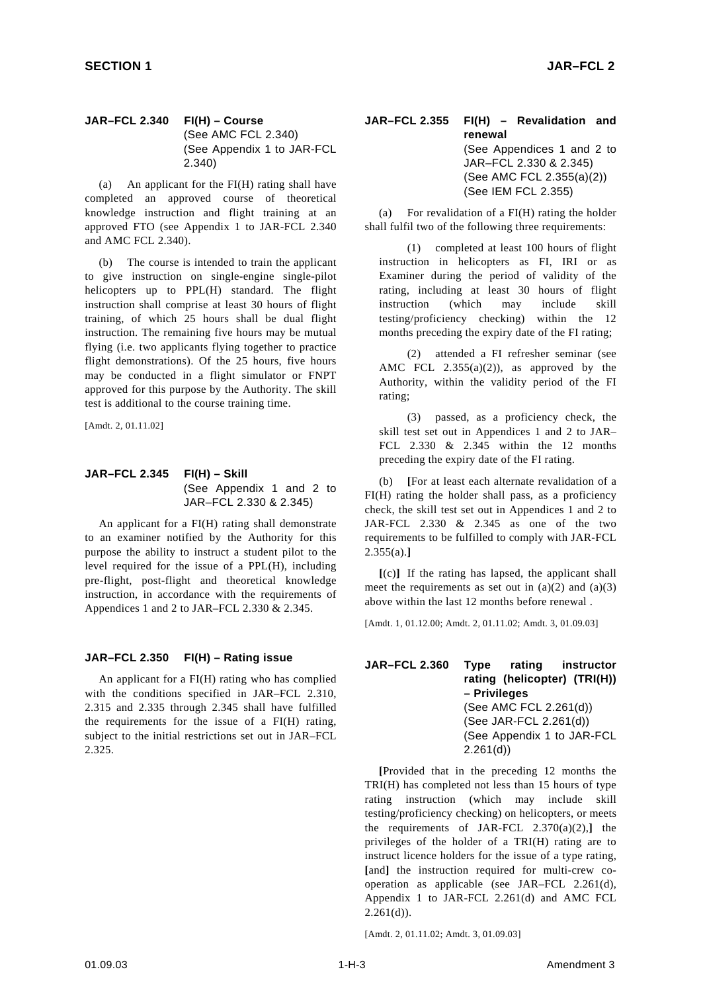#### **JAR–FCL 2.340 FI(H) – Course**  (See AMC FCL 2.340) (See Appendix 1 to JAR-FCL 2.340)

(a) An applicant for the FI(H) rating shall have completed an approved course of theoretical knowledge instruction and flight training at an approved FTO (see Appendix 1 to JAR-FCL 2.340 and AMC FCL 2.340).

(b) The course is intended to train the applicant to give instruction on single-engine single-pilot helicopters up to PPL(H) standard. The flight instruction shall comprise at least 30 hours of flight training, of which 25 hours shall be dual flight instruction. The remaining five hours may be mutual flying (i.e. two applicants flying together to practice flight demonstrations). Of the 25 hours, five hours may be conducted in a flight simulator or FNPT approved for this purpose by the Authority. The skill test is additional to the course training time.

[Amdt. 2, 01.11.02]

#### **JAR–FCL 2.345 FI(H) – Skill**  (See Appendix 1 and 2 to JAR–FCL 2.330 & 2.345)

An applicant for a FI(H) rating shall demonstrate to an examiner notified by the Authority for this purpose the ability to instruct a student pilot to the level required for the issue of a PPL(H), including pre-flight, post-flight and theoretical knowledge instruction, in accordance with the requirements of Appendices 1 and 2 to JAR–FCL 2.330 & 2.345.

## **JAR–FCL 2.350 FI(H) – Rating issue**

An applicant for a FI(H) rating who has complied with the conditions specified in JAR–FCL 2.310, 2.315 and 2.335 through 2.345 shall have fulfilled the requirements for the issue of a  $FI(H)$  rating, subject to the initial restrictions set out in JAR–FCL 2.325.

#### **JAR–FCL 2.355 FI(H) – Revalidation and renewal**  (See Appendices 1 and 2 to JAR–FCL 2.330 & 2.345) (See AMC FCL 2.355(a)(2)) (See IEM FCL 2.355)

(a) For revalidation of a FI(H) rating the holder shall fulfil two of the following three requirements:

(1) completed at least 100 hours of flight instruction in helicopters as FI, IRI or as Examiner during the period of validity of the rating, including at least 30 hours of flight instruction (which may include skill testing/proficiency checking) within the 12 months preceding the expiry date of the FI rating;

(2) attended a FI refresher seminar (see AMC FCL  $2.355(a)(2)$ , as approved by the Authority, within the validity period of the FI rating;

(3) passed, as a proficiency check, the skill test set out in Appendices 1 and 2 to JAR– FCL 2.330 & 2.345 within the 12 months preceding the expiry date of the FI rating.

(b) **[**For at least each alternate revalidation of a FI(H) rating the holder shall pass, as a proficiency check, the skill test set out in Appendices 1 and 2 to JAR-FCL 2.330 & 2.345 as one of the two requirements to be fulfilled to comply with JAR-FCL 2.355(a).**]**

**[**(c)**]** If the rating has lapsed, the applicant shall meet the requirements as set out in  $(a)(2)$  and  $(a)(3)$ above within the last 12 months before renewal .

[Amdt. 1, 01.12.00; Amdt. 2, 01.11.02; Amdt. 3, 01.09.03]

### **JAR–FCL 2.360 Type rating instructor rating (helicopter) (TRI(H)) – Privileges**  (See AMC FCL 2.261(d)) (See JAR-FCL 2.261(d)) (See Appendix 1 to JAR-FCL 2.261(d))

**[**Provided that in the preceding 12 months the TRI(H) has completed not less than 15 hours of type rating instruction (which may include skill testing/proficiency checking) on helicopters, or meets the requirements of JAR-FCL 2.370(a)(2),**]** the privileges of the holder of a TRI(H) rating are to instruct licence holders for the issue of a type rating, **[**and**]** the instruction required for multi-crew cooperation as applicable (see JAR–FCL 2.261(d), Appendix 1 to JAR-FCL 2.261(d) and AMC FCL  $2.261(d)$ ).

[Amdt. 2, 01.11.02; Amdt. 3, 01.09.03]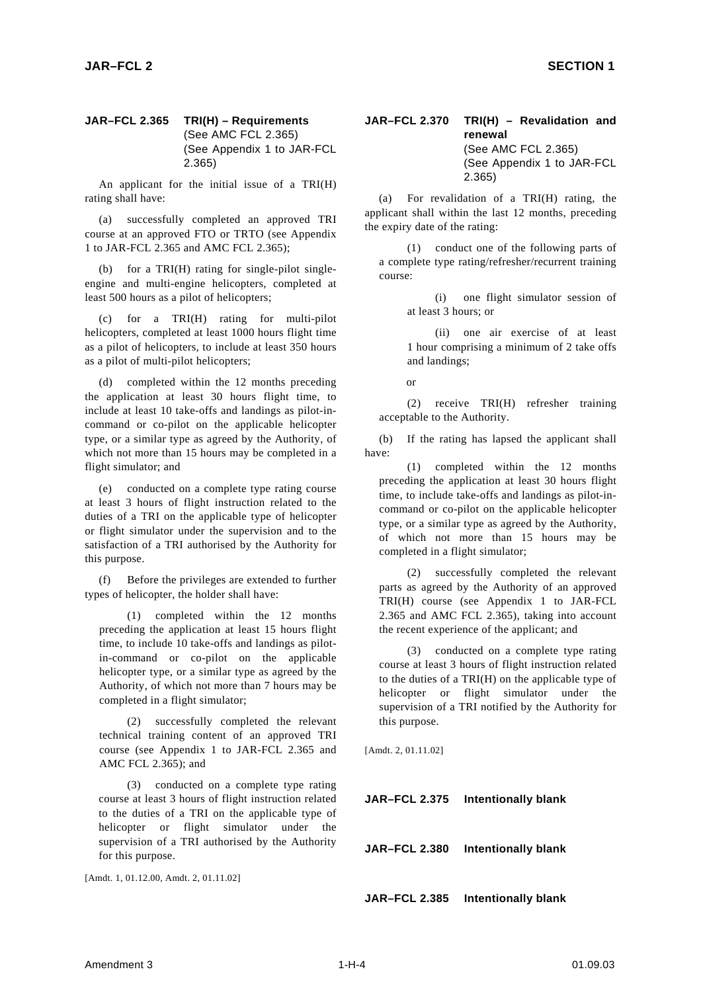#### **JAR–FCL 2.365 TRI(H) – Requirements**  (See AMC FCL 2.365) (See Appendix 1 to JAR-FCL 2.365)

An applicant for the initial issue of a TRI(H) rating shall have:

(a) successfully completed an approved TRI course at an approved FTO or TRTO (see Appendix 1 to JAR-FCL 2.365 and AMC FCL 2.365);

(b) for a TRI(H) rating for single-pilot singleengine and multi-engine helicopters, completed at least 500 hours as a pilot of helicopters;

(c) for a TRI(H) rating for multi-pilot helicopters, completed at least 1000 hours flight time as a pilot of helicopters, to include at least 350 hours as a pilot of multi-pilot helicopters;

(d) completed within the 12 months preceding the application at least 30 hours flight time, to include at least 10 take-offs and landings as pilot-incommand or co-pilot on the applicable helicopter type, or a similar type as agreed by the Authority, of which not more than 15 hours may be completed in a flight simulator; and

(e) conducted on a complete type rating course at least 3 hours of flight instruction related to the duties of a TRI on the applicable type of helicopter or flight simulator under the supervision and to the satisfaction of a TRI authorised by the Authority for this purpose.

(f) Before the privileges are extended to further types of helicopter, the holder shall have:

(1) completed within the 12 months preceding the application at least 15 hours flight time, to include 10 take-offs and landings as pilotin-command or co-pilot on the applicable helicopter type, or a similar type as agreed by the Authority, of which not more than 7 hours may be completed in a flight simulator;

(2) successfully completed the relevant technical training content of an approved TRI course (see Appendix 1 to JAR-FCL 2.365 and AMC FCL 2.365); and

(3) conducted on a complete type rating course at least 3 hours of flight instruction related to the duties of a TRI on the applicable type of helicopter or flight simulator under the supervision of a TRI authorised by the Authority for this purpose.

[Amdt. 1, 01.12.00, Amdt. 2, 01.11.02]

### **JAR–FCL 2.370 TRI(H) – Revalidation and renewal**  (See AMC FCL 2.365) (See Appendix 1 to JAR-FCL 2.365)

(a) For revalidation of a TRI(H) rating, the applicant shall within the last 12 months, preceding the expiry date of the rating:

(1) conduct one of the following parts of a complete type rating/refresher/recurrent training course:

> (i) one flight simulator session of at least 3 hours; or

> (ii) one air exercise of at least 1 hour comprising a minimum of 2 take offs and landings;

or

(2) receive TRI(H) refresher training acceptable to the Authority.

(b) If the rating has lapsed the applicant shall have:

(1) completed within the 12 months preceding the application at least 30 hours flight time, to include take-offs and landings as pilot-incommand or co-pilot on the applicable helicopter type, or a similar type as agreed by the Authority, of which not more than 15 hours may be completed in a flight simulator;

(2) successfully completed the relevant parts as agreed by the Authority of an approved TRI(H) course (see Appendix 1 to JAR-FCL 2.365 and AMC FCL 2.365), taking into account the recent experience of the applicant; and

(3) conducted on a complete type rating course at least 3 hours of flight instruction related to the duties of a TRI(H) on the applicable type of helicopter or flight simulator under the supervision of a TRI notified by the Authority for this purpose.

[Amdt. 2, 01.11.02]

| JAR-FCL 2.375 Intentionally blank |
|-----------------------------------|
| JAR-FCL 2.380 Intentionally blank |
| JAR-FCL 2.385 Intentionally blank |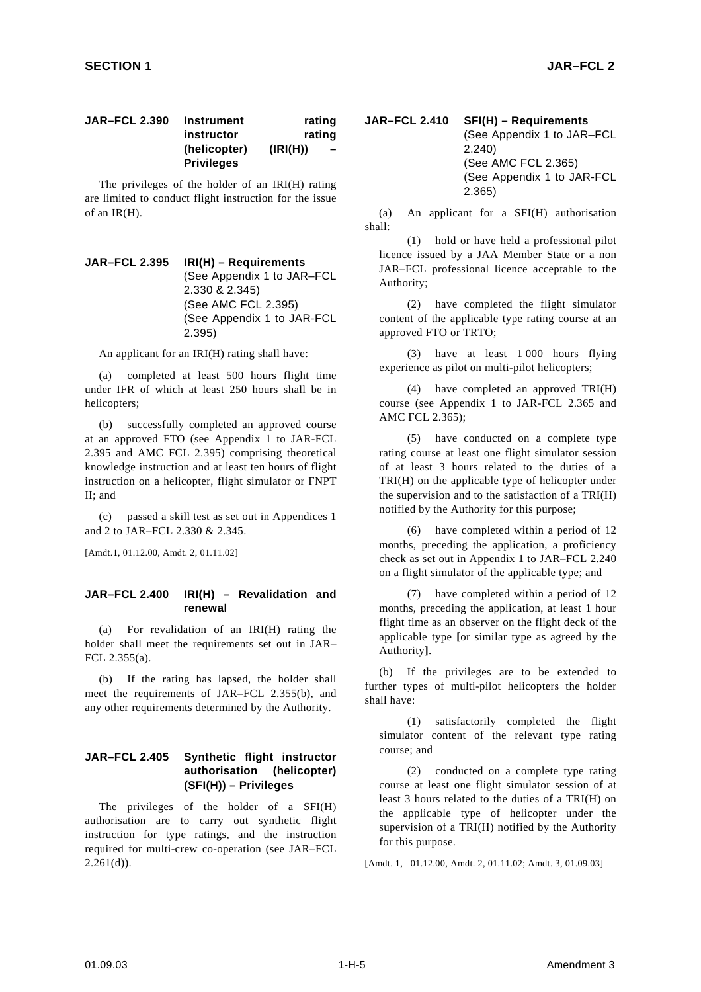| <b>JAR-FCL 2.390</b> | Instrument        | rating                                   |
|----------------------|-------------------|------------------------------------------|
|                      | <i>instructor</i> | rating                                   |
|                      | (helicopter)      | (IRI(H))<br>$\qquad \qquad \blacksquare$ |
|                      | <b>Privileges</b> |                                          |

The privileges of the holder of an IRI(H) rating are limited to conduct flight instruction for the issue of an IR(H).

#### **JAR–FCL 2.395 IRI(H) – Requirements**  (See Appendix 1 to JAR–FCL 2.330 & 2.345) (See AMC FCL 2.395) (See Appendix 1 to JAR-FCL 2.395)

An applicant for an IRI(H) rating shall have:

(a) completed at least 500 hours flight time under IFR of which at least 250 hours shall be in helicopters;

(b) successfully completed an approved course at an approved FTO (see Appendix 1 to JAR-FCL 2.395 and AMC FCL 2.395) comprising theoretical knowledge instruction and at least ten hours of flight instruction on a helicopter, flight simulator or FNPT II; and

(c) passed a skill test as set out in Appendices 1 and 2 to JAR–FCL 2.330 & 2.345.

[Amdt.1, 01.12.00, Amdt. 2, 01.11.02]

#### **JAR–FCL 2.400 IRI(H) – Revalidation and renewal**

(a) For revalidation of an IRI(H) rating the holder shall meet the requirements set out in JAR– FCL 2.355(a).

(b) If the rating has lapsed, the holder shall meet the requirements of JAR–FCL 2.355(b), and any other requirements determined by the Authority.

### **JAR–FCL 2.405 Synthetic flight instructor authorisation (helicopter) (SFI(H)) – Privileges**

The privileges of the holder of a SFI(H) authorisation are to carry out synthetic flight instruction for type ratings, and the instruction required for multi-crew co-operation (see JAR–FCL  $2.261(d)$ ).

#### **JAR–FCL 2.410 SFI(H) – Requirements**  (See Appendix 1 to JAR–FCL 2.240) (See AMC FCL 2.365) (See Appendix 1 to JAR-FCL 2.365)

(a) An applicant for a SFI(H) authorisation shall:

(1) hold or have held a professional pilot licence issued by a JAA Member State or a non JAR–FCL professional licence acceptable to the Authority;

(2) have completed the flight simulator content of the applicable type rating course at an approved FTO or TRTO;

(3) have at least 1 000 hours flying experience as pilot on multi-pilot helicopters;

(4) have completed an approved TRI(H) course (see Appendix 1 to JAR-FCL 2.365 and AMC FCL 2.365);

(5) have conducted on a complete type rating course at least one flight simulator session of at least 3 hours related to the duties of a TRI(H) on the applicable type of helicopter under the supervision and to the satisfaction of a TRI(H) notified by the Authority for this purpose;

(6) have completed within a period of 12 months, preceding the application, a proficiency check as set out in Appendix 1 to JAR–FCL 2.240 on a flight simulator of the applicable type; and

(7) have completed within a period of 12 months, preceding the application, at least 1 hour flight time as an observer on the flight deck of the applicable type **[**or similar type as agreed by the Authority**]**.

(b) If the privileges are to be extended to further types of multi-pilot helicopters the holder shall have:

(1) satisfactorily completed the flight simulator content of the relevant type rating course; and

(2) conducted on a complete type rating course at least one flight simulator session of at least 3 hours related to the duties of a TRI(H) on the applicable type of helicopter under the supervision of a TRI(H) notified by the Authority for this purpose.

[Amdt. 1, 01.12.00, Amdt. 2, 01.11.02; Amdt. 3, 01.09.03]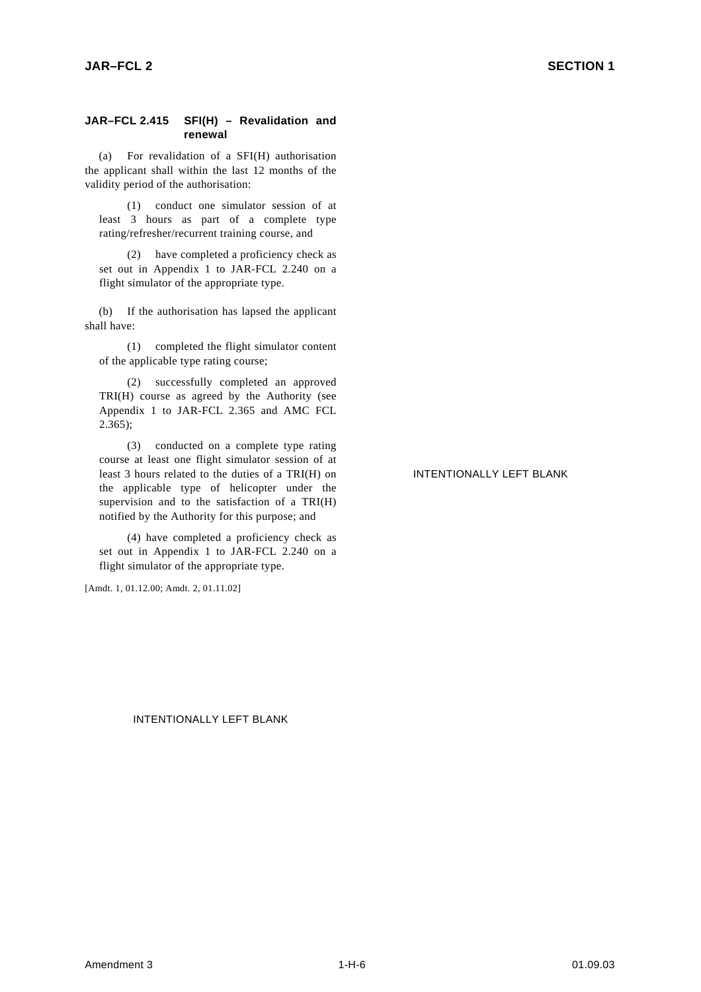#### **JAR–FCL 2.415 SFI(H) – Revalidation and renewal**

(a) For revalidation of a SFI(H) authorisation the applicant shall within the last 12 months of the validity period of the authorisation:

(1) conduct one simulator session of at least 3 hours as part of a complete type rating/refresher/recurrent training course, and

(2) have completed a proficiency check as set out in Appendix 1 to JAR-FCL 2.240 on a flight simulator of the appropriate type.

(b) If the authorisation has lapsed the applicant shall have:

(1) completed the flight simulator content of the applicable type rating course;

(2) successfully completed an approved TRI(H) course as agreed by the Authority (see Appendix 1 to JAR-FCL 2.365 and AMC FCL  $2.365$ :

(3) conducted on a complete type rating course at least one flight simulator session of at least 3 hours related to the duties of a TRI(H) on the applicable type of helicopter under the supervision and to the satisfaction of a TRI(H) notified by the Authority for this purpose; and

(4) have completed a proficiency check as set out in Appendix 1 to JAR-FCL 2.240 on a flight simulator of the appropriate type.

[Amdt. 1, 01.12.00; Amdt. 2, 01.11.02]

INTENTIONALLY LEFT BLANK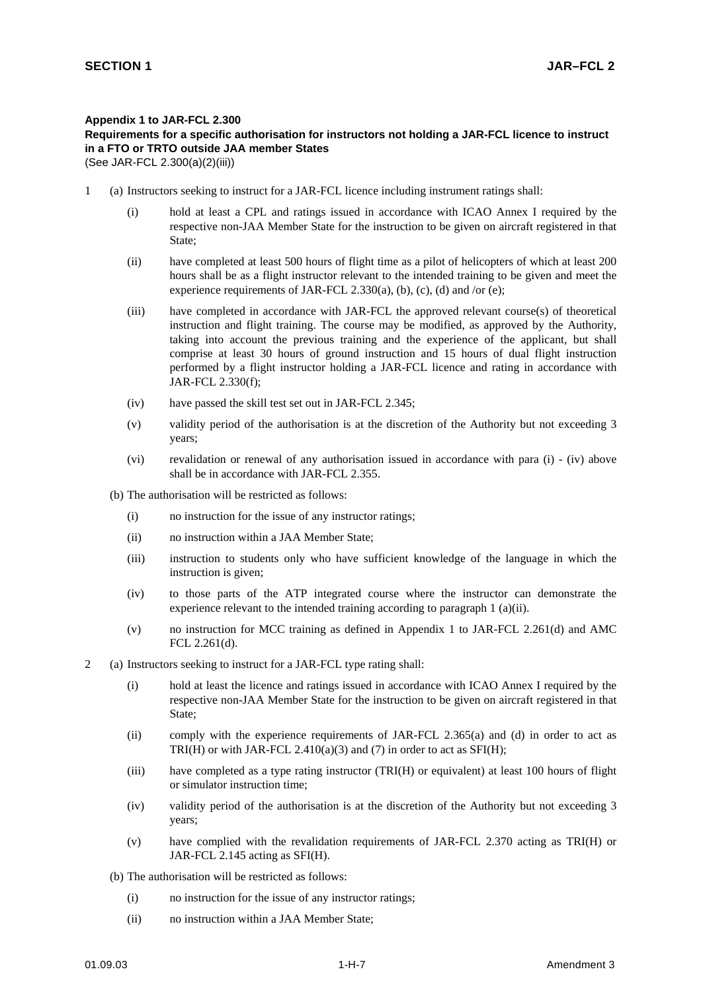# **Appendix 1 to JAR-FCL 2.300 Requirements for a specific authorisation for instructors not holding a JAR-FCL licence to instruct in a FTO or TRTO outside JAA member States**

(See JAR-FCL 2.300(a)(2)(iii))

- 1 (a) Instructors seeking to instruct for a JAR-FCL licence including instrument ratings shall:
	- (i) hold at least a CPL and ratings issued in accordance with ICAO Annex I required by the respective non-JAA Member State for the instruction to be given on aircraft registered in that State;
	- (ii) have completed at least 500 hours of flight time as a pilot of helicopters of which at least 200 hours shall be as a flight instructor relevant to the intended training to be given and meet the experience requirements of JAR-FCL 2.330(a), (b), (c), (d) and /or (e);
	- (iii) have completed in accordance with JAR-FCL the approved relevant course(s) of theoretical instruction and flight training. The course may be modified, as approved by the Authority, taking into account the previous training and the experience of the applicant, but shall comprise at least 30 hours of ground instruction and 15 hours of dual flight instruction performed by a flight instructor holding a JAR-FCL licence and rating in accordance with JAR-FCL 2.330(f);
	- (iv) have passed the skill test set out in JAR-FCL 2.345;
	- (v) validity period of the authorisation is at the discretion of the Authority but not exceeding 3 years;
	- (vi) revalidation or renewal of any authorisation issued in accordance with para (i) (iv) above shall be in accordance with JAR-FCL 2.355.
	- (b) The authorisation will be restricted as follows:
		- (i) no instruction for the issue of any instructor ratings;
		- (ii) no instruction within a JAA Member State;
		- (iii) instruction to students only who have sufficient knowledge of the language in which the instruction is given;
		- (iv) to those parts of the ATP integrated course where the instructor can demonstrate the experience relevant to the intended training according to paragraph 1 (a)(ii).
		- (v) no instruction for MCC training as defined in Appendix 1 to JAR-FCL 2.261(d) and AMC FCL 2.261(d).
- 2 (a) Instructors seeking to instruct for a JAR-FCL type rating shall:
	- (i) hold at least the licence and ratings issued in accordance with ICAO Annex I required by the respective non-JAA Member State for the instruction to be given on aircraft registered in that State;
	- (ii) comply with the experience requirements of JAR-FCL 2.365(a) and (d) in order to act as TRI(H) or with JAR-FCL 2.410(a)(3) and (7) in order to act as  $SFI(H)$ ;
	- (iii) have completed as a type rating instructor (TRI(H) or equivalent) at least 100 hours of flight or simulator instruction time;
	- (iv) validity period of the authorisation is at the discretion of the Authority but not exceeding 3 years;
	- (v) have complied with the revalidation requirements of JAR-FCL 2.370 acting as TRI(H) or JAR-FCL 2.145 acting as SFI(H).
	- (b) The authorisation will be restricted as follows:
		- (i) no instruction for the issue of any instructor ratings;
		- (ii) no instruction within a JAA Member State;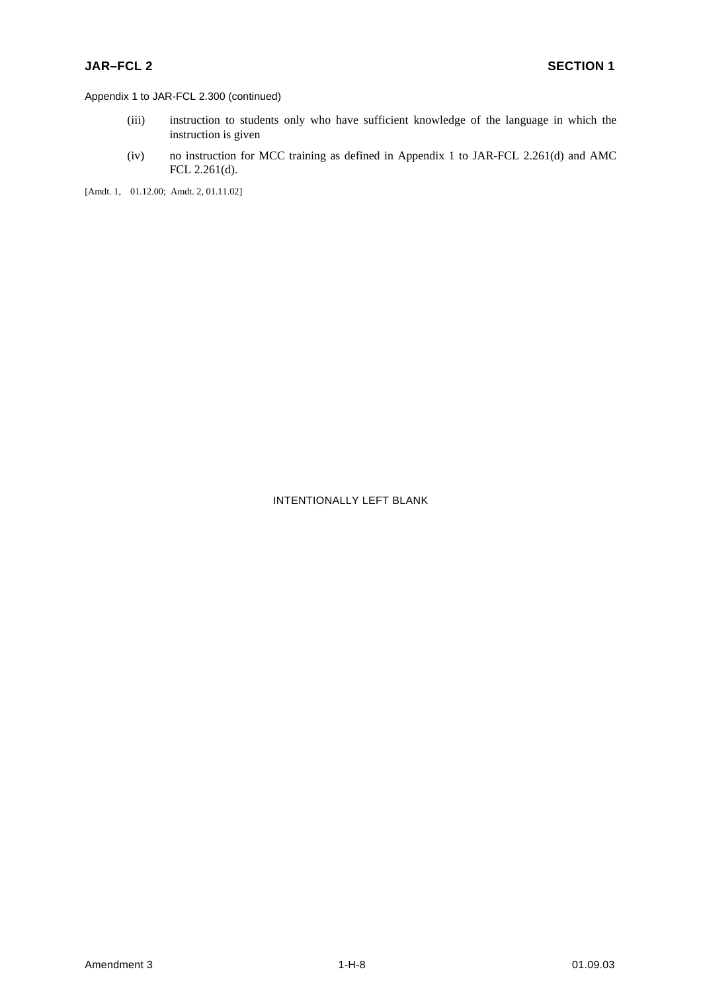Appendix 1 to JAR-FCL 2.300 (continued)

- (iii) instruction to students only who have sufficient knowledge of the language in which the instruction is given
- (iv) no instruction for MCC training as defined in Appendix 1 to JAR-FCL 2.261(d) and AMC FCL 2.261(d).

[Amdt. 1, 01.12.00; Amdt. 2, 01.11.02]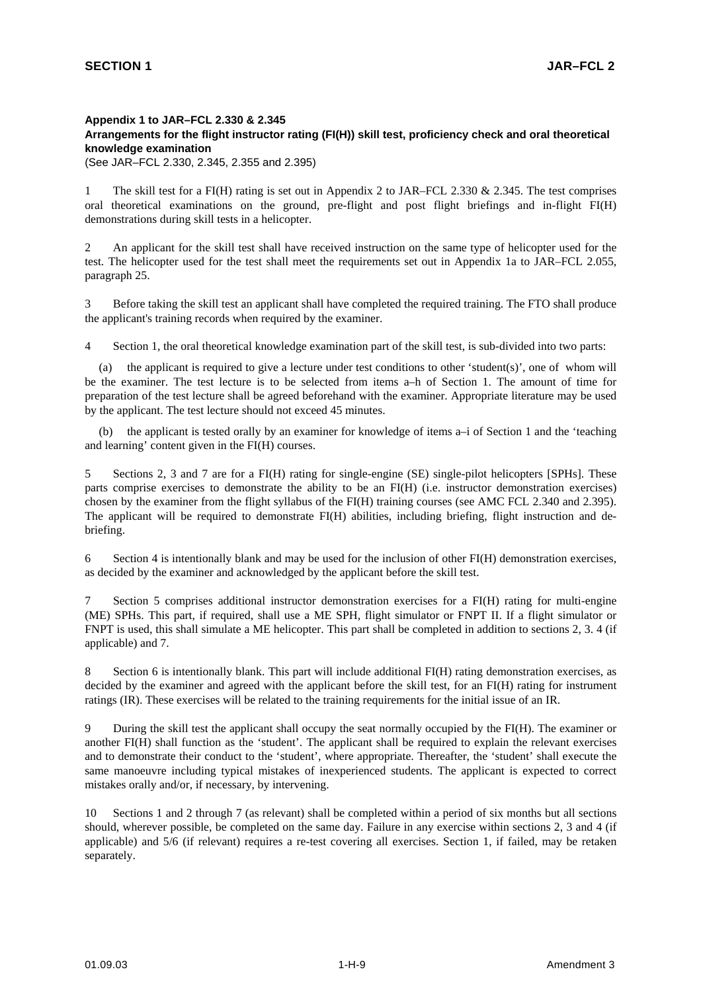#### **Appendix 1 to JAR–FCL 2.330 & 2.345**

## **Arrangements for the flight instructor rating (FI(H)) skill test, proficiency check and oral theoretical knowledge examination**

(See JAR–FCL 2.330, 2.345, 2.355 and 2.395)

1 The skill test for a FI(H) rating is set out in Appendix 2 to JAR–FCL 2.330 & 2.345. The test comprises oral theoretical examinations on the ground, pre-flight and post flight briefings and in-flight FI(H) demonstrations during skill tests in a helicopter.

2 An applicant for the skill test shall have received instruction on the same type of helicopter used for the test. The helicopter used for the test shall meet the requirements set out in Appendix 1a to JAR–FCL 2.055, paragraph 25.

3 Before taking the skill test an applicant shall have completed the required training. The FTO shall produce the applicant's training records when required by the examiner.

4 Section 1, the oral theoretical knowledge examination part of the skill test, is sub-divided into two parts:

(a) the applicant is required to give a lecture under test conditions to other 'student(s)', one of whom will be the examiner. The test lecture is to be selected from items a–h of Section 1. The amount of time for preparation of the test lecture shall be agreed beforehand with the examiner. Appropriate literature may be used by the applicant. The test lecture should not exceed 45 minutes.

(b) the applicant is tested orally by an examiner for knowledge of items a–i of Section 1 and the 'teaching and learning' content given in the FI(H) courses.

5 Sections 2, 3 and 7 are for a FI(H) rating for single-engine (SE) single-pilot helicopters [SPHs]. These parts comprise exercises to demonstrate the ability to be an FI(H) (i.e. instructor demonstration exercises) chosen by the examiner from the flight syllabus of the FI(H) training courses (see AMC FCL 2.340 and 2.395). The applicant will be required to demonstrate FI(H) abilities, including briefing, flight instruction and debriefing.

6 Section 4 is intentionally blank and may be used for the inclusion of other FI(H) demonstration exercises, as decided by the examiner and acknowledged by the applicant before the skill test.

Section 5 comprises additional instructor demonstration exercises for a FI(H) rating for multi-engine (ME) SPHs. This part, if required, shall use a ME SPH, flight simulator or FNPT II. If a flight simulator or FNPT is used, this shall simulate a ME helicopter. This part shall be completed in addition to sections 2, 3. 4 (if applicable) and 7.

8 Section 6 is intentionally blank. This part will include additional FI(H) rating demonstration exercises, as decided by the examiner and agreed with the applicant before the skill test, for an FI(H) rating for instrument ratings (IR). These exercises will be related to the training requirements for the initial issue of an IR.

9 During the skill test the applicant shall occupy the seat normally occupied by the FI(H). The examiner or another FI(H) shall function as the 'student'. The applicant shall be required to explain the relevant exercises and to demonstrate their conduct to the 'student', where appropriate. Thereafter, the 'student' shall execute the same manoeuvre including typical mistakes of inexperienced students. The applicant is expected to correct mistakes orally and/or, if necessary, by intervening.

Sections 1 and 2 through 7 (as relevant) shall be completed within a period of six months but all sections should, wherever possible, be completed on the same day. Failure in any exercise within sections 2, 3 and 4 (if applicable) and 5/6 (if relevant) requires a re-test covering all exercises. Section 1, if failed, may be retaken separately.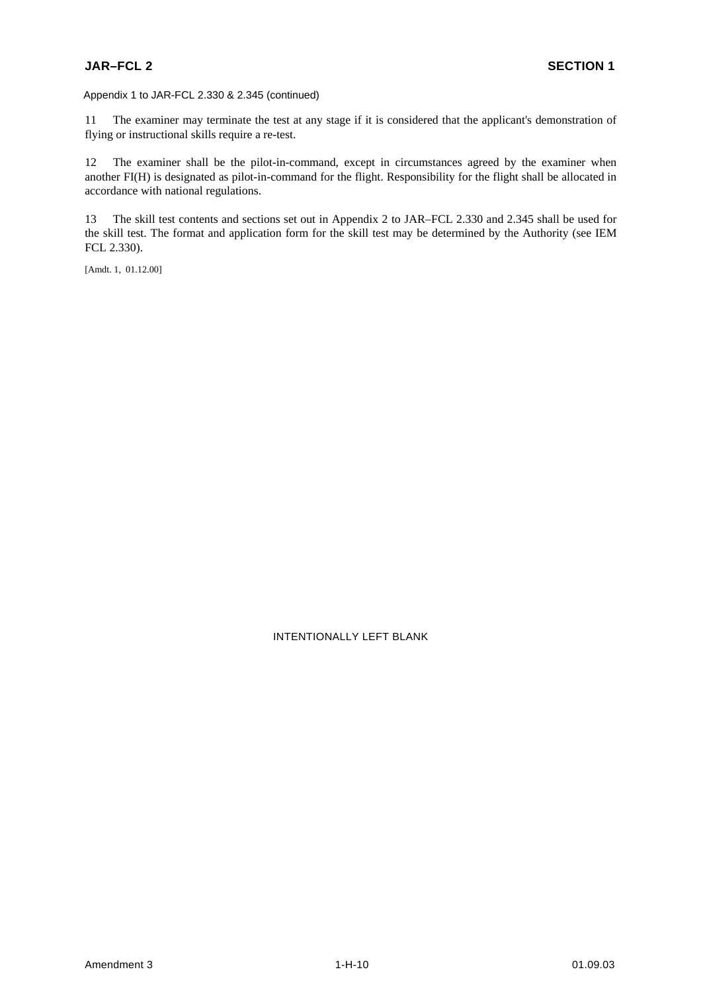Appendix 1 to JAR-FCL 2.330 & 2.345 (continued)

11 The examiner may terminate the test at any stage if it is considered that the applicant's demonstration of flying or instructional skills require a re-test.

12 The examiner shall be the pilot-in-command, except in circumstances agreed by the examiner when another FI(H) is designated as pilot-in-command for the flight. Responsibility for the flight shall be allocated in accordance with national regulations.

13 The skill test contents and sections set out in Appendix 2 to JAR–FCL 2.330 and 2.345 shall be used for the skill test. The format and application form for the skill test may be determined by the Authority (see IEM FCL 2.330).

[Amdt. 1, 01.12.00]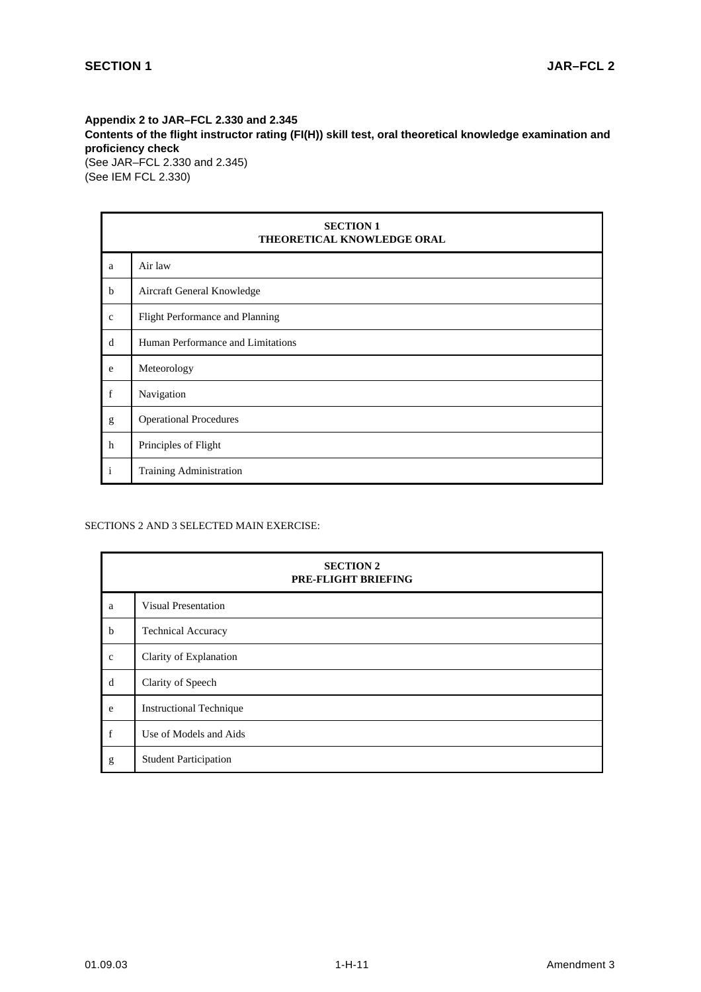## **Appendix 2 to JAR–FCL 2.330 and 2.345**

**Contents of the flight instructor rating (FI(H)) skill test, oral theoretical knowledge examination and proficiency check** 

(See JAR–FCL 2.330 and 2.345) (See IEM FCL 2.330)

|              | <b>SECTION 1</b><br>THEORETICAL KNOWLEDGE ORAL |  |  |  |  |  |
|--------------|------------------------------------------------|--|--|--|--|--|
| a            | Air law                                        |  |  |  |  |  |
| $\mathbf b$  | Aircraft General Knowledge                     |  |  |  |  |  |
| $\mathbf c$  | Flight Performance and Planning                |  |  |  |  |  |
| d            | Human Performance and Limitations              |  |  |  |  |  |
| e            | Meteorology                                    |  |  |  |  |  |
| $\mathbf f$  | Navigation                                     |  |  |  |  |  |
| g            | <b>Operational Procedures</b>                  |  |  |  |  |  |
| h            | Principles of Flight                           |  |  |  |  |  |
| $\mathbf{i}$ | Training Administration                        |  |  |  |  |  |

## SECTIONS 2 AND 3 SELECTED MAIN EXERCISE:

|              | <b>SECTION 2</b><br>PRE-FLIGHT BRIEFING |
|--------------|-----------------------------------------|
| a            | Visual Presentation                     |
| $\mathbf b$  | <b>Technical Accuracy</b>               |
| $\mathbf{c}$ | Clarity of Explanation                  |
| d            | Clarity of Speech                       |
| e            | <b>Instructional Technique</b>          |
| f            | Use of Models and Aids                  |
| g            | <b>Student Participation</b>            |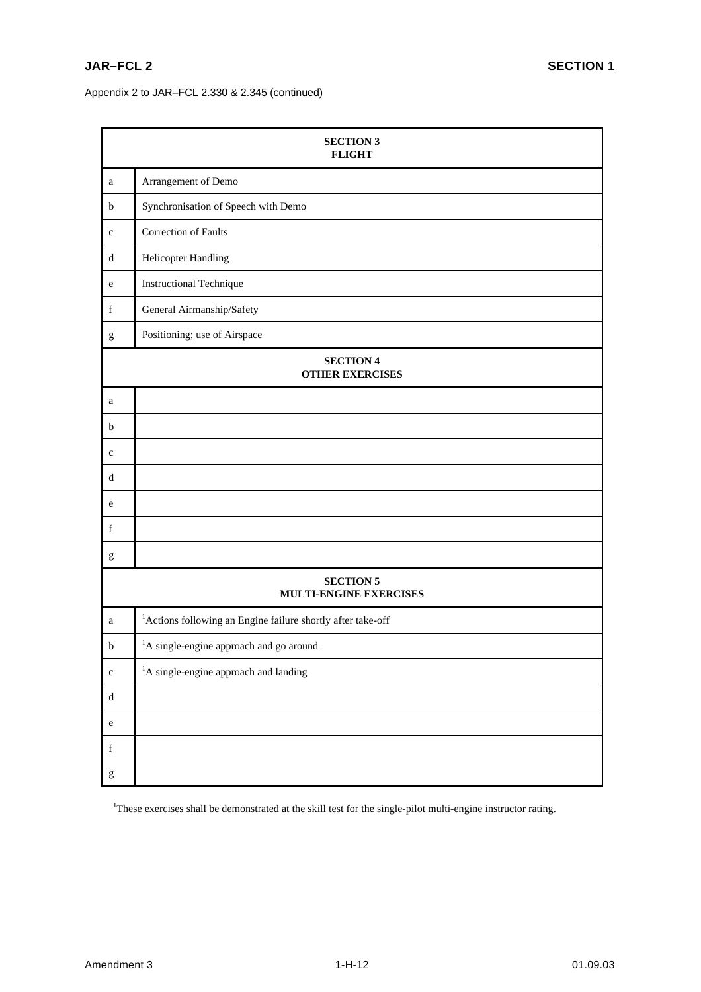Appendix 2 to JAR–FCL 2.330 & 2.345 (continued)

|                                                                          | <b>SECTION 3</b><br><b>FLIGHT</b>                                       |  |  |  |  |  |
|--------------------------------------------------------------------------|-------------------------------------------------------------------------|--|--|--|--|--|
| a                                                                        | Arrangement of Demo                                                     |  |  |  |  |  |
| b                                                                        | Synchronisation of Speech with Demo                                     |  |  |  |  |  |
| $\mathbf c$                                                              | Correction of Faults                                                    |  |  |  |  |  |
| d                                                                        | Helicopter Handling                                                     |  |  |  |  |  |
| e                                                                        | <b>Instructional Technique</b>                                          |  |  |  |  |  |
| $\mathbf f$                                                              | General Airmanship/Safety                                               |  |  |  |  |  |
| g                                                                        | Positioning; use of Airspace                                            |  |  |  |  |  |
|                                                                          | <b>SECTION 4</b><br><b>OTHER EXERCISES</b>                              |  |  |  |  |  |
| a                                                                        |                                                                         |  |  |  |  |  |
| b                                                                        |                                                                         |  |  |  |  |  |
| $\mathbf c$                                                              |                                                                         |  |  |  |  |  |
| $\mathbf d$                                                              |                                                                         |  |  |  |  |  |
| e                                                                        |                                                                         |  |  |  |  |  |
| $\mathbf f$                                                              |                                                                         |  |  |  |  |  |
| g                                                                        |                                                                         |  |  |  |  |  |
|                                                                          | <b>SECTION 5</b><br><b>MULTI-ENGINE EXERCISES</b>                       |  |  |  |  |  |
| a                                                                        | <sup>1</sup> Actions following an Engine failure shortly after take-off |  |  |  |  |  |
| b                                                                        | <sup>1</sup> A single-engine approach and go around                     |  |  |  |  |  |
| $\mathbf c$                                                              | ${}^{1}$ A single-engine approach and landing                           |  |  |  |  |  |
| ${\bf d}$                                                                |                                                                         |  |  |  |  |  |
| $\rm e$                                                                  |                                                                         |  |  |  |  |  |
| $\mathbf f$                                                              |                                                                         |  |  |  |  |  |
| $\mathbf{g}% _{T}=\mathbf{g}_{T}(\mathbf{v})=\mathbf{g}_{T}(\mathbf{v})$ |                                                                         |  |  |  |  |  |

<sup>1</sup>These exercises shall be demonstrated at the skill test for the single-pilot multi-engine instructor rating.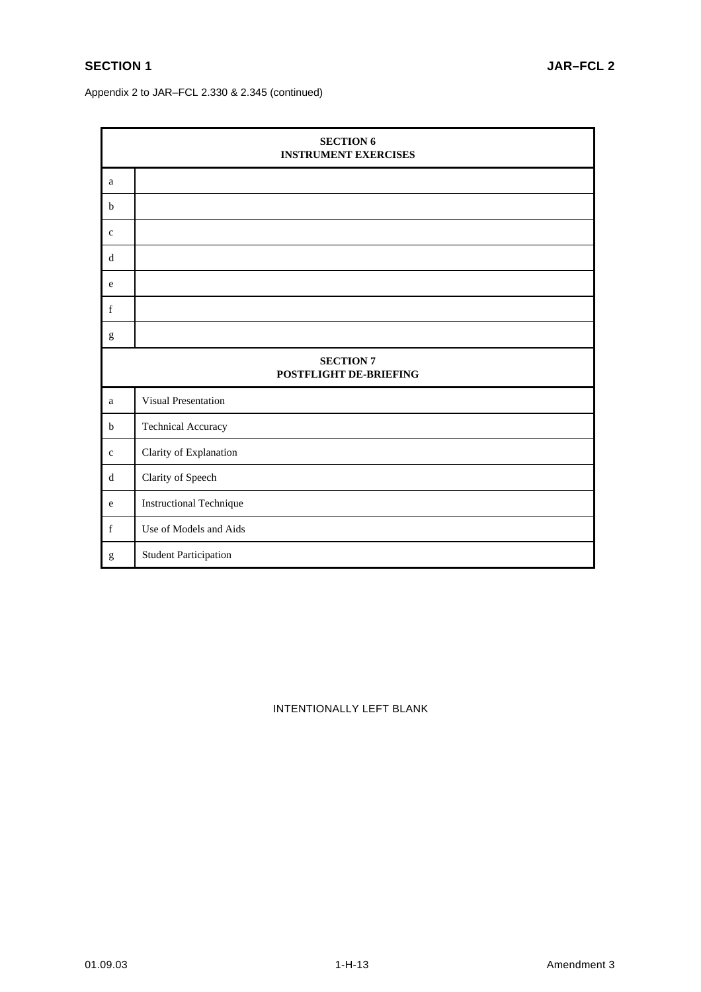Appendix 2 to JAR–FCL 2.330 & 2.345 (continued)

| <b>SECTION 6</b><br><b>INSTRUMENT EXERCISES</b> |                                            |  |  |  |  |
|-------------------------------------------------|--------------------------------------------|--|--|--|--|
| a                                               |                                            |  |  |  |  |
| $\mathbf b$                                     |                                            |  |  |  |  |
| $\mathbf c$                                     |                                            |  |  |  |  |
| d                                               |                                            |  |  |  |  |
| e                                               |                                            |  |  |  |  |
| $\mathbf f$                                     |                                            |  |  |  |  |
| g                                               |                                            |  |  |  |  |
|                                                 | <b>SECTION 7</b><br>POSTFLIGHT DE-BRIEFING |  |  |  |  |
| a                                               | <b>Visual Presentation</b>                 |  |  |  |  |
| $\mathbf b$                                     | Technical Accuracy                         |  |  |  |  |
| $\mathbf c$                                     | Clarity of Explanation                     |  |  |  |  |
| d                                               | Clarity of Speech                          |  |  |  |  |
| e                                               | <b>Instructional Technique</b>             |  |  |  |  |
| $\mathbf f$                                     | Use of Models and Aids                     |  |  |  |  |
| g                                               | <b>Student Participation</b>               |  |  |  |  |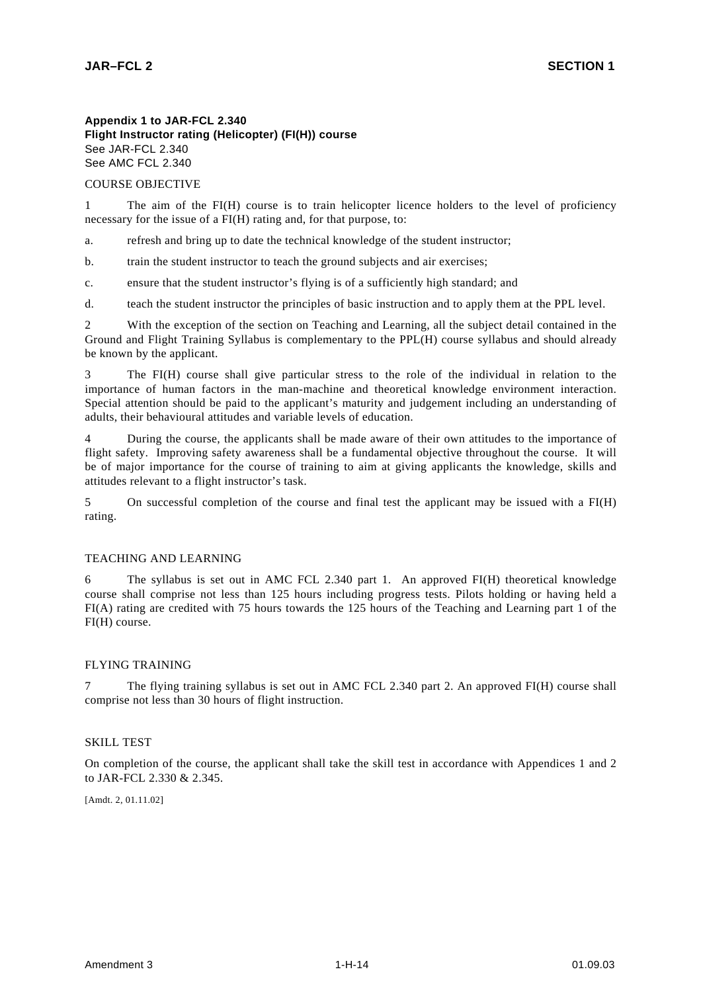### **Appendix 1 to JAR-FCL 2.340 Flight Instructor rating (Helicopter) (FI(H)) course**  See JAR-FCL 2.340 See AMC FCL 2.340

## COURSE OBJECTIVE

1 The aim of the FI(H) course is to train helicopter licence holders to the level of proficiency necessary for the issue of a FI(H) rating and, for that purpose, to:

- a. refresh and bring up to date the technical knowledge of the student instructor;
- b. train the student instructor to teach the ground subjects and air exercises;
- c. ensure that the student instructor's flying is of a sufficiently high standard; and
- d. teach the student instructor the principles of basic instruction and to apply them at the PPL level.

2 With the exception of the section on Teaching and Learning, all the subject detail contained in the Ground and Flight Training Syllabus is complementary to the PPL(H) course syllabus and should already be known by the applicant.

3 The FI(H) course shall give particular stress to the role of the individual in relation to the importance of human factors in the man-machine and theoretical knowledge environment interaction. Special attention should be paid to the applicant's maturity and judgement including an understanding of adults, their behavioural attitudes and variable levels of education.

4 During the course, the applicants shall be made aware of their own attitudes to the importance of flight safety. Improving safety awareness shall be a fundamental objective throughout the course. It will be of major importance for the course of training to aim at giving applicants the knowledge, skills and attitudes relevant to a flight instructor's task.

5 On successful completion of the course and final test the applicant may be issued with a FI(H) rating.

#### TEACHING AND LEARNING

6 The syllabus is set out in AMC FCL 2.340 part 1. An approved FI(H) theoretical knowledge course shall comprise not less than 125 hours including progress tests. Pilots holding or having held a FI(A) rating are credited with 75 hours towards the 125 hours of the Teaching and Learning part 1 of the FI(H) course.

#### FLYING TRAINING

7 The flying training syllabus is set out in AMC FCL 2.340 part 2. An approved FI(H) course shall comprise not less than 30 hours of flight instruction.

## SKILL TEST

On completion of the course, the applicant shall take the skill test in accordance with Appendices 1 and 2 to JAR-FCL 2.330 & 2.345.

[Amdt. 2, 01.11.02]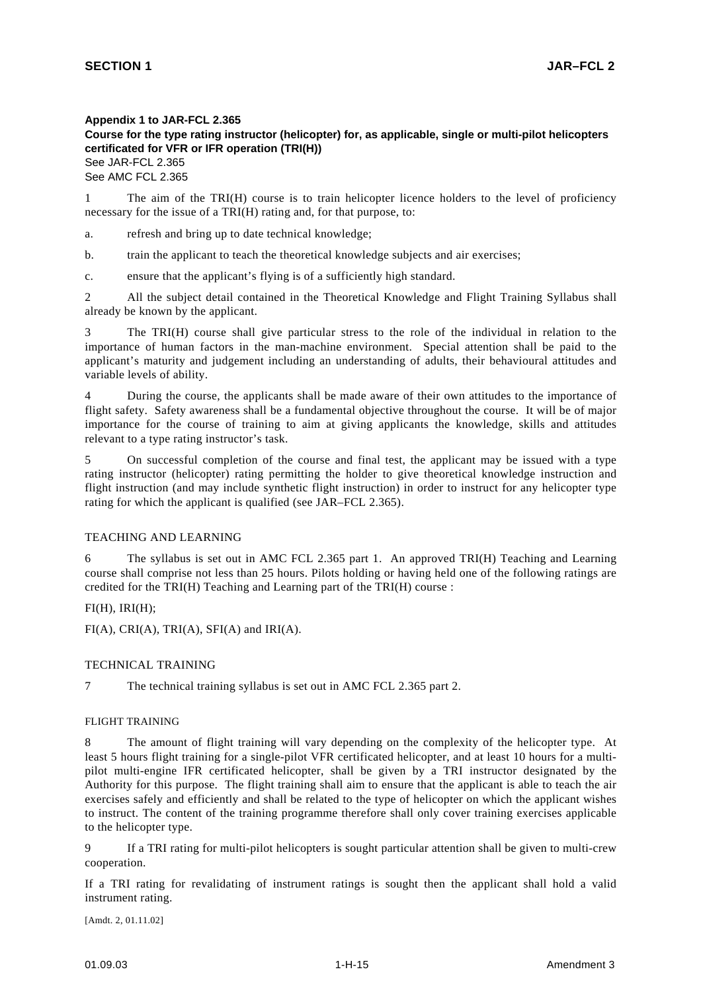#### **Appendix 1 to JAR-FCL 2.365 Course for the type rating instructor (helicopter) for, as applicable, single or multi-pilot helicopters certificated for VFR or IFR operation (TRI(H))**  See JAR-FCL 2.365 See AMC FCL 2.365

1 The aim of the TRI(H) course is to train helicopter licence holders to the level of proficiency necessary for the issue of a TRI(H) rating and, for that purpose, to:

a. refresh and bring up to date technical knowledge;

b. train the applicant to teach the theoretical knowledge subjects and air exercises;

c. ensure that the applicant's flying is of a sufficiently high standard.

2 All the subject detail contained in the Theoretical Knowledge and Flight Training Syllabus shall already be known by the applicant.

3 The TRI(H) course shall give particular stress to the role of the individual in relation to the importance of human factors in the man-machine environment. Special attention shall be paid to the applicant's maturity and judgement including an understanding of adults, their behavioural attitudes and variable levels of ability.

4 During the course, the applicants shall be made aware of their own attitudes to the importance of flight safety. Safety awareness shall be a fundamental objective throughout the course. It will be of major importance for the course of training to aim at giving applicants the knowledge, skills and attitudes relevant to a type rating instructor's task.

5 On successful completion of the course and final test, the applicant may be issued with a type rating instructor (helicopter) rating permitting the holder to give theoretical knowledge instruction and flight instruction (and may include synthetic flight instruction) in order to instruct for any helicopter type rating for which the applicant is qualified (see JAR–FCL 2.365).

#### TEACHING AND LEARNING

6 The syllabus is set out in AMC FCL 2.365 part 1. An approved TRI(H) Teaching and Learning course shall comprise not less than 25 hours. Pilots holding or having held one of the following ratings are credited for the TRI(H) Teaching and Learning part of the TRI(H) course :

#### $FI(H)$ ,  $IRI(H)$ ;

 $FI(A)$ ,  $CRI(A)$ ,  $TRI(A)$ ,  $SFI(A)$  and  $IRI(A)$ .

#### TECHNICAL TRAINING

7 The technical training syllabus is set out in AMC FCL 2.365 part 2.

#### FLIGHT TRAINING

8 The amount of flight training will vary depending on the complexity of the helicopter type. At least 5 hours flight training for a single-pilot VFR certificated helicopter, and at least 10 hours for a multipilot multi-engine IFR certificated helicopter, shall be given by a TRI instructor designated by the Authority for this purpose. The flight training shall aim to ensure that the applicant is able to teach the air exercises safely and efficiently and shall be related to the type of helicopter on which the applicant wishes to instruct. The content of the training programme therefore shall only cover training exercises applicable to the helicopter type.

9 If a TRI rating for multi-pilot helicopters is sought particular attention shall be given to multi-crew cooperation.

If a TRI rating for revalidating of instrument ratings is sought then the applicant shall hold a valid instrument rating.

[Amdt. 2, 01.11.02]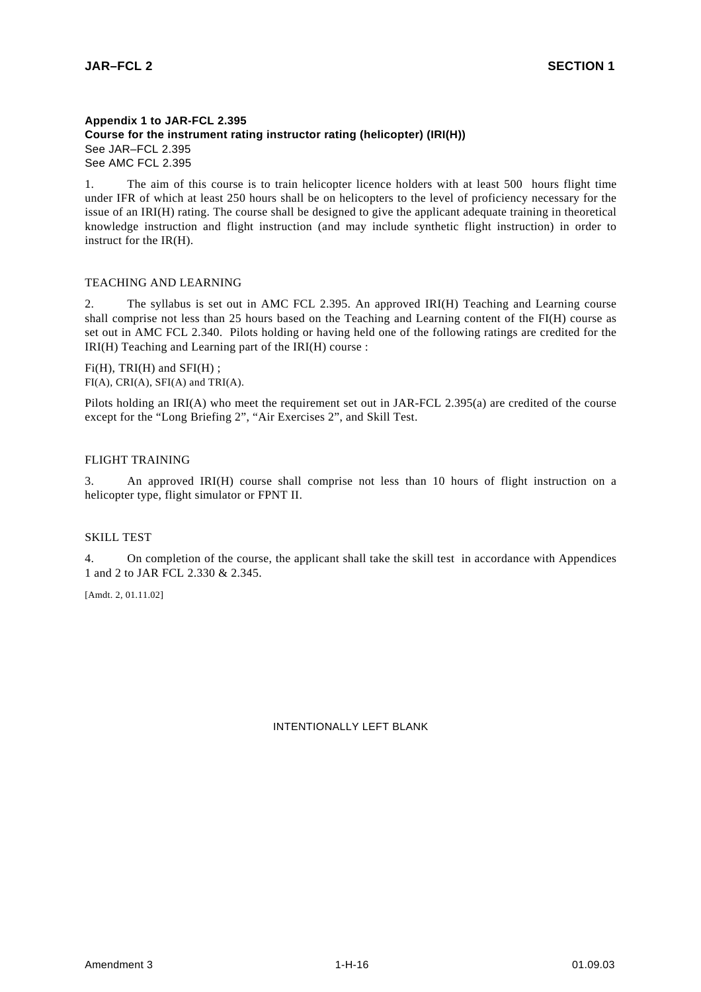#### **Appendix 1 to JAR-FCL 2.395 Course for the instrument rating instructor rating (helicopter) (IRI(H))**  See JAR–FCL 2.395 See AMC FCL 2.395

1. The aim of this course is to train helicopter licence holders with at least 500 hours flight time under IFR of which at least 250 hours shall be on helicopters to the level of proficiency necessary for the issue of an IRI(H) rating. The course shall be designed to give the applicant adequate training in theoretical knowledge instruction and flight instruction (and may include synthetic flight instruction) in order to instruct for the IR(H).

## TEACHING AND LEARNING

2. The syllabus is set out in AMC FCL 2.395. An approved IRI(H) Teaching and Learning course shall comprise not less than 25 hours based on the Teaching and Learning content of the FI(H) course as set out in AMC FCL 2.340. Pilots holding or having held one of the following ratings are credited for the IRI(H) Teaching and Learning part of the IRI(H) course :

 $Fi(H)$ ,  $TRI(H)$  and  $SFI(H)$ ;  $FI(A)$ ,  $CRI(A)$ ,  $SFI(A)$  and  $TRI(A)$ .

Pilots holding an IRI(A) who meet the requirement set out in JAR-FCL 2.395(a) are credited of the course except for the "Long Briefing 2", "Air Exercises 2", and Skill Test.

## FLIGHT TRAINING

3. An approved IRI(H) course shall comprise not less than 10 hours of flight instruction on a helicopter type, flight simulator or FPNT II.

### SKILL TEST

4. On completion of the course, the applicant shall take the skill test in accordance with Appendices 1 and 2 to JAR FCL 2.330 & 2.345.

[Amdt. 2, 01.11.02]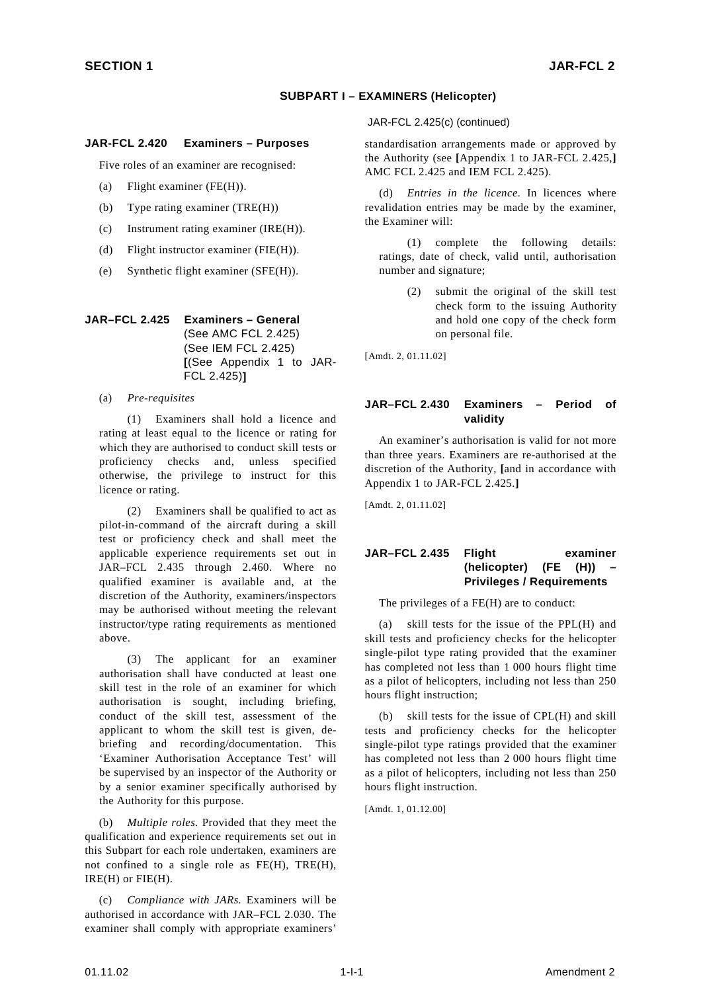#### **SUBPART I – EXAMINERS (Helicopter)**

#### **JAR-FCL 2.420 Examiners – Purposes**

Five roles of an examiner are recognised:

- (a) Flight examiner (FE(H)).
- (b) Type rating examiner (TRE(H))
- (c) Instrument rating examiner (IRE(H)).
- (d) Flight instructor examiner (FIE(H)).
- (e) Synthetic flight examiner (SFE(H)).

#### **JAR–FCL 2.425 Examiners – General** (See AMC FCL 2.425) (See IEM FCL 2.425) **[**(See Appendix 1 to JAR-FCL 2.425)**]**

(a) *Pre-requisites*

(1) Examiners shall hold a licence and rating at least equal to the licence or rating for which they are authorised to conduct skill tests or proficiency checks and, unless specified otherwise, the privilege to instruct for this licence or rating.

(2) Examiners shall be qualified to act as pilot-in-command of the aircraft during a skill test or proficiency check and shall meet the applicable experience requirements set out in JAR–FCL 2.435 through 2.460. Where no qualified examiner is available and, at the discretion of the Authority, examiners/inspectors may be authorised without meeting the relevant instructor/type rating requirements as mentioned above.

(3) The applicant for an examiner authorisation shall have conducted at least one skill test in the role of an examiner for which authorisation is sought, including briefing, conduct of the skill test, assessment of the applicant to whom the skill test is given, debriefing and recording/documentation. This 'Examiner Authorisation Acceptance Test' will be supervised by an inspector of the Authority or by a senior examiner specifically authorised by the Authority for this purpose.

(b) *Multiple roles.* Provided that they meet the qualification and experience requirements set out in this Subpart for each role undertaken, examiners are not confined to a single role as FE(H), TRE(H), IRE(H) or FIE(H).

(c) *Compliance with JARs.* Examiners will be authorised in accordance with JAR–FCL 2.030. The examiner shall comply with appropriate examiners'

JAR-FCL 2.425(c) (continued)

standardisation arrangements made or approved by the Authority (see **[**Appendix 1 to JAR-FCL 2.425,**]** AMC FCL 2.425 and IEM FCL 2.425).

(d) *Entries in the licence.* In licences where revalidation entries may be made by the examiner, the Examiner will:

(1) complete the following details: ratings, date of check, valid until, authorisation number and signature;

> (2) submit the original of the skill test check form to the issuing Authority and hold one copy of the check form on personal file.

[Amdt. 2, 01.11.02]

## **JAR–FCL 2.430 Examiners – Period of validity**

An examiner's authorisation is valid for not more than three years. Examiners are re-authorised at the discretion of the Authority, **[**and in accordance with Appendix 1 to JAR-FCL 2.425.**]**

[Amdt. 2, 01.11.02]

### **JAR–FCL 2.435 Flight examiner (helicopter) (FE (H)) – Privileges / Requirements**

The privileges of a FE(H) are to conduct:

skill tests for the issue of the  $PPL(H)$  and skill tests and proficiency checks for the helicopter single-pilot type rating provided that the examiner has completed not less than 1 000 hours flight time as a pilot of helicopters, including not less than 250 hours flight instruction;

(b) skill tests for the issue of CPL(H) and skill tests and proficiency checks for the helicopter single-pilot type ratings provided that the examiner has completed not less than 2 000 hours flight time as a pilot of helicopters, including not less than 250 hours flight instruction.

[Amdt. 1, 01.12.00]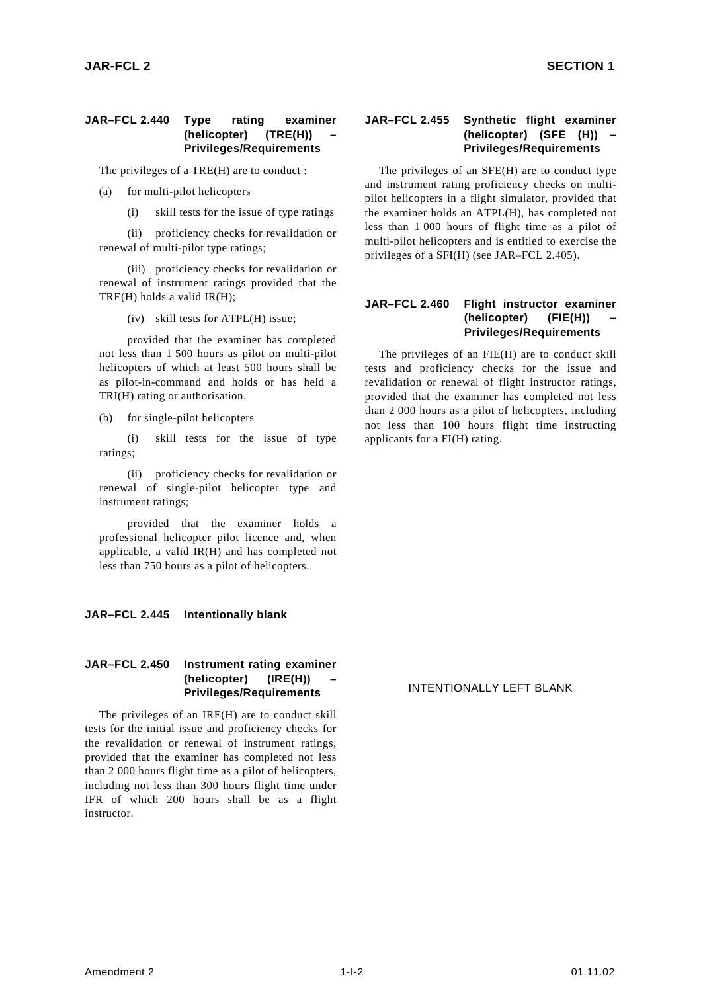#### **JAR–FCL 2.440 Type rating examiner (helicopter) (TRE(H)) – Privileges/Requirements**

The privileges of a TRE(H) are to conduct :

(a) for multi-pilot helicopters

(i) skill tests for the issue of type ratings

(ii) proficiency checks for revalidation or renewal of multi-pilot type ratings;

(iii) proficiency checks for revalidation or renewal of instrument ratings provided that the TRE(H) holds a valid IR(H);

(iv) skill tests for ATPL(H) issue;

provided that the examiner has completed not less than 1 500 hours as pilot on multi-pilot helicopters of which at least 500 hours shall be as pilot-in-command and holds or has held a TRI(H) rating or authorisation.

(b) for single-pilot helicopters

(i) skill tests for the issue of type ratings;

(ii) proficiency checks for revalidation or renewal of single-pilot helicopter type and instrument ratings;

provided that the examiner holds a professional helicopter pilot licence and, when applicable, a valid IR(H) and has completed not less than 750 hours as a pilot of helicopters.

## **JAR–FCL 2.445 Intentionally blank**

### **JAR–FCL 2.450 Instrument rating examiner (helicopter) (IRE(H)) – Privileges/Requirements**

The privileges of an IRE(H) are to conduct skill tests for the initial issue and proficiency checks for the revalidation or renewal of instrument ratings, provided that the examiner has completed not less than 2 000 hours flight time as a pilot of helicopters, including not less than 300 hours flight time under IFR of which 200 hours shall be as a flight instructor.

## **JAR–FCL 2.455 Synthetic flight examiner (helicopter) (SFE (H)) – Privileges/Requirements**

The privileges of an SFE(H) are to conduct type and instrument rating proficiency checks on multipilot helicopters in a flight simulator, provided that the examiner holds an ATPL(H), has completed not less than 1 000 hours of flight time as a pilot of multi-pilot helicopters and is entitled to exercise the privileges of a SFI(H) (see JAR–FCL 2.405).

### **JAR–FCL 2.460 Flight instructor examiner (helicopter) (FIE(H)) – Privileges/Requirements**

The privileges of an FIE(H) are to conduct skill tests and proficiency checks for the issue and revalidation or renewal of flight instructor ratings, provided that the examiner has completed not less than 2 000 hours as a pilot of helicopters, including not less than 100 hours flight time instructing applicants for a FI(H) rating.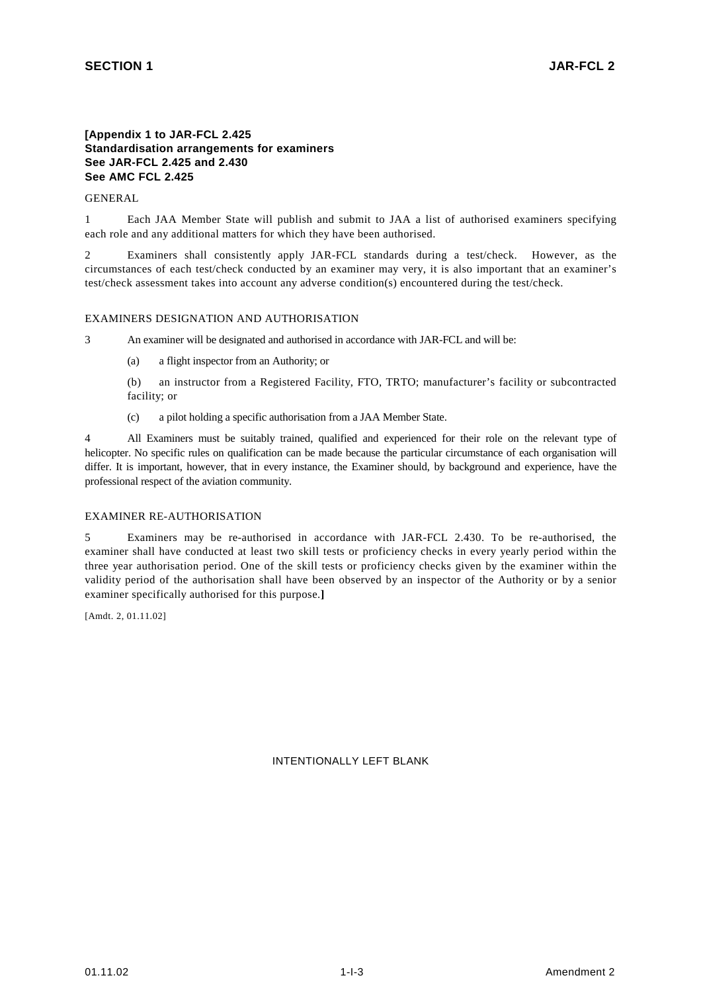#### **[Appendix 1 to JAR-FCL 2.425 Standardisation arrangements for examiners See JAR-FCL 2.425 and 2.430 See AMC FCL 2.425**

#### GENERAL

1 Each JAA Member State will publish and submit to JAA a list of authorised examiners specifying each role and any additional matters for which they have been authorised.

2 Examiners shall consistently apply JAR-FCL standards during a test/check. However, as the circumstances of each test/check conducted by an examiner may very, it is also important that an examiner's test/check assessment takes into account any adverse condition(s) encountered during the test/check.

#### EXAMINERS DESIGNATION AND AUTHORISATION

3 An examiner will be designated and authorised in accordance with JAR-FCL and will be:

(a) a flight inspector from an Authority; or

(b) an instructor from a Registered Facility, FTO, TRTO; manufacturer's facility or subcontracted facility; or

(c) a pilot holding a specific authorisation from a JAA Member State.

4 All Examiners must be suitably trained, qualified and experienced for their role on the relevant type of helicopter. No specific rules on qualification can be made because the particular circumstance of each organisation will differ. It is important, however, that in every instance, the Examiner should, by background and experience, have the professional respect of the aviation community.

#### EXAMINER RE-AUTHORISATION

5 Examiners may be re-authorised in accordance with JAR-FCL 2.430. To be re-authorised, the examiner shall have conducted at least two skill tests or proficiency checks in every yearly period within the three year authorisation period. One of the skill tests or proficiency checks given by the examiner within the validity period of the authorisation shall have been observed by an inspector of the Authority or by a senior examiner specifically authorised for this purpose.**]**

[Amdt. 2, 01.11.02]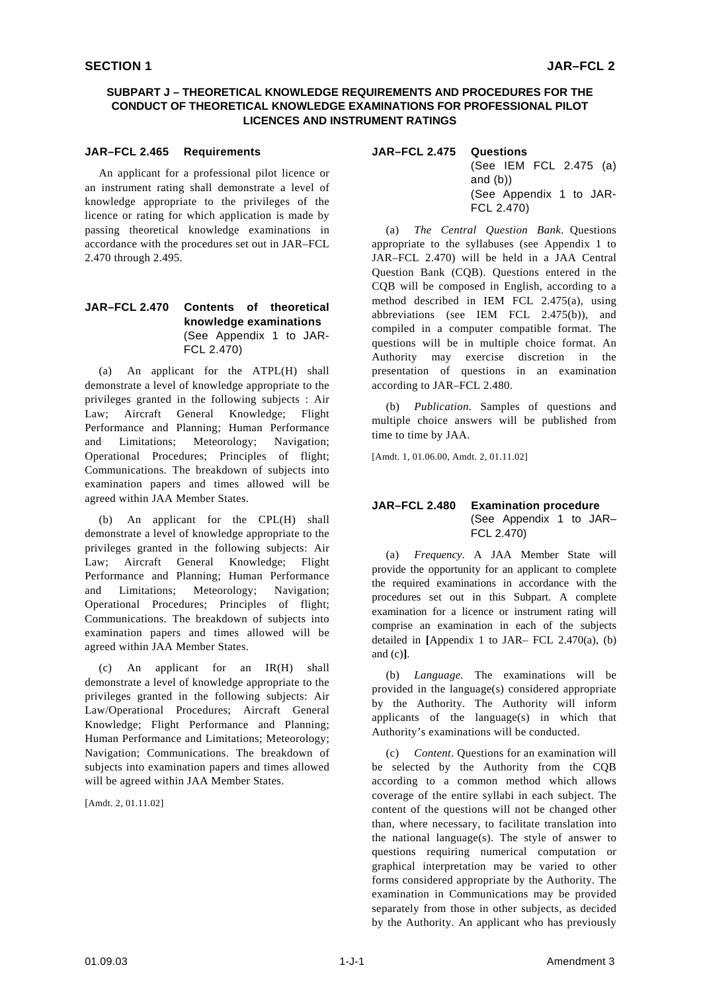## **SUBPART J – THEORETICAL KNOWLEDGE REQUIREMENTS AND PROCEDURES FOR THE CONDUCT OF THEORETICAL KNOWLEDGE EXAMINATIONS FOR PROFESSIONAL PILOT LICENCES AND INSTRUMENT RATINGS**

#### **JAR–FCL 2.465 Requirements**

An applicant for a professional pilot licence or an instrument rating shall demonstrate a level of knowledge appropriate to the privileges of the licence or rating for which application is made by passing theoretical knowledge examinations in accordance with the procedures set out in JAR–FCL 2.470 through 2.495.

#### **JAR–FCL 2.470 Contents of theoretical knowledge examinations**  (See Appendix 1 to JAR-FCL 2.470)

(a) An applicant for the ATPL(H) shall demonstrate a level of knowledge appropriate to the privileges granted in the following subjects : Air Law; Aircraft General Knowledge; Flight Performance and Planning; Human Performance and Limitations; Meteorology; Navigation; Operational Procedures; Principles of flight; Communications. The breakdown of subjects into examination papers and times allowed will be agreed within JAA Member States.

(b) An applicant for the CPL(H) shall demonstrate a level of knowledge appropriate to the privileges granted in the following subjects: Air Law; Aircraft General Knowledge; Flight Performance and Planning; Human Performance and Limitations; Meteorology; Navigation; Operational Procedures; Principles of flight; Communications. The breakdown of subjects into examination papers and times allowed will be agreed within JAA Member States.

(c) An applicant for an IR(H) shall demonstrate a level of knowledge appropriate to the privileges granted in the following subjects: Air Law/Operational Procedures; Aircraft General Knowledge; Flight Performance and Planning; Human Performance and Limitations; Meteorology; Navigation; Communications. The breakdown of subjects into examination papers and times allowed will be agreed within JAA Member States.

[Amdt. 2, 01.11.02]

### **JAR–FCL 2.475 Questions**  (See IEM FCL 2.475 (a) and (b)) (See Appendix 1 to JAR-

FCL 2.470)

(a) *The Central Question Bank*. Questions appropriate to the syllabuses (see Appendix 1 to JAR–FCL 2.470) will be held in a JAA Central Question Bank (CQB). Questions entered in the CQB will be composed in English, according to a method described in IEM FCL 2.475(a), using abbreviations (see IEM FCL 2.475(b)), and compiled in a computer compatible format. The questions will be in multiple choice format. An Authority may exercise discretion in the presentation of questions in an examination according to JAR–FCL 2.480.

(b) *Publication.* Samples of questions and multiple choice answers will be published from time to time by JAA.

[Amdt. 1, 01.06.00, Amdt. 2, 01.11.02]

#### **JAR–FCL 2.480 Examination procedure**  (See Appendix 1 to JAR– FCL 2.470)

(a) *Frequency*. A JAA Member State will provide the opportunity for an applicant to complete the required examinations in accordance with the procedures set out in this Subpart. A complete examination for a licence or instrument rating will comprise an examination in each of the subjects detailed in **[**Appendix 1 to JAR– FCL 2.470(a), (b) and (c)**]**.

(b) *Language.* The examinations will be provided in the language(s) considered appropriate by the Authority. The Authority will inform applicants of the language(s) in which that Authority's examinations will be conducted.

(c) *Content*. Questions for an examination will be selected by the Authority from the CQB according to a common method which allows coverage of the entire syllabi in each subject. The content of the questions will not be changed other than, where necessary, to facilitate translation into the national language(s). The style of answer to questions requiring numerical computation or graphical interpretation may be varied to other forms considered appropriate by the Authority. The examination in Communications may be provided separately from those in other subjects, as decided by the Authority. An applicant who has previously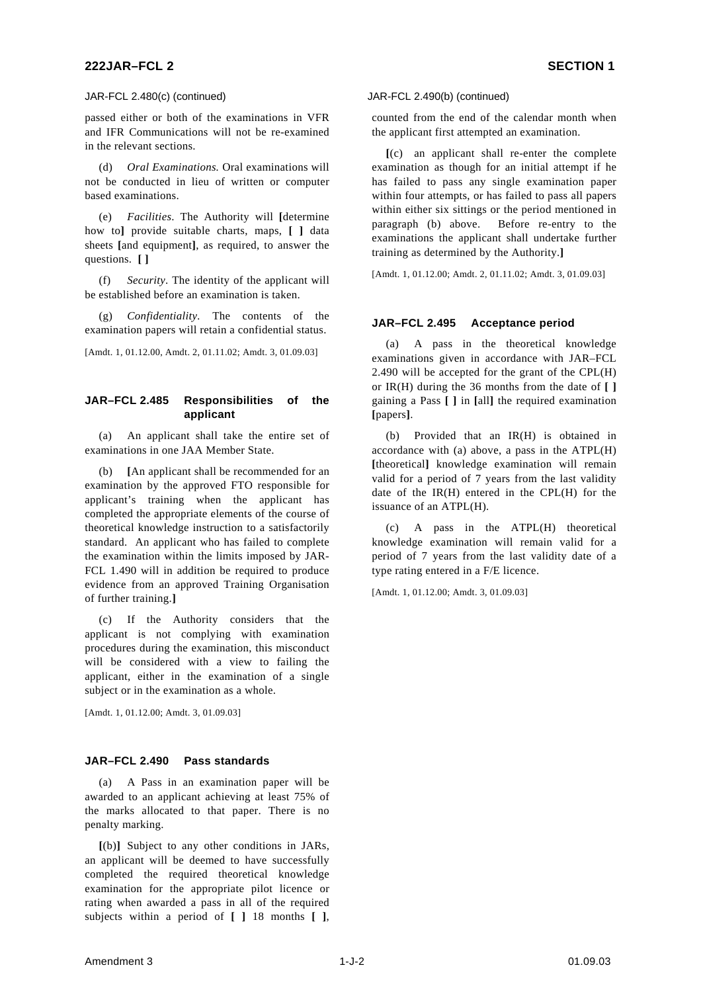#### JAR-FCL 2.480(c) (continued) JAR-FCL 2.490(b) (continued)

passed either or both of the examinations in VFR and IFR Communications will not be re-examined in the relevant sections.

(d) *Oral Examinations.* Oral examinations will not be conducted in lieu of written or computer based examinations.

(e) *Facilities*. The Authority will **[**determine how to**]** provide suitable charts, maps, **[ ]** data sheets **[**and equipment**]**, as required, to answer the questions. **[ ]** 

(f) *Security*. The identity of the applicant will be established before an examination is taken.

(g) *Confidentiality.* The contents of the examination papers will retain a confidential status.

[Amdt. 1, 01.12.00, Amdt. 2, 01.11.02; Amdt. 3, 01.09.03]

#### **JAR–FCL 2.485 Responsibilities of the applicant**

(a) An applicant shall take the entire set of examinations in one JAA Member State.

(b) **[**An applicant shall be recommended for an examination by the approved FTO responsible for applicant's training when the applicant has completed the appropriate elements of the course of theoretical knowledge instruction to a satisfactorily standard. An applicant who has failed to complete the examination within the limits imposed by JAR-FCL 1.490 will in addition be required to produce evidence from an approved Training Organisation of further training.**]**

(c) If the Authority considers that the applicant is not complying with examination procedures during the examination, this misconduct will be considered with a view to failing the applicant, either in the examination of a single subject or in the examination as a whole.

[Amdt. 1, 01.12.00; Amdt. 3, 01.09.03]

#### **JAR–FCL 2.490 Pass standards**

(a) A Pass in an examination paper will be awarded to an applicant achieving at least 75% of the marks allocated to that paper. There is no penalty marking.

**[**(b)**]** Subject to any other conditions in JARs, an applicant will be deemed to have successfully completed the required theoretical knowledge examination for the appropriate pilot licence or rating when awarded a pass in all of the required subjects within a period of **[ ]** 18 months **[ ]**,

counted from the end of the calendar month when the applicant first attempted an examination.

**[**(c) an applicant shall re-enter the complete examination as though for an initial attempt if he has failed to pass any single examination paper within four attempts, or has failed to pass all papers within either six sittings or the period mentioned in paragraph (b) above. Before re-entry to the examinations the applicant shall undertake further training as determined by the Authority.**]**

[Amdt. 1, 01.12.00; Amdt. 2, 01.11.02; Amdt. 3, 01.09.03]

#### **JAR–FCL 2.495 Acceptance period**

(a) A pass in the theoretical knowledge examinations given in accordance with JAR–FCL 2.490 will be accepted for the grant of the CPL(H) or IR(H) during the 36 months from the date of **[ ]** gaining a Pass **[ ]** in **[**all**]** the required examination **[**papers**]**.

(b) Provided that an IR(H) is obtained in accordance with (a) above, a pass in the ATPL(H) **[**theoretical**]** knowledge examination will remain valid for a period of 7 years from the last validity date of the IR(H) entered in the CPL(H) for the issuance of an ATPL(H).

(c) A pass in the ATPL(H) theoretical knowledge examination will remain valid for a period of 7 years from the last validity date of a type rating entered in a F/E licence.

[Amdt. 1, 01.12.00; Amdt. 3, 01.09.03]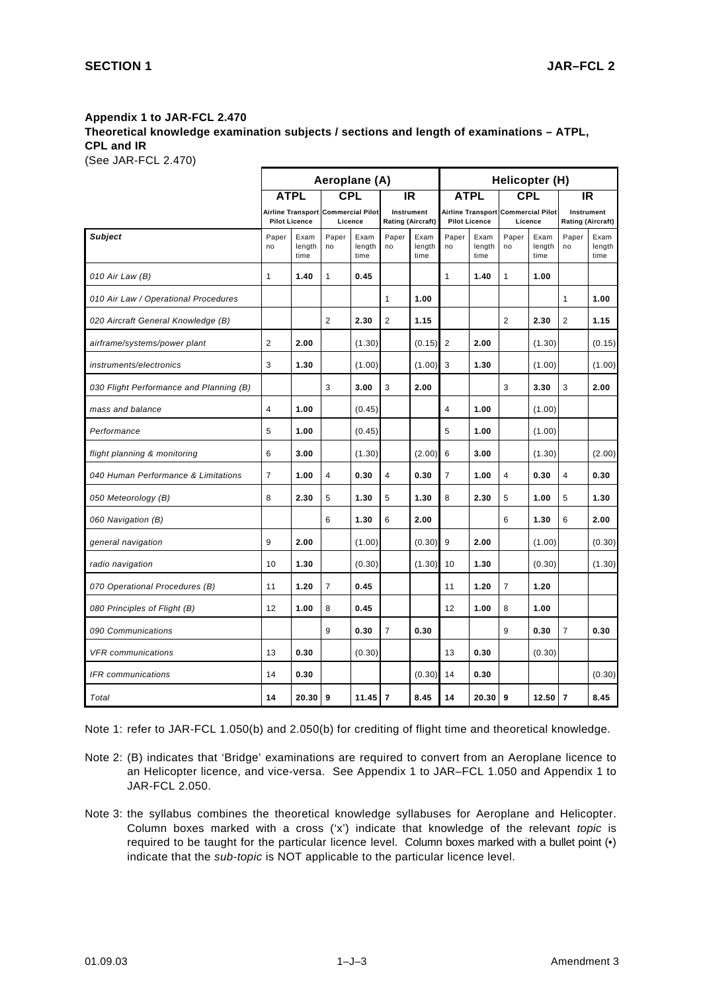## **Appendix 1 to JAR-FCL 2.470**

**Theoretical knowledge examination subjects / sections and length of examinations – ATPL, CPL and IR** 

(See JAR-FCL 2.470)

|                                         |                |                        | Aeroplane (A)                                        |                        |                          |                        | Helicopter (H)       |                        |                                               |                        |                                 |                        |  |
|-----------------------------------------|----------------|------------------------|------------------------------------------------------|------------------------|--------------------------|------------------------|----------------------|------------------------|-----------------------------------------------|------------------------|---------------------------------|------------------------|--|
|                                         | <b>ATPL</b>    |                        | CPL                                                  |                        | <b>IR</b>                |                        | <b>ATPL</b>          |                        | CPL                                           |                        | IR.                             |                        |  |
|                                         |                | <b>Pilot Licence</b>   | <b>Airline Transport Commercial Pilot</b><br>Licence |                        | <b>Rating (Aircraft)</b> | Instrument             | <b>Pilot Licence</b> |                        | Airline Transport Commercial Pilot<br>Licence |                        | Instrument<br>Rating (Aircraft) |                        |  |
| <b>Subject</b>                          | Paper<br>no    | Exam<br>length<br>time | Paper<br>no                                          | Exam<br>length<br>time | Paper<br>no              | Exam<br>length<br>time | Paper<br>no          | Exam<br>length<br>time | Paper<br>no                                   | Exam<br>length<br>time | Paper<br>no                     | Exam<br>length<br>time |  |
| 010 Air Law (B)                         | $\mathbf{1}$   | 1.40                   | 1                                                    | 0.45                   |                          |                        | $\mathbf{1}$         | 1.40                   | $\mathbf{1}$                                  | 1.00                   |                                 |                        |  |
| 010 Air Law / Operational Procedures    |                |                        |                                                      |                        | $\mathbf{1}$             | 1.00                   |                      |                        |                                               |                        | $\mathbf{1}$                    | 1.00                   |  |
| 020 Aircraft General Knowledge (B)      |                |                        | 2                                                    | 2.30                   | 2                        | 1.15                   |                      |                        | 2                                             | 2.30                   | 2                               | 1.15                   |  |
| airframe/systems/power plant            | 2              | 2.00                   |                                                      | (1.30)                 |                          | $(0.15)$ 2             |                      | 2.00                   |                                               | (1.30)                 |                                 | (0.15)                 |  |
| instruments/electronics                 | 3              | 1.30                   |                                                      | (1.00)                 |                          | (1.00)                 | 3                    | 1.30                   |                                               | (1.00)                 |                                 | (1.00)                 |  |
| 030 Flight Performance and Planning (B) |                |                        | 3                                                    | 3.00                   | 3                        | 2.00                   |                      |                        | 3                                             | 3.30                   | 3                               | 2.00                   |  |
| mass and balance                        | $\overline{4}$ | 1.00                   |                                                      | (0.45)                 |                          |                        | $\overline{4}$       | 1.00                   |                                               | (1.00)                 |                                 |                        |  |
| Performance                             | 5              | 1.00                   |                                                      | (0.45)                 |                          |                        | 5                    | 1.00                   |                                               | (1.00)                 |                                 |                        |  |
| flight planning & monitoring            | 6              | 3.00                   |                                                      | (1.30)                 |                          | (2.00)                 | 6                    | 3.00                   |                                               | (1.30)                 |                                 | (2.00)                 |  |
| 040 Human Performance & Limitations     | $\overline{7}$ | 1.00                   | 4                                                    | 0.30                   | $\overline{4}$           | 0.30                   | $\overline{7}$       | 1.00                   | $\overline{4}$                                | 0.30                   | $\overline{4}$                  | 0.30                   |  |
| 050 Meteorology (B)                     | 8              | 2.30                   | 5                                                    | 1.30                   | 5                        | 1.30                   | 8                    | 2.30                   | 5                                             | 1.00                   | 5                               | 1.30                   |  |
| 060 Navigation (B)                      |                |                        | 6                                                    | 1.30                   | 6                        | 2.00                   |                      |                        | 6                                             | 1.30                   | 6                               | 2.00                   |  |
| general navigation                      | 9              | 2.00                   |                                                      | (1.00)                 |                          | $(0.30)$ 9             |                      | 2.00                   |                                               | (1.00)                 |                                 | (0.30)                 |  |
| radio navigation                        | 10             | 1.30                   |                                                      | (0.30)                 |                          | (1.30)                 | 10                   | 1.30                   |                                               | (0.30)                 |                                 | (1.30)                 |  |
| 070 Operational Procedures (B)          | 11             | 1.20                   | 7                                                    | 0.45                   |                          |                        | 11                   | 1.20                   | $\overline{7}$                                | 1.20                   |                                 |                        |  |
| 080 Principles of Flight (B)            | 12             | 1.00                   | 8                                                    | 0.45                   |                          |                        | 12                   | 1.00                   | 8                                             | 1.00                   |                                 |                        |  |
| 090 Communications                      |                |                        | 9                                                    | 0.30                   | $\overline{7}$           | 0.30                   |                      |                        | 9                                             | 0.30                   | $\overline{7}$                  | 0.30                   |  |
| <b>VFR</b> communications               | 13             | 0.30                   |                                                      | (0.30)                 |                          |                        | 13                   | 0.30                   |                                               | (0.30)                 |                                 |                        |  |
| IFR communications                      | 14             | 0.30                   |                                                      |                        |                          | (0.30)                 | 14                   | 0.30                   |                                               |                        |                                 | (0.30)                 |  |
| Total                                   | 14             | 20.30                  | 9                                                    | 11.45                  | $\overline{7}$           | 8.45                   | 14                   | 20.30                  | 9                                             | 12.50                  | $\overline{7}$                  | 8.45                   |  |

Note 1: refer to JAR-FCL 1.050(b) and 2.050(b) for crediting of flight time and theoretical knowledge.

- Note 2: (B) indicates that 'Bridge' examinations are required to convert from an Aeroplane licence to an Helicopter licence, and vice-versa. See Appendix 1 to JAR–FCL 1.050 and Appendix 1 to JAR-FCL 2.050.
- Note 3: the syllabus combines the theoretical knowledge syllabuses for Aeroplane and Helicopter. Column boxes marked with a cross ('x') indicate that knowledge of the relevant *topic* is required to be taught for the particular licence level. Column boxes marked with a bullet point (•) indicate that the *sub-topic* is NOT applicable to the particular licence level.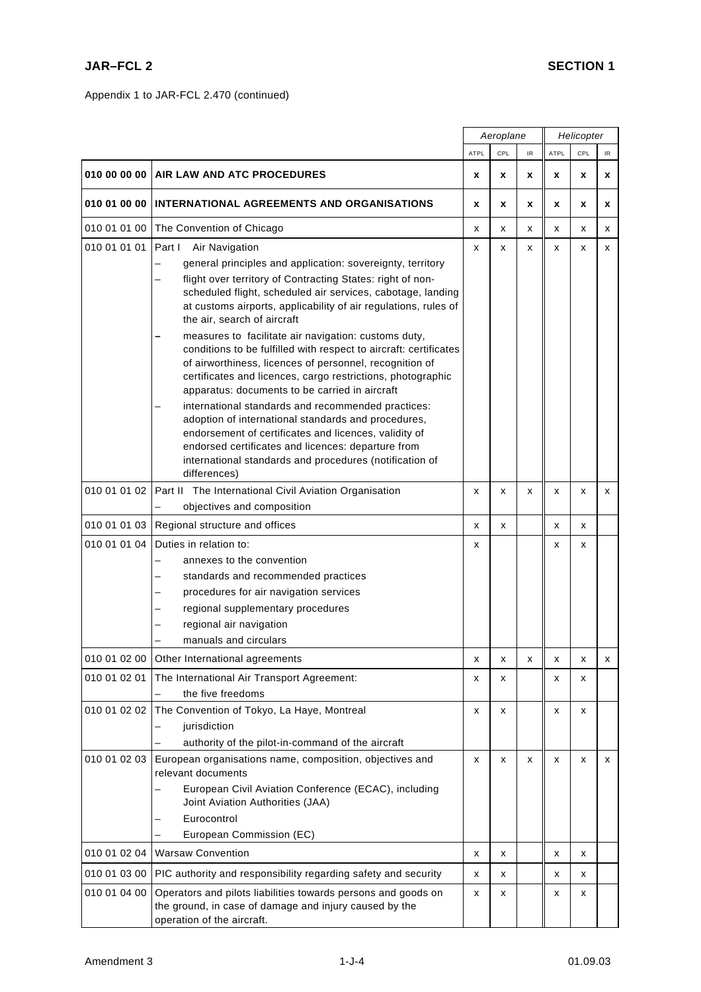|                              |                                                                                                                                                                                                                                                                                                                                                                                                                                                                                                                                                                                                                                                                                                                                                                                                                                                            | Aeroplane |     |     | Helicopter |        |     |
|------------------------------|------------------------------------------------------------------------------------------------------------------------------------------------------------------------------------------------------------------------------------------------------------------------------------------------------------------------------------------------------------------------------------------------------------------------------------------------------------------------------------------------------------------------------------------------------------------------------------------------------------------------------------------------------------------------------------------------------------------------------------------------------------------------------------------------------------------------------------------------------------|-----------|-----|-----|------------|--------|-----|
|                              |                                                                                                                                                                                                                                                                                                                                                                                                                                                                                                                                                                                                                                                                                                                                                                                                                                                            | ATPL      | CPL | IR. | ATPL       | CPL    | IR. |
|                              | 010 00 00 00   AIR LAW AND ATC PROCEDURES                                                                                                                                                                                                                                                                                                                                                                                                                                                                                                                                                                                                                                                                                                                                                                                                                  | x         | x   | x   | X          | x      | x   |
| 010 01 00 00                 | <b>INTERNATIONAL AGREEMENTS AND ORGANISATIONS</b>                                                                                                                                                                                                                                                                                                                                                                                                                                                                                                                                                                                                                                                                                                                                                                                                          | x         | x   | x   | x          | x      | x   |
| 010 01 01 00                 | The Convention of Chicago                                                                                                                                                                                                                                                                                                                                                                                                                                                                                                                                                                                                                                                                                                                                                                                                                                  | x         | х   | x   | x          | х      | x   |
| 010 01 01 01                 | Part I<br>Air Navigation<br>general principles and application: sovereignty, territory<br>flight over territory of Contracting States: right of non-<br>scheduled flight, scheduled air services, cabotage, landing<br>at customs airports, applicability of air regulations, rules of<br>the air, search of aircraft<br>measures to facilitate air navigation: customs duty,<br>conditions to be fulfilled with respect to aircraft: certificates<br>of airworthiness, licences of personnel, recognition of<br>certificates and licences, cargo restrictions, photographic<br>apparatus: documents to be carried in aircraft<br>international standards and recommended practices:<br>adoption of international standards and procedures,<br>endorsement of certificates and licences, validity of<br>endorsed certificates and licences: departure from | x         | x   | x   | x          | х      | X   |
| 010 01 01 02                 | international standards and procedures (notification of<br>differences)<br>Part II The International Civil Aviation Organisation                                                                                                                                                                                                                                                                                                                                                                                                                                                                                                                                                                                                                                                                                                                           | x         | x   | x   | x          | x      | x   |
|                              | objectives and composition                                                                                                                                                                                                                                                                                                                                                                                                                                                                                                                                                                                                                                                                                                                                                                                                                                 |           |     |     |            |        |     |
| 010 01 01 03<br>010 01 01 04 | Regional structure and offices<br>Duties in relation to:                                                                                                                                                                                                                                                                                                                                                                                                                                                                                                                                                                                                                                                                                                                                                                                                   | x<br>x    | x   |     | x<br>x     | х<br>x |     |
|                              | annexes to the convention<br>standards and recommended practices<br>procedures for air navigation services<br>regional supplementary procedures<br>regional air navigation<br>manuals and circulars                                                                                                                                                                                                                                                                                                                                                                                                                                                                                                                                                                                                                                                        |           |     |     |            |        |     |
| 010 01 02 00                 | Other International agreements                                                                                                                                                                                                                                                                                                                                                                                                                                                                                                                                                                                                                                                                                                                                                                                                                             | X         | X   | X   | X          | x      | x   |
| 010 01 02 01                 | The International Air Transport Agreement:<br>the five freedoms                                                                                                                                                                                                                                                                                                                                                                                                                                                                                                                                                                                                                                                                                                                                                                                            | x         | х   |     | x          | х      |     |
| 010 01 02 02                 | The Convention of Tokyo, La Haye, Montreal<br>jurisdiction<br>authority of the pilot-in-command of the aircraft                                                                                                                                                                                                                                                                                                                                                                                                                                                                                                                                                                                                                                                                                                                                            | x         | x   |     | x          | x      |     |
| 010 01 02 03                 | European organisations name, composition, objectives and<br>relevant documents<br>European Civil Aviation Conference (ECAC), including<br>Joint Aviation Authorities (JAA)<br>Eurocontrol<br>European Commission (EC)                                                                                                                                                                                                                                                                                                                                                                                                                                                                                                                                                                                                                                      | X         | x   | x   | x          | x      | x   |
| 010 01 02 04                 | <b>Warsaw Convention</b>                                                                                                                                                                                                                                                                                                                                                                                                                                                                                                                                                                                                                                                                                                                                                                                                                                   | x         | х   |     | x          | x      |     |
| 010 01 03 00                 | PIC authority and responsibility regarding safety and security                                                                                                                                                                                                                                                                                                                                                                                                                                                                                                                                                                                                                                                                                                                                                                                             | x         | х   |     | x          | х      |     |
| 010 01 04 00                 | Operators and pilots liabilities towards persons and goods on<br>the ground, in case of damage and injury caused by the<br>operation of the aircraft.                                                                                                                                                                                                                                                                                                                                                                                                                                                                                                                                                                                                                                                                                                      | x         | x   |     | x          | х      |     |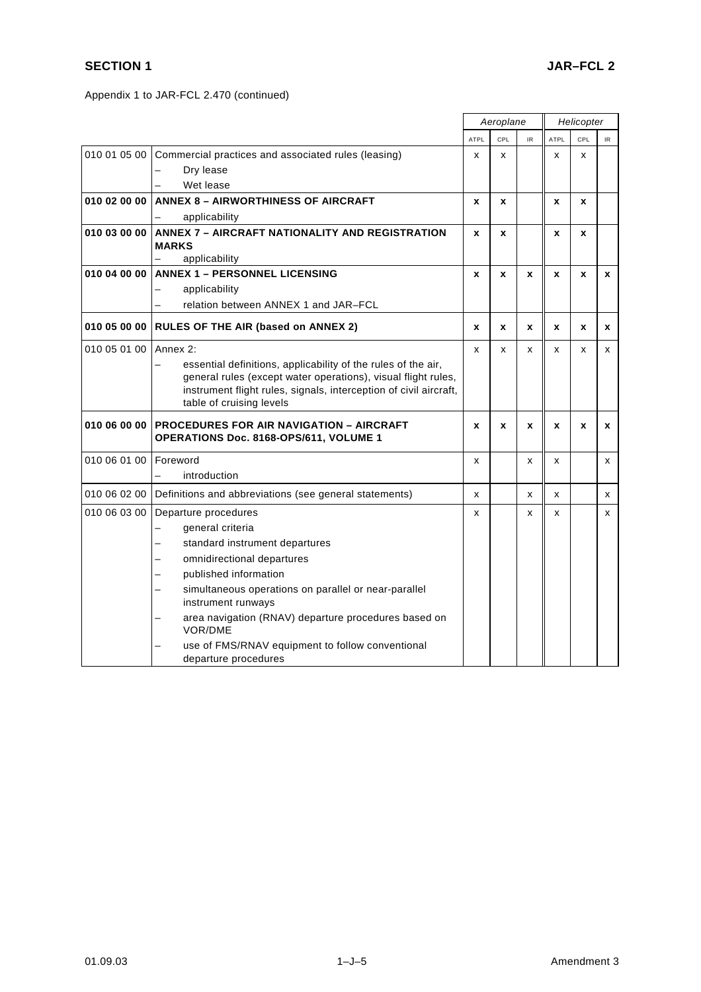$\blacksquare$ 

 $\overline{\phantom{0}}$ 

|              |                                                                            |             | Aeroplane    |                    | Helicopter |     |     |
|--------------|----------------------------------------------------------------------------|-------------|--------------|--------------------|------------|-----|-----|
|              |                                                                            | <b>ATPL</b> | CPL          | IR.                | ATPL       | CPL | IR. |
|              | 010 01 05 00 Commercial practices and associated rules (leasing)           | x           | X            |                    | X          | X   |     |
|              | Dry lease                                                                  |             |              |                    |            |     |     |
|              | Wet lease                                                                  |             |              |                    |            |     |     |
| 010 02 00 00 | <b>ANNEX 8 - AIRWORTHINESS OF AIRCRAFT</b>                                 | x           | $\mathbf{x}$ |                    | X          | x   |     |
|              | applicability                                                              |             |              |                    |            |     |     |
| 010 03 00 00 | ANNEX 7 - AIRCRAFT NATIONALITY AND REGISTRATION                            | X           | X            |                    | X          | X   |     |
|              | <b>MARKS</b>                                                               |             |              |                    |            |     |     |
| 010 04 00 00 | applicability<br><b>ANNEX 1 - PERSONNEL LICENSING</b>                      |             |              |                    |            |     |     |
|              |                                                                            | X           | $\mathbf{x}$ | $\pmb{\mathsf{x}}$ | X          | X   | X   |
|              | applicability                                                              |             |              |                    |            |     |     |
|              | relation between ANNEX 1 and JAR–FCL                                       |             |              |                    |            |     |     |
|              | 010 05 00 00   RULES OF THE AIR (based on ANNEX 2)                         | X           | $\mathbf{x}$ | $\boldsymbol{x}$   | X          | X   | X   |
| 010 05 01 00 | Annex 2:                                                                   | x           | X            | x                  | x          | X   | X   |
|              | essential definitions, applicability of the rules of the air,              |             |              |                    |            |     |     |
|              | general rules (except water operations), visual flight rules,              |             |              |                    |            |     |     |
|              | instrument flight rules, signals, interception of civil aircraft,          |             |              |                    |            |     |     |
|              | table of cruising levels                                                   |             |              |                    |            |     |     |
| 010 06 00 00 | <b>IPROCEDURES FOR AIR NAVIGATION - AIRCRAFT</b>                           | X           | x            | $\mathbf x$        | X          | x   | X   |
|              | OPERATIONS Doc. 8168-OPS/611, VOLUME 1                                     |             |              |                    |            |     |     |
| 010 06 01 00 | Foreword                                                                   | x           |              | X                  | X          |     | X   |
|              | introduction                                                               |             |              |                    |            |     |     |
| 010 06 02 00 | Definitions and abbreviations (see general statements)                     | x           |              | x                  | x          |     | X   |
| 010 06 03 00 | Departure procedures                                                       | x           |              | x                  | X          |     | X   |
|              | general criteria<br>—                                                      |             |              |                    |            |     |     |
|              | standard instrument departures                                             |             |              |                    |            |     |     |
|              | omnidirectional departures                                                 |             |              |                    |            |     |     |
|              | published information                                                      |             |              |                    |            |     |     |
|              | simultaneous operations on parallel or near-parallel<br>instrument runways |             |              |                    |            |     |     |
|              | area navigation (RNAV) departure procedures based on<br>VOR/DME            |             |              |                    |            |     |     |
|              | use of FMS/RNAV equipment to follow conventional<br>departure procedures   |             |              |                    |            |     |     |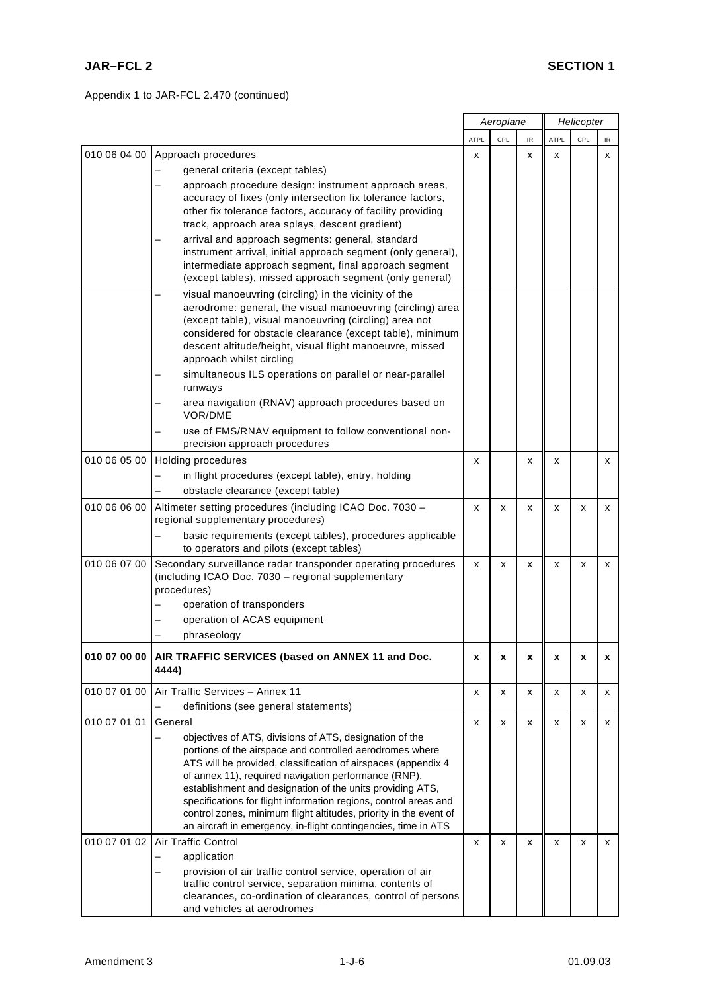$\overline{\phantom{0}}$ 

 $\blacksquare$ 

|              |                                                                                                                                                                                                                                                                                                                                   |      | Aeroplane |     | Helicopter |     |     |
|--------------|-----------------------------------------------------------------------------------------------------------------------------------------------------------------------------------------------------------------------------------------------------------------------------------------------------------------------------------|------|-----------|-----|------------|-----|-----|
|              |                                                                                                                                                                                                                                                                                                                                   | ATPL | CPL       | IR. | ATPL       | CPL | IR. |
|              | 010 06 04 00 Approach procedures                                                                                                                                                                                                                                                                                                  | X    |           | x   | x          |     | x   |
|              | general criteria (except tables)                                                                                                                                                                                                                                                                                                  |      |           |     |            |     |     |
|              | approach procedure design: instrument approach areas,                                                                                                                                                                                                                                                                             |      |           |     |            |     |     |
|              | accuracy of fixes (only intersection fix tolerance factors,                                                                                                                                                                                                                                                                       |      |           |     |            |     |     |
|              | other fix tolerance factors, accuracy of facility providing                                                                                                                                                                                                                                                                       |      |           |     |            |     |     |
|              | track, approach area splays, descent gradient)                                                                                                                                                                                                                                                                                    |      |           |     |            |     |     |
|              | arrival and approach segments: general, standard<br>instrument arrival, initial approach segment (only general),                                                                                                                                                                                                                  |      |           |     |            |     |     |
|              | intermediate approach segment, final approach segment                                                                                                                                                                                                                                                                             |      |           |     |            |     |     |
|              | (except tables), missed approach segment (only general)                                                                                                                                                                                                                                                                           |      |           |     |            |     |     |
|              | visual manoeuvring (circling) in the vicinity of the<br>aerodrome: general, the visual manoeuvring (circling) area<br>(except table), visual manoeuvring (circling) area not<br>considered for obstacle clearance (except table), minimum<br>descent altitude/height, visual flight manoeuvre, missed<br>approach whilst circling |      |           |     |            |     |     |
|              | simultaneous ILS operations on parallel or near-parallel<br>runways                                                                                                                                                                                                                                                               |      |           |     |            |     |     |
|              | area navigation (RNAV) approach procedures based on<br>VOR/DME                                                                                                                                                                                                                                                                    |      |           |     |            |     |     |
|              | use of FMS/RNAV equipment to follow conventional non-<br>precision approach procedures                                                                                                                                                                                                                                            |      |           |     |            |     |     |
| 010 06 05 00 | Holding procedures                                                                                                                                                                                                                                                                                                                | X    |           | x   | x          |     | x   |
|              | in flight procedures (except table), entry, holding                                                                                                                                                                                                                                                                               |      |           |     |            |     |     |
|              | obstacle clearance (except table)                                                                                                                                                                                                                                                                                                 |      |           |     |            |     |     |
| 010 06 06 00 | Altimeter setting procedures (including ICAO Doc. 7030 -<br>regional supplementary procedures)                                                                                                                                                                                                                                    | x    | х         | х   | x          | x   | x   |
|              | basic requirements (except tables), procedures applicable<br>to operators and pilots (except tables)                                                                                                                                                                                                                              |      |           |     |            |     |     |
| 010 06 07 00 | Secondary surveillance radar transponder operating procedures<br>(including ICAO Doc. 7030 - regional supplementary<br>procedures)                                                                                                                                                                                                | x    | X         | x   | x          | x   | x   |
|              | operation of transponders                                                                                                                                                                                                                                                                                                         |      |           |     |            |     |     |
|              | operation of ACAS equipment                                                                                                                                                                                                                                                                                                       |      |           |     |            |     |     |
|              | phraseology                                                                                                                                                                                                                                                                                                                       |      |           |     |            |     |     |
| 010 07 00 00 | AIR TRAFFIC SERVICES (based on ANNEX 11 and Doc.<br>4444)                                                                                                                                                                                                                                                                         | x    | x         | x   | x          | x   | x   |
| 010 07 01 00 | Air Traffic Services - Annex 11<br>definitions (see general statements)                                                                                                                                                                                                                                                           | x    | x         | x   | x          | х   | x   |
| 010 07 01 01 | General                                                                                                                                                                                                                                                                                                                           | x    | X         | x   | x          | x   | x   |
|              | objectives of ATS, divisions of ATS, designation of the                                                                                                                                                                                                                                                                           |      |           |     |            |     |     |
|              | portions of the airspace and controlled aerodromes where                                                                                                                                                                                                                                                                          |      |           |     |            |     |     |
|              | ATS will be provided, classification of airspaces (appendix 4                                                                                                                                                                                                                                                                     |      |           |     |            |     |     |
|              | of annex 11), required navigation performance (RNP),<br>establishment and designation of the units providing ATS,                                                                                                                                                                                                                 |      |           |     |            |     |     |
|              | specifications for flight information regions, control areas and                                                                                                                                                                                                                                                                  |      |           |     |            |     |     |
|              | control zones, minimum flight altitudes, priority in the event of                                                                                                                                                                                                                                                                 |      |           |     |            |     |     |
|              | an aircraft in emergency, in-flight contingencies, time in ATS                                                                                                                                                                                                                                                                    |      |           |     |            |     |     |
| 010 07 01 02 | Air Traffic Control                                                                                                                                                                                                                                                                                                               | x    | X         | x   | x          | x   | x   |
|              | application                                                                                                                                                                                                                                                                                                                       |      |           |     |            |     |     |
|              | provision of air traffic control service, operation of air<br>traffic control service, separation minima, contents of<br>clearances, co-ordination of clearances, control of persons                                                                                                                                              |      |           |     |            |     |     |
|              | and vehicles at aerodromes                                                                                                                                                                                                                                                                                                        |      |           |     |            |     |     |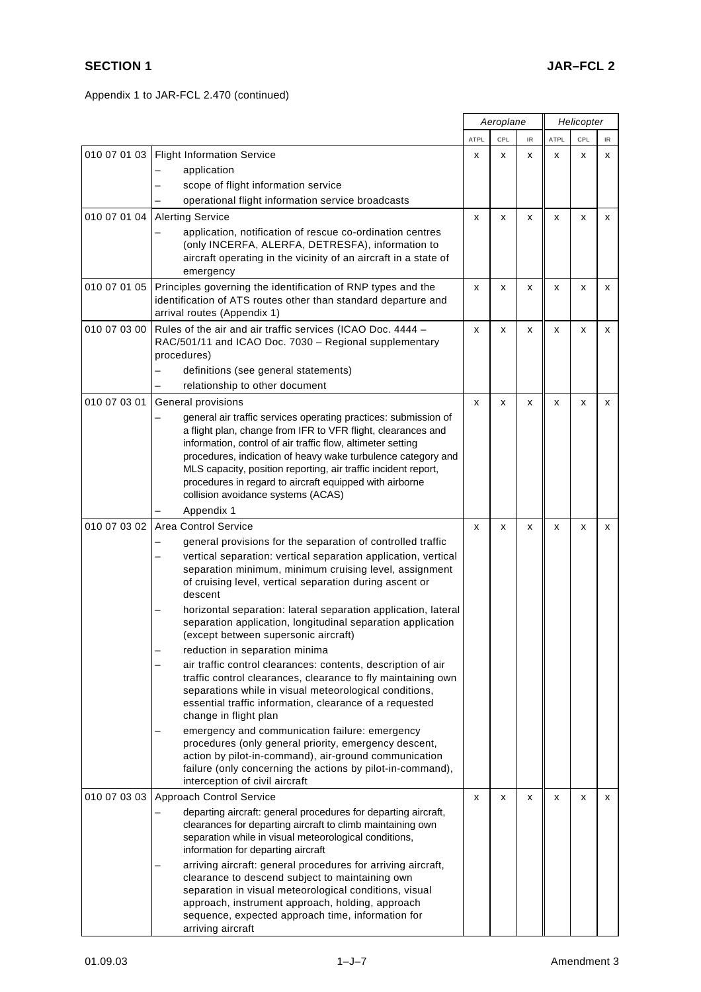$\overline{\phantom{0}}$ 

|              |                                                                                                                                                                                                                                                                                                                                                                                                                                                                       |      | Aeroplane |     |      | Helicopter |    |  |
|--------------|-----------------------------------------------------------------------------------------------------------------------------------------------------------------------------------------------------------------------------------------------------------------------------------------------------------------------------------------------------------------------------------------------------------------------------------------------------------------------|------|-----------|-----|------|------------|----|--|
|              |                                                                                                                                                                                                                                                                                                                                                                                                                                                                       | ATPL | CPL       | IR. | ATPL | CPL        | IR |  |
| 010 07 01 03 | <b>Flight Information Service</b>                                                                                                                                                                                                                                                                                                                                                                                                                                     | x    | x         | x   | x    | x          | X  |  |
|              | application                                                                                                                                                                                                                                                                                                                                                                                                                                                           |      |           |     |      |            |    |  |
|              | scope of flight information service                                                                                                                                                                                                                                                                                                                                                                                                                                   |      |           |     |      |            |    |  |
|              | operational flight information service broadcasts                                                                                                                                                                                                                                                                                                                                                                                                                     |      |           |     |      |            |    |  |
| 010 07 01 04 | <b>Alerting Service</b>                                                                                                                                                                                                                                                                                                                                                                                                                                               | x    | X         | x   | x    | x          | x  |  |
|              | application, notification of rescue co-ordination centres<br>(only INCERFA, ALERFA, DETRESFA), information to<br>aircraft operating in the vicinity of an aircraft in a state of                                                                                                                                                                                                                                                                                      |      |           |     |      |            |    |  |
|              | emergency                                                                                                                                                                                                                                                                                                                                                                                                                                                             |      |           |     |      |            |    |  |
|              | 010 07 01 05 Principles governing the identification of RNP types and the<br>identification of ATS routes other than standard departure and<br>arrival routes (Appendix 1)                                                                                                                                                                                                                                                                                            | x    | x         | x   | x    | x          | X  |  |
| 010 07 03 00 | Rules of the air and air traffic services (ICAO Doc. 4444 -<br>RAC/501/11 and ICAO Doc. 7030 - Regional supplementary<br>procedures)                                                                                                                                                                                                                                                                                                                                  | x    | x         | x   | x    | x          | X  |  |
|              | definitions (see general statements)                                                                                                                                                                                                                                                                                                                                                                                                                                  |      |           |     |      |            |    |  |
|              | relationship to other document                                                                                                                                                                                                                                                                                                                                                                                                                                        |      |           |     |      |            |    |  |
| 010 07 03 01 | General provisions<br>general air traffic services operating practices: submission of<br>a flight plan, change from IFR to VFR flight, clearances and<br>information, control of air traffic flow, altimeter setting<br>procedures, indication of heavy wake turbulence category and<br>MLS capacity, position reporting, air traffic incident report,<br>procedures in regard to aircraft equipped with airborne<br>collision avoidance systems (ACAS)<br>Appendix 1 | x    | x         | X   | x    | x          | x  |  |
| 010 07 03 02 | Area Control Service                                                                                                                                                                                                                                                                                                                                                                                                                                                  | x    | X         | X   | X    | x          | X  |  |
|              | general provisions for the separation of controlled traffic                                                                                                                                                                                                                                                                                                                                                                                                           |      |           |     |      |            |    |  |
|              | vertical separation: vertical separation application, vertical<br>separation minimum, minimum cruising level, assignment<br>of cruising level, vertical separation during ascent or<br>descent                                                                                                                                                                                                                                                                        |      |           |     |      |            |    |  |
|              | horizontal separation: lateral separation application, lateral<br>separation application, longitudinal separation application<br>(except between supersonic aircraft)                                                                                                                                                                                                                                                                                                 |      |           |     |      |            |    |  |
|              | reduction in separation minima                                                                                                                                                                                                                                                                                                                                                                                                                                        |      |           |     |      |            |    |  |
|              | air traffic control clearances: contents, description of air<br>traffic control clearances, clearance to fly maintaining own<br>separations while in visual meteorological conditions,<br>essential traffic information, clearance of a requested<br>change in flight plan                                                                                                                                                                                            |      |           |     |      |            |    |  |
|              | emergency and communication failure: emergency<br>procedures (only general priority, emergency descent,<br>action by pilot-in-command), air-ground communication<br>failure (only concerning the actions by pilot-in-command),<br>interception of civil aircraft                                                                                                                                                                                                      |      |           |     |      |            |    |  |
| 010 07 03 03 | Approach Control Service                                                                                                                                                                                                                                                                                                                                                                                                                                              | x    | x         | x   | x    | х          | X  |  |
|              | departing aircraft: general procedures for departing aircraft,<br>clearances for departing aircraft to climb maintaining own<br>separation while in visual meteorological conditions,<br>information for departing aircraft                                                                                                                                                                                                                                           |      |           |     |      |            |    |  |
|              | arriving aircraft: general procedures for arriving aircraft,<br>clearance to descend subject to maintaining own<br>separation in visual meteorological conditions, visual<br>approach, instrument approach, holding, approach<br>sequence, expected approach time, information for<br>arriving aircraft                                                                                                                                                               |      |           |     |      |            |    |  |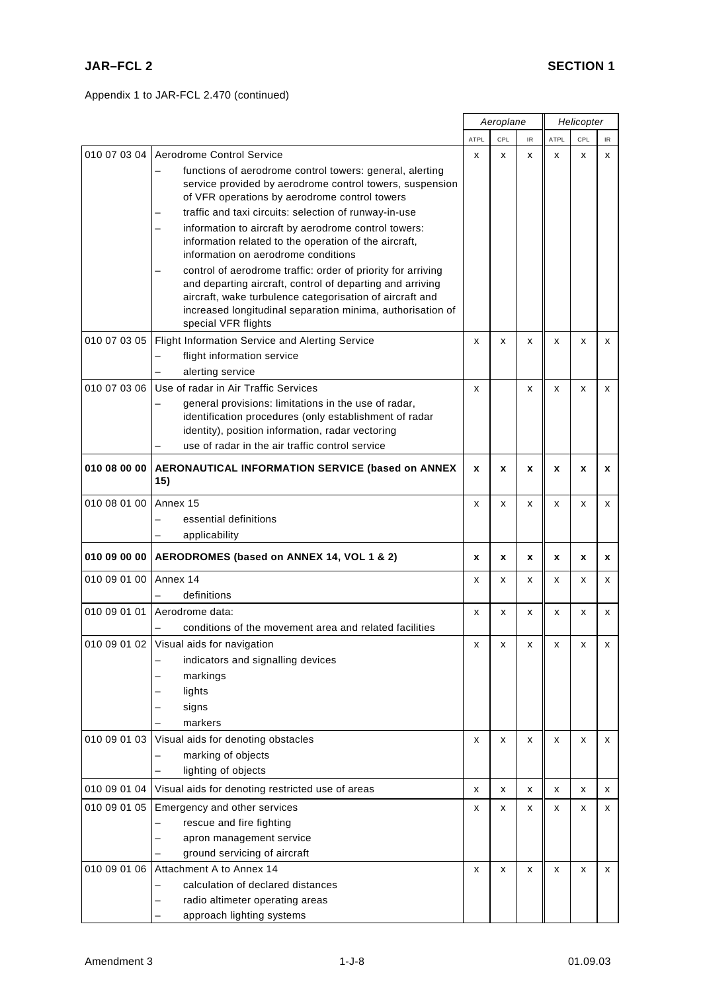|              |                                                                                                                                                                                                                                                                            |      | Aeroplane |              |      | Helicopter |     |  |
|--------------|----------------------------------------------------------------------------------------------------------------------------------------------------------------------------------------------------------------------------------------------------------------------------|------|-----------|--------------|------|------------|-----|--|
|              |                                                                                                                                                                                                                                                                            | ATPL | CPL       | IR.          | ATPL | CPL        | IR. |  |
| 010 07 03 04 | Aerodrome Control Service                                                                                                                                                                                                                                                  | x    | x         | x            | x    | x          | X   |  |
|              | functions of aerodrome control towers: general, alerting<br>service provided by aerodrome control towers, suspension<br>of VFR operations by aerodrome control towers                                                                                                      |      |           |              |      |            |     |  |
|              | traffic and taxi circuits: selection of runway-in-use                                                                                                                                                                                                                      |      |           |              |      |            |     |  |
|              | information to aircraft by aerodrome control towers:<br>information related to the operation of the aircraft,<br>information on aerodrome conditions                                                                                                                       |      |           |              |      |            |     |  |
|              | control of aerodrome traffic: order of priority for arriving<br>and departing aircraft, control of departing and arriving<br>aircraft, wake turbulence categorisation of aircraft and<br>increased longitudinal separation minima, authorisation of<br>special VFR flights |      |           |              |      |            |     |  |
| 010 07 03 05 | Flight Information Service and Alerting Service                                                                                                                                                                                                                            | x    | x         | x            | X    | x          | x   |  |
|              | flight information service                                                                                                                                                                                                                                                 |      |           |              |      |            |     |  |
|              | alerting service                                                                                                                                                                                                                                                           |      |           |              |      |            |     |  |
| 010 07 03 06 | Use of radar in Air Traffic Services                                                                                                                                                                                                                                       | x    |           | X            | X    | X          | x   |  |
|              | general provisions: limitations in the use of radar,<br>identification procedures (only establishment of radar<br>identity), position information, radar vectoring                                                                                                         |      |           |              |      |            |     |  |
|              | use of radar in the air traffic control service                                                                                                                                                                                                                            |      |           |              |      |            |     |  |
| 010 08 00 00 | AERONAUTICAL INFORMATION SERVICE (based on ANNEX<br>15)                                                                                                                                                                                                                    | x    | X         | X            | X    | X          | x   |  |
| 010 08 01 00 | Annex 15                                                                                                                                                                                                                                                                   | x    | x         | x            | X    | X          | X   |  |
|              | essential definitions                                                                                                                                                                                                                                                      |      |           |              |      |            |     |  |
|              | applicability                                                                                                                                                                                                                                                              |      |           |              |      |            |     |  |
| 010 09 00 00 | AERODROMES (based on ANNEX 14, VOL 1 & 2)                                                                                                                                                                                                                                  | x    | X         | $\mathbf{x}$ | X    | X          | x   |  |
| 010 09 01 00 | Annex 14<br>definitions                                                                                                                                                                                                                                                    | x    | x         | x            | x    | х          | X   |  |
| 010 09 01 01 | Aerodrome data:                                                                                                                                                                                                                                                            | x    | x         | x            | x    | x          | x   |  |
|              | conditions of the movement area and related facilities                                                                                                                                                                                                                     |      |           |              |      |            |     |  |
|              | 010 09 01 02 Visual aids for navigation                                                                                                                                                                                                                                    | x    | x         | x            | x    | х          | x   |  |
|              | indicators and signalling devices                                                                                                                                                                                                                                          |      |           |              |      |            |     |  |
|              | markings                                                                                                                                                                                                                                                                   |      |           |              |      |            |     |  |
|              | lights                                                                                                                                                                                                                                                                     |      |           |              |      |            |     |  |
|              | signs                                                                                                                                                                                                                                                                      |      |           |              |      |            |     |  |
|              | markers                                                                                                                                                                                                                                                                    |      |           |              |      |            |     |  |
| 010 09 01 03 | Visual aids for denoting obstacles                                                                                                                                                                                                                                         | х    | x         | x            | x    | х          | x   |  |
|              | marking of objects                                                                                                                                                                                                                                                         |      |           |              |      |            |     |  |
|              | lighting of objects                                                                                                                                                                                                                                                        |      |           |              |      |            |     |  |
| 010 09 01 04 | Visual aids for denoting restricted use of areas                                                                                                                                                                                                                           | x    | x         | x            | x    | х          | x   |  |
| 010 09 01 05 | Emergency and other services                                                                                                                                                                                                                                               | x    | x         | x            | x    | x          | x   |  |
|              | rescue and fire fighting                                                                                                                                                                                                                                                   |      |           |              |      |            |     |  |
|              | apron management service                                                                                                                                                                                                                                                   |      |           |              |      |            |     |  |
|              | ground servicing of aircraft                                                                                                                                                                                                                                               |      |           |              |      |            |     |  |
| 010 09 01 06 | Attachment A to Annex 14                                                                                                                                                                                                                                                   | x    | x         | х            | X    | x          | x   |  |
|              | calculation of declared distances                                                                                                                                                                                                                                          |      |           |              |      |            |     |  |
|              | radio altimeter operating areas                                                                                                                                                                                                                                            |      |           |              |      |            |     |  |
|              | approach lighting systems                                                                                                                                                                                                                                                  |      |           |              |      |            |     |  |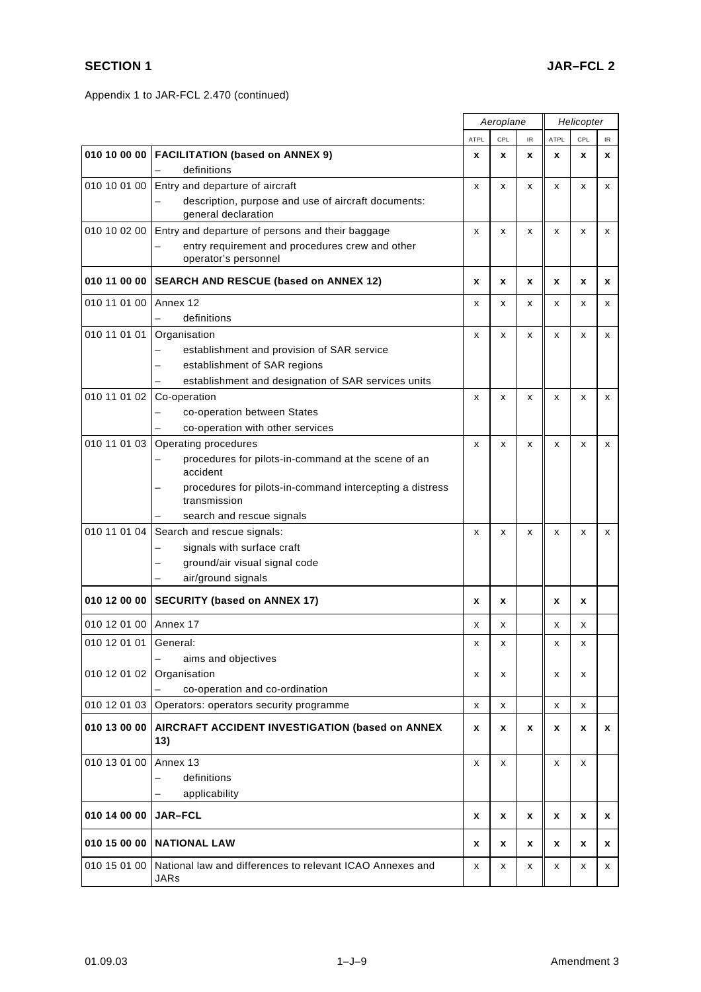|              |                                                                            | Aeroplane          |   | Helicopter |            |   |   |
|--------------|----------------------------------------------------------------------------|--------------------|---|------------|------------|---|---|
|              |                                                                            | CPL<br>ATPL<br>IR. |   | ATPL       | CPL<br>IR. |   |   |
|              | 010 10 00 00   FACILITATION (based on ANNEX 9)                             | X                  | x | x          | X          | x | x |
|              | definitions                                                                |                    |   |            |            |   |   |
| 010 10 01 00 | Entry and departure of aircraft                                            | X                  | X | x          | X          | X | x |
|              | description, purpose and use of aircraft documents:<br>general declaration |                    |   |            |            |   |   |
| 010 10 02 00 | Entry and departure of persons and their baggage                           | X                  | x | x          | x          | X | x |
|              | entry requirement and procedures crew and other<br>operator's personnel    |                    |   |            |            |   |   |
| 010 11 00 00 | <b>SEARCH AND RESCUE (based on ANNEX 12)</b>                               | X                  | x | x          | X          | X | x |
| 010 11 01 00 | Annex 12                                                                   | X                  | X | x          | x          | X | x |
|              | definitions                                                                |                    |   |            |            |   |   |
| 010 11 01 01 | Organisation                                                               | X                  | X | x          | x          | X | x |
|              | establishment and provision of SAR service<br>$\overline{\phantom{0}}$     |                    |   |            |            |   |   |
|              | establishment of SAR regions                                               |                    |   |            |            |   |   |
|              | establishment and designation of SAR services units                        |                    |   |            |            |   |   |
| 010 11 01 02 | Co-operation                                                               | X                  | X | x          | X          | X | X |
|              | co-operation between States                                                |                    |   |            |            |   |   |
|              | co-operation with other services                                           |                    |   |            |            |   |   |
| 010 11 01 03 | Operating procedures                                                       | X                  | x | x          | x          | X | x |
|              | procedures for pilots-in-command at the scene of an<br>accident            |                    |   |            |            |   |   |
|              | procedures for pilots-in-command intercepting a distress                   |                    |   |            |            |   |   |
|              | transmission                                                               |                    |   |            |            |   |   |
|              | search and rescue signals                                                  |                    |   |            |            |   |   |
| 010 11 01 04 | Search and rescue signals:                                                 | X                  | X | x          | x          | X | x |
|              | signals with surface craft                                                 |                    |   |            |            |   |   |
|              | ground/air visual signal code                                              |                    |   |            |            |   |   |
|              | air/ground signals                                                         |                    |   |            |            |   |   |
| 010 12 00 00 | <b>SECURITY (based on ANNEX 17)</b>                                        | X                  | x |            | X          | x |   |
| 010 12 01 00 | Annex 17                                                                   | x                  | x |            | x          | x |   |
| 010 12 01 01 | General:                                                                   | x                  | x |            | x          | х |   |
|              | aims and objectives                                                        |                    |   |            |            |   |   |
| 010 12 01 02 | Organisation                                                               | x                  | x |            | x          | X |   |
|              | co-operation and co-ordination                                             |                    |   |            |            |   |   |
| 010 12 01 03 | Operators: operators security programme                                    | x                  | x |            | x          | Х |   |
| 010 13 00 00 | AIRCRAFT ACCIDENT INVESTIGATION (based on ANNEX<br>13)                     | x                  | x | x          | X          | x | x |
| 010 13 01 00 | Annex 13                                                                   | x                  | x |            | x          | x |   |
|              | definitions                                                                |                    |   |            |            |   |   |
|              | applicability                                                              |                    |   |            |            |   |   |
| 010 14 00 00 | <b>JAR-FCL</b>                                                             | X                  | X | x          | X          | x | x |
| 010 15 00 00 | <b>NATIONAL LAW</b>                                                        | x                  | x | x          | x          | x | x |
| 010 15 01 00 | National law and differences to relevant ICAO Annexes and<br>JARs          | x                  | x | x          | x          | х | x |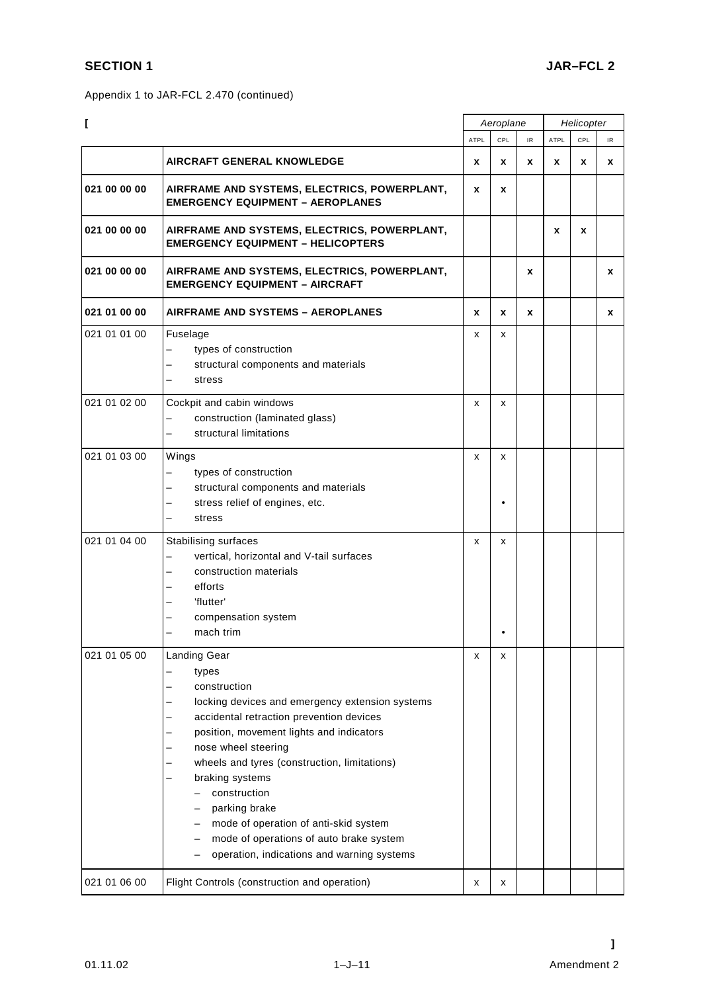# **[** *Aeroplane Helicopter* ATPL CPL IR ATPL CPL IR AIRCRAFT GENERAL KNOWLEDGE  $\vert x \vert x \vert x \vert x \vert x$ **021 00 00 00 AIRFRAME AND SYSTEMS, ELECTRICS, POWERPLANT, EMERGENCY EQUIPMENT – AEROPLANES**  $\mathbf{x}$   $\mathbf{x}$ **021 00 00 00 AIRFRAME AND SYSTEMS, ELECTRICS, POWERPLANT, EMERGENCY EQUIPMENT – HELICOPTERS x x 021 00 00 00 AIRFRAME AND SYSTEMS, ELECTRICS, POWERPLANT, EMERGENCY EQUIPMENT – AIRCRAFT x x 021 01 00 00 AIRFRAME AND SYSTEMS – AEROPLANES x x x x** 021 01 01 00 Fuselage  $\begin{array}{ccc} \downarrow \times \end{array}$  x  $\begin{array}{ccc} \downarrow \end{array}$  x  $\begin{array}{ccc} \downarrow \end{array}$  x types of construction structural components and materials – stress 021 01 02 00  $\int \csc{kp}$  cockpit and cabin windows  $\int x \cdot x = x$ – construction (laminated glass) structural limitations 021 01 03 00 Wings  $x \mid x$ – types of construction structural components and materials stress relief of engines, etc. – stress 021 01 04 00 Stabilising surfaces  $\begin{array}{ccc} \downarrow \times & \times \end{array}$ – vertical, horizontal and V-tail surfaces – construction materials – efforts – 'flutter' – compensation system mach trim 021 01 05 00 Landing Gear x x types – construction locking devices and emergency extension systems – accidental retraction prevention devices – position, movement lights and indicators – nose wheel steering – wheels and tyres (construction, limitations) – braking systems – construction – parking brake – mode of operation of anti-skid system – mode of operations of auto brake system – operation, indications and warning systems 021 01 06 00 Flight Controls (construction and operation)  $x \mid x$  x x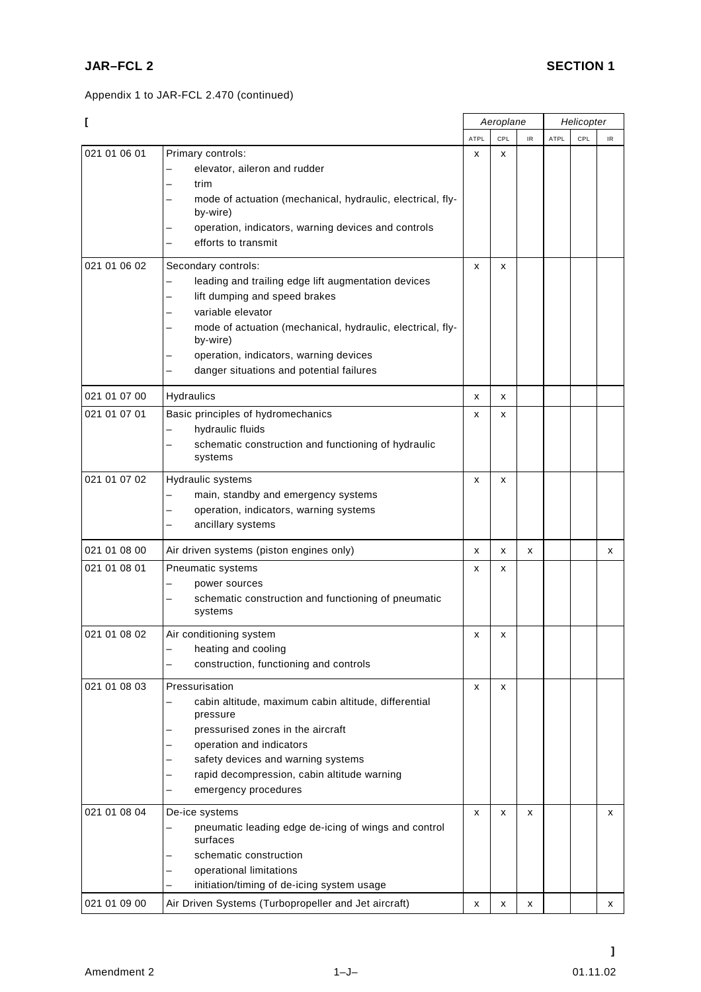| I            |                                                                                                                                                                                                                                                                                                  |      | Aeroplane |                                   | Helicopter |     |    |  |
|--------------|--------------------------------------------------------------------------------------------------------------------------------------------------------------------------------------------------------------------------------------------------------------------------------------------------|------|-----------|-----------------------------------|------------|-----|----|--|
|              |                                                                                                                                                                                                                                                                                                  | ATPL | CPL       | $\ensuremath{\mathsf{IR}}\xspace$ | ATPL       | CPL | IR |  |
| 021 01 06 01 | Primary controls:<br>elevator, aileron and rudder<br>trim<br>mode of actuation (mechanical, hydraulic, electrical, fly-<br>by-wire)<br>operation, indicators, warning devices and controls<br>efforts to transmit                                                                                | x    | x         |                                   |            |     |    |  |
| 021 01 06 02 | Secondary controls:<br>leading and trailing edge lift augmentation devices<br>lift dumping and speed brakes<br>variable elevator<br>mode of actuation (mechanical, hydraulic, electrical, fly-<br>by-wire)<br>operation, indicators, warning devices<br>danger situations and potential failures | x    | x         |                                   |            |     |    |  |
| 021 01 07 00 | Hydraulics                                                                                                                                                                                                                                                                                       | x    | x         |                                   |            |     |    |  |
| 021 01 07 01 | Basic principles of hydromechanics<br>hydraulic fluids<br>$\overline{\phantom{0}}$<br>schematic construction and functioning of hydraulic<br>systems                                                                                                                                             | x    | x         |                                   |            |     |    |  |
| 021 01 07 02 | Hydraulic systems<br>main, standby and emergency systems<br>operation, indicators, warning systems<br>ancillary systems                                                                                                                                                                          | x    | x         |                                   |            |     |    |  |
| 021 01 08 00 | Air driven systems (piston engines only)                                                                                                                                                                                                                                                         | x    | x         | x                                 |            |     | х  |  |
| 021 01 08 01 | Pneumatic systems<br>power sources<br>schematic construction and functioning of pneumatic<br>systems                                                                                                                                                                                             | x    | x         |                                   |            |     |    |  |
| 021 01 08 02 | Air conditioning system<br>heating and cooling<br>construction, functioning and controls                                                                                                                                                                                                         | x    | x         |                                   |            |     |    |  |
| 021 01 08 03 | Pressurisation<br>cabin altitude, maximum cabin altitude, differential<br>pressure<br>pressurised zones in the aircraft<br>operation and indicators<br>safety devices and warning systems<br>rapid decompression, cabin altitude warning<br>emergency procedures                                 | x    | x         |                                   |            |     |    |  |
| 021 01 08 04 | De-ice systems<br>pneumatic leading edge de-icing of wings and control<br>surfaces<br>schematic construction<br>operational limitations<br>initiation/timing of de-icing system usage                                                                                                            | x    | x         | x                                 |            |     | x  |  |
| 021 01 09 00 | Air Driven Systems (Turbopropeller and Jet aircraft)                                                                                                                                                                                                                                             | x    | x         | x                                 |            |     | x  |  |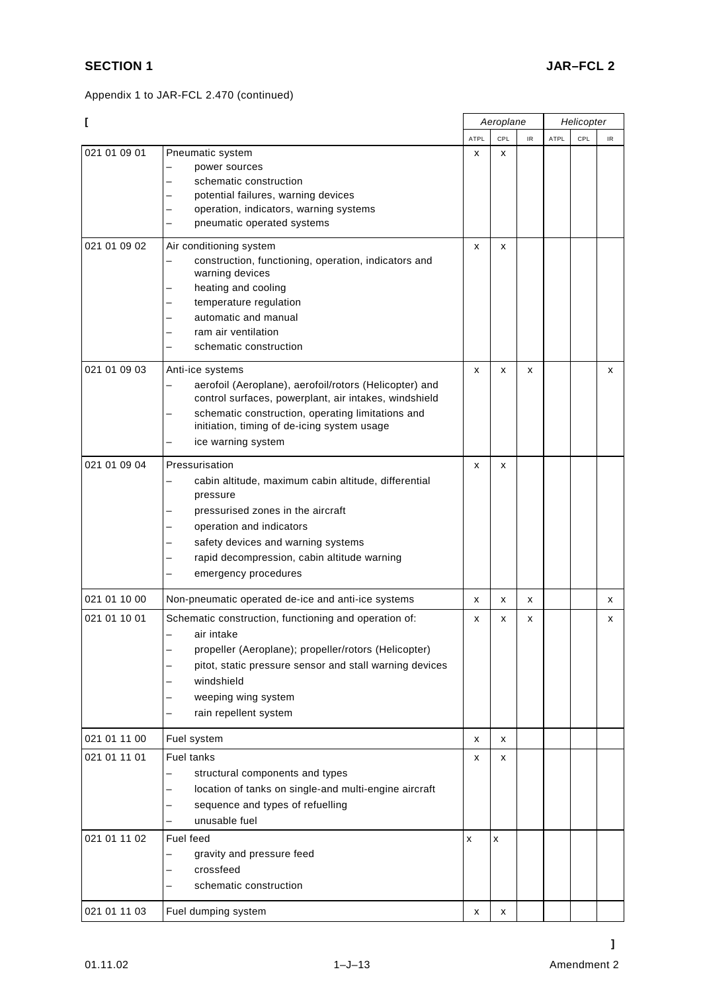$\blacksquare$ 

| I            |                                                                   |             | Aeroplane |     |      | Helicopter |     |  |
|--------------|-------------------------------------------------------------------|-------------|-----------|-----|------|------------|-----|--|
|              |                                                                   | <b>ATPL</b> | CPL       | IR. | ATPL | CPL        | IR. |  |
| 021 01 09 01 | Pneumatic system                                                  | x           | x         |     |      |            |     |  |
|              | power sources                                                     |             |           |     |      |            |     |  |
|              | schematic construction                                            |             |           |     |      |            |     |  |
|              | potential failures, warning devices                               |             |           |     |      |            |     |  |
|              | operation, indicators, warning systems                            |             |           |     |      |            |     |  |
|              | pneumatic operated systems                                        |             |           |     |      |            |     |  |
|              |                                                                   |             |           |     |      |            |     |  |
| 021 01 09 02 | Air conditioning system                                           | x           | X         |     |      |            |     |  |
|              | construction, functioning, operation, indicators and<br>-         |             |           |     |      |            |     |  |
|              | warning devices                                                   |             |           |     |      |            |     |  |
|              | heating and cooling                                               |             |           |     |      |            |     |  |
|              | temperature regulation<br>—                                       |             |           |     |      |            |     |  |
|              | automatic and manual                                              |             |           |     |      |            |     |  |
|              | ram air ventilation                                               |             |           |     |      |            |     |  |
|              | schematic construction                                            |             |           |     |      |            |     |  |
| 021 01 09 03 | Anti-ice systems                                                  | x           | x         | x   |      |            | х   |  |
|              | aerofoil (Aeroplane), aerofoil/rotors (Helicopter) and            |             |           |     |      |            |     |  |
|              | control surfaces, powerplant, air intakes, windshield             |             |           |     |      |            |     |  |
|              | schematic construction, operating limitations and                 |             |           |     |      |            |     |  |
|              | initiation, timing of de-icing system usage                       |             |           |     |      |            |     |  |
|              | ice warning system                                                |             |           |     |      |            |     |  |
|              |                                                                   |             |           |     |      |            |     |  |
| 021 01 09 04 | Pressurisation                                                    | x           | X         |     |      |            |     |  |
|              | cabin altitude, maximum cabin altitude, differential<br>—         |             |           |     |      |            |     |  |
|              | pressure                                                          |             |           |     |      |            |     |  |
|              | pressurised zones in the aircraft                                 |             |           |     |      |            |     |  |
|              | operation and indicators                                          |             |           |     |      |            |     |  |
|              | safety devices and warning systems                                |             |           |     |      |            |     |  |
|              | rapid decompression, cabin altitude warning                       |             |           |     |      |            |     |  |
|              |                                                                   |             |           |     |      |            |     |  |
|              | emergency procedures                                              |             |           |     |      |            |     |  |
| 021 01 10 00 | Non-pneumatic operated de-ice and anti-ice systems                | x           | X         | x   |      |            | х   |  |
| 021 01 10 01 | Schematic construction, functioning and operation of:             | x           | x         | x   |      |            | х   |  |
|              | air intake                                                        |             |           |     |      |            |     |  |
|              | propeller (Aeroplane); propeller/rotors (Helicopter)              |             |           |     |      |            |     |  |
|              | pitot, static pressure sensor and stall warning devices           |             |           |     |      |            |     |  |
|              | windshield                                                        |             |           |     |      |            |     |  |
|              | weeping wing system                                               |             |           |     |      |            |     |  |
|              |                                                                   |             |           |     |      |            |     |  |
|              | rain repellent system                                             |             |           |     |      |            |     |  |
| 021 01 11 00 | Fuel system                                                       | x           | X         |     |      |            |     |  |
| 021 01 11 01 | Fuel tanks                                                        | x           | x         |     |      |            |     |  |
|              | structural components and types                                   |             |           |     |      |            |     |  |
|              | location of tanks on single-and multi-engine aircraft<br><b>-</b> |             |           |     |      |            |     |  |
|              | sequence and types of refuelling<br>—                             |             |           |     |      |            |     |  |
|              | unusable fuel                                                     |             |           |     |      |            |     |  |
|              |                                                                   |             |           |     |      |            |     |  |
| 021 01 11 02 | Fuel feed                                                         | X           | x         |     |      |            |     |  |
|              | gravity and pressure feed<br>-                                    |             |           |     |      |            |     |  |
|              | crossfeed<br>—                                                    |             |           |     |      |            |     |  |
|              | schematic construction                                            |             |           |     |      |            |     |  |
| 021 01 11 03 | Fuel dumping system                                               | x           | х         |     |      |            |     |  |
|              |                                                                   |             |           |     |      |            |     |  |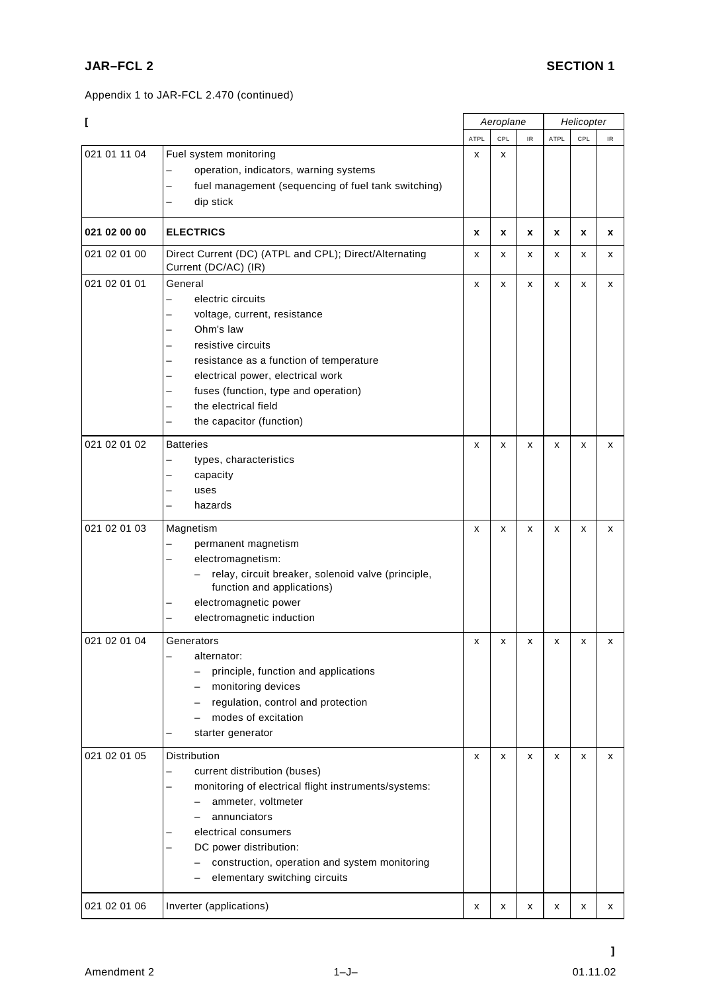| I            |                                                                                                                                                                                                                                                                                |      | Aeroplane |    | Helicopter |     |    |
|--------------|--------------------------------------------------------------------------------------------------------------------------------------------------------------------------------------------------------------------------------------------------------------------------------|------|-----------|----|------------|-----|----|
|              |                                                                                                                                                                                                                                                                                | ATPL | CPL       | IR | ATPL       | CPL | IR |
| 021 01 11 04 | Fuel system monitoring<br>operation, indicators, warning systems<br>fuel management (sequencing of fuel tank switching)<br>dip stick                                                                                                                                           | x    | x         |    |            |     |    |
| 021 02 00 00 | <b>ELECTRICS</b>                                                                                                                                                                                                                                                               | x    | X         | X  | x          | x   | x  |
| 021 02 01 00 | Direct Current (DC) (ATPL and CPL); Direct/Alternating<br>Current (DC/AC) (IR)                                                                                                                                                                                                 | x    | x         | x  | x          | x   | x  |
| 021 02 01 01 | General<br>electric circuits<br>voltage, current, resistance<br>Ohm's law<br>resistive circuits<br>resistance as a function of temperature<br>electrical power, electrical work<br>fuses (function, type and operation)<br>the electrical field<br>the capacitor (function)    | x    | x         | x  | x          | x   | x  |
| 021 02 01 02 | <b>Batteries</b><br>types, characteristics<br>capacity<br>uses<br>hazards                                                                                                                                                                                                      | x    | x         | X  | X          | X   | x  |
| 021 02 01 03 | Magnetism<br>permanent magnetism<br>electromagnetism:<br>relay, circuit breaker, solenoid valve (principle,<br>function and applications)<br>electromagnetic power<br>electromagnetic induction                                                                                | x    | x         | x  | x          | x   | x  |
| 021 02 01 04 | Generators<br>alternator:<br>principle, function and applications<br>monitoring devices<br>regulation, control and protection<br>modes of excitation<br>starter generator                                                                                                      | х    | x         | х  | х          | x   | х  |
| 021 02 01 05 | Distribution<br>current distribution (buses)<br>monitoring of electrical flight instruments/systems:<br>ammeter, voltmeter<br>annunciators<br>electrical consumers<br>DC power distribution:<br>construction, operation and system monitoring<br>elementary switching circuits | x    | x         | x  | х          | x   | x  |
| 021 02 01 06 | Inverter (applications)                                                                                                                                                                                                                                                        | х    | x         | x  | х          | x   | x  |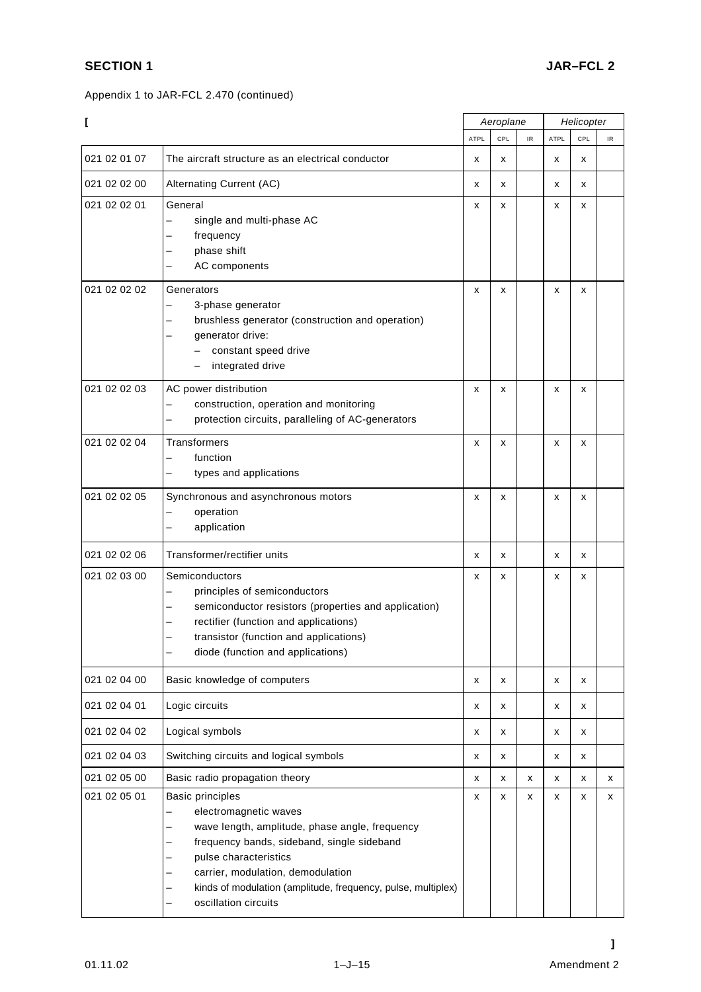| I            |                                                                                                                                                                                                                                                                                                                                 | Aeroplane |     |     | Helicopter |     |     |  |
|--------------|---------------------------------------------------------------------------------------------------------------------------------------------------------------------------------------------------------------------------------------------------------------------------------------------------------------------------------|-----------|-----|-----|------------|-----|-----|--|
|              |                                                                                                                                                                                                                                                                                                                                 | ATPL      | CPL | IR. | ATPL       | CPL | IR. |  |
| 021 02 01 07 | The aircraft structure as an electrical conductor                                                                                                                                                                                                                                                                               | x         | x   |     | x          | X   |     |  |
| 021 02 02 00 | Alternating Current (AC)                                                                                                                                                                                                                                                                                                        | x         | x   |     | x          | х   |     |  |
| 021 02 02 01 | General<br>single and multi-phase AC<br>frequency<br>phase shift<br>-<br>AC components                                                                                                                                                                                                                                          | x         | x   |     | x          | x   |     |  |
| 021 02 02 02 | Generators<br>3-phase generator<br>brushless generator (construction and operation)<br>generator drive:<br>constant speed drive<br>integrated drive                                                                                                                                                                             | x         | x   |     | x          | x   |     |  |
| 021 02 02 03 | AC power distribution<br>construction, operation and monitoring<br>protection circuits, paralleling of AC-generators                                                                                                                                                                                                            | X         | X   |     | X          | X   |     |  |
| 021 02 02 04 | <b>Transformers</b><br>function<br>$\overline{\phantom{0}}$<br>types and applications                                                                                                                                                                                                                                           | x         | x   |     | x          | X   |     |  |
| 021 02 02 05 | Synchronous and asynchronous motors<br>operation<br>—<br>application                                                                                                                                                                                                                                                            | x         | X   |     | x          | X   |     |  |
| 021 02 02 06 | Transformer/rectifier units                                                                                                                                                                                                                                                                                                     | x         | x   |     | x          | х   |     |  |
| 021 02 03 00 | Semiconductors<br>principles of semiconductors<br>-<br>semiconductor resistors (properties and application)<br>rectifier (function and applications)<br>transistor (function and applications)<br>diode (function and applications)                                                                                             | x         | x   |     | x          | X   |     |  |
| 021 02 04 00 | Basic knowledge of computers                                                                                                                                                                                                                                                                                                    | x         | x   |     | x          | x   |     |  |
| 021 02 04 01 | Logic circuits                                                                                                                                                                                                                                                                                                                  | x         | x   |     | x          | x   |     |  |
| 021 02 04 02 | Logical symbols                                                                                                                                                                                                                                                                                                                 | x         | x   |     | x          | x   |     |  |
| 021 02 04 03 | Switching circuits and logical symbols                                                                                                                                                                                                                                                                                          | x         | X   |     | x          | x   |     |  |
| 021 02 05 00 | Basic radio propagation theory                                                                                                                                                                                                                                                                                                  | x         | x   | x   | x          | x   | x   |  |
| 021 02 05 01 | <b>Basic principles</b><br>electromagnetic waves<br>wave length, amplitude, phase angle, frequency<br>-<br>frequency bands, sideband, single sideband<br>pulse characteristics<br>-<br>carrier, modulation, demodulation<br>-<br>kinds of modulation (amplitude, frequency, pulse, multiplex)<br>—<br>oscillation circuits<br>- | x         | X   | x   | x          | x   | x   |  |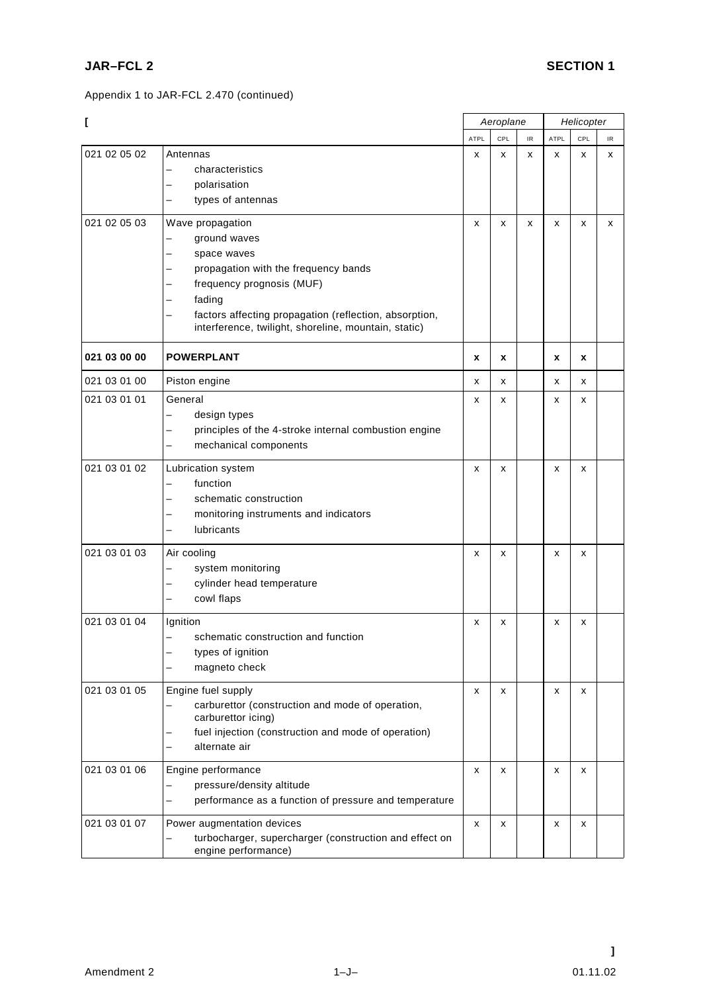| I            |                                                                                                                                                                                                                                                                                   |             | Aeroplane |     |      | Helicopter |     |  |
|--------------|-----------------------------------------------------------------------------------------------------------------------------------------------------------------------------------------------------------------------------------------------------------------------------------|-------------|-----------|-----|------|------------|-----|--|
|              |                                                                                                                                                                                                                                                                                   | <b>ATPL</b> | CPL       | IR. | ATPL | CPL        | IR. |  |
| 021 02 05 02 | Antennas<br>characteristics<br>polarisation<br>-<br>types of antennas<br>—                                                                                                                                                                                                        | x           | x         | x   | x    | X          | X   |  |
| 021 02 05 03 | Wave propagation<br>ground waves<br>space waves<br>propagation with the frequency bands<br>frequency prognosis (MUF)<br>fading<br>$\overline{\phantom{0}}$<br>factors affecting propagation (reflection, absorption,<br>—<br>interference, twilight, shoreline, mountain, static) | X           | x         | X   | x    | X          | X   |  |
| 021 03 00 00 | <b>POWERPLANT</b>                                                                                                                                                                                                                                                                 | X           | x         |     | x    | x          |     |  |
| 021 03 01 00 | Piston engine                                                                                                                                                                                                                                                                     | X           | x         |     | x    | X          |     |  |
| 021 03 01 01 | General<br>design types<br>—<br>principles of the 4-stroke internal combustion engine<br>mechanical components                                                                                                                                                                    | x           | x         |     | x    | X          |     |  |
| 021 03 01 02 | Lubrication system<br>function<br>—<br>schematic construction<br>-<br>monitoring instruments and indicators<br><b>lubricants</b>                                                                                                                                                  | x           | x         |     | x    | x          |     |  |
| 021 03 01 03 | Air cooling<br>system monitoring<br>—<br>cylinder head temperature<br>—<br>cowl flaps<br>—                                                                                                                                                                                        | x           | х         |     | x    | x          |     |  |
| 021 03 01 04 | Ignition<br>schematic construction and function<br>-<br>types of ignition<br>÷<br>magneto check                                                                                                                                                                                   | X           | x         |     | x    | X          |     |  |
| 021 03 01 05 | Engine fuel supply<br>carburettor (construction and mode of operation,<br>carburettor icing)<br>fuel injection (construction and mode of operation)<br>—<br>alternate air<br>$\overline{\phantom{0}}$                                                                             | x           | x         |     | X    | X          |     |  |
| 021 03 01 06 | Engine performance<br>pressure/density altitude<br>-<br>performance as a function of pressure and temperature<br>-                                                                                                                                                                | x           | x         |     | x    | X          |     |  |
| 021 03 01 07 | Power augmentation devices<br>turbocharger, supercharger (construction and effect on<br>engine performance)                                                                                                                                                                       | X           | x         |     | X    | X          |     |  |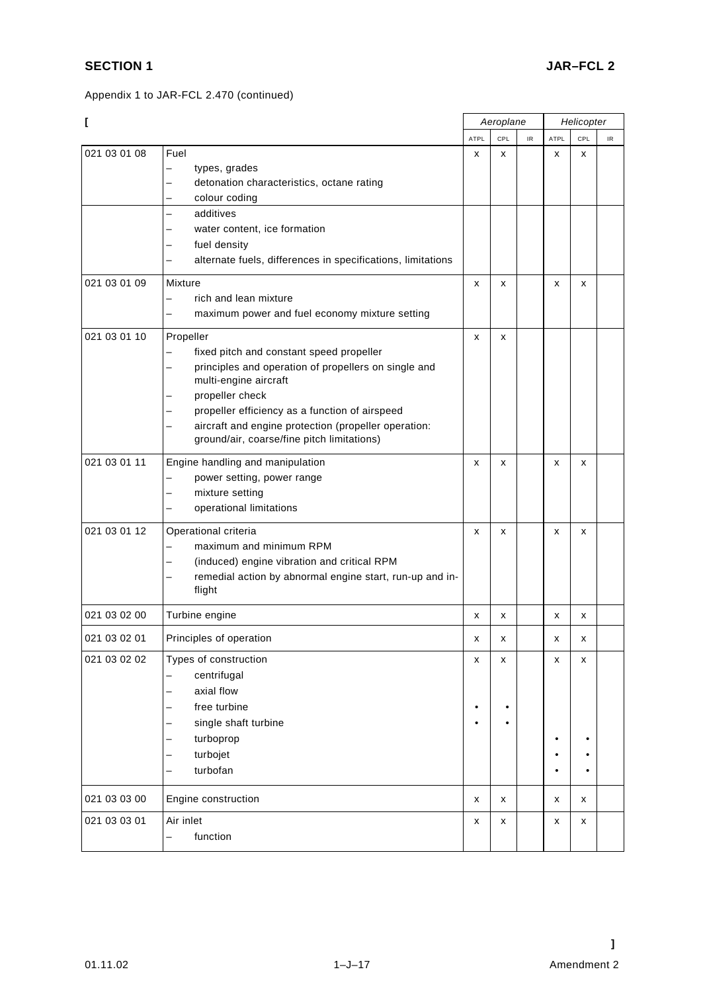| I            |                                                                                  | Aeroplane |     | Helicopter                        |      |     |     |
|--------------|----------------------------------------------------------------------------------|-----------|-----|-----------------------------------|------|-----|-----|
|              |                                                                                  | ATPL      | CPL | $\ensuremath{\mathsf{IR}}\xspace$ | ATPL | CPL | IR. |
| 021 03 01 08 | Fuel                                                                             | X         | x   |                                   | X    | X   |     |
|              | types, grades<br>—                                                               |           |     |                                   |      |     |     |
|              | detonation characteristics, octane rating<br>—                                   |           |     |                                   |      |     |     |
|              | colour coding                                                                    |           |     |                                   |      |     |     |
|              | additives                                                                        |           |     |                                   |      |     |     |
|              | water content, ice formation<br>-                                                |           |     |                                   |      |     |     |
|              | fuel density<br>-                                                                |           |     |                                   |      |     |     |
|              | alternate fuels, differences in specifications, limitations<br>-                 |           |     |                                   |      |     |     |
| 021 03 01 09 | Mixture                                                                          | x         | x   |                                   | X    | x   |     |
|              | rich and lean mixture<br>$\overline{\phantom{0}}$                                |           |     |                                   |      |     |     |
|              | maximum power and fuel economy mixture setting<br>-                              |           |     |                                   |      |     |     |
| 021 03 01 10 | Propeller                                                                        | X         | x   |                                   |      |     |     |
|              | fixed pitch and constant speed propeller<br>—                                    |           |     |                                   |      |     |     |
|              | principles and operation of propellers on single and<br>$\overline{\phantom{0}}$ |           |     |                                   |      |     |     |
|              | multi-engine aircraft                                                            |           |     |                                   |      |     |     |
|              | propeller check                                                                  |           |     |                                   |      |     |     |
|              | propeller efficiency as a function of airspeed                                   |           |     |                                   |      |     |     |
|              | aircraft and engine protection (propeller operation:                             |           |     |                                   |      |     |     |
|              | ground/air, coarse/fine pitch limitations)                                       |           |     |                                   |      |     |     |
| 021 03 01 11 | Engine handling and manipulation                                                 | X         | x   |                                   | X    | X   |     |
|              | power setting, power range<br>—                                                  |           |     |                                   |      |     |     |
|              | mixture setting<br>$\overline{\phantom{0}}$                                      |           |     |                                   |      |     |     |
|              | operational limitations<br>-                                                     |           |     |                                   |      |     |     |
| 021 03 01 12 | Operational criteria                                                             | x         | x   |                                   | X    | x   |     |
|              | maximum and minimum RPM                                                          |           |     |                                   |      |     |     |
|              | (induced) engine vibration and critical RPM                                      |           |     |                                   |      |     |     |
|              | remedial action by abnormal engine start, run-up and in-<br>—                    |           |     |                                   |      |     |     |
|              | flight                                                                           |           |     |                                   |      |     |     |
| 021 03 02 00 | Turbine engine                                                                   | x         | x   |                                   | x    | x   |     |
| 021 03 02 01 | Principles of operation                                                          | x         | x   |                                   | x    | x   |     |
| 021 03 02 02 | Types of construction                                                            | x         | x   |                                   | X    | x   |     |
|              | centrifugal<br>-                                                                 |           |     |                                   |      |     |     |
|              | axial flow<br>—                                                                  |           |     |                                   |      |     |     |
|              | free turbine                                                                     | $\bullet$ |     |                                   |      |     |     |
|              | single shaft turbine                                                             |           |     |                                   |      |     |     |
|              | turboprop                                                                        |           |     |                                   |      |     |     |
|              | turbojet                                                                         |           |     |                                   |      |     |     |
|              | turbofan<br>$\overline{\phantom{0}}$                                             |           |     |                                   |      |     |     |
| 021 03 03 00 | Engine construction                                                              | x         | x   |                                   | x    | X   |     |
| 021 03 03 01 | Air inlet                                                                        | X         | x   |                                   | x    | x   |     |
|              | function<br>-                                                                    |           |     |                                   |      |     |     |
|              |                                                                                  |           |     |                                   |      |     |     |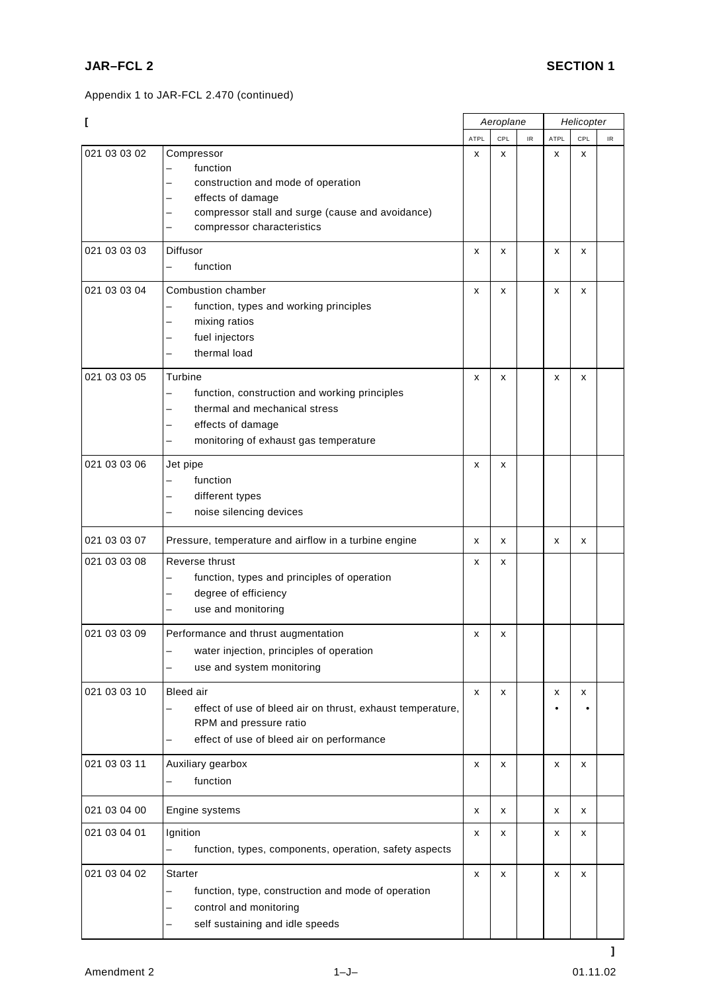| I            |                                                                                                                                                                             | Aeroplane |     | Helicopter |      |     |    |
|--------------|-----------------------------------------------------------------------------------------------------------------------------------------------------------------------------|-----------|-----|------------|------|-----|----|
|              |                                                                                                                                                                             | ATPL      | CPL | IR         | ATPL | CPL | IR |
| 021 03 03 02 | Compressor<br>function<br>construction and mode of operation<br>effects of damage<br>compressor stall and surge (cause and avoidance)<br>compressor characteristics<br>-    | x         | x   |            | x    | x   |    |
| 021 03 03 03 | Diffusor<br>function<br>$\overline{\phantom{0}}$                                                                                                                            | x         | x   |            | x    | x   |    |
| 021 03 03 04 | Combustion chamber<br>function, types and working principles<br>mixing ratios<br>—<br>fuel injectors<br>—<br>thermal load                                                   | x         | X   |            | x    | x   |    |
| 021 03 03 05 | Turbine<br>function, construction and working principles<br>-<br>thermal and mechanical stress<br>╾<br>effects of damage<br>-<br>monitoring of exhaust gas temperature<br>- | x         | x   |            | х    | x   |    |
| 021 03 03 06 | Jet pipe<br>function<br>—<br>different types<br>—<br>noise silencing devices<br>—                                                                                           | x         | x   |            |      |     |    |
| 021 03 03 07 | Pressure, temperature and airflow in a turbine engine                                                                                                                       | x         | x   |            | x    | x   |    |
| 021 03 03 08 | Reverse thrust<br>function, types and principles of operation<br>—<br>degree of efficiency<br>-<br>use and monitoring                                                       | x         | x   |            |      |     |    |
| 021 03 03 09 | Performance and thrust augmentation<br>water injection, principles of operation<br>use and system monitoring<br>—                                                           | х         | х   |            |      |     |    |
| 021 03 03 10 | <b>Bleed</b> air<br>effect of use of bleed air on thrust, exhaust temperature,<br>RPM and pressure ratio<br>effect of use of bleed air on performance<br>-                  | X         | X   |            | х    | x   |    |
| 021 03 03 11 | Auxiliary gearbox<br>function<br>-                                                                                                                                          | x         | x   |            | x    | x   |    |
| 021 03 04 00 | Engine systems                                                                                                                                                              | x         | x   |            | x    | x   |    |
| 021 03 04 01 | Ignition<br>function, types, components, operation, safety aspects                                                                                                          | x         | x   |            | х    | x   |    |
| 021 03 04 02 | Starter<br>function, type, construction and mode of operation<br>—<br>control and monitoring<br>-<br>self sustaining and idle speeds<br>-                                   | x         | x   |            | x    | x   |    |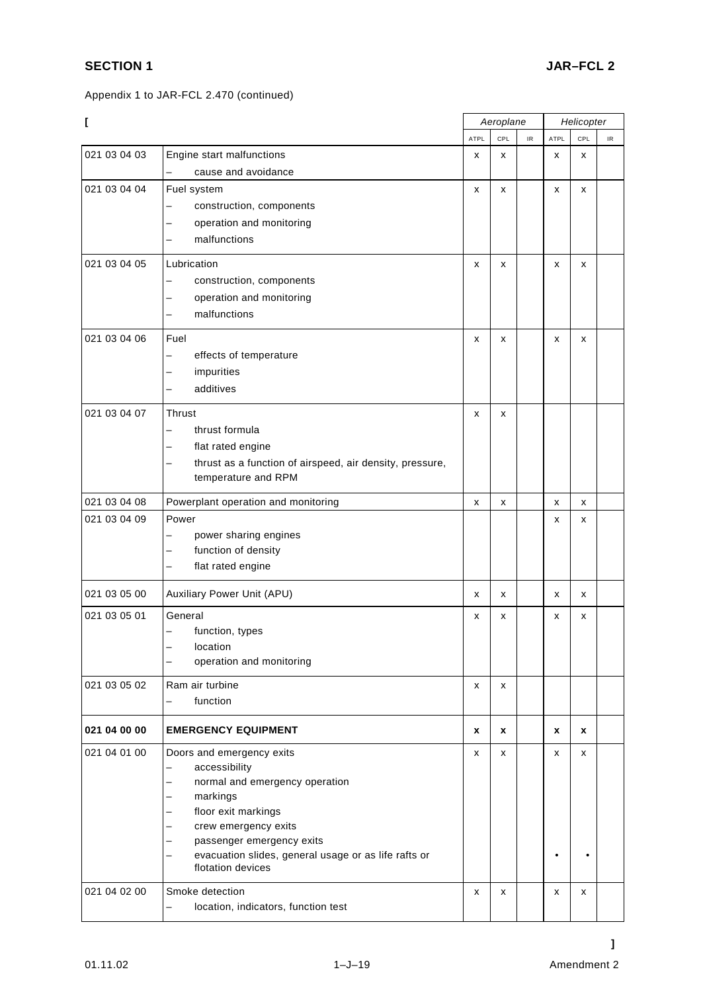$\blacksquare$ 

| I            |                                                                                  | Aeroplane |     | Helicopter                        |      |     |    |
|--------------|----------------------------------------------------------------------------------|-----------|-----|-----------------------------------|------|-----|----|
|              |                                                                                  | ATPL      | CPL | $\ensuremath{\mathsf{IR}}\xspace$ | ATPL | CPL | IR |
| 021 03 04 03 | Engine start malfunctions                                                        | x         | x   |                                   | x    | x   |    |
|              | cause and avoidance                                                              |           |     |                                   |      |     |    |
| 021 03 04 04 | Fuel system                                                                      | x         | x   |                                   | X    | X   |    |
|              | construction, components                                                         |           |     |                                   |      |     |    |
|              | operation and monitoring                                                         |           |     |                                   |      |     |    |
|              | malfunctions                                                                     |           |     |                                   |      |     |    |
| 021 03 04 05 | Lubrication                                                                      | X         | x   |                                   | X    | X   |    |
|              | construction, components                                                         |           |     |                                   |      |     |    |
|              | operation and monitoring<br>—                                                    |           |     |                                   |      |     |    |
|              | malfunctions<br>$\overline{\phantom{0}}$                                         |           |     |                                   |      |     |    |
| 021 03 04 06 | Fuel                                                                             | x         | x   |                                   | X    | x   |    |
|              | effects of temperature<br>$\overline{\phantom{0}}$                               |           |     |                                   |      |     |    |
|              | impurities<br>—                                                                  |           |     |                                   |      |     |    |
|              | additives<br>-                                                                   |           |     |                                   |      |     |    |
| 021 03 04 07 | Thrust                                                                           | X         | x   |                                   |      |     |    |
|              | thrust formula<br>—                                                              |           |     |                                   |      |     |    |
|              | flat rated engine                                                                |           |     |                                   |      |     |    |
|              | thrust as a function of airspeed, air density, pressure,                         |           |     |                                   |      |     |    |
|              | temperature and RPM                                                              |           |     |                                   |      |     |    |
| 021 03 04 08 | Powerplant operation and monitoring                                              | x         | x   |                                   | x    | X   |    |
| 021 03 04 09 | Power                                                                            |           |     |                                   | X    | X   |    |
|              | power sharing engines<br>—                                                       |           |     |                                   |      |     |    |
|              | function of density<br>—                                                         |           |     |                                   |      |     |    |
|              | flat rated engine<br>-                                                           |           |     |                                   |      |     |    |
| 021 03 05 00 | Auxiliary Power Unit (APU)                                                       | X         | X   |                                   | X    | X   |    |
| 021 03 05 01 | General                                                                          | х         | x   |                                   | х    | x   |    |
|              | function, types                                                                  |           |     |                                   |      |     |    |
|              | location                                                                         |           |     |                                   |      |     |    |
|              | operation and monitoring<br>—                                                    |           |     |                                   |      |     |    |
| 021 03 05 02 | Ram air turbine                                                                  | x         | x   |                                   |      |     |    |
|              | function<br>$\overline{\phantom{0}}$                                             |           |     |                                   |      |     |    |
| 021 04 00 00 | <b>EMERGENCY EQUIPMENT</b>                                                       | x         | X   |                                   | x    | x   |    |
| 021 04 01 00 | Doors and emergency exits                                                        | x         | x   |                                   | x    | x   |    |
|              | accessibility                                                                    |           |     |                                   |      |     |    |
|              | normal and emergency operation<br>—                                              |           |     |                                   |      |     |    |
|              | markings<br>-                                                                    |           |     |                                   |      |     |    |
|              | floor exit markings<br>—                                                         |           |     |                                   |      |     |    |
|              | crew emergency exits<br>passenger emergency exits                                |           |     |                                   |      |     |    |
|              | evacuation slides, general usage or as life rafts or<br>$\overline{\phantom{0}}$ |           |     |                                   | ٠    | ٠   |    |
|              | flotation devices                                                                |           |     |                                   |      |     |    |
| 021 04 02 00 | Smoke detection                                                                  | х         | x   |                                   | х    | X   |    |
|              | location, indicators, function test                                              |           |     |                                   |      |     |    |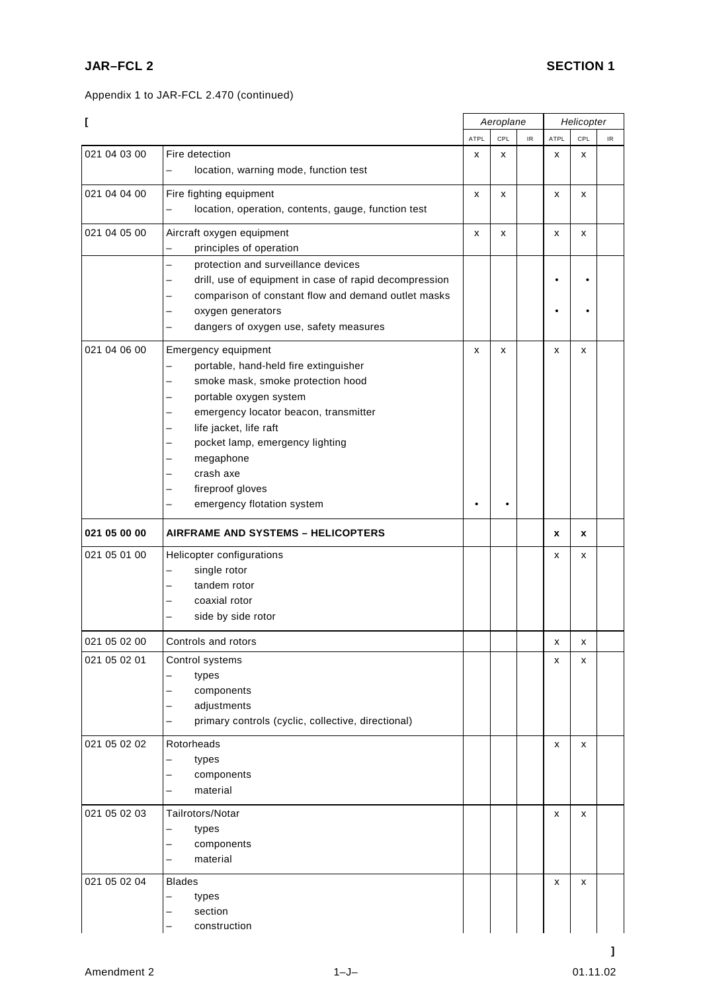| I            |                                                                                                                                                                                                                                                                                                                                                                                            |      | Aeroplane |                                   |      | Helicopter |                                   |  |
|--------------|--------------------------------------------------------------------------------------------------------------------------------------------------------------------------------------------------------------------------------------------------------------------------------------------------------------------------------------------------------------------------------------------|------|-----------|-----------------------------------|------|------------|-----------------------------------|--|
|              |                                                                                                                                                                                                                                                                                                                                                                                            | ATPL | CPL       | $\ensuremath{\mathsf{IR}}\xspace$ | ATPL | CPL        | $\ensuremath{\mathsf{IR}}\xspace$ |  |
| 021 04 03 00 | Fire detection<br>location, warning mode, function test                                                                                                                                                                                                                                                                                                                                    | x    | X         |                                   | x    | x          |                                   |  |
| 021 04 04 00 | Fire fighting equipment<br>location, operation, contents, gauge, function test                                                                                                                                                                                                                                                                                                             | x    | x         |                                   | х    | x          |                                   |  |
| 021 04 05 00 | Aircraft oxygen equipment<br>principles of operation                                                                                                                                                                                                                                                                                                                                       | x    | x         |                                   | х    | x          |                                   |  |
|              | protection and surveillance devices<br>drill, use of equipment in case of rapid decompression<br>$\overline{\phantom{0}}$<br>comparison of constant flow and demand outlet masks                                                                                                                                                                                                           |      |           |                                   |      |            |                                   |  |
|              | oxygen generators<br>dangers of oxygen use, safety measures<br>$\overline{\phantom{0}}$                                                                                                                                                                                                                                                                                                    |      |           |                                   |      |            |                                   |  |
| 021 04 06 00 | Emergency equipment<br>portable, hand-held fire extinguisher<br>$\qquad \qquad -$<br>smoke mask, smoke protection hood<br>portable oxygen system<br>emergency locator beacon, transmitter<br>$\overline{\phantom{0}}$<br>life jacket, life raft<br>$\overline{\phantom{0}}$<br>pocket lamp, emergency lighting<br>megaphone<br>crash axe<br>fireproof gloves<br>emergency flotation system | x    | X         |                                   | x    | x          |                                   |  |
| 021 05 00 00 | <b>AIRFRAME AND SYSTEMS - HELICOPTERS</b>                                                                                                                                                                                                                                                                                                                                                  |      |           |                                   | x    | x          |                                   |  |
| 021 05 01 00 | Helicopter configurations<br>single rotor<br>$\overline{\phantom{0}}$<br>tandem rotor<br>coaxial rotor<br>side by side rotor                                                                                                                                                                                                                                                               |      |           |                                   | x    | x          |                                   |  |
| 021 05 02 00 | Controls and rotors                                                                                                                                                                                                                                                                                                                                                                        |      |           |                                   | x    | x          |                                   |  |
| 021 05 02 01 | Control systems<br>types<br>$\overline{\phantom{0}}$<br>components<br>adjustments<br>primary controls (cyclic, collective, directional)                                                                                                                                                                                                                                                    |      |           |                                   | x    | x          |                                   |  |
| 021 05 02 02 | Rotorheads<br>types<br>—<br>components<br>material                                                                                                                                                                                                                                                                                                                                         |      |           |                                   | x    | X          |                                   |  |
| 021 05 02 03 | Tailrotors/Notar<br>types<br>—<br>components<br>$\qquad \qquad -$<br>material                                                                                                                                                                                                                                                                                                              |      |           |                                   | x    | X          |                                   |  |
| 021 05 02 04 | <b>Blades</b><br>types<br>section<br>construction                                                                                                                                                                                                                                                                                                                                          |      |           |                                   | x    | x          |                                   |  |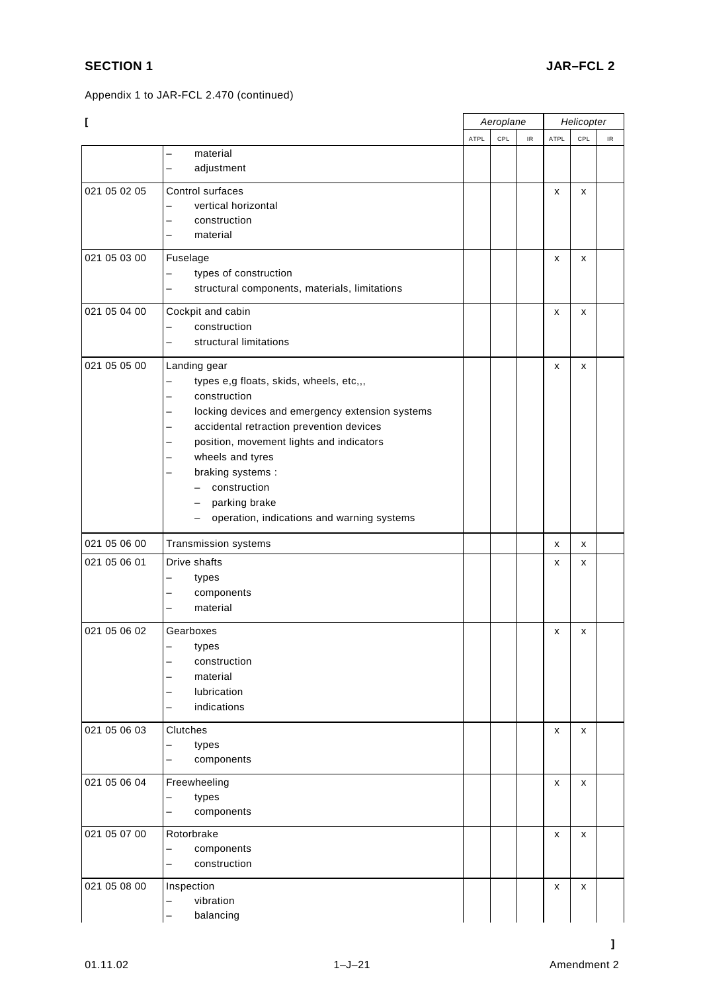|              |                                                                                                                                                                                                                                                                                                                                                           |             | Aeroplane |                                   |      | Helicopter |     |  |
|--------------|-----------------------------------------------------------------------------------------------------------------------------------------------------------------------------------------------------------------------------------------------------------------------------------------------------------------------------------------------------------|-------------|-----------|-----------------------------------|------|------------|-----|--|
|              |                                                                                                                                                                                                                                                                                                                                                           | <b>ATPL</b> | CPL       | $\ensuremath{\mathsf{IR}}\xspace$ | ATPL | CPL        | IR. |  |
|              | material<br>—<br>adjustment                                                                                                                                                                                                                                                                                                                               |             |           |                                   |      |            |     |  |
| 021 05 02 05 | Control surfaces<br>vertical horizontal<br>$\overline{\phantom{0}}$<br>construction<br>—<br>material<br>-                                                                                                                                                                                                                                                 |             |           |                                   | X    | x          |     |  |
| 021 05 03 00 | Fuselage<br>types of construction<br>—<br>structural components, materials, limitations                                                                                                                                                                                                                                                                   |             |           |                                   | X    | x          |     |  |
| 021 05 04 00 | Cockpit and cabin<br>construction<br>structural limitations                                                                                                                                                                                                                                                                                               |             |           |                                   | X    | x          |     |  |
| 021 05 05 00 | Landing gear<br>types e,g floats, skids, wheels, etc,,,<br>—<br>construction<br>locking devices and emergency extension systems<br>accidental retraction prevention devices<br>position, movement lights and indicators<br>wheels and tyres<br>-<br>braking systems :<br>—<br>construction<br>parking brake<br>operation, indications and warning systems |             |           |                                   | X    | x          |     |  |
| 021 05 06 00 | Transmission systems                                                                                                                                                                                                                                                                                                                                      |             |           |                                   | X    | x          |     |  |
| 021 05 06 01 | Drive shafts<br>types<br>-<br>components<br>material                                                                                                                                                                                                                                                                                                      |             |           |                                   | x    | x          |     |  |
| 021 05 06 02 | Gearboxes<br>types<br>construction<br>material<br>═<br>lubrication<br>-<br>indications                                                                                                                                                                                                                                                                    |             |           |                                   | х    | x          |     |  |
| 021 05 06 03 | Clutches<br>types<br>$\overline{\phantom{0}}$<br>components                                                                                                                                                                                                                                                                                               |             |           |                                   | X    | X          |     |  |
| 021 05 06 04 | Freewheeling<br>types<br>-<br>components                                                                                                                                                                                                                                                                                                                  |             |           |                                   | X    | x          |     |  |
| 021 05 07 00 | Rotorbrake<br>components<br>-<br>construction<br>$\overline{\phantom{0}}$                                                                                                                                                                                                                                                                                 |             |           |                                   | X    | X          |     |  |
| 021 05 08 00 | Inspection<br>vibration<br>—<br>balancing<br>-                                                                                                                                                                                                                                                                                                            |             |           |                                   | X    | x          |     |  |

**]**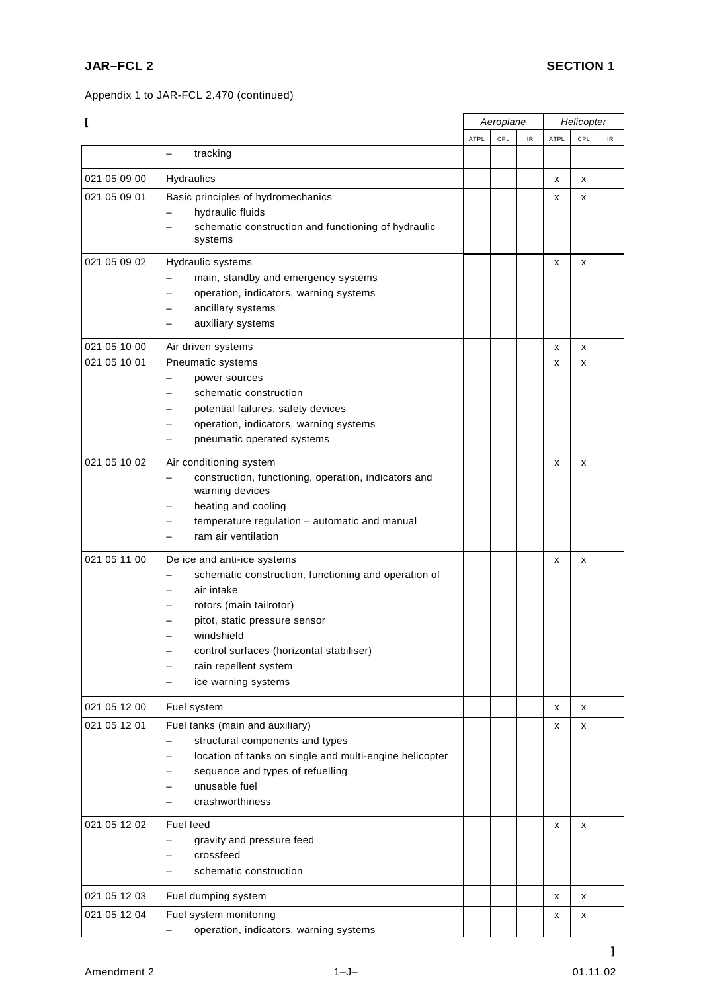| Т            |                                                                                     | Aeroplane   |     |     | Helicopter |     |     |
|--------------|-------------------------------------------------------------------------------------|-------------|-----|-----|------------|-----|-----|
|              |                                                                                     | <b>ATPL</b> | CPL | IR. | ATPL       | CPL | IR. |
|              | tracking<br>$\overline{\phantom{0}}$                                                |             |     |     |            |     |     |
| 021 05 09 00 | Hydraulics                                                                          |             |     |     | x          | X   |     |
| 021 05 09 01 | Basic principles of hydromechanics                                                  |             |     |     | x          | x   |     |
|              | hydraulic fluids                                                                    |             |     |     |            |     |     |
|              | schematic construction and functioning of hydraulic                                 |             |     |     |            |     |     |
|              | systems                                                                             |             |     |     |            |     |     |
| 021 05 09 02 | Hydraulic systems                                                                   |             |     |     | x          | X   |     |
|              | main, standby and emergency systems                                                 |             |     |     |            |     |     |
|              | operation, indicators, warning systems                                              |             |     |     |            |     |     |
|              | ancillary systems                                                                   |             |     |     |            |     |     |
|              | auxiliary systems                                                                   |             |     |     |            |     |     |
| 021 05 10 00 | Air driven systems                                                                  |             |     |     | x          | x   |     |
| 021 05 10 01 | Pneumatic systems                                                                   |             |     |     | x          | x   |     |
|              | power sources                                                                       |             |     |     |            |     |     |
|              | schematic construction                                                              |             |     |     |            |     |     |
|              | potential failures, safety devices                                                  |             |     |     |            |     |     |
|              | operation, indicators, warning systems<br>pneumatic operated systems                |             |     |     |            |     |     |
|              |                                                                                     |             |     |     |            |     |     |
| 021 05 10 02 | Air conditioning system                                                             |             |     |     | x          | x   |     |
|              | construction, functioning, operation, indicators and                                |             |     |     |            |     |     |
|              | warning devices<br>heating and cooling                                              |             |     |     |            |     |     |
|              | temperature regulation - automatic and manual                                       |             |     |     |            |     |     |
|              | ram air ventilation                                                                 |             |     |     |            |     |     |
| 021 05 11 00 |                                                                                     |             |     |     |            |     |     |
|              | De ice and anti-ice systems<br>schematic construction, functioning and operation of |             |     |     | X          | X   |     |
|              | air intake                                                                          |             |     |     |            |     |     |
|              | rotors (main tailrotor)                                                             |             |     |     |            |     |     |
|              | pitot, static pressure sensor                                                       |             |     |     |            |     |     |
|              | windshield                                                                          |             |     |     |            |     |     |
|              | control surfaces (horizontal stabiliser)                                            |             |     |     |            |     |     |
|              | rain repellent system                                                               |             |     |     |            |     |     |
|              | ice warning systems                                                                 |             |     |     |            |     |     |
| 021 05 12 00 | Fuel system                                                                         |             |     |     | x          | x   |     |
| 021 05 12 01 | Fuel tanks (main and auxiliary)                                                     |             |     |     | X          | x   |     |
|              | structural components and types                                                     |             |     |     |            |     |     |
|              | location of tanks on single and multi-engine helicopter                             |             |     |     |            |     |     |
|              | sequence and types of refuelling                                                    |             |     |     |            |     |     |
|              | unusable fuel                                                                       |             |     |     |            |     |     |
|              | crashworthiness                                                                     |             |     |     |            |     |     |
| 021 05 12 02 | Fuel feed                                                                           |             |     |     | x          | X   |     |
|              | gravity and pressure feed                                                           |             |     |     |            |     |     |
|              | crossfeed<br>-                                                                      |             |     |     |            |     |     |
|              | schematic construction                                                              |             |     |     |            |     |     |
| 021 05 12 03 | Fuel dumping system                                                                 |             |     |     | x          | x   |     |
| 021 05 12 04 | Fuel system monitoring                                                              |             |     |     | x          | x   |     |
|              | operation, indicators, warning systems                                              |             |     |     |            |     |     |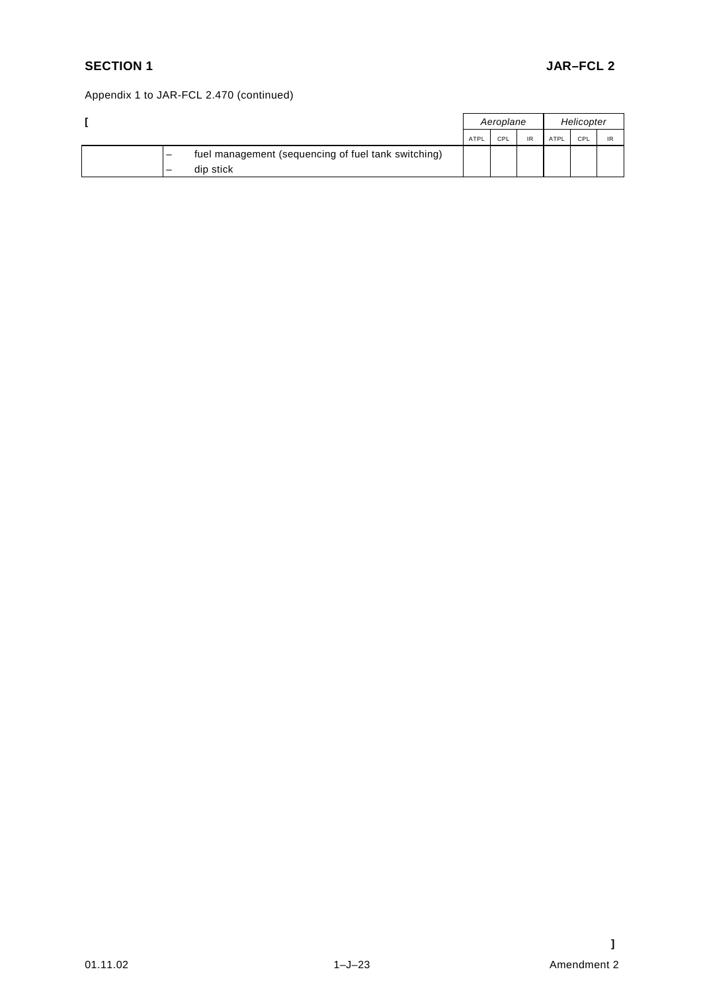|                          |                                                     | Aeroplane |     |           | Helicopter  |     |    |  |
|--------------------------|-----------------------------------------------------|-----------|-----|-----------|-------------|-----|----|--|
|                          |                                                     | ATPL      | CPL | <b>IR</b> | <b>ATPL</b> | CPL | IR |  |
| -                        | fuel management (sequencing of fuel tank switching) |           |     |           |             |     |    |  |
| $\overline{\phantom{0}}$ | dip stick                                           |           |     |           |             |     |    |  |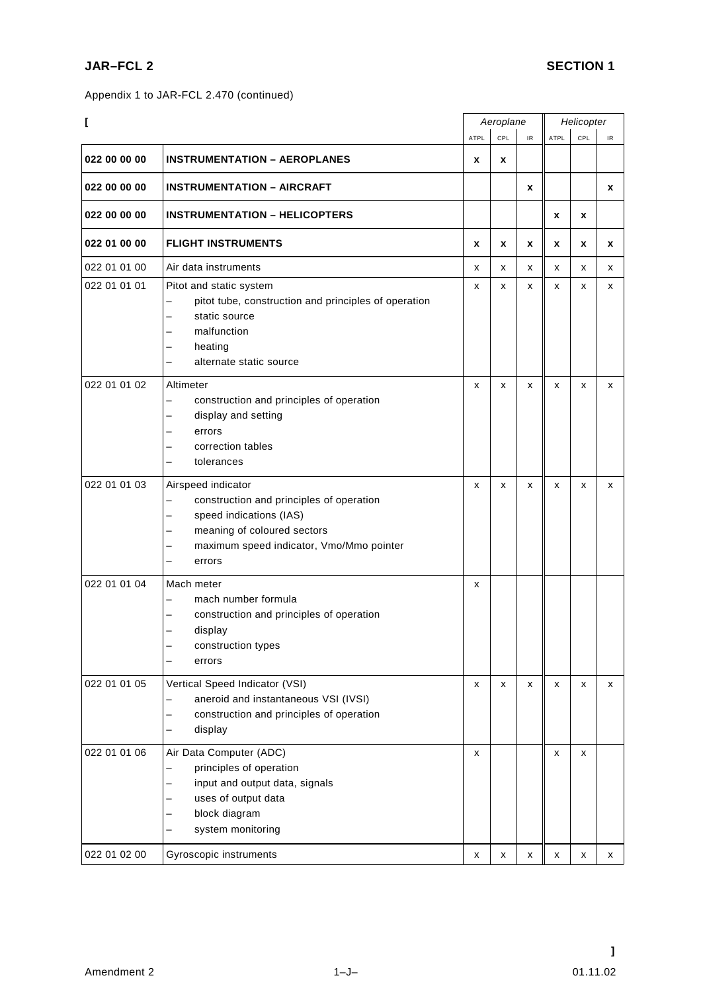٦

 $\blacksquare$ 

| L            |                                                                                                                                                                                               |      | Aeroplane |    |      | Helicopter |    |
|--------------|-----------------------------------------------------------------------------------------------------------------------------------------------------------------------------------------------|------|-----------|----|------|------------|----|
|              |                                                                                                                                                                                               | ATPL | CPL       | IR | ATPL | CPL        | IR |
| 022 00 00 00 | <b>INSTRUMENTATION - AEROPLANES</b>                                                                                                                                                           | x    | X         |    |      |            |    |
| 022 00 00 00 | <b>INSTRUMENTATION – AIRCRAFT</b>                                                                                                                                                             |      |           | x  |      |            | x  |
| 022 00 00 00 | <b>INSTRUMENTATION – HELICOPTERS</b>                                                                                                                                                          |      |           |    | x    | x          |    |
| 022 01 00 00 | <b>FLIGHT INSTRUMENTS</b>                                                                                                                                                                     | x    | x         | x  | X    | x          | x  |
| 022 01 01 00 | Air data instruments                                                                                                                                                                          | x    | x         | x  | x    | x          | x  |
| 022 01 01 01 | Pitot and static system<br>pitot tube, construction and principles of operation<br>static source<br>-<br>malfunction<br>—<br>heating<br>alternate static source                               | x    | X         | x  | X    | x          | x  |
| 022 01 01 02 | Altimeter<br>construction and principles of operation<br>-<br>display and setting<br>-<br>errors<br>correction tables<br>tolerances                                                           | x    | x         | x  | x    | x          | х  |
| 022 01 01 03 | Airspeed indicator<br>construction and principles of operation<br>-<br>speed indications (IAS)<br>-<br>meaning of coloured sectors<br>—<br>maximum speed indicator, Vmo/Mmo pointer<br>errors | x    | x         | x  | X    | x          | x  |
| 022 01 01 04 | Mach meter<br>mach number formula<br>-<br>construction and principles of operation<br>display<br>construction types<br>errors                                                                 | x    |           |    |      |            |    |
| 022 01 01 05 | Vertical Speed Indicator (VSI)<br>aneroid and instantaneous VSI (IVSI)<br>construction and principles of operation<br>display                                                                 | x    | x         | X  | X    | x          | x  |
| 022 01 01 06 | Air Data Computer (ADC)<br>principles of operation<br>input and output data, signals<br>uses of output data<br>block diagram<br>system monitoring                                             | X    |           |    | X    | x          |    |
| 022 01 02 00 | Gyroscopic instruments                                                                                                                                                                        | x    | x         | x  | x    | x          | x. |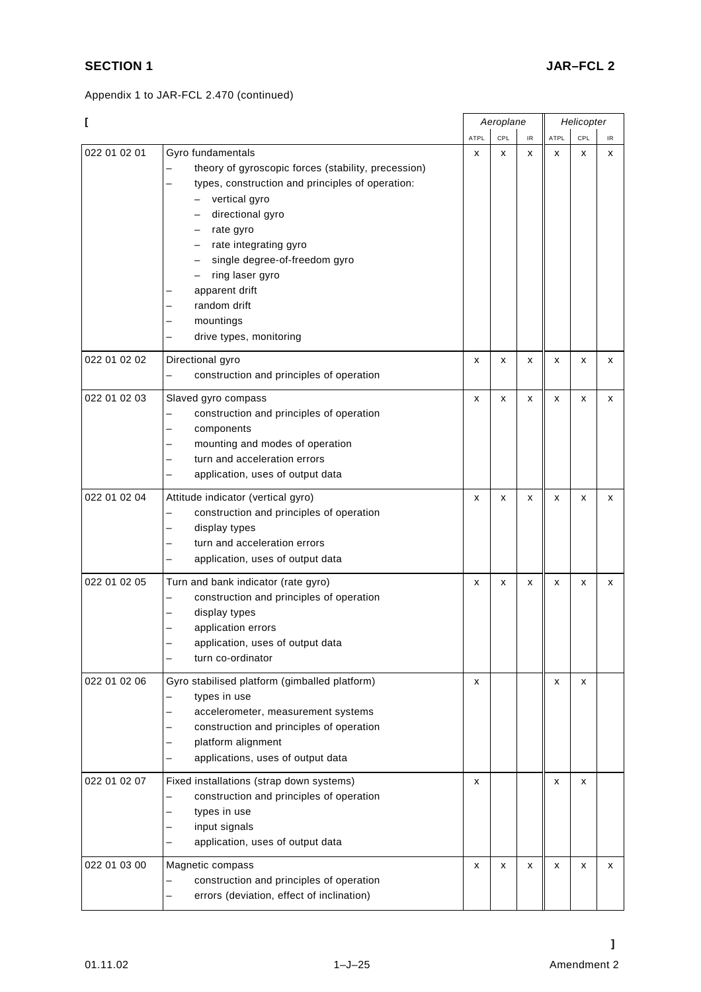| I                            |                                                                                                                                                                                                                                                                                                                                                                                                |      | Aeroplane |    |      | Helicopter |    |
|------------------------------|------------------------------------------------------------------------------------------------------------------------------------------------------------------------------------------------------------------------------------------------------------------------------------------------------------------------------------------------------------------------------------------------|------|-----------|----|------|------------|----|
|                              |                                                                                                                                                                                                                                                                                                                                                                                                | ATPL | CPL       | IR | ATPL | CPL        | IR |
| 022 01 02 01<br>022 01 02 02 | Gyro fundamentals<br>theory of gyroscopic forces (stability, precession)<br>types, construction and principles of operation:<br>—<br>vertical gyro<br>directional gyro<br>rate gyro<br>—<br>rate integrating gyro<br>$\qquad \qquad -$<br>single degree-of-freedom gyro<br>$\qquad \qquad -$<br>ring laser gyro<br>—<br>apparent drift<br>random drift<br>mountings<br>drive types, monitoring | х    | x         | x  | x    | x          | х  |
|                              | Directional gyro<br>construction and principles of operation<br>$\qquad \qquad -$                                                                                                                                                                                                                                                                                                              | X    | x         | x  | x    | X          | x  |
| 022 01 02 03                 | Slaved gyro compass<br>construction and principles of operation<br>components<br>mounting and modes of operation<br>-<br>turn and acceleration errors<br>—<br>application, uses of output data                                                                                                                                                                                                 | x    | X         | x  | x    | x          | x  |
| 022 01 02 04                 | Attitude indicator (vertical gyro)<br>construction and principles of operation<br>-<br>display types<br>-<br>turn and acceleration errors<br>application, uses of output data                                                                                                                                                                                                                  | X    | x         | x  | x    | x          | X  |
| 022 01 02 05                 | Turn and bank indicator (rate gyro)<br>construction and principles of operation<br>display types<br>application errors<br>application, uses of output data<br>turn co-ordinator                                                                                                                                                                                                                | x    | x         | x  | x    | x          | X  |
| 022 01 02 06                 | Gyro stabilised platform (gimballed platform)<br>types in use<br>accelerometer, measurement systems<br>construction and principles of operation<br>platform alignment<br>applications, uses of output data                                                                                                                                                                                     | x    |           |    | X    | x          |    |
| 022 01 02 07                 | Fixed installations (strap down systems)<br>construction and principles of operation<br>types in use<br>-<br>input signals<br>application, uses of output data                                                                                                                                                                                                                                 | X    |           |    | x    | x          |    |
| 022 01 03 00                 | Magnetic compass<br>construction and principles of operation<br>errors (deviation, effect of inclination)<br>-                                                                                                                                                                                                                                                                                 | x    | X         | x  | X    | x          | x  |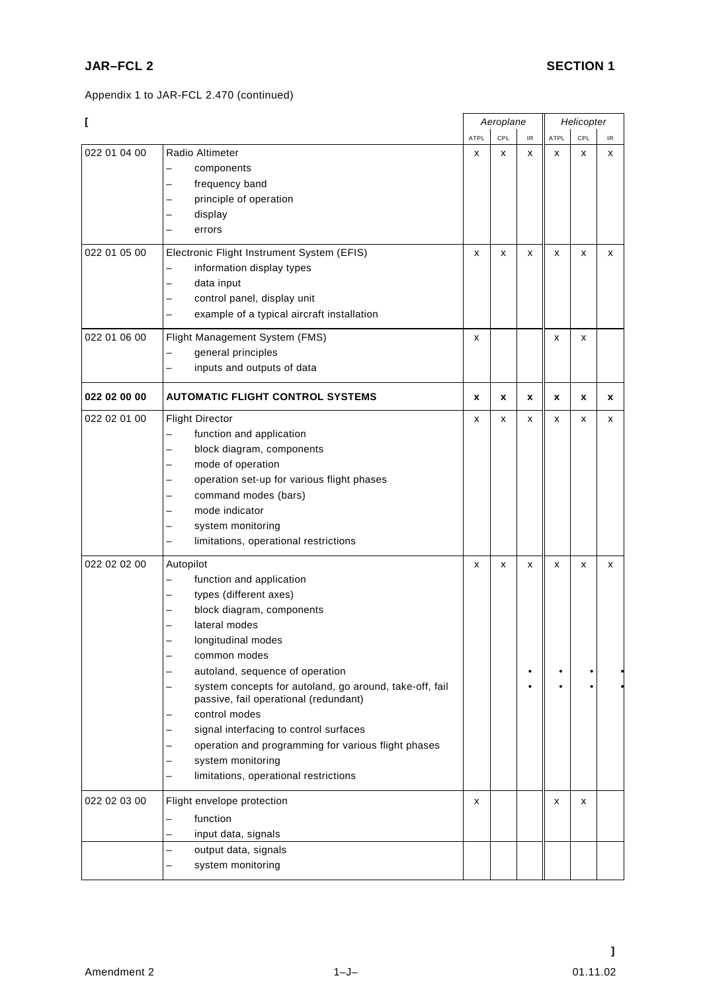| I            |                                                                                                                                                                                                                                                                                                                                                                                                                                                                                                               |      | Aeroplane<br>Helicopter |                                   |      |     |    |
|--------------|---------------------------------------------------------------------------------------------------------------------------------------------------------------------------------------------------------------------------------------------------------------------------------------------------------------------------------------------------------------------------------------------------------------------------------------------------------------------------------------------------------------|------|-------------------------|-----------------------------------|------|-----|----|
|              |                                                                                                                                                                                                                                                                                                                                                                                                                                                                                                               | ATPL | CPL                     | $\ensuremath{\mathsf{IR}}\xspace$ | ATPL | CPL | IR |
| 022 01 04 00 | Radio Altimeter<br>components<br>-<br>frequency band<br>-<br>principle of operation<br>-<br>display<br>-<br>errors<br>-                                                                                                                                                                                                                                                                                                                                                                                       | x    | x                       | x                                 | x    | x   | x  |
| 022 01 05 00 | Electronic Flight Instrument System (EFIS)<br>information display types<br>—<br>data input<br>—<br>control panel, display unit<br>—<br>example of a typical aircraft installation<br>-                                                                                                                                                                                                                                                                                                                        | x    | x                       | x                                 | x    | x   | х  |
| 022 01 06 00 | Flight Management System (FMS)<br>general principles<br>-<br>inputs and outputs of data<br>—                                                                                                                                                                                                                                                                                                                                                                                                                  | X    |                         |                                   | x    | x   |    |
| 022 02 00 00 | <b>AUTOMATIC FLIGHT CONTROL SYSTEMS</b>                                                                                                                                                                                                                                                                                                                                                                                                                                                                       | x    | X                       | x                                 | X    | x   | X  |
| 022 02 01 00 | <b>Flight Director</b><br>function and application<br>-<br>block diagram, components<br>—<br>mode of operation<br>-<br>operation set-up for various flight phases<br>-<br>command modes (bars)<br>-<br>mode indicator<br>system monitoring<br>-<br>limitations, operational restrictions<br>-                                                                                                                                                                                                                 | x    | x                       | x                                 | x    | x   | x  |
| 022 02 02 00 | Autopilot<br>function and application<br>-<br>types (different axes)<br>-<br>block diagram, components<br>-<br>lateral modes<br>longitudinal modes<br>common modes<br>autoland, sequence of operation<br>-<br>system concepts for autoland, go around, take-off, fail<br>-<br>passive, fail operational (redundant)<br>control modes<br>-<br>signal interfacing to control surfaces<br>operation and programming for various flight phases<br>system monitoring<br>-<br>limitations, operational restrictions | x    | x                       | x                                 | X    | x   | x  |
| 022 02 03 00 | Flight envelope protection<br>function<br>—<br>input data, signals<br>-                                                                                                                                                                                                                                                                                                                                                                                                                                       | x    |                         |                                   | x    | x   |    |
|              | output data, signals<br>-<br>system monitoring<br>-                                                                                                                                                                                                                                                                                                                                                                                                                                                           |      |                         |                                   |      |     |    |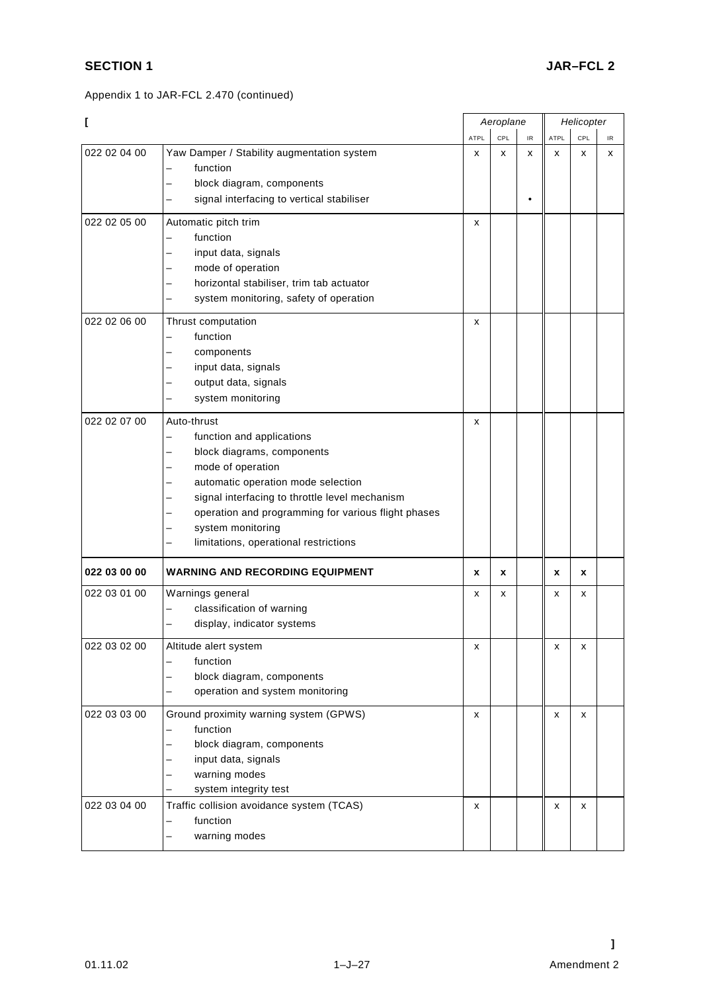| I            |                                                                                                                                                                                                                                                                                                               |      | Aeroplane |                                   |      | Helicopter |     |
|--------------|---------------------------------------------------------------------------------------------------------------------------------------------------------------------------------------------------------------------------------------------------------------------------------------------------------------|------|-----------|-----------------------------------|------|------------|-----|
|              |                                                                                                                                                                                                                                                                                                               | ATPL | CPL       | $\ensuremath{\mathsf{IR}}\xspace$ | ATPL | CPL        | IR. |
| 022 02 04 00 | Yaw Damper / Stability augmentation system<br>function<br>—<br>block diagram, components<br>—<br>signal interfacing to vertical stabiliser                                                                                                                                                                    | x    | x         | x                                 | x    | x          | x   |
| 022 02 05 00 | Automatic pitch trim<br>function<br>input data, signals<br>mode of operation<br>horizontal stabiliser, trim tab actuator<br>system monitoring, safety of operation                                                                                                                                            | x    |           |                                   |      |            |     |
| 022 02 06 00 | Thrust computation<br>function<br>components<br>input data, signals<br>output data, signals<br>system monitoring                                                                                                                                                                                              | x    |           |                                   |      |            |     |
| 022 02 07 00 | Auto-thrust<br>function and applications<br>—<br>block diagrams, components<br>mode of operation<br>automatic operation mode selection<br>signal interfacing to throttle level mechanism<br>operation and programming for various flight phases<br>system monitoring<br>limitations, operational restrictions | X    |           |                                   |      |            |     |
| 022 03 00 00 | <b>WARNING AND RECORDING EQUIPMENT</b>                                                                                                                                                                                                                                                                        | X    | x         |                                   | x    | x          |     |
| 022 03 01 00 | Warnings general<br>classification of warning<br>display, indicator systems                                                                                                                                                                                                                                   | x    | x         |                                   | x    | x          |     |
| 022 03 02 00 | Altitude alert system<br>function<br>block diagram, components<br>-<br>operation and system monitoring<br>$\overline{\phantom{0}}$                                                                                                                                                                            | x    |           |                                   | x    | x          |     |
| 022 03 03 00 | Ground proximity warning system (GPWS)<br>function<br>block diagram, components<br>input data, signals<br>warning modes<br>system integrity test                                                                                                                                                              | x    |           |                                   | x    | x          |     |
| 022 03 04 00 | Traffic collision avoidance system (TCAS)<br>function<br>warning modes<br>-                                                                                                                                                                                                                                   | x    |           |                                   | x    | X          |     |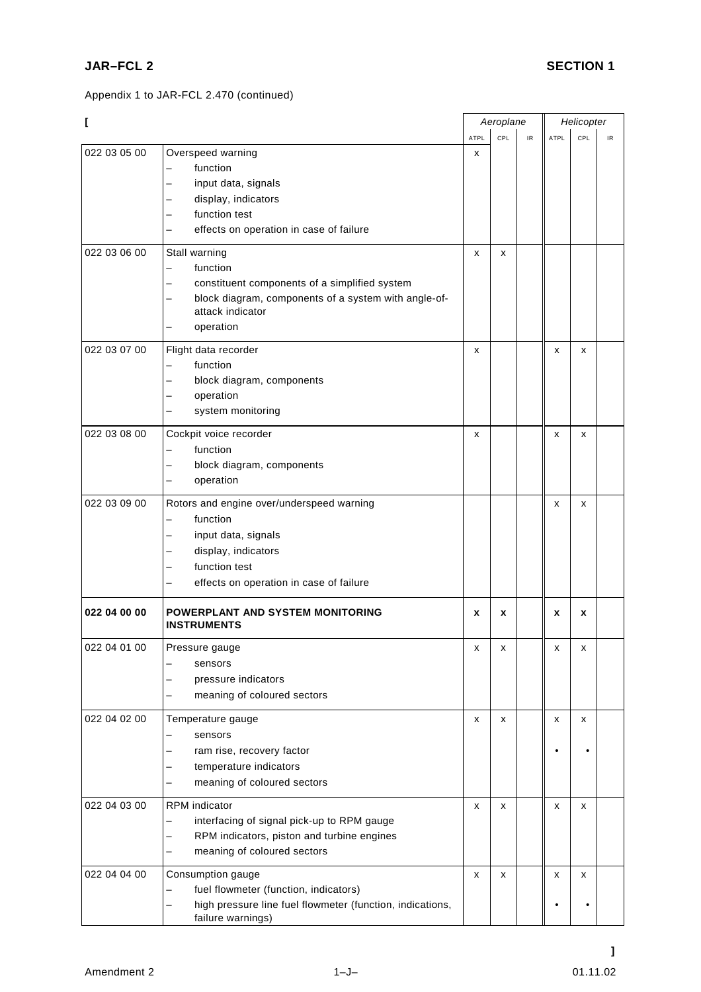|              |                                                           | Aeroplane |     |                                   | Helicopter |     |           |
|--------------|-----------------------------------------------------------|-----------|-----|-----------------------------------|------------|-----|-----------|
|              |                                                           | ATPL      | CPL | $\ensuremath{\mathsf{IR}}\xspace$ | ATPL       | CPL | <b>IR</b> |
| 022 03 05 00 | Overspeed warning                                         | x         |     |                                   |            |     |           |
|              | function                                                  |           |     |                                   |            |     |           |
|              | input data, signals                                       |           |     |                                   |            |     |           |
|              | display, indicators                                       |           |     |                                   |            |     |           |
|              | function test                                             |           |     |                                   |            |     |           |
|              | effects on operation in case of failure                   |           |     |                                   |            |     |           |
| 022 03 06 00 | Stall warning                                             | X         | x   |                                   |            |     |           |
|              | function                                                  |           |     |                                   |            |     |           |
|              | constituent components of a simplified system             |           |     |                                   |            |     |           |
|              | block diagram, components of a system with angle-of-      |           |     |                                   |            |     |           |
|              | attack indicator                                          |           |     |                                   |            |     |           |
|              | operation                                                 |           |     |                                   |            |     |           |
| 022 03 07 00 | Flight data recorder                                      | X         |     |                                   | X          | x   |           |
|              | function                                                  |           |     |                                   |            |     |           |
|              | block diagram, components                                 |           |     |                                   |            |     |           |
|              | operation                                                 |           |     |                                   |            |     |           |
|              | system monitoring                                         |           |     |                                   |            |     |           |
| 022 03 08 00 | Cockpit voice recorder                                    | x         |     |                                   | x          | x   |           |
|              | function                                                  |           |     |                                   |            |     |           |
|              | block diagram, components                                 |           |     |                                   |            |     |           |
|              | operation                                                 |           |     |                                   |            |     |           |
| 022 03 09 00 | Rotors and engine over/underspeed warning                 |           |     |                                   | x          | x   |           |
|              | function                                                  |           |     |                                   |            |     |           |
|              | input data, signals                                       |           |     |                                   |            |     |           |
|              | display, indicators                                       |           |     |                                   |            |     |           |
|              | function test                                             |           |     |                                   |            |     |           |
|              | effects on operation in case of failure                   |           |     |                                   |            |     |           |
| 022 04 00 00 | POWERPLANT AND SYSTEM MONITORING<br><b>INSTRUMENTS</b>    | X         | x   |                                   | X          | x   |           |
| 022 04 01 00 | Pressure gauge                                            | х         | x   |                                   | x          | x   |           |
|              | sensors                                                   |           |     |                                   |            |     |           |
|              | pressure indicators                                       |           |     |                                   |            |     |           |
|              | meaning of coloured sectors                               |           |     |                                   |            |     |           |
|              |                                                           |           |     |                                   |            |     |           |
| 022 04 02 00 | Temperature gauge                                         | x         | x   |                                   | x          | X   |           |
|              | sensors                                                   |           |     |                                   |            |     |           |
|              | ram rise, recovery factor                                 |           |     |                                   |            |     |           |
|              | temperature indicators                                    |           |     |                                   |            |     |           |
|              | meaning of coloured sectors                               |           |     |                                   |            |     |           |
| 022 04 03 00 | RPM indicator                                             | x         | x   |                                   | X          | x   |           |
|              | interfacing of signal pick-up to RPM gauge                |           |     |                                   |            |     |           |
|              | RPM indicators, piston and turbine engines                |           |     |                                   |            |     |           |
|              | meaning of coloured sectors                               |           |     |                                   |            |     |           |
| 022 04 04 00 | Consumption gauge                                         | x         | x   |                                   | x          | x   |           |
|              | fuel flowmeter (function, indicators)                     |           |     |                                   |            |     |           |
|              | high pressure line fuel flowmeter (function, indications, |           |     |                                   |            |     |           |
|              | failure warnings)                                         |           |     |                                   |            |     |           |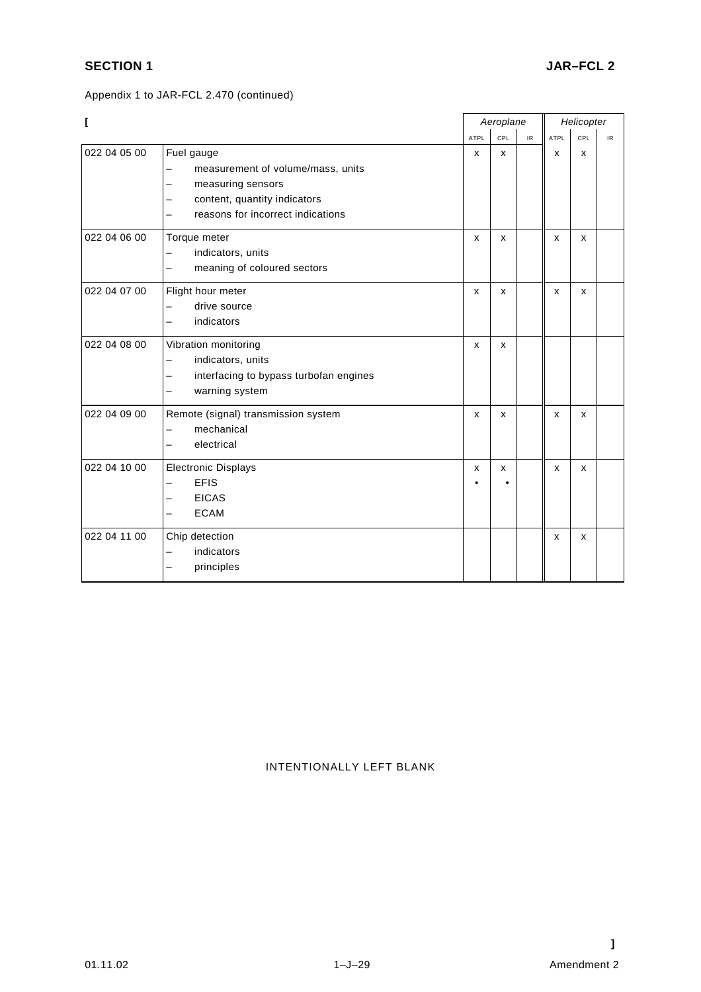|              |                                                                                                                                           |              |              | Aeroplane                         |              |     | Helicopter |
|--------------|-------------------------------------------------------------------------------------------------------------------------------------------|--------------|--------------|-----------------------------------|--------------|-----|------------|
|              |                                                                                                                                           | ATPL         | CPL          | $\ensuremath{\mathsf{IR}}\xspace$ | ATPL         | CPL | IR.        |
| 022 04 05 00 | Fuel gauge<br>measurement of volume/mass, units<br>measuring sensors<br>content, quantity indicators<br>reasons for incorrect indications | X            | X            |                                   | x            | X   |            |
| 022 04 06 00 | Torque meter<br>indicators, units<br>—<br>meaning of coloured sectors<br>$\overline{\phantom{0}}$                                         | $\mathsf{x}$ | X            |                                   | X            | x   |            |
| 022 04 07 00 | Flight hour meter<br>drive source<br>indicators<br>—                                                                                      | X            | x            |                                   | x            | X   |            |
| 022 04 08 00 | Vibration monitoring<br>indicators, units<br>interfacing to bypass turbofan engines<br>—<br>warning system<br>-                           | $\mathbf{x}$ | $\mathsf{x}$ |                                   |              |     |            |
| 022 04 09 00 | Remote (signal) transmission system<br>mechanical<br>-<br>electrical                                                                      | X            | x            |                                   | x            | X   |            |
| 022 04 10 00 | <b>Electronic Displays</b><br><b>EFIS</b><br>-<br><b>EICAS</b><br><b>ECAM</b>                                                             | X            | X            |                                   | $\mathsf{x}$ | X   |            |
| 022 04 11 00 | Chip detection<br>indicators<br>-<br>principles                                                                                           |              |              |                                   | X            | X   |            |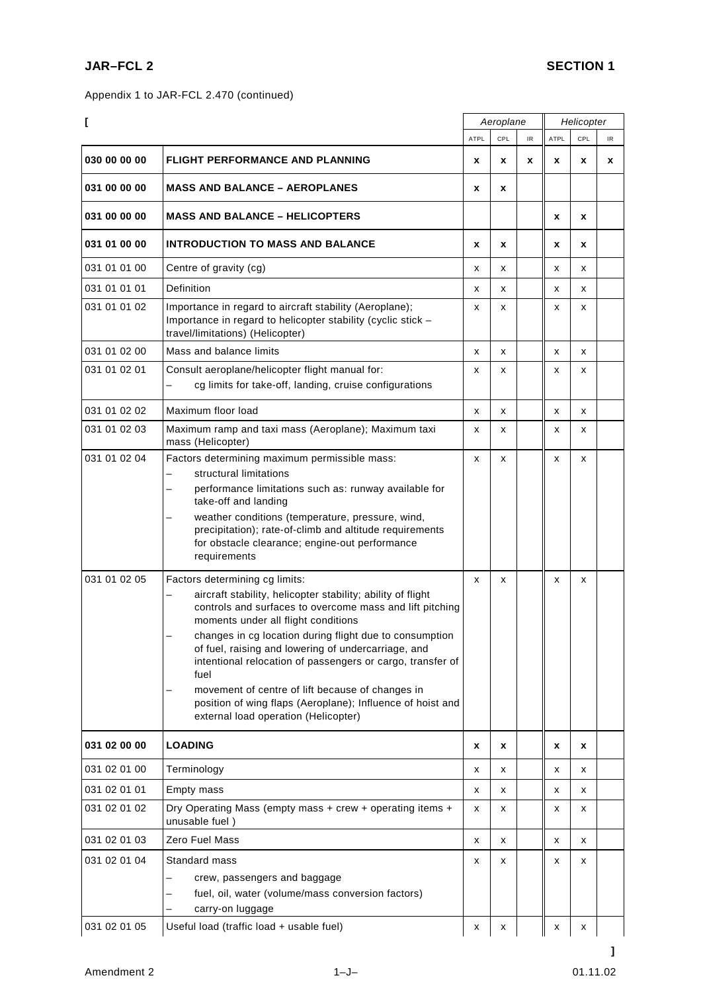|                              |                                                                                                                                                                                                                                                                                                                                                                                                                                                                                                                                               | ATPL   | CPL    | $\ensuremath{\mathsf{IR}}\xspace$ | ATPL   | CPL    | IR |
|------------------------------|-----------------------------------------------------------------------------------------------------------------------------------------------------------------------------------------------------------------------------------------------------------------------------------------------------------------------------------------------------------------------------------------------------------------------------------------------------------------------------------------------------------------------------------------------|--------|--------|-----------------------------------|--------|--------|----|
| 030 00 00 00                 | <b>FLIGHT PERFORMANCE AND PLANNING</b>                                                                                                                                                                                                                                                                                                                                                                                                                                                                                                        | X      | x      | x                                 | x      | x      | x  |
| 031 00 00 00                 | <b>MASS AND BALANCE – AEROPLANES</b>                                                                                                                                                                                                                                                                                                                                                                                                                                                                                                          | X      | X      |                                   |        |        |    |
| 031 00 00 00                 | <b>MASS AND BALANCE – HELICOPTERS</b>                                                                                                                                                                                                                                                                                                                                                                                                                                                                                                         |        |        |                                   | x      | x      |    |
| 031 01 00 00                 | <b>INTRODUCTION TO MASS AND BALANCE</b>                                                                                                                                                                                                                                                                                                                                                                                                                                                                                                       | X      | X      |                                   | x      | x      |    |
| 031 01 01 00                 | Centre of gravity (cg)                                                                                                                                                                                                                                                                                                                                                                                                                                                                                                                        | x      | x      |                                   | x      | x      |    |
| 031 01 01 01                 | Definition                                                                                                                                                                                                                                                                                                                                                                                                                                                                                                                                    | x      | x      |                                   | X      | X      |    |
| 031 01 01 02                 | Importance in regard to aircraft stability (Aeroplane);<br>Importance in regard to helicopter stability (cyclic stick -<br>travel/limitations) (Helicopter)                                                                                                                                                                                                                                                                                                                                                                                   | x      | x      |                                   | x      | x      |    |
| 031 01 02 00                 | Mass and balance limits                                                                                                                                                                                                                                                                                                                                                                                                                                                                                                                       | x      | x      |                                   | x      | x      |    |
| 031 01 02 01                 | Consult aeroplane/helicopter flight manual for:<br>cg limits for take-off, landing, cruise configurations                                                                                                                                                                                                                                                                                                                                                                                                                                     | x      | x      |                                   | х      | x      |    |
| 031 01 02 02                 | Maximum floor load                                                                                                                                                                                                                                                                                                                                                                                                                                                                                                                            | х      | x      |                                   | x      | x      |    |
| 031 01 02 03                 | Maximum ramp and taxi mass (Aeroplane); Maximum taxi<br>mass (Helicopter)                                                                                                                                                                                                                                                                                                                                                                                                                                                                     | x      | x      |                                   | X      | x      |    |
| 031 01 02 04<br>031 01 02 05 | Factors determining maximum permissible mass:<br>structural limitations<br>performance limitations such as: runway available for<br>take-off and landing<br>weather conditions (temperature, pressure, wind,<br>precipitation); rate-of-climb and altitude requirements<br>for obstacle clearance; engine-out performance<br>requirements<br>Factors determining cg limits:<br>aircraft stability, helicopter stability; ability of flight<br>controls and surfaces to overcome mass and lift pitching<br>moments under all flight conditions | X<br>X | x<br>x |                                   | X<br>x | X<br>x |    |
|                              | changes in cg location during flight due to consumption<br>of fuel, raising and lowering of undercarriage, and<br>intentional relocation of passengers or cargo, transfer of<br>fuel<br>movement of centre of lift because of changes in<br>position of wing flaps (Aeroplane); Influence of hoist and<br>external load operation (Helicopter)                                                                                                                                                                                                |        |        |                                   |        |        |    |
| 031 02 00 00                 | <b>LOADING</b>                                                                                                                                                                                                                                                                                                                                                                                                                                                                                                                                | X      | X      |                                   | x      | x      |    |
| 031 02 01 00                 | Terminology                                                                                                                                                                                                                                                                                                                                                                                                                                                                                                                                   | х      | x      |                                   | х      | х      |    |
| 031 02 01 01                 | Empty mass                                                                                                                                                                                                                                                                                                                                                                                                                                                                                                                                    | x      | x      |                                   | x      | X      |    |
| 031 02 01 02                 | Dry Operating Mass (empty mass + crew + operating items +<br>unusable fuel)                                                                                                                                                                                                                                                                                                                                                                                                                                                                   | х      | x      |                                   | х      | х      |    |
| 031 02 01 03                 | Zero Fuel Mass                                                                                                                                                                                                                                                                                                                                                                                                                                                                                                                                | x      | x      |                                   | X      | X      |    |
| 031 02 01 04<br>031 02 01 05 | Standard mass<br>crew, passengers and baggage<br>-<br>fuel, oil, water (volume/mass conversion factors)<br>-<br>carry-on luggage                                                                                                                                                                                                                                                                                                                                                                                                              | x      | x      |                                   | x      | х      |    |
|                              | Useful load (traffic load + usable fuel)                                                                                                                                                                                                                                                                                                                                                                                                                                                                                                      | X      | х      |                                   | x      | x      |    |

**[** *Aeroplane Helicopter*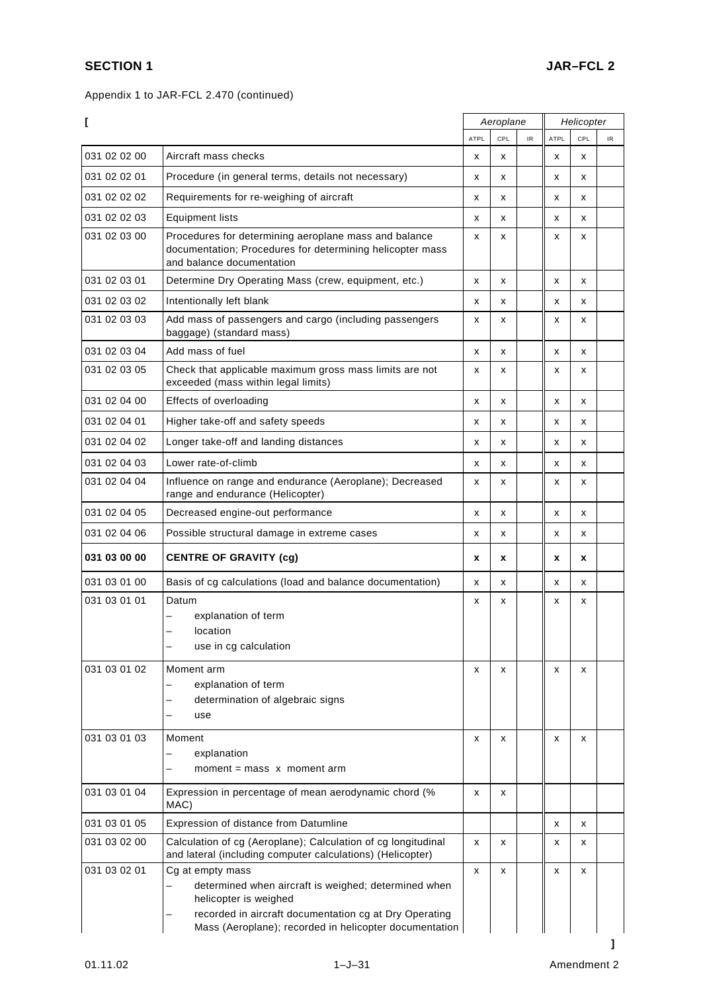|              |                                                                                                                                                                                                                            | Aeroplane |              |     | Helicopter |     |     |
|--------------|----------------------------------------------------------------------------------------------------------------------------------------------------------------------------------------------------------------------------|-----------|--------------|-----|------------|-----|-----|
|              |                                                                                                                                                                                                                            | ATPL      | CPL          | IR. | ATPL       | CPL | IR. |
| 031 02 02 00 | Aircraft mass checks                                                                                                                                                                                                       | x         | x            |     | x          | x   |     |
| 031 02 02 01 | Procedure (in general terms, details not necessary)                                                                                                                                                                        | x         | X            |     | x          | X   |     |
| 031 02 02 02 | Requirements for re-weighing of aircraft                                                                                                                                                                                   | x         | x            |     | x          | x   |     |
| 031 02 02 03 | <b>Equipment lists</b>                                                                                                                                                                                                     | x         | x            |     | X          | X   |     |
| 031 02 03 00 | Procedures for determining aeroplane mass and balance<br>documentation; Procedures for determining helicopter mass<br>and balance documentation                                                                            | x         | x            |     | x          | x   |     |
| 031 02 03 01 | Determine Dry Operating Mass (crew, equipment, etc.)                                                                                                                                                                       | X         | X            |     | x          | X   |     |
| 031 02 03 02 | Intentionally left blank                                                                                                                                                                                                   | x         | х            |     | x          | х   |     |
| 031 02 03 03 | Add mass of passengers and cargo (including passengers<br>baggage) (standard mass)                                                                                                                                         | X         | x            |     | x          | X   |     |
| 031 02 03 04 | Add mass of fuel                                                                                                                                                                                                           | x         | x            |     | x          | x   |     |
| 031 02 03 05 | Check that applicable maximum gross mass limits are not<br>exceeded (mass within legal limits)                                                                                                                             | x         | x            |     | x          | x   |     |
| 031 02 04 00 | Effects of overloading                                                                                                                                                                                                     | X         | X            |     | x          | X   |     |
| 031 02 04 01 | Higher take-off and safety speeds                                                                                                                                                                                          | x         | x            |     | x          | x   |     |
| 031 02 04 02 | Longer take-off and landing distances                                                                                                                                                                                      | x         | x            |     | x          | x   |     |
| 031 02 04 03 | Lower rate-of-climb                                                                                                                                                                                                        | x         | x            |     | x          | x   |     |
| 031 02 04 04 | Influence on range and endurance (Aeroplane); Decreased<br>range and endurance (Helicopter)                                                                                                                                | x         | x            |     | x          | X   |     |
| 031 02 04 05 | Decreased engine-out performance                                                                                                                                                                                           | x         | x            |     | x          | X   |     |
| 031 02 04 06 | Possible structural damage in extreme cases                                                                                                                                                                                | x         | X            |     | x          | X   |     |
| 031 03 00 00 | <b>CENTRE OF GRAVITY (cg)</b>                                                                                                                                                                                              | x         | $\mathbf{x}$ |     | x          | x   |     |
| 031 03 01 00 | Basis of cg calculations (load and balance documentation)                                                                                                                                                                  | x         | x            |     | X          | x   |     |
| 031 03 01 01 | Datum<br>explanation of term<br>location<br>use in cg calculation                                                                                                                                                          | x         | x            |     | X          | X   |     |
| 031 03 01 02 | Moment arm<br>explanation of term<br>determination of algebraic signs<br>use                                                                                                                                               | x         | X            |     | X          | X   |     |
| 031 03 01 03 | Moment<br>explanation<br>moment = $mass \times moment$ arm                                                                                                                                                                 | x         | x            |     | x          | X   |     |
| 031 03 01 04 | Expression in percentage of mean aerodynamic chord (%<br>MAC)                                                                                                                                                              | x         | x            |     |            |     |     |
| 031 03 01 05 | Expression of distance from Datumline                                                                                                                                                                                      |           |              |     | х          | x   |     |
| 031 03 02 00 | Calculation of cg (Aeroplane); Calculation of cg longitudinal<br>and lateral (including computer calculations) (Helicopter)                                                                                                | x         | x            |     | x          | X   |     |
| 031 03 02 01 | Cg at empty mass<br>determined when aircraft is weighed; determined when<br>—<br>helicopter is weighed<br>recorded in aircraft documentation cg at Dry Operating<br>Mass (Aeroplane); recorded in helicopter documentation | x         | x            |     | X          | x   |     |

**]**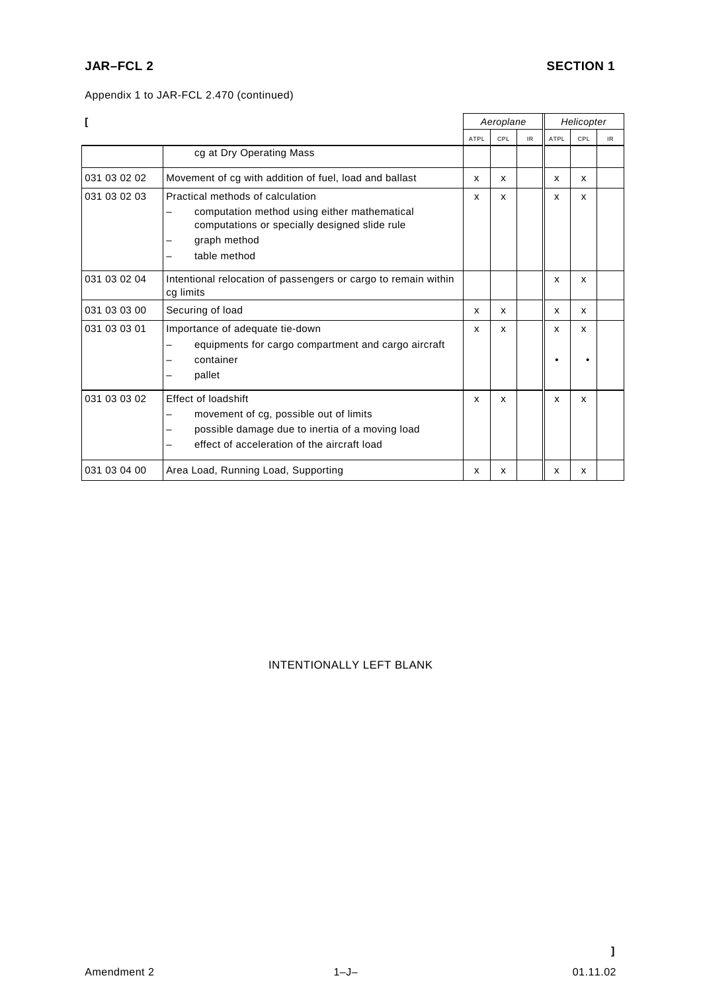### Appendix 1 to JAR-FCL 2.470 (continued)

|              |                                                                                                                                                                        | Aeroplane    |     |     | Helicopter   |     |     |  |
|--------------|------------------------------------------------------------------------------------------------------------------------------------------------------------------------|--------------|-----|-----|--------------|-----|-----|--|
|              |                                                                                                                                                                        | <b>ATPL</b>  | CPL | IR. | <b>ATPL</b>  | CPL | IR. |  |
|              | cg at Dry Operating Mass                                                                                                                                               |              |     |     |              |     |     |  |
| 031 03 02 02 | Movement of cg with addition of fuel, load and ballast                                                                                                                 | X            | X   |     | X            | x   |     |  |
| 031 03 02 03 | Practical methods of calculation<br>computation method using either mathematical<br>computations or specially designed slide rule<br>graph method<br>table method<br>- | X            | x   |     | X            | x   |     |  |
| 031 03 02 04 | Intentional relocation of passengers or cargo to remain within<br>cg limits                                                                                            |              |     |     | X            | x   |     |  |
| 031 03 03 00 | Securing of load                                                                                                                                                       | $\mathbf{x}$ | X   |     | $\mathbf{x}$ | x   |     |  |
| 031 03 03 01 | Importance of adequate tie-down<br>equipments for cargo compartment and cargo aircraft<br>container<br>pallet                                                          | x            | x   |     | x            | x   |     |  |
| 031 03 03 02 | Effect of loadshift<br>movement of cg, possible out of limits<br>possible damage due to inertia of a moving load<br>effect of acceleration of the aircraft load        | X            | X   |     | X            | X   |     |  |
| 031 03 04 00 | Area Load, Running Load, Supporting                                                                                                                                    | X            | X   |     | X            | X   |     |  |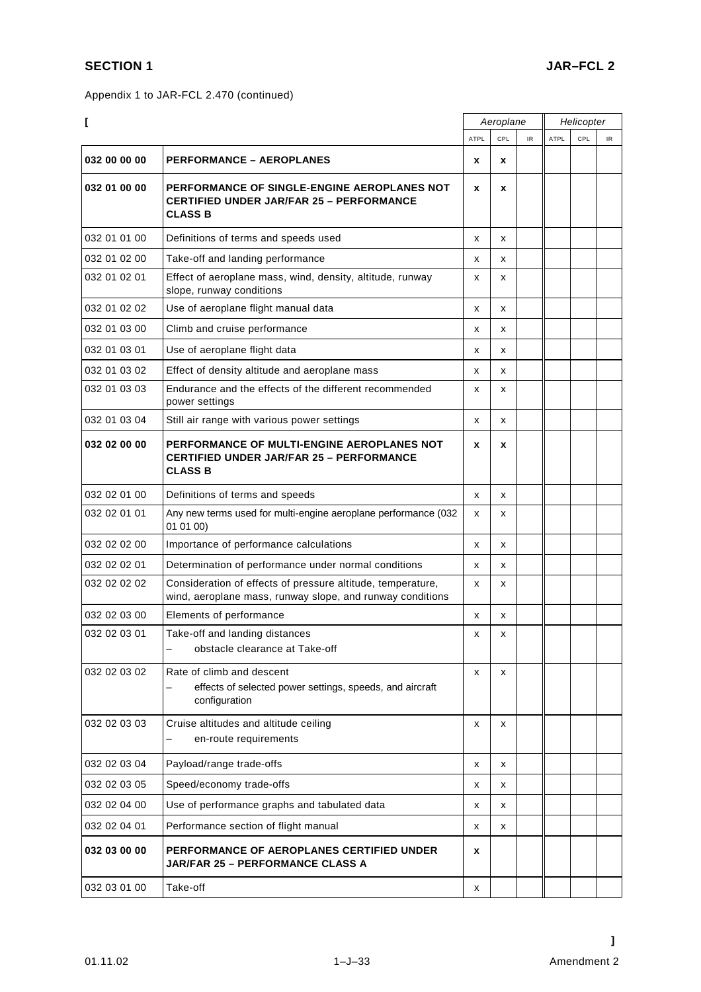| I            |                                                                                                                          | Aeroplane |     |     | Helicopter |     |    |
|--------------|--------------------------------------------------------------------------------------------------------------------------|-----------|-----|-----|------------|-----|----|
|              |                                                                                                                          | ATPL      | CPL | IR. | ATPL       | CPL | IR |
| 032 00 00 00 | <b>PERFORMANCE – AEROPLANES</b>                                                                                          | x         | x   |     |            |     |    |
| 032 01 00 00 | PERFORMANCE OF SINGLE-ENGINE AEROPLANES NOT<br><b>CERTIFIED UNDER JAR/FAR 25 - PERFORMANCE</b><br><b>CLASS B</b>         | x         | X   |     |            |     |    |
| 032 01 01 00 | Definitions of terms and speeds used                                                                                     | x         | x   |     |            |     |    |
| 032 01 02 00 | Take-off and landing performance                                                                                         | X         | x   |     |            |     |    |
| 032 01 02 01 | Effect of aeroplane mass, wind, density, altitude, runway<br>slope, runway conditions                                    | x         | x   |     |            |     |    |
| 032 01 02 02 | Use of aeroplane flight manual data                                                                                      | X         | x   |     |            |     |    |
| 032 01 03 00 | Climb and cruise performance                                                                                             | x         | x   |     |            |     |    |
| 032 01 03 01 | Use of aeroplane flight data                                                                                             | x         | x   |     |            |     |    |
| 032 01 03 02 | Effect of density altitude and aeroplane mass                                                                            | x         | x   |     |            |     |    |
| 032 01 03 03 | Endurance and the effects of the different recommended<br>power settings                                                 | X         | x   |     |            |     |    |
| 032 01 03 04 | Still air range with various power settings                                                                              | x         | x   |     |            |     |    |
| 032 02 00 00 | PERFORMANCE OF MULTI-ENGINE AEROPLANES NOT<br><b>CERTIFIED UNDER JAR/FAR 25 - PERFORMANCE</b><br><b>CLASS B</b>          | x         | x   |     |            |     |    |
| 032 02 01 00 | Definitions of terms and speeds                                                                                          | x         | x   |     |            |     |    |
| 032 02 01 01 | Any new terms used for multi-engine aeroplane performance (032<br>01 01 00)                                              | x         | x   |     |            |     |    |
| 032 02 02 00 | Importance of performance calculations                                                                                   | x         | x   |     |            |     |    |
| 032 02 02 01 | Determination of performance under normal conditions                                                                     | x         | x   |     |            |     |    |
| 032 02 02 02 | Consideration of effects of pressure altitude, temperature,<br>wind, aeroplane mass, runway slope, and runway conditions | x         | x   |     |            |     |    |
| 032 02 03 00 | Elements of performance                                                                                                  | x         | х   |     |            |     |    |
| 032 02 03 01 | Take-off and landing distances<br>obstacle clearance at Take-off                                                         | х         | x   |     |            |     |    |
| 032 02 03 02 | Rate of climb and descent<br>effects of selected power settings, speeds, and aircraft<br>configuration                   | X         | X   |     |            |     |    |
| 032 02 03 03 | Cruise altitudes and altitude ceiling<br>en-route requirements                                                           | x         | x   |     |            |     |    |
| 032 02 03 04 | Payload/range trade-offs                                                                                                 | x         | x   |     |            |     |    |
| 032 02 03 05 | Speed/economy trade-offs                                                                                                 | x         | х   |     |            |     |    |
| 032 02 04 00 | Use of performance graphs and tabulated data                                                                             | х         | х   |     |            |     |    |
| 032 02 04 01 | Performance section of flight manual                                                                                     | х         | x   |     |            |     |    |
| 032 03 00 00 | PERFORMANCE OF AEROPLANES CERTIFIED UNDER<br><b>JAR/FAR 25 - PERFORMANCE CLASS A</b>                                     | x         |     |     |            |     |    |
| 032 03 01 00 | Take-off                                                                                                                 | x         |     |     |            |     |    |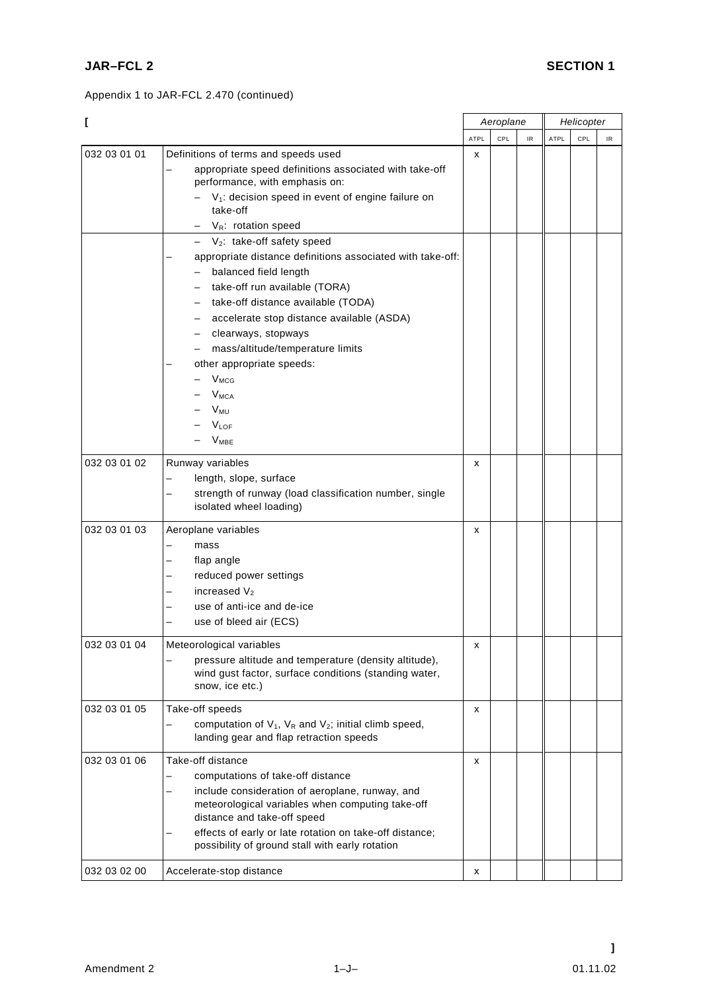| L            |                                                                                                                                                                                                                                                                                                                                                                                                                                  | Aeroplane |     |                                   | Helicopter |     |    |
|--------------|----------------------------------------------------------------------------------------------------------------------------------------------------------------------------------------------------------------------------------------------------------------------------------------------------------------------------------------------------------------------------------------------------------------------------------|-----------|-----|-----------------------------------|------------|-----|----|
|              |                                                                                                                                                                                                                                                                                                                                                                                                                                  | ATPL      | CPL | $\ensuremath{\mathsf{IR}}\xspace$ | ATPL       | CPL | IR |
| 032 03 01 01 | Definitions of terms and speeds used<br>appropriate speed definitions associated with take-off<br>performance, with emphasis on:<br>V <sub>1</sub> : decision speed in event of engine failure on<br>take-off<br>$-$ V <sub>R</sub> : rotation speed                                                                                                                                                                             | x         |     |                                   |            |     |    |
|              | V <sub>2</sub> : take-off safety speed<br>$-$<br>appropriate distance definitions associated with take-off:<br>balanced field length<br>take-off run available (TORA)<br>take-off distance available (TODA)<br>accelerate stop distance available (ASDA)<br>clearways, stopways<br>mass/altitude/temperature limits<br>other appropriate speeds:<br>$V_{MCG}$<br><b>V</b> <sub>MCA</sub><br>$V_{MU}$<br><b>VLOF</b><br>$V_{MBE}$ |           |     |                                   |            |     |    |
| 032 03 01 02 | Runway variables<br>length, slope, surface<br>strength of runway (load classification number, single<br>isolated wheel loading)                                                                                                                                                                                                                                                                                                  | X         |     |                                   |            |     |    |
| 032 03 01 03 | Aeroplane variables<br>mass<br>flap angle<br>reduced power settings<br>increased $V_2$<br>use of anti-ice and de-ice<br>use of bleed air (ECS)                                                                                                                                                                                                                                                                                   | x         |     |                                   |            |     |    |
| 032 03 01 04 | Meteorological variables<br>pressure altitude and temperature (density altitude),<br>wind gust factor, surface conditions (standing water,<br>snow, ice etc.)                                                                                                                                                                                                                                                                    | x         |     |                                   |            |     |    |
| 032 03 01 05 | Take-off speeds<br>computation of $V_1$ , $V_R$ and $V_2$ ; initial climb speed,<br>landing gear and flap retraction speeds                                                                                                                                                                                                                                                                                                      | x         |     |                                   |            |     |    |
| 032 03 01 06 | Take-off distance<br>computations of take-off distance<br>include consideration of aeroplane, runway, and<br>meteorological variables when computing take-off<br>distance and take-off speed<br>effects of early or late rotation on take-off distance;<br>possibility of ground stall with early rotation                                                                                                                       | x         |     |                                   |            |     |    |
| 032 03 02 00 | Accelerate-stop distance                                                                                                                                                                                                                                                                                                                                                                                                         | х         |     |                                   |            |     |    |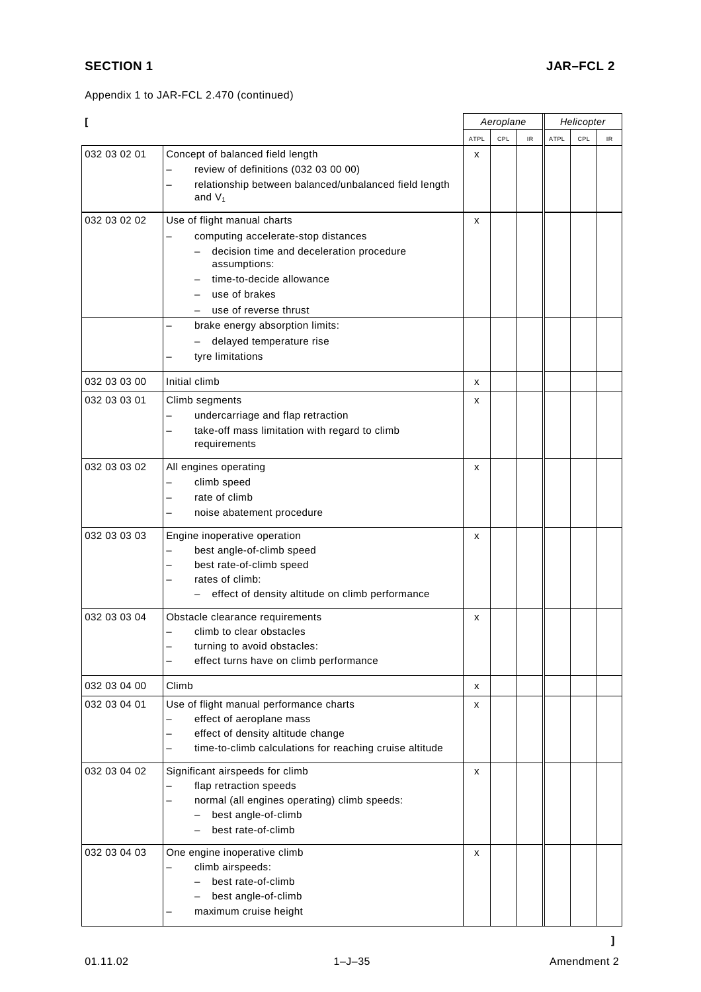$\overline{\phantom{0}}$ 

 $\mathbf{r}$ 

| I            |                                                              |      | Aeroplane |    |      | Helicopter |    |
|--------------|--------------------------------------------------------------|------|-----------|----|------|------------|----|
|              |                                                              | ATPL | CPL       | IR | ATPL | CPL        | IR |
| 032 03 02 01 | Concept of balanced field length                             | x    |           |    |      |            |    |
|              | review of definitions (032 03 00 00)                         |      |           |    |      |            |    |
|              | relationship between balanced/unbalanced field length        |      |           |    |      |            |    |
|              | and $V_1$                                                    |      |           |    |      |            |    |
| 032 03 02 02 | Use of flight manual charts                                  | x    |           |    |      |            |    |
|              | computing accelerate-stop distances                          |      |           |    |      |            |    |
|              | decision time and deceleration procedure<br>assumptions:     |      |           |    |      |            |    |
|              | time-to-decide allowance                                     |      |           |    |      |            |    |
|              | use of brakes                                                |      |           |    |      |            |    |
|              | use of reverse thrust                                        |      |           |    |      |            |    |
|              | brake energy absorption limits:<br>$\overline{\phantom{0}}$  |      |           |    |      |            |    |
|              | delayed temperature rise                                     |      |           |    |      |            |    |
|              | tyre limitations                                             |      |           |    |      |            |    |
|              |                                                              |      |           |    |      |            |    |
| 032 03 03 00 | Initial climb                                                | x    |           |    |      |            |    |
| 032 03 03 01 | Climb segments                                               | х    |           |    |      |            |    |
|              | undercarriage and flap retraction                            |      |           |    |      |            |    |
|              | take-off mass limitation with regard to climb                |      |           |    |      |            |    |
|              | requirements                                                 |      |           |    |      |            |    |
| 032 03 03 02 | All engines operating                                        | x    |           |    |      |            |    |
|              | climb speed                                                  |      |           |    |      |            |    |
|              | rate of climb                                                |      |           |    |      |            |    |
|              | noise abatement procedure                                    |      |           |    |      |            |    |
|              |                                                              |      |           |    |      |            |    |
| 032 03 03 03 | Engine inoperative operation                                 | x    |           |    |      |            |    |
|              | best angle-of-climb speed                                    |      |           |    |      |            |    |
|              | best rate-of-climb speed                                     |      |           |    |      |            |    |
|              | rates of climb:                                              |      |           |    |      |            |    |
|              | effect of density altitude on climb performance              |      |           |    |      |            |    |
| 032 03 03 04 | Obstacle clearance requirements                              | x    |           |    |      |            |    |
|              | climb to clear obstacles                                     |      |           |    |      |            |    |
|              | turning to avoid obstacles:                                  |      |           |    |      |            |    |
|              | effect turns have on climb performance                       |      |           |    |      |            |    |
| 032 03 04 00 | Climb                                                        | х    |           |    |      |            |    |
| 032 03 04 01 | Use of flight manual performance charts                      |      |           |    |      |            |    |
|              | effect of aeroplane mass                                     | x    |           |    |      |            |    |
|              | effect of density altitude change<br>-                       |      |           |    |      |            |    |
|              | time-to-climb calculations for reaching cruise altitude<br>- |      |           |    |      |            |    |
|              |                                                              |      |           |    |      |            |    |
| 032 03 04 02 | Significant airspeeds for climb                              | x    |           |    |      |            |    |
|              | flap retraction speeds                                       |      |           |    |      |            |    |
|              | normal (all engines operating) climb speeds:                 |      |           |    |      |            |    |
|              | best angle-of-climb                                          |      |           |    |      |            |    |
|              | best rate-of-climb                                           |      |           |    |      |            |    |
| 032 03 04 03 | One engine inoperative climb                                 | x    |           |    |      |            |    |
|              | climb airspeeds:                                             |      |           |    |      |            |    |
|              | best rate-of-climb                                           |      |           |    |      |            |    |
|              | best angle-of-climb                                          |      |           |    |      |            |    |
|              | maximum cruise height                                        |      |           |    |      |            |    |
|              |                                                              |      |           |    |      |            |    |

**]**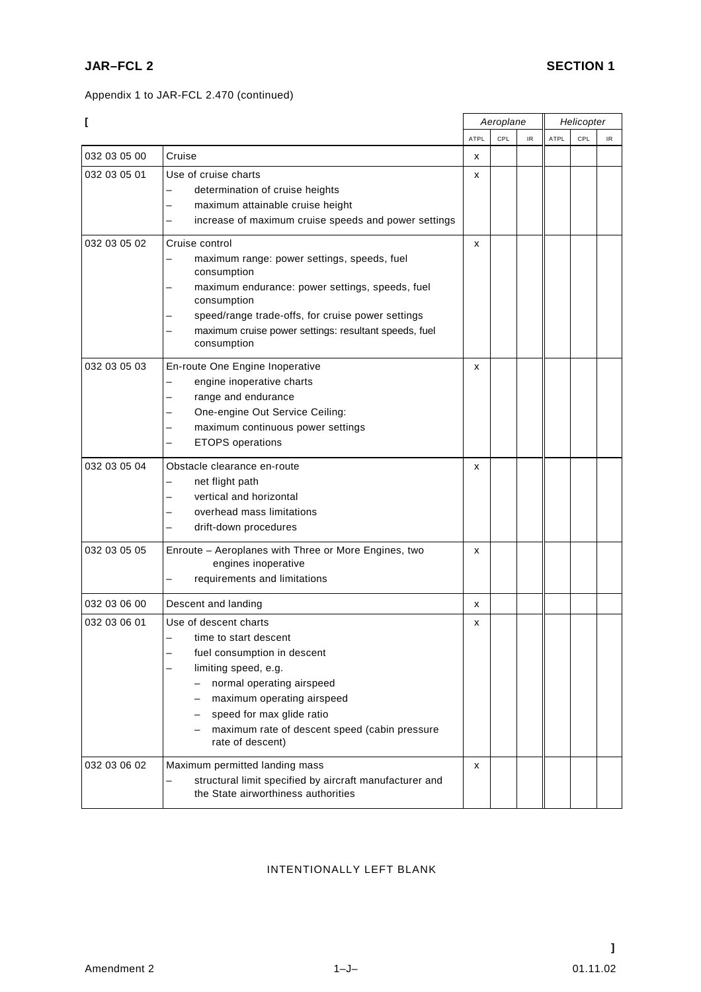| Т            |                                                                                                                                                                                                                                                                             |      | Aeroplane |    |      | Helicopter |     |
|--------------|-----------------------------------------------------------------------------------------------------------------------------------------------------------------------------------------------------------------------------------------------------------------------------|------|-----------|----|------|------------|-----|
|              |                                                                                                                                                                                                                                                                             | ATPL | CPL       | IR | ATPL | CPL        | IR. |
| 032 03 05 00 | Cruise                                                                                                                                                                                                                                                                      | X    |           |    |      |            |     |
| 032 03 05 01 | Use of cruise charts<br>determination of cruise heights<br>maximum attainable cruise height<br>increase of maximum cruise speeds and power settings                                                                                                                         | X    |           |    |      |            |     |
| 032 03 05 02 | Cruise control<br>maximum range: power settings, speeds, fuel<br>consumption<br>maximum endurance: power settings, speeds, fuel<br>consumption<br>speed/range trade-offs, for cruise power settings<br>maximum cruise power settings: resultant speeds, fuel<br>consumption | X    |           |    |      |            |     |
| 032 03 05 03 | En-route One Engine Inoperative<br>engine inoperative charts<br>—<br>range and endurance<br>One-engine Out Service Ceiling:<br>maximum continuous power settings<br><b>ETOPS</b> operations                                                                                 | X    |           |    |      |            |     |
| 032 03 05 04 | Obstacle clearance en-route<br>net flight path<br>vertical and horizontal<br>overhead mass limitations<br>drift-down procedures                                                                                                                                             | X    |           |    |      |            |     |
| 032 03 05 05 | Enroute - Aeroplanes with Three or More Engines, two<br>engines inoperative<br>requirements and limitations                                                                                                                                                                 | x    |           |    |      |            |     |
| 032 03 06 00 | Descent and landing                                                                                                                                                                                                                                                         | x    |           |    |      |            |     |
| 032 03 06 01 | Use of descent charts<br>time to start descent<br>fuel consumption in descent<br>limiting speed, e.g.<br>normal operating airspeed<br>maximum operating airspeed<br>-<br>speed for max glide ratio<br>maximum rate of descent speed (cabin pressure<br>rate of descent)     | х    |           |    |      |            |     |
| 032 03 06 02 | Maximum permitted landing mass<br>structural limit specified by aircraft manufacturer and<br>the State airworthiness authorities                                                                                                                                            | X    |           |    |      |            |     |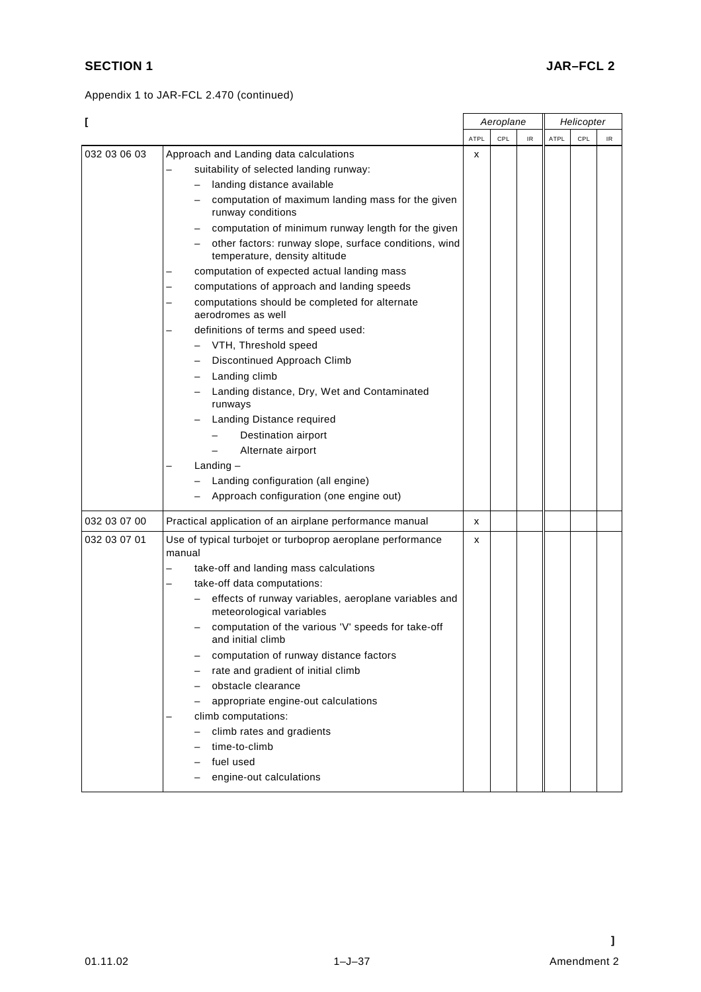| I            |                                                                                                                                                                                                                                                                                                                                                                                                                                                                                                                                                                                                                                                                                                                                                                                                                                                                    | Aeroplane   |     | Helicopter                        |      |     |    |
|--------------|--------------------------------------------------------------------------------------------------------------------------------------------------------------------------------------------------------------------------------------------------------------------------------------------------------------------------------------------------------------------------------------------------------------------------------------------------------------------------------------------------------------------------------------------------------------------------------------------------------------------------------------------------------------------------------------------------------------------------------------------------------------------------------------------------------------------------------------------------------------------|-------------|-----|-----------------------------------|------|-----|----|
|              |                                                                                                                                                                                                                                                                                                                                                                                                                                                                                                                                                                                                                                                                                                                                                                                                                                                                    | <b>ATPL</b> | CPL | $\ensuremath{\mathsf{IR}}\xspace$ | ATPL | CPL | IR |
| 032 03 06 03 | Approach and Landing data calculations<br>suitability of selected landing runway:<br>landing distance available<br>computation of maximum landing mass for the given<br>runway conditions<br>computation of minimum runway length for the given<br>other factors: runway slope, surface conditions, wind<br>temperature, density altitude<br>computation of expected actual landing mass<br>computations of approach and landing speeds<br>computations should be completed for alternate<br>aerodromes as well<br>definitions of terms and speed used:<br>VTH, Threshold speed<br>Discontinued Approach Climb<br>Landing climb<br>Landing distance, Dry, Wet and Contaminated<br>runways<br>Landing Distance required<br>Destination airport<br>Alternate airport<br>Landing $-$<br>Landing configuration (all engine)<br>Approach configuration (one engine out) | x           |     |                                   |      |     |    |
| 032 03 07 00 | Practical application of an airplane performance manual                                                                                                                                                                                                                                                                                                                                                                                                                                                                                                                                                                                                                                                                                                                                                                                                            | x           |     |                                   |      |     |    |
| 032 03 07 01 | Use of typical turbojet or turboprop aeroplane performance<br>manual<br>take-off and landing mass calculations<br>take-off data computations:<br>effects of runway variables, aeroplane variables and<br>meteorological variables<br>computation of the various 'V' speeds for take-off<br>and initial climb<br>computation of runway distance factors<br>rate and gradient of initial climb<br>obstacle clearance<br>appropriate engine-out calculations<br>climb computations:<br>climb rates and gradients<br>time-to-climb<br>fuel used<br>engine-out calculations                                                                                                                                                                                                                                                                                             | x           |     |                                   |      |     |    |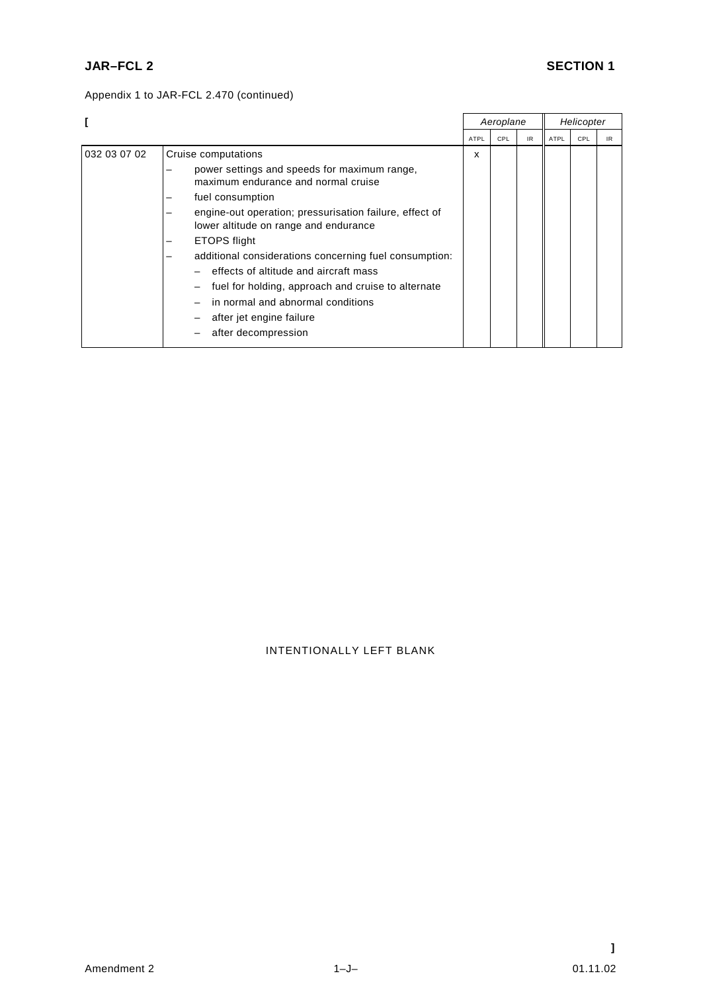|                                                                                                                                                                                                                                                                                                                                                                                                                                                                                                                            |             | Aeroplane | Helicopter |      |     |     |
|----------------------------------------------------------------------------------------------------------------------------------------------------------------------------------------------------------------------------------------------------------------------------------------------------------------------------------------------------------------------------------------------------------------------------------------------------------------------------------------------------------------------------|-------------|-----------|------------|------|-----|-----|
|                                                                                                                                                                                                                                                                                                                                                                                                                                                                                                                            | <b>ATPL</b> | CPL       | IR.        | ATPL | CPL | IR. |
| 032 03 07 02<br>Cruise computations<br>power settings and speeds for maximum range,<br>maximum endurance and normal cruise<br>fuel consumption<br>engine-out operation; pressurisation failure, effect of<br>lower altitude on range and endurance<br><b>ETOPS flight</b><br>additional considerations concerning fuel consumption:<br>effects of altitude and aircraft mass<br>fuel for holding, approach and cruise to alternate<br>in normal and abnormal conditions<br>after jet engine failure<br>after decompression | X           |           |            |      |     |     |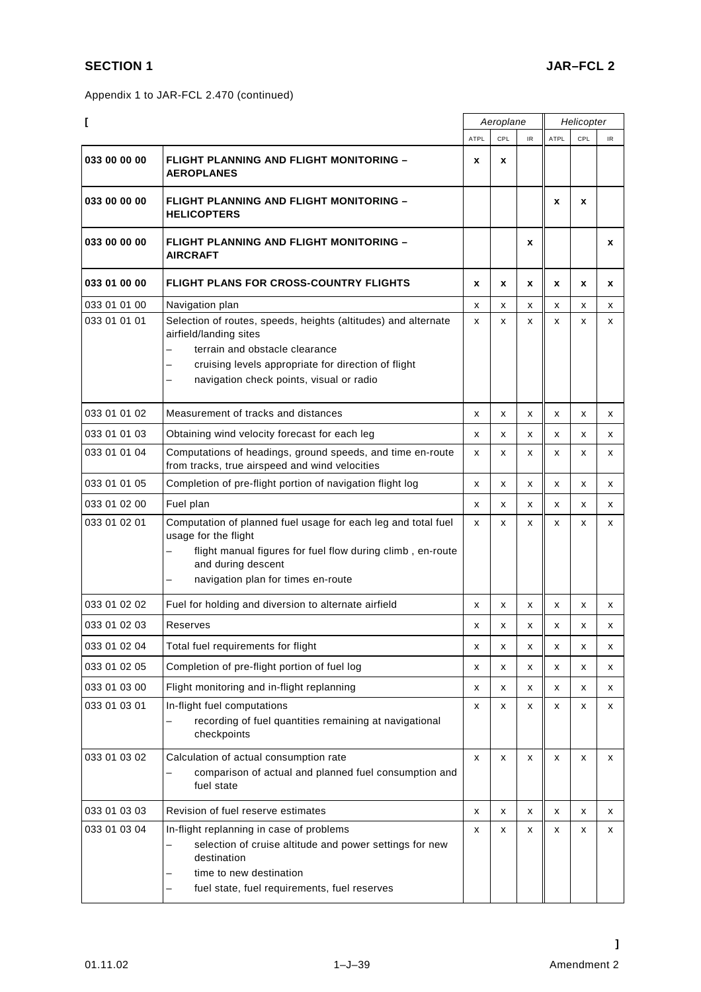| I            |                                                                                                                                                                                                                                    |              | Aeroplane |     |      | Helicopter |     |
|--------------|------------------------------------------------------------------------------------------------------------------------------------------------------------------------------------------------------------------------------------|--------------|-----------|-----|------|------------|-----|
|              |                                                                                                                                                                                                                                    | ATPL         | CPL       | IR. | ATPL | CPL        | IR. |
| 033 00 00 00 | <b>FLIGHT PLANNING AND FLIGHT MONITORING -</b><br><b>AEROPLANES</b>                                                                                                                                                                | X            | X         |     |      |            |     |
| 033 00 00 00 | FLIGHT PLANNING AND FLIGHT MONITORING -<br><b>HELICOPTERS</b>                                                                                                                                                                      |              |           |     | X    | x          |     |
| 033 00 00 00 | <b>FLIGHT PLANNING AND FLIGHT MONITORING -</b><br><b>AIRCRAFT</b>                                                                                                                                                                  |              |           | x   |      |            | x   |
| 033 01 00 00 | <b>FLIGHT PLANS FOR CROSS-COUNTRY FLIGHTS</b>                                                                                                                                                                                      | $\mathbf{x}$ | X         | X   | x    | x          | x   |
| 033 01 01 00 | Navigation plan                                                                                                                                                                                                                    | X            | x         | X   | x    | x          | x   |
| 033 01 01 01 | Selection of routes, speeds, heights (altitudes) and alternate<br>airfield/landing sites<br>terrain and obstacle clearance<br>cruising levels appropriate for direction of flight<br>—<br>navigation check points, visual or radio | X            | X         | x   | x    | x          | x   |
| 033 01 01 02 | Measurement of tracks and distances                                                                                                                                                                                                | x            | x         | x   | X    | X          | X   |
| 033 01 01 03 | Obtaining wind velocity forecast for each leg                                                                                                                                                                                      | x            | x         | x   | x    | x          | x   |
| 033 01 01 04 | Computations of headings, ground speeds, and time en-route<br>from tracks, true airspeed and wind velocities                                                                                                                       | x            | x         | x   | x    | X          | x   |
| 033 01 01 05 | Completion of pre-flight portion of navigation flight log                                                                                                                                                                          | x            | x         | x   | x    | x          | x   |
| 033 01 02 00 | Fuel plan                                                                                                                                                                                                                          | x            | x         | x   | x    | x          | x   |
| 033 01 02 01 | Computation of planned fuel usage for each leg and total fuel<br>usage for the flight<br>flight manual figures for fuel flow during climb, en-route<br>and during descent<br>navigation plan for times en-route                    | x            | x         | x   | x    | X          | x   |
| 033 01 02 02 | Fuel for holding and diversion to alternate airfield                                                                                                                                                                               | x            | x         | x   | x    | x          | х   |
| 033 01 02 03 | Reserves                                                                                                                                                                                                                           | x            | x         | x   | x    | x          | x   |
| 033 01 02 04 | Total fuel requirements for flight                                                                                                                                                                                                 | x            | х         | х   | х    | x          | х   |
| 033 01 02 05 | Completion of pre-flight portion of fuel log                                                                                                                                                                                       | x            | x         | x   | x    | x          | x   |
| 033 01 03 00 | Flight monitoring and in-flight replanning                                                                                                                                                                                         | x            | x         | x   | x    | x          | х   |
| 033 01 03 01 | In-flight fuel computations<br>recording of fuel quantities remaining at navigational<br>checkpoints                                                                                                                               | x            | x         | x   | x    | X          | x   |
| 033 01 03 02 | Calculation of actual consumption rate<br>comparison of actual and planned fuel consumption and<br>fuel state                                                                                                                      | x            | x         | x   | x    | x          | х   |
| 033 01 03 03 | Revision of fuel reserve estimates                                                                                                                                                                                                 | X            | x         | x   | x    | x          | х   |
| 033 01 03 04 | In-flight replanning in case of problems<br>selection of cruise altitude and power settings for new<br>destination<br>time to new destination<br>—<br>fuel state, fuel requirements, fuel reserves<br>-                            | x            | x         | x   | x    | x          | х   |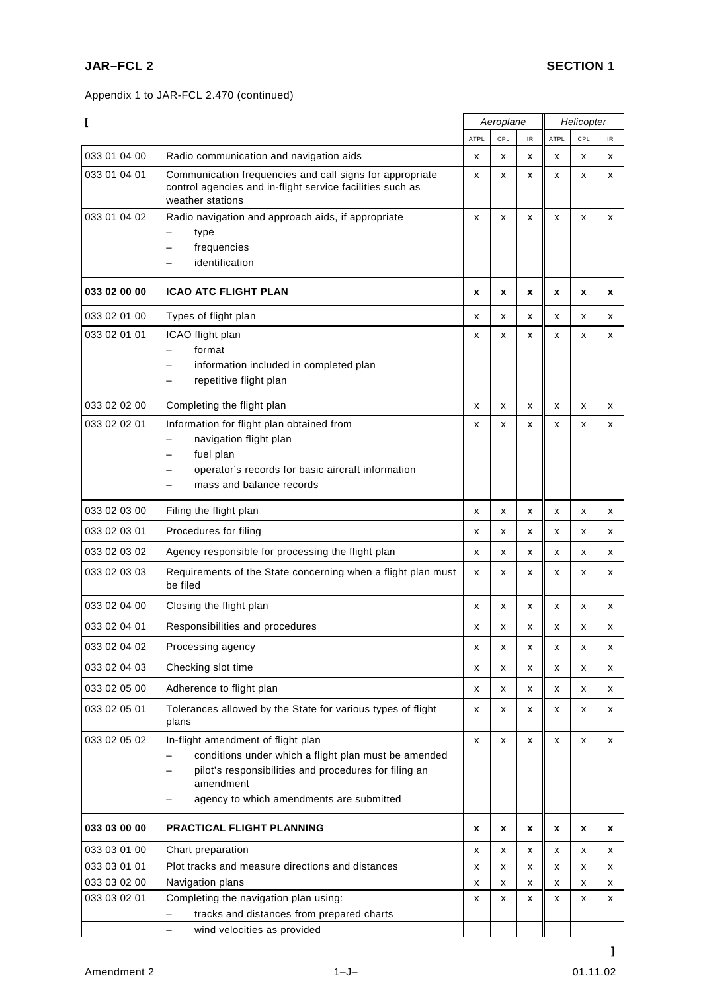$\overline{\phantom{0}}$ 

| I.           |                                                                                                                                                                                                              |      | Aeroplane |    |      | Helicopter |    |
|--------------|--------------------------------------------------------------------------------------------------------------------------------------------------------------------------------------------------------------|------|-----------|----|------|------------|----|
|              |                                                                                                                                                                                                              | ATPL | CPL       | IR | ATPL | CPL        | IR |
| 033 01 04 00 | Radio communication and navigation aids                                                                                                                                                                      | х    | x         | x  | х    | x          | x  |
| 033 01 04 01 | Communication frequencies and call signs for appropriate<br>control agencies and in-flight service facilities such as<br>weather stations                                                                    | x    | x         | x  | x    | x          | x  |
| 033 01 04 02 | Radio navigation and approach aids, if appropriate<br>type<br>frequencies<br>—<br>identification                                                                                                             | x    | x         | x  | x    | x          | X  |
| 033 02 00 00 | <b>ICAO ATC FLIGHT PLAN</b>                                                                                                                                                                                  | x    | X         | x  | X    | x          | x  |
| 033 02 01 00 | Types of flight plan                                                                                                                                                                                         | x    | x         | x  | x    | x          | x  |
| 033 02 01 01 | ICAO flight plan<br>format<br>information included in completed plan<br>repetitive flight plan                                                                                                               | x    | x         | x  | x    | x          | х  |
| 033 02 02 00 | Completing the flight plan                                                                                                                                                                                   | x    | x         | x  | x    | x          | x  |
| 033 02 02 01 | Information for flight plan obtained from<br>navigation flight plan<br>fuel plan<br>operator's records for basic aircraft information<br>mass and balance records                                            | x    | x         | x  | x    | x          | x  |
| 033 02 03 00 | Filing the flight plan                                                                                                                                                                                       | x    | x         | X  | x    | x          | x  |
| 033 02 03 01 | Procedures for filing                                                                                                                                                                                        | x    | x         | x  | x    | x          | x  |
| 033 02 03 02 | Agency responsible for processing the flight plan                                                                                                                                                            | х    | x         | x  | х    | x          | x  |
| 033 02 03 03 | Requirements of the State concerning when a flight plan must<br>be filed                                                                                                                                     | х    | x         | x  | х    | x          | x  |
| 033 02 04 00 | Closing the flight plan                                                                                                                                                                                      | x    | x         | x  | x    | x          | x  |
| 033 02 04 01 | Responsibilities and procedures                                                                                                                                                                              | x    | х         | х  | х    | x          | x  |
| 033 02 04 02 | Processing agency                                                                                                                                                                                            | х    | x         | x  | x    | x          | х  |
| 033 02 04 03 | Checking slot time                                                                                                                                                                                           | х    | x         | x  | х    | x          | x  |
| 033 02 05 00 | Adherence to flight plan                                                                                                                                                                                     | x    | x         | x  | X    | x          | х  |
| 033 02 05 01 | Tolerances allowed by the State for various types of flight<br>plans                                                                                                                                         | x    | x         | x  | x    | x          | x  |
| 033 02 05 02 | In-flight amendment of flight plan<br>conditions under which a flight plan must be amended<br>pilot's responsibilities and procedures for filing an<br>amendment<br>agency to which amendments are submitted | x    | x         | x  | x    | x          | x  |
| 033 03 00 00 | PRACTICAL FLIGHT PLANNING                                                                                                                                                                                    | X    | X         | x  | X    | x          | x  |
| 033 03 01 00 | Chart preparation                                                                                                                                                                                            | x    | x         | х  | х    | х          | х  |
| 033 03 01 01 | Plot tracks and measure directions and distances                                                                                                                                                             | x    | x         | x  | x    | x          | x  |
| 033 03 02 00 | Navigation plans                                                                                                                                                                                             | х    | x         | x  | x    | x          | х  |
| 033 03 02 01 | Completing the navigation plan using:<br>tracks and distances from prepared charts<br>wind velocities as provided<br>—                                                                                       | x    | х         | X  | х    | x          | х  |
|              |                                                                                                                                                                                                              |      |           |    |      |            |    |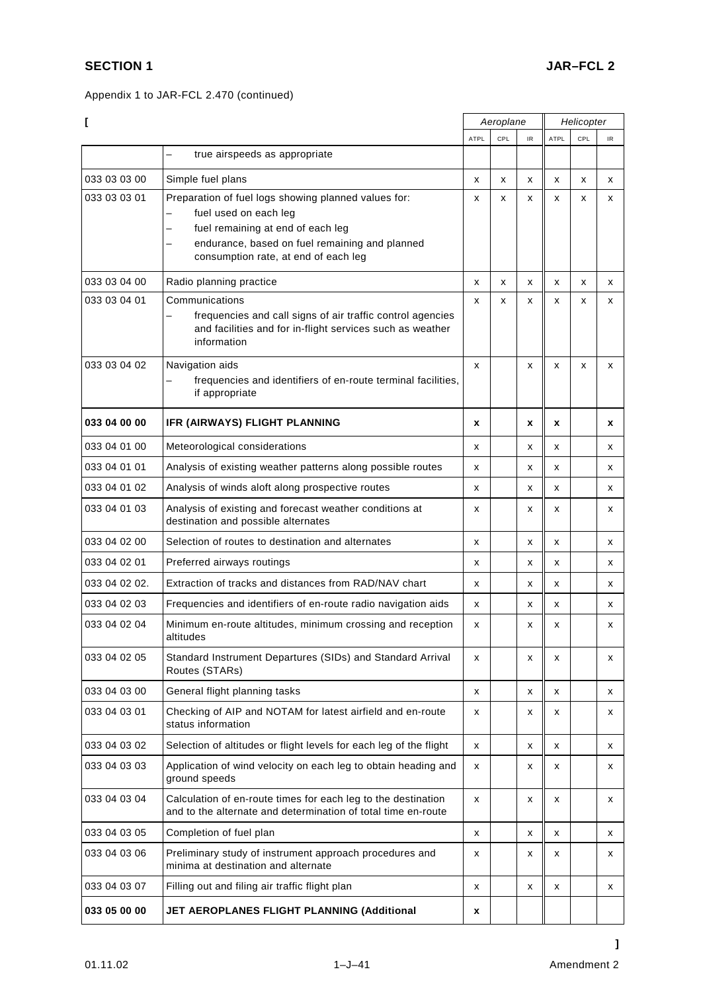m

| I             |                                                                                                                                                                                                              |      | Aeroplane |     |      | Helicopter |     |
|---------------|--------------------------------------------------------------------------------------------------------------------------------------------------------------------------------------------------------------|------|-----------|-----|------|------------|-----|
|               |                                                                                                                                                                                                              | ATPL | CPL       | IR. | ATPL | CPL        | IR. |
|               | true airspeeds as appropriate                                                                                                                                                                                |      |           |     |      |            |     |
| 033 03 03 00  | Simple fuel plans                                                                                                                                                                                            | x    | X         | x   | x    | X          | x   |
| 033 03 03 01  | Preparation of fuel logs showing planned values for:<br>fuel used on each leg<br>fuel remaining at end of each leg<br>endurance, based on fuel remaining and planned<br>consumption rate, at end of each leg | X    | X         | x   | X    | X          | X   |
| 033 03 04 00  | Radio planning practice                                                                                                                                                                                      | x    | X         | x   | X    | X          | x   |
| 033 03 04 01  | Communications<br>frequencies and call signs of air traffic control agencies<br>and facilities and for in-flight services such as weather<br>information                                                     | X    | x         | x   | X    | X          | X   |
| 033 03 04 02  | Navigation aids<br>frequencies and identifiers of en-route terminal facilities,<br>if appropriate                                                                                                            | x    |           | x   | x    | X          | x   |
| 033 04 00 00  | IFR (AIRWAYS) FLIGHT PLANNING                                                                                                                                                                                | x    |           | x   | x    |            | x   |
| 033 04 01 00  | Meteorological considerations                                                                                                                                                                                | x    |           | x   | X    |            | x   |
| 033 04 01 01  | Analysis of existing weather patterns along possible routes                                                                                                                                                  | x    |           | x   | x    |            | x   |
| 033 04 01 02  | Analysis of winds aloft along prospective routes                                                                                                                                                             | x    |           | x   | X    |            | х   |
| 033 04 01 03  | Analysis of existing and forecast weather conditions at<br>destination and possible alternates                                                                                                               | x    |           | x   | x    |            | x   |
| 033 04 02 00  | Selection of routes to destination and alternates                                                                                                                                                            | x    |           | x   | X    |            | x   |
| 033 04 02 01  | Preferred airways routings                                                                                                                                                                                   | x    |           | x   | X    |            | x   |
| 033 04 02 02. | Extraction of tracks and distances from RAD/NAV chart                                                                                                                                                        | X    |           | x   | X    |            | x   |
| 033 04 02 03  | Frequencies and identifiers of en-route radio navigation aids                                                                                                                                                | x    |           | x   | x    |            | x   |
| 033 04 02 04  | Minimum en-route altitudes, minimum crossing and reception<br>altitudes                                                                                                                                      | x    |           | x   | х    |            | x   |
| 033 04 02 05  | Standard Instrument Departures (SIDs) and Standard Arrival<br>Routes (STARs)                                                                                                                                 | x    |           | x   | x    |            | x   |
| 033 04 03 00  | General flight planning tasks                                                                                                                                                                                | x    |           | x   | x    |            | х   |
| 033 04 03 01  | Checking of AIP and NOTAM for latest airfield and en-route<br>status information                                                                                                                             | x    |           | x   | x    |            | x   |
| 033 04 03 02  | Selection of altitudes or flight levels for each leg of the flight                                                                                                                                           | x    |           | x   | x    |            | x   |
| 033 04 03 03  | Application of wind velocity on each leg to obtain heading and<br>ground speeds                                                                                                                              | X    |           | х   | х    |            | х   |
| 033 04 03 04  | Calculation of en-route times for each leg to the destination<br>and to the alternate and determination of total time en-route                                                                               | x    |           | x   | X    |            | x   |
| 033 04 03 05  | Completion of fuel plan                                                                                                                                                                                      | х    |           | x   | х    |            | х   |
| 033 04 03 06  | Preliminary study of instrument approach procedures and<br>minima at destination and alternate                                                                                                               | x    |           | x   | х    |            | х   |
| 033 04 03 07  | Filling out and filing air traffic flight plan                                                                                                                                                               | x    |           | x   | x    |            | x   |
| 033 05 00 00  | JET AEROPLANES FLIGHT PLANNING (Additional                                                                                                                                                                   | x    |           |     |      |            |     |

**]**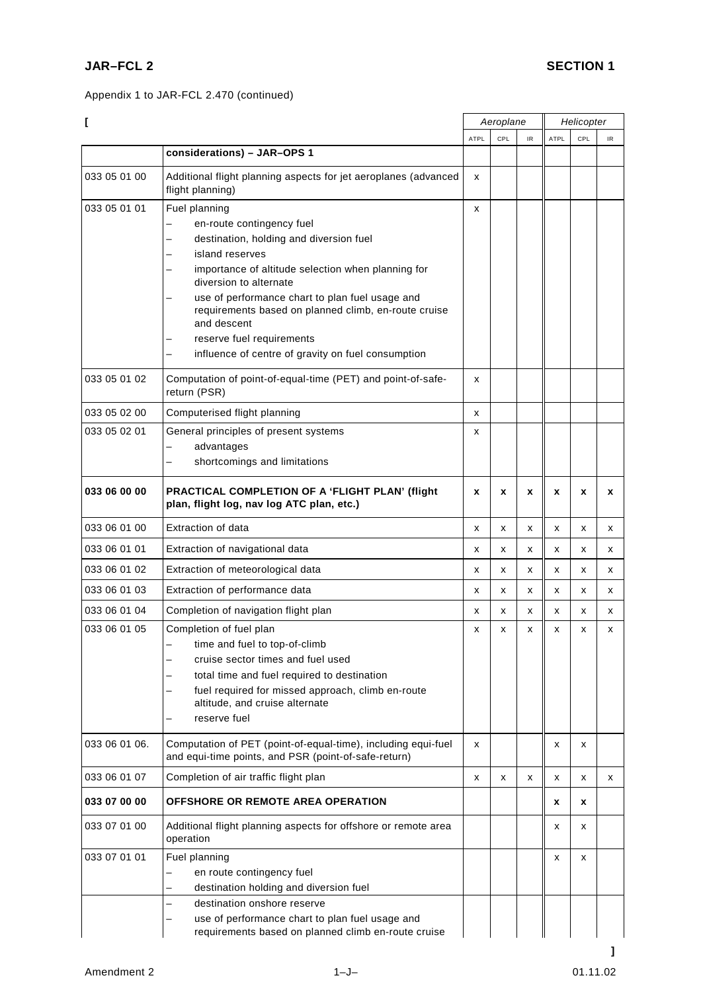| I             |                                                                                                                       |      | Aeroplane |                                   |      | Helicopter |    |
|---------------|-----------------------------------------------------------------------------------------------------------------------|------|-----------|-----------------------------------|------|------------|----|
|               |                                                                                                                       | ATPL | CPL       | $\ensuremath{\mathsf{IR}}\xspace$ | ATPL | CPL        | IR |
|               | considerations) - JAR-OPS 1                                                                                           |      |           |                                   |      |            |    |
| 033 05 01 00  | Additional flight planning aspects for jet aeroplanes (advanced<br>flight planning)                                   | x    |           |                                   |      |            |    |
| 033 05 01 01  | Fuel planning                                                                                                         | X    |           |                                   |      |            |    |
|               | en-route contingency fuel                                                                                             |      |           |                                   |      |            |    |
|               | destination, holding and diversion fuel                                                                               |      |           |                                   |      |            |    |
|               | island reserves                                                                                                       |      |           |                                   |      |            |    |
|               | importance of altitude selection when planning for<br>diversion to alternate                                          |      |           |                                   |      |            |    |
|               | use of performance chart to plan fuel usage and<br>requirements based on planned climb, en-route cruise               |      |           |                                   |      |            |    |
|               | and descent<br>reserve fuel requirements                                                                              |      |           |                                   |      |            |    |
|               | influence of centre of gravity on fuel consumption                                                                    |      |           |                                   |      |            |    |
|               |                                                                                                                       |      |           |                                   |      |            |    |
| 033 05 01 02  | Computation of point-of-equal-time (PET) and point-of-safe-<br>return (PSR)                                           | x    |           |                                   |      |            |    |
| 033 05 02 00  | Computerised flight planning                                                                                          | X    |           |                                   |      |            |    |
| 033 05 02 01  | General principles of present systems                                                                                 | x    |           |                                   |      |            |    |
|               | advantages                                                                                                            |      |           |                                   |      |            |    |
|               | shortcomings and limitations                                                                                          |      |           |                                   |      |            |    |
| 033 06 00 00  | PRACTICAL COMPLETION OF A 'FLIGHT PLAN' (flight<br>plan, flight log, nav log ATC plan, etc.)                          | x    | x         | x                                 | x    | x          | x  |
| 033 06 01 00  | Extraction of data                                                                                                    | x    | x         | x                                 | x    | x          | х  |
| 033 06 01 01  | Extraction of navigational data                                                                                       | x    | x         | x                                 | x    | x          | х  |
| 033 06 01 02  | Extraction of meteorological data                                                                                     | x    | x         | x                                 | x    | х          | х  |
| 033 06 01 03  | Extraction of performance data                                                                                        | x    | x         | x                                 | х    | х          | x  |
| 033 06 01 04  | Completion of navigation flight plan                                                                                  | х    | x         | x                                 | х    | x          | x  |
| 033 06 01 05  | Completion of fuel plan                                                                                               | x    | x         | x                                 | х    | x          | x  |
|               | time and fuel to top-of-climb                                                                                         |      |           |                                   |      |            |    |
|               | cruise sector times and fuel used                                                                                     |      |           |                                   |      |            |    |
|               | total time and fuel required to destination                                                                           |      |           |                                   |      |            |    |
|               | fuel required for missed approach, climb en-route<br>altitude, and cruise alternate                                   |      |           |                                   |      |            |    |
|               | reserve fuel                                                                                                          |      |           |                                   |      |            |    |
|               |                                                                                                                       |      |           |                                   |      |            |    |
| 033 06 01 06. | Computation of PET (point-of-equal-time), including equi-fuel<br>and equi-time points, and PSR (point-of-safe-return) | x    |           |                                   | х    | x          |    |
| 033 06 01 07  | Completion of air traffic flight plan                                                                                 | x    | x         | x                                 | x    | x          | х  |
| 033 07 00 00  | <b>OFFSHORE OR REMOTE AREA OPERATION</b>                                                                              |      |           |                                   | x    | x          |    |
| 033 07 01 00  | Additional flight planning aspects for offshore or remote area<br>operation                                           |      |           |                                   | х    | x          |    |
| 033 07 01 01  | Fuel planning                                                                                                         |      |           |                                   | х    | x          |    |
|               | en route contingency fuel                                                                                             |      |           |                                   |      |            |    |
|               | destination holding and diversion fuel                                                                                |      |           |                                   |      |            |    |
|               | destination onshore reserve<br>$\overline{\phantom{0}}$                                                               |      |           |                                   |      |            |    |
|               | use of performance chart to plan fuel usage and<br>requirements based on planned climb en-route cruise                |      |           |                                   |      |            |    |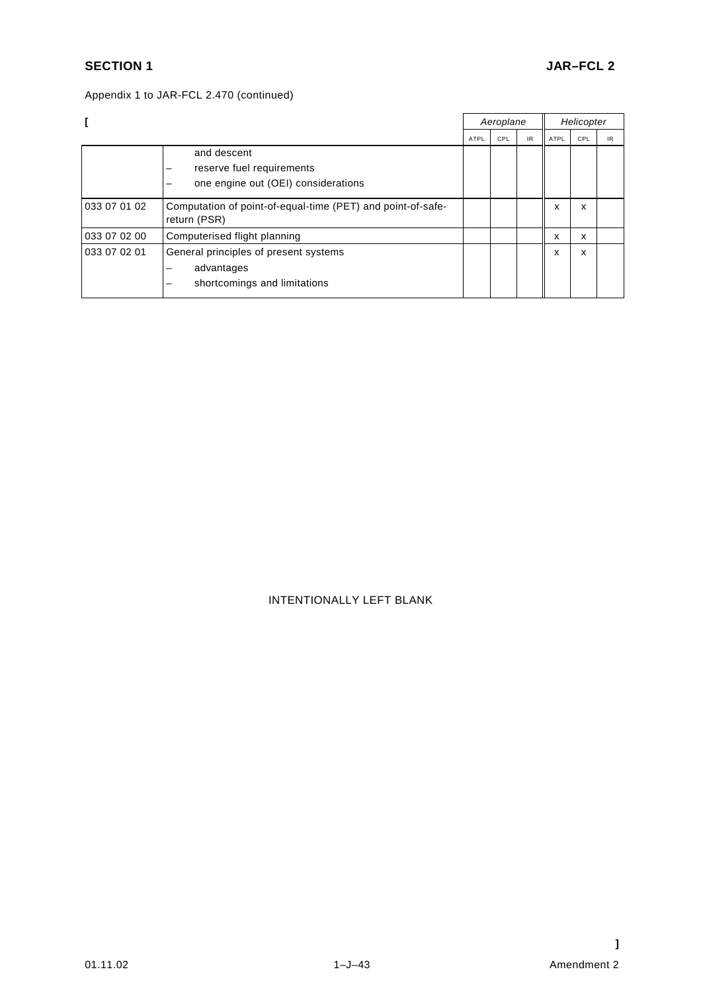|              |                                                                             | Aeroplane   |     | Helicopter |      |     |     |
|--------------|-----------------------------------------------------------------------------|-------------|-----|------------|------|-----|-----|
|              |                                                                             | <b>ATPL</b> | CPL | IR.        | ATPL | CPL | IR. |
|              | and descent                                                                 |             |     |            |      |     |     |
|              | reserve fuel requirements                                                   |             |     |            |      |     |     |
|              | one engine out (OEI) considerations                                         |             |     |            |      |     |     |
| 033 07 01 02 | Computation of point-of-equal-time (PET) and point-of-safe-<br>return (PSR) |             |     |            | x    | x   |     |
| 033 07 02 00 | Computerised flight planning                                                |             |     |            | x    | x   |     |
| 033 07 02 01 | General principles of present systems                                       |             |     |            | x    | x   |     |
|              | advantages                                                                  |             |     |            |      |     |     |
|              | shortcomings and limitations                                                |             |     |            |      |     |     |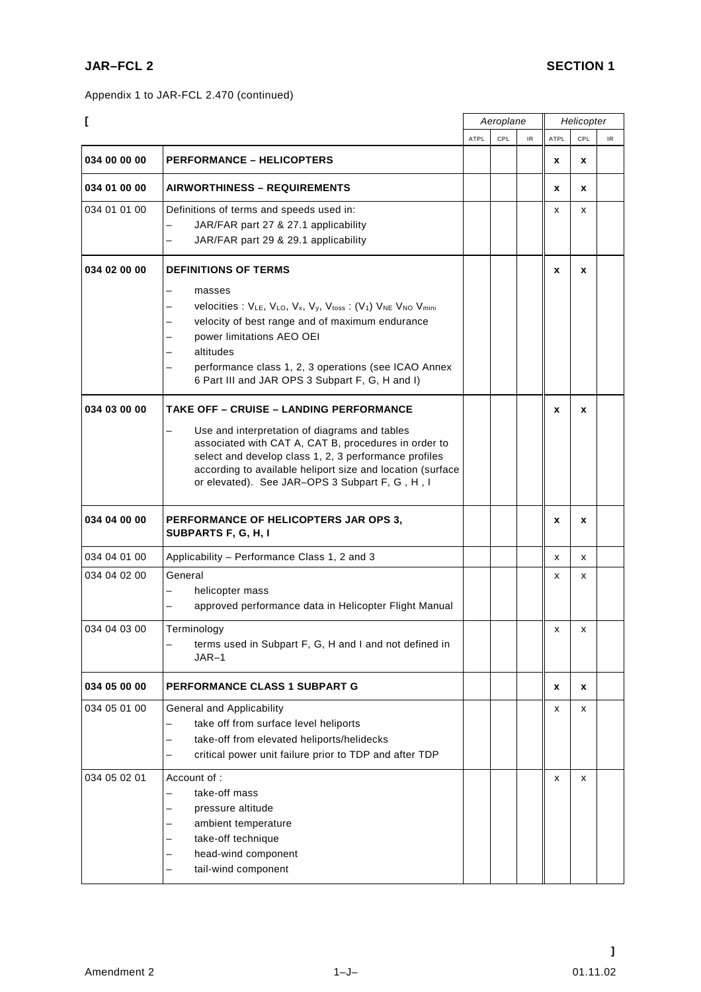|              |                                                                                                                                                                                                                                                                                                                                                       | ATPL | CPL | IR. | ATPL | CPL | IR. |
|--------------|-------------------------------------------------------------------------------------------------------------------------------------------------------------------------------------------------------------------------------------------------------------------------------------------------------------------------------------------------------|------|-----|-----|------|-----|-----|
| 034 00 00 00 | <b>PERFORMANCE – HELICOPTERS</b>                                                                                                                                                                                                                                                                                                                      |      |     |     | x    | x   |     |
| 034 01 00 00 | <b>AIRWORTHINESS – REQUIREMENTS</b>                                                                                                                                                                                                                                                                                                                   |      |     |     | x    | x   |     |
| 034 01 01 00 | Definitions of terms and speeds used in:<br>JAR/FAR part 27 & 27.1 applicability<br>JAR/FAR part 29 & 29.1 applicability                                                                                                                                                                                                                              |      |     |     | x    | X   |     |
| 034 02 00 00 | <b>DEFINITIONS OF TERMS</b><br>masses<br>velocities : $V_{LE}$ , $V_{LO}$ , $V_x$ , $V_y$ , $V_{loss}$ : $(V_1)$ $V_{NE}$ $V_{NO}$ $V_{mini}$<br>velocity of best range and of maximum endurance<br>power limitations AEO OEI<br>altitudes<br>performance class 1, 2, 3 operations (see ICAO Annex<br>6 Part III and JAR OPS 3 Subpart F, G, H and I) |      |     |     | x    | x   |     |
| 034 03 00 00 | <b>TAKE OFF - CRUISE - LANDING PERFORMANCE</b><br>Use and interpretation of diagrams and tables<br>associated with CAT A, CAT B, procedures in order to<br>select and develop class 1, 2, 3 performance profiles<br>according to available heliport size and location (surface<br>or elevated). See JAR-OPS 3 Subpart F, G, H, I                      |      |     |     | x    | x   |     |
| 034 04 00 00 | PERFORMANCE OF HELICOPTERS JAR OPS 3,<br>SUBPARTS F, G, H, I                                                                                                                                                                                                                                                                                          |      |     |     | x    | x   |     |
| 034 04 01 00 | Applicability - Performance Class 1, 2 and 3                                                                                                                                                                                                                                                                                                          |      |     |     | X    | x   |     |
| 034 04 02 00 | General<br>helicopter mass<br>approved performance data in Helicopter Flight Manual                                                                                                                                                                                                                                                                   |      |     |     | x    | x   |     |
| 034 04 03 00 | Terminology<br>terms used in Subpart F, G, H and I and not defined in<br>$JAR-1$                                                                                                                                                                                                                                                                      |      |     |     | x    | x   |     |
| 034 05 00 00 | <b>PERFORMANCE CLASS 1 SUBPART G</b>                                                                                                                                                                                                                                                                                                                  |      |     |     | x    | x   |     |
| 034 05 01 00 | <b>General and Applicability</b><br>take off from surface level heliports<br>take-off from elevated heliports/helidecks<br>—<br>critical power unit failure prior to TDP and after TDP                                                                                                                                                                |      |     |     | X    | x   |     |
| 034 05 02 01 | Account of:<br>take-off mass<br>pressure altitude<br>ambient temperature<br>take-off technique<br>head-wind component<br>tail-wind component                                                                                                                                                                                                          |      |     |     | X    | x   |     |

**[** *Aeroplane Helicopter*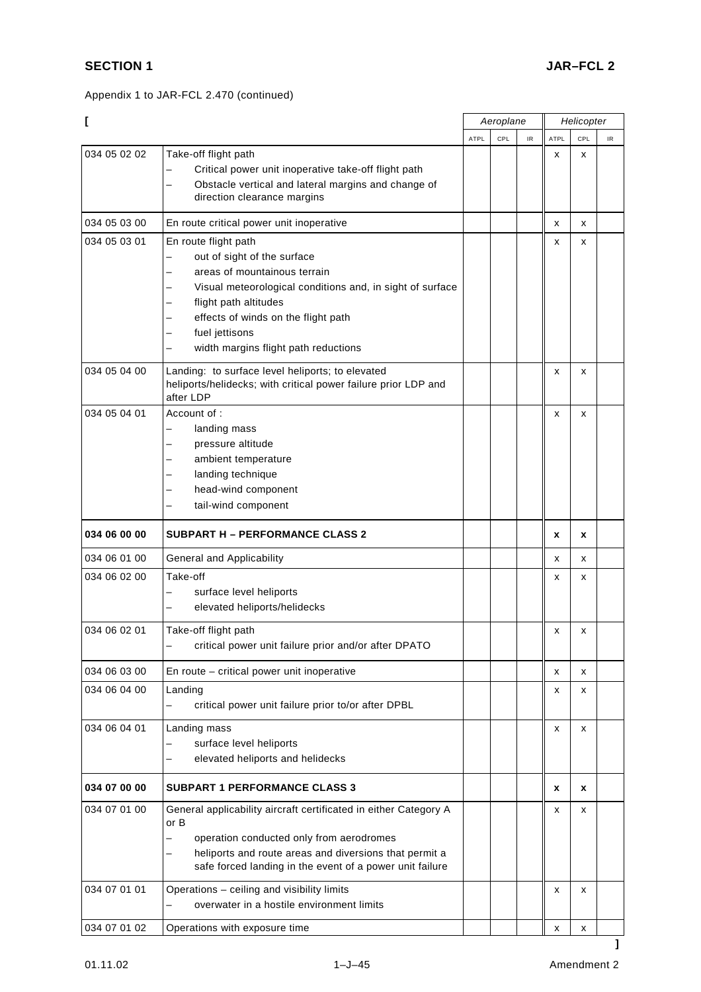|              |                                                                                                                                                                                                                                                                            |      | Aeroplane |     | Helicopter |     |     |
|--------------|----------------------------------------------------------------------------------------------------------------------------------------------------------------------------------------------------------------------------------------------------------------------------|------|-----------|-----|------------|-----|-----|
|              |                                                                                                                                                                                                                                                                            | ATPL | CPL       | IR. | ATPL       | CPL | IR. |
| 034 05 02 02 | Take-off flight path<br>Critical power unit inoperative take-off flight path<br>Obstacle vertical and lateral margins and change of<br>direction clearance margins                                                                                                         |      |           |     | x          | x   |     |
| 034 05 03 00 | En route critical power unit inoperative                                                                                                                                                                                                                                   |      |           |     | x          | x   |     |
| 034 05 03 01 | En route flight path<br>out of sight of the surface<br>areas of mountainous terrain<br>Visual meteorological conditions and, in sight of surface<br>flight path altitudes<br>effects of winds on the flight path<br>fuel jettisons<br>width margins flight path reductions |      |           |     | x          | x   |     |
| 034 05 04 00 | Landing: to surface level heliports; to elevated<br>heliports/helidecks; with critical power failure prior LDP and<br>after LDP                                                                                                                                            |      |           |     | x          | x   |     |
| 034 05 04 01 | Account of :<br>landing mass<br>—<br>pressure altitude<br>ambient temperature<br>landing technique<br>head-wind component<br>tail-wind component                                                                                                                           |      |           |     | X          | x   |     |
| 034 06 00 00 | <b>SUBPART H - PERFORMANCE CLASS 2</b>                                                                                                                                                                                                                                     |      |           |     | x          | x   |     |
| 034 06 01 00 | General and Applicability                                                                                                                                                                                                                                                  |      |           |     | x          | x   |     |
| 034 06 02 00 | Take-off<br>surface level heliports<br>-<br>elevated heliports/helidecks<br>—                                                                                                                                                                                              |      |           |     | x          | X   |     |
| 034 06 02 01 | Take-off flight path<br>critical power unit failure prior and/or after DPATO                                                                                                                                                                                               |      |           |     | x          | x   |     |
| 034 06 03 00 | En route - critical power unit inoperative                                                                                                                                                                                                                                 |      |           |     | x          | x   |     |
| 034 06 04 00 | Landing<br>critical power unit failure prior to/or after DPBL<br>$\overline{\phantom{0}}$                                                                                                                                                                                  |      |           |     | x          | х   |     |
| 034 06 04 01 | Landing mass<br>surface level heliports<br>-<br>elevated heliports and helidecks<br>-                                                                                                                                                                                      |      |           |     | x          | x   |     |
| 034 07 00 00 | <b>SUBPART 1 PERFORMANCE CLASS 3</b>                                                                                                                                                                                                                                       |      |           |     | x          | x   |     |
| 034 07 01 00 | General applicability aircraft certificated in either Category A<br>or B<br>operation conducted only from aerodromes<br>-<br>heliports and route areas and diversions that permit a<br>-<br>safe forced landing in the event of a power unit failure                       |      |           |     | x          | X   |     |
| 034 07 01 01 | Operations - ceiling and visibility limits<br>overwater in a hostile environment limits                                                                                                                                                                                    |      |           |     | x          | X   |     |
| 034 07 01 02 | Operations with exposure time                                                                                                                                                                                                                                              |      |           |     | х          | x   |     |

**]**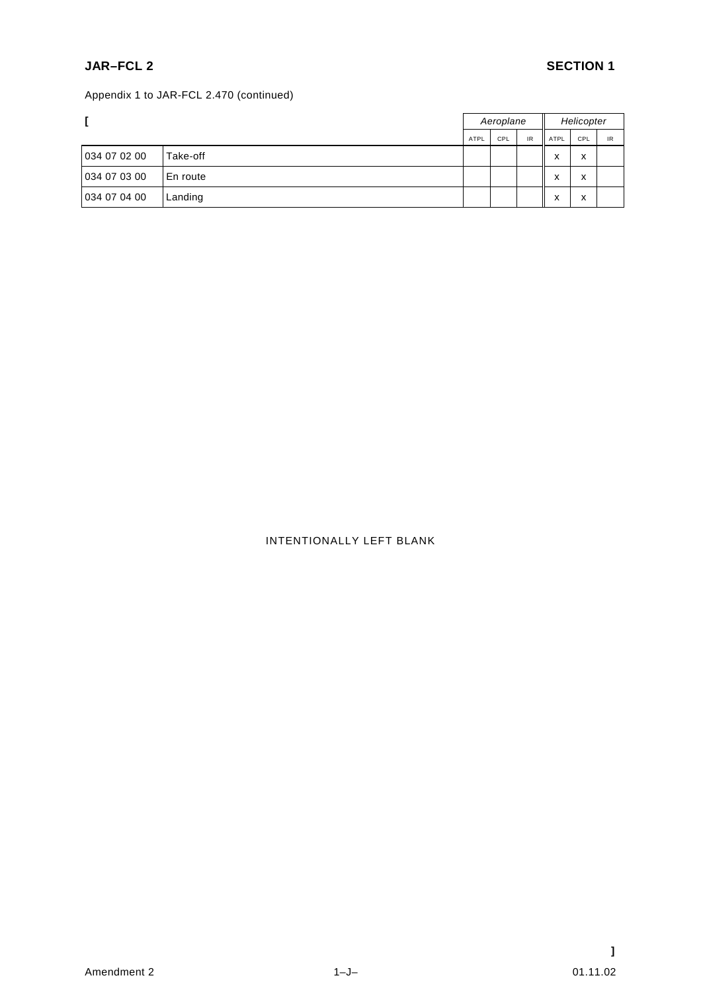|              |          |      | Aeroplane |           | Helicopter |                               |    |  |
|--------------|----------|------|-----------|-----------|------------|-------------------------------|----|--|
|              |          | ATPL | CPL       | <b>IR</b> | ATPL       | CPL                           | IR |  |
| 034 07 02 00 | Take-off |      |           |           | x          | x                             |    |  |
| 034 07 03 00 | En route |      |           |           | x          | $\overline{\phantom{a}}$<br>ᄉ |    |  |
| 034 07 04 00 | Landing  |      |           |           | x          | х                             |    |  |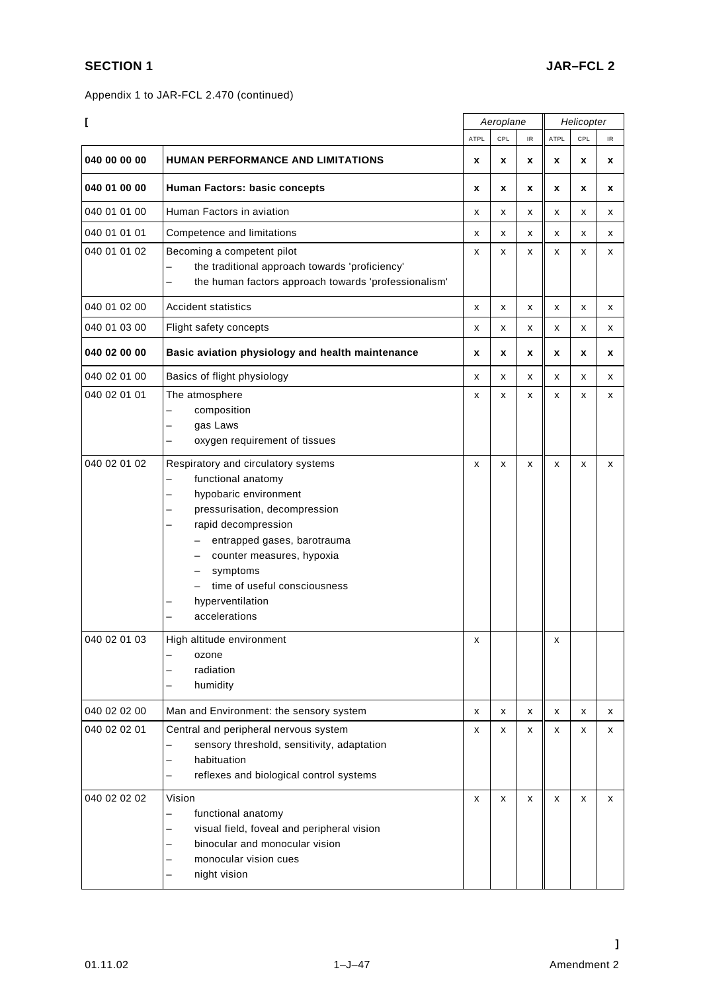| I            |                                                                                                                                                                                                                                                                                         | Aeroplane |              | Helicopter |      |     |     |
|--------------|-----------------------------------------------------------------------------------------------------------------------------------------------------------------------------------------------------------------------------------------------------------------------------------------|-----------|--------------|------------|------|-----|-----|
|              |                                                                                                                                                                                                                                                                                         | ATPL      | CPL          | IR.        | ATPL | CPL | IR. |
| 040 00 00 00 | <b>HUMAN PERFORMANCE AND LIMITATIONS</b>                                                                                                                                                                                                                                                | x         | x            | x          | x    | x   | x   |
| 040 01 00 00 | Human Factors: basic concepts                                                                                                                                                                                                                                                           | x         | x            | x          | x    | x   | x   |
| 040 01 01 00 | Human Factors in aviation                                                                                                                                                                                                                                                               | x         | x            | x          | x    | х   | х   |
| 040 01 01 01 | Competence and limitations                                                                                                                                                                                                                                                              | x         | X            | x          | X    | X   | x   |
| 040 01 01 02 | Becoming a competent pilot<br>the traditional approach towards 'proficiency'<br>$\overline{\phantom{0}}$<br>the human factors approach towards 'professionalism'<br>$\overline{\phantom{0}}$                                                                                            | x         | x            | x          | x    | x   | x   |
| 040 01 02 00 | <b>Accident statistics</b>                                                                                                                                                                                                                                                              | x         | x            | x          | x    | x   | х   |
| 040 01 03 00 | Flight safety concepts                                                                                                                                                                                                                                                                  | x         | x            | х          | x    | X   | х   |
| 040 02 00 00 | Basic aviation physiology and health maintenance                                                                                                                                                                                                                                        | x         | $\mathbf{x}$ | x          | x    | x   | x   |
| 040 02 01 00 | Basics of flight physiology                                                                                                                                                                                                                                                             | x         | х            | х          | x    | х   | х   |
| 040 02 01 01 | The atmosphere<br>composition<br>gas Laws<br>—<br>oxygen requirement of tissues<br>—                                                                                                                                                                                                    | x         | x            | x          | X    | X   | x   |
| 040 02 01 02 | Respiratory and circulatory systems<br>functional anatomy<br>hypobaric environment<br>pressurisation, decompression<br>rapid decompression<br>entrapped gases, barotrauma<br>counter measures, hypoxia<br>symptoms<br>time of useful consciousness<br>hyperventilation<br>accelerations | x         | X            | x          | x    | X   | x   |
| 040 02 01 03 | High altitude environment<br>ozone<br>-<br>radiation<br>humidity<br>—                                                                                                                                                                                                                   | х         |              |            | х    |     |     |
| 040 02 02 00 | Man and Environment: the sensory system                                                                                                                                                                                                                                                 | x         | x            | x          | x    | X   | x   |
| 040 02 02 01 | Central and peripheral nervous system<br>sensory threshold, sensitivity, adaptation<br>-<br>habituation<br>$\overline{\phantom{0}}$<br>reflexes and biological control systems<br>$\overline{\phantom{0}}$                                                                              | x         | x            | x          | X    | X   | x   |
| 040 02 02 02 | Vision<br>functional anatomy<br>—<br>visual field, foveal and peripheral vision<br>—<br>binocular and monocular vision<br>$\overline{\phantom{0}}$<br>monocular vision cues<br>night vision                                                                                             | X         | X            | x          | X    | X   | x   |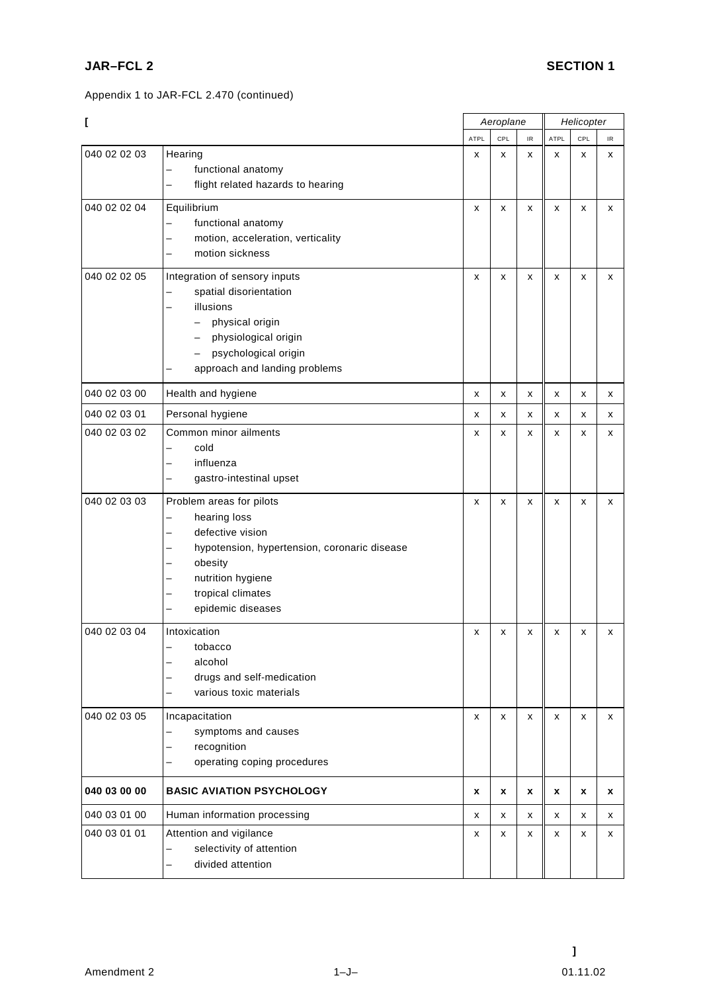| I            |                                                                                                                                                                                        |      | Aeroplane |                                   |      | Helicopter |    |
|--------------|----------------------------------------------------------------------------------------------------------------------------------------------------------------------------------------|------|-----------|-----------------------------------|------|------------|----|
|              |                                                                                                                                                                                        | ATPL | CPL       | $\ensuremath{\mathsf{IR}}\xspace$ | ATPL | CPL        | IR |
| 040 02 02 03 | Hearing<br>functional anatomy<br>flight related hazards to hearing                                                                                                                     | x    | x         | x                                 | X    | x          | x  |
| 040 02 02 04 | Equilibrium<br>functional anatomy<br>motion, acceleration, verticality<br>motion sickness                                                                                              | x    | x         | X                                 | x    | x          | x  |
| 040 02 02 05 | Integration of sensory inputs<br>spatial disorientation<br>illusions<br>physical origin<br>physiological origin<br>psychological origin<br>approach and landing problems               | x    | X         | x                                 | X    | x          | x  |
| 040 02 03 00 | Health and hygiene                                                                                                                                                                     | x    | x         | x                                 | x    | x          | x  |
| 040 02 03 01 | Personal hygiene                                                                                                                                                                       | x    | x         | x                                 | x    | x          | х  |
| 040 02 03 02 | Common minor ailments<br>cold<br>influenza<br>gastro-intestinal upset                                                                                                                  | x    | x         | x                                 | x    | x          | x  |
| 040 02 03 03 | Problem areas for pilots<br>hearing loss<br>defective vision<br>hypotension, hypertension, coronaric disease<br>obesity<br>nutrition hygiene<br>tropical climates<br>epidemic diseases | X    | X         | X                                 | x    | X          | x  |
| 040 02 03 04 | Intoxication<br>tobacco<br>alcohol<br>—<br>drugs and self-medication<br>-<br>various toxic materials                                                                                   | x    | x         | x                                 | x    | x          | x  |
| 040 02 03 05 | Incapacitation<br>symptoms and causes<br>recognition<br>$\overline{\phantom{0}}$<br>operating coping procedures<br>-                                                                   | x    | X         | X                                 | X    | x          | X  |
| 040 03 00 00 | <b>BASIC AVIATION PSYCHOLOGY</b>                                                                                                                                                       | x    | X         | x                                 | X    | x          | x  |
| 040 03 01 00 | Human information processing                                                                                                                                                           | x    | x         | X                                 | x    | x          | x  |
| 040 03 01 01 | Attention and vigilance<br>selectivity of attention<br>divided attention<br>-                                                                                                          | x    | x         | x                                 | X    | X          | x  |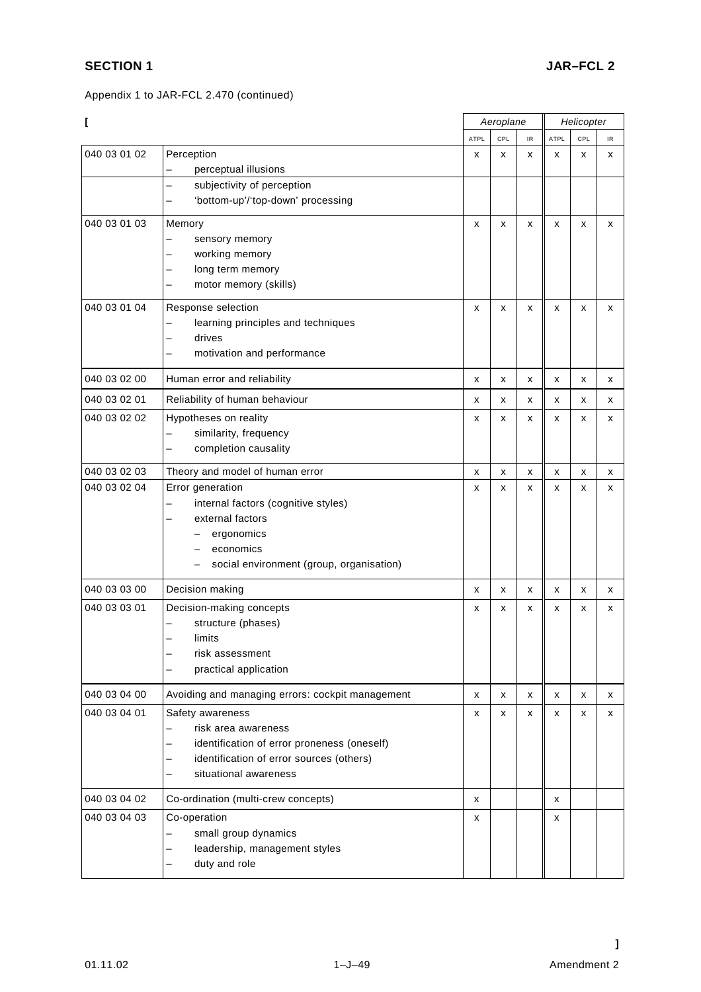| I            |                                                             | Aeroplane |     |                                   | Helicopter |     |     |
|--------------|-------------------------------------------------------------|-----------|-----|-----------------------------------|------------|-----|-----|
|              |                                                             | ATPL      | CPL | $\ensuremath{\mathsf{IR}}\xspace$ | ATPL       | CPL | IR. |
| 040 03 01 02 | Perception                                                  | x         | X   | x                                 | X          | X   | x   |
|              | perceptual illusions                                        |           |     |                                   |            |     |     |
|              | subjectivity of perception<br>$\overline{\phantom{0}}$      |           |     |                                   |            |     |     |
|              | 'bottom-up'/'top-down' processing<br>-                      |           |     |                                   |            |     |     |
| 040 03 01 03 | Memory                                                      | x         | x   | x                                 | X          | X   | x   |
|              | sensory memory                                              |           |     |                                   |            |     |     |
|              | working memory                                              |           |     |                                   |            |     |     |
|              | long term memory<br>۰                                       |           |     |                                   |            |     |     |
|              | motor memory (skills)                                       |           |     |                                   |            |     |     |
| 040 03 01 04 | Response selection                                          | x         | X   | x                                 | X          | X   | x   |
|              | learning principles and techniques                          |           |     |                                   |            |     |     |
|              | drives                                                      |           |     |                                   |            |     |     |
|              | motivation and performance<br><b>-</b>                      |           |     |                                   |            |     |     |
| 040 03 02 00 | Human error and reliability                                 | X         | x   | x                                 | x          | х   | х   |
| 040 03 02 01 | Reliability of human behaviour                              | x         | x   | x                                 | x          | х   | x   |
| 040 03 02 02 | Hypotheses on reality                                       | x         | x   | x                                 | X          | X   | x   |
|              | similarity, frequency                                       |           |     |                                   |            |     |     |
|              | completion causality                                        |           |     |                                   |            |     |     |
|              |                                                             |           |     |                                   |            |     |     |
| 040 03 02 03 | Theory and model of human error                             | X         | x   | x                                 | X          | X   | X   |
| 040 03 02 04 | Error generation                                            | x         | X   | x                                 | X          | X   | x   |
|              | internal factors (cognitive styles)<br>external factors     |           |     |                                   |            |     |     |
|              | ergonomics                                                  |           |     |                                   |            |     |     |
|              | economics                                                   |           |     |                                   |            |     |     |
|              | social environment (group, organisation)                    |           |     |                                   |            |     |     |
|              |                                                             |           |     |                                   |            |     |     |
| 040 03 03 00 | Decision making                                             | х         | x   | x                                 | X          | X   | х   |
| 040 03 03 01 | Decision-making concepts                                    | x         | x   | х                                 | X          | X   | x   |
|              | structure (phases)                                          |           |     |                                   |            |     |     |
|              | limits                                                      |           |     |                                   |            |     |     |
|              | risk assessment                                             |           |     |                                   |            |     |     |
|              | practical application                                       |           |     |                                   |            |     |     |
| 040 03 04 00 | Avoiding and managing errors: cockpit management            | x         | X   | x                                 | x          | X   | x   |
| 040 03 04 01 | Safety awareness                                            | X         | X   | x                                 | x          | x   | X   |
|              | risk area awareness                                         |           |     |                                   |            |     |     |
|              | identification of error proneness (oneself)<br><sup>-</sup> |           |     |                                   |            |     |     |
|              | identification of error sources (others)<br><sup>-</sup>    |           |     |                                   |            |     |     |
|              | situational awareness<br>-                                  |           |     |                                   |            |     |     |
| 040 03 04 02 | Co-ordination (multi-crew concepts)                         | x         |     |                                   | x          |     |     |
| 040 03 04 03 | Co-operation                                                | x         |     |                                   | x          |     |     |
|              | small group dynamics<br>-                                   |           |     |                                   |            |     |     |
|              | leadership, management styles<br><sup>-</sup>               |           |     |                                   |            |     |     |
|              | duty and role<br>-                                          |           |     |                                   |            |     |     |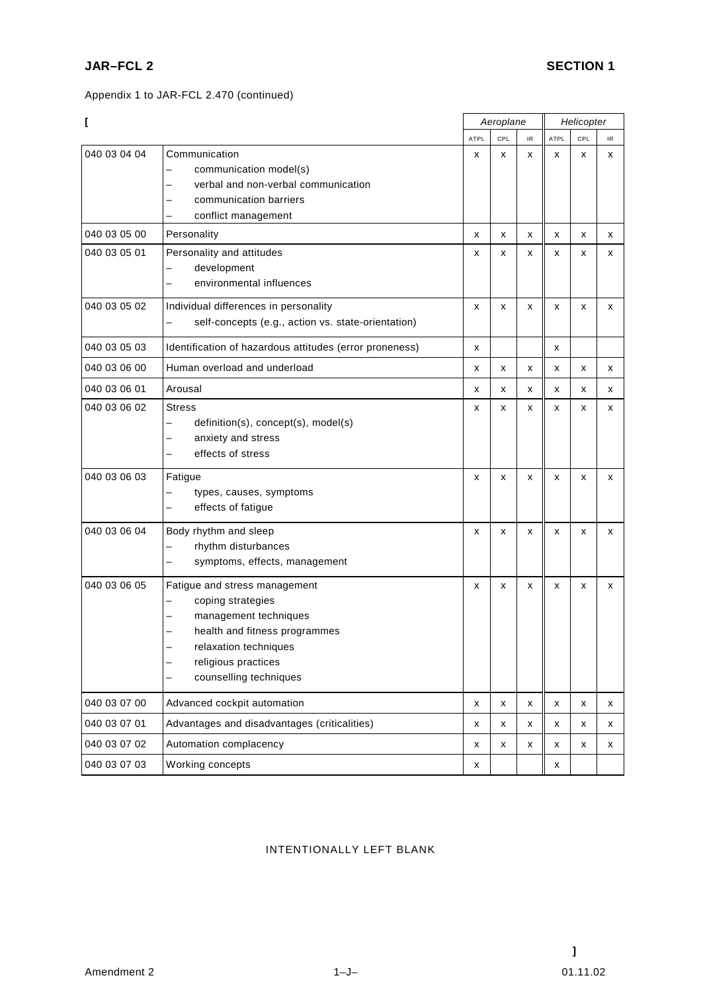### Appendix 1 to JAR-FCL 2.470 (continued)

| I            |                                                                    |      | Aeroplane |     |      | Helicopter |     |  |
|--------------|--------------------------------------------------------------------|------|-----------|-----|------|------------|-----|--|
|              |                                                                    | ATPL | CPL       | IR. | ATPL | CPL        | IR. |  |
| 040 03 04 04 | Communication                                                      | X    | x         | X   | X    | X          | x   |  |
|              | communication model(s)                                             |      |           |     |      |            |     |  |
|              | verbal and non-verbal communication<br>-<br>communication barriers |      |           |     |      |            |     |  |
|              | conflict management                                                |      |           |     |      |            |     |  |
| 040 03 05 00 | Personality                                                        | X    | x         | X   | x    | X          | x   |  |
| 040 03 05 01 | Personality and attitudes                                          |      |           |     |      |            |     |  |
|              | development                                                        | x    | x         | x   | x    | x          | x   |  |
|              | environmental influences<br>$\overline{\phantom{0}}$               |      |           |     |      |            |     |  |
|              |                                                                    |      |           |     |      |            |     |  |
| 040 03 05 02 | Individual differences in personality                              | X    | x         | X   | X    | X          | X   |  |
|              | self-concepts (e.g., action vs. state-orientation)<br>—            |      |           |     |      |            |     |  |
| 040 03 05 03 | Identification of hazardous attitudes (error proneness)            | x    |           |     | x    |            |     |  |
| 040 03 06 00 | Human overload and underload                                       | x    | x         | x   | X    | X          | x   |  |
| 040 03 06 01 | Arousal                                                            | x    | x         | x   | x    | x          | x   |  |
| 040 03 06 02 | <b>Stress</b>                                                      | X    | X         | X   | X    | X          | x   |  |
|              | definition(s), concept(s), model(s)<br>$\overline{\phantom{0}}$    |      |           |     |      |            |     |  |
|              | anxiety and stress<br>$\overline{\phantom{0}}$                     |      |           |     |      |            |     |  |
|              | effects of stress<br>$\overline{\phantom{0}}$                      |      |           |     |      |            |     |  |
| 040 03 06 03 | Fatigue                                                            | x    | x         | X   | X    | X          | X   |  |
|              | types, causes, symptoms<br>—                                       |      |           |     |      |            |     |  |
|              | effects of fatigue<br>$\overline{\phantom{0}}$                     |      |           |     |      |            |     |  |
| 040 03 06 04 | Body rhythm and sleep                                              | X    | x         | X   | x    | X          | x   |  |
|              | rhythm disturbances<br>—                                           |      |           |     |      |            |     |  |
|              | symptoms, effects, management<br>-                                 |      |           |     |      |            |     |  |
| 040 03 06 05 | Fatigue and stress management                                      | x    | x         | x   | x    | X          | X   |  |
|              | coping strategies                                                  |      |           |     |      |            |     |  |
|              | management techniques                                              |      |           |     |      |            |     |  |
|              | health and fitness programmes                                      |      |           |     |      |            |     |  |
|              | relaxation techniques                                              |      |           |     |      |            |     |  |
|              | religious practices                                                |      |           |     |      |            |     |  |
|              | counselling techniques<br>-                                        |      |           |     |      |            |     |  |
| 040 03 07 00 | Advanced cockpit automation                                        | х    | x         | x   | х    | x          | x   |  |
| 040 03 07 01 | Advantages and disadvantages (criticalities)                       | x    | x         | х   | x    | x          | x   |  |
| 040 03 07 02 | Automation complacency                                             | х    | x         | x   | x    | x          | x   |  |
| 040 03 07 03 | Working concepts                                                   | x    |           |     | x    |            |     |  |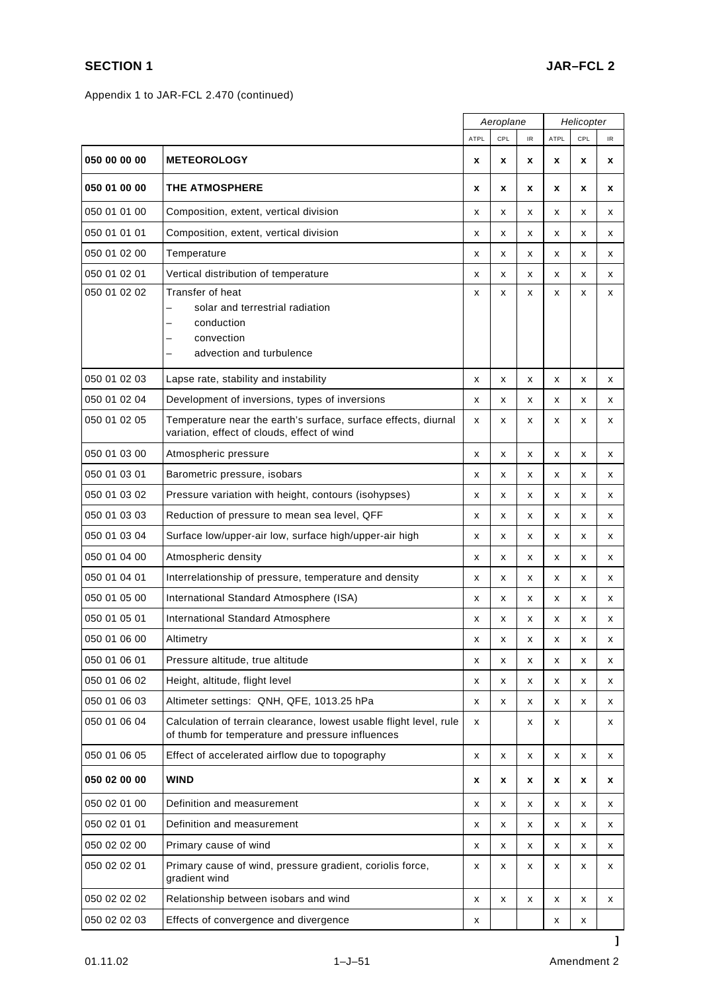|              |                                                                                                                        |      | Aeroplane |     |      | Helicopter |    |
|--------------|------------------------------------------------------------------------------------------------------------------------|------|-----------|-----|------|------------|----|
|              |                                                                                                                        | ATPL | CPL       | IR. | ATPL | CPL        | IR |
| 050 00 00 00 | <b>METEOROLOGY</b>                                                                                                     | x    | x         | x   | x    | x          | х  |
| 050 01 00 00 | <b>THE ATMOSPHERE</b>                                                                                                  | X    | x         | x   | x    | x          | х  |
| 050 01 01 00 | Composition, extent, vertical division                                                                                 | x    | x         | x   | x    | x          | x  |
| 050 01 01 01 | Composition, extent, vertical division                                                                                 | x    | x         | x   | x    | x          | x  |
| 050 01 02 00 | Temperature                                                                                                            | x    | x         | X   | x    | x          | x  |
| 050 01 02 01 | Vertical distribution of temperature                                                                                   | x    | x         | x   | x    | x          | x  |
| 050 01 02 02 | Transfer of heat<br>solar and terrestrial radiation<br>conduction<br>convection<br>advection and turbulence            | x    | x         | X   | x    | x          | x  |
| 050 01 02 03 | Lapse rate, stability and instability                                                                                  | x    | x         | x   | x    | x          | х  |
| 050 01 02 04 | Development of inversions, types of inversions                                                                         | x    | x         | x   | x    | x          | x  |
| 050 01 02 05 | Temperature near the earth's surface, surface effects, diurnal<br>variation, effect of clouds, effect of wind          | x    | x         | x   | x    | x          | х  |
| 050 01 03 00 | Atmospheric pressure                                                                                                   | x    | x         | x   | x    | x          | х  |
| 050 01 03 01 | Barometric pressure, isobars                                                                                           | x    | X         | X   | x    | x          | x  |
| 050 01 03 02 | Pressure variation with height, contours (isohypses)                                                                   | x    | x         | x   | x    | x          | x  |
| 050 01 03 03 | Reduction of pressure to mean sea level, QFF                                                                           | x    | x         | x   | x    | x          | x  |
| 050 01 03 04 | Surface low/upper-air low, surface high/upper-air high                                                                 | x    | x         | X   | x    | x          | x  |
| 050 01 04 00 | Atmospheric density                                                                                                    | x    | x         | x   | x    | x          | х  |
| 050 01 04 01 | Interrelationship of pressure, temperature and density                                                                 | x    | x         | x   | x    | x          | х  |
| 050 01 05 00 | International Standard Atmosphere (ISA)                                                                                | х    | х         | x   | x    | x          | х  |
| 050 01 05 01 | International Standard Atmosphere                                                                                      | x    | x         | х   | x    | x          | х  |
| 050 01 06 00 | Altimetry                                                                                                              | х    | x         | х   | х    | x          | х  |
| 050 01 06 01 | Pressure altitude, true altitude                                                                                       | x    | x         | x   | x    | x          | х  |
| 050 01 06 02 | Height, altitude, flight level                                                                                         | x    | x         | x   | x    | x          | х  |
| 050 01 06 03 | Altimeter settings: QNH, QFE, 1013.25 hPa                                                                              | x    | x         | x   | x    | X          | x  |
| 050 01 06 04 | Calculation of terrain clearance, lowest usable flight level, rule<br>of thumb for temperature and pressure influences | х    |           | х   | х    |            | х  |
| 050 01 06 05 | Effect of accelerated airflow due to topography                                                                        | x    | x         | x   | x    | x          | x  |
| 050 02 00 00 | <b>WIND</b>                                                                                                            | x    | X         | x   | x    | x          | x  |
| 050 02 01 00 | Definition and measurement                                                                                             | x    | x         | x   | x    | x          | x  |
| 050 02 01 01 | Definition and measurement                                                                                             | x    | x         | x   | x    | х          | x  |
| 050 02 02 00 | Primary cause of wind                                                                                                  | х    | х         | x   | x    | x          | x  |
| 050 02 02 01 | Primary cause of wind, pressure gradient, coriolis force,<br>gradient wind                                             | x    | x         | x   | x    | x          | x  |
| 050 02 02 02 | Relationship between isobars and wind                                                                                  | x    | x         | x   | x    | x          | x  |
| 050 02 02 03 | Effects of convergence and divergence                                                                                  | х    |           |     | х    | x          |    |

**]**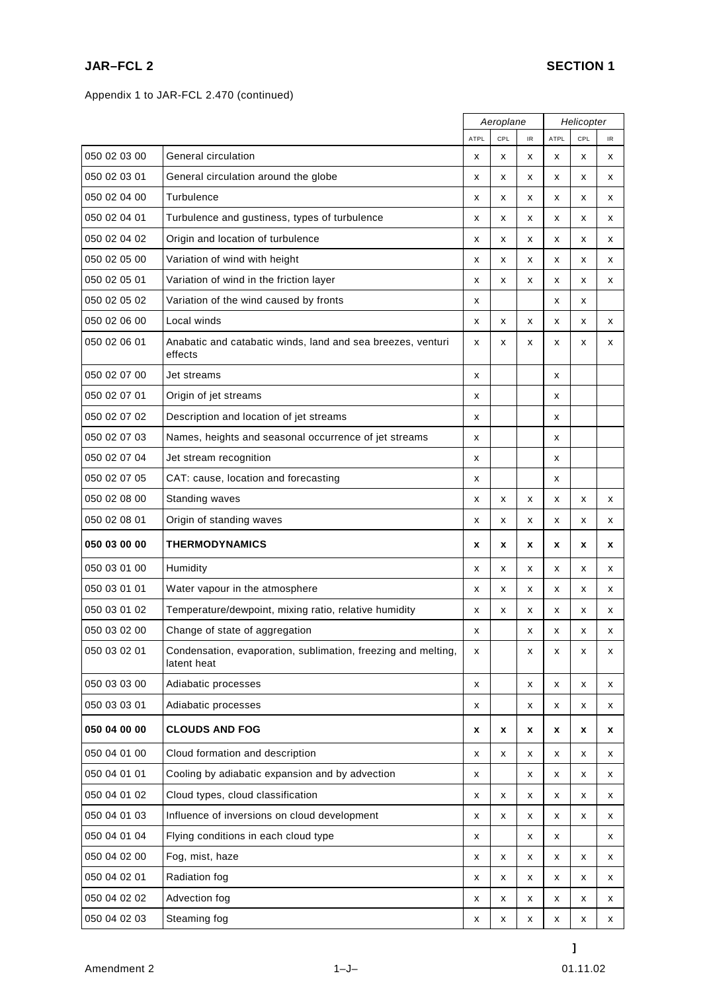|              |                                                                              |      | Aeroplane |     |      | Helicopter |     |
|--------------|------------------------------------------------------------------------------|------|-----------|-----|------|------------|-----|
|              |                                                                              | ATPL | CPL       | IR. | ATPL | CPL        | IR. |
| 050 02 03 00 | General circulation                                                          | x    | x         | x   | x    | x          | x   |
| 050 02 03 01 | General circulation around the globe                                         | X    | x         | x   | x    | x          | x   |
| 050 02 04 00 | <b>Turbulence</b>                                                            | x    | x         | x   | x    | x          | x   |
| 050 02 04 01 | Turbulence and gustiness, types of turbulence                                | x    | х         | x   | x    | x          | х   |
| 050 02 04 02 | Origin and location of turbulence                                            | X    | x         | x   | x    | x          | x   |
| 050 02 05 00 | Variation of wind with height                                                | x    | x         | x   | x    | x          | х   |
| 050 02 05 01 | Variation of wind in the friction layer                                      | x    | x         | x   | x    | x          | х   |
| 050 02 05 02 | Variation of the wind caused by fronts                                       | x    |           |     | x    | x          |     |
| 050 02 06 00 | Local winds                                                                  | x    | x         | x   | x    | x          | x   |
| 050 02 06 01 | Anabatic and catabatic winds, land and sea breezes, venturi<br>effects       | х    | x         | x   | x    | х          | х   |
| 050 02 07 00 | Jet streams                                                                  | x    |           |     | x    |            |     |
| 050 02 07 01 | Origin of jet streams                                                        | X    |           |     | x    |            |     |
| 050 02 07 02 | Description and location of jet streams                                      | x    |           |     | x    |            |     |
| 050 02 07 03 | Names, heights and seasonal occurrence of jet streams                        | х    |           |     | x    |            |     |
| 050 02 07 04 | Jet stream recognition                                                       | x    |           |     | x    |            |     |
| 050 02 07 05 | CAT: cause, location and forecasting                                         | x    |           |     | x    |            |     |
| 050 02 08 00 | Standing waves                                                               | x    | x         | x   | x    | x          | х   |
| 050 02 08 01 | Origin of standing waves                                                     | x    | x         | x   | x    | x          | х   |
| 050 03 00 00 | <b>THERMODYNAMICS</b>                                                        | X    | X         | x   | x    | x          | x   |
| 050 03 01 00 | Humidity                                                                     | x    | x         | x   | x    | x          | х   |
| 050 03 01 01 | Water vapour in the atmosphere                                               | х    | х         | x   | x    | x          | x   |
| 050 03 01 02 | Temperature/dewpoint, mixing ratio, relative humidity                        | x    | x         | x   | x    | x          | x   |
| 050 03 02 00 | Change of state of aggregation                                               | х    |           | х   | x    | x          | х   |
| 050 03 02 01 | Condensation, evaporation, sublimation, freezing and melting,<br>latent heat | x    |           | x   | x    | x          | x   |
| 050 03 03 00 | Adiabatic processes                                                          | X    |           | x   | x    | x          | x   |
| 050 03 03 01 | Adiabatic processes                                                          | x    |           | x   | x    | x          | х   |
| 050 04 00 00 | <b>CLOUDS AND FOG</b>                                                        | X    | x         | x   | x    | x          | х   |
| 050 04 01 00 | Cloud formation and description                                              | х    | x         | x   | x    | x          | x   |
| 050 04 01 01 | Cooling by adiabatic expansion and by advection                              | х    |           | x   | x    | х          | х   |
| 050 04 01 02 | Cloud types, cloud classification                                            | х    | x         | х   | x    | x          | x   |
| 050 04 01 03 | Influence of inversions on cloud development                                 | х    | х         | x   | x    | x          | x   |
| 050 04 01 04 | Flying conditions in each cloud type                                         | X    |           | х   | x    |            | x   |
| 050 04 02 00 | Fog, mist, haze                                                              | х    | x         | x   | x    | x          | x   |
| 050 04 02 01 | Radiation fog                                                                | х    | х         | х   | х    | x          | х   |
| 050 04 02 02 | Advection fog                                                                | x    | x         | x   | x    | x          | x   |
| 050 04 02 03 | Steaming fog                                                                 | x    | x         | x   | x    | x          | X.  |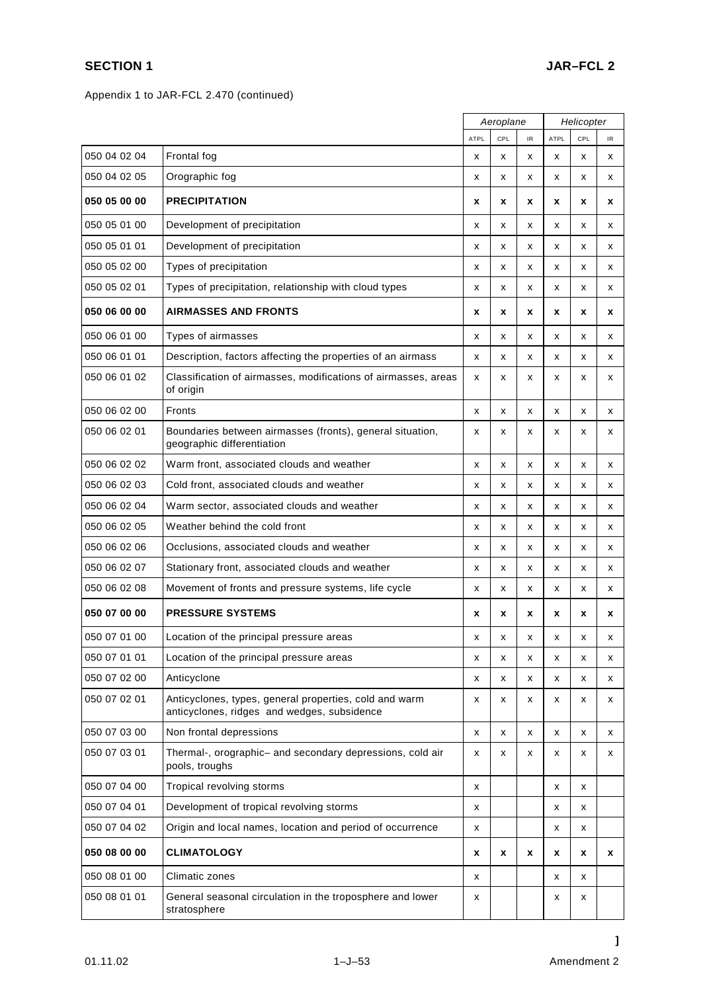$\blacksquare$ 

 $\blacksquare$ 

|              |                                                                                                       | Aeroplane |     |     | Helicopter |     |    |
|--------------|-------------------------------------------------------------------------------------------------------|-----------|-----|-----|------------|-----|----|
|              |                                                                                                       | ATPL      | CPL | IR. | ATPL       | CPL | IR |
| 050 04 02 04 | Frontal fog                                                                                           | x         | X   | x   | X          | x   | x  |
| 050 04 02 05 | Orographic fog                                                                                        | x         | x   | x   | x          | x   | х  |
| 050 05 00 00 | <b>PRECIPITATION</b>                                                                                  | X         | X   | x   | X          | x   | x  |
| 050 05 01 00 | Development of precipitation                                                                          | x         | x   | х   | x          | x   | х  |
| 050 05 01 01 | Development of precipitation                                                                          | x         | х   | х   | x          | x   | х  |
| 050 05 02 00 | Types of precipitation                                                                                | x         | x   | x   | x          | x   | x  |
| 050 05 02 01 | Types of precipitation, relationship with cloud types                                                 | x         | х   | х   | x          | x   | х  |
| 050 06 00 00 | <b>AIRMASSES AND FRONTS</b>                                                                           | x         | X   | x   | X          | x   | x  |
| 050 06 01 00 | Types of airmasses                                                                                    | x         | x   | x   | x          | x   | х  |
| 050 06 01 01 | Description, factors affecting the properties of an airmass                                           | х         | x   | x   | х          | x   | х  |
| 050 06 01 02 | Classification of airmasses, modifications of airmasses, areas<br>of origin                           | x         | х   | x   | x          | x   | х  |
| 050 06 02 00 | <b>Fronts</b>                                                                                         | x         | x   | X   | x          | X   | x  |
| 050 06 02 01 | Boundaries between airmasses (fronts), general situation,<br>geographic differentiation               | x         | x   | x   | x          | x   | х  |
| 050 06 02 02 | Warm front, associated clouds and weather                                                             | x         | x   | x   | x          | x   | х  |
| 050 06 02 03 | Cold front, associated clouds and weather                                                             | x         | х   | x   | x          | x   | x  |
| 050 06 02 04 | Warm sector, associated clouds and weather                                                            | x         | x   | x   | x          | x   | x  |
| 050 06 02 05 | Weather behind the cold front                                                                         | x         | х   | х   | x          | x   | х  |
| 050 06 02 06 | Occlusions, associated clouds and weather                                                             | x         | x   | х   | х          | x   | х  |
| 050 06 02 07 | Stationary front, associated clouds and weather                                                       | x         | X   | X   | x          | x   | x  |
| 050 06 02 08 | Movement of fronts and pressure systems, life cycle                                                   | x         | x   | x   | x          | x   | х  |
| 050 07 00 00 | <b>PRESSURE SYSTEMS</b>                                                                               | x         | x   | x   | X          | x   | x  |
| 050 07 01 00 | Location of the principal pressure areas                                                              | x         | х   | х   | x          | x   | х  |
| 050 07 01 01 | Location of the principal pressure areas                                                              | x         | x   | x   | x          | x   | x  |
| 050 07 02 00 | Anticyclone                                                                                           | x         | x   | x   | x          | x   | x  |
| 050 07 02 01 | Anticyclones, types, general properties, cold and warm<br>anticyclones, ridges and wedges, subsidence | x         | x   | x   | x          | x   | x  |
| 050 07 03 00 | Non frontal depressions                                                                               | x         | x   | x   | x          | X   | х  |
| 050 07 03 01 | Thermal-, orographic- and secondary depressions, cold air<br>pools, troughs                           | x         | x   | x   | x          | x   | x  |
| 050 07 04 00 | Tropical revolving storms                                                                             | x         |     |     | x          | x   |    |
| 050 07 04 01 | Development of tropical revolving storms                                                              | x         |     |     | х          | x   |    |
| 050 07 04 02 | Origin and local names, location and period of occurrence                                             | x         |     |     | x          | x   |    |
| 050 08 00 00 | <b>CLIMATOLOGY</b>                                                                                    | x         | X   | x   | x          | x   | x  |
| 050 08 01 00 | Climatic zones                                                                                        | x         |     |     | x          | x   |    |
| 050 08 01 01 | General seasonal circulation in the troposphere and lower<br>stratosphere                             | x         |     |     | х          | x   |    |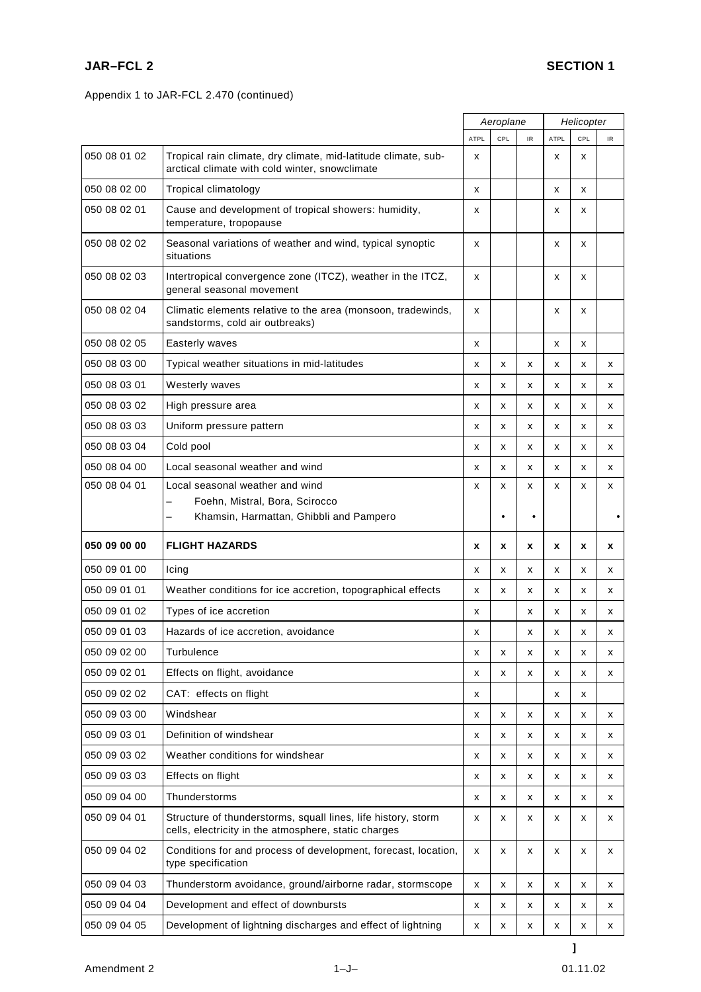### Appendix 1 to JAR-FCL 2.470 (continued)

|              |                                                                                                                       |      | Aeroplane |           | Helicopter |     |     |
|--------------|-----------------------------------------------------------------------------------------------------------------------|------|-----------|-----------|------------|-----|-----|
|              |                                                                                                                       | ATPL | CPL       | IR.       | ATPL       | CPL | IR. |
| 050 08 01 02 | Tropical rain climate, dry climate, mid-latitude climate, sub-<br>arctical climate with cold winter, snowclimate      | x    |           |           | x          | x   |     |
| 050 08 02 00 | Tropical climatology                                                                                                  | x    |           |           | x          | x   |     |
| 050 08 02 01 | Cause and development of tropical showers: humidity,<br>temperature, tropopause                                       | x    |           |           | x          | x   |     |
| 050 08 02 02 | Seasonal variations of weather and wind, typical synoptic<br>situations                                               | x    |           |           | x          | x   |     |
| 050 08 02 03 | Intertropical convergence zone (ITCZ), weather in the ITCZ,<br>general seasonal movement                              | x    |           |           | x          | x   |     |
| 050 08 02 04 | Climatic elements relative to the area (monsoon, tradewinds,<br>sandstorms, cold air outbreaks)                       | x    |           |           | X          | x   |     |
| 050 08 02 05 | Easterly waves                                                                                                        | х    |           |           | x          | x   |     |
| 050 08 03 00 | Typical weather situations in mid-latitudes                                                                           | x    | x         | х         | х          | x   | х   |
| 050 08 03 01 | Westerly waves                                                                                                        | x    | x         | x         | X          | x   | х   |
| 050 08 03 02 | High pressure area                                                                                                    | x    | x         | х         | x          | x   | х   |
| 050 08 03 03 | Uniform pressure pattern                                                                                              | X    | x         | x         | x          | x   | x   |
| 050 08 03 04 | Cold pool                                                                                                             | x    | x         | х         | х          | x   | x   |
| 050 08 04 00 | Local seasonal weather and wind                                                                                       | x    | x         | x         | x          | x   | x   |
| 050 08 04 01 | Local seasonal weather and wind                                                                                       | x    | x         | x         | X          | x   | x   |
|              | Foehn, Mistral, Bora, Scirocco<br>$\overline{\phantom{0}}$<br>Khamsin, Harmattan, Ghibbli and Pampero                 |      | $\bullet$ | $\bullet$ |            |     |     |
| 050 09 00 00 | <b>FLIGHT HAZARDS</b>                                                                                                 | x    | x         | x         | X          | x   | x   |
| 050 09 01 00 | Icing                                                                                                                 | x    | x         | x         | x          | x   | x   |
| 050 09 01 01 | Weather conditions for ice accretion, topographical effects                                                           | x    | x         | х         | х          | x   | x   |
| 050 09 01 02 | Types of ice accretion                                                                                                | x    |           | х         | x          | x   | х   |
| 050 09 01 03 | Hazards of ice accretion, avoidance                                                                                   | х    |           | х         | х          | x   | х   |
| 050 09 02 00 | Turbulence                                                                                                            | x    | x         | X         | x          | x   | x   |
| 050 09 02 01 | Effects on flight, avoidance                                                                                          | x    | x         | x         | x          | x   | x   |
| 050 09 02 02 | CAT: effects on flight                                                                                                | x    |           |           | х          | x   |     |
| 050 09 03 00 | Windshear                                                                                                             | x    | x         | x         | X          | x   | х   |
| 050 09 03 01 | Definition of windshear                                                                                               | x    | x         | х         | х          | x   | х   |
| 050 09 03 02 | Weather conditions for windshear                                                                                      | x    | x         | x         | x          | x   | x   |
| 050 09 03 03 | Effects on flight                                                                                                     | x    | x         | x         | х          | x   | х   |
| 050 09 04 00 | Thunderstorms                                                                                                         | x    | x         | x         | x          | x   | x   |
| 050 09 04 01 | Structure of thunderstorms, squall lines, life history, storm<br>cells, electricity in the atmosphere, static charges | x    | x         | x         | х          | x   | х   |
| 050 09 04 02 | Conditions for and process of development, forecast, location,<br>type specification                                  | x    | x         | x         | x          | x   | x   |
| 050 09 04 03 | Thunderstorm avoidance, ground/airborne radar, stormscope                                                             | x    | x         | x         | X          | x   | x   |
| 050 09 04 04 | Development and effect of downbursts                                                                                  | x    | x         | х         | х          | x   | х   |
| 050 09 04 05 | Development of lightning discharges and effect of lightning                                                           | x    | x         | X         | x          | x   | x   |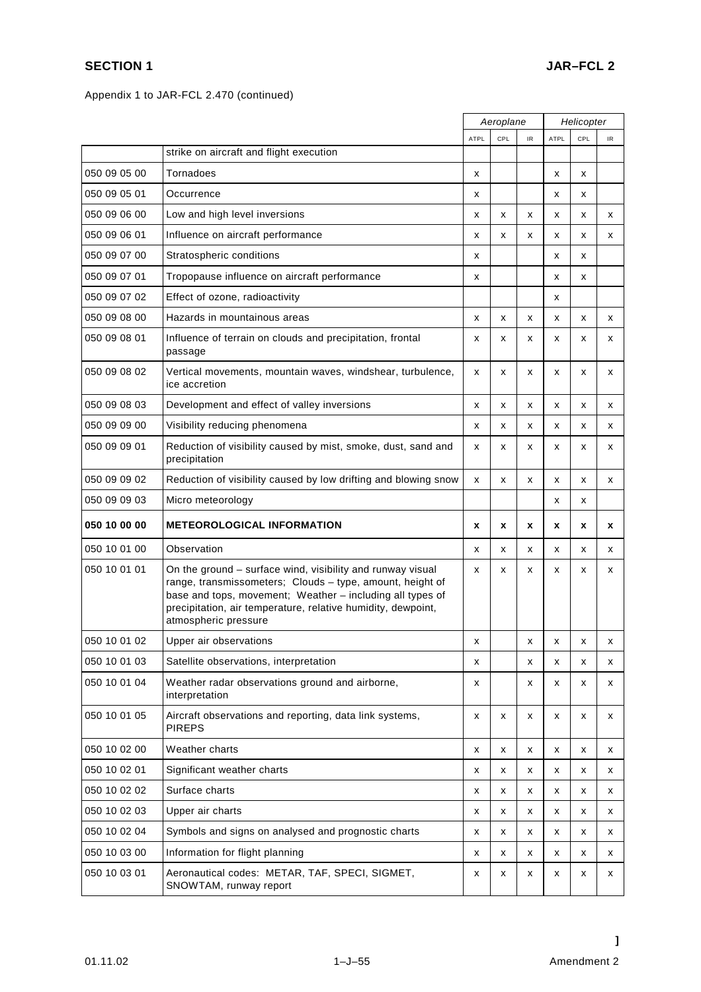|              |                                                                                                                                                                                                                                                                              |      | Aeroplane |     |      | Helicopter |    |
|--------------|------------------------------------------------------------------------------------------------------------------------------------------------------------------------------------------------------------------------------------------------------------------------------|------|-----------|-----|------|------------|----|
|              |                                                                                                                                                                                                                                                                              | ATPL | CPL       | IR. | ATPL | CPL        | IR |
|              | strike on aircraft and flight execution                                                                                                                                                                                                                                      |      |           |     |      |            |    |
| 050 09 05 00 | Tornadoes                                                                                                                                                                                                                                                                    | х    |           |     | x    | x          |    |
| 050 09 05 01 | Occurrence                                                                                                                                                                                                                                                                   | X    |           |     | x    | x          |    |
| 050 09 06 00 | Low and high level inversions                                                                                                                                                                                                                                                | x    | x         | x   | x    | x          | х  |
| 050 09 06 01 | Influence on aircraft performance                                                                                                                                                                                                                                            | x    | x         | х   | x    | x          | x  |
| 050 09 07 00 | Stratospheric conditions                                                                                                                                                                                                                                                     | x    |           |     | x    | x          |    |
| 050 09 07 01 | Tropopause influence on aircraft performance                                                                                                                                                                                                                                 | x    |           |     | x    | x          |    |
| 050 09 07 02 | Effect of ozone, radioactivity                                                                                                                                                                                                                                               |      |           |     | x    |            |    |
| 050 09 08 00 | Hazards in mountainous areas                                                                                                                                                                                                                                                 | x    | X         | x   | x    | x          | x  |
| 050 09 08 01 | Influence of terrain on clouds and precipitation, frontal<br>passage                                                                                                                                                                                                         | x    | x         | x   | x    | x          | х  |
| 050 09 08 02 | Vertical movements, mountain waves, windshear, turbulence,<br>ice accretion                                                                                                                                                                                                  | x    | x         | x   | x    | x          | х  |
| 050 09 08 03 | Development and effect of valley inversions                                                                                                                                                                                                                                  | x    | x         | x   | х    | x          | х  |
| 050 09 09 00 | Visibility reducing phenomena                                                                                                                                                                                                                                                | x    | x         | x   | x    | x          | x  |
| 050 09 09 01 | Reduction of visibility caused by mist, smoke, dust, sand and<br>precipitation                                                                                                                                                                                               | x    | x         | x   | x    | x          | x  |
| 050 09 09 02 | Reduction of visibility caused by low drifting and blowing snow                                                                                                                                                                                                              | x    | x         | x   | x    | x          | x  |
| 050 09 09 03 | Micro meteorology                                                                                                                                                                                                                                                            |      |           |     | x    | x          |    |
| 050 10 00 00 | <b>METEOROLOGICAL INFORMATION</b>                                                                                                                                                                                                                                            | X    | X         | x   | x    | x          | x  |
| 050 10 01 00 | Observation                                                                                                                                                                                                                                                                  | х    | x         | х   | x    | x          | x  |
| 050 10 01 01 | On the ground - surface wind, visibility and runway visual<br>range, transmissometers; Clouds - type, amount, height of<br>base and tops, movement; Weather - including all types of<br>precipitation, air temperature, relative humidity, dewpoint,<br>atmospheric pressure | x    | x         | x   | x    | x          | х  |
| 050 10 01 02 | Upper air observations                                                                                                                                                                                                                                                       | x    |           | х   | х    | x          | х  |
| 050 10 01 03 | Satellite observations, interpretation                                                                                                                                                                                                                                       | x    |           | x   | x    | x          | x  |
| 050 10 01 04 | Weather radar observations ground and airborne,<br>interpretation                                                                                                                                                                                                            | х    |           | x   | х    | x          | x  |
| 050 10 01 05 | Aircraft observations and reporting, data link systems,<br><b>PIREPS</b>                                                                                                                                                                                                     | x    | x         | x   | х    | x          | х  |
| 050 10 02 00 | Weather charts                                                                                                                                                                                                                                                               | x    | x         | x   | x    | x          | х  |
| 050 10 02 01 | Significant weather charts                                                                                                                                                                                                                                                   | X    | x         | x   | x    | x          | x  |
| 050 10 02 02 | Surface charts                                                                                                                                                                                                                                                               | x    | x         | x   | x    | x          | х  |
| 050 10 02 03 | Upper air charts                                                                                                                                                                                                                                                             | x    | x         | x   | x    | x          | х  |
| 050 10 02 04 | Symbols and signs on analysed and prognostic charts                                                                                                                                                                                                                          | х    | х         | х   | х    | x          | x  |
| 050 10 03 00 | Information for flight planning                                                                                                                                                                                                                                              | x    | x         | x   | x    | x          | x  |
| 050 10 03 01 | Aeronautical codes: METAR, TAF, SPECI, SIGMET,<br>SNOWTAM, runway report                                                                                                                                                                                                     | x    | х         | х   | х    | x          | x  |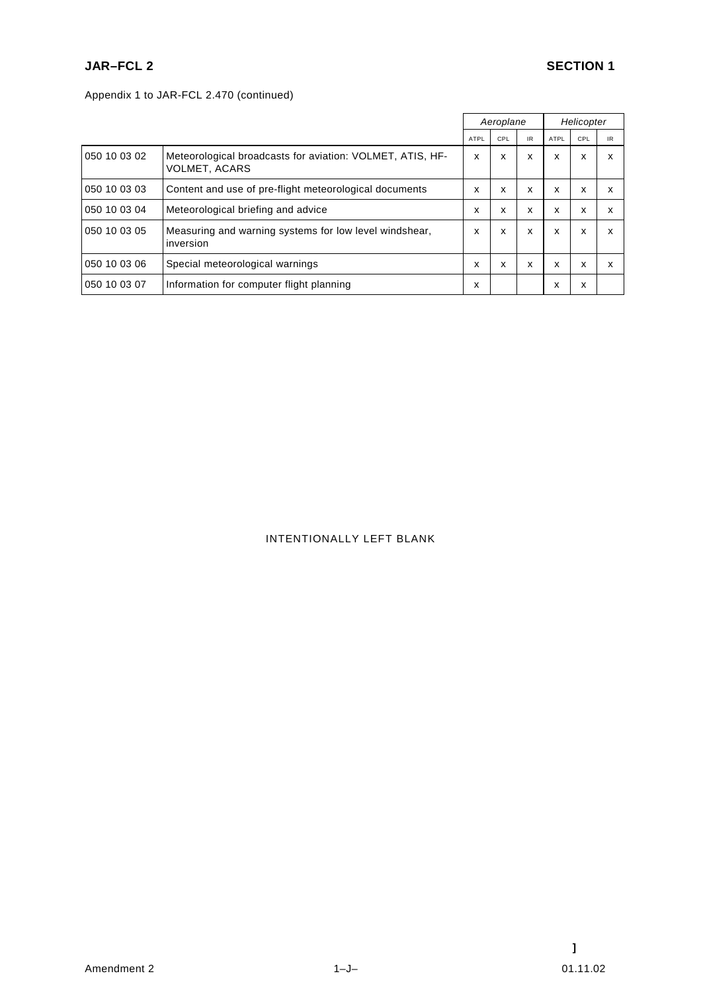|              |                                                                                   | Aeroplane |     |     |      | Helicopter |     |
|--------------|-----------------------------------------------------------------------------------|-----------|-----|-----|------|------------|-----|
|              |                                                                                   | ATPL      | CPL | IR. | ATPL | CPL        | IR. |
| 050 10 03 02 | Meteorological broadcasts for aviation: VOLMET, ATIS, HF-<br><b>VOLMET, ACARS</b> | X         | x   | x   | x    | x          | x   |
| 050 10 03 03 | Content and use of pre-flight meteorological documents                            | x         | x   | x   | x    | x          | x   |
| 050 10 03 04 | Meteorological briefing and advice                                                | X         | x   | x   | x    | x          | x   |
| 050 10 03 05 | Measuring and warning systems for low level windshear,<br>inversion               | x         | x   | x   | x    | x          | x   |
| 050 10 03 06 | Special meteorological warnings                                                   | X         | x   | x   | x    | x          | x   |
| 050 10 03 07 | Information for computer flight planning                                          | x         |     |     | x    | X          |     |

## INTENTIONALLY LEFT BLANK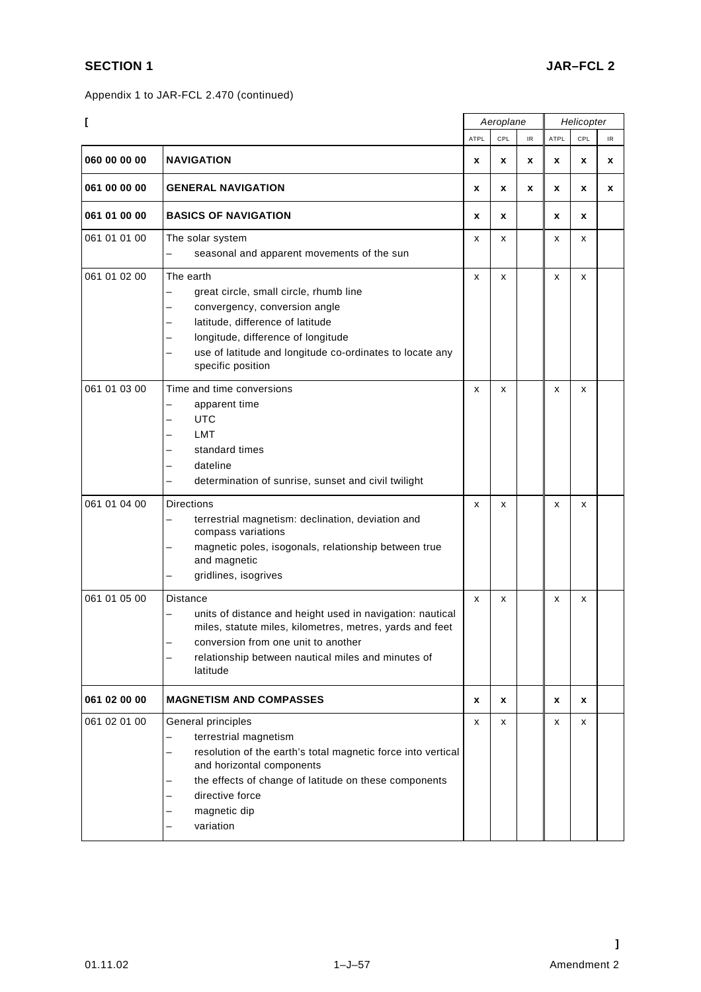| I            |                                                                                                                                                                                                                                                                   |      | Aeroplane |     | Helicopter |              |     |
|--------------|-------------------------------------------------------------------------------------------------------------------------------------------------------------------------------------------------------------------------------------------------------------------|------|-----------|-----|------------|--------------|-----|
|              |                                                                                                                                                                                                                                                                   | ATPL | CPL       | IR. | ATPL       | CPL          | IR. |
| 060 00 00 00 | <b>NAVIGATION</b>                                                                                                                                                                                                                                                 | x    | X         | x   | x          | X            | x   |
| 061 00 00 00 | <b>GENERAL NAVIGATION</b>                                                                                                                                                                                                                                         | x    | X         | x   | x          | X            | x   |
| 061 01 00 00 | <b>BASICS OF NAVIGATION</b>                                                                                                                                                                                                                                       | x    | x         |     | x          | x            |     |
| 061 01 01 00 | The solar system<br>seasonal and apparent movements of the sun                                                                                                                                                                                                    | x    | X         |     | x          | x            |     |
| 061 01 02 00 | The earth<br>great circle, small circle, rhumb line<br>convergency, conversion angle<br>-<br>latitude, difference of latitude<br>-<br>longitude, difference of longitude<br>use of latitude and longitude co-ordinates to locate any<br>specific position         | x    | X         |     | X          | X            |     |
| 061 01 03 00 | Time and time conversions<br>apparent time<br><b>UTC</b><br><b>LMT</b><br>standard times<br>dateline<br>determination of sunrise, sunset and civil twilight                                                                                                       | x    | X         |     | X          | X            |     |
| 061 01 04 00 | <b>Directions</b><br>terrestrial magnetism: declination, deviation and<br>compass variations<br>magnetic poles, isogonals, relationship between true<br>and magnetic<br>gridlines, isogrives                                                                      | x    | X         |     | x          | X            |     |
| 061 01 05 00 | <b>Distance</b><br>units of distance and height used in navigation: nautical<br>miles, statute miles, kilometres, metres, yards and feet<br>conversion from one unit to another<br>relationship between nautical miles and minutes of<br>latitude                 | X    | x         |     | x          | X            |     |
| 061 02 00 00 | <b>MAGNETISM AND COMPASSES</b>                                                                                                                                                                                                                                    | x    | x         |     | x          | $\mathbf{x}$ |     |
| 061 02 01 00 | General principles<br>terrestrial magnetism<br>resolution of the earth's total magnetic force into vertical<br>-<br>and horizontal components<br>the effects of change of latitude on these components<br>-<br>directive force<br>magnetic dip<br>variation<br>Ξ. | x    | x         |     | x          | x            |     |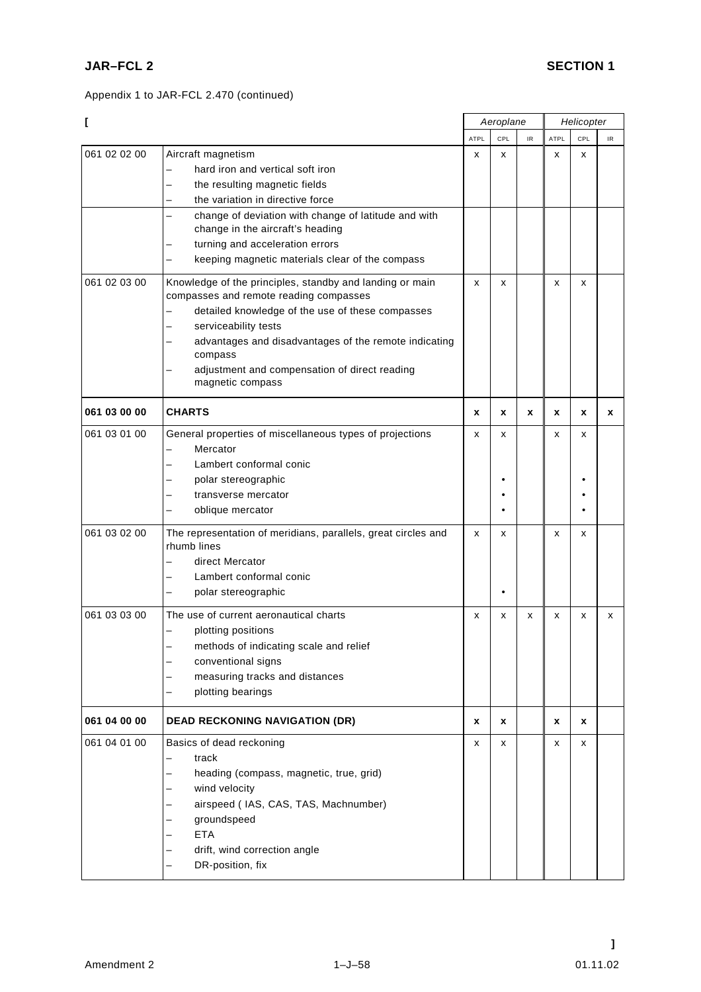| Т            |                                                                                                                                                                                                                                  | Aeroplane |     |    | Helicopter |     |              |
|--------------|----------------------------------------------------------------------------------------------------------------------------------------------------------------------------------------------------------------------------------|-----------|-----|----|------------|-----|--------------|
|              |                                                                                                                                                                                                                                  | ATPL      | CPL | IR | ATPL       | CPL | IR           |
| 061 02 02 00 | Aircraft magnetism                                                                                                                                                                                                               | X         | x   |    | x          | X   |              |
|              | hard iron and vertical soft iron                                                                                                                                                                                                 |           |     |    |            |     |              |
|              | the resulting magnetic fields                                                                                                                                                                                                    |           |     |    |            |     |              |
|              | the variation in directive force<br>$\overline{\phantom{0}}$                                                                                                                                                                     |           |     |    |            |     |              |
|              | change of deviation with change of latitude and with<br>change in the aircraft's heading                                                                                                                                         |           |     |    |            |     |              |
|              | turning and acceleration errors                                                                                                                                                                                                  |           |     |    |            |     |              |
|              | keeping magnetic materials clear of the compass<br>-                                                                                                                                                                             |           |     |    |            |     |              |
| 061 02 03 00 | Knowledge of the principles, standby and landing or main<br>compasses and remote reading compasses<br>detailed knowledge of the use of these compasses<br>serviceability tests                                                   | X         | x   |    | X          | x   |              |
|              | advantages and disadvantages of the remote indicating<br>compass                                                                                                                                                                 |           |     |    |            |     |              |
|              | adjustment and compensation of direct reading<br>magnetic compass                                                                                                                                                                |           |     |    |            |     |              |
| 061 03 00 00 | <b>CHARTS</b>                                                                                                                                                                                                                    | X         | X   | x  | X          | X   | $\mathbf{x}$ |
| 061 03 01 00 | General properties of miscellaneous types of projections<br>Mercator                                                                                                                                                             | X         | x   |    | x          | х   |              |
|              | Lambert conformal conic                                                                                                                                                                                                          |           |     |    |            |     |              |
|              | polar stereographic                                                                                                                                                                                                              |           |     |    |            |     |              |
|              | transverse mercator                                                                                                                                                                                                              |           |     |    |            |     |              |
|              | oblique mercator                                                                                                                                                                                                                 |           |     |    |            |     |              |
| 061 03 02 00 | The representation of meridians, parallels, great circles and<br>rhumb lines                                                                                                                                                     | X         | x   |    | X          | x   |              |
|              | direct Mercator                                                                                                                                                                                                                  |           |     |    |            |     |              |
|              | Lambert conformal conic                                                                                                                                                                                                          |           |     |    |            |     |              |
|              | polar stereographic<br>-                                                                                                                                                                                                         |           |     |    |            |     |              |
| 061 03 03 00 | The use of current aeronautical charts<br>plotting positions<br>methods of indicating scale and relief<br>conventional signs<br>measuring tracks and distances<br>-<br>plotting bearings                                         | X         | x   | x  | x          | x   | x            |
| 061 04 00 00 | <b>DEAD RECKONING NAVIGATION (DR)</b>                                                                                                                                                                                            | x         | x   |    | x          | x   |              |
| 061 04 01 00 | Basics of dead reckoning<br>track<br>-<br>heading (compass, magnetic, true, grid)<br>-<br>wind velocity<br>airspeed (IAS, CAS, TAS, Machnumber)<br>groundspeed<br><b>ETA</b><br>drift, wind correction angle<br>DR-position, fix | X         | x   |    | X          | X   |              |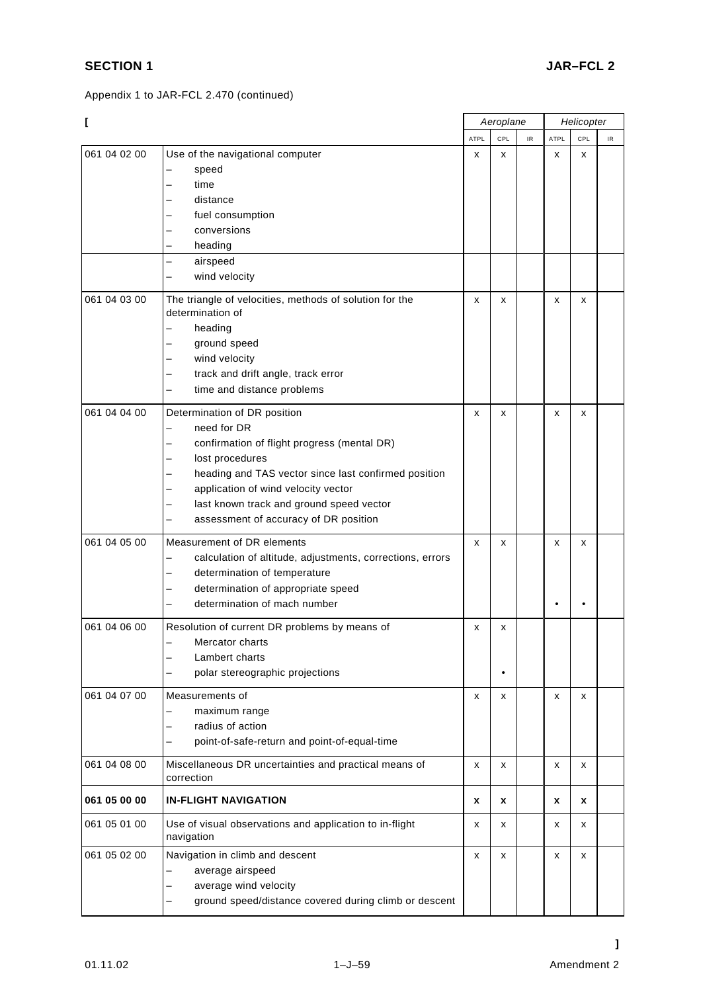÷,

| I            |                                                                       |      | Aeroplane |     |      | Helicopter |     |
|--------------|-----------------------------------------------------------------------|------|-----------|-----|------|------------|-----|
|              |                                                                       | ATPL | CPL       | IR. | ATPL | CPL        | IR. |
| 061 04 02 00 | Use of the navigational computer                                      | x    | x         |     | x    | x          |     |
|              | speed                                                                 |      |           |     |      |            |     |
|              | time                                                                  |      |           |     |      |            |     |
|              | distance                                                              |      |           |     |      |            |     |
|              | fuel consumption                                                      |      |           |     |      |            |     |
|              | conversions                                                           |      |           |     |      |            |     |
|              | heading                                                               |      |           |     |      |            |     |
|              | airspeed<br>$\overline{\phantom{0}}$                                  |      |           |     |      |            |     |
|              | wind velocity                                                         |      |           |     |      |            |     |
| 061 04 03 00 | The triangle of velocities, methods of solution for the               | x    | х         |     | x    | x          |     |
|              | determination of                                                      |      |           |     |      |            |     |
|              | heading                                                               |      |           |     |      |            |     |
|              | ground speed                                                          |      |           |     |      |            |     |
|              | wind velocity                                                         |      |           |     |      |            |     |
|              | track and drift angle, track error                                    |      |           |     |      |            |     |
|              | time and distance problems                                            |      |           |     |      |            |     |
| 061 04 04 00 | Determination of DR position                                          | x    | X         |     | x    | x          |     |
|              | need for DR                                                           |      |           |     |      |            |     |
|              | confirmation of flight progress (mental DR)                           |      |           |     |      |            |     |
|              | lost procedures                                                       |      |           |     |      |            |     |
|              | heading and TAS vector since last confirmed position                  |      |           |     |      |            |     |
|              | application of wind velocity vector                                   |      |           |     |      |            |     |
|              | last known track and ground speed vector                              |      |           |     |      |            |     |
|              | assessment of accuracy of DR position                                 |      |           |     |      |            |     |
| 061 04 05 00 | Measurement of DR elements                                            | x    | X         |     | x    | x          |     |
|              | calculation of altitude, adjustments, corrections, errors<br>-        |      |           |     |      |            |     |
|              | determination of temperature<br>—                                     |      |           |     |      |            |     |
|              | determination of appropriate speed                                    |      |           |     |      |            |     |
|              | determination of mach number                                          |      |           |     | ٠    |            |     |
|              |                                                                       |      |           |     |      |            |     |
| 061 04 06 00 | Resolution of current DR problems by means of                         | x    | х         |     |      |            |     |
|              | Mercator charts                                                       |      |           |     |      |            |     |
|              | Lambert charts                                                        |      |           |     |      |            |     |
|              | polar stereographic projections                                       |      | ٠         |     |      |            |     |
| 061 04 07 00 | Measurements of                                                       | x    | х         |     | x    | X          |     |
|              | maximum range<br>-                                                    |      |           |     |      |            |     |
|              | radius of action<br>—                                                 |      |           |     |      |            |     |
|              | point-of-safe-return and point-of-equal-time                          |      |           |     |      |            |     |
| 061 04 08 00 | Miscellaneous DR uncertainties and practical means of<br>correction   | x    | X         |     | x    | x          |     |
| 061 05 00 00 | <b>IN-FLIGHT NAVIGATION</b>                                           | x    | X         |     | x    | x          |     |
| 061 05 01 00 | Use of visual observations and application to in-flight<br>navigation | x    | X         |     | x    | x          |     |
| 061 05 02 00 | Navigation in climb and descent                                       | x    | x         |     | x    | x          |     |
|              | average airspeed<br>-                                                 |      |           |     |      |            |     |
|              | average wind velocity                                                 |      |           |     |      |            |     |
|              | ground speed/distance covered during climb or descent                 |      |           |     |      |            |     |
|              |                                                                       |      |           |     |      |            |     |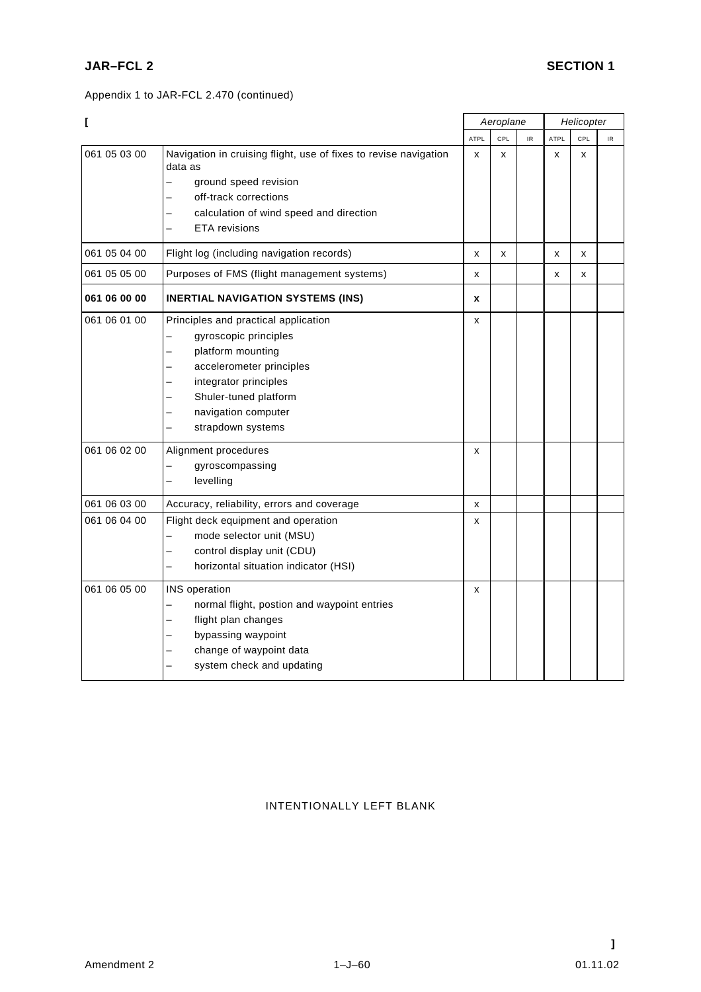| I                            |                                                                                                                                                                                                                                                                                                                              | Aeroplane   |     |     | Helicopter  |     |     |
|------------------------------|------------------------------------------------------------------------------------------------------------------------------------------------------------------------------------------------------------------------------------------------------------------------------------------------------------------------------|-------------|-----|-----|-------------|-----|-----|
|                              |                                                                                                                                                                                                                                                                                                                              | <b>ATPL</b> | CPL | IR. | <b>ATPL</b> | CPL | IR. |
| 061 05 03 00                 | Navigation in cruising flight, use of fixes to revise navigation<br>data as<br>ground speed revision<br>off-track corrections                                                                                                                                                                                                | x           | x   |     | x           | x   |     |
|                              | calculation of wind speed and direction<br><b>ETA</b> revisions                                                                                                                                                                                                                                                              |             |     |     |             |     |     |
| 061 05 04 00                 | Flight log (including navigation records)                                                                                                                                                                                                                                                                                    | x           | x   |     | x           | x   |     |
| 061 05 05 00                 | Purposes of FMS (flight management systems)                                                                                                                                                                                                                                                                                  | x           |     |     | x           | x   |     |
| 061 06 00 00                 | <b>INERTIAL NAVIGATION SYSTEMS (INS)</b>                                                                                                                                                                                                                                                                                     | x           |     |     |             |     |     |
| 061 06 01 00<br>061 06 02 00 | Principles and practical application<br>gyroscopic principles<br>platform mounting<br>accelerometer principles<br>integrator principles<br>Shuler-tuned platform<br>navigation computer<br>strapdown systems<br>Alignment procedures<br>gyroscompassing<br>$\overline{\phantom{0}}$<br>levelling<br>$\overline{\phantom{0}}$ | X<br>x      |     |     |             |     |     |
|                              |                                                                                                                                                                                                                                                                                                                              |             |     |     |             |     |     |
| 061 06 03 00<br>061 06 04 00 | Accuracy, reliability, errors and coverage<br>Flight deck equipment and operation<br>mode selector unit (MSU)<br>$\overline{\phantom{0}}$<br>control display unit (CDU)<br>horizontal situation indicator (HSI)<br>$\equiv$                                                                                                  | x<br>x      |     |     |             |     |     |
| 061 06 05 00                 | <b>INS</b> operation<br>normal flight, postion and waypoint entries<br>flight plan changes<br>bypassing waypoint<br>change of waypoint data<br>system check and updating                                                                                                                                                     | x           |     |     |             |     |     |

### INTENTIONALLY LEFT BLANK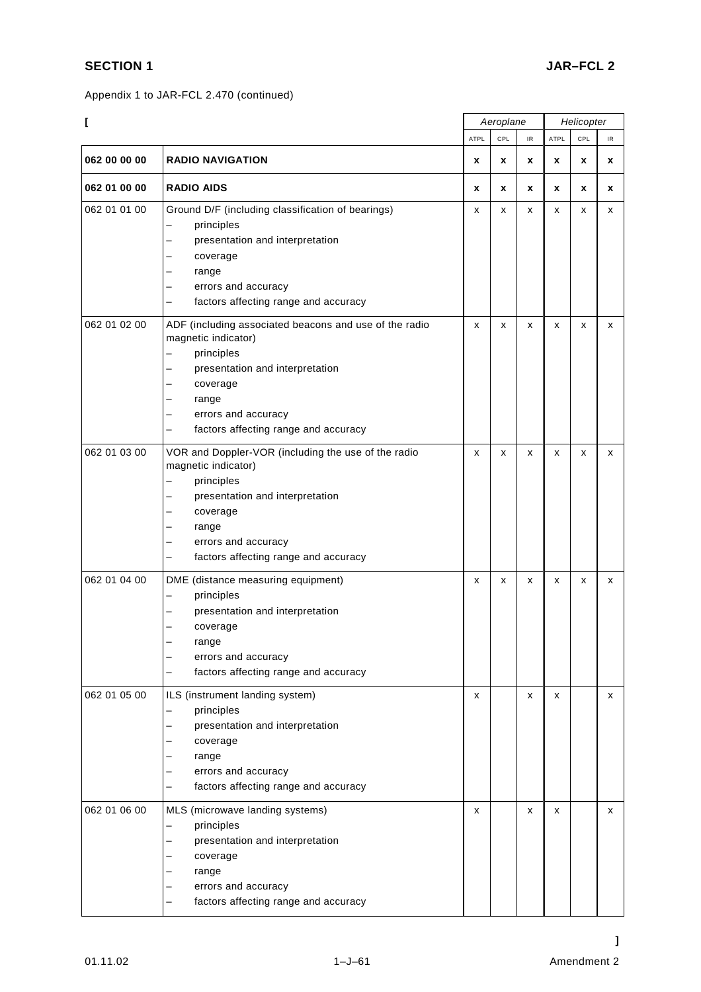| I            |                                                                                                                                                                                                                                     |      | Aeroplane |    |      | Helicopter |    |
|--------------|-------------------------------------------------------------------------------------------------------------------------------------------------------------------------------------------------------------------------------------|------|-----------|----|------|------------|----|
|              |                                                                                                                                                                                                                                     | ATPL | CPL       | IR | ATPL | CPL        | IR |
| 062 00 00 00 | <b>RADIO NAVIGATION</b>                                                                                                                                                                                                             | x    | x         | X  | X    | x          | х  |
| 062 01 00 00 | <b>RADIO AIDS</b>                                                                                                                                                                                                                   | x    | x         | x  | x    | x          | x  |
| 062 01 01 00 | Ground D/F (including classification of bearings)<br>principles<br>—<br>presentation and interpretation<br>—<br>coverage<br>range<br>errors and accuracy<br>—<br>factors affecting range and accuracy<br>-                          | x    | x         | X  | x    | x          | x  |
| 062 01 02 00 | ADF (including associated beacons and use of the radio<br>magnetic indicator)<br>principles<br>presentation and interpretation<br>coverage<br>range<br>-<br>errors and accuracy<br>-<br>factors affecting range and accuracy<br>-   | x    | x         | X  | x    | x          | x  |
| 062 01 03 00 | VOR and Doppler-VOR (including the use of the radio<br>magnetic indicator)<br>principles<br>presentation and interpretation<br>-<br>coverage<br>range<br>-<br>errors and accuracy<br>-<br>factors affecting range and accuracy<br>- | x    | x         | X  | x    | x          | X  |
| 062 01 04 00 | DME (distance measuring equipment)<br>principles<br>-<br>presentation and interpretation<br>coverage<br>range<br>errors and accuracy<br>factors affecting range and accuracy                                                        | X    | x         | x  | x    | x          | x  |
| 062 01 05 00 | ILS (instrument landing system)<br>principles<br>presentation and interpretation<br>-<br>coverage<br>range<br>errors and accuracy<br>-<br>factors affecting range and accuracy<br>—                                                 | x    |           | х  | x    |            | x  |
| 062 01 06 00 | MLS (microwave landing systems)<br>principles<br>presentation and interpretation<br>coverage<br>range<br>errors and accuracy<br>factors affecting range and accuracy                                                                | x    |           | x  | x    |            | x  |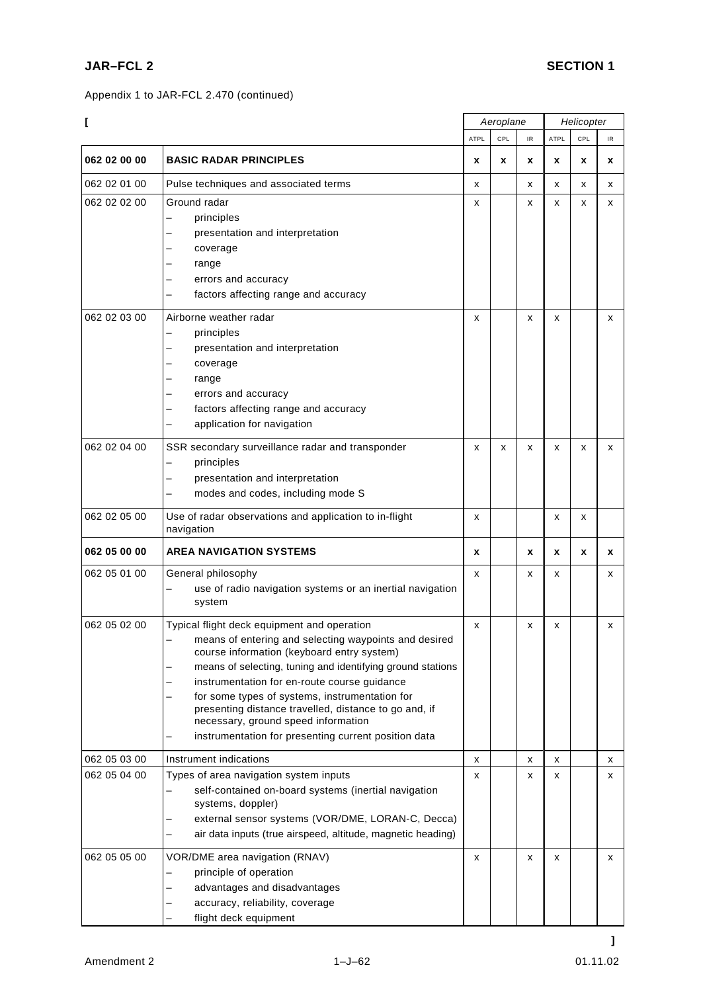### Appendix 1 to JAR-FCL 2.470 (continued)

| L            |                                                                                                                                                                                                                                                                                                                                                                                                                                                                            |             | Aeroplane |     |      | Helicopter |    |
|--------------|----------------------------------------------------------------------------------------------------------------------------------------------------------------------------------------------------------------------------------------------------------------------------------------------------------------------------------------------------------------------------------------------------------------------------------------------------------------------------|-------------|-----------|-----|------|------------|----|
|              |                                                                                                                                                                                                                                                                                                                                                                                                                                                                            | <b>ATPL</b> | CPL       | IR. | ATPL | CPL        | IR |
| 062 02 00 00 | <b>BASIC RADAR PRINCIPLES</b>                                                                                                                                                                                                                                                                                                                                                                                                                                              | x           | X         | X   | x    | X          | x  |
| 062 02 01 00 | Pulse techniques and associated terms                                                                                                                                                                                                                                                                                                                                                                                                                                      | x           |           | X   | x    | x          | х  |
| 062 02 02 00 | Ground radar<br>principles<br>presentation and interpretation<br>coverage<br>range<br>errors and accuracy                                                                                                                                                                                                                                                                                                                                                                  | x           |           | X   | x    | x          | x  |
|              | factors affecting range and accuracy                                                                                                                                                                                                                                                                                                                                                                                                                                       |             |           |     |      |            |    |
| 062 02 03 00 | Airborne weather radar<br>principles<br>presentation and interpretation<br>coverage<br>range<br>errors and accuracy<br>factors affecting range and accuracy<br>application for navigation                                                                                                                                                                                                                                                                                  | x           |           | X   | x    |            | x  |
| 062 02 04 00 | SSR secondary surveillance radar and transponder<br>principles<br>presentation and interpretation<br>modes and codes, including mode S                                                                                                                                                                                                                                                                                                                                     | x           | x         | X   | x    | x          | X  |
| 062 02 05 00 | Use of radar observations and application to in-flight<br>navigation                                                                                                                                                                                                                                                                                                                                                                                                       | x           |           |     | X    | X          |    |
| 062 05 00 00 | <b>AREA NAVIGATION SYSTEMS</b>                                                                                                                                                                                                                                                                                                                                                                                                                                             | X           |           | X   | X    | X          | x  |
| 062 05 01 00 | General philosophy<br>use of radio navigation systems or an inertial navigation<br>system                                                                                                                                                                                                                                                                                                                                                                                  | x           |           | x   | x    |            | x  |
| 062 05 02 00 | Typical flight deck equipment and operation<br>means of entering and selecting waypoints and desired<br>course information (keyboard entry system)<br>means of selecting, tuning and identifying ground stations<br>instrumentation for en-route course guidance<br>for some types of systems, instrumentation for<br>presenting distance travelled, distance to go and, if<br>necessary, ground speed information<br>instrumentation for presenting current position data | x           |           | x   | x    |            | x  |
| 062 05 03 00 | Instrument indications                                                                                                                                                                                                                                                                                                                                                                                                                                                     | x           |           | x   | x    |            | x  |
| 062 05 04 00 | Types of area navigation system inputs<br>self-contained on-board systems (inertial navigation<br>-<br>systems, doppler)<br>external sensor systems (VOR/DME, LORAN-C, Decca)<br>—<br>air data inputs (true airspeed, altitude, magnetic heading)                                                                                                                                                                                                                          | x           |           | x   | x    |            | x  |
| 062 05 05 00 | VOR/DME area navigation (RNAV)<br>principle of operation<br>advantages and disadvantages<br>accuracy, reliability, coverage<br>flight deck equipment                                                                                                                                                                                                                                                                                                                       | x           |           | х   | x    |            | x  |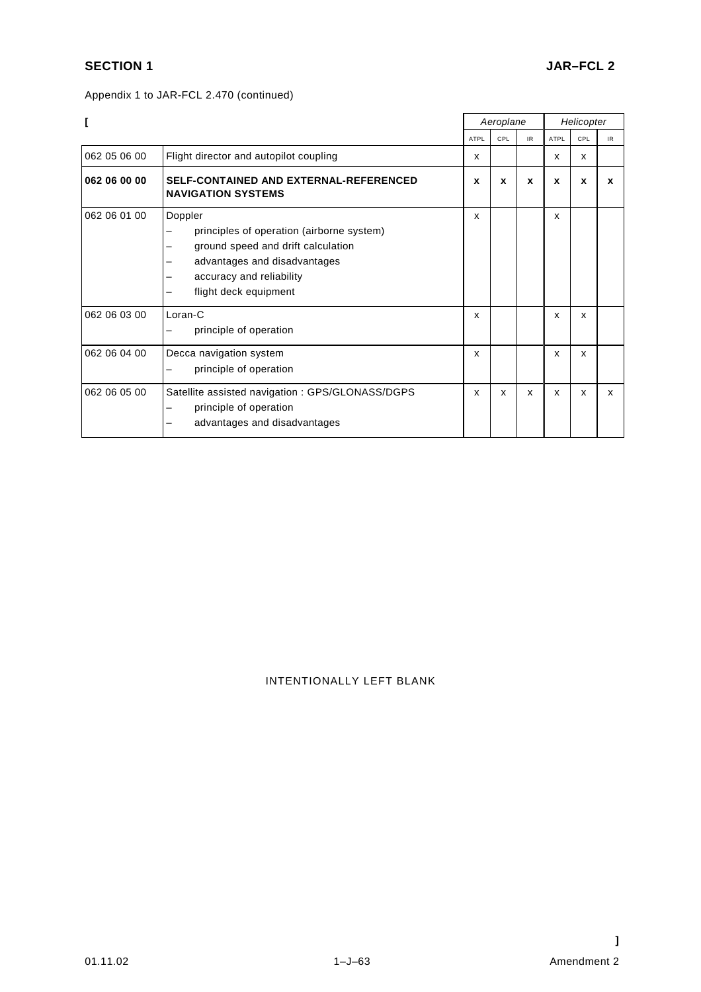|              |                                                                                                                                                                                      |      | Aeroplane |             |              | Helicopter |              |  |  |
|--------------|--------------------------------------------------------------------------------------------------------------------------------------------------------------------------------------|------|-----------|-------------|--------------|------------|--------------|--|--|
|              |                                                                                                                                                                                      | ATPL | CPL       | IR.         | ATPL         | CPL        | IR           |  |  |
| 062 05 06 00 | Flight director and autopilot coupling                                                                                                                                               | X    |           |             | x            | x          |              |  |  |
| 062 06 00 00 | <b>SELF-CONTAINED AND EXTERNAL-REFERENCED</b><br><b>NAVIGATION SYSTEMS</b>                                                                                                           | X    | X         | $\mathbf x$ | $\mathbf{x}$ | x          | x            |  |  |
| 062 06 01 00 | Doppler<br>principles of operation (airborne system)<br>ground speed and drift calculation<br>-<br>advantages and disadvantages<br>accuracy and reliability<br>flight deck equipment | x    |           |             | X            |            |              |  |  |
| 062 06 03 00 | Loran-C<br>principle of operation                                                                                                                                                    | x    |           |             | x            | x          |              |  |  |
| 062 06 04 00 | Decca navigation system<br>principle of operation                                                                                                                                    | X    |           |             | X            | X          |              |  |  |
| 062 06 05 00 | Satellite assisted navigation: GPS/GLONASS/DGPS<br>principle of operation<br>advantages and disadvantages                                                                            | X    | X         | x           | x            | x          | $\mathsf{x}$ |  |  |

### INTENTIONALLY LEFT BLANK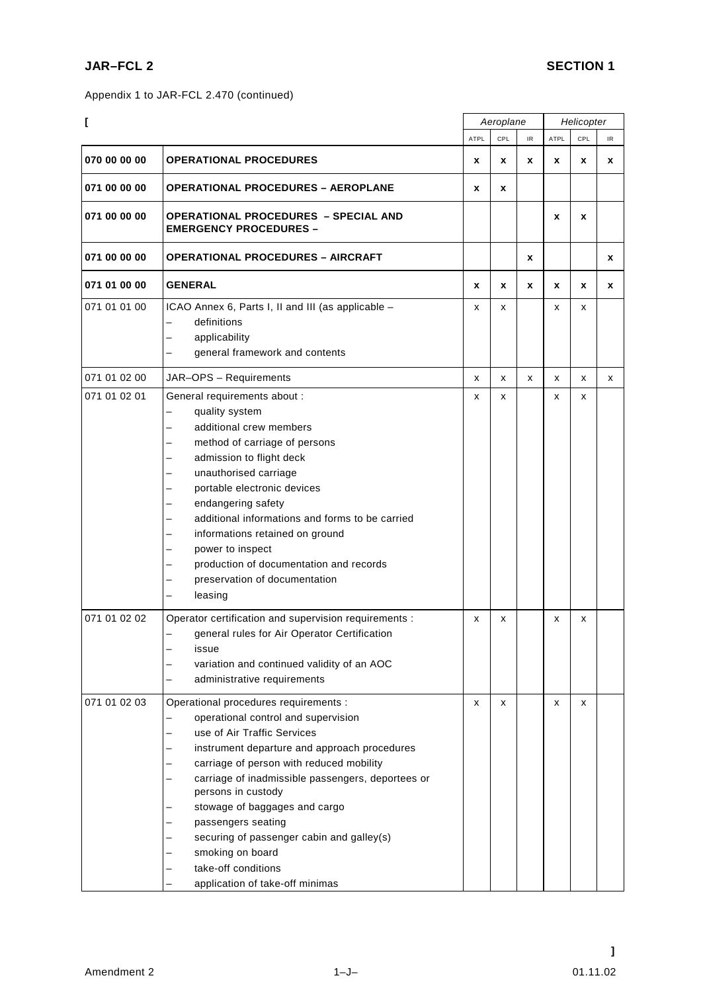|              |                                                                                                                                                                                                                                                                                                                                                                                                                                                                                                                                   | ATPL | CPL | IR | ATPL | <b>CPL</b> | IR |
|--------------|-----------------------------------------------------------------------------------------------------------------------------------------------------------------------------------------------------------------------------------------------------------------------------------------------------------------------------------------------------------------------------------------------------------------------------------------------------------------------------------------------------------------------------------|------|-----|----|------|------------|----|
| 070 00 00 00 | <b>OPERATIONAL PROCEDURES</b>                                                                                                                                                                                                                                                                                                                                                                                                                                                                                                     | x    | x   | x  | x    | x          | x  |
| 071 00 00 00 | <b>OPERATIONAL PROCEDURES - AEROPLANE</b>                                                                                                                                                                                                                                                                                                                                                                                                                                                                                         | X    | x   |    |      |            |    |
| 071 00 00 00 | <b>OPERATIONAL PROCEDURES - SPECIAL AND</b><br><b>EMERGENCY PROCEDURES -</b>                                                                                                                                                                                                                                                                                                                                                                                                                                                      |      |     |    | x    | x          |    |
| 071 00 00 00 | <b>OPERATIONAL PROCEDURES - AIRCRAFT</b>                                                                                                                                                                                                                                                                                                                                                                                                                                                                                          |      |     | x  |      |            | x  |
| 071 01 00 00 | <b>GENERAL</b>                                                                                                                                                                                                                                                                                                                                                                                                                                                                                                                    | x    | x   | x  | x    | x          | x  |
| 071 01 01 00 | ICAO Annex 6, Parts I, II and III (as applicable -<br>definitions<br>applicability<br>$\qquad \qquad -$<br>general framework and contents<br>$\overline{\phantom{0}}$                                                                                                                                                                                                                                                                                                                                                             | x    | x   |    | x    | X          |    |
| 071 01 02 00 | JAR-OPS - Requirements                                                                                                                                                                                                                                                                                                                                                                                                                                                                                                            | x    | x   | X  | x    | X          | x  |
| 071 01 02 01 | General requirements about :<br>quality system<br>additional crew members<br>method of carriage of persons<br>-<br>admission to flight deck<br>unauthorised carriage<br>portable electronic devices<br>endangering safety<br>additional informations and forms to be carried<br>informations retained on ground<br>power to inspect<br>production of documentation and records<br>preservation of documentation<br>leasing                                                                                                        | x    | x   |    | x    | X          |    |
| 071 01 02 02 | Operator certification and supervision requirements :<br>general rules for Air Operator Certification<br>$\overline{\phantom{0}}$<br>issue<br>variation and continued validity of an AOC<br>administrative requirements                                                                                                                                                                                                                                                                                                           | x    | x   |    | х    | х          |    |
| 071 01 02 03 | Operational procedures requirements :<br>operational control and supervision<br>—<br>use of Air Traffic Services<br>$\overline{\phantom{0}}$<br>instrument departure and approach procedures<br>carriage of person with reduced mobility<br>carriage of inadmissible passengers, deportees or<br>persons in custody<br>stowage of baggages and cargo<br>passengers seating<br>securing of passenger cabin and galley(s)<br>smoking on board<br>$\overline{\phantom{0}}$<br>take-off conditions<br>application of take-off minimas | x    | x   |    | x    | x          |    |

**[** *Aeroplane Helicopter*

Г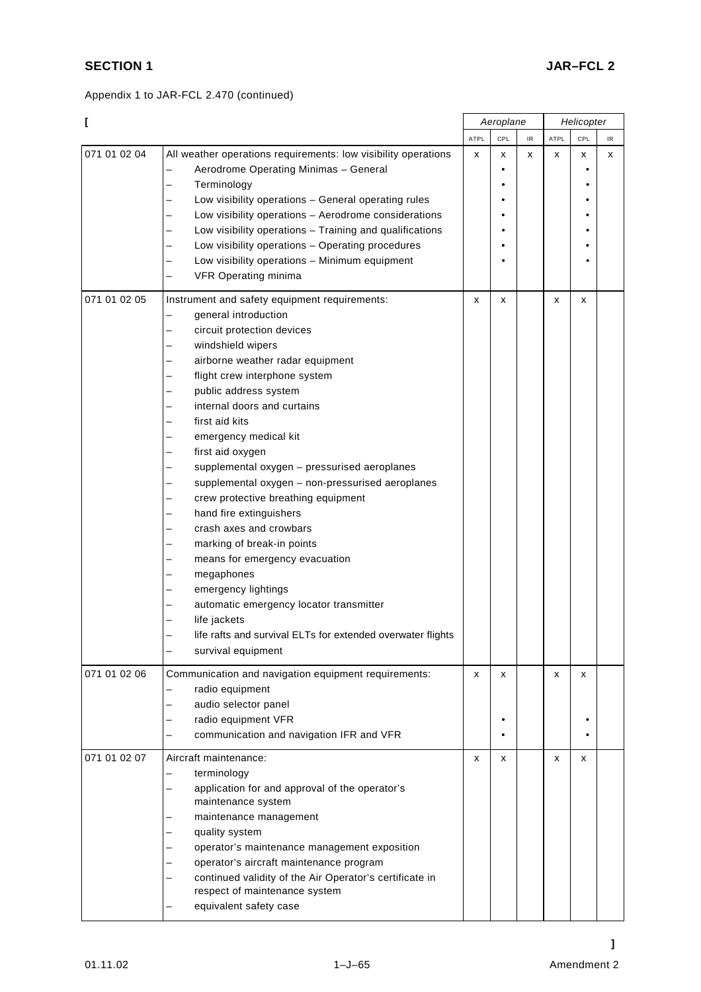$\blacksquare$ 

| I            |                                                                                          | Aeroplane   |     | Helicopter |      |     |    |
|--------------|------------------------------------------------------------------------------------------|-------------|-----|------------|------|-----|----|
|              |                                                                                          | <b>ATPL</b> | CPL | IR.        | ATPL | CPL | IR |
| 071 01 02 04 | All weather operations requirements: low visibility operations                           | x           | x   | x          | x    | x   | X  |
|              | Aerodrome Operating Minimas - General<br>-                                               |             |     |            |      |     |    |
|              | Terminology<br>—                                                                         |             |     |            |      |     |    |
|              | Low visibility operations - General operating rules<br>—                                 |             |     |            |      |     |    |
|              | Low visibility operations - Aerodrome considerations                                     |             |     |            |      |     |    |
|              | Low visibility operations - Training and qualifications<br>-                             |             |     |            |      |     |    |
|              | Low visibility operations - Operating procedures<br>-                                    |             |     |            |      |     |    |
|              | Low visibility operations - Minimum equipment<br>—                                       |             |     |            |      |     |    |
|              | VFR Operating minima                                                                     |             |     |            |      |     |    |
| 071 01 02 05 | Instrument and safety equipment requirements:                                            | x           | X   |            | X    | x   |    |
|              | general introduction                                                                     |             |     |            |      |     |    |
|              | circuit protection devices                                                               |             |     |            |      |     |    |
|              | windshield wipers                                                                        |             |     |            |      |     |    |
|              | airborne weather radar equipment                                                         |             |     |            |      |     |    |
|              | flight crew interphone system                                                            |             |     |            |      |     |    |
|              | public address system                                                                    |             |     |            |      |     |    |
|              | internal doors and curtains                                                              |             |     |            |      |     |    |
|              | first aid kits                                                                           |             |     |            |      |     |    |
|              | emergency medical kit                                                                    |             |     |            |      |     |    |
|              | first aid oxygen                                                                         |             |     |            |      |     |    |
|              | supplemental oxygen - pressurised aeroplanes                                             |             |     |            |      |     |    |
|              | supplemental oxygen - non-pressurised aeroplanes                                         |             |     |            |      |     |    |
|              | crew protective breathing equipment                                                      |             |     |            |      |     |    |
|              | hand fire extinguishers                                                                  |             |     |            |      |     |    |
|              | crash axes and crowbars                                                                  |             |     |            |      |     |    |
|              | marking of break-in points                                                               |             |     |            |      |     |    |
|              | means for emergency evacuation                                                           |             |     |            |      |     |    |
|              | megaphones                                                                               |             |     |            |      |     |    |
|              | emergency lightings                                                                      |             |     |            |      |     |    |
|              | automatic emergency locator transmitter                                                  |             |     |            |      |     |    |
|              |                                                                                          |             |     |            |      |     |    |
|              | life jackets<br>life rafts and survival ELTs for extended overwater flights              |             |     |            |      |     |    |
|              |                                                                                          |             |     |            |      |     |    |
|              | survival equipment                                                                       |             |     |            |      |     |    |
| 071 01 02 06 | Communication and navigation equipment requirements:                                     | X           | x   |            | X    | x   |    |
|              | radio equipment<br>-                                                                     |             |     |            |      |     |    |
|              | audio selector panel<br>-                                                                |             |     |            |      |     |    |
|              | radio equipment VFR<br>—                                                                 |             |     |            |      |     |    |
|              | communication and navigation IFR and VFR                                                 |             |     |            |      |     |    |
| 071 01 02 07 | Aircraft maintenance:                                                                    | x           | x   |            | x    | x   |    |
|              | terminology                                                                              |             |     |            |      |     |    |
|              | application for and approval of the operator's                                           |             |     |            |      |     |    |
|              | maintenance system                                                                       |             |     |            |      |     |    |
|              | maintenance management                                                                   |             |     |            |      |     |    |
|              | quality system                                                                           |             |     |            |      |     |    |
|              | operator's maintenance management exposition                                             |             |     |            |      |     |    |
|              | operator's aircraft maintenance program                                                  |             |     |            |      |     |    |
|              | continued validity of the Air Operator's certificate in<br>respect of maintenance system |             |     |            |      |     |    |
|              | equivalent safety case                                                                   |             |     |            |      |     |    |
|              |                                                                                          |             |     |            |      |     |    |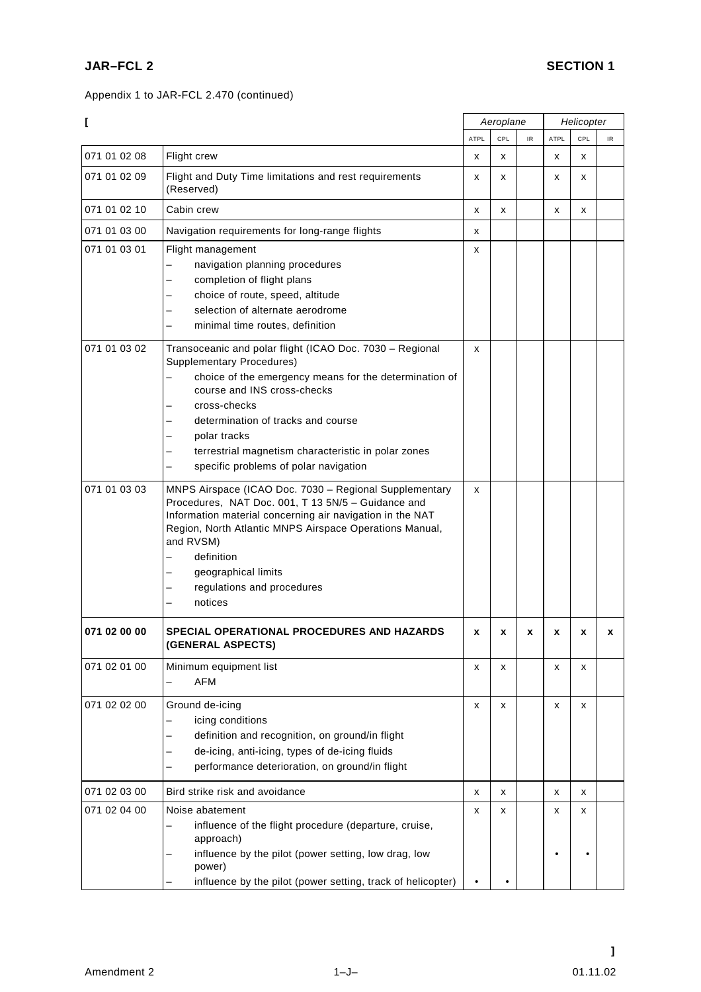|              |                                                                                                                                                                                                                                                                                                                                                             |      | Aeroplane |     |           | Helicopter |     |
|--------------|-------------------------------------------------------------------------------------------------------------------------------------------------------------------------------------------------------------------------------------------------------------------------------------------------------------------------------------------------------------|------|-----------|-----|-----------|------------|-----|
|              |                                                                                                                                                                                                                                                                                                                                                             | ATPL | CPL       | IR. | ATPL      | CPL        | IR. |
| 071 01 02 08 | Flight crew                                                                                                                                                                                                                                                                                                                                                 | x    | x         |     | x         | X          |     |
| 071 01 02 09 | Flight and Duty Time limitations and rest requirements<br>(Reserved)                                                                                                                                                                                                                                                                                        | х    | х         |     | x         | x          |     |
| 071 01 02 10 | Cabin crew                                                                                                                                                                                                                                                                                                                                                  | X    | x         |     | x         | x          |     |
| 071 01 03 00 | Navigation requirements for long-range flights                                                                                                                                                                                                                                                                                                              | x    |           |     |           |            |     |
| 071 01 03 01 | Flight management<br>navigation planning procedures<br>—<br>completion of flight plans<br>choice of route, speed, altitude<br>selection of alternate aerodrome<br>minimal time routes, definition                                                                                                                                                           | x    |           |     |           |            |     |
| 071 01 03 02 | Transoceanic and polar flight (ICAO Doc. 7030 - Regional<br><b>Supplementary Procedures)</b><br>choice of the emergency means for the determination of<br>course and INS cross-checks<br>cross-checks<br>determination of tracks and course<br>polar tracks<br>terrestrial magnetism characteristic in polar zones<br>specific problems of polar navigation | x    |           |     |           |            |     |
| 071 01 03 03 | MNPS Airspace (ICAO Doc. 7030 - Regional Supplementary<br>Procedures, NAT Doc. 001, T 13 5N/5 - Guidance and<br>Information material concerning air navigation in the NAT<br>Region, North Atlantic MNPS Airspace Operations Manual,<br>and RVSM)<br>definition<br>geographical limits<br>regulations and procedures<br>notices                             | X    |           |     |           |            |     |
| 071 02 00 00 | <b>SPECIAL OPERATIONAL PROCEDURES AND HAZARDS</b><br>(GENERAL ASPECTS)                                                                                                                                                                                                                                                                                      | x    | x         | x   | X         | x          | x   |
| 071 02 01 00 | Minimum equipment list<br><b>AFM</b><br>$\overline{\phantom{0}}$                                                                                                                                                                                                                                                                                            | x    | x         |     | x         | x          |     |
| 071 02 02 00 | Ground de-icing<br>icing conditions<br>definition and recognition, on ground/in flight<br>—<br>de-icing, anti-icing, types of de-icing fluids<br>performance deterioration, on ground/in flight<br>—                                                                                                                                                        | X    | x         |     | x         | x          |     |
| 071 02 03 00 | Bird strike risk and avoidance                                                                                                                                                                                                                                                                                                                              | x    | X         |     | x         | X          |     |
| 071 02 04 00 | Noise abatement<br>influence of the flight procedure (departure, cruise,<br>approach)                                                                                                                                                                                                                                                                       | x    | x         |     | x         | x          |     |
|              | influence by the pilot (power setting, low drag, low<br>power)<br>influence by the pilot (power setting, track of helicopter)                                                                                                                                                                                                                               |      |           |     | $\bullet$ |            |     |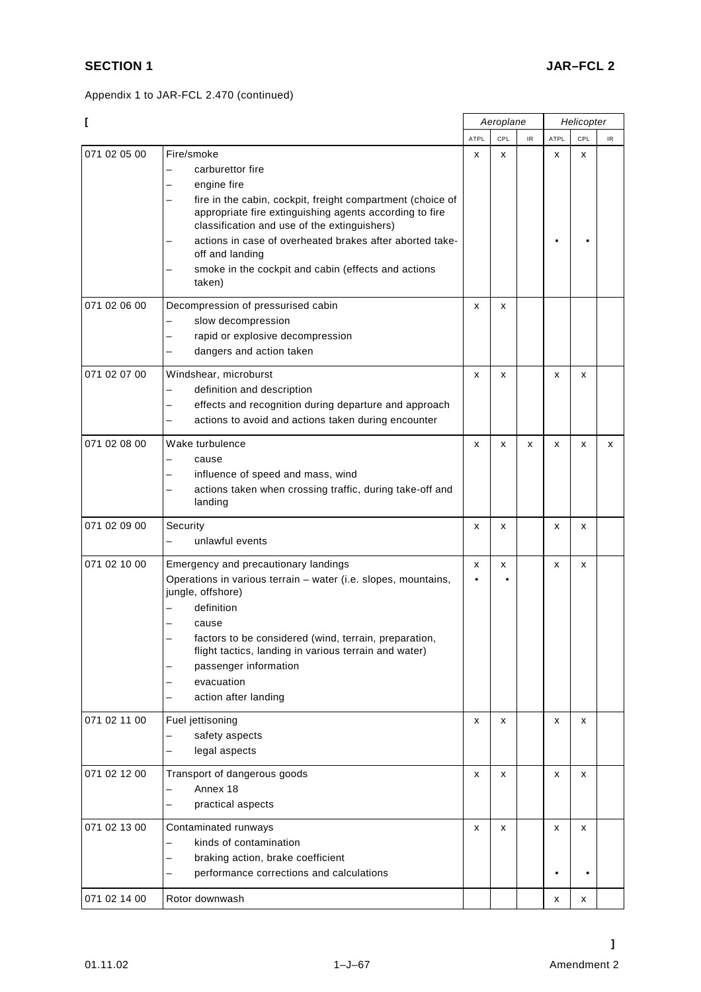$\blacksquare$ 

 $\mathbf{r}$ 

| I            |                                                                             | Aeroplane |     |     | Helicopter |           |     |
|--------------|-----------------------------------------------------------------------------|-----------|-----|-----|------------|-----------|-----|
|              |                                                                             | ATPL      | CPL | IR. | ATPL       | CPL       | IR. |
| 071 02 05 00 | Fire/smoke                                                                  | x         | x   |     | X          | x         |     |
|              | carburettor fire                                                            |           |     |     |            |           |     |
|              | engine fire<br>-                                                            |           |     |     |            |           |     |
|              | fire in the cabin, cockpit, freight compartment (choice of                  |           |     |     |            |           |     |
|              | appropriate fire extinguishing agents according to fire                     |           |     |     |            |           |     |
|              | classification and use of the extinguishers)                                |           |     |     |            |           |     |
|              | actions in case of overheated brakes after aborted take-<br>off and landing |           |     |     |            | $\bullet$ |     |
|              | smoke in the cockpit and cabin (effects and actions<br>taken)               |           |     |     |            |           |     |
| 071 02 06 00 | Decompression of pressurised cabin                                          | x         | X   |     |            |           |     |
|              | slow decompression                                                          |           |     |     |            |           |     |
|              | rapid or explosive decompression                                            |           |     |     |            |           |     |
|              | dangers and action taken                                                    |           |     |     |            |           |     |
| 071 02 07 00 | Windshear, microburst                                                       | x         | x   |     | x          | x         |     |
|              | definition and description<br>—                                             |           |     |     |            |           |     |
|              | effects and recognition during departure and approach                       |           |     |     |            |           |     |
|              | actions to avoid and actions taken during encounter                         |           |     |     |            |           |     |
|              |                                                                             |           |     |     |            |           |     |
| 071 02 08 00 | Wake turbulence                                                             | x         | x   | x   | x          | x         | x   |
|              | cause                                                                       |           |     |     |            |           |     |
|              | influence of speed and mass, wind<br>—                                      |           |     |     |            |           |     |
|              | actions taken when crossing traffic, during take-off and<br>landing         |           |     |     |            |           |     |
| 071 02 09 00 | Security                                                                    | x         | x   |     | x          | x         |     |
|              | unlawful events<br>$\overline{\phantom{0}}$                                 |           |     |     |            |           |     |
| 071 02 10 00 | Emergency and precautionary landings                                        | x         | x   |     | x          | x         |     |
|              | Operations in various terrain - water (i.e. slopes, mountains,              | ٠         |     |     |            |           |     |
|              | jungle, offshore)                                                           |           |     |     |            |           |     |
|              | definition                                                                  |           |     |     |            |           |     |
|              | cause                                                                       |           |     |     |            |           |     |
|              | factors to be considered (wind, terrain, preparation,                       |           |     |     |            |           |     |
|              | flight tactics, landing in various terrain and water)                       |           |     |     |            |           |     |
|              | passenger information                                                       |           |     |     |            |           |     |
|              | evacuation                                                                  |           |     |     |            |           |     |
|              | action after landing                                                        |           |     |     |            |           |     |
| 071 02 11 00 | Fuel jettisoning                                                            | x         | x   |     | x          | x         |     |
|              | safety aspects<br>-                                                         |           |     |     |            |           |     |
|              | legal aspects<br>$\overline{\phantom{0}}$                                   |           |     |     |            |           |     |
| 071 02 12 00 | Transport of dangerous goods                                                | x         | x   |     | x          | x         |     |
|              | Annex 18<br>-                                                               |           |     |     |            |           |     |
|              | practical aspects<br>—                                                      |           |     |     |            |           |     |
|              |                                                                             |           |     |     |            |           |     |
| 071 02 13 00 | Contaminated runways                                                        | x         | x   |     | x          | x         |     |
|              | kinds of contamination<br>—                                                 |           |     |     |            |           |     |
|              | braking action, brake coefficient<br>—                                      |           |     |     |            |           |     |
|              | performance corrections and calculations<br>-                               |           |     |     |            | $\bullet$ |     |
| 071 02 14 00 | Rotor downwash                                                              |           |     |     | x          | X         |     |
|              |                                                                             |           |     |     |            |           |     |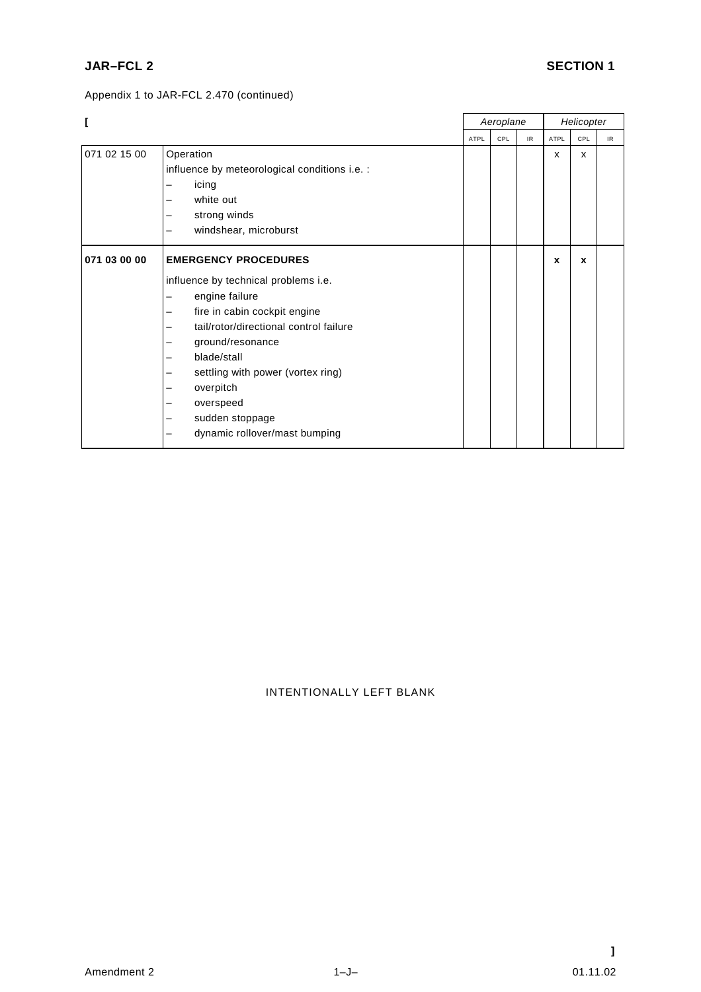|              |                                               | Aeroplane |     |     | Helicopter       |     |     |
|--------------|-----------------------------------------------|-----------|-----|-----|------------------|-----|-----|
|              |                                               | ATPL      | CPL | IR. | ATPL             | CPL | IR. |
| 071 02 15 00 | Operation                                     |           |     |     | X                | X   |     |
|              | influence by meteorological conditions i.e. : |           |     |     |                  |     |     |
|              | icing                                         |           |     |     |                  |     |     |
|              | white out                                     |           |     |     |                  |     |     |
|              | strong winds                                  |           |     |     |                  |     |     |
|              | windshear, microburst                         |           |     |     |                  |     |     |
| 071 03 00 00 | <b>EMERGENCY PROCEDURES</b>                   |           |     |     | $\boldsymbol{x}$ | X   |     |
|              | influence by technical problems i.e.          |           |     |     |                  |     |     |
|              | engine failure                                |           |     |     |                  |     |     |
|              | fire in cabin cockpit engine<br>—             |           |     |     |                  |     |     |
|              | tail/rotor/directional control failure        |           |     |     |                  |     |     |
|              | ground/resonance                              |           |     |     |                  |     |     |
|              | blade/stall                                   |           |     |     |                  |     |     |
|              | settling with power (vortex ring)             |           |     |     |                  |     |     |
|              | overpitch                                     |           |     |     |                  |     |     |
|              | overspeed                                     |           |     |     |                  |     |     |
|              | sudden stoppage                               |           |     |     |                  |     |     |
|              | dynamic rollover/mast bumping                 |           |     |     |                  |     |     |

### INTENTIONALLY LEFT BLANK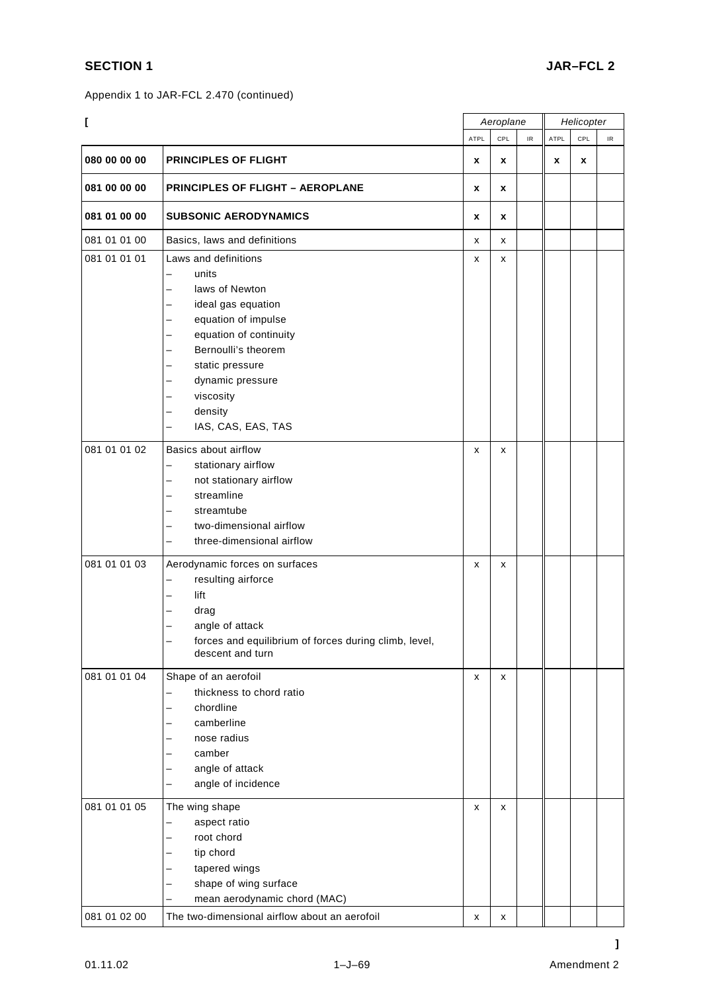$\mathbf{r}$ 

Appendix 1 to JAR-FCL 2.470 (continued)

| I            |                                                                                                                                                                                                          |      | Aeroplane |    |      | Helicopter |    |  |
|--------------|----------------------------------------------------------------------------------------------------------------------------------------------------------------------------------------------------------|------|-----------|----|------|------------|----|--|
|              |                                                                                                                                                                                                          | ATPL | CPL       | IR | ATPL | CPL        | IR |  |
| 080 00 00 00 | <b>PRINCIPLES OF FLIGHT</b>                                                                                                                                                                              | x    | x         |    | x    | x          |    |  |
| 081 00 00 00 | <b>PRINCIPLES OF FLIGHT - AEROPLANE</b>                                                                                                                                                                  | x    | x         |    |      |            |    |  |
| 081 01 00 00 | <b>SUBSONIC AERODYNAMICS</b>                                                                                                                                                                             | x    | x         |    |      |            |    |  |
| 081 01 01 00 | Basics, laws and definitions                                                                                                                                                                             | x    | x         |    |      |            |    |  |
| 081 01 01 01 | Laws and definitions<br>units<br>-<br>laws of Newton<br>—<br>ideal gas equation<br>-<br>equation of impulse<br>—<br>equation of continuity<br>Bernoulli's theorem<br>static pressure<br>dynamic pressure | X    | x         |    |      |            |    |  |
|              | viscosity<br>density<br>-<br>IAS, CAS, EAS, TAS<br>-                                                                                                                                                     |      |           |    |      |            |    |  |
| 081 01 01 02 | Basics about airflow<br>stationary airflow<br>not stationary airflow<br>—<br>streamline<br>-<br>streamtube<br>-<br>two-dimensional airflow<br>three-dimensional airflow<br>-                             | x    | x         |    |      |            |    |  |
| 081 01 01 03 | Aerodynamic forces on surfaces<br>resulting airforce<br>-<br>lift<br>—<br>drag<br>—<br>angle of attack<br>forces and equilibrium of forces during climb, level,<br>-<br>descent and turn                 | x    | x         |    |      |            |    |  |
| 081 01 01 04 | Shape of an aerofoil<br>thickness to chord ratio<br>—<br>chordline<br>-<br>camberline<br>nose radius<br>camber<br>angle of attack<br>angle of incidence                                                  | x    | x         |    |      |            |    |  |
| 081 01 01 05 | The wing shape<br>aspect ratio<br>—<br>root chord<br>tip chord<br>tapered wings<br>shape of wing surface<br>mean aerodynamic chord (MAC)                                                                 | x    | x         |    |      |            |    |  |
| 081 01 02 00 | The two-dimensional airflow about an aerofoil                                                                                                                                                            | x    | x         |    |      |            |    |  |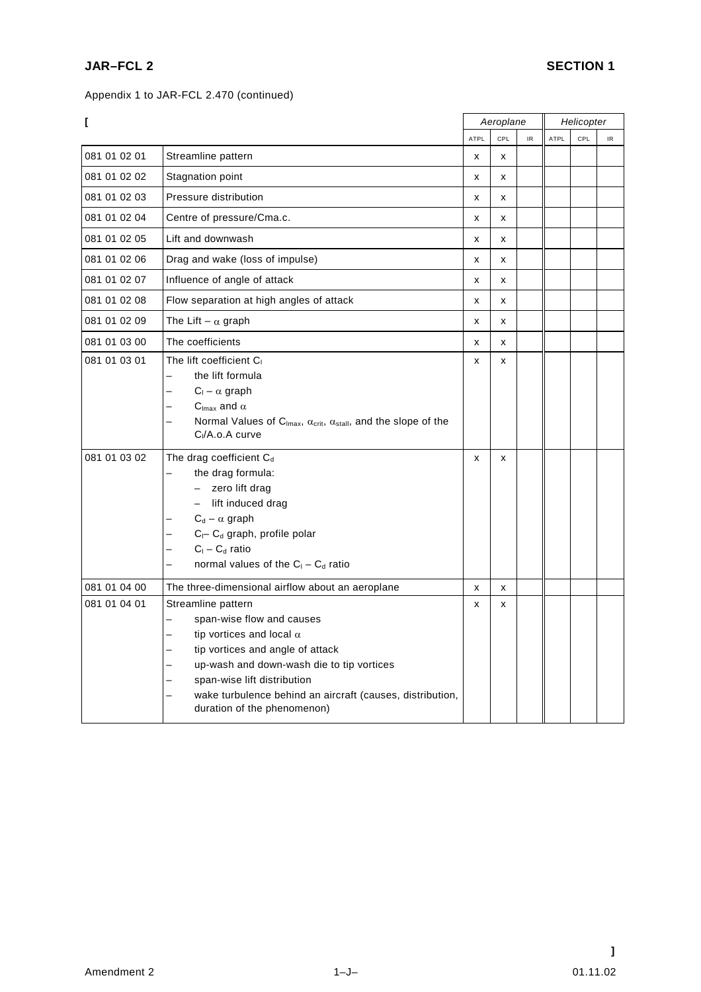$\mathbf{r}$ 

 $\blacksquare$ 

| I                            |                                                                                                                                                                                                                                                                                                                                                                                                                                                 |        | Aeroplane |    |      | Helicopter |                                   |
|------------------------------|-------------------------------------------------------------------------------------------------------------------------------------------------------------------------------------------------------------------------------------------------------------------------------------------------------------------------------------------------------------------------------------------------------------------------------------------------|--------|-----------|----|------|------------|-----------------------------------|
|                              |                                                                                                                                                                                                                                                                                                                                                                                                                                                 | ATPL   | CPL       | IR | ATPL | CPL        | $\ensuremath{\mathsf{IR}}\xspace$ |
| 081 01 02 01                 | Streamline pattern                                                                                                                                                                                                                                                                                                                                                                                                                              | X      | x         |    |      |            |                                   |
| 081 01 02 02                 | <b>Stagnation point</b>                                                                                                                                                                                                                                                                                                                                                                                                                         | X      | x         |    |      |            |                                   |
| 081 01 02 03                 | Pressure distribution                                                                                                                                                                                                                                                                                                                                                                                                                           | x      | х         |    |      |            |                                   |
| 081 01 02 04                 | Centre of pressure/Cma.c.                                                                                                                                                                                                                                                                                                                                                                                                                       | x      | x         |    |      |            |                                   |
| 081 01 02 05                 | Lift and downwash                                                                                                                                                                                                                                                                                                                                                                                                                               | x      | x         |    |      |            |                                   |
| 081 01 02 06                 | Drag and wake (loss of impulse)                                                                                                                                                                                                                                                                                                                                                                                                                 | X      | x         |    |      |            |                                   |
| 081 01 02 07                 | Influence of angle of attack                                                                                                                                                                                                                                                                                                                                                                                                                    | X      | x         |    |      |            |                                   |
| 081 01 02 08                 | Flow separation at high angles of attack                                                                                                                                                                                                                                                                                                                                                                                                        | x      | x         |    |      |            |                                   |
| 081 01 02 09                 | The Lift $-\alpha$ graph                                                                                                                                                                                                                                                                                                                                                                                                                        | x      | x         |    |      |            |                                   |
| 081 01 03 00                 | The coefficients                                                                                                                                                                                                                                                                                                                                                                                                                                | x      | x         |    |      |            |                                   |
| 081 01 03 01<br>081 01 03 02 | The lift coefficient C<br>the lift formula<br>$C_1 - \alpha$ graph<br>$C_{lmax}$ and $\alpha$<br>Normal Values of $Clmax, \alphacrit, \alphastall$ , and the slope of the<br>$C_I/A.o.A$ curve<br>The drag coefficient C <sub>d</sub><br>the drag formula:<br>zero lift drag<br>lift induced drag<br>$C_d - \alpha$ graph<br>C <sub>I</sub> -C <sub>d</sub> graph, profile polar<br>$C_1 - C_d$ ratio<br>normal values of the $C_1 - C_d$ ratio | x<br>X | x<br>x    |    |      |            |                                   |
| 081 01 04 00                 | The three-dimensional airflow about an aeroplane                                                                                                                                                                                                                                                                                                                                                                                                | x      | X         |    |      |            |                                   |
| 081 01 04 01                 | Streamline pattern<br>span-wise flow and causes<br>tip vortices and local $\alpha$<br>tip vortices and angle of attack<br>up-wash and down-wash die to tip vortices<br>span-wise lift distribution<br>wake turbulence behind an aircraft (causes, distribution,<br>duration of the phenomenon)                                                                                                                                                  | X      | x         |    |      |            |                                   |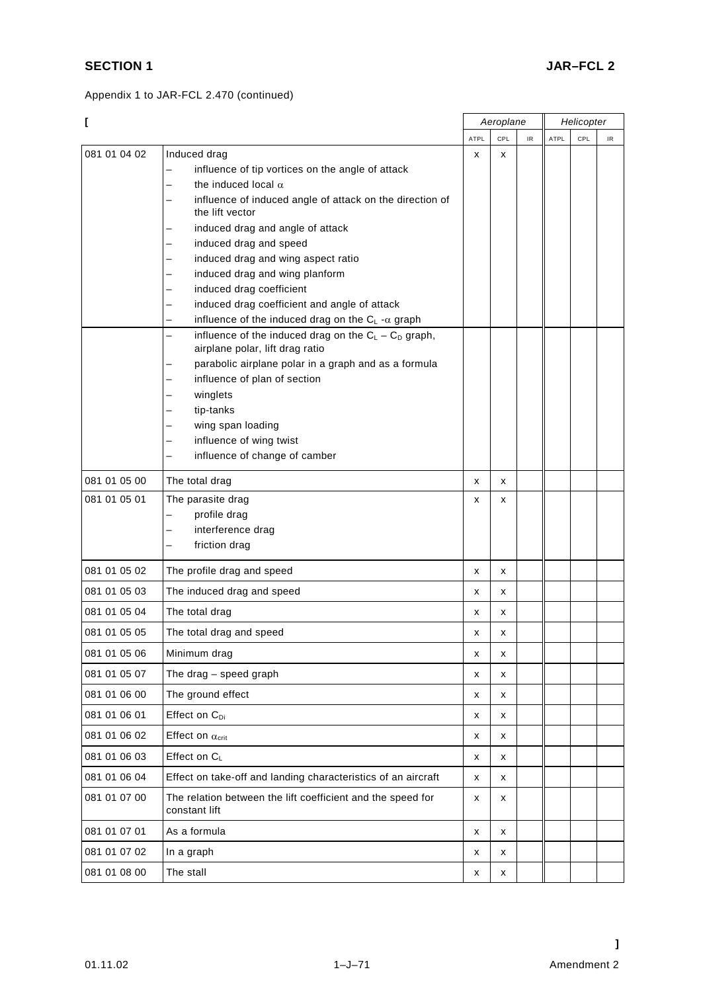| I            |                                                                                                                             |      | Aeroplane |                                   |      | Helicopter |    |
|--------------|-----------------------------------------------------------------------------------------------------------------------------|------|-----------|-----------------------------------|------|------------|----|
|              |                                                                                                                             | ATPL | CPL       | $\ensuremath{\mathsf{IR}}\xspace$ | ATPL | CPL        | IR |
| 081 01 04 02 | Induced drag                                                                                                                | x    | x         |                                   |      |            |    |
|              | influence of tip vortices on the angle of attack<br>$\overline{\phantom{0}}$                                                |      |           |                                   |      |            |    |
|              | the induced local $\alpha$                                                                                                  |      |           |                                   |      |            |    |
|              | influence of induced angle of attack on the direction of<br>the lift vector                                                 |      |           |                                   |      |            |    |
|              | induced drag and angle of attack<br>-                                                                                       |      |           |                                   |      |            |    |
|              | induced drag and speed<br>—                                                                                                 |      |           |                                   |      |            |    |
|              | induced drag and wing aspect ratio                                                                                          |      |           |                                   |      |            |    |
|              | induced drag and wing planform<br>-                                                                                         |      |           |                                   |      |            |    |
|              | induced drag coefficient                                                                                                    |      |           |                                   |      |            |    |
|              | induced drag coefficient and angle of attack                                                                                |      |           |                                   |      |            |    |
|              | influence of the induced drag on the $C_L$ - $\alpha$ graph<br>-<br>influence of the induced drag on the $C_L - C_D$ graph, |      |           |                                   |      |            |    |
|              | airplane polar, lift drag ratio                                                                                             |      |           |                                   |      |            |    |
|              | parabolic airplane polar in a graph and as a formula                                                                        |      |           |                                   |      |            |    |
|              | influence of plan of section<br>-                                                                                           |      |           |                                   |      |            |    |
|              | winglets                                                                                                                    |      |           |                                   |      |            |    |
|              | tip-tanks                                                                                                                   |      |           |                                   |      |            |    |
|              | wing span loading<br>influence of wing twist<br>—                                                                           |      |           |                                   |      |            |    |
|              | influence of change of camber<br>-                                                                                          |      |           |                                   |      |            |    |
|              |                                                                                                                             |      |           |                                   |      |            |    |
| 081 01 05 00 | The total drag                                                                                                              | x    | x         |                                   |      |            |    |
| 081 01 05 01 | The parasite drag                                                                                                           | x    | x         |                                   |      |            |    |
|              | profile drag<br><u>.</u><br>interference drag                                                                               |      |           |                                   |      |            |    |
|              | friction drag                                                                                                               |      |           |                                   |      |            |    |
|              |                                                                                                                             |      |           |                                   |      |            |    |
| 081 01 05 02 | The profile drag and speed                                                                                                  | x    | x         |                                   |      |            |    |
| 081 01 05 03 | The induced drag and speed                                                                                                  | x    | x         |                                   |      |            |    |
| 081 01 05 04 | The total drag                                                                                                              | х    | x         |                                   |      |            |    |
| 081 01 05 05 | The total drag and speed                                                                                                    | x    | x         |                                   |      |            |    |
| 081 01 05 06 | Minimum drag                                                                                                                | x    | x         |                                   |      |            |    |
| 081 01 05 07 | The drag $-$ speed graph                                                                                                    | x    | x         |                                   |      |            |    |
| 081 01 06 00 | The ground effect                                                                                                           | x    | x         |                                   |      |            |    |
| 081 01 06 01 | Effect on C <sub>Di</sub>                                                                                                   | x    | x         |                                   |      |            |    |
| 081 01 06 02 | Effect on $\alpha_{\text{crit}}$                                                                                            | x    | x         |                                   |      |            |    |
| 081 01 06 03 | Effect on CL                                                                                                                | x    | x         |                                   |      |            |    |
| 081 01 06 04 | Effect on take-off and landing characteristics of an aircraft                                                               | x    | x         |                                   |      |            |    |
| 081 01 07 00 | The relation between the lift coefficient and the speed for<br>constant lift                                                | x    | x         |                                   |      |            |    |
| 081 01 07 01 | As a formula                                                                                                                | x    | x         |                                   |      |            |    |
| 081 01 07 02 | In a graph                                                                                                                  | x    | x         |                                   |      |            |    |
| 081 01 08 00 | The stall                                                                                                                   | х    | x         |                                   |      |            |    |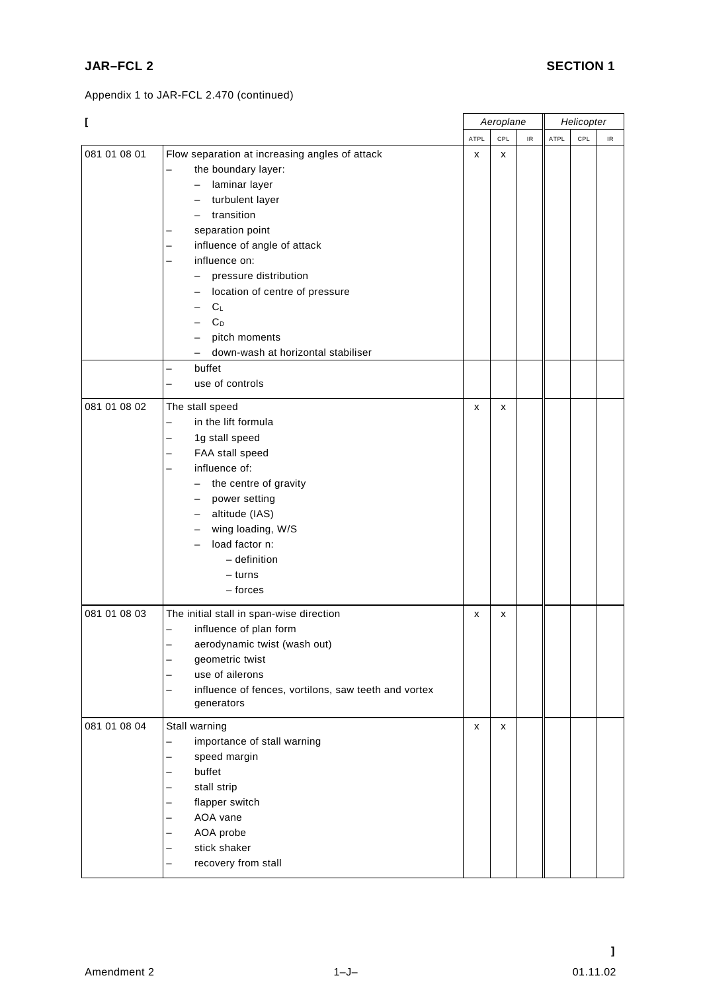| I            |                                                                                                                                                                                                                                                                                | Aeroplane |     |                                   | Helicopter |     |    |
|--------------|--------------------------------------------------------------------------------------------------------------------------------------------------------------------------------------------------------------------------------------------------------------------------------|-----------|-----|-----------------------------------|------------|-----|----|
|              |                                                                                                                                                                                                                                                                                | ATPL      | CPL | $\ensuremath{\mathsf{IR}}\xspace$ | ATPL       | CPL | IR |
| 081 01 08 01 | Flow separation at increasing angles of attack<br>the boundary layer:<br>laminar layer<br>turbulent layer<br>transition<br>separation point<br>influence of angle of attack<br>influence on:<br>pressure distribution<br>location of centre of pressure<br>$C_L$               | x         | X   |                                   |            |     |    |
|              | $C_D$<br>pitch moments<br>down-wash at horizontal stabiliser                                                                                                                                                                                                                   |           |     |                                   |            |     |    |
|              | buffet<br>use of controls                                                                                                                                                                                                                                                      |           |     |                                   |            |     |    |
| 081 01 08 02 | The stall speed<br>in the lift formula<br>—<br>1g stall speed<br>FAA stall speed<br>—<br>influence of:<br>the centre of gravity<br>power setting<br>altitude (IAS)<br>$\overline{\phantom{m}}$<br>wing loading, W/S<br>load factor n:<br>$-$ definition<br>- turns<br>- forces | x         | X   |                                   |            |     |    |
| 081 01 08 03 | The initial stall in span-wise direction<br>influence of plan form<br>aerodynamic twist (wash out)<br>geometric twist<br>use of ailerons<br><sup>-</sup><br>influence of fences, vortilons, saw teeth and vortex<br>generators                                                 | x         | x   |                                   |            |     |    |
| 081 01 08 04 | Stall warning<br>importance of stall warning<br>$\overline{\phantom{0}}$<br>speed margin<br><sup>-</sup><br>buffet<br>stall strip<br>flapper switch<br>—<br>AOA vane<br>AOA probe<br>—<br>stick shaker<br>recovery from stall                                                  | x         | X   |                                   |            |     |    |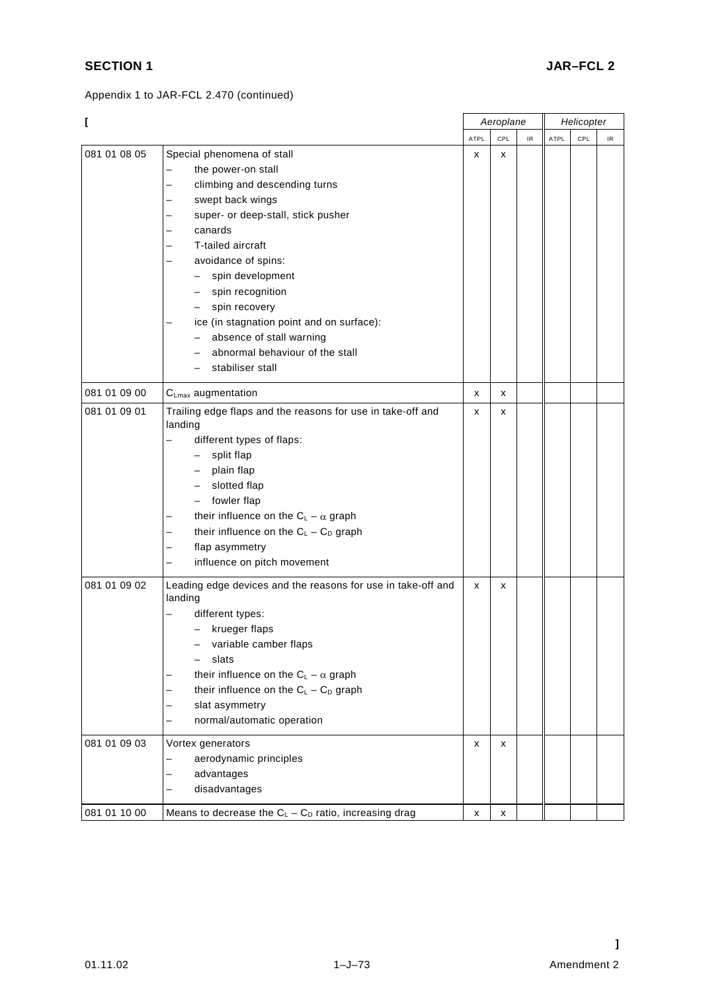Ŧ.

 $\blacksquare$ 

| I                            |                                                                                                                                                                                                                                                                                                                                                                                             | Aeroplane |        |    | Helicopter |     |    |
|------------------------------|---------------------------------------------------------------------------------------------------------------------------------------------------------------------------------------------------------------------------------------------------------------------------------------------------------------------------------------------------------------------------------------------|-----------|--------|----|------------|-----|----|
|                              |                                                                                                                                                                                                                                                                                                                                                                                             | ATPL      | CPL    | IR | ATPL       | CPL | IR |
| 081 01 08 05                 | Special phenomena of stall<br>the power-on stall<br>climbing and descending turns<br>swept back wings<br>super- or deep-stall, stick pusher<br>canards<br>T-tailed aircraft<br>avoidance of spins:<br>spin development<br>spin recognition<br>spin recovery<br>ice (in stagnation point and on surface):<br>absence of stall warning<br>abnormal behaviour of the stall<br>stabiliser stall | x         | x      |    |            |     |    |
| 081 01 09 00                 | C <sub>Lmax</sub> augmentation                                                                                                                                                                                                                                                                                                                                                              | x         | x      |    |            |     |    |
| 081 01 09 01                 | Trailing edge flaps and the reasons for use in take-off and<br>landing<br>different types of flaps:<br>split flap<br>plain flap<br>slotted flap<br>fowler flap<br>$\qquad \qquad -$<br>their influence on the $C_L - \alpha$ graph<br>their influence on the $C_L - C_D$ graph<br>flap asymmetry<br>influence on pitch movement                                                             | x         | x      |    |            |     |    |
| 081 01 09 02<br>081 01 09 03 | Leading edge devices and the reasons for use in take-off and<br>landing<br>different types:<br>krueger flaps<br>variable camber flaps<br>slats<br>their influence on the $C_L - \alpha$ graph<br>their influence on the $C_L - C_D$ graph<br>slat asymmetry<br>normal/automatic operation<br>Vortex generators                                                                              | x<br>x    | x<br>x |    |            |     |    |
|                              | aerodynamic principles<br>advantages<br>-<br>disadvantages                                                                                                                                                                                                                                                                                                                                  |           |        |    |            |     |    |
| 081 01 10 00                 | Means to decrease the $C_L - C_D$ ratio, increasing drag                                                                                                                                                                                                                                                                                                                                    | X         | X      |    |            |     |    |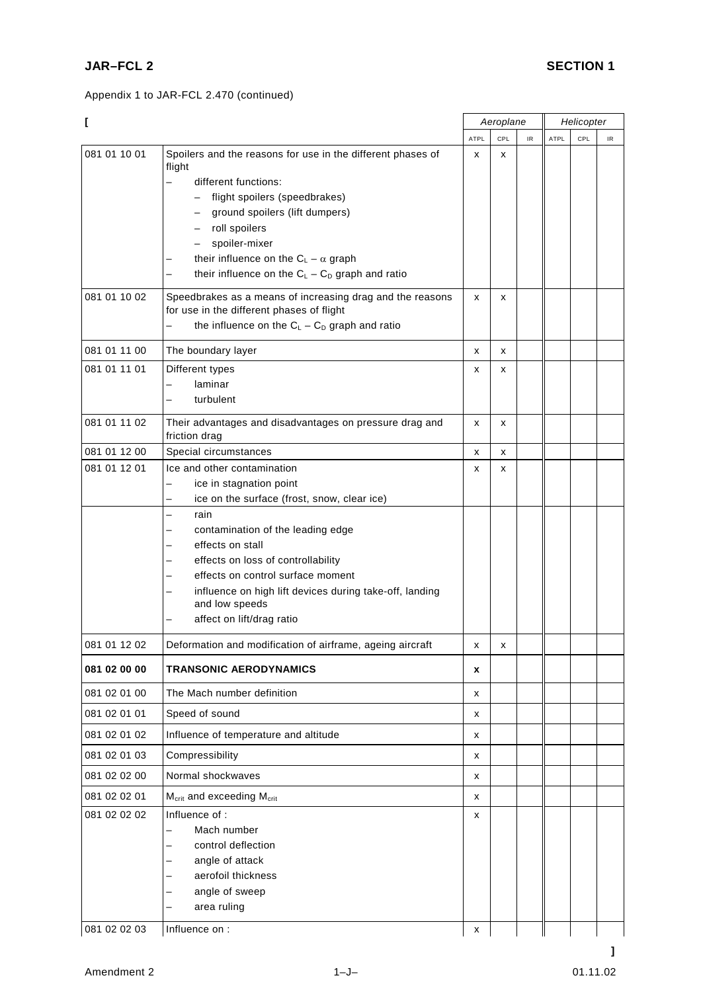### Appendix 1 to JAR-FCL 2.470 (continued)

|              |                                                                                                                                                                                                                                                                                                                                                                                              | Aeroplane |     |                                   | Helicopter |     |    |
|--------------|----------------------------------------------------------------------------------------------------------------------------------------------------------------------------------------------------------------------------------------------------------------------------------------------------------------------------------------------------------------------------------------------|-----------|-----|-----------------------------------|------------|-----|----|
|              |                                                                                                                                                                                                                                                                                                                                                                                              | ATPL      | CPL | $\ensuremath{\mathsf{IR}}\xspace$ | ATPL       | CPL | IR |
| 081 01 10 01 | Spoilers and the reasons for use in the different phases of<br>flight<br>different functions:<br>flight spoilers (speedbrakes)<br>ground spoilers (lift dumpers)<br>roll spoilers<br>spoiler-mixer<br>their influence on the $C_L - \alpha$ graph<br>their influence on the $C_L - C_D$ graph and ratio                                                                                      | x         | X   |                                   |            |     |    |
| 081 01 10 02 | Speedbrakes as a means of increasing drag and the reasons<br>for use in the different phases of flight<br>the influence on the $C_L - C_D$ graph and ratio                                                                                                                                                                                                                                   | x         | x   |                                   |            |     |    |
| 081 01 11 00 | The boundary layer                                                                                                                                                                                                                                                                                                                                                                           | x         | x   |                                   |            |     |    |
| 081 01 11 01 | Different types<br>laminar<br>turbulent<br>$\overline{\phantom{0}}$                                                                                                                                                                                                                                                                                                                          | x         | x   |                                   |            |     |    |
| 081 01 11 02 | Their advantages and disadvantages on pressure drag and<br>friction drag                                                                                                                                                                                                                                                                                                                     | x         | X   |                                   |            |     |    |
| 081 01 12 00 | Special circumstances                                                                                                                                                                                                                                                                                                                                                                        | x         | x   |                                   |            |     |    |
| 081 01 12 01 | Ice and other contamination<br>ice in stagnation point<br>—<br>ice on the surface (frost, snow, clear ice)<br>rain<br>$\overline{\phantom{0}}$<br>contamination of the leading edge<br>effects on stall<br>effects on loss of controllability<br>effects on control surface moment<br>influence on high lift devices during take-off, landing<br>and low speeds<br>affect on lift/drag ratio | x         | x   |                                   |            |     |    |
| 081 01 12 02 | Deformation and modification of airframe, ageing aircraft                                                                                                                                                                                                                                                                                                                                    | х         | х   |                                   |            |     |    |
| 081 02 00 00 | <b>TRANSONIC AERODYNAMICS</b>                                                                                                                                                                                                                                                                                                                                                                | x         |     |                                   |            |     |    |
| 081 02 01 00 | The Mach number definition                                                                                                                                                                                                                                                                                                                                                                   | x         |     |                                   |            |     |    |
| 081 02 01 01 | Speed of sound                                                                                                                                                                                                                                                                                                                                                                               | x         |     |                                   |            |     |    |
| 081 02 01 02 | Influence of temperature and altitude                                                                                                                                                                                                                                                                                                                                                        | x         |     |                                   |            |     |    |
| 081 02 01 03 | Compressibility                                                                                                                                                                                                                                                                                                                                                                              | х         |     |                                   |            |     |    |
| 081 02 02 00 | Normal shockwaves                                                                                                                                                                                                                                                                                                                                                                            | x         |     |                                   |            |     |    |
| 081 02 02 01 | M <sub>crit</sub> and exceeding M <sub>crit</sub>                                                                                                                                                                                                                                                                                                                                            | x         |     |                                   |            |     |    |
| 081 02 02 02 | Influence of:<br>Mach number<br>$\overline{\phantom{0}}$<br>control deflection<br>angle of attack<br>aerofoil thickness<br>angle of sweep<br>area ruling                                                                                                                                                                                                                                     | x         |     |                                   |            |     |    |
| 081 02 02 03 | Influence on :                                                                                                                                                                                                                                                                                                                                                                               | X         |     |                                   |            |     |    |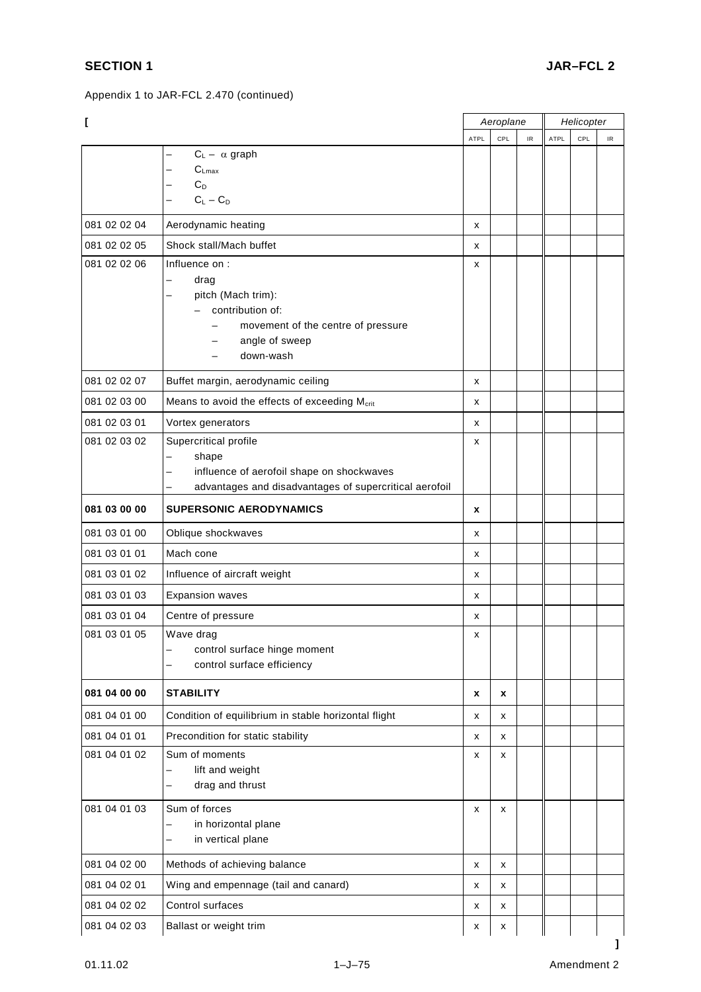|              |                                                                                                                                                                        |      | Aeroplane |     |      | Helicopter |     |  |
|--------------|------------------------------------------------------------------------------------------------------------------------------------------------------------------------|------|-----------|-----|------|------------|-----|--|
|              |                                                                                                                                                                        | ATPL | CPL       | IR. | ATPL | CPL        | IR. |  |
|              | $C_L - \alpha$ graph<br>$C_{Lmax}$<br>$C_D$<br>$C_L - C_D$                                                                                                             |      |           |     |      |            |     |  |
| 081 02 02 04 | Aerodynamic heating                                                                                                                                                    | x    |           |     |      |            |     |  |
| 081 02 02 05 | Shock stall/Mach buffet                                                                                                                                                | x    |           |     |      |            |     |  |
| 081 02 02 06 | Influence on:<br>drag<br>pitch (Mach trim):<br>—<br>contribution of:<br>movement of the centre of pressure<br>angle of sweep<br>down-wash                              | x    |           |     |      |            |     |  |
| 081 02 02 07 | Buffet margin, aerodynamic ceiling                                                                                                                                     | x    |           |     |      |            |     |  |
| 081 02 03 00 | Means to avoid the effects of exceeding Mcrit                                                                                                                          | x    |           |     |      |            |     |  |
| 081 02 03 01 | Vortex generators                                                                                                                                                      | x    |           |     |      |            |     |  |
| 081 02 03 02 | Supercritical profile<br>shape<br>—<br>influence of aerofoil shape on shockwaves<br>$\overline{\phantom{0}}$<br>advantages and disadvantages of supercritical aerofoil | x    |           |     |      |            |     |  |
| 081 03 00 00 | <b>SUPERSONIC AERODYNAMICS</b>                                                                                                                                         | x    |           |     |      |            |     |  |
| 081 03 01 00 | Oblique shockwaves                                                                                                                                                     | x    |           |     |      |            |     |  |
| 081 03 01 01 | Mach cone                                                                                                                                                              | x    |           |     |      |            |     |  |
| 081 03 01 02 | Influence of aircraft weight                                                                                                                                           | x    |           |     |      |            |     |  |
| 081 03 01 03 | Expansion waves                                                                                                                                                        | x    |           |     |      |            |     |  |
| 081 03 01 04 | Centre of pressure                                                                                                                                                     | х    |           |     |      |            |     |  |
| 081 03 01 05 | Wave drag<br>control surface hinge moment<br>—<br>control surface efficiency                                                                                           | х    |           |     |      |            |     |  |
| 081 04 00 00 | <b>STABILITY</b>                                                                                                                                                       | x    | X         |     |      |            |     |  |
| 081 04 01 00 | Condition of equilibrium in stable horizontal flight                                                                                                                   | х    | x         |     |      |            |     |  |
| 081 04 01 01 | Precondition for static stability                                                                                                                                      | x    | x         |     |      |            |     |  |
| 081 04 01 02 | Sum of moments<br>lift and weight<br>drag and thrust<br>-                                                                                                              | x    | x         |     |      |            |     |  |
| 081 04 01 03 | Sum of forces<br>in horizontal plane<br>in vertical plane<br>—                                                                                                         | x    | x         |     |      |            |     |  |
| 081 04 02 00 | Methods of achieving balance                                                                                                                                           | x    | X         |     |      |            |     |  |
| 081 04 02 01 | Wing and empennage (tail and canard)                                                                                                                                   | x    | x         |     |      |            |     |  |
| 081 04 02 02 | Control surfaces                                                                                                                                                       | x    | x         |     |      |            |     |  |
| 081 04 02 03 | Ballast or weight trim                                                                                                                                                 | x    | x         |     |      |            |     |  |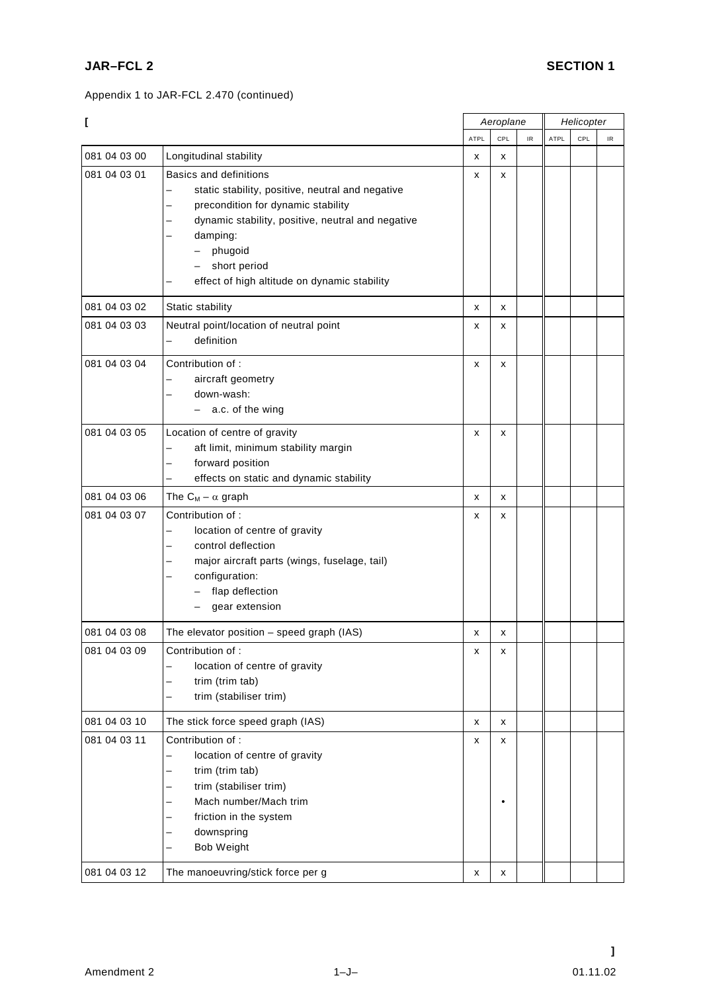$\mathbf{r}$ 

 $\blacksquare$ 

| I            |                                                                                                                                                                                                                                                                             | Aeroplane |     |    | Helicopter |     |    |
|--------------|-----------------------------------------------------------------------------------------------------------------------------------------------------------------------------------------------------------------------------------------------------------------------------|-----------|-----|----|------------|-----|----|
|              |                                                                                                                                                                                                                                                                             | ATPL      | CPL | IR | ATPL       | CPL | IR |
| 081 04 03 00 | Longitudinal stability                                                                                                                                                                                                                                                      | x         | x   |    |            |     |    |
| 081 04 03 01 | Basics and definitions<br>static stability, positive, neutral and negative<br>-<br>precondition for dynamic stability<br>-<br>dynamic stability, positive, neutral and negative<br>damping:<br>—<br>phugoid<br>short period<br>effect of high altitude on dynamic stability | X         | X   |    |            |     |    |
| 081 04 03 02 | Static stability                                                                                                                                                                                                                                                            | x         | х   |    |            |     |    |
| 081 04 03 03 | Neutral point/location of neutral point<br>definition<br>$\overline{\phantom{0}}$                                                                                                                                                                                           | x         | х   |    |            |     |    |
| 081 04 03 04 | Contribution of :<br>aircraft geometry<br>down-wash:<br>a.c. of the wing                                                                                                                                                                                                    | X         | X   |    |            |     |    |
| 081 04 03 05 | Location of centre of gravity<br>aft limit, minimum stability margin<br>forward position<br>effects on static and dynamic stability                                                                                                                                         | x         | x   |    |            |     |    |
| 081 04 03 06 | The $C_M - \alpha$ graph                                                                                                                                                                                                                                                    | X         | X   |    |            |     |    |
| 081 04 03 07 | Contribution of:<br>location of centre of gravity<br>$\overline{\phantom{0}}$<br>control deflection<br>—<br>major aircraft parts (wings, fuselage, tail)<br>configuration:<br>flap deflection<br>gear extension                                                             | x         | x   |    |            |     |    |
| 081 04 03 08 | The elevator position - speed graph (IAS)                                                                                                                                                                                                                                   | х         | х   |    |            |     |    |
| 081 04 03 09 | Contribution of:<br>location of centre of gravity<br>—<br>trim (trim tab)<br>-<br>trim (stabiliser trim)                                                                                                                                                                    | x         | x   |    |            |     |    |
| 081 04 03 10 | The stick force speed graph (IAS)                                                                                                                                                                                                                                           | x         | x   |    |            |     |    |
| 081 04 03 11 | Contribution of:<br>location of centre of gravity<br>-<br>trim (trim tab)<br>-<br>trim (stabiliser trim)<br>-<br>Mach number/Mach trim<br>friction in the system<br>-<br>downspring<br>-<br><b>Bob Weight</b><br>-                                                          | x         | x   |    |            |     |    |
| 081 04 03 12 | The manoeuvring/stick force per g                                                                                                                                                                                                                                           | x         | х   |    |            |     |    |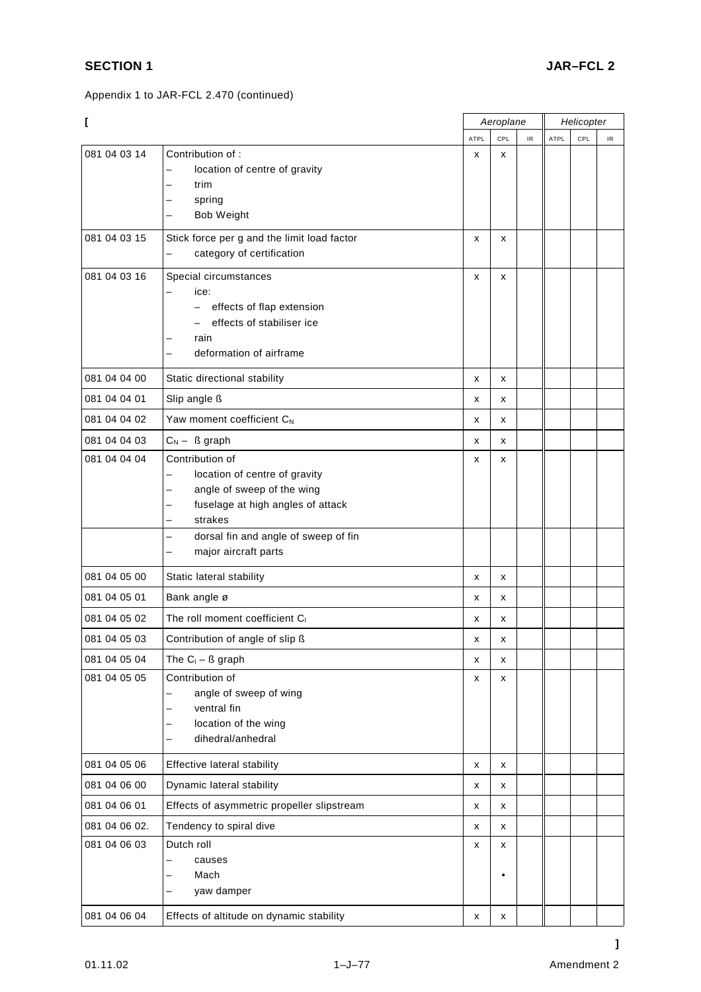| I             |                                                                                                                                |             | Aeroplane |                                   |      | Helicopter |    |
|---------------|--------------------------------------------------------------------------------------------------------------------------------|-------------|-----------|-----------------------------------|------|------------|----|
|               |                                                                                                                                | <b>ATPL</b> | CPL       | $\ensuremath{\mathsf{IR}}\xspace$ | ATPL | CPL        | IR |
| 081 04 03 14  | Contribution of :<br>location of centre of gravity<br>trim<br>spring<br><b>Bob Weight</b>                                      | X           | x         |                                   |      |            |    |
| 081 04 03 15  | Stick force per g and the limit load factor<br>category of certification                                                       | x           | X         |                                   |      |            |    |
| 081 04 03 16  | Special circumstances<br>ice:<br>effects of flap extension<br>effects of stabiliser ice<br>rain<br>deformation of airframe     | x           | x         |                                   |      |            |    |
| 081 04 04 00  | Static directional stability                                                                                                   | x           | х         |                                   |      |            |    |
| 081 04 04 01  | Slip angle ß                                                                                                                   | x           | x         |                                   |      |            |    |
| 081 04 04 02  | Yaw moment coefficient C <sub>N</sub>                                                                                          | x           | x         |                                   |      |            |    |
| 081 04 04 03  | $C_N -$ ß graph                                                                                                                | X           | X         |                                   |      |            |    |
| 081 04 04 04  | Contribution of<br>location of centre of gravity<br>angle of sweep of the wing<br>fuselage at high angles of attack<br>strakes | x           | x         |                                   |      |            |    |
|               | dorsal fin and angle of sweep of fin<br>major aircraft parts                                                                   |             |           |                                   |      |            |    |
| 081 04 05 00  | Static lateral stability                                                                                                       | x           | х         |                                   |      |            |    |
| 081 04 05 01  | Bank angle ø                                                                                                                   | x           | х         |                                   |      |            |    |
| 081 04 05 02  | The roll moment coefficient C <sub>1</sub>                                                                                     | x           | x         |                                   |      |            |    |
| 081 04 05 03  | Contribution of angle of slip ß                                                                                                | х           | х         |                                   |      |            |    |
| 081 04 05 04  | The $C_1 - B$ graph                                                                                                            | x           | x         |                                   |      |            |    |
| 081 04 05 05  | Contribution of<br>angle of sweep of wing<br>ventral fin<br>location of the wing<br>dihedral/anhedral                          | x           | X         |                                   |      |            |    |
| 081 04 05 06  | Effective lateral stability                                                                                                    | x           | x         |                                   |      |            |    |
| 081 04 06 00  | Dynamic lateral stability                                                                                                      | x           | x         |                                   |      |            |    |
| 081 04 06 01  | Effects of asymmetric propeller slipstream                                                                                     | x           | x         |                                   |      |            |    |
| 081 04 06 02. | Tendency to spiral dive                                                                                                        | x           | X         |                                   |      |            |    |
| 081 04 06 03  | Dutch roll<br>causes<br>Mach<br>yaw damper                                                                                     | x           | x<br>٠    |                                   |      |            |    |
| 081 04 06 04  | Effects of altitude on dynamic stability                                                                                       | x           | x         |                                   |      |            |    |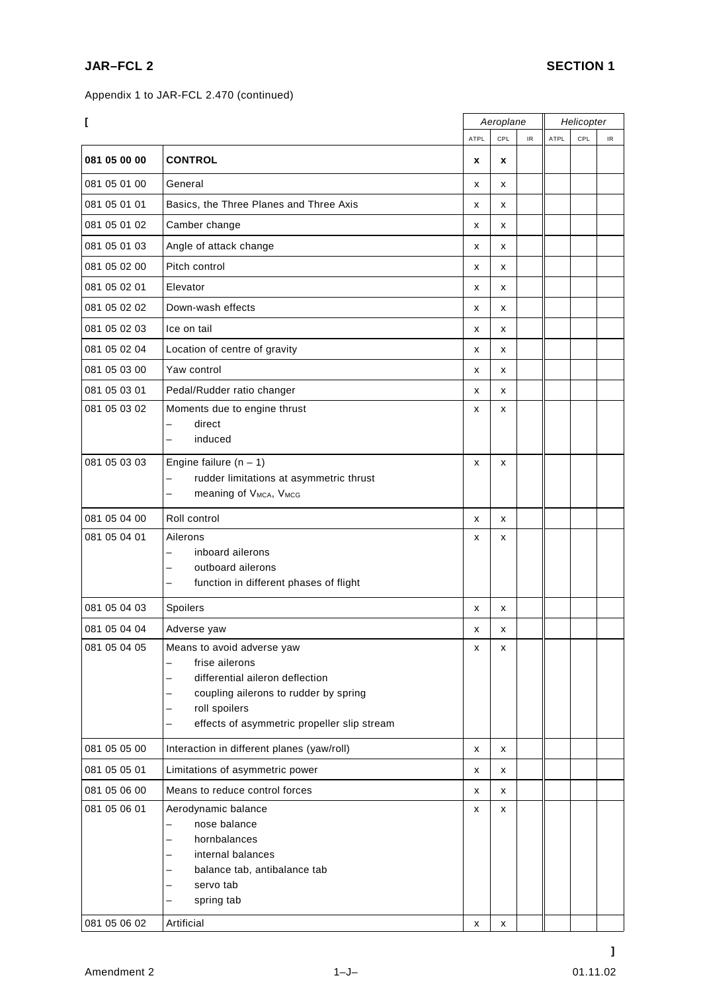m

| I            |                                                                                                |      | Aeroplane |                                   |      | Helicopter |     |  |
|--------------|------------------------------------------------------------------------------------------------|------|-----------|-----------------------------------|------|------------|-----|--|
|              |                                                                                                | ATPL | CPL       | $\ensuremath{\mathsf{IR}}\xspace$ | ATPL | CPL        | IR. |  |
| 081 05 00 00 | <b>CONTROL</b>                                                                                 | X    | X         |                                   |      |            |     |  |
| 081 05 01 00 | General                                                                                        | x    | x         |                                   |      |            |     |  |
| 081 05 01 01 | Basics, the Three Planes and Three Axis                                                        | x    | X         |                                   |      |            |     |  |
| 081 05 01 02 | Camber change                                                                                  | x    | X         |                                   |      |            |     |  |
| 081 05 01 03 | Angle of attack change                                                                         | x    | х         |                                   |      |            |     |  |
| 081 05 02 00 | Pitch control                                                                                  | x    | x         |                                   |      |            |     |  |
| 081 05 02 01 | Elevator                                                                                       | x    | х         |                                   |      |            |     |  |
| 081 05 02 02 | Down-wash effects                                                                              | x    | x         |                                   |      |            |     |  |
| 081 05 02 03 | Ice on tail                                                                                    | X    | X         |                                   |      |            |     |  |
| 081 05 02 04 | Location of centre of gravity                                                                  | x    | x         |                                   |      |            |     |  |
| 081 05 03 00 | Yaw control                                                                                    | x    | х         |                                   |      |            |     |  |
| 081 05 03 01 | Pedal/Rudder ratio changer                                                                     | x    | X         |                                   |      |            |     |  |
| 081 05 03 02 | Moments due to engine thrust                                                                   | x    | X         |                                   |      |            |     |  |
|              | direct<br>—                                                                                    |      |           |                                   |      |            |     |  |
|              | induced<br>$\overline{\phantom{0}}$                                                            |      |           |                                   |      |            |     |  |
| 081 05 03 03 | Engine failure $(n - 1)$                                                                       | X    | x         |                                   |      |            |     |  |
|              | rudder limitations at asymmetric thrust<br>meaning of V <sub>MCA</sub> , V <sub>MCG</sub><br>— |      |           |                                   |      |            |     |  |
|              |                                                                                                |      |           |                                   |      |            |     |  |
| 081 05 04 00 | Roll control                                                                                   | x    | x         |                                   |      |            |     |  |
| 081 05 04 01 | Ailerons<br>inboard ailerons<br>$\overline{\phantom{0}}$                                       | x    | х         |                                   |      |            |     |  |
|              | outboard ailerons                                                                              |      |           |                                   |      |            |     |  |
|              | function in different phases of flight<br>—                                                    |      |           |                                   |      |            |     |  |
| 081 05 04 03 | Spoilers                                                                                       | x    | x         |                                   |      |            |     |  |
| 081 05 04 04 | Adverse yaw                                                                                    | x    | х         |                                   |      |            |     |  |
| 081 05 04 05 | Means to avoid adverse yaw                                                                     | х    | х         |                                   |      |            |     |  |
|              | frise ailerons                                                                                 |      |           |                                   |      |            |     |  |
|              | differential aileron deflection<br>—                                                           |      |           |                                   |      |            |     |  |
|              | coupling ailerons to rudder by spring                                                          |      |           |                                   |      |            |     |  |
|              | roll spoilers<br>effects of asymmetric propeller slip stream                                   |      |           |                                   |      |            |     |  |
| 081 05 05 00 | Interaction in different planes (yaw/roll)                                                     | x    | x         |                                   |      |            |     |  |
| 081 05 05 01 | Limitations of asymmetric power                                                                | x    | х         |                                   |      |            |     |  |
| 081 05 06 00 | Means to reduce control forces                                                                 | x    | x         |                                   |      |            |     |  |
| 081 05 06 01 | Aerodynamic balance                                                                            | x    | x         |                                   |      |            |     |  |
|              | nose balance                                                                                   |      |           |                                   |      |            |     |  |
|              | hornbalances<br>$\overline{\phantom{0}}$                                                       |      |           |                                   |      |            |     |  |
|              | internal balances                                                                              |      |           |                                   |      |            |     |  |
|              | balance tab, antibalance tab                                                                   |      |           |                                   |      |            |     |  |
|              | servo tab                                                                                      |      |           |                                   |      |            |     |  |
|              | spring tab                                                                                     |      |           |                                   |      |            |     |  |
| 081 05 06 02 | Artificial                                                                                     | x    | x         |                                   |      |            |     |  |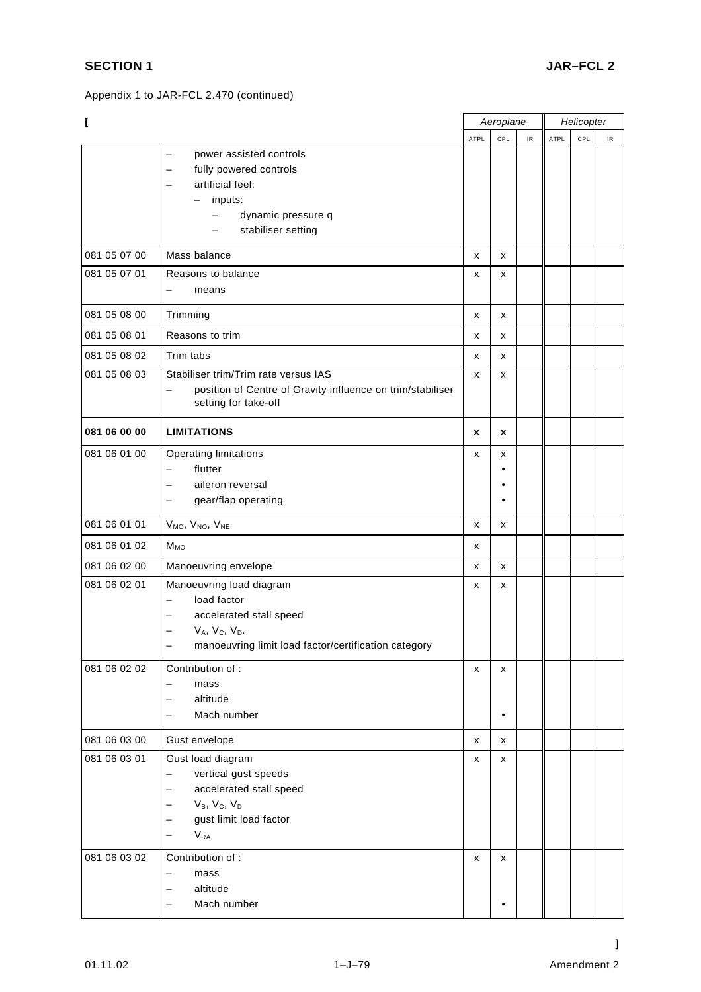| I            |                                                            | Aeroplane |     |     | Helicopter |     |                                   |
|--------------|------------------------------------------------------------|-----------|-----|-----|------------|-----|-----------------------------------|
|              |                                                            | ATPL      | CPL | IR. | ATPL       | CPL | $\ensuremath{\mathsf{IR}}\xspace$ |
|              | power assisted controls<br>$\overline{\phantom{0}}$        |           |     |     |            |     |                                   |
|              | fully powered controls<br>—                                |           |     |     |            |     |                                   |
|              | artificial feel:<br>$\overline{\phantom{0}}$               |           |     |     |            |     |                                   |
|              | inputs:                                                    |           |     |     |            |     |                                   |
|              | dynamic pressure q<br>$\overline{\phantom{0}}$             |           |     |     |            |     |                                   |
|              | stabiliser setting                                         |           |     |     |            |     |                                   |
| 081 05 07 00 | Mass balance                                               | x         | x   |     |            |     |                                   |
| 081 05 07 01 | Reasons to balance                                         | x         | x   |     |            |     |                                   |
|              | $\overline{\phantom{0}}$<br>means                          |           |     |     |            |     |                                   |
| 081 05 08 00 | Trimming                                                   | x         | x   |     |            |     |                                   |
| 081 05 08 01 | Reasons to trim                                            | x         | X   |     |            |     |                                   |
| 081 05 08 02 | Trim tabs                                                  | x         | X   |     |            |     |                                   |
| 081 05 08 03 | Stabiliser trim/Trim rate versus IAS                       | Х         | X   |     |            |     |                                   |
|              | position of Centre of Gravity influence on trim/stabiliser |           |     |     |            |     |                                   |
|              | setting for take-off                                       |           |     |     |            |     |                                   |
| 081 06 00 00 | <b>LIMITATIONS</b>                                         | X         | x   |     |            |     |                                   |
| 081 06 01 00 | <b>Operating limitations</b>                               | x         | x   |     |            |     |                                   |
|              | flutter<br>—                                               |           |     |     |            |     |                                   |
|              | aileron reversal<br>—                                      |           |     |     |            |     |                                   |
|              | gear/flap operating<br>-                                   |           |     |     |            |     |                                   |
| 081 06 01 01 | $V_{MO}$ , $V_{NO}$ , $V_{NE}$                             | x         | X   |     |            |     |                                   |
| 081 06 01 02 | $M_{MO}$                                                   | X         |     |     |            |     |                                   |
| 081 06 02 00 | Manoeuvring envelope                                       | x         | X   |     |            |     |                                   |
| 081 06 02 01 | Manoeuvring load diagram                                   | x         | X   |     |            |     |                                   |
|              | load factor<br>—                                           |           |     |     |            |     |                                   |
|              | accelerated stall speed                                    |           |     |     |            |     |                                   |
|              | $V_A$ , $V_C$ , $V_D$ .                                    |           |     |     |            |     |                                   |
|              | manoeuvring limit load factor/certification category       |           |     |     |            |     |                                   |
| 081 06 02 02 | Contribution of:                                           | X         | X   |     |            |     |                                   |
|              | mass<br>—                                                  |           |     |     |            |     |                                   |
|              | altitude<br>$\overline{\phantom{0}}$                       |           |     |     |            |     |                                   |
|              | Mach number<br>$\overline{\phantom{0}}$                    |           |     |     |            |     |                                   |
| 081 06 03 00 | Gust envelope                                              | X         | X   |     |            |     |                                   |
| 081 06 03 01 | Gust load diagram                                          | x         | X   |     |            |     |                                   |
|              | vertical gust speeds<br>-                                  |           |     |     |            |     |                                   |
|              | accelerated stall speed<br>—                               |           |     |     |            |     |                                   |
|              | $V_B$ , $V_C$ , $V_D$                                      |           |     |     |            |     |                                   |
|              | gust limit load factor                                     |           |     |     |            |     |                                   |
|              | $V_{RA}$<br>—                                              |           |     |     |            |     |                                   |
| 081 06 03 02 | Contribution of :                                          | x         | x   |     |            |     |                                   |
|              | mass<br>-                                                  |           |     |     |            |     |                                   |
|              | altitude<br>$\overline{\phantom{0}}$                       |           |     |     |            |     |                                   |
|              | Mach number<br>-                                           |           |     |     |            |     |                                   |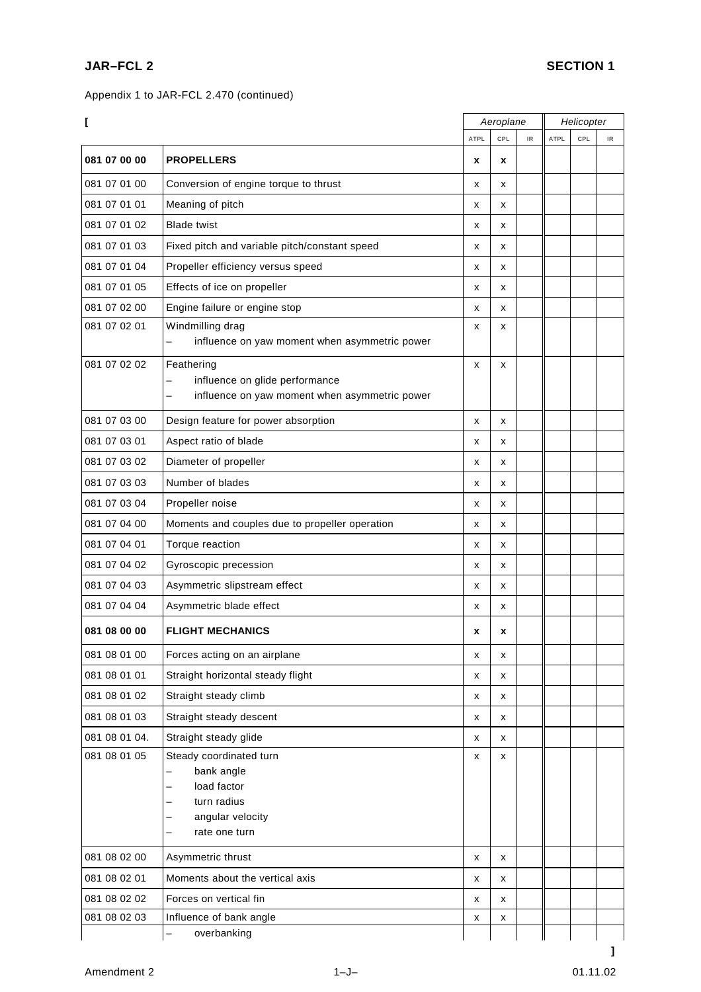$\blacksquare$ 

 $\blacksquare$ 

Appendix 1 to JAR-FCL 2.470 (continued)

| I             |                                                                                                          | Aeroplane |     |                                   | Helicopter |     |    |
|---------------|----------------------------------------------------------------------------------------------------------|-----------|-----|-----------------------------------|------------|-----|----|
|               |                                                                                                          | ATPL      | CPL | $\ensuremath{\mathsf{IR}}\xspace$ | ATPL       | CPL | IR |
| 081 07 00 00  | <b>PROPELLERS</b>                                                                                        | x         | x   |                                   |            |     |    |
| 081 07 01 00  | Conversion of engine torque to thrust                                                                    | x         | x   |                                   |            |     |    |
| 081 07 01 01  | Meaning of pitch                                                                                         | x         | x   |                                   |            |     |    |
| 081 07 01 02  | <b>Blade twist</b>                                                                                       | x         | х   |                                   |            |     |    |
| 081 07 01 03  | Fixed pitch and variable pitch/constant speed                                                            | X         | x   |                                   |            |     |    |
| 081 07 01 04  | Propeller efficiency versus speed                                                                        | x         | x   |                                   |            |     |    |
| 081 07 01 05  | Effects of ice on propeller                                                                              | x         | х   |                                   |            |     |    |
| 081 07 02 00  | Engine failure or engine stop                                                                            | X         | x   |                                   |            |     |    |
| 081 07 02 01  | Windmilling drag<br>influence on yaw moment when asymmetric power                                        | x         | x   |                                   |            |     |    |
| 081 07 02 02  | Feathering<br>influence on glide performance<br>influence on yaw moment when asymmetric power            | X         | X   |                                   |            |     |    |
| 081 07 03 00  | Design feature for power absorption                                                                      | x         | x   |                                   |            |     |    |
| 081 07 03 01  | Aspect ratio of blade                                                                                    | x         | x   |                                   |            |     |    |
| 081 07 03 02  | Diameter of propeller                                                                                    | x         | х   |                                   |            |     |    |
| 081 07 03 03  | Number of blades                                                                                         | x         | x   |                                   |            |     |    |
| 081 07 03 04  | Propeller noise                                                                                          | x         | x   |                                   |            |     |    |
| 081 07 04 00  | Moments and couples due to propeller operation                                                           | X         | x   |                                   |            |     |    |
| 081 07 04 01  | Torque reaction                                                                                          | x         | x   |                                   |            |     |    |
| 081 07 04 02  | Gyroscopic precession                                                                                    | x         | х   |                                   |            |     |    |
| 081 07 04 03  | Asymmetric slipstream effect                                                                             | x         | х   |                                   |            |     |    |
| 081 07 04 04  | Asymmetric blade effect                                                                                  | x         | x   |                                   |            |     |    |
| 081 08 00 00  | <b>FLIGHT MECHANICS</b>                                                                                  | X         | X   |                                   |            |     |    |
| 081 08 01 00  | Forces acting on an airplane                                                                             | x         | x   |                                   |            |     |    |
| 081 08 01 01  | Straight horizontal steady flight                                                                        | x         | x   |                                   |            |     |    |
| 081 08 01 02  | Straight steady climb                                                                                    | x         | x   |                                   |            |     |    |
| 081 08 01 03  | Straight steady descent                                                                                  | x         | x   |                                   |            |     |    |
| 081 08 01 04. | Straight steady glide                                                                                    | x         | x   |                                   |            |     |    |
| 081 08 01 05  | Steady coordinated turn<br>bank angle<br>load factor<br>turn radius<br>angular velocity<br>rate one turn | X         | x   |                                   |            |     |    |
| 081 08 02 00  | Asymmetric thrust                                                                                        | x         | x   |                                   |            |     |    |
| 081 08 02 01  | Moments about the vertical axis                                                                          | x         | x   |                                   |            |     |    |
| 081 08 02 02  | Forces on vertical fin                                                                                   | X         | x   |                                   |            |     |    |
| 081 08 02 03  | Influence of bank angle                                                                                  | x         | x   |                                   |            |     |    |
|               | overbanking<br>$\overline{\phantom{0}}$                                                                  |           |     |                                   |            |     |    |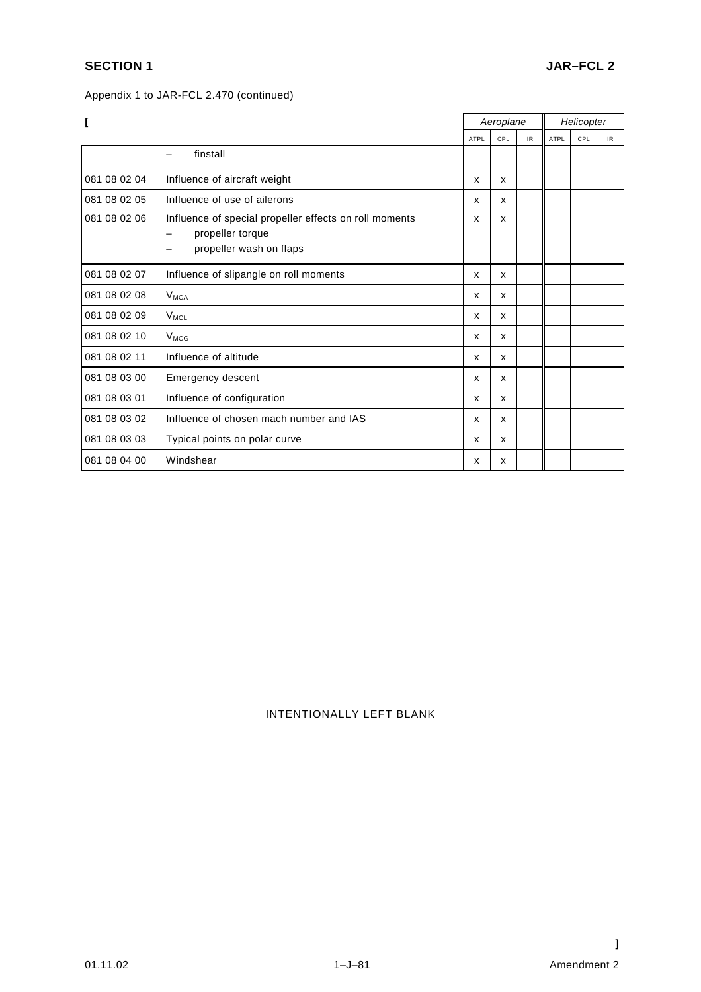|              |                                                                                                            | Aeroplane   |     |     | Helicopter  |     |     |  |
|--------------|------------------------------------------------------------------------------------------------------------|-------------|-----|-----|-------------|-----|-----|--|
|              |                                                                                                            | <b>ATPL</b> | CPL | IR. | <b>ATPL</b> | CPL | IR. |  |
|              | finstall<br>-                                                                                              |             |     |     |             |     |     |  |
| 081 08 02 04 | Influence of aircraft weight                                                                               | X           | x   |     |             |     |     |  |
| 081 08 02 05 | Influence of use of ailerons                                                                               | X           | X   |     |             |     |     |  |
| 081 08 02 06 | Influence of special propeller effects on roll moments<br>propeller torque<br>propeller wash on flaps<br>- | X           | X   |     |             |     |     |  |
| 081 08 02 07 | Influence of slipangle on roll moments                                                                     | x           | X   |     |             |     |     |  |
| 081 08 02 08 | <b>V</b> <sub>MCA</sub>                                                                                    | X           | x   |     |             |     |     |  |
| 081 08 02 09 | $V_{ML}$                                                                                                   | X           | X   |     |             |     |     |  |
| 081 08 02 10 | $V_{MCG}$                                                                                                  | X           | x   |     |             |     |     |  |
| 081 08 02 11 | Influence of altitude                                                                                      | x           | x   |     |             |     |     |  |
| 081 08 03 00 | Emergency descent                                                                                          | X           | X   |     |             |     |     |  |
| 081 08 03 01 | Influence of configuration                                                                                 | X           | X   |     |             |     |     |  |
| 081 08 03 02 | Influence of chosen mach number and IAS                                                                    | X           | x   |     |             |     |     |  |
| 081 08 03 03 | Typical points on polar curve                                                                              | X           | x   |     |             |     |     |  |
| 081 08 04 00 | Windshear                                                                                                  | X           | x   |     |             |     |     |  |

### INTENTIONALLY LEFT BLANK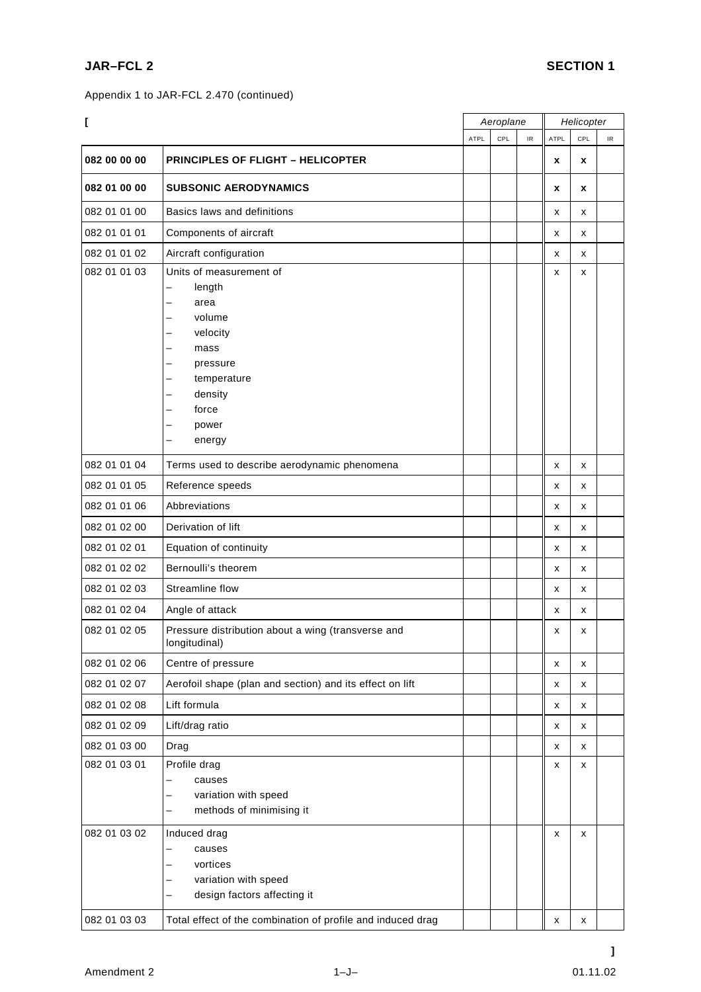$\blacksquare$ 

| I            |                                                                     |             | Aeroplane |                                   |              | Helicopter |     |
|--------------|---------------------------------------------------------------------|-------------|-----------|-----------------------------------|--------------|------------|-----|
|              |                                                                     | <b>ATPL</b> | CPL       | $\ensuremath{\mathsf{IR}}\xspace$ | ATPL         | CPL        | IR. |
| 082 00 00 00 | <b>PRINCIPLES OF FLIGHT - HELICOPTER</b>                            |             |           |                                   | $\mathbf{x}$ | x          |     |
| 082 01 00 00 | <b>SUBSONIC AERODYNAMICS</b>                                        |             |           |                                   | x            | x          |     |
| 082 01 01 00 | Basics laws and definitions                                         |             |           |                                   | x            | x          |     |
| 082 01 01 01 | Components of aircraft                                              |             |           |                                   | x            | x          |     |
| 082 01 01 02 | Aircraft configuration                                              |             |           |                                   | х            | X          |     |
| 082 01 01 03 | Units of measurement of                                             |             |           |                                   | x            | X          |     |
|              | length                                                              |             |           |                                   |              |            |     |
|              | area<br>volume                                                      |             |           |                                   |              |            |     |
|              | velocity                                                            |             |           |                                   |              |            |     |
|              | mass                                                                |             |           |                                   |              |            |     |
|              | pressure                                                            |             |           |                                   |              |            |     |
|              | temperature                                                         |             |           |                                   |              |            |     |
|              | density<br>force                                                    |             |           |                                   |              |            |     |
|              | power                                                               |             |           |                                   |              |            |     |
|              | energy                                                              |             |           |                                   |              |            |     |
| 082 01 01 04 | Terms used to describe aerodynamic phenomena                        |             |           |                                   | X            | x          |     |
| 082 01 01 05 | Reference speeds                                                    |             |           |                                   | x            | x          |     |
| 082 01 01 06 | Abbreviations                                                       |             |           |                                   | x            | x          |     |
| 082 01 02 00 | Derivation of lift                                                  |             |           |                                   | x            | x          |     |
| 082 01 02 01 | Equation of continuity                                              |             |           |                                   | x            | х          |     |
| 082 01 02 02 | Bernoulli's theorem                                                 |             |           |                                   | x            | x          |     |
| 082 01 02 03 | Streamline flow                                                     |             |           |                                   | x            | X          |     |
| 082 01 02 04 | Angle of attack                                                     |             |           |                                   | x            | x          |     |
| 082 01 02 05 | Pressure distribution about a wing (transverse and<br>longitudinal) |             |           |                                   | x            | x          |     |
| 082 01 02 06 | Centre of pressure                                                  |             |           |                                   | х            | x          |     |
| 082 01 02 07 | Aerofoil shape (plan and section) and its effect on lift            |             |           |                                   | X            | X          |     |
| 082 01 02 08 | Lift formula                                                        |             |           |                                   | х            | x          |     |
| 082 01 02 09 | Lift/drag ratio                                                     |             |           |                                   | x            | x          |     |
| 082 01 03 00 | Drag                                                                |             |           |                                   | х            | x          |     |
| 082 01 03 01 | Profile drag                                                        |             |           |                                   | х            | x          |     |
|              | causes<br>variation with speed                                      |             |           |                                   |              |            |     |
|              | methods of minimising it                                            |             |           |                                   |              |            |     |
| 082 01 03 02 | Induced drag                                                        |             |           |                                   |              |            |     |
|              | causes                                                              |             |           |                                   | x            | x          |     |
|              | vortices                                                            |             |           |                                   |              |            |     |
|              | variation with speed                                                |             |           |                                   |              |            |     |
|              | design factors affecting it                                         |             |           |                                   |              |            |     |
| 082 01 03 03 | Total effect of the combination of profile and induced drag         |             |           |                                   | X            | X          |     |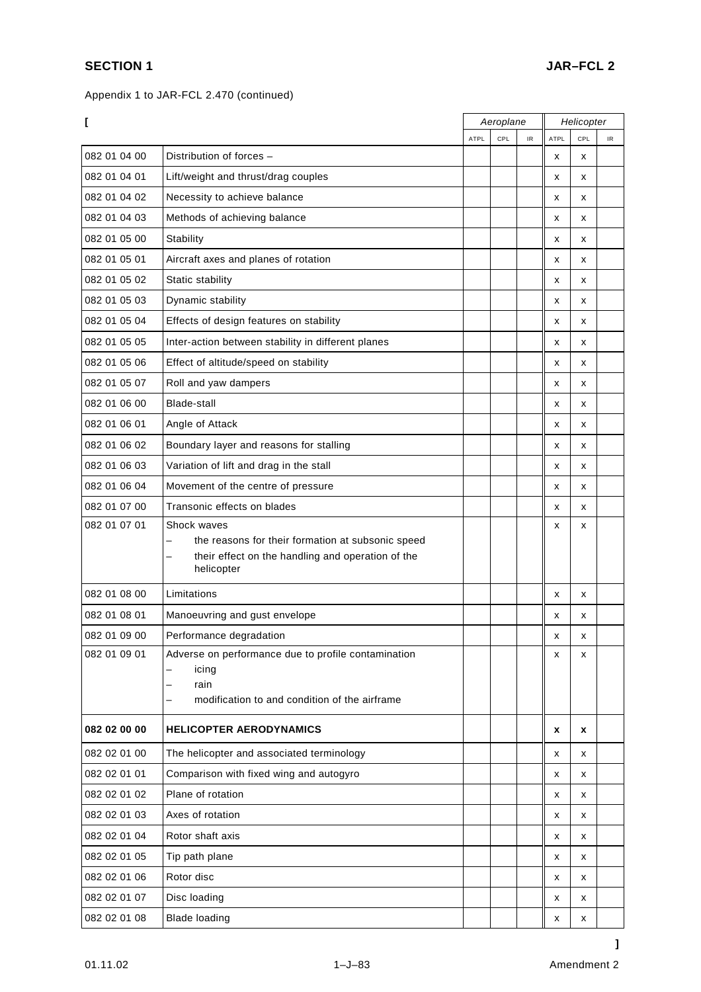| I            |                                                                                                                                                                 | Aeroplane |     |     | Helicopter |     |     |
|--------------|-----------------------------------------------------------------------------------------------------------------------------------------------------------------|-----------|-----|-----|------------|-----|-----|
|              |                                                                                                                                                                 | ATPL      | CPL | IR. | ATPL       | CPL | IR. |
| 082 01 04 00 | Distribution of forces -                                                                                                                                        |           |     |     | x          | X   |     |
| 082 01 04 01 | Lift/weight and thrust/drag couples                                                                                                                             |           |     |     | x          | x   |     |
| 082 01 04 02 | Necessity to achieve balance                                                                                                                                    |           |     |     | x          | X   |     |
| 082 01 04 03 | Methods of achieving balance                                                                                                                                    |           |     |     | x          | X   |     |
| 082 01 05 00 | Stability                                                                                                                                                       |           |     |     | x          | x   |     |
| 082 01 05 01 | Aircraft axes and planes of rotation                                                                                                                            |           |     |     | x          | x   |     |
| 082 01 05 02 | Static stability                                                                                                                                                |           |     |     | x          | x   |     |
| 082 01 05 03 | Dynamic stability                                                                                                                                               |           |     |     | x          | x   |     |
| 082 01 05 04 | Effects of design features on stability                                                                                                                         |           |     |     | x          | X   |     |
| 082 01 05 05 | Inter-action between stability in different planes                                                                                                              |           |     |     | x          | x   |     |
| 082 01 05 06 | Effect of altitude/speed on stability                                                                                                                           |           |     |     | x          | x   |     |
| 082 01 05 07 | Roll and yaw dampers                                                                                                                                            |           |     |     | x          | X   |     |
| 082 01 06 00 | <b>Blade-stall</b>                                                                                                                                              |           |     |     | x          | X   |     |
| 082 01 06 01 | Angle of Attack                                                                                                                                                 |           |     |     | x          | X   |     |
| 082 01 06 02 | Boundary layer and reasons for stalling                                                                                                                         |           |     |     | x          | X   |     |
| 082 01 06 03 | Variation of lift and drag in the stall                                                                                                                         |           |     |     | x          | X   |     |
| 082 01 06 04 | Movement of the centre of pressure                                                                                                                              |           |     |     | x          | X   |     |
| 082 01 07 00 | Transonic effects on blades                                                                                                                                     |           |     |     | х          | х   |     |
| 082 01 07 01 | Shock waves<br>the reasons for their formation at subsonic speed<br>their effect on the handling and operation of the<br>$\overline{\phantom{0}}$<br>helicopter |           |     |     | x          | X   |     |
| 082 01 08 00 | Limitations                                                                                                                                                     |           |     |     | x          | X   |     |
| 082 01 08 01 | Manoeuvring and gust envelope                                                                                                                                   |           |     |     | X          | х   |     |
| 082 01 09 00 | Performance degradation                                                                                                                                         |           |     |     | x          | х   |     |
| 082 01 09 01 | Adverse on performance due to profile contamination<br>icing<br>rain<br>modification to and condition of the airframe                                           |           |     |     | X          | X   |     |
| 082 02 00 00 | <b>HELICOPTER AERODYNAMICS</b>                                                                                                                                  |           |     |     | x          | x   |     |
| 082 02 01 00 | The helicopter and associated terminology                                                                                                                       |           |     |     | x          | x   |     |
| 082 02 01 01 | Comparison with fixed wing and autogyro                                                                                                                         |           |     |     | x          | x   |     |
| 082 02 01 02 | Plane of rotation                                                                                                                                               |           |     |     | x          | x   |     |
| 082 02 01 03 | Axes of rotation                                                                                                                                                |           |     |     | х          | x   |     |
| 082 02 01 04 | Rotor shaft axis                                                                                                                                                |           |     |     | х          | x   |     |
| 082 02 01 05 | Tip path plane                                                                                                                                                  |           |     |     | x          | x   |     |
| 082 02 01 06 | Rotor disc                                                                                                                                                      |           |     |     | x          | x   |     |
| 082 02 01 07 | Disc loading                                                                                                                                                    |           |     |     | x          | х   |     |
| 082 02 01 08 | <b>Blade loading</b>                                                                                                                                            |           |     |     | x          | X   |     |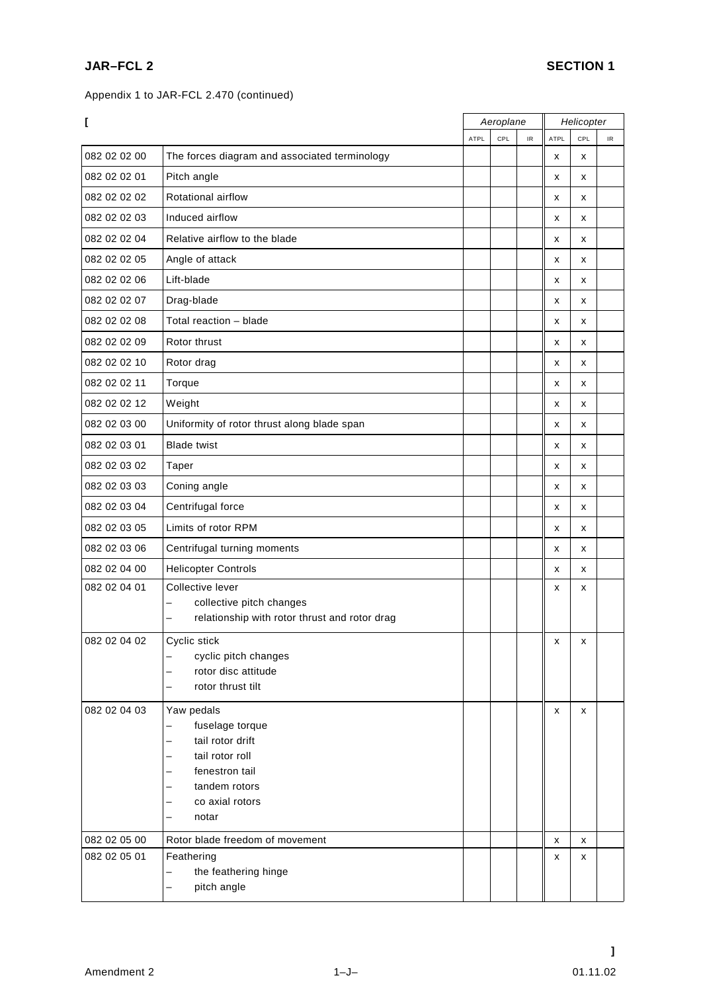| I            |                                                    |      | Aeroplane |                                   |      | Helicopter |    |
|--------------|----------------------------------------------------|------|-----------|-----------------------------------|------|------------|----|
|              |                                                    | ATPL | CPL       | $\ensuremath{\mathsf{IR}}\xspace$ | ATPL | CPL        | IR |
| 082 02 02 00 | The forces diagram and associated terminology      |      |           |                                   | x    | x          |    |
| 082 02 02 01 | Pitch angle                                        |      |           |                                   | x    | x          |    |
| 082 02 02 02 | Rotational airflow                                 |      |           |                                   | x    | x          |    |
| 082 02 02 03 | Induced airflow                                    |      |           |                                   | x    | x          |    |
| 082 02 02 04 | Relative airflow to the blade                      |      |           |                                   | x    | x          |    |
| 082 02 02 05 | Angle of attack                                    |      |           |                                   | x    | x          |    |
| 082 02 02 06 | Lift-blade                                         |      |           |                                   | х    | x          |    |
| 082 02 02 07 | Drag-blade                                         |      |           |                                   | x    | x          |    |
| 082 02 02 08 | Total reaction - blade                             |      |           |                                   | х    | x          |    |
| 082 02 02 09 | Rotor thrust                                       |      |           |                                   | x    | x          |    |
| 082 02 02 10 | Rotor drag                                         |      |           |                                   | x    | x          |    |
| 082 02 02 11 | Torque                                             |      |           |                                   | x    | x          |    |
| 082 02 02 12 | Weight                                             |      |           |                                   | х    | x          |    |
| 082 02 03 00 | Uniformity of rotor thrust along blade span        |      |           |                                   | x    | x          |    |
| 082 02 03 01 | <b>Blade twist</b>                                 |      |           |                                   | x    | x          |    |
| 082 02 03 02 | Taper                                              |      |           |                                   | x    | X          |    |
| 082 02 03 03 | Coning angle                                       |      |           |                                   | x    | x          |    |
| 082 02 03 04 | Centrifugal force                                  |      |           |                                   | x    | x          |    |
| 082 02 03 05 | Limits of rotor RPM                                |      |           |                                   | х    | x          |    |
| 082 02 03 06 | Centrifugal turning moments                        |      |           |                                   | x    | x          |    |
| 082 02 04 00 | <b>Helicopter Controls</b>                         |      |           |                                   | x    | x          |    |
| 082 02 04 01 | Collective lever                                   |      |           |                                   | x    | x          |    |
|              | collective pitch changes                           |      |           |                                   |      |            |    |
|              | relationship with rotor thrust and rotor drag<br>- |      |           |                                   |      |            |    |
| 082 02 04 02 | Cyclic stick                                       |      |           |                                   | х    | х          |    |
|              | cyclic pitch changes<br>-<br>rotor disc attitude   |      |           |                                   |      |            |    |
|              | rotor thrust tilt<br>—                             |      |           |                                   |      |            |    |
| 082 02 04 03 | Yaw pedals                                         |      |           |                                   | x    | x          |    |
|              | fuselage torque<br>—                               |      |           |                                   |      |            |    |
|              | tail rotor drift<br>—                              |      |           |                                   |      |            |    |
|              | tail rotor roll<br>—                               |      |           |                                   |      |            |    |
|              | fenestron tail<br>tandem rotors                    |      |           |                                   |      |            |    |
|              | co axial rotors                                    |      |           |                                   |      |            |    |
|              | notar                                              |      |           |                                   |      |            |    |
| 082 02 05 00 | Rotor blade freedom of movement                    |      |           |                                   | X    | x          |    |
| 082 02 05 01 | Feathering                                         |      |           |                                   | x    | x          |    |
|              | the feathering hinge<br>-                          |      |           |                                   |      |            |    |
|              | pitch angle<br>-                                   |      |           |                                   |      |            |    |
|              |                                                    |      |           |                                   |      |            |    |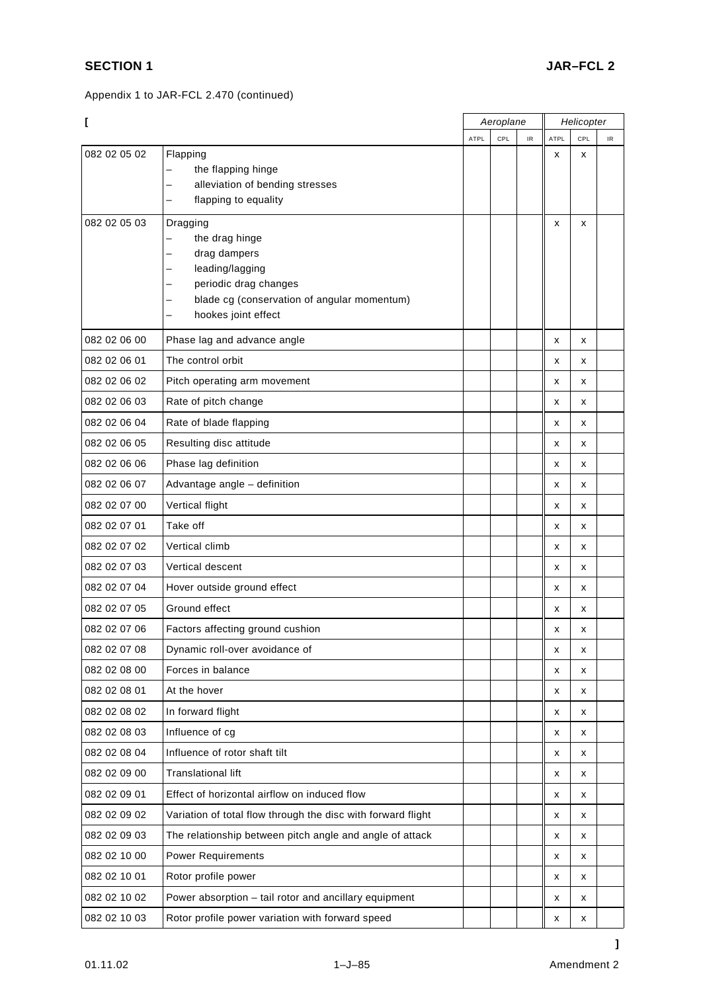| I            |                                                                                                                                                              | Aeroplane   |     |    | Helicopter |     |    |
|--------------|--------------------------------------------------------------------------------------------------------------------------------------------------------------|-------------|-----|----|------------|-----|----|
|              |                                                                                                                                                              | <b>ATPL</b> | CPL | IR | ATPL       | CPL | IR |
| 082 02 05 02 | Flapping<br>the flapping hinge<br>alleviation of bending stresses<br>$\overline{\phantom{0}}$<br>flapping to equality<br>$\overline{\phantom{0}}$            |             |     |    | x          | x   |    |
| 082 02 05 03 | Dragging<br>the drag hinge<br>drag dampers<br>leading/lagging<br>periodic drag changes<br>blade cg (conservation of angular momentum)<br>hookes joint effect |             |     |    | x          | x   |    |
| 082 02 06 00 | Phase lag and advance angle                                                                                                                                  |             |     |    | x          | x   |    |
| 082 02 06 01 | The control orbit                                                                                                                                            |             |     |    | х          | x   |    |
| 082 02 06 02 | Pitch operating arm movement                                                                                                                                 |             |     |    | х          | x   |    |
| 082 02 06 03 | Rate of pitch change                                                                                                                                         |             |     |    | х          | x   |    |
| 082 02 06 04 | Rate of blade flapping                                                                                                                                       |             |     |    | x          | x   |    |
| 082 02 06 05 | Resulting disc attitude                                                                                                                                      |             |     |    | x          | x   |    |
| 082 02 06 06 | Phase lag definition                                                                                                                                         |             |     |    | х          | x   |    |
| 082 02 06 07 | Advantage angle - definition                                                                                                                                 |             |     |    | x          | x   |    |
| 082 02 07 00 | Vertical flight                                                                                                                                              |             |     |    | х          | x   |    |
| 082 02 07 01 | Take off                                                                                                                                                     |             |     |    | х          | x   |    |
| 082 02 07 02 | Vertical climb                                                                                                                                               |             |     |    | x          | x   |    |
| 082 02 07 03 | Vertical descent                                                                                                                                             |             |     |    | x          | x   |    |
| 082 02 07 04 | Hover outside ground effect                                                                                                                                  |             |     |    | x          | x   |    |
| 082 02 07 05 | Ground effect                                                                                                                                                |             |     |    | x          | x   |    |
| 082 02 07 06 | Factors affecting ground cushion                                                                                                                             |             |     |    | х          | x   |    |
| 082 02 07 08 | Dynamic roll-over avoidance of                                                                                                                               |             |     |    | х          | x   |    |
| 082 02 08 00 | Forces in balance                                                                                                                                            |             |     |    | x          | x   |    |
| 082 02 08 01 | At the hover                                                                                                                                                 |             |     |    | x          | x   |    |
| 082 02 08 02 | In forward flight                                                                                                                                            |             |     |    | х          | x   |    |
| 082 02 08 03 | Influence of cg                                                                                                                                              |             |     |    | x          | x   |    |
| 082 02 08 04 | Influence of rotor shaft tilt                                                                                                                                |             |     |    | x          | x   |    |
| 082 02 09 00 | <b>Translational lift</b>                                                                                                                                    |             |     |    | x          | x   |    |
| 082 02 09 01 | Effect of horizontal airflow on induced flow                                                                                                                 |             |     |    | x          | x   |    |
| 082 02 09 02 | Variation of total flow through the disc with forward flight                                                                                                 |             |     |    | x          | x   |    |
| 082 02 09 03 | The relationship between pitch angle and angle of attack                                                                                                     |             |     |    | x          | x   |    |
| 082 02 10 00 | <b>Power Requirements</b>                                                                                                                                    |             |     |    | x          | x   |    |
| 082 02 10 01 | Rotor profile power                                                                                                                                          |             |     |    | x          | x   |    |
| 082 02 10 02 | Power absorption - tail rotor and ancillary equipment                                                                                                        |             |     |    | x          | x   |    |
| 082 02 10 03 | Rotor profile power variation with forward speed                                                                                                             |             |     |    | x          | x   |    |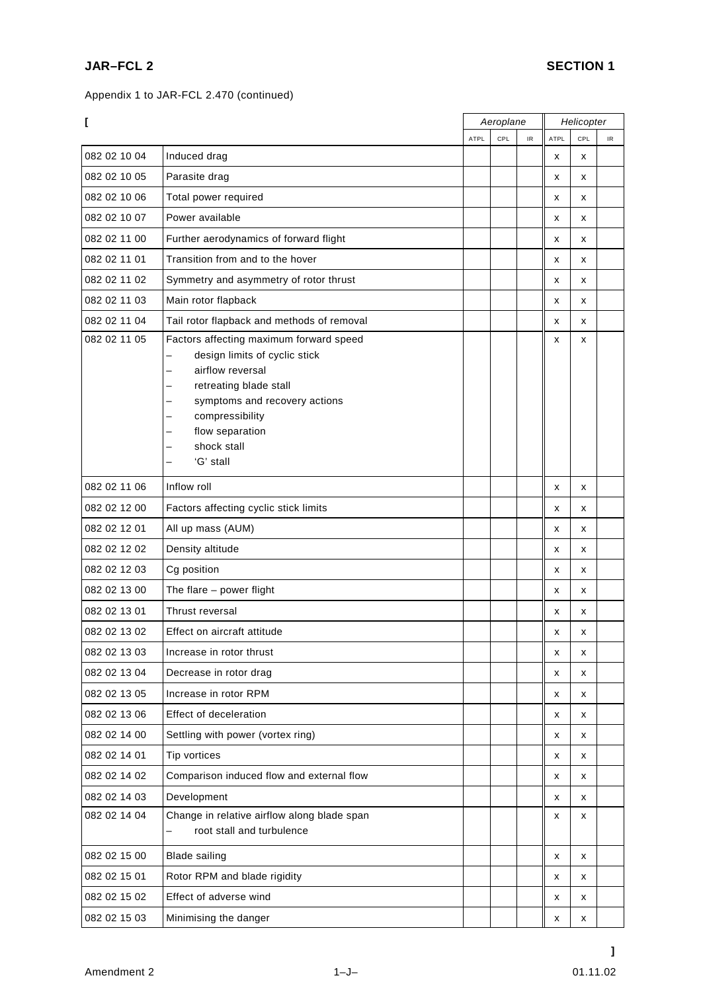m

| I            |                                                                                                                                                                                                                           | Aeroplane |     |    | Helicopter |     |    |
|--------------|---------------------------------------------------------------------------------------------------------------------------------------------------------------------------------------------------------------------------|-----------|-----|----|------------|-----|----|
|              |                                                                                                                                                                                                                           | ATPL      | CPL | IR | ATPL       | CPL | IR |
| 082 02 10 04 | Induced drag                                                                                                                                                                                                              |           |     |    | x          | x   |    |
| 082 02 10 05 | Parasite drag                                                                                                                                                                                                             |           |     |    | x          | x   |    |
| 082 02 10 06 | Total power required                                                                                                                                                                                                      |           |     |    | x          | x   |    |
| 082 02 10 07 | Power available                                                                                                                                                                                                           |           |     |    | x          | x   |    |
| 082 02 11 00 | Further aerodynamics of forward flight                                                                                                                                                                                    |           |     |    | x          | x   |    |
| 082 02 11 01 | Transition from and to the hover                                                                                                                                                                                          |           |     |    | x          | x   |    |
| 082 02 11 02 | Symmetry and asymmetry of rotor thrust                                                                                                                                                                                    |           |     |    | х          | x   |    |
| 082 02 11 03 | Main rotor flapback                                                                                                                                                                                                       |           |     |    | x          | x   |    |
| 082 02 11 04 | Tail rotor flapback and methods of removal                                                                                                                                                                                |           |     |    | х          | x   |    |
| 082 02 11 05 | Factors affecting maximum forward speed<br>design limits of cyclic stick<br>airflow reversal<br>retreating blade stall<br>symptoms and recovery actions<br>compressibility<br>flow separation<br>shock stall<br>'G' stall |           |     |    | x          | x   |    |
| 082 02 11 06 | Inflow roll                                                                                                                                                                                                               |           |     |    | x          | x   |    |
| 082 02 12 00 | Factors affecting cyclic stick limits                                                                                                                                                                                     |           |     |    | х          | x   |    |
| 082 02 12 01 | All up mass (AUM)                                                                                                                                                                                                         |           |     |    | x          | x   |    |
| 082 02 12 02 | Density altitude                                                                                                                                                                                                          |           |     |    | x          | x   |    |
| 082 02 12 03 | Cg position                                                                                                                                                                                                               |           |     |    | х          | x   |    |
| 082 02 13 00 | The flare - power flight                                                                                                                                                                                                  |           |     |    | х          | x   |    |
| 082 02 13 01 | Thrust reversal                                                                                                                                                                                                           |           |     |    | х          | x   |    |
| 082 02 13 02 | Effect on aircraft attitude                                                                                                                                                                                               |           |     |    | х          | x   |    |
| 082 02 13 03 | Increase in rotor thrust                                                                                                                                                                                                  |           |     |    | x          | x   |    |
| 082 02 13 04 | Decrease in rotor drag                                                                                                                                                                                                    |           |     |    | x          | x   |    |
| 082 02 13 05 | Increase in rotor RPM                                                                                                                                                                                                     |           |     |    | х          | x   |    |
| 082 02 13 06 | Effect of deceleration                                                                                                                                                                                                    |           |     |    | x          | x   |    |
| 082 02 14 00 | Settling with power (vortex ring)                                                                                                                                                                                         |           |     |    | x          | x   |    |
| 082 02 14 01 | Tip vortices                                                                                                                                                                                                              |           |     |    | x          | x   |    |
| 082 02 14 02 | Comparison induced flow and external flow                                                                                                                                                                                 |           |     |    | х          | x   |    |
| 082 02 14 03 | Development                                                                                                                                                                                                               |           |     |    | x          | x   |    |
| 082 02 14 04 | Change in relative airflow along blade span<br>root stall and turbulence                                                                                                                                                  |           |     |    | x          | x   |    |
| 082 02 15 00 | <b>Blade sailing</b>                                                                                                                                                                                                      |           |     |    | x          | x   |    |
| 082 02 15 01 | Rotor RPM and blade rigidity                                                                                                                                                                                              |           |     |    | x          | x   |    |
| 082 02 15 02 | Effect of adverse wind                                                                                                                                                                                                    |           |     |    | x          | x   |    |
| 082 02 15 03 | Minimising the danger                                                                                                                                                                                                     |           |     |    | x          | x   |    |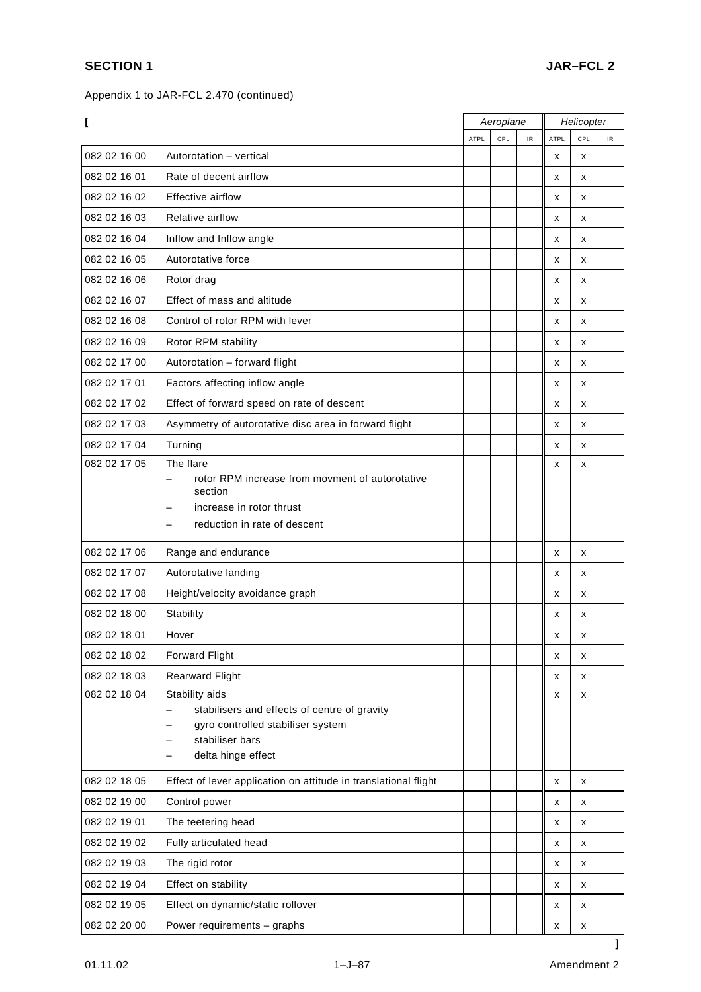Ŧ.

 $\blacksquare$ 

### Appendix 1 to JAR-FCL 2.470 (continued)

| I            |                                                                                                                                              |      | Aeroplane |    |      | Helicopter |    |
|--------------|----------------------------------------------------------------------------------------------------------------------------------------------|------|-----------|----|------|------------|----|
|              |                                                                                                                                              | ATPL | CPL       | IR | ATPL | CPL        | IR |
| 082 02 16 00 | Autorotation - vertical                                                                                                                      |      |           |    | x    | X          |    |
| 082 02 16 01 | Rate of decent airflow                                                                                                                       |      |           |    | x    | x          |    |
| 082 02 16 02 | <b>Effective airflow</b>                                                                                                                     |      |           |    | х    | х          |    |
| 082 02 16 03 | Relative airflow                                                                                                                             |      |           |    | x    | x          |    |
| 082 02 16 04 | Inflow and Inflow angle                                                                                                                      |      |           |    | х    | x          |    |
| 082 02 16 05 | Autorotative force                                                                                                                           |      |           |    | x    | x          |    |
| 082 02 16 06 | Rotor drag                                                                                                                                   |      |           |    | х    | x          |    |
| 082 02 16 07 | Effect of mass and altitude                                                                                                                  |      |           |    | x    | x          |    |
| 082 02 16 08 | Control of rotor RPM with lever                                                                                                              |      |           |    | х    | x          |    |
| 082 02 16 09 | Rotor RPM stability                                                                                                                          |      |           |    | x    | x          |    |
| 082 02 17 00 | Autorotation - forward flight                                                                                                                |      |           |    | х    | x          |    |
| 082 02 17 01 | Factors affecting inflow angle                                                                                                               |      |           |    | x    | x          |    |
| 082 02 17 02 | Effect of forward speed on rate of descent                                                                                                   |      |           |    | х    | x          |    |
| 082 02 17 03 | Asymmetry of autorotative disc area in forward flight                                                                                        |      |           |    | x    | x          |    |
| 082 02 17 04 | Turning                                                                                                                                      |      |           |    | x    | x          |    |
| 082 02 17 05 | The flare<br>rotor RPM increase from movment of autorotative<br>section<br>increase in rotor thrust<br>reduction in rate of descent          |      |           |    | X    | x          |    |
| 082 02 17 06 | Range and endurance                                                                                                                          |      |           |    | x    | x          |    |
| 082 02 17 07 | Autorotative landing                                                                                                                         |      |           |    | x    | x          |    |
| 082 02 17 08 | Height/velocity avoidance graph                                                                                                              |      |           |    | x    | x          |    |
| 082 02 18 00 | Stability                                                                                                                                    |      |           |    | х    | x          |    |
| 082 02 18 01 | Hover                                                                                                                                        |      |           |    | х    | x          |    |
| 082 02 18 02 | <b>Forward Flight</b>                                                                                                                        |      |           |    | X    | x          |    |
| 082 02 18 03 | <b>Rearward Flight</b>                                                                                                                       |      |           |    | x    | x          |    |
| 082 02 18 04 | Stability aids<br>stabilisers and effects of centre of gravity<br>gyro controlled stabiliser system<br>stabiliser bars<br>delta hinge effect |      |           |    | x    | x          |    |
| 082 02 18 05 | Effect of lever application on attitude in translational flight                                                                              |      |           |    | x    | x          |    |
| 082 02 19 00 | Control power                                                                                                                                |      |           |    | x    | x          |    |
| 082 02 19 01 | The teetering head                                                                                                                           |      |           |    | х    | x          |    |
| 082 02 19 02 | Fully articulated head                                                                                                                       |      |           |    | x    | x          |    |
| 082 02 19 03 | The rigid rotor                                                                                                                              |      |           |    | x    | x          |    |
| 082 02 19 04 | Effect on stability                                                                                                                          |      |           |    | x    | x          |    |
| 082 02 19 05 | Effect on dynamic/static rollover                                                                                                            |      |           |    | x    | x          |    |
| 082 02 20 00 | Power requirements - graphs                                                                                                                  |      |           |    | x    | X          |    |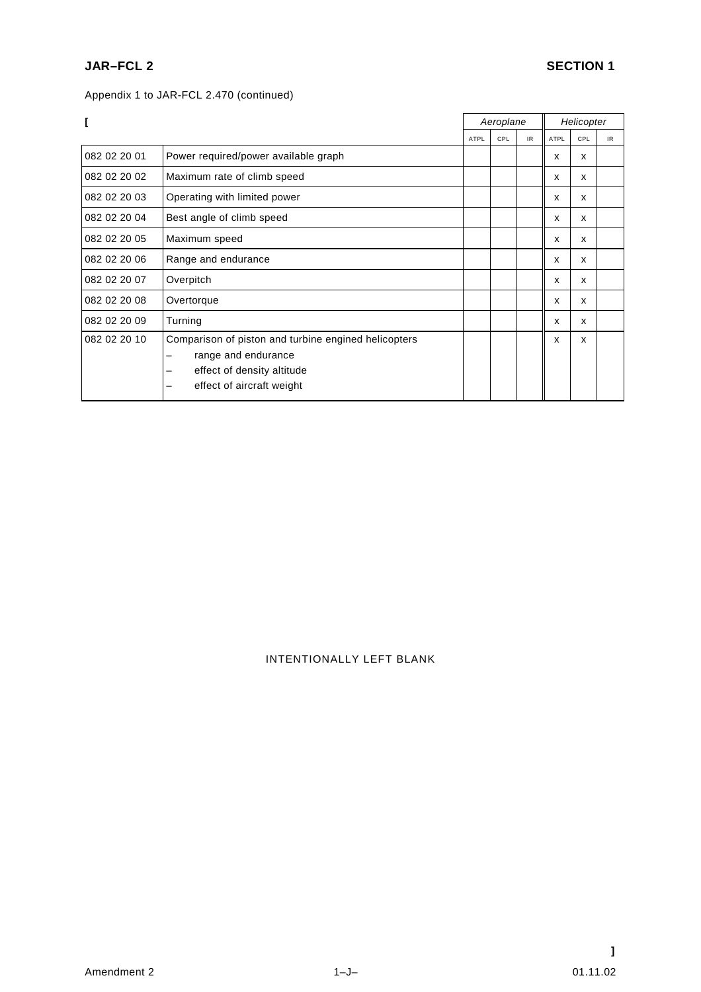|              |                                                                                                                                             | Aeroplane |     |           | Helicopter |     |    |
|--------------|---------------------------------------------------------------------------------------------------------------------------------------------|-----------|-----|-----------|------------|-----|----|
|              |                                                                                                                                             | ATPL      | CPL | <b>IR</b> | ATPL       | CPL | IR |
| 082 02 20 01 | Power required/power available graph                                                                                                        |           |     |           | X          | X   |    |
| 082 02 20 02 | Maximum rate of climb speed                                                                                                                 |           |     |           | X          | X   |    |
| 082 02 20 03 | Operating with limited power                                                                                                                |           |     |           | x          | X   |    |
| 082 02 20 04 | Best angle of climb speed                                                                                                                   |           |     |           | X          | X   |    |
| 082 02 20 05 | Maximum speed                                                                                                                               |           |     |           | x          | x   |    |
| 082 02 20 06 | Range and endurance                                                                                                                         |           |     |           | x          | X   |    |
| 082 02 20 07 | Overpitch                                                                                                                                   |           |     |           | X          | x   |    |
| 082 02 20 08 | Overtorque                                                                                                                                  |           |     |           | X          | X   |    |
| 082 02 20 09 | Turning                                                                                                                                     |           |     |           | x          | X   |    |
| 082 02 20 10 | Comparison of piston and turbine engined helicopters<br>range and endurance<br>effect of density altitude<br>-<br>effect of aircraft weight |           |     |           | x          | X   |    |

### INTENTIONALLY LEFT BLANK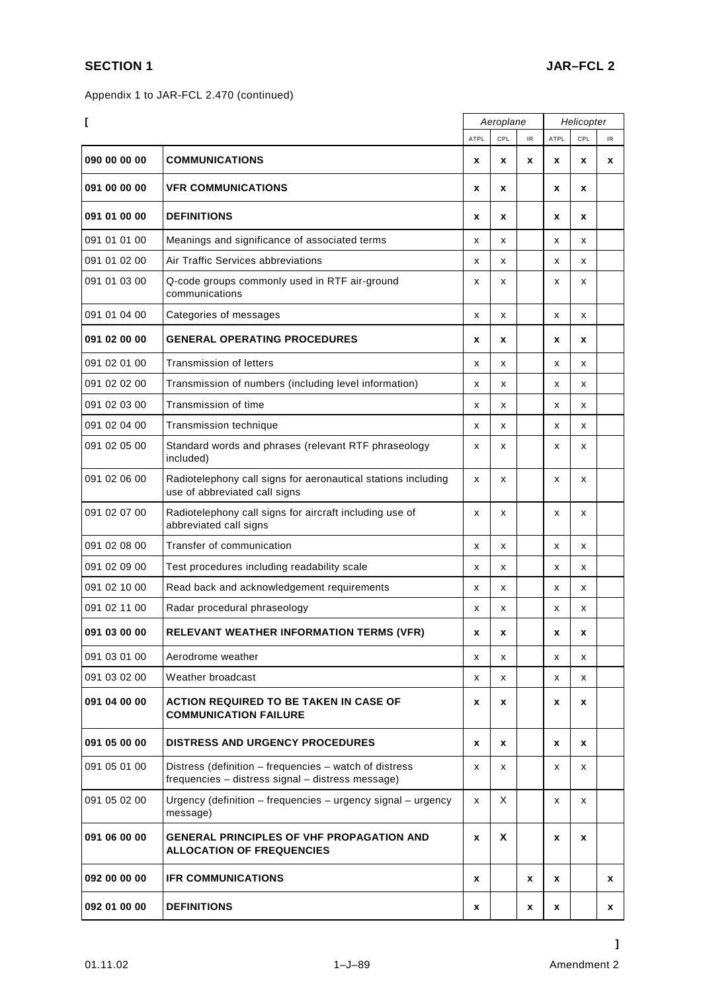| I            |                                                                                                             |      | Aeroplane |     |              | Helicopter |              |  |
|--------------|-------------------------------------------------------------------------------------------------------------|------|-----------|-----|--------------|------------|--------------|--|
|              |                                                                                                             | ATPL | CPL       | IR. | ATPL         | CPL        | IR.          |  |
| 090 00 00 00 | <b>COMMUNICATIONS</b>                                                                                       | x    | X         | x   | x            | x          | x            |  |
| 091 00 00 00 | <b>VFR COMMUNICATIONS</b>                                                                                   | x    | x         |     | X            | x          |              |  |
| 091 01 00 00 | <b>DEFINITIONS</b>                                                                                          | x    | X         |     | X            | x          |              |  |
| 091 01 01 00 | Meanings and significance of associated terms                                                               | x    | x         |     | X            | X          |              |  |
| 091 01 02 00 | Air Traffic Services abbreviations                                                                          | X    | x         |     | X            | X          |              |  |
| 091 01 03 00 | Q-code groups commonly used in RTF air-ground<br>communications                                             | x    | x         |     | X            | x          |              |  |
| 091 01 04 00 | Categories of messages                                                                                      | x    | x         |     | X            | x          |              |  |
| 091 02 00 00 | <b>GENERAL OPERATING PROCEDURES</b>                                                                         | x    | X         |     | X            | x          |              |  |
| 091 02 01 00 | Transmission of letters                                                                                     | X    | X         |     | X            | X          |              |  |
| 091 02 02 00 | Transmission of numbers (including level information)                                                       | x    | x         |     | x            | X          |              |  |
| 091 02 03 00 | Transmission of time                                                                                        | x    | x         |     | х            | X          |              |  |
| 091 02 04 00 | Transmission technique                                                                                      | x    | X         |     | х            | X          |              |  |
| 091 02 05 00 | Standard words and phrases (relevant RTF phraseology<br>included)                                           | x    | x         |     | x            | x          |              |  |
| 091 02 06 00 | Radiotelephony call signs for aeronautical stations including<br>use of abbreviated call signs              | x    | x         |     | x            | x          |              |  |
| 091 02 07 00 | Radiotelephony call signs for aircraft including use of<br>abbreviated call signs                           | x    | x         |     | X            | x          |              |  |
| 091 02 08 00 | Transfer of communication                                                                                   | x    | x         |     | X            | X          |              |  |
| 091 02 09 00 | Test procedures including readability scale                                                                 | x    | x         |     | х            | X          |              |  |
| 091 02 10 00 | Read back and acknowledgement requirements                                                                  | x    | x         |     | X            | X          |              |  |
| 091 02 11 00 | Radar procedural phraseology                                                                                | x    | x         |     | X            | x          |              |  |
| 091 03 00 00 | <b>RELEVANT WEATHER INFORMATION TERMS (VFR)</b>                                                             | x    | x         |     | X            | x          |              |  |
| 091 03 01 00 | Aerodrome weather                                                                                           | X    | X         |     | x            | X          |              |  |
| 091 03 02 00 | Weather broadcast                                                                                           | x    | x         |     | x            | x          |              |  |
| 091 04 00 00 | <b>ACTION REQUIRED TO BE TAKEN IN CASE OF</b><br><b>COMMUNICATION FAILURE</b>                               | X    | x         |     | x            | x          |              |  |
| 091 05 00 00 | <b>DISTRESS AND URGENCY PROCEDURES</b>                                                                      | X    | X         |     | x            | x          |              |  |
| 091 05 01 00 | Distress (definition – frequencies – watch of distress<br>frequencies - distress signal - distress message) | X    | x         |     | X            | x          |              |  |
| 091 05 02 00 | Urgency (definition – frequencies – urgency signal – urgency<br>message)                                    | x    | X         |     | х            | x          |              |  |
| 091 06 00 00 | <b>GENERAL PRINCIPLES OF VHF PROPAGATION AND</b><br><b>ALLOCATION OF FREQUENCIES</b>                        | X    | X         |     | $\mathbf{x}$ | x          |              |  |
| 092 00 00 00 | <b>IFR COMMUNICATIONS</b>                                                                                   | x    |           | x   | $\mathbf{x}$ |            | $\mathbf{x}$ |  |
| 092 01 00 00 | <b>DEFINITIONS</b>                                                                                          | x    |           | x   | x            |            | x            |  |

**]**